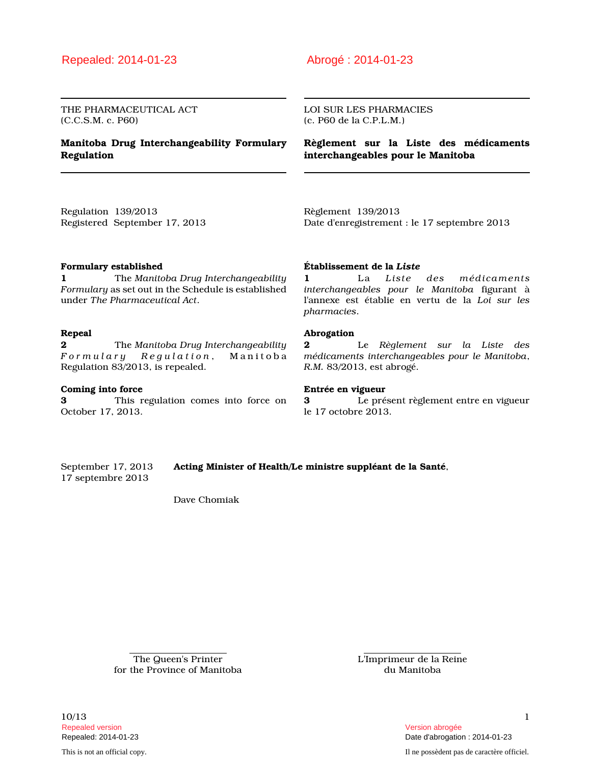## Repealed: 2014-01-23 Abrogé : 2014-01-23

THE PHARMACEUTICAL ACT (C.C.S.M. c. P60)

### **Manitoba Drug Interchangeability Formulary Regulation**

LOI SUR LES PHARMACIES (c. P60 de la C.P.L.M.)

**Règlement sur la Liste des médicaments interchangeables pour le Manitoba**

Regulation 139/2013 Registered September 17, 2013 Règlement 139/2013 Date d'enregistrement : le 17 septembre 2013

### **Formulary established**

**1** The *Manitoba Drug Interchangeability Formulary* as set out in the Schedule is established under *The Pharmaceutical Act*.

### **Repeal**

**2** The *Manitoba Drug Interchangeability F o r m u l a r y R e g u l a t i o n* , M a n i t o b a Regulation 83/2013, is repealed.

### **Coming into force**

**3** This regulation comes into force on October 17, 2013.

### **Établissement de la** *Liste*

**1** La *Liste des médicaments interchangeables pour le Manitoba* figurant à l'annexe est établie en vertu de la *Loi sur les pharmacies*.

### **Abrogation**

**2** Le *Règlement sur la Liste des médicaments interchangeables pour le Manitoba*, *R.M.* 83/2013, est abrogé.

### **Entrée en vigueur**

**3** Le présent règlement entre en vigueur le 17 octobre 2013.

17 septembre 2013

September 17, 2013 **Acting Minister of Health/Le ministre suppléant de la Santé**,

Dave Chomiak

The Queen's Printer for the Province of Manitoba L'Imprimeur de la Reine du Manitoba

10/13 1 Repealed version Version abrogée

Repealed: 2014-01-23 Date d'abrogation : 2014-01-23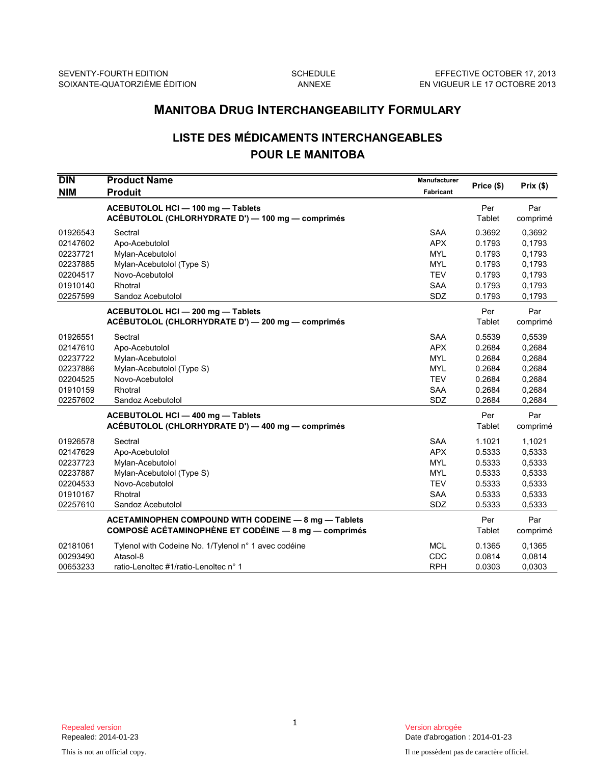# **LISTE DES MÉDICAMENTS INTERCHANGEABLES POUR LE MANITOBA**

|                                                                                  | <b>MANITOBA DRUG INTERCHANGEABILITY FORMULARY</b>                                                                             |                                                                                         |                                                                    |                                                                    |  |
|----------------------------------------------------------------------------------|-------------------------------------------------------------------------------------------------------------------------------|-----------------------------------------------------------------------------------------|--------------------------------------------------------------------|--------------------------------------------------------------------|--|
| <b>LISTE DES MÉDICAMENTS INTERCHANGEABLES</b><br><b>POUR LE MANITOBA</b>         |                                                                                                                               |                                                                                         |                                                                    |                                                                    |  |
| $\overline{D}$ IN<br><b>NIM</b>                                                  | <b>Product Name</b><br><b>Produit</b>                                                                                         | <b>Manufacturer</b><br>Fabricant                                                        | Price (\$)                                                         | Prix(\$)                                                           |  |
|                                                                                  | ACEBUTOLOL HCI - 100 mg - Tablets<br>ACÉBUTOLOL (CHLORHYDRATE D') - 100 mg - comprimés                                        |                                                                                         | Per<br>Tablet                                                      | Par<br>comprimé                                                    |  |
| 01926543<br>02147602<br>02237721<br>02237885<br>02204517<br>01910140<br>02257599 | Sectral<br>Apo-Acebutolol<br>Mylan-Acebutolol<br>Mylan-Acebutolol (Type S)<br>Novo-Acebutolol<br>Rhotral<br>Sandoz Acebutolol | <b>SAA</b><br><b>APX</b><br><b>MYL</b><br><b>MYL</b><br><b>TEV</b><br><b>SAA</b><br>SDZ | 0.3692<br>0.1793<br>0.1793<br>0.1793<br>0.1793<br>0.1793<br>0.1793 | 0.3692<br>0,1793<br>0,1793<br>0,1793<br>0,1793<br>0,1793<br>0,1793 |  |
|                                                                                  | ACEBUTOLOL HCI-200 mg-Tablets<br>ACÉBUTOLOL (CHLORHYDRATE D') - 200 mg - comprimés                                            |                                                                                         | Per<br>Tablet                                                      | Par<br>comprimé                                                    |  |
| 01926551<br>02147610<br>02237722<br>02237886<br>02204525<br>01910159<br>02257602 | Sectral<br>Apo-Acebutolol<br>Mylan-Acebutolol<br>Mylan-Acebutolol (Type S)<br>Novo-Acebutolol<br>Rhotral<br>Sandoz Acebutolol | <b>SAA</b><br><b>APX</b><br><b>MYL</b><br><b>MYL</b><br><b>TEV</b><br><b>SAA</b><br>SDZ | 0.5539<br>0.2684<br>0.2684<br>0.2684<br>0.2684<br>0.2684<br>0.2684 | 0,5539<br>0,2684<br>0,2684<br>0,2684<br>0,2684<br>0,2684<br>0,2684 |  |
|                                                                                  | ACEBUTOLOL HCI - 400 mg - Tablets<br>ACÉBUTOLOL (CHLORHYDRATE D') - 400 mg - comprimés                                        |                                                                                         | Per<br>Tablet                                                      | Par<br>comprimé                                                    |  |
| 01926578<br>02147629<br>02237723<br>02237887<br>02204533<br>01910167<br>02257610 | Sectral<br>Apo-Acebutolol<br>Mylan-Acebutolol<br>Mylan-Acebutolol (Type S)<br>Novo-Acebutolol<br>Rhotral<br>Sandoz Acebutolol | <b>SAA</b><br><b>APX</b><br><b>MYL</b><br><b>MYL</b><br><b>TEV</b><br>SAA<br><b>SDZ</b> | 1.1021<br>0.5333<br>0.5333<br>0.5333<br>0.5333<br>0.5333<br>0.5333 | 1,1021<br>0,5333<br>0,5333<br>0,5333<br>0,5333<br>0,5333<br>0,5333 |  |
|                                                                                  | <b>ACETAMINOPHEN COMPOUND WITH CODEINE - 8 mg - Tablets</b><br>COMPOSÉ ACÉTAMINOPHÈNE ET CODÉINE - 8 mg - comprimés           |                                                                                         | Per<br>Tablet                                                      | Par<br>comprimé                                                    |  |
| 02181061<br>00293490<br>00653233                                                 | Tylenol with Codeine No. 1/Tylenol n° 1 avec codéine<br>Atasol-8<br>ratio-Lenoltec #1/ratio-Lenoltec n° 1                     | <b>MCL</b><br>CDC<br>RPH                                                                | 0.1365<br>0.0814<br>0.0303                                         | 0.1365<br>0,0814<br>0,0303                                         |  |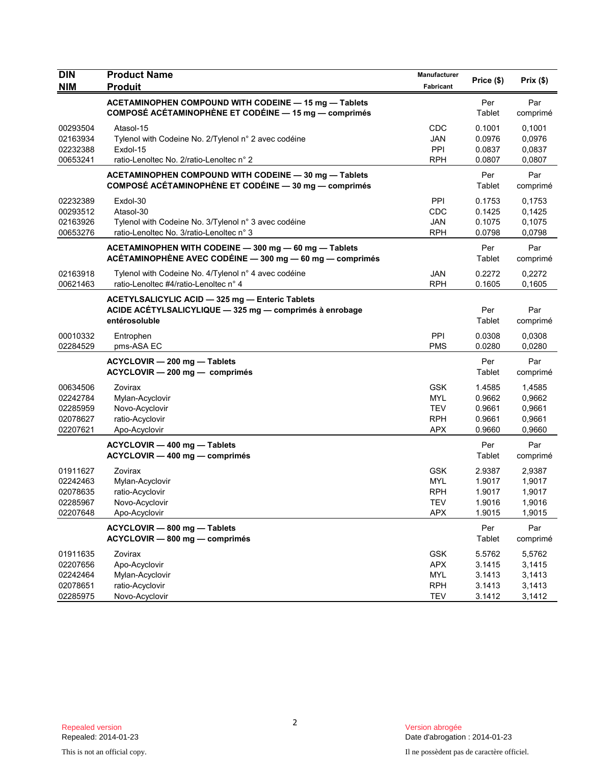| <b>DIN</b><br><b>NIM</b>                                 | <b>Product Name</b><br><b>Produit</b>                                                                                       | Manufacturer<br>Fabricant                                          | Price (\$)                                     | Prix(\$)                                       |
|----------------------------------------------------------|-----------------------------------------------------------------------------------------------------------------------------|--------------------------------------------------------------------|------------------------------------------------|------------------------------------------------|
|                                                          | ACETAMINOPHEN COMPOUND WITH CODEINE - 15 mg - Tablets<br>COMPOSÉ ACÉTAMINOPHÈNE ET CODÉINE - 15 mg - comprimés              |                                                                    | Per<br>Tablet                                  | Par<br>comprimé                                |
| 00293504<br>02163934<br>02232388<br>00653241             | Atasol-15<br>Tylenol with Codeine No. 2/Tylenol n° 2 avec codéine<br>Exdol-15<br>ratio-Lenoltec No. 2/ratio-Lenoltec n° 2   | CDC<br><b>JAN</b><br>PPI<br><b>RPH</b>                             | 0.1001<br>0.0976<br>0.0837<br>0.0807           | 0,1001<br>0.0976<br>0,0837<br>0,0807           |
|                                                          | ACETAMINOPHEN COMPOUND WITH CODEINE - 30 mg - Tablets<br>COMPOSÉ ACÉTAMINOPHÈNE ET CODÉINE - 30 mg - comprimés              |                                                                    | Per<br>Tablet                                  | Par<br>comprimé                                |
| 02232389<br>00293512<br>02163926<br>00653276             | Exdol-30<br>Atasol-30<br>Tylenol with Codeine No. 3/Tylenol n° 3 avec codéine<br>ratio-Lenoltec No. 3/ratio-Lenoltec n° 3   | PPI<br>CDC<br><b>JAN</b><br><b>RPH</b>                             | 0.1753<br>0.1425<br>0.1075<br>0.0798           | 0,1753<br>0,1425<br>0,1075<br>0,0798           |
|                                                          | ACETAMINOPHEN WITH CODEINE - 300 mg - 60 mg - Tablets<br>ACÉTAMINOPHÈNE AVEC CODÉINE - 300 mg - 60 mg - comprimés           |                                                                    | Per<br>Tablet                                  | Par<br>comprimé                                |
| 02163918<br>00621463                                     | Tylenol with Codeine No. 4/Tylenol n° 4 avec codéine<br>ratio-Lenoltec #4/ratio-Lenoltec n° 4                               | <b>JAN</b><br><b>RPH</b>                                           | 0.2272<br>0.1605                               | 0,2272<br>0.1605                               |
|                                                          | ACETYLSALICYLIC ACID - 325 mg - Enteric Tablets<br>ACIDE ACETYLSALICYLIQUE - 325 mg - comprimés à enrobage<br>entérosoluble |                                                                    | Per<br>Tablet                                  | Par<br>comprimé                                |
| 00010332<br>02284529                                     | Entrophen<br>pms-ASA EC                                                                                                     | PPI<br><b>PMS</b>                                                  | 0.0308<br>0.0280                               | 0,0308<br>0,0280                               |
|                                                          | ACYCLOVIR - 200 mg - Tablets<br>ACYCLOVIR - 200 mg - comprimés                                                              |                                                                    | Per<br>Tablet                                  | Par<br>comprimé                                |
| 00634506<br>02242784<br>02285959<br>02078627<br>02207621 | Zovirax<br>Mylan-Acyclovir<br>Novo-Acyclovir<br>ratio-Acyclovir<br>Apo-Acyclovir                                            | <b>GSK</b><br><b>MYL</b><br><b>TEV</b><br><b>RPH</b><br><b>APX</b> | 1.4585<br>0.9662<br>0.9661<br>0.9661<br>0.9660 | 1,4585<br>0,9662<br>0,9661<br>0,9661<br>0,9660 |
|                                                          | ACYCLOVIR - 400 mg - Tablets<br>ACYCLOVIR - 400 mg - comprimés                                                              |                                                                    | Per<br>Tablet                                  | Par<br>comprimé                                |
| 01911627<br>02242463<br>02078635<br>02285967<br>02207648 | Zovirax<br>Mylan-Acyclovir<br>ratio-Acyclovir<br>Novo-Acyclovir<br>Apo-Acyclovir                                            | <b>GSK</b><br><b>MYL</b><br><b>RPH</b><br>TEV<br><b>APX</b>        | 2.9387<br>1.9017<br>1.9017<br>1.9016<br>1.9015 | 2,9387<br>1,9017<br>1,9017<br>1,9016<br>1,9015 |
|                                                          | ACYCLOVIR - 800 mg - Tablets<br>ACYCLOVIR - 800 mg - comprimés                                                              |                                                                    | Per<br>Tablet                                  | Par<br>comprimé                                |
| 01911635<br>02207656<br>02242464<br>02078651<br>02285975 | Zovirax<br>Apo-Acyclovir<br>Mylan-Acyclovir<br>ratio-Acyclovir<br>Novo-Acyclovir                                            | <b>GSK</b><br><b>APX</b><br><b>MYL</b><br><b>RPH</b><br><b>TEV</b> | 5.5762<br>3.1415<br>3.1413<br>3.1413<br>3.1412 | 5,5762<br>3,1415<br>3,1413<br>3,1413<br>3,1412 |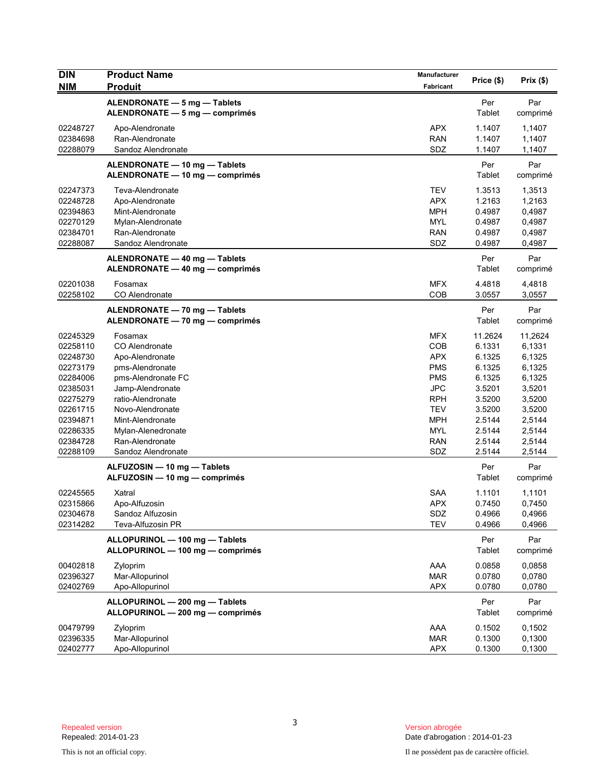| <b>DIN</b><br><b>NIM</b>                                                                                                                     | <b>Product Name</b><br><b>Produit</b>                                                                                                                                                                                                 | Manufacturer<br>Fabricant                                                                                                                       | Price (\$)                                                                                                            | Prix(\$)                                                                                                              |
|----------------------------------------------------------------------------------------------------------------------------------------------|---------------------------------------------------------------------------------------------------------------------------------------------------------------------------------------------------------------------------------------|-------------------------------------------------------------------------------------------------------------------------------------------------|-----------------------------------------------------------------------------------------------------------------------|-----------------------------------------------------------------------------------------------------------------------|
|                                                                                                                                              | ALENDRONATE - 5 mg - Tablets<br>ALENDRONATE - 5 mg - comprimés                                                                                                                                                                        |                                                                                                                                                 | Per<br>Tablet                                                                                                         | Par<br>comprimé                                                                                                       |
| 02248727<br>02384698<br>02288079                                                                                                             | Apo-Alendronate<br>Ran-Alendronate<br>Sandoz Alendronate                                                                                                                                                                              | <b>APX</b><br><b>RAN</b><br>SDZ                                                                                                                 | 1.1407<br>1.1407<br>1.1407                                                                                            | 1,1407<br>1,1407<br>1,1407                                                                                            |
|                                                                                                                                              | ALENDRONATE - 10 mg - Tablets<br>ALENDRONATE - 10 mg - comprimés                                                                                                                                                                      |                                                                                                                                                 | Per<br>Tablet                                                                                                         | Par<br>comprimé                                                                                                       |
| 02247373<br>02248728<br>02394863<br>02270129<br>02384701<br>02288087                                                                         | Teva-Alendronate<br>Apo-Alendronate<br>Mint-Alendronate<br>Mylan-Alendronate<br>Ran-Alendronate<br>Sandoz Alendronate                                                                                                                 | <b>TEV</b><br><b>APX</b><br><b>MPH</b><br><b>MYL</b><br><b>RAN</b><br>SDZ                                                                       | 1.3513<br>1.2163<br>0.4987<br>0.4987<br>0.4987<br>0.4987                                                              | 1,3513<br>1,2163<br>0,4987<br>0,4987<br>0,4987<br>0,4987                                                              |
|                                                                                                                                              | ALENDRONATE - 40 mg - Tablets<br>ALENDRONATE - 40 mg - comprimés                                                                                                                                                                      |                                                                                                                                                 | Per<br>Tablet                                                                                                         | Par<br>comprimé                                                                                                       |
| 02201038<br>02258102                                                                                                                         | Fosamax<br>CO Alendronate                                                                                                                                                                                                             | <b>MFX</b><br>COB                                                                                                                               | 4.4818<br>3.0557                                                                                                      | 4,4818<br>3,0557                                                                                                      |
|                                                                                                                                              | ALENDRONATE - 70 mg - Tablets<br>ALENDRONATE - 70 mg - comprimés                                                                                                                                                                      |                                                                                                                                                 | Per<br>Tablet                                                                                                         | Par<br>comprimé                                                                                                       |
| 02245329<br>02258110<br>02248730<br>02273179<br>02284006<br>02385031<br>02275279<br>02261715<br>02394871<br>02286335<br>02384728<br>02288109 | Fosamax<br>CO Alendronate<br>Apo-Alendronate<br>pms-Alendronate<br>pms-Alendronate FC<br>Jamp-Alendronate<br>ratio-Alendronate<br>Novo-Alendronate<br>Mint-Alendronate<br>Mylan-Alenedronate<br>Ran-Alendronate<br>Sandoz Alendronate | <b>MFX</b><br>COB<br><b>APX</b><br><b>PMS</b><br><b>PMS</b><br><b>JPC</b><br>RPH<br><b>TEV</b><br><b>MPH</b><br><b>MYL</b><br><b>RAN</b><br>SDZ | 11.2624<br>6.1331<br>6.1325<br>6.1325<br>6.1325<br>3.5201<br>3.5200<br>3.5200<br>2.5144<br>2.5144<br>2.5144<br>2.5144 | 11,2624<br>6,1331<br>6,1325<br>6,1325<br>6,1325<br>3,5201<br>3,5200<br>3,5200<br>2,5144<br>2,5144<br>2,5144<br>2,5144 |
|                                                                                                                                              | ALFUZOSIN - 10 mg - Tablets<br>ALFUZOSIN - 10 mg - comprimés                                                                                                                                                                          |                                                                                                                                                 | Per<br>Tablet                                                                                                         | Par<br>comprimé                                                                                                       |
| 02245565<br>02315866<br>02304678<br>02314282                                                                                                 | Xatral<br>Apo-Alfuzosin<br>Sandoz Alfuzosin<br>Teva-Alfuzosin PR                                                                                                                                                                      | <b>SAA</b><br>APX<br>SDZ<br><b>TEV</b>                                                                                                          | 1.1101<br>0.7450<br>0.4966<br>0.4966                                                                                  | 1,1101<br>0,7450<br>0,4966<br>0,4966                                                                                  |
|                                                                                                                                              | ALLOPURINOL - 100 mg - Tablets<br>ALLOPURINOL - 100 mg - comprimés                                                                                                                                                                    |                                                                                                                                                 | Per<br>Tablet                                                                                                         | Par<br>comprimé                                                                                                       |
| 00402818<br>02396327<br>02402769                                                                                                             | Zyloprim<br>Mar-Allopurinol<br>Apo-Allopurinol                                                                                                                                                                                        | AAA<br><b>MAR</b><br><b>APX</b>                                                                                                                 | 0.0858<br>0.0780<br>0.0780                                                                                            | 0,0858<br>0,0780<br>0,0780                                                                                            |
|                                                                                                                                              | ALLOPURINOL - 200 mg - Tablets<br>ALLOPURINOL - 200 mg - comprimés                                                                                                                                                                    |                                                                                                                                                 | Per<br>Tablet                                                                                                         | Par<br>comprimé                                                                                                       |
| 00479799<br>02396335<br>02402777                                                                                                             | Zyloprim<br>Mar-Allopurinol<br>Apo-Allopurinol                                                                                                                                                                                        | AAA<br><b>MAR</b><br><b>APX</b>                                                                                                                 | 0.1502<br>0.1300<br>0.1300                                                                                            | 0,1502<br>0,1300<br>0,1300                                                                                            |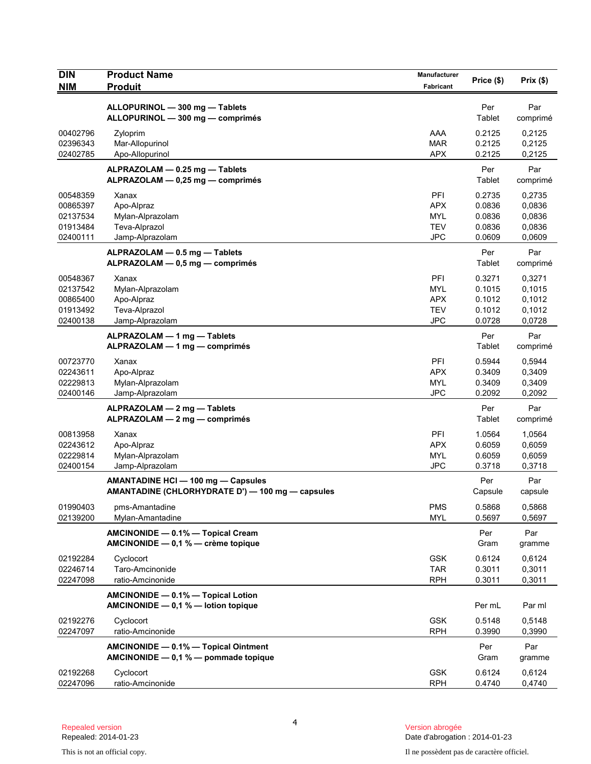| <b>DIN</b><br><b>NIM</b>                                 | <b>Product Name</b><br><b>Produit</b>                                                  | Manufacturer<br><b>Fabricant</b>                                   | Price (\$)                                     | Prix(\$)                                       |
|----------------------------------------------------------|----------------------------------------------------------------------------------------|--------------------------------------------------------------------|------------------------------------------------|------------------------------------------------|
|                                                          | ALLOPURINOL - 300 mg - Tablets<br>ALLOPURINOL - 300 mg - comprimés                     |                                                                    | Per<br>Tablet                                  | Par<br>comprimé                                |
| 00402796<br>02396343<br>02402785                         | Zyloprim<br>Mar-Allopurinol<br>Apo-Allopurinol                                         | AAA<br><b>MAR</b><br><b>APX</b>                                    | 0.2125<br>0.2125<br>0.2125                     | 0,2125<br>0,2125<br>0,2125                     |
|                                                          | ALPRAZOLAM - 0.25 mg - Tablets<br>ALPRAZOLAM - 0,25 mg - comprimés                     |                                                                    | Per<br>Tablet                                  | Par<br>comprimé                                |
| 00548359<br>00865397<br>02137534<br>01913484<br>02400111 | Xanax<br>Apo-Alpraz<br>Mylan-Alprazolam<br>Teva-Alprazol<br>Jamp-Alprazolam            | PFI<br><b>APX</b><br><b>MYL</b><br><b>TEV</b><br><b>JPC</b>        | 0.2735<br>0.0836<br>0.0836<br>0.0836<br>0.0609 | 0,2735<br>0,0836<br>0,0836<br>0,0836<br>0,0609 |
|                                                          | ALPRAZOLAM - 0.5 mg - Tablets<br>ALPRAZOLAM - 0,5 mg - comprimés                       |                                                                    | Per<br>Tablet                                  | Par<br>comprimé                                |
| 00548367<br>02137542<br>00865400<br>01913492<br>02400138 | Xanax<br>Mylan-Alprazolam<br>Apo-Alpraz<br>Teva-Alprazol<br>Jamp-Alprazolam            | <b>PFI</b><br><b>MYL</b><br><b>APX</b><br><b>TEV</b><br><b>JPC</b> | 0.3271<br>0.1015<br>0.1012<br>0.1012<br>0.0728 | 0,3271<br>0,1015<br>0,1012<br>0,1012<br>0,0728 |
|                                                          | ALPRAZOLAM - 1 mg - Tablets<br>ALPRAZOLAM - 1 mg - comprimés                           |                                                                    | Per<br>Tablet                                  | Par<br>comprimé                                |
| 00723770<br>02243611<br>02229813<br>02400146             | Xanax<br>Apo-Alpraz<br>Mylan-Alprazolam<br>Jamp-Alprazolam                             | PFI<br><b>APX</b><br><b>MYL</b><br><b>JPC</b>                      | 0.5944<br>0.3409<br>0.3409<br>0.2092           | 0,5944<br>0,3409<br>0,3409<br>0,2092           |
|                                                          | ALPRAZOLAM — 2 mg — Tablets<br>ALPRAZOLAM - 2 mg - comprimés                           |                                                                    | Per<br>Tablet                                  | Par<br>comprimé                                |
| 00813958<br>02243612<br>02229814<br>02400154             | Xanax<br>Apo-Alpraz<br>Mylan-Alprazolam<br>Jamp-Alprazolam                             | <b>PFI</b><br><b>APX</b><br><b>MYL</b><br><b>JPC</b>               | 1.0564<br>0.6059<br>0.6059<br>0.3718           | 1,0564<br>0,6059<br>0,6059<br>0,3718           |
|                                                          | AMANTADINE HCI - 100 mg - Capsules<br>AMANTADINE (CHLORHYDRATE D') — 100 mg — capsules |                                                                    | Per<br>Capsule                                 | Par<br>capsule                                 |
| 01990403<br>02139200                                     | pms-Amantadine<br>Mylan-Amantadine                                                     | <b>PMS</b><br><b>MYL</b>                                           | 0.5868<br>0.5697                               | 0,5868<br>0,5697                               |
|                                                          | AMCINONIDE - 0.1% - Topical Cream<br>AMCINONIDE - 0,1 % - crème topique                |                                                                    | Per<br>Gram                                    | Par<br>gramme                                  |
| 02192284<br>02246714<br>02247098                         | Cyclocort<br>Taro-Amcinonide<br>ratio-Amcinonide                                       | <b>GSK</b><br><b>TAR</b><br><b>RPH</b>                             | 0.6124<br>0.3011<br>0.3011                     | 0,6124<br>0,3011<br>0,3011                     |
|                                                          | AMCINONIDE - 0.1% - Topical Lotion<br>AMCINONIDE $- 0.1 %$ - lotion topique            |                                                                    | Per mL                                         | Par ml                                         |
| 02192276<br>02247097                                     | Cyclocort<br>ratio-Amcinonide                                                          | <b>GSK</b><br><b>RPH</b>                                           | 0.5148<br>0.3990                               | 0,5148<br>0,3990                               |
|                                                          | AMCINONIDE - 0.1% - Topical Ointment<br>AMCINONIDE $-$ 0,1 % $-$ pommade topique       |                                                                    | Per<br>Gram                                    | Par<br>gramme                                  |
| 02192268<br>02247096                                     | Cyclocort<br>ratio-Amcinonide                                                          | <b>GSK</b><br><b>RPH</b>                                           | 0.6124<br>0.4740                               | 0,6124<br>0,4740                               |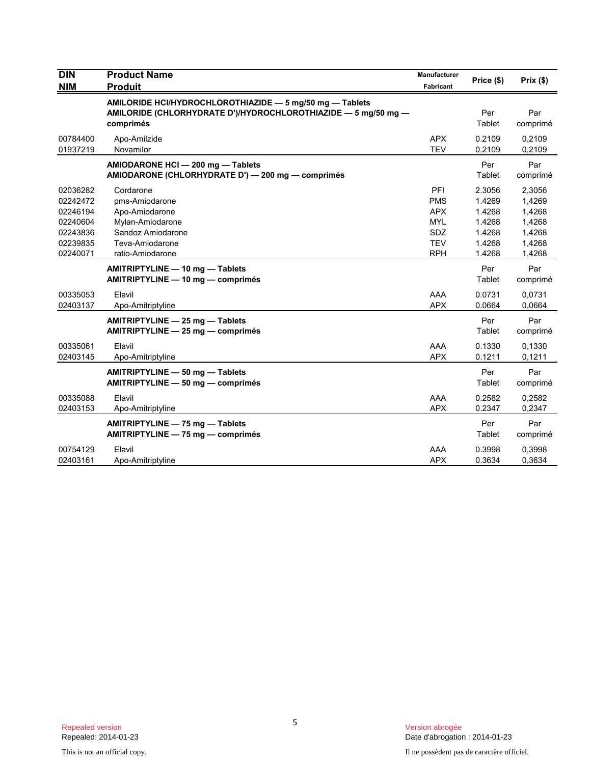| <b>DIN</b>                                                                       | <b>Product Name</b>                                                                                                                     | Manufacturer                                                                     |                                                                    |                                                                    |
|----------------------------------------------------------------------------------|-----------------------------------------------------------------------------------------------------------------------------------------|----------------------------------------------------------------------------------|--------------------------------------------------------------------|--------------------------------------------------------------------|
| <b>NIM</b>                                                                       | <b>Produit</b>                                                                                                                          | Fabricant                                                                        | Price (\$)                                                         | Prix(\$)                                                           |
|                                                                                  | AMILORIDE HCI/HYDROCHLOROTHIAZIDE - 5 mg/50 mg - Tablets<br>AMILORIDE (CHLORHYDRATE D')/HYDROCHLOROTHIAZIDE - 5 mg/50 mg -<br>comprimés |                                                                                  | Per<br>Tablet                                                      | Par<br>comprimé                                                    |
| 00784400<br>01937219                                                             | Apo-Amilzide<br>Novamilor                                                                                                               | <b>APX</b><br><b>TEV</b>                                                         | 0.2109<br>0.2109                                                   | 0,2109<br>0,2109                                                   |
|                                                                                  | AMIODARONE HCI - 200 mg - Tablets<br>AMIODARONE (CHLORHYDRATE D') - 200 mg - comprimés                                                  |                                                                                  | Per<br>Tablet                                                      | Par<br>comprimé                                                    |
| 02036282<br>02242472<br>02246194<br>02240604<br>02243836<br>02239835<br>02240071 | Cordarone<br>pms-Amiodarone<br>Apo-Amiodarone<br>Mylan-Amiodarone<br>Sandoz Amiodarone<br>Teva-Amiodarone<br>ratio-Amiodarone           | PFI<br><b>PMS</b><br><b>APX</b><br><b>MYL</b><br>SDZ<br><b>TEV</b><br><b>RPH</b> | 2.3056<br>1.4269<br>1.4268<br>1.4268<br>1.4268<br>1.4268<br>1.4268 | 2,3056<br>1,4269<br>1,4268<br>1,4268<br>1,4268<br>1,4268<br>1,4268 |
|                                                                                  | AMITRIPTYLINE - 10 mg - Tablets<br>AMITRIPTYLINE - 10 mg - comprimés                                                                    |                                                                                  | Per<br>Tablet                                                      | Par<br>comprimé                                                    |
| 00335053<br>02403137                                                             | Elavil<br>Apo-Amitriptyline                                                                                                             | AAA<br><b>APX</b>                                                                | 0.0731<br>0.0664                                                   | 0,0731<br>0,0664                                                   |
|                                                                                  | AMITRIPTYLINE - 25 mg - Tablets<br>AMITRIPTYLINE - 25 mg - comprimés                                                                    |                                                                                  | Per<br>Tablet                                                      | Par<br>comprimé                                                    |
| 00335061<br>02403145                                                             | Elavil<br>Apo-Amitriptyline                                                                                                             | AAA<br><b>APX</b>                                                                | 0.1330<br>0.1211                                                   | 0,1330<br>0,1211                                                   |
|                                                                                  | AMITRIPTYLINE - 50 mg - Tablets<br>AMITRIPTYLINE - 50 mg - comprimés                                                                    |                                                                                  | Per<br>Tablet                                                      | Par<br>comprimé                                                    |
| 00335088<br>02403153                                                             | Elavil<br>Apo-Amitriptyline                                                                                                             | AAA<br><b>APX</b>                                                                | 0.2582<br>0.2347                                                   | 0,2582<br>0,2347                                                   |
|                                                                                  | AMITRIPTYLINE - 75 mg - Tablets<br>AMITRIPTYLINE - 75 mg - comprimés                                                                    |                                                                                  | Per<br>Tablet                                                      | Par<br>comprimé                                                    |
| 00754129<br>02403161                                                             | Elavil<br>Apo-Amitriptyline                                                                                                             | AAA<br><b>APX</b>                                                                | 0.3998<br>0.3634                                                   | 0,3998<br>0,3634                                                   |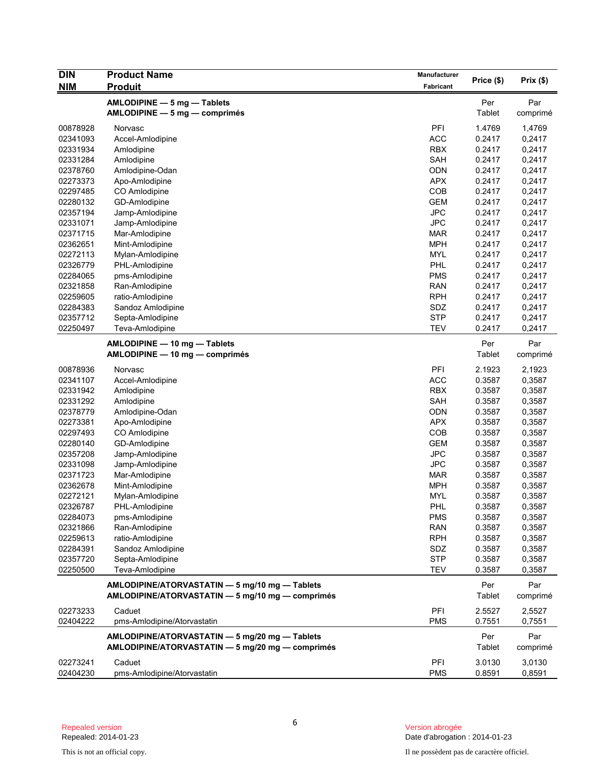| <b>DIN</b>           | <b>Product Name</b>                                                                                | Manufacturer      |                  |                  |
|----------------------|----------------------------------------------------------------------------------------------------|-------------------|------------------|------------------|
| <b>NIM</b>           | <b>Produit</b>                                                                                     | Fabricant         | Price (\$)       | Prix(\$)         |
|                      | AMLODIPINE - 5 mg - Tablets                                                                        |                   | Per              | Par              |
|                      | $AMLODIPINE - 5 mg - comprimés$                                                                    |                   | Tablet           | comprimé         |
|                      |                                                                                                    |                   |                  |                  |
| 00878928             | Norvasc                                                                                            | PFI               | 1.4769           | 1,4769           |
| 02341093             | Accel-Amlodipine                                                                                   | <b>ACC</b>        | 0.2417           | 0,2417           |
| 02331934             | Amlodipine                                                                                         | <b>RBX</b>        | 0.2417           | 0,2417           |
| 02331284<br>02378760 | Amlodipine                                                                                         | SAH<br><b>ODN</b> | 0.2417<br>0.2417 | 0,2417<br>0,2417 |
| 02273373             | Amlodipine-Odan<br>Apo-Amlodipine                                                                  | <b>APX</b>        | 0.2417           | 0,2417           |
| 02297485             | CO Amlodipine                                                                                      | COB               | 0.2417           | 0,2417           |
| 02280132             | GD-Amlodipine                                                                                      | <b>GEM</b>        | 0.2417           | 0,2417           |
| 02357194             | Jamp-Amlodipine                                                                                    | <b>JPC</b>        | 0.2417           | 0,2417           |
| 02331071             | Jamp-Amlodipine                                                                                    | <b>JPC</b>        | 0.2417           | 0,2417           |
| 02371715             | Mar-Amlodipine                                                                                     | <b>MAR</b>        | 0.2417           | 0,2417           |
| 02362651             | Mint-Amlodipine                                                                                    | <b>MPH</b>        | 0.2417           | 0,2417           |
| 02272113             | Mylan-Amlodipine                                                                                   | <b>MYL</b>        | 0.2417           | 0,2417           |
| 02326779             | PHL-Amlodipine                                                                                     | <b>PHL</b>        | 0.2417           | 0,2417           |
| 02284065             | pms-Amlodipine                                                                                     | <b>PMS</b>        | 0.2417           | 0,2417           |
| 02321858             | Ran-Amlodipine                                                                                     | <b>RAN</b>        | 0.2417           | 0,2417           |
| 02259605             | ratio-Amlodipine                                                                                   | <b>RPH</b>        | 0.2417           | 0,2417           |
| 02284383             | Sandoz Amlodipine                                                                                  | SDZ               | 0.2417           | 0,2417           |
| 02357712             | Septa-Amlodipine                                                                                   | <b>STP</b>        | 0.2417           | 0,2417           |
| 02250497             | Teva-Amlodipine                                                                                    | <b>TEV</b>        | 0.2417           | 0,2417           |
|                      |                                                                                                    |                   |                  |                  |
|                      | AMLODIPINE - 10 mg - Tablets                                                                       |                   | Per              | Par              |
|                      | AMLODIPINE - 10 mg - comprimés                                                                     |                   | Tablet           | comprimé         |
| 00878936             | Norvasc                                                                                            | PFI               | 2.1923           | 2,1923           |
| 02341107             | Accel-Amlodipine                                                                                   | <b>ACC</b>        | 0.3587           | 0,3587           |
| 02331942             | Amlodipine                                                                                         | <b>RBX</b>        | 0.3587           | 0,3587           |
| 02331292             | Amlodipine                                                                                         | <b>SAH</b>        | 0.3587           | 0,3587           |
| 02378779             | Amlodipine-Odan                                                                                    | <b>ODN</b>        | 0.3587           | 0,3587           |
| 02273381             | Apo-Amlodipine                                                                                     | <b>APX</b>        | 0.3587           | 0,3587           |
| 02297493             | CO Amlodipine                                                                                      | COB               | 0.3587           | 0,3587           |
| 02280140             | GD-Amlodipine                                                                                      | <b>GEM</b>        | 0.3587           | 0,3587           |
| 02357208             | Jamp-Amlodipine                                                                                    | <b>JPC</b>        | 0.3587           | 0,3587           |
| 02331098             | Jamp-Amlodipine                                                                                    | <b>JPC</b>        | 0.3587           | 0,3587           |
| 02371723             | Mar-Amlodipine                                                                                     | <b>MAR</b>        | 0.3587           | 0,3587           |
| 02362678             | Mint-Amlodipine                                                                                    | <b>MPH</b>        | 0.3587           | 0,3587           |
| 02272121             | Mylan-Amlodipine                                                                                   | <b>MYL</b>        | 0.3587           | 0,3587           |
| 02326787             | PHL-Amlodipine                                                                                     | <b>PHL</b>        | 0.3587           | 0,3587           |
| 02284073             | pms-Amlodipine                                                                                     | <b>PMS</b>        | 0.3587           | 0,3587           |
| 02321866             | Ran-Amlodipine                                                                                     | <b>RAN</b>        | 0.3587           | 0,3587           |
| 02259613             | ratio-Amlodipine                                                                                   | <b>RPH</b>        | 0.3587           | 0,3587           |
| 02284391             | Sandoz Amlodipine                                                                                  | SDZ               | 0.3587           | 0,3587           |
| 02357720             | Septa-Amlodipine                                                                                   | <b>STP</b>        | 0.3587           | 0,3587           |
| 02250500             | Teva-Amlodipine                                                                                    | <b>TEV</b>        | 0.3587           | 0,3587           |
|                      | AMLODIPINE/ATORVASTATIN - 5 mg/10 mg - Tablets                                                     |                   | Per              | Par              |
|                      | AMLODIPINE/ATORVASTATIN - 5 mg/10 mg - comprimés                                                   |                   | Tablet           | comprimé         |
| 02273233             | Caduet                                                                                             | PFI               | 2.5527           | 2,5527           |
| 02404222             | pms-Amlodipine/Atorvastatin                                                                        | <b>PMS</b>        | 0.7551           | 0,7551           |
|                      | AMLODIPINE/ATORVASTATIN - 5 mg/20 mg - Tablets<br>AMLODIPINE/ATORVASTATIN - 5 mg/20 mg - comprimés |                   | Per<br>Tablet    | Par<br>comprimé  |
| 02273241             | Caduet                                                                                             | PFI               | 3.0130           | 3,0130           |
| 02404230             | pms-Amlodipine/Atorvastatin                                                                        | <b>PMS</b>        | 0.8591           | 0,8591           |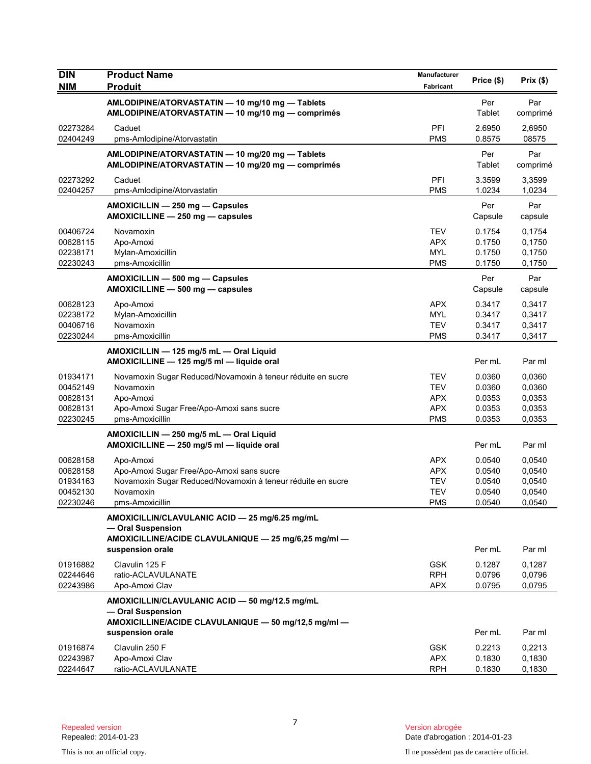| <b>DIN</b><br><b>NIM</b>                                 | <b>Product Name</b><br><b>Produit</b>                                                                                                                 | Manufacturer<br>Fabricant                                          | Price (\$)                                     | Prix(\$)                                       |
|----------------------------------------------------------|-------------------------------------------------------------------------------------------------------------------------------------------------------|--------------------------------------------------------------------|------------------------------------------------|------------------------------------------------|
|                                                          | AMLODIPINE/ATORVASTATIN - 10 mg/10 mg - Tablets<br>AMLODIPINE/ATORVASTATIN - 10 mg/10 mg - comprimés                                                  |                                                                    | Per<br>Tablet                                  | Par<br>comprimé                                |
| 02273284<br>02404249                                     | Caduet<br>pms-Amlodipine/Atorvastatin                                                                                                                 | PFI<br><b>PMS</b>                                                  | 2.6950<br>0.8575                               | 2.6950<br>08575                                |
|                                                          | AMLODIPINE/ATORVASTATIN - 10 mg/20 mg - Tablets<br>AMLODIPINE/ATORVASTATIN - 10 mg/20 mg - comprimés                                                  |                                                                    | Per<br>Tablet                                  | Par<br>comprimé                                |
| 02273292<br>02404257                                     | Caduet<br>pms-Amlodipine/Atorvastatin                                                                                                                 | PFI<br><b>PMS</b>                                                  | 3.3599<br>1.0234                               | 3,3599<br>1,0234                               |
|                                                          | AMOXICILLIN - 250 mg - Capsules<br>AMOXICILLINE - 250 mg - capsules                                                                                   |                                                                    | Per<br>Capsule                                 | Par<br>capsule                                 |
| 00406724<br>00628115<br>02238171<br>02230243             | Novamoxin<br>Apo-Amoxi<br>Mylan-Amoxicillin<br>pms-Amoxicillin                                                                                        | <b>TEV</b><br><b>APX</b><br><b>MYL</b><br><b>PMS</b>               | 0.1754<br>0.1750<br>0.1750<br>0.1750           | 0,1754<br>0,1750<br>0,1750<br>0,1750           |
|                                                          | AMOXICILLIN - 500 mg - Capsules<br>AMOXICILLINE - 500 mg - capsules                                                                                   |                                                                    | Per<br>Capsule                                 | Par<br>capsule                                 |
| 00628123<br>02238172<br>00406716<br>02230244             | Apo-Amoxi<br>Mylan-Amoxicillin<br>Novamoxin<br>pms-Amoxicillin                                                                                        | <b>APX</b><br><b>MYL</b><br><b>TEV</b><br><b>PMS</b>               | 0.3417<br>0.3417<br>0.3417<br>0.3417           | 0,3417<br>0,3417<br>0,3417<br>0,3417           |
|                                                          | AMOXICILLIN - 125 mg/5 mL - Oral Liquid<br>AMOXICILLINE - 125 mg/5 ml - liquide oral                                                                  |                                                                    | Per mL                                         | Par ml                                         |
| 01934171<br>00452149<br>00628131<br>00628131<br>02230245 | Novamoxin Sugar Reduced/Novamoxin à teneur réduite en sucre<br>Novamoxin<br>Apo-Amoxi<br>Apo-Amoxi Sugar Free/Apo-Amoxi sans sucre<br>pms-Amoxicillin | TEV<br><b>TEV</b><br><b>APX</b><br><b>APX</b><br><b>PMS</b>        | 0.0360<br>0.0360<br>0.0353<br>0.0353<br>0.0353 | 0,0360<br>0,0360<br>0,0353<br>0,0353<br>0,0353 |
|                                                          | AMOXICILLIN - 250 mg/5 mL - Oral Liquid<br>AMOXICILLINE - 250 mg/5 ml - liquide oral                                                                  |                                                                    | Per mL                                         | Par ml                                         |
| 00628158<br>00628158<br>01934163<br>00452130<br>02230246 | Apo-Amoxi<br>Apo-Amoxi Sugar Free/Apo-Amoxi sans sucre<br>Novamoxin Sugar Reduced/Novamoxin à teneur réduite en sucre<br>Novamoxin<br>pms-Amoxicillin | <b>APX</b><br><b>APX</b><br><b>TEV</b><br><b>TEV</b><br><b>PMS</b> | 0.0540<br>0.0540<br>0.0540<br>0.0540<br>0.0540 | 0,0540<br>0,0540<br>0,0540<br>0,0540<br>0,0540 |
|                                                          | AMOXICILLIN/CLAVULANIC ACID - 25 mg/6.25 mg/mL<br>- Oral Suspension<br>AMOXICILLINE/ACIDE CLAVULANIQUE - 25 mg/6,25 mg/ml -<br>suspension orale       |                                                                    | Per mL                                         | Par ml                                         |
| 01916882<br>02244646<br>02243986                         | Clavulin 125 F<br>ratio-ACLAVULANATE<br>Apo-Amoxi Clav                                                                                                | <b>GSK</b><br><b>RPH</b><br><b>APX</b>                             | 0.1287<br>0.0796<br>0.0795                     | 0,1287<br>0,0796<br>0,0795                     |
|                                                          | AMOXICILLIN/CLAVULANIC ACID - 50 mg/12.5 mg/mL<br>- Oral Suspension<br>AMOXICILLINE/ACIDE CLAVULANIQUE - 50 mg/12,5 mg/ml -<br>suspension orale       |                                                                    | Per mL                                         | Par ml                                         |
| 01916874<br>02243987<br>02244647                         | Clavulin 250 F<br>Apo-Amoxi Clav<br>ratio-ACLAVULANATE                                                                                                | <b>GSK</b><br><b>APX</b><br><b>RPH</b>                             | 0.2213<br>0.1830<br>0.1830                     | 0,2213<br>0,1830<br>0,1830                     |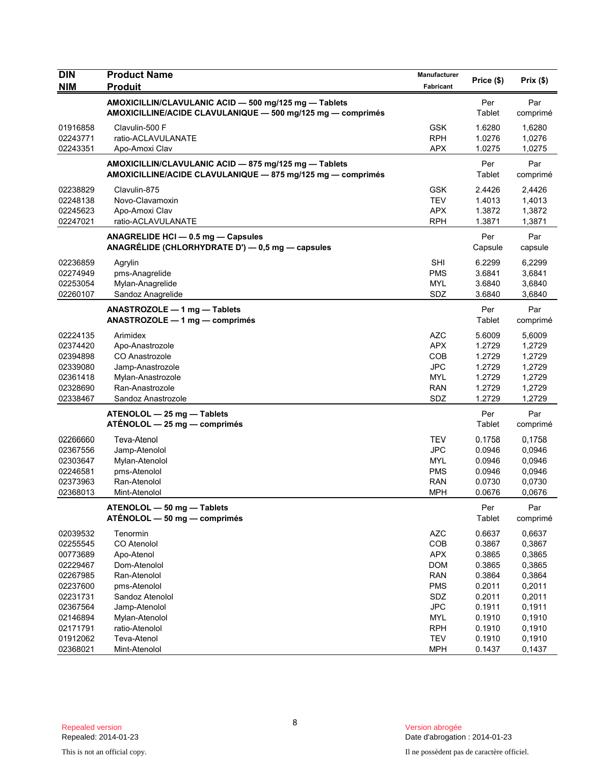| <b>DIN</b><br><b>NIM</b> | <b>Product Name</b><br><b>Produit</b>                                                                                | <b>Manufacturer</b><br>Fabricant | Price (\$)     | Prix(\$)        |
|--------------------------|----------------------------------------------------------------------------------------------------------------------|----------------------------------|----------------|-----------------|
|                          | AMOXICILLIN/CLAVULANIC ACID - 500 mg/125 mg - Tablets<br>AMOXICILLINE/ACIDE CLAVULANIQUE - 500 mg/125 mg - comprimés |                                  | Per<br>Tablet  | Par<br>comprimé |
| 01916858                 | Clavulin-500 F                                                                                                       | <b>GSK</b>                       | 1.6280         | 1,6280          |
| 02243771                 | ratio-ACLAVULANATE                                                                                                   | <b>RPH</b>                       | 1.0276         | 1,0276          |
| 02243351                 | Apo-Amoxi Clav                                                                                                       | APX                              | 1.0275         | 1,0275          |
|                          | AMOXICILLIN/CLAVULANIC ACID - 875 mg/125 mg - Tablets<br>AMOXICILLINE/ACIDE CLAVULANIQUE - 875 mg/125 mg - comprimés |                                  | Per<br>Tablet  | Par<br>comprimé |
| 02238829                 | Clavulin-875                                                                                                         | <b>GSK</b>                       | 2.4426         | 2,4426          |
| 02248138                 | Novo-Clavamoxin                                                                                                      | <b>TEV</b>                       | 1.4013         | 1,4013          |
| 02245623                 | Apo-Amoxi Clav                                                                                                       | <b>APX</b>                       | 1.3872         | 1,3872          |
| 02247021                 | ratio-ACLAVULANATE                                                                                                   | <b>RPH</b>                       | 1.3871         | 1,3871          |
|                          | ANAGRELIDE HCI - 0.5 mg - Capsules<br>ANAGRÉLIDE (CHLORHYDRATE D') - 0,5 mg - capsules                               |                                  | Per<br>Capsule | Par<br>capsule  |
| 02236859                 | Agrylin                                                                                                              | <b>SHI</b>                       | 6.2299         | 6,2299          |
| 02274949                 | pms-Anagrelide                                                                                                       | <b>PMS</b>                       | 3.6841         | 3,6841          |
| 02253054                 | Mylan-Anagrelide                                                                                                     | MYL                              | 3.6840         | 3,6840          |
| 02260107                 | Sandoz Anagrelide                                                                                                    | SDZ                              | 3.6840         | 3,6840          |
|                          | ANASTROZOLE - 1 mg - Tablets<br>ANASTROZOLE - 1 mg - comprimés                                                       |                                  | Per<br>Tablet  | Par<br>comprimé |
| 02224135                 | Arimidex                                                                                                             | <b>AZC</b>                       | 5.6009         | 5,6009          |
| 02374420                 | Apo-Anastrozole                                                                                                      | <b>APX</b>                       | 1.2729         | 1,2729          |
| 02394898                 | CO Anastrozole                                                                                                       | COB                              | 1.2729         | 1,2729          |
| 02339080                 | Jamp-Anastrozole                                                                                                     | <b>JPC</b>                       | 1.2729         | 1,2729          |
| 02361418                 | Mylan-Anastrozole                                                                                                    | <b>MYL</b>                       | 1.2729         | 1,2729          |
| 02328690                 | Ran-Anastrozole                                                                                                      | <b>RAN</b>                       | 1.2729         | 1,2729          |
| 02338467                 | Sandoz Anastrozole                                                                                                   | SDZ                              | 1.2729         | 1,2729          |
|                          | ATENOLOL - 25 mg - Tablets<br>$ATÉNOLOL - 25 mg - comprimés$                                                         |                                  | Per<br>Tablet  | Par<br>comprimé |
| 02266660                 | Teva-Atenol                                                                                                          | TEV                              | 0.1758         | 0,1758          |
| 02367556                 | Jamp-Atenolol                                                                                                        | <b>JPC</b>                       | 0.0946         | 0,0946          |
| 02303647                 | Mylan-Atenolol                                                                                                       | <b>MYL</b>                       | 0.0946         | 0,0946          |
| 02246581                 | pms-Atenolol                                                                                                         | <b>PMS</b>                       | 0.0946         | 0,0946          |
| 02373963                 | Ran-Atenolol                                                                                                         | <b>RAN</b>                       | 0.0730         | 0,0730          |
| 02368013                 | Mint-Atenolol                                                                                                        | <b>MPH</b>                       | 0.0676         | 0,0676          |
|                          | ATENOLOL - 50 mg - Tablets<br>ATÉNOLOL - 50 mg - comprimés                                                           |                                  | Per<br>Tablet  | Par<br>comprimé |
| 02039532                 | Tenormin                                                                                                             | <b>AZC</b>                       | 0.6637         | 0,6637          |
| 02255545                 | CO Atenolol                                                                                                          | COB                              | 0.3867         | 0,3867          |
| 00773689                 | Apo-Atenol                                                                                                           | <b>APX</b>                       | 0.3865         | 0,3865          |
| 02229467                 | Dom-Atenolol                                                                                                         | <b>DOM</b>                       | 0.3865         | 0,3865          |
| 02267985                 | Ran-Atenolol                                                                                                         | <b>RAN</b>                       | 0.3864         | 0,3864          |
| 02237600                 | pms-Atenolol                                                                                                         | <b>PMS</b>                       | 0.2011         | 0,2011          |
| 02231731                 | Sandoz Atenolol                                                                                                      | SDZ                              | 0.2011         | 0,2011          |
| 02367564                 | Jamp-Atenolol                                                                                                        | <b>JPC</b>                       | 0.1911         | 0,1911          |
| 02146894                 | Mylan-Atenolol                                                                                                       | <b>MYL</b>                       | 0.1910         | 0,1910          |
| 02171791                 | ratio-Atenolol                                                                                                       | <b>RPH</b>                       | 0.1910         | 0,1910          |
| 01912062                 | Teva-Atenol                                                                                                          | <b>TEV</b>                       | 0.1910         | 0,1910          |
| 02368021                 | Mint-Atenolol                                                                                                        | <b>MPH</b>                       | 0.1437         | 0,1437          |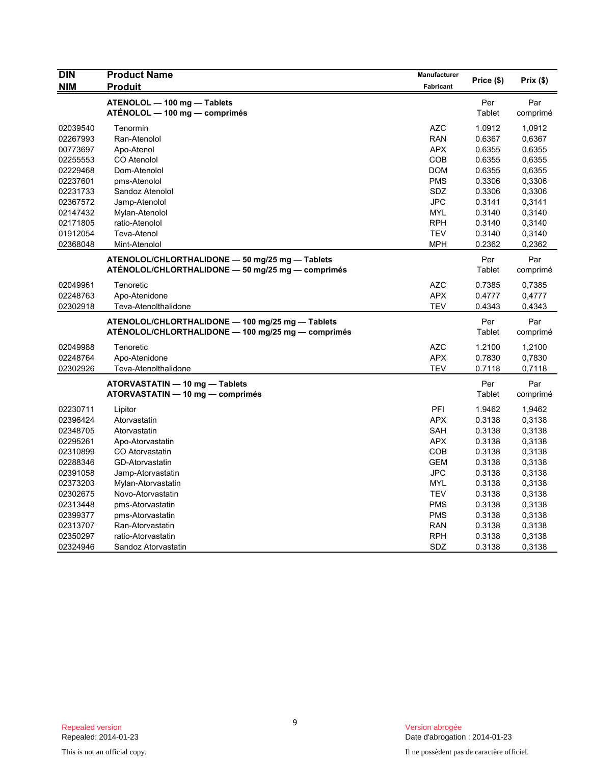| <b>DIN</b> | <b>Product Name</b>                                                                                    | Manufacturer     | Price (\$)    | $Prix($ \$)     |
|------------|--------------------------------------------------------------------------------------------------------|------------------|---------------|-----------------|
| <b>NIM</b> | <b>Produit</b>                                                                                         | <b>Fabricant</b> |               |                 |
|            | ATENOLOL - 100 mg - Tablets<br>ATÉNOLOL — 100 mg — comprimés                                           |                  | Per<br>Tablet | Par<br>comprimé |
| 02039540   | Tenormin                                                                                               | <b>AZC</b>       | 1.0912        | 1,0912          |
| 02267993   | Ran-Atenolol                                                                                           | <b>RAN</b>       | 0.6367        | 0,6367          |
| 00773697   | Apo-Atenol                                                                                             | <b>APX</b>       | 0.6355        | 0,6355          |
| 02255553   | CO Atenolol                                                                                            | COB              | 0.6355        | 0,6355          |
| 02229468   | Dom-Atenolol                                                                                           | <b>DOM</b>       | 0.6355        | 0,6355          |
| 02237601   | pms-Atenolol                                                                                           | <b>PMS</b>       | 0.3306        | 0,3306          |
| 02231733   | Sandoz Atenolol                                                                                        | SDZ              | 0.3306        | 0,3306          |
| 02367572   | Jamp-Atenolol                                                                                          | <b>JPC</b>       | 0.3141        | 0,3141          |
| 02147432   | Mylan-Atenolol                                                                                         | <b>MYL</b>       | 0.3140        | 0,3140          |
| 02171805   | ratio-Atenolol                                                                                         | <b>RPH</b>       | 0.3140        | 0,3140          |
| 01912054   | Teva-Atenol                                                                                            | <b>TEV</b>       | 0.3140        | 0,3140          |
| 02368048   | Mint-Atenolol                                                                                          | <b>MPH</b>       | 0.2362        | 0,2362          |
|            | ATENOLOL/CHLORTHALIDONE - 50 mg/25 mg - Tablets                                                        |                  | Per           | Par             |
|            | ATÉNOLOL/CHLORTHALIDONE - 50 mg/25 mg - comprimés                                                      |                  | Tablet        | comprimé        |
| 02049961   | Tenoretic                                                                                              | <b>AZC</b>       | 0.7385        | 0,7385          |
| 02248763   | Apo-Atenidone                                                                                          | <b>APX</b>       | 0.4777        | 0,4777          |
| 02302918   | Teva-Atenolthalidone                                                                                   | <b>TEV</b>       | 0.4343        | 0,4343          |
|            | ATENOLOL/CHLORTHALIDONE - 100 mg/25 mg - Tablets<br>ATÉNOLOL/CHLORTHALIDONE — 100 mg/25 mg — comprimés |                  | Per<br>Tablet | Par<br>comprimé |
| 02049988   | Tenoretic                                                                                              | <b>AZC</b>       | 1.2100        | 1,2100          |
| 02248764   | Apo-Atenidone                                                                                          | <b>APX</b>       | 0.7830        | 0,7830          |
| 02302926   | Teva-Atenolthalidone                                                                                   | <b>TEV</b>       | 0.7118        | 0,7118          |
|            | ATORVASTATIN - 10 mg - Tablets                                                                         |                  | Per           | Par             |
|            | ATORVASTATIN - 10 mg - comprimés                                                                       |                  | Tablet        | comprimé        |
| 02230711   | Lipitor                                                                                                | PFI              | 1.9462        | 1,9462          |
| 02396424   | Atorvastatin                                                                                           | <b>APX</b>       | 0.3138        | 0,3138          |
| 02348705   | Atorvastatin                                                                                           | <b>SAH</b>       | 0.3138        | 0,3138          |
| 02295261   | Apo-Atorvastatin                                                                                       | <b>APX</b>       | 0.3138        | 0,3138          |
| 02310899   | CO Atorvastatin                                                                                        | COB              | 0.3138        | 0,3138          |
| 02288346   | GD-Atorvastatin                                                                                        | <b>GEM</b>       | 0.3138        | 0,3138          |
| 02391058   | Jamp-Atorvastatin                                                                                      | <b>JPC</b>       | 0.3138        | 0,3138          |
| 02373203   | Mylan-Atorvastatin                                                                                     | <b>MYL</b>       | 0.3138        | 0,3138          |
| 02302675   | Novo-Atorvastatin                                                                                      | <b>TEV</b>       | 0.3138        | 0,3138          |
| 02313448   | pms-Atorvastatin                                                                                       | <b>PMS</b>       | 0.3138        | 0,3138          |
| 02399377   | pms-Atorvastatin                                                                                       | <b>PMS</b>       | 0.3138        | 0,3138          |
| 02313707   | Ran-Atorvastatin                                                                                       | <b>RAN</b>       | 0.3138        | 0,3138          |
| 02350297   | ratio-Atorvastatin                                                                                     | <b>RPH</b>       | 0.3138        | 0,3138          |
| 02324946   | Sandoz Atorvastatin                                                                                    | SDZ              | 0.3138        | 0,3138          |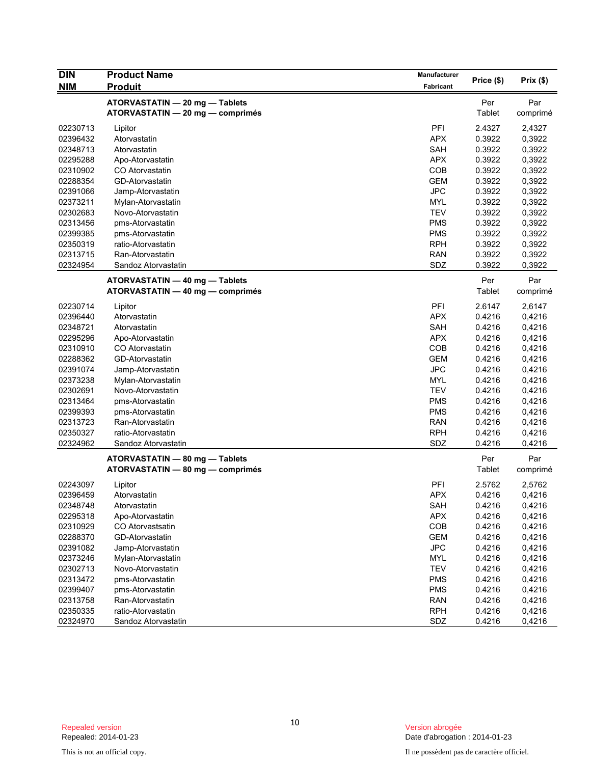| <b>DIN</b> | <b>Product Name</b>                                                | Manufacturer |               |                 |
|------------|--------------------------------------------------------------------|--------------|---------------|-----------------|
| <b>NIM</b> | <b>Produit</b>                                                     | Fabricant    | Price (\$)    | Prix(\$)        |
|            | ATORVASTATIN - 20 mg - Tablets                                     |              | Per           | Par             |
|            | ATORVASTATIN - 20 mg - comprimés                                   |              | Tablet        | comprimé        |
| 02230713   | Lipitor                                                            | PFI          | 2.4327        | 2,4327          |
| 02396432   | Atorvastatin                                                       | <b>APX</b>   | 0.3922        | 0,3922          |
| 02348713   | Atorvastatin                                                       | SAH          | 0.3922        | 0,3922          |
| 02295288   | Apo-Atorvastatin                                                   | <b>APX</b>   | 0.3922        | 0,3922          |
| 02310902   | CO Atorvastatin                                                    | COB          | 0.3922        | 0,3922          |
| 02288354   | GD-Atorvastatin                                                    | <b>GEM</b>   | 0.3922        | 0,3922          |
| 02391066   | Jamp-Atorvastatin                                                  | <b>JPC</b>   | 0.3922        | 0,3922          |
| 02373211   | Mylan-Atorvastatin                                                 | <b>MYL</b>   | 0.3922        | 0,3922          |
| 02302683   | Novo-Atorvastatin                                                  | <b>TEV</b>   | 0.3922        | 0,3922          |
| 02313456   | pms-Atorvastatin                                                   | <b>PMS</b>   | 0.3922        | 0,3922          |
| 02399385   | pms-Atorvastatin                                                   | <b>PMS</b>   | 0.3922        | 0,3922          |
| 02350319   | ratio-Atorvastatin                                                 | <b>RPH</b>   | 0.3922        | 0,3922          |
| 02313715   | Ran-Atorvastatin                                                   | <b>RAN</b>   | 0.3922        | 0,3922          |
| 02324954   | Sandoz Atorvastatin                                                | SDZ          | 0.3922        | 0,3922          |
|            | ATORVASTATIN - 40 mg - Tablets                                     |              | Per           | Par             |
|            | ATORVASTATIN - 40 mg - comprimés                                   |              | Tablet        | comprimé        |
| 02230714   | Lipitor                                                            | PFI          | 2.6147        | 2,6147          |
| 02396440   | Atorvastatin                                                       | <b>APX</b>   | 0.4216        | 0,4216          |
| 02348721   | Atorvastatin                                                       | <b>SAH</b>   | 0.4216        | 0,4216          |
| 02295296   | Apo-Atorvastatin                                                   | <b>APX</b>   | 0.4216        | 0,4216          |
| 02310910   | CO Atorvastatin                                                    | COB          | 0.4216        | 0,4216          |
| 02288362   | GD-Atorvastatin                                                    | <b>GEM</b>   | 0.4216        | 0,4216          |
| 02391074   | Jamp-Atorvastatin                                                  | <b>JPC</b>   | 0.4216        | 0,4216          |
| 02373238   | Mylan-Atorvastatin                                                 | <b>MYL</b>   | 0.4216        | 0,4216          |
| 02302691   | Novo-Atorvastatin                                                  | <b>TEV</b>   | 0.4216        | 0,4216          |
| 02313464   | pms-Atorvastatin                                                   | <b>PMS</b>   | 0.4216        | 0,4216          |
| 02399393   | pms-Atorvastatin                                                   | <b>PMS</b>   | 0.4216        | 0,4216          |
| 02313723   | Ran-Atorvastatin                                                   | <b>RAN</b>   | 0.4216        |                 |
|            |                                                                    |              |               | 0,4216          |
| 02350327   | ratio-Atorvastatin                                                 | <b>RPH</b>   | 0.4216        | 0,4216          |
| 02324962   | Sandoz Atorvastatin                                                | SDZ          | 0.4216        | 0,4216          |
|            | ATORVASTATIN - 80 mg - Tablets<br>ATORVASTATIN - 80 mg - comprimés |              | Per<br>Tablet | Par<br>comprimé |
|            |                                                                    |              |               |                 |
| 02243097   | Lipitor                                                            | PFI          | 2.5762        | 2,5762          |
| 02396459   | Atorvastatin                                                       | <b>APX</b>   | 0.4216        | 0,4216          |
| 02348748   | Atorvastatin                                                       | SAH          | 0.4216        | 0,4216          |
| 02295318   | Apo-Atorvastatin                                                   | <b>APX</b>   | 0.4216        | 0,4216          |
| 02310929   | CO Atorvastsatin                                                   | COB          | 0.4216        | 0,4216          |
| 02288370   | GD-Atorvastatin                                                    | <b>GEM</b>   | 0.4216        | 0,4216          |
| 02391082   | Jamp-Atorvastatin                                                  | <b>JPC</b>   | 0.4216        | 0,4216          |
| 02373246   | Mylan-Atorvastatin                                                 | MYL          | 0.4216        | 0,4216          |
| 02302713   | Novo-Atorvastatin                                                  | <b>TEV</b>   | 0.4216        | 0,4216          |
| 02313472   | pms-Atorvastatin                                                   | <b>PMS</b>   | 0.4216        | 0,4216          |
| 02399407   | pms-Atorvastatin                                                   | <b>PMS</b>   | 0.4216        | 0,4216          |
| 02313758   | Ran-Atorvastatin                                                   | <b>RAN</b>   | 0.4216        | 0,4216          |
| 02350335   | ratio-Atorvastatin                                                 | <b>RPH</b>   | 0.4216        | 0,4216          |
| 02324970   | Sandoz Atorvastatin                                                | SDZ          | 0.4216        | 0,4216          |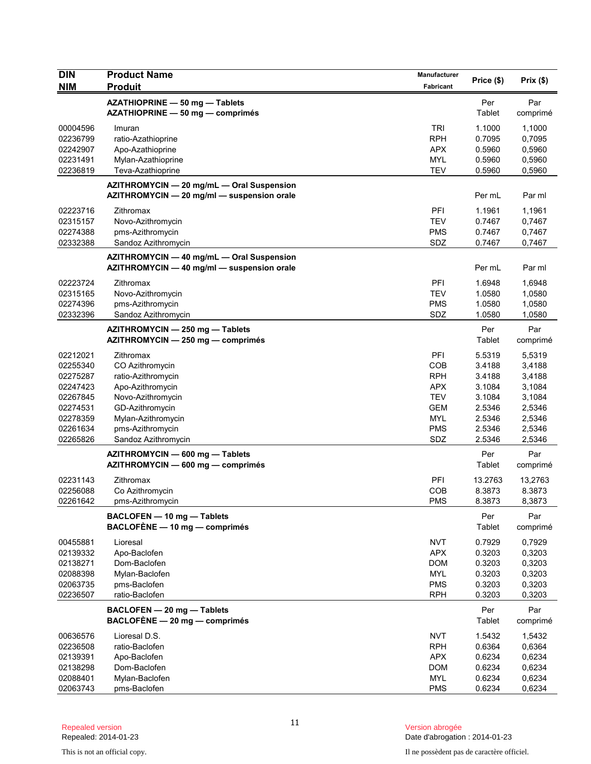| <b>DIN</b><br><b>NIM</b> | <b>Product Name</b><br><b>Produit</b>                                                   | Manufacturer<br>Fabricant | Price (\$)       | Prix(\$)         |
|--------------------------|-----------------------------------------------------------------------------------------|---------------------------|------------------|------------------|
|                          |                                                                                         |                           | Per              |                  |
|                          | AZATHIOPRINE - 50 mg - Tablets<br>AZATHIOPRINE - 50 mg - comprimés                      |                           | Tablet           | Par<br>comprimé  |
| 00004596                 | Imuran                                                                                  | <b>TRI</b>                | 1.1000           | 1,1000           |
| 02236799                 | ratio-Azathioprine                                                                      | <b>RPH</b>                | 0.7095           | 0,7095           |
| 02242907                 | Apo-Azathioprine                                                                        | <b>APX</b>                | 0.5960           | 0,5960           |
| 02231491                 | Mylan-Azathioprine                                                                      | <b>MYL</b>                | 0.5960           | 0,5960           |
| 02236819                 | Teva-Azathioprine                                                                       | <b>TEV</b>                | 0.5960           | 0,5960           |
|                          | AZITHROMYCIN - 20 mg/mL - Oral Suspension<br>AZITHROMYCIN - 20 mg/ml - suspension orale |                           | Per mL           | Par ml           |
| 02223716                 | Zithromax                                                                               | PFI                       | 1.1961           | 1,1961           |
| 02315157                 | Novo-Azithromycin                                                                       | <b>TEV</b>                | 0.7467           | 0,7467           |
| 02274388                 | pms-Azithromycin                                                                        | <b>PMS</b>                | 0.7467           | 0,7467           |
| 02332388                 | Sandoz Azithromycin                                                                     | SDZ                       | 0.7467           | 0,7467           |
|                          | AZITHROMYCIN - 40 mg/mL - Oral Suspension<br>AZITHROMYCIN - 40 mg/ml - suspension orale |                           | Per mL           | Par ml           |
| 02223724                 | Zithromax                                                                               | PFI                       | 1.6948           | 1,6948           |
| 02315165                 | Novo-Azithromycin                                                                       | <b>TEV</b>                | 1.0580           | 1,0580           |
| 02274396                 | pms-Azithromycin                                                                        | <b>PMS</b>                | 1.0580           | 1,0580           |
| 02332396                 | Sandoz Azithromycin                                                                     | SDZ                       | 1.0580           | 1,0580           |
|                          | AZITHROMYCIN - 250 mg - Tablets<br>AZITHROMYCIN - 250 mg - comprimés                    |                           | Per<br>Tablet    | Par<br>comprimé  |
| 02212021                 | Zithromax                                                                               | <b>PFI</b>                | 5.5319           | 5,5319           |
| 02255340                 | CO Azithromycin                                                                         | COB                       | 3.4188           | 3,4188           |
| 02275287                 | ratio-Azithromycin                                                                      | <b>RPH</b>                | 3.4188           | 3,4188           |
| 02247423                 | Apo-Azithromycin                                                                        | <b>APX</b>                | 3.1084           | 3,1084           |
| 02267845                 | Novo-Azithromycin                                                                       | <b>TEV</b>                | 3.1084           | 3,1084           |
| 02274531                 | GD-Azithromycin                                                                         | <b>GEM</b>                | 2.5346           | 2,5346           |
| 02278359<br>02261634     | Mylan-Azithromycin<br>pms-Azithromycin                                                  | <b>MYL</b><br><b>PMS</b>  | 2.5346<br>2.5346 | 2,5346<br>2,5346 |
| 02265826                 | Sandoz Azithromycin                                                                     | SDZ                       | 2.5346           | 2,5346           |
|                          | AZITHROMYCIN - 600 mg - Tablets                                                         |                           | Per              | Par              |
|                          | AZITHROMYCIN - 600 mg - comprimés                                                       |                           | Tablet           | comprimé         |
| 02231143                 | Zithromax                                                                               | PFI                       | 13.2763          | 13,2763          |
| 02256088                 | Co Azithromycin                                                                         | COB                       | 8.3873           | 8.3873           |
| 02261642                 | pms-Azithromycin                                                                        | <b>PMS</b>                | 8.3873           | 8,3873           |
|                          | BACLOFEN - 10 mg - Tablets<br>BACLOFÈNE - 10 mg - comprimés                             |                           | Per<br>Tablet    | Par<br>comprimé  |
| 00455881                 | Lioresal                                                                                | <b>NVT</b>                | 0.7929           | 0,7929           |
| 02139332                 | Apo-Baclofen                                                                            | <b>APX</b>                | 0.3203           | 0,3203           |
| 02138271                 | Dom-Baclofen                                                                            | <b>DOM</b>                | 0.3203           | 0,3203           |
| 02088398                 | Mylan-Baclofen                                                                          | <b>MYL</b>                | 0.3203           | 0,3203           |
| 02063735                 | pms-Baclofen                                                                            | <b>PMS</b>                | 0.3203           | 0,3203           |
| 02236507                 | ratio-Baclofen                                                                          | <b>RPH</b>                | 0.3203           | 0,3203           |
|                          | BACLOFEN - 20 mg - Tablets<br>BACLOFÈNE - 20 mg - comprimés                             |                           | Per<br>Tablet    | Par<br>comprimé  |
| 00636576                 | Lioresal D.S.                                                                           | <b>NVT</b>                | 1.5432           | 1,5432           |
| 02236508                 | ratio-Baclofen                                                                          | <b>RPH</b>                | 0.6364           | 0,6364           |
| 02139391                 | Apo-Baclofen                                                                            | <b>APX</b>                | 0.6234           | 0,6234           |
| 02138298                 | Dom-Baclofen                                                                            | <b>DOM</b>                | 0.6234           | 0,6234           |
| 02088401                 | Mylan-Baclofen                                                                          | <b>MYL</b>                | 0.6234           | 0,6234           |
| 02063743                 | pms-Baclofen                                                                            | <b>PMS</b>                | 0.6234           | 0,6234           |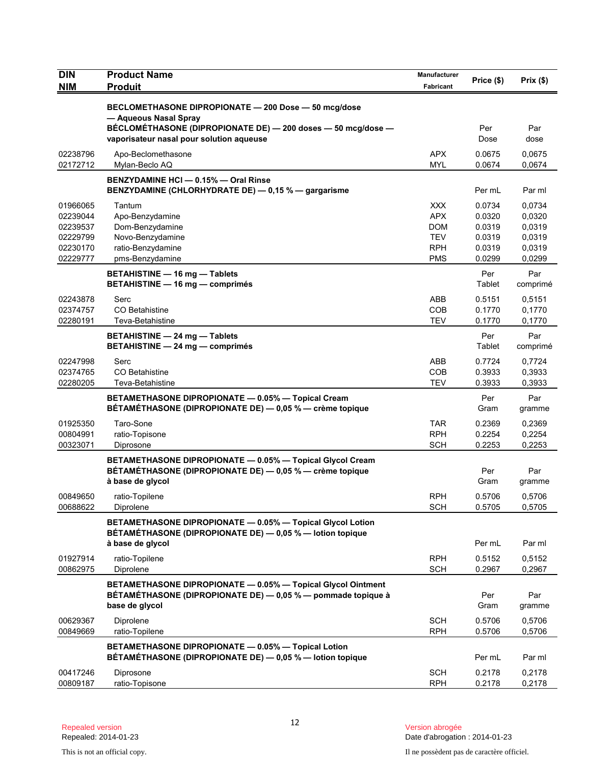| <b>DIN</b><br><b>NIM</b>                                             | <b>Product Name</b><br><b>Produit</b>                                                                                                          | Manufacturer<br><b>Fabricant</b>                                                 | Price (\$)                                               | Prix(\$)                                                 |
|----------------------------------------------------------------------|------------------------------------------------------------------------------------------------------------------------------------------------|----------------------------------------------------------------------------------|----------------------------------------------------------|----------------------------------------------------------|
|                                                                      |                                                                                                                                                |                                                                                  |                                                          |                                                          |
|                                                                      | BECLOMETHASONE DIPROPIONATE - 200 Dose - 50 mcg/dose<br>- Aqueous Nasal Spray                                                                  |                                                                                  |                                                          |                                                          |
|                                                                      | BÉCLOMÉTHASONE (DIPROPIONATE DE) - 200 doses - 50 mcg/dose -<br>vaporisateur nasal pour solution aqueuse                                       |                                                                                  | Per<br>Dose                                              | Par<br>dose                                              |
| 02238796<br>02172712                                                 | Apo-Beclomethasone<br>Mylan-Beclo AQ                                                                                                           | <b>APX</b><br><b>MYL</b>                                                         | 0.0675<br>0.0674                                         | 0,0675<br>0,0674                                         |
|                                                                      | BENZYDAMINE HCI - 0.15% - Oral Rinse<br>BENZYDAMINE (CHLORHYDRATE DE) - 0,15 % - gargarisme                                                    |                                                                                  | Per mL                                                   | Par ml                                                   |
| 01966065<br>02239044<br>02239537<br>02229799<br>02230170<br>02229777 | Tantum<br>Apo-Benzydamine<br>Dom-Benzydamine<br>Novo-Benzydamine<br>ratio-Benzydamine<br>pms-Benzydamine                                       | <b>XXX</b><br><b>APX</b><br><b>DOM</b><br><b>TEV</b><br><b>RPH</b><br><b>PMS</b> | 0.0734<br>0.0320<br>0.0319<br>0.0319<br>0.0319<br>0.0299 | 0,0734<br>0,0320<br>0,0319<br>0,0319<br>0,0319<br>0,0299 |
|                                                                      | <b>BETAHISTINE - 16 mg - Tablets</b><br><b>BETAHISTINE - 16 mg - comprimés</b>                                                                 |                                                                                  | Per<br>Tablet                                            | Par<br>comprimé                                          |
| 02243878<br>02374757<br>02280191                                     | Serc<br>CO Betahistine<br>Teva-Betahistine                                                                                                     | <b>ABB</b><br>COB<br><b>TEV</b>                                                  | 0.5151<br>0.1770<br>0.1770                               | 0,5151<br>0,1770<br>0,1770                               |
|                                                                      | BETAHISTINE - 24 mg - Tablets<br>BETAHISTINE - 24 mg - comprimés                                                                               |                                                                                  | Per<br>Tablet                                            | Par<br>comprimé                                          |
| 02247998<br>02374765<br>02280205                                     | Serc<br><b>CO Betahistine</b><br>Teva-Betahistine                                                                                              | ABB<br>COB<br><b>TEV</b>                                                         | 0.7724<br>0.3933<br>0.3933                               | 0,7724<br>0,3933<br>0,3933                               |
|                                                                      | BETAMETHASONE DIPROPIONATE - 0.05% - Topical Cream<br>BÉTAMÉTHASONE (DIPROPIONATE DE) — 0,05 % — crème topique                                 |                                                                                  | Per<br>Gram                                              | Par<br>gramme                                            |
| 01925350<br>00804991<br>00323071                                     | Taro-Sone<br>ratio-Topisone<br>Diprosone                                                                                                       | <b>TAR</b><br><b>RPH</b><br><b>SCH</b>                                           | 0.2369<br>0.2254<br>0.2253                               | 0,2369<br>0,2254<br>0,2253                               |
|                                                                      | BETAMETHASONE DIPROPIONATE - 0.05% - Topical Glycol Cream<br>BÉTAMÉTHASONE (DIPROPIONATE DE) - 0,05 % - crème topique<br>à base de glycol      |                                                                                  | Per<br>Gram                                              | Par<br>gramme                                            |
| 00849650<br>00688622                                                 | ratio-Topilene<br>Diprolene                                                                                                                    | <b>RPH</b><br><b>SCH</b>                                                         | 0.5706<br>0.5705                                         | 0,5706<br>0,5705                                         |
|                                                                      | BETAMETHASONE DIPROPIONATE - 0.05% - Topical Glycol Lotion<br>BÉTAMÉTHASONE (DIPROPIONATE DE) - 0,05 % - lotion topique                        |                                                                                  |                                                          |                                                          |
| 01927914<br>00862975                                                 | à base de glycol<br>ratio-Topilene<br>Diprolene                                                                                                | <b>RPH</b><br><b>SCH</b>                                                         | Per mL<br>0.5152<br>0.2967                               | Par ml<br>0,5152<br>0,2967                               |
|                                                                      | BETAMETHASONE DIPROPIONATE - 0.05% - Topical Glycol Ointment<br>BÉTAMÉTHASONE (DIPROPIONATE DE) — 0,05 % — pommade topique à<br>base de glycol |                                                                                  | Per<br>Gram                                              | Par<br>gramme                                            |
| 00629367<br>00849669                                                 | Diprolene<br>ratio-Topilene                                                                                                                    | <b>SCH</b><br><b>RPH</b>                                                         | 0.5706<br>0.5706                                         | 0,5706<br>0,5706                                         |
|                                                                      | BETAMETHASONE DIPROPIONATE - 0.05% - Topical Lotion<br>BÉTAMÉTHASONE (DIPROPIONATE DE) - 0,05 % - lotion topique                               |                                                                                  | Per mL                                                   | Par ml                                                   |
| 00417246<br>00809187                                                 | Diprosone<br>ratio-Topisone                                                                                                                    | <b>SCH</b><br><b>RPH</b>                                                         | 0.2178<br>0.2178                                         | 0,2178<br>0,2178                                         |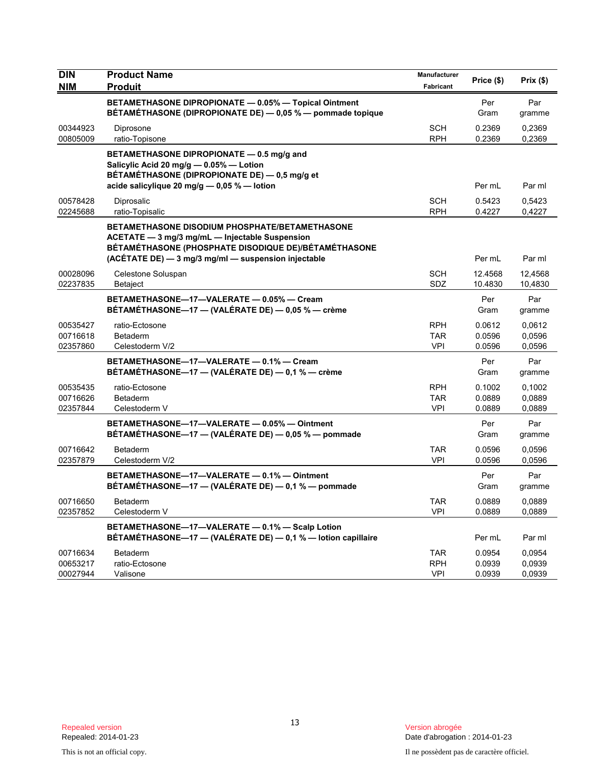| <b>DIN</b><br><b>NIM</b>         | <b>Product Name</b><br><b>Produit</b>                                                                                                                                                                                  | Manufacturer<br><b>Fabricant</b>       | Price (\$)                 | Prix(\$)                   |
|----------------------------------|------------------------------------------------------------------------------------------------------------------------------------------------------------------------------------------------------------------------|----------------------------------------|----------------------------|----------------------------|
|                                  | BETAMETHASONE DIPROPIONATE - 0.05% - Topical Ointment<br>BÉTAMÉTHASONE (DIPROPIONATE DE) — 0,05 % — pommade topique                                                                                                    |                                        | Per<br>Gram                | Par<br>gramme              |
| 00344923<br>00805009             | Diprosone<br>ratio-Topisone                                                                                                                                                                                            | <b>SCH</b><br><b>RPH</b>               | 0.2369<br>0.2369           | 0,2369<br>0,2369           |
|                                  | BETAMETHASONE DIPROPIONATE - 0.5 mg/g and<br>Salicylic Acid 20 mg/g - 0.05% - Lotion<br>BÉTAMÉTHASONE (DIPROPIONATE DE) - 0,5 mg/g et<br>acide salicylique 20 mg/g - 0,05 % - lotion                                   |                                        | Per mL                     | Par ml                     |
| 00578428<br>02245688             | Diprosalic<br>ratio-Topisalic                                                                                                                                                                                          | <b>SCH</b><br><b>RPH</b>               | 0.5423<br>0.4227           | 0,5423<br>0,4227           |
|                                  | <b>BETAMETHASONE DISODIUM PHOSPHATE/BETAMETHASONE</b><br>ACETATE - 3 mg/3 mg/mL - Injectable Suspension<br>BÉTAMÉTHASONE (PHOSPHATE DISODIQUE DE)/BÉTAMÉTHASONE<br>(ACÉTATE DE) - 3 mg/3 mg/ml - suspension injectable |                                        | Per mL                     | Par ml                     |
| 00028096<br>02237835             | Celestone Soluspan<br><b>Betaject</b>                                                                                                                                                                                  | <b>SCH</b><br>SDZ                      | 12.4568<br>10.4830         | 12.4568<br>10,4830         |
|                                  | BETAMETHASONE-17-VALERATE - 0.05% - Cream<br>BÉTAMÉTHASONE-17 - (VALÉRATE DE) - 0,05 % - crème                                                                                                                         |                                        | Per<br>Gram                | Par<br>gramme              |
| 00535427<br>00716618<br>02357860 | ratio-Ectosone<br><b>Betaderm</b><br>Celestoderm V/2                                                                                                                                                                   | <b>RPH</b><br><b>TAR</b><br><b>VPI</b> | 0.0612<br>0.0596<br>0.0596 | 0,0612<br>0,0596<br>0.0596 |
|                                  | BETAMETHASONE-17-VALERATE - 0.1% - Cream<br>BÉTAMÉTHASONE-17 - (VALÉRATE DE) - 0,1 % - crème                                                                                                                           |                                        | Per<br>Gram                | Par<br>gramme              |
| 00535435<br>00716626<br>02357844 | ratio-Ectosone<br>Betaderm<br>Celestoderm V                                                                                                                                                                            | <b>RPH</b><br><b>TAR</b><br><b>VPI</b> | 0.1002<br>0.0889<br>0.0889 | 0,1002<br>0,0889<br>0.0889 |
|                                  | BETAMETHASONE-17-VALERATE - 0.05% - Ointment<br>BÉTAMÉTHASONE—17 — (VALÉRATE DE) — 0,05 % — pommade                                                                                                                    |                                        | Per<br>Gram                | Par<br>gramme              |
| 00716642<br>02357879             | <b>Betaderm</b><br>Celestoderm V/2                                                                                                                                                                                     | <b>TAR</b><br><b>VPI</b>               | 0.0596<br>0.0596           | 0,0596<br>0,0596           |
|                                  | BETAMETHASONE-17-VALERATE - 0.1% - Ointment<br>BÉTAMÉTHASONE-17 - (VALÉRATE DE) - 0,1 % - pommade                                                                                                                      |                                        | Per<br>Gram                | Par<br>gramme              |
| 00716650<br>02357852             | Betaderm<br>Celestoderm V                                                                                                                                                                                              | TAR<br><b>VPI</b>                      | 0.0889<br>0.0889           | 0,0889<br>0,0889           |
|                                  | BETAMETHASONE-17-VALERATE - 0.1% - Scalp Lotion<br>BÉTAMÉTHASONE-17 - (VALÉRATE DE) - 0,1 % - lotion capillaire                                                                                                        |                                        | Per mL                     | Par ml                     |
| 00716634<br>00653217<br>00027944 | Betaderm<br>ratio-Ectosone<br>Valisone                                                                                                                                                                                 | <b>TAR</b><br><b>RPH</b><br><b>VPI</b> | 0.0954<br>0.0939<br>0.0939 | 0,0954<br>0,0939<br>0,0939 |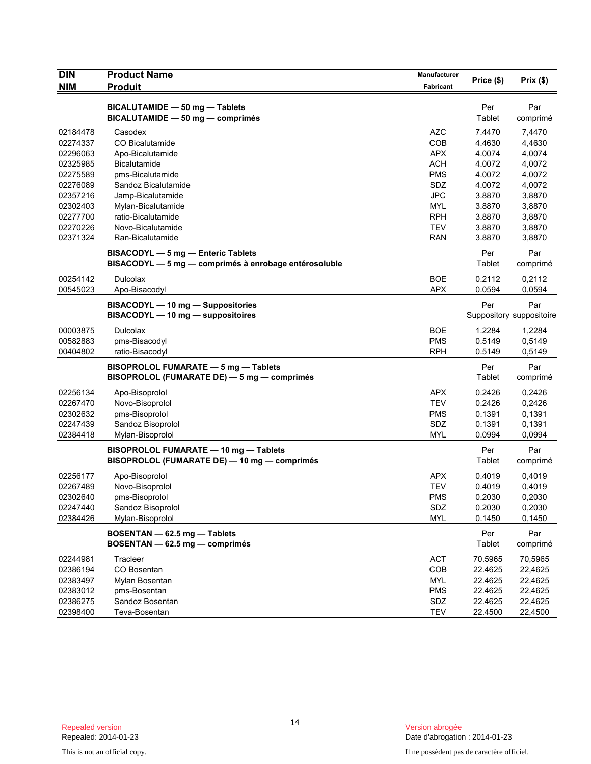| <b>DIN</b><br><b>NIM</b> | <b>Product Name</b><br><b>Produit</b>                 | Manufacturer<br>Fabricant | Price (\$) | Prix(\$)                 |
|--------------------------|-------------------------------------------------------|---------------------------|------------|--------------------------|
|                          |                                                       |                           |            |                          |
|                          | BICALUTAMIDE - 50 mg - Tablets                        |                           | Per        | Par                      |
|                          | BICALUTAMIDE - 50 mg - comprimés                      |                           | Tablet     | comprimé                 |
| 02184478                 | Casodex                                               | <b>AZC</b>                | 7.4470     | 7,4470                   |
| 02274337                 | CO Bicalutamide                                       | <b>COB</b>                | 4.4630     | 4,4630                   |
| 02296063                 | Apo-Bicalutamide                                      | <b>APX</b>                | 4.0074     | 4,0074                   |
| 02325985                 | Bicalutamide                                          | <b>ACH</b>                | 4.0072     | 4,0072                   |
| 02275589                 | pms-Bicalutamide                                      | <b>PMS</b>                | 4.0072     | 4,0072                   |
| 02276089                 | Sandoz Bicalutamide                                   | SDZ                       | 4.0072     | 4,0072                   |
| 02357216                 | Jamp-Bicalutamide                                     | <b>JPC</b>                | 3.8870     | 3,8870                   |
| 02302403                 | Mylan-Bicalutamide                                    | <b>MYL</b>                | 3.8870     | 3,8870                   |
| 02277700                 | ratio-Bicalutamide                                    | <b>RPH</b>                | 3.8870     | 3,8870                   |
| 02270226                 | Novo-Bicalutamide                                     | <b>TEV</b>                | 3.8870     | 3,8870                   |
| 02371324                 | Ran-Bicalutamide                                      | <b>RAN</b>                | 3.8870     | 3,8870                   |
|                          | BISACODYL - 5 mg - Enteric Tablets                    |                           | Per        | Par                      |
|                          | BISACODYL - 5 mg - comprimés à enrobage entérosoluble |                           | Tablet     | comprimé                 |
| 00254142                 | Dulcolax                                              | <b>BOE</b>                | 0.2112     | 0,2112                   |
| 00545023                 | Apo-Bisacodyl                                         | <b>APX</b>                | 0.0594     | 0,0594                   |
|                          | BISACODYL - 10 mg - Suppositories                     |                           | Per        | Par                      |
|                          | BISACODYL - 10 mg - suppositoires                     |                           |            | Suppository suppositoire |
| 00003875                 | <b>Dulcolax</b>                                       | <b>BOE</b>                | 1.2284     | 1,2284                   |
| 00582883                 | pms-Bisacodyl                                         | <b>PMS</b>                | 0.5149     | 0,5149                   |
| 00404802                 | ratio-Bisacodyl                                       | <b>RPH</b>                | 0.5149     | 0,5149                   |
|                          | <b>BISOPROLOL FUMARATE - 5 mg - Tablets</b>           |                           | Per        | Par                      |
|                          | BISOPROLOL (FUMARATE DE) - 5 mg - comprimés           |                           | Tablet     | comprimé                 |
| 02256134                 | Apo-Bisoprolol                                        | <b>APX</b>                | 0.2426     | 0,2426                   |
| 02267470                 | Novo-Bisoprolol                                       | <b>TEV</b>                | 0.2426     | 0,2426                   |
| 02302632                 | pms-Bisoprolol                                        | <b>PMS</b>                | 0.1391     | 0,1391                   |
| 02247439                 | Sandoz Bisoprolol                                     | SDZ                       | 0.1391     | 0,1391                   |
| 02384418                 | Mylan-Bisoprolol                                      | <b>MYL</b>                | 0.0994     | 0,0994                   |
|                          | BISOPROLOL FUMARATE - 10 mg - Tablets                 |                           | Per        | Par                      |
|                          | BISOPROLOL (FUMARATE DE) - 10 mg - comprimés          |                           | Tablet     | comprimé                 |
| 02256177                 | Apo-Bisoprolol                                        | APX                       | 0.4019     | 0,4019                   |
| 02267489                 | Novo-Bisoprolol                                       | <b>TEV</b>                | 0.4019     | 0,4019                   |
| 02302640                 | pms-Bisoprolol                                        | <b>PMS</b>                | 0.2030     | 0,2030                   |
| 02247440                 | Sandoz Bisoprolol                                     | SDZ                       | 0.2030     | 0,2030                   |
| 02384426                 | Mylan-Bisoprolol                                      | <b>MYL</b>                | 0.1450     | 0,1450                   |
|                          | BOSENTAN - 62.5 mg - Tablets                          |                           | Per        | Par                      |
|                          | BOSENTAN - 62.5 mg - comprimés                        |                           | Tablet     | comprimé                 |
| 02244981                 | Tracleer                                              | ACT                       | 70.5965    | 70,5965                  |
| 02386194                 | CO Bosentan                                           | COB                       | 22.4625    | 22,4625                  |
| 02383497                 | Mylan Bosentan                                        | <b>MYL</b>                | 22.4625    | 22,4625                  |
| 02383012                 | pms-Bosentan                                          | <b>PMS</b>                | 22.4625    | 22,4625                  |
| 02386275                 | Sandoz Bosentan                                       | SDZ                       | 22.4625    | 22,4625                  |
| 02398400                 | Teva-Bosentan                                         | <b>TEV</b>                | 22.4500    | 22,4500                  |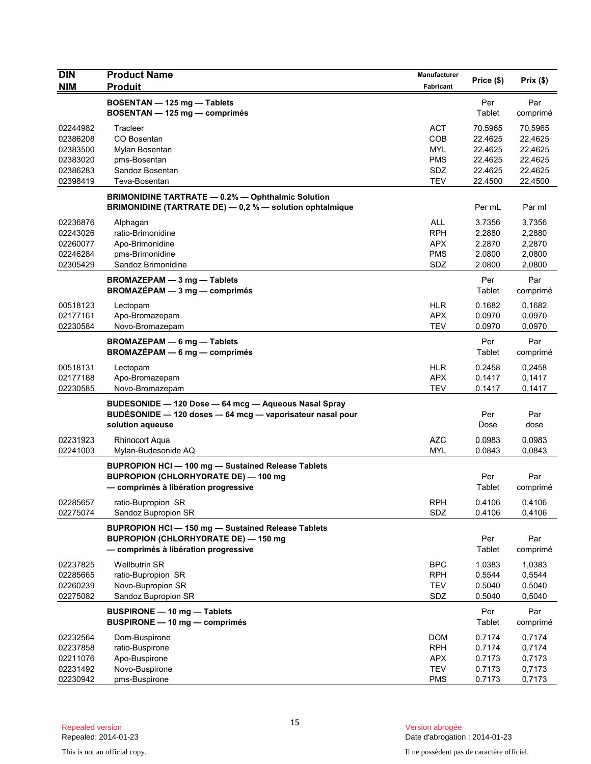| <b>DIN</b><br><b>NIM</b>                                             | <b>Product Name</b><br><b>Produit</b>                                                                                                        | Manufacturer<br>Fabricant                                          | Price (\$)                                                     | Prix(\$)                                                       |
|----------------------------------------------------------------------|----------------------------------------------------------------------------------------------------------------------------------------------|--------------------------------------------------------------------|----------------------------------------------------------------|----------------------------------------------------------------|
|                                                                      | BOSENTAN - 125 mg - Tablets<br>BOSENTAN - 125 mg - comprimés                                                                                 |                                                                    | Per<br>Tablet                                                  | Par<br>comprimé                                                |
| 02244982<br>02386208<br>02383500<br>02383020<br>02386283<br>02398419 | Tracleer<br>CO Bosentan<br>Mylan Bosentan<br>pms-Bosentan<br>Sandoz Bosentan<br>Teva-Bosentan                                                | <b>ACT</b><br>COB<br><b>MYL</b><br><b>PMS</b><br>SDZ<br><b>TEV</b> | 70.5965<br>22.4625<br>22.4625<br>22.4625<br>22.4625<br>22.4500 | 70,5965<br>22,4625<br>22,4625<br>22,4625<br>22,4625<br>22,4500 |
|                                                                      | <b>BRIMONIDINE TARTRATE - 0.2% - Ophthalmic Solution</b><br>BRIMONIDINE (TARTRATE DE) - 0,2 % - solution ophtalmique                         |                                                                    | Per mL                                                         | Par ml                                                         |
| 02236876<br>02243026<br>02260077<br>02246284<br>02305429             | Alphagan<br>ratio-Brimonidine<br>Apo-Brimonidine<br>pms-Brimonidine<br>Sandoz Brimonidine                                                    | <b>ALL</b><br><b>RPH</b><br><b>APX</b><br><b>PMS</b><br>SDZ        | 3.7356<br>2.2880<br>2.2870<br>2.0800<br>2.0800                 | 3,7356<br>2,2880<br>2,2870<br>2,0800<br>2,0800                 |
|                                                                      | BROMAZEPAM - 3 mg - Tablets<br>BROMAZÉPAM - 3 mg - comprimés                                                                                 |                                                                    | Per<br>Tablet                                                  | Par<br>comprimé                                                |
| 00518123<br>02177161<br>02230584                                     | Lectopam<br>Apo-Bromazepam<br>Novo-Bromazepam                                                                                                | <b>HLR</b><br><b>APX</b><br><b>TEV</b>                             | 0.1682<br>0.0970<br>0.0970                                     | 0.1682<br>0,0970<br>0,0970                                     |
|                                                                      | <b>BROMAZEPAM - 6 mg - Tablets</b><br>BROMAZÉPAM - 6 mg - comprimés                                                                          |                                                                    | Per<br>Tablet                                                  | Par<br>comprimé                                                |
| 00518131<br>02177188<br>02230585                                     | Lectopam<br>Apo-Bromazepam<br>Novo-Bromazepam                                                                                                | <b>HLR</b><br><b>APX</b><br><b>TEV</b>                             | 0.2458<br>0.1417<br>0.1417                                     | 0,2458<br>0,1417<br>0,1417                                     |
|                                                                      | BUDESONIDE - 120 Dose - 64 mcg - Aqueous Nasal Spray<br>BUDÉSONIDE - 120 doses - 64 mcg - vaporisateur nasal pour<br>solution aqueuse        |                                                                    | Per<br>Dose                                                    | Par<br>dose                                                    |
| 02231923<br>02241003                                                 | Rhinocort Aqua<br>Mylan-Budesonide AQ                                                                                                        | <b>AZC</b><br><b>MYL</b>                                           | 0.0983<br>0.0843                                               | 0,0983<br>0,0843                                               |
|                                                                      | <b>BUPROPION HCI-100 mg-Sustained Release Tablets</b><br><b>BUPROPION (CHLORHYDRATE DE) - 100 mg</b><br>- comprimés à libération progressive |                                                                    | Per<br>Tablet                                                  | Par<br>comprimé                                                |
| 02285657<br>02275074                                                 | ratio-Bupropion SR<br>Sandoz Bupropion SR                                                                                                    | <b>RPH</b><br>SDZ                                                  | 0.4106<br>0.4106                                               | 0,4106<br>0,4106                                               |
|                                                                      | <b>BUPROPION HCI-150 mg-Sustained Release Tablets</b><br><b>BUPROPION (CHLORHYDRATE DE) - 150 mg</b><br>- comprimés à libération progressive |                                                                    | Per<br>Tablet                                                  | Par<br>comprimé                                                |
| 02237825<br>02285665<br>02260239<br>02275082                         | <b>Wellbutrin SR</b><br>ratio-Bupropion SR<br>Novo-Bupropion SR<br>Sandoz Bupropion SR                                                       | <b>BPC</b><br><b>RPH</b><br><b>TEV</b><br>SDZ                      | 1.0383<br>0.5544<br>0.5040<br>0.5040                           | 1,0383<br>0,5544<br>0,5040<br>0,5040                           |
|                                                                      | <b>BUSPIRONE - 10 mg - Tablets</b><br>BUSPIRONE - 10 mg - comprimés                                                                          |                                                                    | Per<br>Tablet                                                  | Par<br>comprimé                                                |
| 02232564<br>02237858<br>02211076<br>02231492<br>02230942             | Dom-Buspirone<br>ratio-Buspirone<br>Apo-Buspirone<br>Novo-Buspirone<br>pms-Buspirone                                                         | <b>DOM</b><br><b>RPH</b><br><b>APX</b><br><b>TEV</b>               | 0.7174<br>0.7174<br>0.7173<br>0.7173<br>0.7173                 | 0,7174<br>0,7174<br>0,7173<br>0,7173<br>0,7173                 |
|                                                                      |                                                                                                                                              | <b>PMS</b>                                                         |                                                                |                                                                |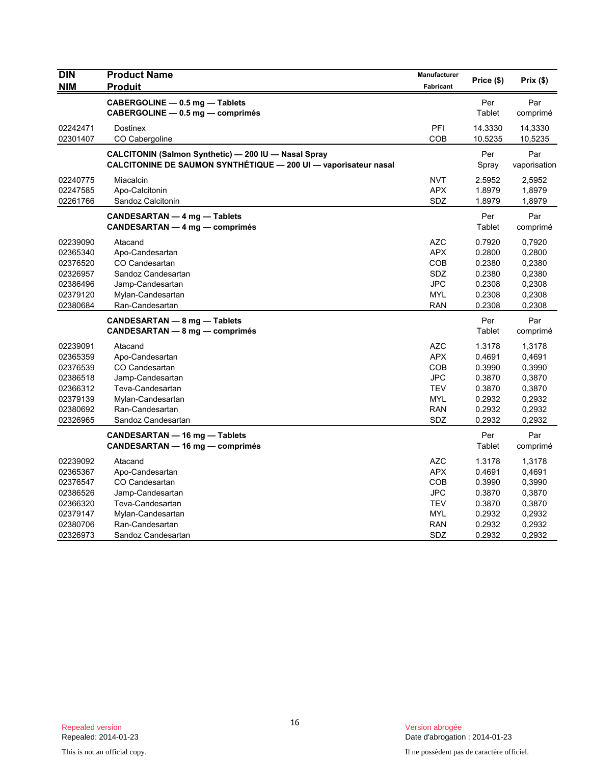| <b>DIN</b>                                                                                   | <b>Product Name</b>                                                                                                                                | Manufacturer                                                                            | Price (\$)                                                                   | Prix(\$)                                                                     |
|----------------------------------------------------------------------------------------------|----------------------------------------------------------------------------------------------------------------------------------------------------|-----------------------------------------------------------------------------------------|------------------------------------------------------------------------------|------------------------------------------------------------------------------|
| <b>NIM</b>                                                                                   | <b>Produit</b>                                                                                                                                     | <b>Fabricant</b>                                                                        |                                                                              |                                                                              |
|                                                                                              | CABERGOLINE - 0.5 mg - Tablets<br>CABERGOLINE - 0.5 mg - comprimés                                                                                 |                                                                                         | Per<br>Tablet                                                                | Par<br>comprimé                                                              |
| 02242471<br>02301407                                                                         | <b>Dostinex</b><br>CO Cabergoline                                                                                                                  | PFI<br>COB                                                                              | 14.3330<br>10.5235                                                           | 14,3330<br>10,5235                                                           |
|                                                                                              | CALCITONIN (Salmon Synthetic) - 200 IU - Nasal Spray<br>CALCITONINE DE SAUMON SYNTHETIQUE - 200 UI - vaporisateur nasal                            |                                                                                         | Per<br>Spray                                                                 | Par<br>vaporisation                                                          |
| 02240775<br>02247585<br>02261766                                                             | Miacalcin<br>Apo-Calcitonin<br>Sandoz Calcitonin                                                                                                   | <b>NVT</b><br><b>APX</b><br>SDZ                                                         | 2.5952<br>1.8979<br>1.8979                                                   | 2,5952<br>1,8979<br>1,8979                                                   |
|                                                                                              | CANDESARTAN - 4 mg - Tablets<br>CANDESARTAN — 4 mg — comprimés                                                                                     |                                                                                         | Per<br>Tablet                                                                | Par<br>comprimé                                                              |
| 02239090<br>02365340<br>02376520<br>02326957<br>02386496<br>02379120<br>02380684             | Atacand<br>Apo-Candesartan<br>CO Candesartan<br>Sandoz Candesartan<br>Jamp-Candesartan<br>Mylan-Candesartan<br>Ran-Candesartan                     | <b>AZC</b><br><b>APX</b><br>COB<br><b>SDZ</b><br><b>JPC</b><br><b>MYL</b><br><b>RAN</b> | 0.7920<br>0.2800<br>0.2380<br>0.2380<br>0.2308<br>0.2308<br>0.2308           | 0,7920<br>0,2800<br>0,2380<br>0,2380<br>0,2308<br>0,2308<br>0,2308           |
|                                                                                              | CANDESARTAN - 8 mg - Tablets<br>CANDESARTAN - 8 mg - comprimés                                                                                     |                                                                                         | Per<br>Tablet                                                                | Par<br>comprimé                                                              |
| 02239091<br>02365359<br>02376539<br>02386518<br>02366312<br>02379139<br>02380692<br>02326965 | Atacand<br>Apo-Candesartan<br>CO Candesartan<br>Jamp-Candesartan<br>Teva-Candesartan<br>Mylan-Candesartan<br>Ran-Candesartan<br>Sandoz Candesartan | <b>AZC</b><br><b>APX</b><br>COB<br><b>JPC</b><br>TEV<br><b>MYL</b><br>RAN<br>SDZ        | 1.3178<br>0.4691<br>0.3990<br>0.3870<br>0.3870<br>0.2932<br>0.2932<br>0.2932 | 1,3178<br>0,4691<br>0,3990<br>0,3870<br>0,3870<br>0,2932<br>0,2932<br>0,2932 |
|                                                                                              | CANDESARTAN - 16 mg - Tablets<br>CANDESARTAN — 16 mg — comprimés                                                                                   |                                                                                         | Per<br>Tablet                                                                | Par<br>comprimé                                                              |
| 02239092<br>02365367<br>02376547<br>02386526<br>02366320<br>02379147<br>02380706             | Atacand<br>Apo-Candesartan<br>CO Candesartan<br>Jamp-Candesartan<br>Teva-Candesartan<br>Mylan-Candesartan<br>Ran-Candesartan                       | AZC<br><b>APX</b><br>COB<br><b>JPC</b><br><b>TEV</b><br><b>MYL</b><br><b>RAN</b>        | 1.3178<br>0.4691<br>0.3990<br>0.3870<br>0.3870<br>0.2932<br>0.2932           | 1,3178<br>0,4691<br>0,3990<br>0,3870<br>0,3870<br>0,2932<br>0,2932           |
| 02326973                                                                                     | Sandoz Candesartan                                                                                                                                 | SDZ                                                                                     | 0.2932                                                                       | 0,2932                                                                       |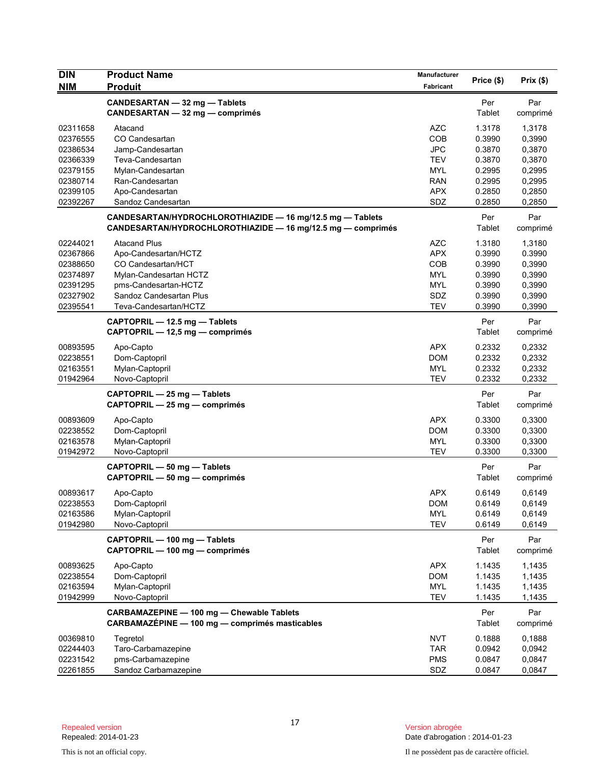| <b>DIN</b>                                                                       | <b>Product Name</b>                                                                                                                                                     | Manufacturer                                                              | Price (\$)                                                         | Prix(\$)                                                           |
|----------------------------------------------------------------------------------|-------------------------------------------------------------------------------------------------------------------------------------------------------------------------|---------------------------------------------------------------------------|--------------------------------------------------------------------|--------------------------------------------------------------------|
| <b>NIM</b>                                                                       | <b>Produit</b>                                                                                                                                                          | Fabricant                                                                 |                                                                    |                                                                    |
|                                                                                  | CANDESARTAN - 32 mg - Tablets<br><b>CANDESARTAN - 32 mg - comprimés</b>                                                                                                 |                                                                           | Per<br>Tablet                                                      | Par<br>comprimé                                                    |
| 02311658<br>02376555<br>02386534<br>02366339<br>02379155                         | Atacand<br>CO Candesartan<br>Jamp-Candesartan<br>Teva-Candesartan<br>Mylan-Candesartan                                                                                  | <b>AZC</b><br>COB<br><b>JPC</b><br><b>TEV</b><br><b>MYL</b>               | 1.3178<br>0.3990<br>0.3870<br>0.3870<br>0.2995                     | 1,3178<br>0,3990<br>0,3870<br>0,3870<br>0,2995                     |
| 02380714<br>02399105<br>02392267                                                 | Ran-Candesartan<br>Apo-Candesartan<br>Sandoz Candesartan                                                                                                                | <b>RAN</b><br><b>APX</b><br>SDZ                                           | 0.2995<br>0.2850<br>0.2850                                         | 0,2995<br>0,2850<br>0,2850                                         |
|                                                                                  | CANDESARTAN/HYDROCHLOROTHIAZIDE - 16 mg/12.5 mg - Tablets<br>CANDESARTAN/HYDROCHLOROTHIAZIDE - 16 mg/12.5 mg - comprimés                                                |                                                                           | Per<br>Tablet                                                      | Par<br>comprimé                                                    |
| 02244021<br>02367866<br>02388650<br>02374897<br>02391295<br>02327902<br>02395541 | <b>Atacand Plus</b><br>Apo-Candesartan/HCTZ<br>CO Candesartan/HCT<br>Mylan-Candesartan HCTZ<br>pms-Candesartan-HCTZ<br>Sandoz Candesartan Plus<br>Teva-Candesartan/HCTZ | AZC<br><b>APX</b><br>COB<br><b>MYL</b><br><b>MYL</b><br>SDZ<br><b>TEV</b> | 1.3180<br>0.3990<br>0.3990<br>0.3990<br>0.3990<br>0.3990<br>0.3990 | 1,3180<br>0.3990<br>0,3990<br>0,3990<br>0,3990<br>0,3990<br>0,3990 |
|                                                                                  | CAPTOPRIL - 12.5 mg - Tablets<br>CAPTOPRIL - 12,5 mg - comprimés                                                                                                        |                                                                           | Per<br>Tablet                                                      | Par<br>comprimé                                                    |
| 00893595<br>02238551<br>02163551<br>01942964                                     | Apo-Capto<br>Dom-Captopril<br>Mylan-Captopril<br>Novo-Captopril                                                                                                         | <b>APX</b><br><b>DOM</b><br><b>MYL</b><br><b>TEV</b>                      | 0.2332<br>0.2332<br>0.2332<br>0.2332                               | 0,2332<br>0,2332<br>0,2332<br>0,2332                               |
|                                                                                  | CAPTOPRIL - 25 mg - Tablets<br>CAPTOPRIL - 25 mg - comprimés                                                                                                            |                                                                           | Per<br>Tablet                                                      | Par<br>comprimé                                                    |
| 00893609<br>02238552<br>02163578<br>01942972                                     | Apo-Capto<br>Dom-Captopril<br>Mylan-Captopril<br>Novo-Captopril                                                                                                         | <b>APX</b><br><b>DOM</b><br><b>MYL</b><br><b>TEV</b>                      | 0.3300<br>0.3300<br>0.3300<br>0.3300                               | 0,3300<br>0,3300<br>0,3300<br>0,3300                               |
|                                                                                  | CAPTOPRIL - 50 mg - Tablets<br>CAPTOPRIL - 50 mg - comprimés                                                                                                            |                                                                           | Per<br>Tablet                                                      | Par<br>comprimé                                                    |
| 00893617<br>02238553<br>02163586<br>01942980                                     | Apo-Capto<br>Dom-Captopril<br>Mylan-Captopril<br>Novo-Captopril                                                                                                         | <b>APX</b><br><b>DOM</b><br><b>MYL</b><br><b>TEV</b>                      | 0.6149<br>0.6149<br>0.6149<br>0.6149                               | 0,6149<br>0,6149<br>0,6149<br>0,6149                               |
|                                                                                  | CAPTOPRIL - 100 mg - Tablets<br>CAPTOPRIL - 100 mg - comprimés                                                                                                          |                                                                           | Per<br>Tablet                                                      | Par<br>comprimé                                                    |
| 00893625<br>02238554<br>02163594<br>01942999                                     | Apo-Capto<br>Dom-Captopril<br>Mylan-Captopril<br>Novo-Captopril                                                                                                         | <b>APX</b><br><b>DOM</b><br><b>MYL</b><br><b>TEV</b>                      | 1.1435<br>1.1435<br>1.1435<br>1.1435                               | 1,1435<br>1,1435<br>1,1435<br>1,1435                               |
|                                                                                  | CARBAMAZEPINE - 100 mg - Chewable Tablets<br>CARBAMAZÉPINE - 100 mg - comprimés masticables                                                                             |                                                                           | Per<br>Tablet                                                      | Par<br>comprimé                                                    |
| 00369810<br>02244403<br>02231542<br>02261855                                     | Tegretol<br>Taro-Carbamazepine<br>pms-Carbamazepine<br>Sandoz Carbamazepine                                                                                             | <b>NVT</b><br><b>TAR</b><br><b>PMS</b><br>SDZ                             | 0.1888<br>0.0942<br>0.0847<br>0.0847                               | 0,1888<br>0,0942<br>0,0847<br>0,0847                               |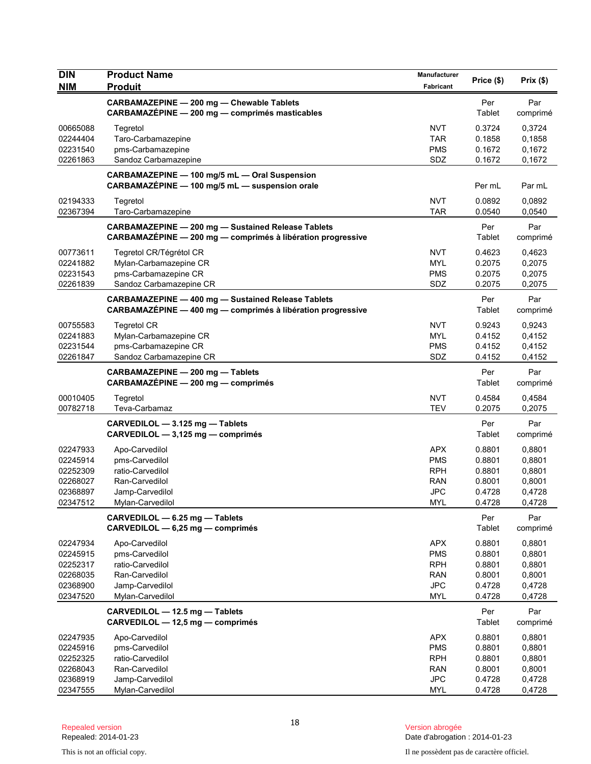| <b>DIN</b> | <b>Product Name</b>                                                                                                      | Manufacturer | Price (\$)    | Prix(\$)        |
|------------|--------------------------------------------------------------------------------------------------------------------------|--------------|---------------|-----------------|
| <b>NIM</b> | <b>Produit</b>                                                                                                           | Fabricant    |               |                 |
|            | CARBAMAZEPINE - 200 mg - Chewable Tablets<br>CARBAMAZÉPINE - 200 mg - comprimés masticables                              |              | Per<br>Tablet | Par<br>comprimé |
| 00665088   | Tegretol                                                                                                                 | NVT          | 0.3724        | 0,3724          |
| 02244404   | Taro-Carbamazepine                                                                                                       | <b>TAR</b>   | 0.1858        | 0,1858          |
| 02231540   | pms-Carbamazepine                                                                                                        | <b>PMS</b>   | 0.1672        | 0,1672          |
| 02261863   | Sandoz Carbamazepine                                                                                                     | SDZ          | 0.1672        | 0,1672          |
|            | CARBAMAZEPINE - 100 mg/5 mL - Oral Suspension<br>CARBAMAZÉPINE - 100 mg/5 mL - suspension orale                          |              | Per mL        | Par mL          |
| 02194333   | Tegretol                                                                                                                 | <b>NVT</b>   | 0.0892        | 0.0892          |
| 02367394   | Taro-Carbamazepine                                                                                                       | <b>TAR</b>   | 0.0540        | 0,0540          |
|            | <b>CARBAMAZEPINE - 200 mg - Sustained Release Tablets</b><br>CARBAMAZÉPINE - 200 mg - comprimés à libération progressive |              | Per<br>Tablet | Par<br>comprimé |
| 00773611   | Tegretol CR/Tégrétol CR                                                                                                  | <b>NVT</b>   | 0.4623        | 0,4623          |
| 02241882   | Mylan-Carbamazepine CR                                                                                                   | <b>MYL</b>   | 0.2075        | 0,2075          |
| 02231543   | pms-Carbamazepine CR                                                                                                     | <b>PMS</b>   | 0.2075        | 0,2075          |
| 02261839   | Sandoz Carbamazepine CR                                                                                                  | SDZ          | 0.2075        | 0,2075          |
|            | <b>CARBAMAZEPINE - 400 mg - Sustained Release Tablets</b><br>CARBAMAZÉPINE - 400 mg - comprimés à libération progressive |              | Per<br>Tablet | Par<br>comprimé |
| 00755583   | <b>Tegretol CR</b>                                                                                                       | <b>NVT</b>   | 0.9243        | 0,9243          |
| 02241883   | Mylan-Carbamazepine CR                                                                                                   | <b>MYL</b>   | 0.4152        | 0,4152          |
| 02231544   | pms-Carbamazepine CR                                                                                                     | <b>PMS</b>   | 0.4152        | 0,4152          |
| 02261847   | Sandoz Carbamazepine CR                                                                                                  | SDZ          | 0.4152        | 0,4152          |
|            | CARBAMAZEPINE - 200 mg - Tablets<br>CARBAMAZÉPINE - 200 mg - comprimés                                                   |              | Per<br>Tablet | Par<br>comprimé |
| 00010405   | Tegretol                                                                                                                 | <b>NVT</b>   | 0.4584        | 0,4584          |
| 00782718   | Teva-Carbamaz                                                                                                            | <b>TEV</b>   | 0.2075        | 0,2075          |
|            | CARVEDILOL - 3.125 mg - Tablets<br>CARVEDILOL - 3,125 mg - comprimés                                                     |              | Per<br>Tablet | Par<br>comprimé |
| 02247933   | Apo-Carvedilol                                                                                                           | <b>APX</b>   | 0.8801        | 0,8801          |
| 02245914   | pms-Carvedilol                                                                                                           | <b>PMS</b>   | 0.8801        | 0,8801          |
| 02252309   | ratio-Carvedilol                                                                                                         | <b>RPH</b>   | 0.8801        | 0,8801          |
| 02268027   | Ran-Carvedilol                                                                                                           | <b>RAN</b>   | 0.8001        | 0,8001          |
| 02368897   | Jamp-Carvedilol                                                                                                          | <b>JPC</b>   | 0.4728        | 0,4728          |
| 02347512   | Mylan-Carvedilol                                                                                                         | MYL          | 0.4728        | 0,4728          |
|            | CARVEDILOL - 6.25 mg - Tablets<br>CARVEDILOL - 6,25 mg - comprimés                                                       |              | Per<br>Tablet | Par<br>comprimé |
| 02247934   | Apo-Carvedilol                                                                                                           | <b>APX</b>   | 0.8801        | 0,8801          |
| 02245915   | pms-Carvedilol                                                                                                           | <b>PMS</b>   | 0.8801        | 0,8801          |
| 02252317   | ratio-Carvedilol                                                                                                         | <b>RPH</b>   | 0.8801        | 0,8801          |
| 02268035   | Ran-Carvedilol                                                                                                           | <b>RAN</b>   | 0.8001        | 0,8001          |
| 02368900   | Jamp-Carvedilol                                                                                                          | <b>JPC</b>   | 0.4728        | 0,4728          |
| 02347520   | Mylan-Carvedilol                                                                                                         | <b>MYL</b>   | 0.4728        | 0,4728          |
|            | CARVEDILOL - 12.5 mg - Tablets<br>CARVEDILOL - 12,5 mg - comprimés                                                       |              | Per<br>Tablet | Par<br>comprimé |
| 02247935   | Apo-Carvedilol                                                                                                           | <b>APX</b>   | 0.8801        | 0,8801          |
| 02245916   | pms-Carvedilol                                                                                                           | <b>PMS</b>   | 0.8801        | 0,8801          |
| 02252325   | ratio-Carvedilol                                                                                                         | <b>RPH</b>   | 0.8801        | 0,8801          |
| 02268043   | Ran-Carvedilol                                                                                                           | <b>RAN</b>   | 0.8001        | 0,8001          |
| 02368919   | Jamp-Carvedilol                                                                                                          | <b>JPC</b>   | 0.4728        | 0,4728          |
| 02347555   | Mylan-Carvedilol                                                                                                         | MYL          | 0.4728        | 0,4728          |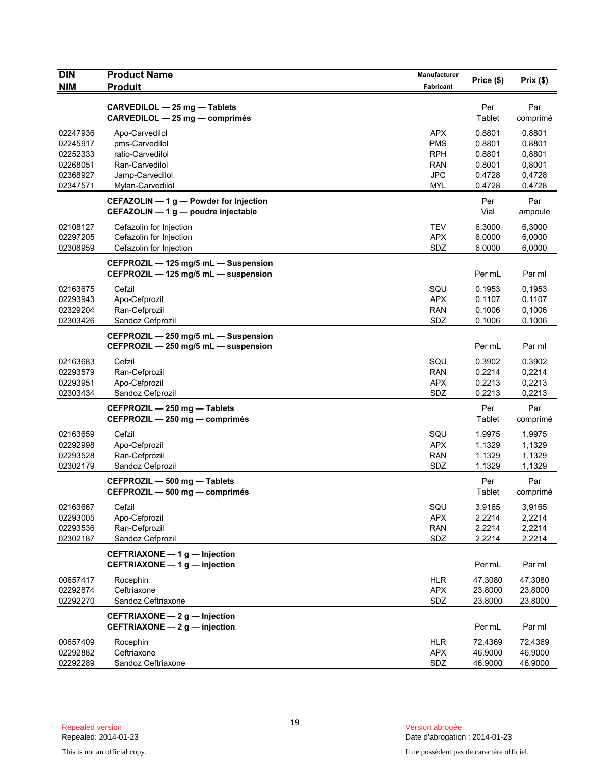| <b>DIN</b>           | <b>Product Name</b>                                                           | Manufacturer             | Price (\$)       | Prix(\$)         |
|----------------------|-------------------------------------------------------------------------------|--------------------------|------------------|------------------|
| <b>NIM</b>           | <b>Produit</b>                                                                | Fabricant                |                  |                  |
|                      | CARVEDILOL - 25 mg - Tablets                                                  |                          | Per              | Par              |
|                      | CARVEDILOL - 25 mg - comprimés                                                |                          | Tablet           | comprimé         |
| 02247936             | Apo-Carvedilol                                                                | <b>APX</b>               | 0.8801           | 0,8801           |
| 02245917             | pms-Carvedilol                                                                | <b>PMS</b>               | 0.8801           | 0,8801           |
| 02252333             | ratio-Carvedilol                                                              | <b>RPH</b>               | 0.8801           | 0,8801           |
| 02268051             | Ran-Carvedilol                                                                | <b>RAN</b>               | 0.8001           | 0,8001           |
| 02368927<br>02347571 | Jamp-Carvedilol<br>Mylan-Carvedilol                                           | <b>JPC</b><br><b>MYL</b> | 0.4728<br>0.4728 | 0,4728<br>0,4728 |
|                      |                                                                               |                          |                  |                  |
|                      | CEFAZOLIN - 1 g - Powder for Injection<br>CEFAZOLIN - 1 g - poudre injectable |                          | Per<br>Vial      | Par<br>ampoule   |
| 02108127             | Cefazolin for Injection                                                       | <b>TEV</b>               | 6.3000           | 6,3000           |
| 02297205             | Cefazolin for Injection                                                       | <b>APX</b>               | 6.0000           | 6,0000           |
| 02308959             | Cefazolin for Injection                                                       | SDZ                      | 6.0000           | 6,0000           |
|                      | CEFPROZIL - 125 mg/5 mL - Suspension<br>CEFPROZIL - 125 mg/5 mL - suspension  |                          | Per mL           | Par ml           |
| 02163675             | Cefzil                                                                        | SQU                      | 0.1953           | 0,1953           |
| 02293943             | Apo-Cefprozil                                                                 | <b>APX</b>               | 0.1107           | 0,1107           |
| 02329204             | Ran-Cefprozil                                                                 | <b>RAN</b>               | 0.1006           | 0,1006           |
| 02303426             | Sandoz Cefprozil                                                              | SDZ                      | 0.1006           | 0,1006           |
|                      | CEFPROZIL - 250 mg/5 mL - Suspension                                          |                          |                  |                  |
|                      | CEFPROZIL - 250 mg/5 mL - suspension                                          |                          | Per mL           | Par ml           |
| 02163683             | Cefzil                                                                        | SQU                      | 0.3902           | 0,3902           |
| 02293579             | Ran-Cefprozil                                                                 | <b>RAN</b>               | 0.2214           | 0,2214           |
| 02293951             | Apo-Cefprozil                                                                 | <b>APX</b>               | 0.2213           | 0,2213           |
| 02303434             | Sandoz Cefprozil                                                              | SDZ                      | 0.2213           | 0,2213           |
|                      | CEFPROZIL - 250 mg - Tablets                                                  |                          | Per              | Par              |
|                      | CEFPROZIL - 250 mg - comprimés                                                |                          | Tablet           | comprimé         |
| 02163659             | Cefzil                                                                        | SQU                      | 1.9975           | 1,9975           |
| 02292998<br>02293528 | Apo-Cefprozil<br>Ran-Cefprozil                                                | <b>APX</b><br><b>RAN</b> | 1.1329<br>1.1329 | 1,1329<br>1,1329 |
| 02302179             | Sandoz Cefprozil                                                              | SDZ                      | 1.1329           | 1,1329           |
|                      | CEFPROZIL - 500 mg - Tablets                                                  |                          | Per              | Par              |
|                      | CEFPROZIL - 500 mg - comprimés                                                |                          | Tablet           | comprimé         |
| 02163667             | Cefzil                                                                        | SQU                      | 3.9165           | 3,9165           |
| 02293005             | Apo-Cefprozil                                                                 | <b>APX</b>               | 2.2214           | 2,2214           |
| 02293536<br>02302187 | Ran-Cefprozil<br>Sandoz Cefprozil                                             | <b>RAN</b><br>SDZ        | 2.2214<br>2.2214 | 2,2214<br>2,2214 |
|                      |                                                                               |                          |                  |                  |
|                      | CEFTRIAXONE - 1 g - Injection<br>CEFTRIAXONE - 1 g - injection                |                          | Per mL           | Par ml           |
| 00657417             | Rocephin                                                                      | <b>HLR</b>               | 47.3080          | 47,3080          |
| 02292874             | Ceftriaxone                                                                   | <b>APX</b>               | 23.8000          | 23,8000          |
| 02292270             | Sandoz Ceftriaxone                                                            | SDZ                      | 23.8000          | 23,8000          |
|                      | CEFTRIAXONE - 2 g - Injection<br>CEFTRIAXONE - 2 g - injection                |                          | Per mL           | Par ml           |
| 00657409             | Rocephin                                                                      | <b>HLR</b>               | 72.4369          | 72,4369          |
| 02292882             | Ceftriaxone                                                                   | <b>APX</b>               | 46.9000          | 46,9000          |
| 02292289             | Sandoz Ceftriaxone                                                            | SDZ                      | 46.9000          | 46,9000          |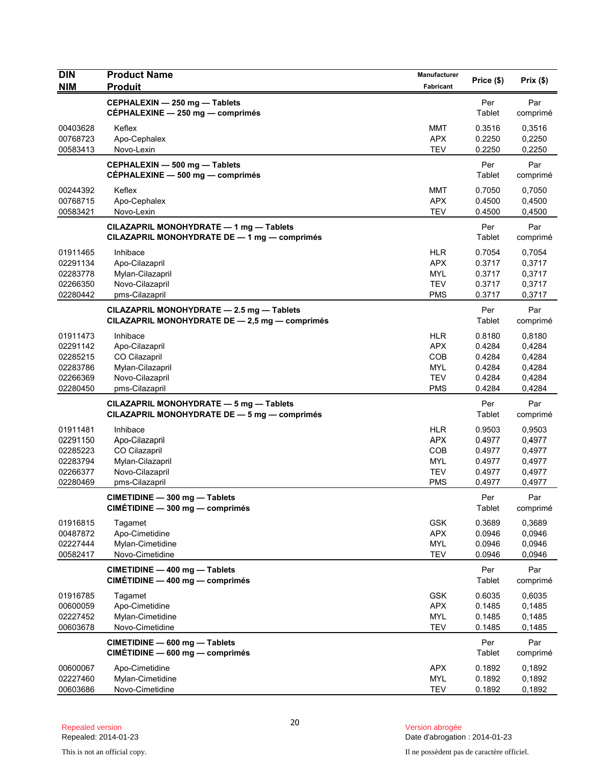| <b>DIN</b><br><b>NIM</b>                                             | <b>Product Name</b><br><b>Produit</b>                                                                | Manufacturer<br>Fabricant                                                 | Price (\$)                                               | Prix(\$)                                                 |
|----------------------------------------------------------------------|------------------------------------------------------------------------------------------------------|---------------------------------------------------------------------------|----------------------------------------------------------|----------------------------------------------------------|
|                                                                      | CEPHALEXIN - 250 mg - Tablets<br>CÉPHALEXINE - 250 mg - comprimés                                    |                                                                           | Per<br>Tablet                                            | Par<br>comprimé                                          |
| 00403628<br>00768723<br>00583413                                     | Keflex<br>Apo-Cephalex<br>Novo-Lexin                                                                 | <b>MMT</b><br><b>APX</b><br><b>TEV</b>                                    | 0.3516<br>0.2250<br>0.2250                               | 0,3516<br>0,2250<br>0,2250                               |
|                                                                      | CEPHALEXIN - 500 mg - Tablets<br>CÉPHALEXINE - 500 mg - comprimés                                    |                                                                           | Per<br>Tablet                                            | Par<br>comprimé                                          |
| 00244392<br>00768715<br>00583421                                     | Keflex<br>Apo-Cephalex<br>Novo-Lexin                                                                 | <b>MMT</b><br><b>APX</b><br><b>TEV</b>                                    | 0.7050<br>0.4500<br>0.4500                               | 0,7050<br>0,4500<br>0,4500                               |
|                                                                      | CILAZAPRIL MONOHYDRATE - 1 mg - Tablets<br>CILAZAPRIL MONOHYDRATE DE - 1 mg - comprimés              |                                                                           | Per<br>Tablet                                            | Par<br>comprimé                                          |
| 01911465<br>02291134<br>02283778<br>02266350<br>02280442             | Inhibace<br>Apo-Cilazapril<br>Mylan-Cilazapril<br>Novo-Cilazapril<br>pms-Cilazapril                  | <b>HLR</b><br><b>APX</b><br><b>MYL</b><br><b>TEV</b><br><b>PMS</b>        | 0.7054<br>0.3717<br>0.3717<br>0.3717<br>0.3717           | 0,7054<br>0,3717<br>0,3717<br>0,3717<br>0,3717           |
|                                                                      | CILAZAPRIL MONOHYDRATE - 2.5 mg - Tablets<br>CILAZAPRIL MONOHYDRATE DE - 2,5 mg - comprimés          |                                                                           | Per<br>Tablet                                            | Par<br>comprimé                                          |
| 01911473<br>02291142<br>02285215<br>02283786<br>02266369<br>02280450 | Inhibace<br>Apo-Cilazapril<br>CO Cilazapril<br>Mylan-Cilazapril<br>Novo-Cilazapril<br>pms-Cilazapril | <b>HLR</b><br><b>APX</b><br>COB<br><b>MYL</b><br><b>TEV</b><br><b>PMS</b> | 0.8180<br>0.4284<br>0.4284<br>0.4284<br>0.4284<br>0.4284 | 0,8180<br>0,4284<br>0,4284<br>0,4284<br>0,4284<br>0,4284 |
|                                                                      | CILAZAPRIL MONOHYDRATE - 5 mg - Tablets<br>CILAZAPRIL MONOHYDRATE DE - 5 mg - comprimés              |                                                                           | Per<br>Tablet                                            | Par<br>comprimé                                          |
| 01911481<br>02291150<br>02285223<br>02283794<br>02266377<br>02280469 | Inhibace<br>Apo-Cilazapril<br>CO Cilazapril<br>Mylan-Cilazapril<br>Novo-Cilazapril<br>pms-Cilazapril | <b>HLR</b><br><b>APX</b><br>COB<br><b>MYL</b><br><b>TEV</b><br><b>PMS</b> | 0.9503<br>0.4977<br>0.4977<br>0.4977<br>0.4977<br>0.4977 | 0,9503<br>0,4977<br>0,4977<br>0,4977<br>0,4977<br>0,4977 |
|                                                                      | CIMETIDINE - 300 mg - Tablets<br>CIMÉTIDINE - 300 mg - comprimés                                     |                                                                           | Per<br>Tablet                                            | Par<br>comprimé                                          |
| 01916815<br>00487872<br>02227444<br>00582417                         | Tagamet<br>Apo-Cimetidine<br>Mylan-Cimetidine<br>Novo-Cimetidine                                     | <b>GSK</b><br><b>APX</b><br><b>MYL</b><br><b>TEV</b>                      | 0.3689<br>0.0946<br>0.0946<br>0.0946                     | 0,3689<br>0,0946<br>0,0946<br>0,0946                     |
|                                                                      | CIMETIDINE - 400 mg - Tablets<br>CIMÉTIDINE - 400 mg - comprimés                                     |                                                                           | Per<br>Tablet                                            | Par<br>comprimé                                          |
| 01916785<br>00600059<br>02227452<br>00603678                         | Tagamet<br>Apo-Cimetidine<br>Mylan-Cimetidine<br>Novo-Cimetidine                                     | <b>GSK</b><br><b>APX</b><br><b>MYL</b><br><b>TEV</b>                      | 0.6035<br>0.1485<br>0.1485<br>0.1485                     | 0,6035<br>0,1485<br>0,1485<br>0,1485                     |
|                                                                      | CIMETIDINE - 600 mg - Tablets<br>$CIMÉTIDINE - 600 mg - comprimés$                                   |                                                                           | Per<br>Tablet                                            | Par<br>comprimé                                          |
| 00600067<br>02227460<br>00603686                                     | Apo-Cimetidine<br>Mylan-Cimetidine<br>Novo-Cimetidine                                                | <b>APX</b><br><b>MYL</b><br><b>TEV</b>                                    | 0.1892<br>0.1892<br>0.1892                               | 0,1892<br>0,1892<br>0,1892                               |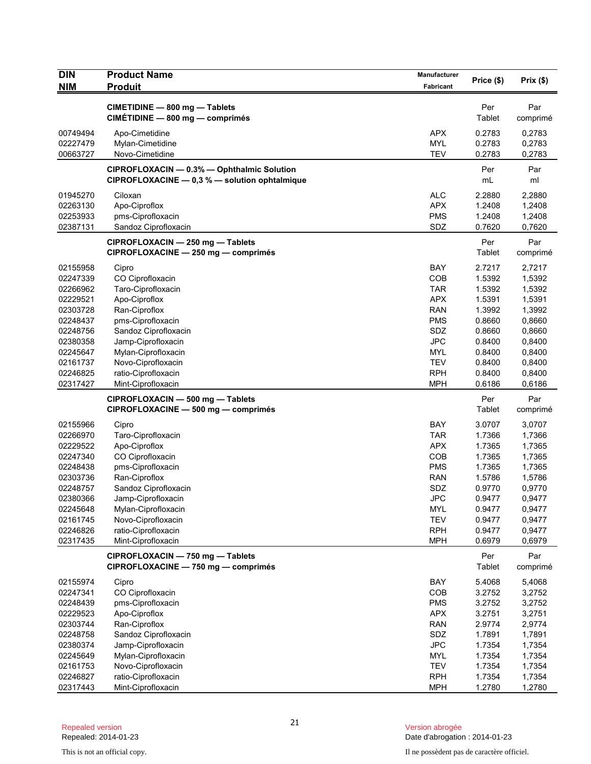| <b>DIN</b><br><b>NIM</b> | <b>Product Name</b><br><b>Produit</b>                                                       | Manufacturer<br>Fabricant | Price (\$)       | Prix(\$)         |
|--------------------------|---------------------------------------------------------------------------------------------|---------------------------|------------------|------------------|
|                          | CIMETIDINE - 800 mg - Tablets                                                               |                           | Per              | Par              |
|                          | CIMÉTIDINE - 800 mg - comprimés                                                             |                           | Tablet           | comprimé         |
| 00749494                 | Apo-Cimetidine                                                                              | <b>APX</b>                | 0.2783           | 0,2783           |
| 02227479                 | Mylan-Cimetidine                                                                            | <b>MYL</b>                | 0.2783           | 0,2783           |
| 00663727                 | Novo-Cimetidine                                                                             | <b>TEV</b>                | 0.2783           | 0,2783           |
|                          | CIPROFLOXACIN - 0.3% - Ophthalmic Solution<br>CIPROFLOXACINE - 0,3 % - solution ophtalmique |                           | Per<br>mL        | Par<br>ml        |
|                          |                                                                                             |                           |                  |                  |
| 01945270<br>02263130     | Ciloxan<br>Apo-Ciproflox                                                                    | <b>ALC</b><br><b>APX</b>  | 2.2880<br>1.2408 | 2,2880<br>1,2408 |
| 02253933                 | pms-Ciprofloxacin                                                                           | <b>PMS</b>                | 1.2408           | 1,2408           |
| 02387131                 | Sandoz Ciprofloxacin                                                                        | SDZ                       | 0.7620           | 0,7620           |
|                          |                                                                                             |                           |                  |                  |
|                          | CIPROFLOXACIN - 250 mg - Tablets<br>CIPROFLOXACINE - 250 mg - comprimés                     |                           | Per<br>Tablet    | Par<br>comprimé  |
| 02155958                 | Cipro                                                                                       | BAY                       | 2.7217           | 2,7217           |
| 02247339                 | CO Ciprofloxacin                                                                            | COB                       | 1.5392           | 1,5392           |
| 02266962                 | Taro-Ciprofloxacin                                                                          | <b>TAR</b>                | 1.5392           | 1,5392           |
| 02229521                 | Apo-Ciproflox                                                                               | <b>APX</b>                | 1.5391           | 1,5391           |
| 02303728                 | Ran-Ciproflox                                                                               | <b>RAN</b>                | 1.3992           | 1,3992           |
| 02248437                 | pms-Ciprofloxacin                                                                           | <b>PMS</b>                | 0.8660           | 0,8660           |
| 02248756                 | Sandoz Ciprofloxacin                                                                        | SDZ                       | 0.8660           | 0,8660           |
| 02380358                 | Jamp-Ciprofloxacin                                                                          | <b>JPC</b>                | 0.8400           | 0,8400           |
| 02245647                 | Mylan-Ciprofloxacin                                                                         | MYL                       | 0.8400           | 0,8400           |
| 02161737                 | Novo-Ciprofloxacin                                                                          | <b>TEV</b>                | 0.8400           | 0,8400           |
| 02246825                 | ratio-Ciprofloxacin                                                                         | <b>RPH</b>                | 0.8400           | 0,8400           |
| 02317427                 | Mint-Ciprofloxacin                                                                          | <b>MPH</b>                | 0.6186           | 0,6186           |
|                          | CIPROFLOXACIN - 500 mg - Tablets                                                            |                           | Per              | Par              |
|                          | CIPROFLOXACINE - 500 mg - comprimés                                                         |                           | Tablet           | comprimé         |
| 02155966                 | Cipro                                                                                       | <b>BAY</b>                | 3.0707           | 3,0707           |
| 02266970                 | Taro-Ciprofloxacin                                                                          | <b>TAR</b>                | 1.7366           | 1,7366           |
| 02229522                 | Apo-Ciproflox                                                                               | <b>APX</b>                | 1.7365           | 1,7365           |
| 02247340                 | CO Ciprofloxacin                                                                            | COB                       | 1.7365           | 1,7365           |
| 02248438                 | pms-Ciprofloxacin                                                                           | <b>PMS</b>                | 1.7365           | 1,7365           |
| 02303736                 | Ran-Ciproflox                                                                               | <b>RAN</b>                | 1.5786           | 1,5786           |
| 02248757                 | Sandoz Ciprofloxacin                                                                        | SDZ                       | 0.9770           | 0,9770           |
| 02380366                 | Jamp-Ciprofloxacin                                                                          | JPC                       | 0.9477           | 0,9477           |
| 02245648                 | Mylan-Ciprofloxacin                                                                         | <b>MYL</b>                | 0.9477           | 0,9477           |
| 02161745                 | Novo-Ciprofloxacin                                                                          | <b>TEV</b>                | 0.9477           | 0,9477           |
| 02246826                 | ratio-Ciprofloxacin                                                                         | <b>RPH</b>                | 0.9477           | 0,9477           |
| 02317435                 | Mint-Ciprofloxacin                                                                          | <b>MPH</b>                | 0.6979           | 0,6979           |
|                          | CIPROFLOXACIN - 750 mg - Tablets                                                            |                           | Per              | Par              |
|                          | CIPROFLOXACINE - 750 mg - comprimés                                                         |                           | Tablet           | comprimé         |
| 02155974                 | Cipro                                                                                       | BAY                       | 5.4068           | 5,4068           |
| 02247341                 | CO Ciprofloxacin                                                                            | COB                       | 3.2752           | 3,2752           |
| 02248439                 | pms-Ciprofloxacin                                                                           | <b>PMS</b>                | 3.2752           | 3,2752           |
| 02229523                 | Apo-Ciproflox                                                                               | <b>APX</b>                | 3.2751           | 3,2751           |
| 02303744                 | Ran-Ciproflox                                                                               | <b>RAN</b>                | 2.9774           | 2,9774           |
| 02248758                 | Sandoz Ciprofloxacin                                                                        | SDZ                       | 1.7891           | 1,7891           |
| 02380374                 | Jamp-Ciprofloxacin                                                                          | <b>JPC</b>                | 1.7354           | 1,7354           |
| 02245649                 | Mylan-Ciprofloxacin                                                                         | <b>MYL</b>                | 1.7354           | 1,7354           |
| 02161753                 | Novo-Ciprofloxacin                                                                          | <b>TEV</b>                | 1.7354           | 1,7354           |
| 02246827                 | ratio-Ciprofloxacin                                                                         | <b>RPH</b>                | 1.7354           | 1,7354           |
| 02317443                 | Mint-Ciprofloxacin                                                                          | <b>MPH</b>                | 1.2780           | 1,2780           |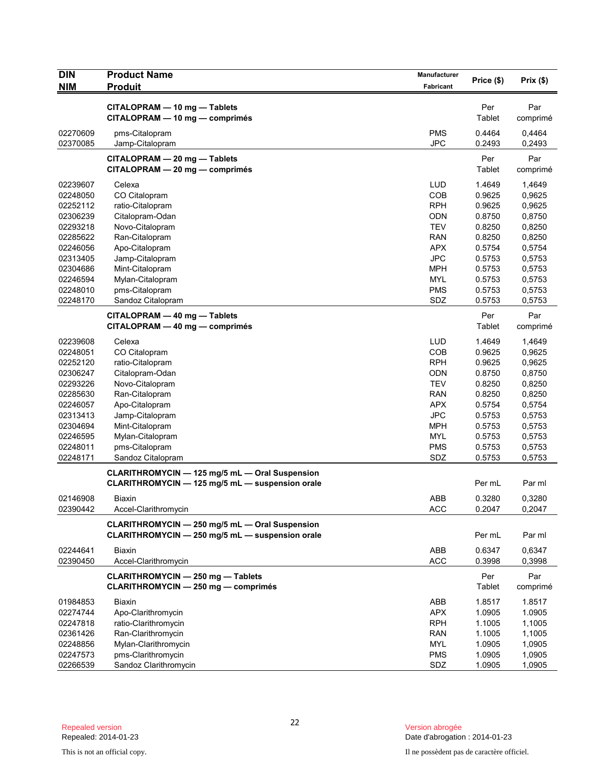| <b>DIN</b>           | <b>Product Name</b>                             | Manufacturer      | Price (\$)       | Prix(\$)         |
|----------------------|-------------------------------------------------|-------------------|------------------|------------------|
| <b>NIM</b>           | <b>Produit</b>                                  | <b>Fabricant</b>  |                  |                  |
|                      | CITALOPRAM - 10 mg - Tablets                    |                   | Per              | Par              |
|                      | CITALOPRAM - 10 mg - comprimés                  |                   | Tablet           | comprimé         |
| 02270609             | pms-Citalopram                                  | <b>PMS</b>        | 0.4464           | 0,4464           |
| 02370085             | Jamp-Citalopram                                 | <b>JPC</b>        | 0.2493           | 0,2493           |
|                      | CITALOPRAM - 20 mg - Tablets                    |                   | Per              | Par              |
|                      | CITALOPRAM - 20 mg - comprimés                  |                   | Tablet           | comprimé         |
|                      |                                                 |                   |                  |                  |
| 02239607<br>02248050 | Celexa<br>CO Citalopram                         | <b>LUD</b><br>COB | 1.4649<br>0.9625 | 1,4649           |
| 02252112             | ratio-Citalopram                                | <b>RPH</b>        | 0.9625           | 0,9625<br>0,9625 |
| 02306239             | Citalopram-Odan                                 | <b>ODN</b>        | 0.8750           | 0,8750           |
| 02293218             | Novo-Citalopram                                 | <b>TEV</b>        | 0.8250           | 0,8250           |
| 02285622             | Ran-Citalopram                                  | <b>RAN</b>        | 0.8250           | 0,8250           |
| 02246056             | Apo-Citalopram                                  | <b>APX</b>        | 0.5754           | 0,5754           |
| 02313405             | Jamp-Citalopram                                 | <b>JPC</b>        | 0.5753           | 0,5753           |
| 02304686             | Mint-Citalopram                                 | <b>MPH</b>        | 0.5753           | 0,5753           |
| 02246594             | Mylan-Citalopram                                | <b>MYL</b>        | 0.5753           | 0,5753           |
| 02248010             | pms-Citalopram                                  | <b>PMS</b>        | 0.5753           | 0,5753           |
| 02248170             | Sandoz Citalopram                               | SDZ               | 0.5753           | 0,5753           |
|                      | CITALOPRAM - 40 mg - Tablets                    |                   | Per              | Par              |
|                      | CITALOPRAM - 40 mg - comprimés                  |                   | Tablet           | comprimé         |
| 02239608             | Celexa                                          | <b>LUD</b>        | 1.4649           | 1,4649           |
| 02248051             | CO Citalopram                                   | COB               | 0.9625           | 0,9625           |
| 02252120             | ratio-Citalopram                                | <b>RPH</b>        | 0.9625           | 0,9625           |
| 02306247             | Citalopram-Odan                                 | <b>ODN</b>        | 0.8750           | 0,8750           |
| 02293226             | Novo-Citalopram                                 | <b>TEV</b>        | 0.8250           | 0,8250           |
| 02285630             | Ran-Citalopram                                  | <b>RAN</b>        | 0.8250           | 0,8250           |
| 02246057             | Apo-Citalopram                                  | <b>APX</b>        | 0.5754           | 0,5754           |
| 02313413             | Jamp-Citalopram                                 | <b>JPC</b>        | 0.5753           | 0,5753           |
| 02304694             | Mint-Citalopram                                 | <b>MPH</b>        | 0.5753           | 0,5753           |
| 02246595             | Mylan-Citalopram                                | MYL               | 0.5753           | 0,5753           |
| 02248011             | pms-Citalopram                                  | <b>PMS</b>        | 0.5753           | 0,5753           |
| 02248171             | Sandoz Citalopram                               | SDZ               | 0.5753           | 0,5753           |
|                      | CLARITHROMYCIN - 125 mg/5 mL - Oral Suspension  |                   |                  |                  |
|                      | CLARITHROMYCIN - 125 mg/5 mL - suspension orale |                   | Per mL           | Par ml           |
| 02146908             | Biaxin                                          | ABB               | 0.3280           | 0,3280           |
| 02390442             | Accel-Clarithromycin                            | <b>ACC</b>        | 0.2047           | 0,2047           |
|                      | CLARITHROMYCIN - 250 mg/5 mL - Oral Suspension  |                   |                  |                  |
|                      | CLARITHROMYCIN - 250 mg/5 mL - suspension orale |                   | Per mL           | Par ml           |
| 02244641             | Biaxin                                          | ABB               | 0.6347           | 0,6347           |
| 02390450             | Accel-Clarithromycin                            | <b>ACC</b>        | 0.3998           | 0,3998           |
|                      | <b>CLARITHROMYCIN - 250 mg - Tablets</b>        |                   | Per              | Par              |
|                      | <b>CLARITHROMYCIN - 250 mg - comprimés</b>      |                   | Tablet           | comprimé         |
| 01984853             | Biaxin                                          | ABB               | 1.8517           | 1.8517           |
| 02274744             | Apo-Clarithromycin                              | <b>APX</b>        | 1.0905           | 1.0905           |
| 02247818             | ratio-Clarithromycin                            | <b>RPH</b>        | 1.1005           | 1,1005           |
| 02361426             | Ran-Clarithromycin                              | <b>RAN</b>        | 1.1005           | 1,1005           |
| 02248856             | Mylan-Clarithromycin                            | <b>MYL</b>        | 1.0905           | 1,0905           |
| 02247573             | pms-Clarithromycin                              | <b>PMS</b>        | 1.0905           | 1,0905           |
| 02266539             | Sandoz Clarithromycin                           | SDZ               | 1.0905           | 1,0905           |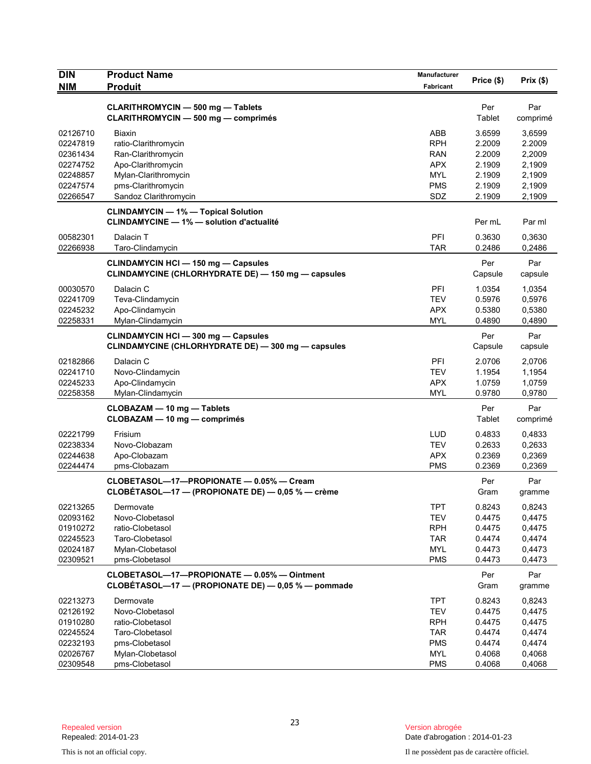| <b>CLARITHROMYCIN - 500 mg - Tablets</b><br>Per<br>Par<br><b>CLARITHROMYCIN - 500 mg - comprimés</b><br>Tablet<br>comprimé<br>ABB<br>3.6599<br>02126710<br><b>Biaxin</b><br>3,6599<br>ratio-Clarithromycin<br><b>RPH</b><br>2.2009<br>2.2009<br>02247819<br>Ran-Clarithromycin<br><b>RAN</b><br>2.2009<br>2,2009<br>02361434<br>Apo-Clarithromycin<br><b>APX</b><br>2.1909<br>02274752<br>2,1909<br>Mylan-Clarithromycin<br><b>MYL</b><br>2.1909<br>2,1909<br>02248857<br>02247574<br>pms-Clarithromycin<br><b>PMS</b><br>2.1909<br>2,1909<br>02266547<br>Sandoz Clarithromycin<br>SDZ<br>2.1909<br>2,1909<br><b>CLINDAMYCIN - 1% - Topical Solution</b><br><b>CLINDAMYCINE - 1% - solution d'actualité</b><br>Per mL<br>Par ml<br>00582301<br>Dalacin T<br>PFI<br>0,3630<br>0.3630<br>02266938<br><b>TAR</b><br>Taro-Clindamycin<br>0.2486<br>0,2486<br><b>CLINDAMYCIN HCI - 150 mg - Capsules</b><br>Per<br>Par<br>CLINDAMYCINE (CHLORHYDRATE DE) - 150 mg - capsules<br>Capsule<br>capsule<br>Dalacin C<br>PFI<br>1.0354<br>1,0354<br>00030570<br>02241709<br>Teva-Clindamycin<br><b>TEV</b><br>0.5976<br>0,5976<br>02245232<br>Apo-Clindamycin<br><b>APX</b><br>0.5380<br>0,5380<br>02258331<br><b>MYL</b><br>0.4890<br>0,4890<br>Mylan-Clindamycin<br>Per<br>Par<br><b>CLINDAMYCIN HCI - 300 mg - Capsules</b><br>CLINDAMYCINE (CHLORHYDRATE DE) — 300 mg — capsules<br>Capsule<br>capsule<br>02182866<br>Dalacin C<br>PFI<br>2.0706<br>2,0706<br>Novo-Clindamycin<br><b>TEV</b><br>1.1954<br>1,1954<br>02241710<br>02245233<br>Apo-Clindamycin<br><b>APX</b><br>1.0759<br>1,0759<br>02258358<br>Mylan-Clindamycin<br>0.9780<br>MYL<br>0,9780<br>Per<br>Par<br>CLOBAZAM - 10 mg - Tablets<br>CLOBAZAM - 10 mg - comprimés<br>Tablet<br>comprimé<br><b>LUD</b><br>0.4833<br>02221799<br>Frisium<br>0,4833<br><b>TEV</b><br>02238334<br>Novo-Clobazam<br>0.2633<br>0,2633<br>02244638<br>Apo-Clobazam<br><b>APX</b><br>0.2369<br>0,2369<br>02244474<br><b>PMS</b><br>0.2369<br>0,2369<br>pms-Clobazam<br>CLOBETASOL-17-PROPIONATE - 0.05% - Cream<br>Per<br>Par<br>CLOBÉTASOL—17 — (PROPIONATE DE) — $0,05$ % — crème<br>Gram<br>gramme<br>02213265<br><b>TPT</b><br>0.8243<br>0,8243<br>Dermovate<br>02093162<br>Novo-Clobetasol<br><b>TEV</b><br>0.4475<br>0,4475<br>01910272<br><b>RPH</b><br>0.4475<br>0,4475<br>ratio-Clobetasol<br>02245523<br>Taro-Clobetasol<br><b>TAR</b><br>0.4474<br>0,4474<br>Mylan-Clobetasol<br>0.4473<br>02024187<br>MYL<br>0,4473<br><b>PMS</b><br>02309521<br>pms-Clobetasol<br>0.4473<br>0,4473<br>CLOBETASOL-17-PROPIONATE - 0.05% - Ointment<br>Par<br>Per<br>CLOBÉTASOL-17 - (PROPIONATE DE) - 0,05 % - pommade<br>Gram<br>gramme<br>Dermovate<br><b>TPT</b><br>0.8243<br>02213273<br>0,8243<br><b>TEV</b><br>02126192<br>Novo-Clobetasol<br>0.4475<br>0,4475<br>01910280<br>ratio-Clobetasol<br><b>RPH</b><br>0.4475<br>0,4475<br>02245524<br>Taro-Clobetasol<br><b>TAR</b><br>0.4474<br>0,4474<br>02232193<br>pms-Clobetasol<br><b>PMS</b><br>0.4474<br>0,4474<br>0.4068<br>02026767<br>Mylan-Clobetasol<br>MYL<br>0,4068<br>02309548<br>pms-Clobetasol<br><b>PMS</b><br>0.4068<br>0,4068 | <b>DIN</b> | <b>Product Name</b> | Manufacturer | Price (\$) | Prix(\$) |
|-------------------------------------------------------------------------------------------------------------------------------------------------------------------------------------------------------------------------------------------------------------------------------------------------------------------------------------------------------------------------------------------------------------------------------------------------------------------------------------------------------------------------------------------------------------------------------------------------------------------------------------------------------------------------------------------------------------------------------------------------------------------------------------------------------------------------------------------------------------------------------------------------------------------------------------------------------------------------------------------------------------------------------------------------------------------------------------------------------------------------------------------------------------------------------------------------------------------------------------------------------------------------------------------------------------------------------------------------------------------------------------------------------------------------------------------------------------------------------------------------------------------------------------------------------------------------------------------------------------------------------------------------------------------------------------------------------------------------------------------------------------------------------------------------------------------------------------------------------------------------------------------------------------------------------------------------------------------------------------------------------------------------------------------------------------------------------------------------------------------------------------------------------------------------------------------------------------------------------------------------------------------------------------------------------------------------------------------------------------------------------------------------------------------------------------------------------------------------------------------------------------------------------------------------------------------------------------------------------------------------------------------------------------------------------------------------------------------------------------------------------------------------------------------------------------------------------------------------------------------------------------------------------------------------------------------------------------------------------------------------------------------------------------------------------------------------------------------------------------------------------------|------------|---------------------|--------------|------------|----------|
|                                                                                                                                                                                                                                                                                                                                                                                                                                                                                                                                                                                                                                                                                                                                                                                                                                                                                                                                                                                                                                                                                                                                                                                                                                                                                                                                                                                                                                                                                                                                                                                                                                                                                                                                                                                                                                                                                                                                                                                                                                                                                                                                                                                                                                                                                                                                                                                                                                                                                                                                                                                                                                                                                                                                                                                                                                                                                                                                                                                                                                                                                                                                     | <b>NIM</b> | <b>Produit</b>      | Fabricant    |            |          |
|                                                                                                                                                                                                                                                                                                                                                                                                                                                                                                                                                                                                                                                                                                                                                                                                                                                                                                                                                                                                                                                                                                                                                                                                                                                                                                                                                                                                                                                                                                                                                                                                                                                                                                                                                                                                                                                                                                                                                                                                                                                                                                                                                                                                                                                                                                                                                                                                                                                                                                                                                                                                                                                                                                                                                                                                                                                                                                                                                                                                                                                                                                                                     |            |                     |              |            |          |
|                                                                                                                                                                                                                                                                                                                                                                                                                                                                                                                                                                                                                                                                                                                                                                                                                                                                                                                                                                                                                                                                                                                                                                                                                                                                                                                                                                                                                                                                                                                                                                                                                                                                                                                                                                                                                                                                                                                                                                                                                                                                                                                                                                                                                                                                                                                                                                                                                                                                                                                                                                                                                                                                                                                                                                                                                                                                                                                                                                                                                                                                                                                                     |            |                     |              |            |          |
|                                                                                                                                                                                                                                                                                                                                                                                                                                                                                                                                                                                                                                                                                                                                                                                                                                                                                                                                                                                                                                                                                                                                                                                                                                                                                                                                                                                                                                                                                                                                                                                                                                                                                                                                                                                                                                                                                                                                                                                                                                                                                                                                                                                                                                                                                                                                                                                                                                                                                                                                                                                                                                                                                                                                                                                                                                                                                                                                                                                                                                                                                                                                     |            |                     |              |            |          |
|                                                                                                                                                                                                                                                                                                                                                                                                                                                                                                                                                                                                                                                                                                                                                                                                                                                                                                                                                                                                                                                                                                                                                                                                                                                                                                                                                                                                                                                                                                                                                                                                                                                                                                                                                                                                                                                                                                                                                                                                                                                                                                                                                                                                                                                                                                                                                                                                                                                                                                                                                                                                                                                                                                                                                                                                                                                                                                                                                                                                                                                                                                                                     |            |                     |              |            |          |
|                                                                                                                                                                                                                                                                                                                                                                                                                                                                                                                                                                                                                                                                                                                                                                                                                                                                                                                                                                                                                                                                                                                                                                                                                                                                                                                                                                                                                                                                                                                                                                                                                                                                                                                                                                                                                                                                                                                                                                                                                                                                                                                                                                                                                                                                                                                                                                                                                                                                                                                                                                                                                                                                                                                                                                                                                                                                                                                                                                                                                                                                                                                                     |            |                     |              |            |          |
|                                                                                                                                                                                                                                                                                                                                                                                                                                                                                                                                                                                                                                                                                                                                                                                                                                                                                                                                                                                                                                                                                                                                                                                                                                                                                                                                                                                                                                                                                                                                                                                                                                                                                                                                                                                                                                                                                                                                                                                                                                                                                                                                                                                                                                                                                                                                                                                                                                                                                                                                                                                                                                                                                                                                                                                                                                                                                                                                                                                                                                                                                                                                     |            |                     |              |            |          |
|                                                                                                                                                                                                                                                                                                                                                                                                                                                                                                                                                                                                                                                                                                                                                                                                                                                                                                                                                                                                                                                                                                                                                                                                                                                                                                                                                                                                                                                                                                                                                                                                                                                                                                                                                                                                                                                                                                                                                                                                                                                                                                                                                                                                                                                                                                                                                                                                                                                                                                                                                                                                                                                                                                                                                                                                                                                                                                                                                                                                                                                                                                                                     |            |                     |              |            |          |
|                                                                                                                                                                                                                                                                                                                                                                                                                                                                                                                                                                                                                                                                                                                                                                                                                                                                                                                                                                                                                                                                                                                                                                                                                                                                                                                                                                                                                                                                                                                                                                                                                                                                                                                                                                                                                                                                                                                                                                                                                                                                                                                                                                                                                                                                                                                                                                                                                                                                                                                                                                                                                                                                                                                                                                                                                                                                                                                                                                                                                                                                                                                                     |            |                     |              |            |          |
|                                                                                                                                                                                                                                                                                                                                                                                                                                                                                                                                                                                                                                                                                                                                                                                                                                                                                                                                                                                                                                                                                                                                                                                                                                                                                                                                                                                                                                                                                                                                                                                                                                                                                                                                                                                                                                                                                                                                                                                                                                                                                                                                                                                                                                                                                                                                                                                                                                                                                                                                                                                                                                                                                                                                                                                                                                                                                                                                                                                                                                                                                                                                     |            |                     |              |            |          |
|                                                                                                                                                                                                                                                                                                                                                                                                                                                                                                                                                                                                                                                                                                                                                                                                                                                                                                                                                                                                                                                                                                                                                                                                                                                                                                                                                                                                                                                                                                                                                                                                                                                                                                                                                                                                                                                                                                                                                                                                                                                                                                                                                                                                                                                                                                                                                                                                                                                                                                                                                                                                                                                                                                                                                                                                                                                                                                                                                                                                                                                                                                                                     |            |                     |              |            |          |
|                                                                                                                                                                                                                                                                                                                                                                                                                                                                                                                                                                                                                                                                                                                                                                                                                                                                                                                                                                                                                                                                                                                                                                                                                                                                                                                                                                                                                                                                                                                                                                                                                                                                                                                                                                                                                                                                                                                                                                                                                                                                                                                                                                                                                                                                                                                                                                                                                                                                                                                                                                                                                                                                                                                                                                                                                                                                                                                                                                                                                                                                                                                                     |            |                     |              |            |          |
|                                                                                                                                                                                                                                                                                                                                                                                                                                                                                                                                                                                                                                                                                                                                                                                                                                                                                                                                                                                                                                                                                                                                                                                                                                                                                                                                                                                                                                                                                                                                                                                                                                                                                                                                                                                                                                                                                                                                                                                                                                                                                                                                                                                                                                                                                                                                                                                                                                                                                                                                                                                                                                                                                                                                                                                                                                                                                                                                                                                                                                                                                                                                     |            |                     |              |            |          |
|                                                                                                                                                                                                                                                                                                                                                                                                                                                                                                                                                                                                                                                                                                                                                                                                                                                                                                                                                                                                                                                                                                                                                                                                                                                                                                                                                                                                                                                                                                                                                                                                                                                                                                                                                                                                                                                                                                                                                                                                                                                                                                                                                                                                                                                                                                                                                                                                                                                                                                                                                                                                                                                                                                                                                                                                                                                                                                                                                                                                                                                                                                                                     |            |                     |              |            |          |
|                                                                                                                                                                                                                                                                                                                                                                                                                                                                                                                                                                                                                                                                                                                                                                                                                                                                                                                                                                                                                                                                                                                                                                                                                                                                                                                                                                                                                                                                                                                                                                                                                                                                                                                                                                                                                                                                                                                                                                                                                                                                                                                                                                                                                                                                                                                                                                                                                                                                                                                                                                                                                                                                                                                                                                                                                                                                                                                                                                                                                                                                                                                                     |            |                     |              |            |          |
|                                                                                                                                                                                                                                                                                                                                                                                                                                                                                                                                                                                                                                                                                                                                                                                                                                                                                                                                                                                                                                                                                                                                                                                                                                                                                                                                                                                                                                                                                                                                                                                                                                                                                                                                                                                                                                                                                                                                                                                                                                                                                                                                                                                                                                                                                                                                                                                                                                                                                                                                                                                                                                                                                                                                                                                                                                                                                                                                                                                                                                                                                                                                     |            |                     |              |            |          |
|                                                                                                                                                                                                                                                                                                                                                                                                                                                                                                                                                                                                                                                                                                                                                                                                                                                                                                                                                                                                                                                                                                                                                                                                                                                                                                                                                                                                                                                                                                                                                                                                                                                                                                                                                                                                                                                                                                                                                                                                                                                                                                                                                                                                                                                                                                                                                                                                                                                                                                                                                                                                                                                                                                                                                                                                                                                                                                                                                                                                                                                                                                                                     |            |                     |              |            |          |
|                                                                                                                                                                                                                                                                                                                                                                                                                                                                                                                                                                                                                                                                                                                                                                                                                                                                                                                                                                                                                                                                                                                                                                                                                                                                                                                                                                                                                                                                                                                                                                                                                                                                                                                                                                                                                                                                                                                                                                                                                                                                                                                                                                                                                                                                                                                                                                                                                                                                                                                                                                                                                                                                                                                                                                                                                                                                                                                                                                                                                                                                                                                                     |            |                     |              |            |          |
|                                                                                                                                                                                                                                                                                                                                                                                                                                                                                                                                                                                                                                                                                                                                                                                                                                                                                                                                                                                                                                                                                                                                                                                                                                                                                                                                                                                                                                                                                                                                                                                                                                                                                                                                                                                                                                                                                                                                                                                                                                                                                                                                                                                                                                                                                                                                                                                                                                                                                                                                                                                                                                                                                                                                                                                                                                                                                                                                                                                                                                                                                                                                     |            |                     |              |            |          |
|                                                                                                                                                                                                                                                                                                                                                                                                                                                                                                                                                                                                                                                                                                                                                                                                                                                                                                                                                                                                                                                                                                                                                                                                                                                                                                                                                                                                                                                                                                                                                                                                                                                                                                                                                                                                                                                                                                                                                                                                                                                                                                                                                                                                                                                                                                                                                                                                                                                                                                                                                                                                                                                                                                                                                                                                                                                                                                                                                                                                                                                                                                                                     |            |                     |              |            |          |
|                                                                                                                                                                                                                                                                                                                                                                                                                                                                                                                                                                                                                                                                                                                                                                                                                                                                                                                                                                                                                                                                                                                                                                                                                                                                                                                                                                                                                                                                                                                                                                                                                                                                                                                                                                                                                                                                                                                                                                                                                                                                                                                                                                                                                                                                                                                                                                                                                                                                                                                                                                                                                                                                                                                                                                                                                                                                                                                                                                                                                                                                                                                                     |            |                     |              |            |          |
|                                                                                                                                                                                                                                                                                                                                                                                                                                                                                                                                                                                                                                                                                                                                                                                                                                                                                                                                                                                                                                                                                                                                                                                                                                                                                                                                                                                                                                                                                                                                                                                                                                                                                                                                                                                                                                                                                                                                                                                                                                                                                                                                                                                                                                                                                                                                                                                                                                                                                                                                                                                                                                                                                                                                                                                                                                                                                                                                                                                                                                                                                                                                     |            |                     |              |            |          |
|                                                                                                                                                                                                                                                                                                                                                                                                                                                                                                                                                                                                                                                                                                                                                                                                                                                                                                                                                                                                                                                                                                                                                                                                                                                                                                                                                                                                                                                                                                                                                                                                                                                                                                                                                                                                                                                                                                                                                                                                                                                                                                                                                                                                                                                                                                                                                                                                                                                                                                                                                                                                                                                                                                                                                                                                                                                                                                                                                                                                                                                                                                                                     |            |                     |              |            |          |
|                                                                                                                                                                                                                                                                                                                                                                                                                                                                                                                                                                                                                                                                                                                                                                                                                                                                                                                                                                                                                                                                                                                                                                                                                                                                                                                                                                                                                                                                                                                                                                                                                                                                                                                                                                                                                                                                                                                                                                                                                                                                                                                                                                                                                                                                                                                                                                                                                                                                                                                                                                                                                                                                                                                                                                                                                                                                                                                                                                                                                                                                                                                                     |            |                     |              |            |          |
|                                                                                                                                                                                                                                                                                                                                                                                                                                                                                                                                                                                                                                                                                                                                                                                                                                                                                                                                                                                                                                                                                                                                                                                                                                                                                                                                                                                                                                                                                                                                                                                                                                                                                                                                                                                                                                                                                                                                                                                                                                                                                                                                                                                                                                                                                                                                                                                                                                                                                                                                                                                                                                                                                                                                                                                                                                                                                                                                                                                                                                                                                                                                     |            |                     |              |            |          |
|                                                                                                                                                                                                                                                                                                                                                                                                                                                                                                                                                                                                                                                                                                                                                                                                                                                                                                                                                                                                                                                                                                                                                                                                                                                                                                                                                                                                                                                                                                                                                                                                                                                                                                                                                                                                                                                                                                                                                                                                                                                                                                                                                                                                                                                                                                                                                                                                                                                                                                                                                                                                                                                                                                                                                                                                                                                                                                                                                                                                                                                                                                                                     |            |                     |              |            |          |
|                                                                                                                                                                                                                                                                                                                                                                                                                                                                                                                                                                                                                                                                                                                                                                                                                                                                                                                                                                                                                                                                                                                                                                                                                                                                                                                                                                                                                                                                                                                                                                                                                                                                                                                                                                                                                                                                                                                                                                                                                                                                                                                                                                                                                                                                                                                                                                                                                                                                                                                                                                                                                                                                                                                                                                                                                                                                                                                                                                                                                                                                                                                                     |            |                     |              |            |          |
|                                                                                                                                                                                                                                                                                                                                                                                                                                                                                                                                                                                                                                                                                                                                                                                                                                                                                                                                                                                                                                                                                                                                                                                                                                                                                                                                                                                                                                                                                                                                                                                                                                                                                                                                                                                                                                                                                                                                                                                                                                                                                                                                                                                                                                                                                                                                                                                                                                                                                                                                                                                                                                                                                                                                                                                                                                                                                                                                                                                                                                                                                                                                     |            |                     |              |            |          |
|                                                                                                                                                                                                                                                                                                                                                                                                                                                                                                                                                                                                                                                                                                                                                                                                                                                                                                                                                                                                                                                                                                                                                                                                                                                                                                                                                                                                                                                                                                                                                                                                                                                                                                                                                                                                                                                                                                                                                                                                                                                                                                                                                                                                                                                                                                                                                                                                                                                                                                                                                                                                                                                                                                                                                                                                                                                                                                                                                                                                                                                                                                                                     |            |                     |              |            |          |
|                                                                                                                                                                                                                                                                                                                                                                                                                                                                                                                                                                                                                                                                                                                                                                                                                                                                                                                                                                                                                                                                                                                                                                                                                                                                                                                                                                                                                                                                                                                                                                                                                                                                                                                                                                                                                                                                                                                                                                                                                                                                                                                                                                                                                                                                                                                                                                                                                                                                                                                                                                                                                                                                                                                                                                                                                                                                                                                                                                                                                                                                                                                                     |            |                     |              |            |          |
|                                                                                                                                                                                                                                                                                                                                                                                                                                                                                                                                                                                                                                                                                                                                                                                                                                                                                                                                                                                                                                                                                                                                                                                                                                                                                                                                                                                                                                                                                                                                                                                                                                                                                                                                                                                                                                                                                                                                                                                                                                                                                                                                                                                                                                                                                                                                                                                                                                                                                                                                                                                                                                                                                                                                                                                                                                                                                                                                                                                                                                                                                                                                     |            |                     |              |            |          |
|                                                                                                                                                                                                                                                                                                                                                                                                                                                                                                                                                                                                                                                                                                                                                                                                                                                                                                                                                                                                                                                                                                                                                                                                                                                                                                                                                                                                                                                                                                                                                                                                                                                                                                                                                                                                                                                                                                                                                                                                                                                                                                                                                                                                                                                                                                                                                                                                                                                                                                                                                                                                                                                                                                                                                                                                                                                                                                                                                                                                                                                                                                                                     |            |                     |              |            |          |
|                                                                                                                                                                                                                                                                                                                                                                                                                                                                                                                                                                                                                                                                                                                                                                                                                                                                                                                                                                                                                                                                                                                                                                                                                                                                                                                                                                                                                                                                                                                                                                                                                                                                                                                                                                                                                                                                                                                                                                                                                                                                                                                                                                                                                                                                                                                                                                                                                                                                                                                                                                                                                                                                                                                                                                                                                                                                                                                                                                                                                                                                                                                                     |            |                     |              |            |          |
|                                                                                                                                                                                                                                                                                                                                                                                                                                                                                                                                                                                                                                                                                                                                                                                                                                                                                                                                                                                                                                                                                                                                                                                                                                                                                                                                                                                                                                                                                                                                                                                                                                                                                                                                                                                                                                                                                                                                                                                                                                                                                                                                                                                                                                                                                                                                                                                                                                                                                                                                                                                                                                                                                                                                                                                                                                                                                                                                                                                                                                                                                                                                     |            |                     |              |            |          |
|                                                                                                                                                                                                                                                                                                                                                                                                                                                                                                                                                                                                                                                                                                                                                                                                                                                                                                                                                                                                                                                                                                                                                                                                                                                                                                                                                                                                                                                                                                                                                                                                                                                                                                                                                                                                                                                                                                                                                                                                                                                                                                                                                                                                                                                                                                                                                                                                                                                                                                                                                                                                                                                                                                                                                                                                                                                                                                                                                                                                                                                                                                                                     |            |                     |              |            |          |
|                                                                                                                                                                                                                                                                                                                                                                                                                                                                                                                                                                                                                                                                                                                                                                                                                                                                                                                                                                                                                                                                                                                                                                                                                                                                                                                                                                                                                                                                                                                                                                                                                                                                                                                                                                                                                                                                                                                                                                                                                                                                                                                                                                                                                                                                                                                                                                                                                                                                                                                                                                                                                                                                                                                                                                                                                                                                                                                                                                                                                                                                                                                                     |            |                     |              |            |          |
|                                                                                                                                                                                                                                                                                                                                                                                                                                                                                                                                                                                                                                                                                                                                                                                                                                                                                                                                                                                                                                                                                                                                                                                                                                                                                                                                                                                                                                                                                                                                                                                                                                                                                                                                                                                                                                                                                                                                                                                                                                                                                                                                                                                                                                                                                                                                                                                                                                                                                                                                                                                                                                                                                                                                                                                                                                                                                                                                                                                                                                                                                                                                     |            |                     |              |            |          |
|                                                                                                                                                                                                                                                                                                                                                                                                                                                                                                                                                                                                                                                                                                                                                                                                                                                                                                                                                                                                                                                                                                                                                                                                                                                                                                                                                                                                                                                                                                                                                                                                                                                                                                                                                                                                                                                                                                                                                                                                                                                                                                                                                                                                                                                                                                                                                                                                                                                                                                                                                                                                                                                                                                                                                                                                                                                                                                                                                                                                                                                                                                                                     |            |                     |              |            |          |
|                                                                                                                                                                                                                                                                                                                                                                                                                                                                                                                                                                                                                                                                                                                                                                                                                                                                                                                                                                                                                                                                                                                                                                                                                                                                                                                                                                                                                                                                                                                                                                                                                                                                                                                                                                                                                                                                                                                                                                                                                                                                                                                                                                                                                                                                                                                                                                                                                                                                                                                                                                                                                                                                                                                                                                                                                                                                                                                                                                                                                                                                                                                                     |            |                     |              |            |          |
|                                                                                                                                                                                                                                                                                                                                                                                                                                                                                                                                                                                                                                                                                                                                                                                                                                                                                                                                                                                                                                                                                                                                                                                                                                                                                                                                                                                                                                                                                                                                                                                                                                                                                                                                                                                                                                                                                                                                                                                                                                                                                                                                                                                                                                                                                                                                                                                                                                                                                                                                                                                                                                                                                                                                                                                                                                                                                                                                                                                                                                                                                                                                     |            |                     |              |            |          |
|                                                                                                                                                                                                                                                                                                                                                                                                                                                                                                                                                                                                                                                                                                                                                                                                                                                                                                                                                                                                                                                                                                                                                                                                                                                                                                                                                                                                                                                                                                                                                                                                                                                                                                                                                                                                                                                                                                                                                                                                                                                                                                                                                                                                                                                                                                                                                                                                                                                                                                                                                                                                                                                                                                                                                                                                                                                                                                                                                                                                                                                                                                                                     |            |                     |              |            |          |
|                                                                                                                                                                                                                                                                                                                                                                                                                                                                                                                                                                                                                                                                                                                                                                                                                                                                                                                                                                                                                                                                                                                                                                                                                                                                                                                                                                                                                                                                                                                                                                                                                                                                                                                                                                                                                                                                                                                                                                                                                                                                                                                                                                                                                                                                                                                                                                                                                                                                                                                                                                                                                                                                                                                                                                                                                                                                                                                                                                                                                                                                                                                                     |            |                     |              |            |          |
|                                                                                                                                                                                                                                                                                                                                                                                                                                                                                                                                                                                                                                                                                                                                                                                                                                                                                                                                                                                                                                                                                                                                                                                                                                                                                                                                                                                                                                                                                                                                                                                                                                                                                                                                                                                                                                                                                                                                                                                                                                                                                                                                                                                                                                                                                                                                                                                                                                                                                                                                                                                                                                                                                                                                                                                                                                                                                                                                                                                                                                                                                                                                     |            |                     |              |            |          |
|                                                                                                                                                                                                                                                                                                                                                                                                                                                                                                                                                                                                                                                                                                                                                                                                                                                                                                                                                                                                                                                                                                                                                                                                                                                                                                                                                                                                                                                                                                                                                                                                                                                                                                                                                                                                                                                                                                                                                                                                                                                                                                                                                                                                                                                                                                                                                                                                                                                                                                                                                                                                                                                                                                                                                                                                                                                                                                                                                                                                                                                                                                                                     |            |                     |              |            |          |
|                                                                                                                                                                                                                                                                                                                                                                                                                                                                                                                                                                                                                                                                                                                                                                                                                                                                                                                                                                                                                                                                                                                                                                                                                                                                                                                                                                                                                                                                                                                                                                                                                                                                                                                                                                                                                                                                                                                                                                                                                                                                                                                                                                                                                                                                                                                                                                                                                                                                                                                                                                                                                                                                                                                                                                                                                                                                                                                                                                                                                                                                                                                                     |            |                     |              |            |          |
|                                                                                                                                                                                                                                                                                                                                                                                                                                                                                                                                                                                                                                                                                                                                                                                                                                                                                                                                                                                                                                                                                                                                                                                                                                                                                                                                                                                                                                                                                                                                                                                                                                                                                                                                                                                                                                                                                                                                                                                                                                                                                                                                                                                                                                                                                                                                                                                                                                                                                                                                                                                                                                                                                                                                                                                                                                                                                                                                                                                                                                                                                                                                     |            |                     |              |            |          |
|                                                                                                                                                                                                                                                                                                                                                                                                                                                                                                                                                                                                                                                                                                                                                                                                                                                                                                                                                                                                                                                                                                                                                                                                                                                                                                                                                                                                                                                                                                                                                                                                                                                                                                                                                                                                                                                                                                                                                                                                                                                                                                                                                                                                                                                                                                                                                                                                                                                                                                                                                                                                                                                                                                                                                                                                                                                                                                                                                                                                                                                                                                                                     |            |                     |              |            |          |
|                                                                                                                                                                                                                                                                                                                                                                                                                                                                                                                                                                                                                                                                                                                                                                                                                                                                                                                                                                                                                                                                                                                                                                                                                                                                                                                                                                                                                                                                                                                                                                                                                                                                                                                                                                                                                                                                                                                                                                                                                                                                                                                                                                                                                                                                                                                                                                                                                                                                                                                                                                                                                                                                                                                                                                                                                                                                                                                                                                                                                                                                                                                                     |            |                     |              |            |          |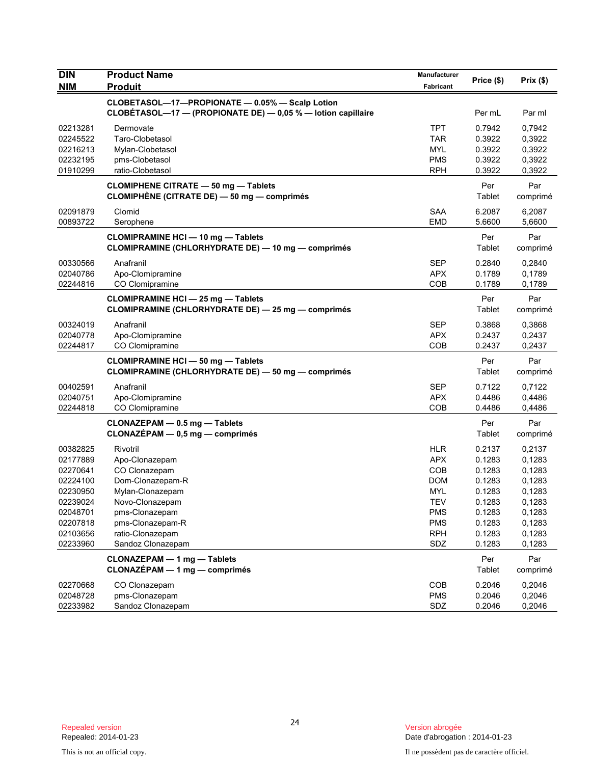| <b>DIN</b><br><b>NIM</b> | <b>Product Name</b><br><b>Produit</b>                                                                  | Manufacturer<br>Fabricant | Price (\$)       | Prix(\$)         |
|--------------------------|--------------------------------------------------------------------------------------------------------|---------------------------|------------------|------------------|
|                          | CLOBETASOL-17-PROPIONATE - 0.05% - Scalp Lotion                                                        |                           |                  |                  |
|                          | CLOBÉTASOL-17 - (PROPIONATE DE) - 0,05 % - lotion capillaire                                           |                           | Per mL           | Par ml           |
| 02213281                 | Dermovate                                                                                              | TPT                       | 0.7942           | 0,7942           |
| 02245522                 | Taro-Clobetasol                                                                                        | <b>TAR</b>                | 0.3922           | 0,3922           |
| 02216213                 | Mylan-Clobetasol                                                                                       | MYL                       | 0.3922           | 0,3922           |
| 02232195                 | pms-Clobetasol                                                                                         | <b>PMS</b><br><b>RPH</b>  | 0.3922           | 0,3922           |
| 01910299                 | ratio-Clobetasol                                                                                       |                           | 0.3922           | 0,3922           |
|                          | <b>CLOMIPHENE CITRATE - 50 mg - Tablets</b><br>CLOMIPHÈNE (CITRATE DE) — 50 mg — comprimés             |                           | Per<br>Tablet    | Par<br>comprimé  |
| 02091879                 | Clomid                                                                                                 | <b>SAA</b>                | 6.2087           | 6,2087           |
| 00893722                 | Serophene                                                                                              | <b>EMD</b>                | 5.6600           | 5,6600           |
|                          | <b>CLOMIPRAMINE HCI-10 mg-Tablets</b>                                                                  |                           | Per              | Par              |
|                          | <b>CLOMIPRAMINE (CHLORHYDRATE DE) - 10 mg - comprimés</b>                                              |                           | Tablet           | comprimé         |
| 00330566                 | Anafranil                                                                                              | <b>SEP</b>                | 0.2840           | 0,2840           |
| 02040786                 | Apo-Clomipramine                                                                                       | <b>APX</b>                | 0.1789           | 0,1789           |
| 02244816                 | CO Clomipramine                                                                                        | <b>COB</b>                | 0.1789           | 0,1789           |
|                          | <b>CLOMIPRAMINE HCI - 25 mg - Tablets</b><br><b>CLOMIPRAMINE (CHLORHYDRATE DE) - 25 mg - comprimés</b> |                           | Per<br>Tablet    | Par<br>comprimé  |
| 00324019                 | Anafranil                                                                                              | SEP                       | 0.3868           | 0,3868           |
| 02040778                 | Apo-Clomipramine                                                                                       | <b>APX</b>                | 0.2437           | 0,2437           |
| 02244817                 | CO Clomipramine                                                                                        | COB                       | 0.2437           | 0,2437           |
|                          | <b>CLOMIPRAMINE HCI - 50 mg - Tablets</b>                                                              |                           | Per              | Par              |
|                          | <b>CLOMIPRAMINE (CHLORHYDRATE DE) - 50 mg - comprimés</b>                                              |                           | Tablet           | comprimé         |
| 00402591                 | Anafranil                                                                                              | SEP                       | 0.7122           | 0,7122           |
| 02040751                 | Apo-Clomipramine                                                                                       | <b>APX</b>                | 0.4486           | 0,4486           |
| 02244818                 | CO Clomipramine                                                                                        | COB                       | 0.4486           | 0,4486           |
|                          | CLONAZEPAM - 0.5 mg - Tablets                                                                          |                           | Per              | Par              |
|                          | CLONAZÉPAM - 0,5 mg - comprimés                                                                        |                           | Tablet           | comprimé         |
| 00382825                 | Rivotril                                                                                               | <b>HLR</b>                | 0.2137           | 0,2137           |
| 02177889                 | Apo-Clonazepam                                                                                         | <b>APX</b>                | 0.1283           | 0,1283           |
| 02270641                 | CO Clonazepam                                                                                          | COB                       | 0.1283           | 0,1283           |
| 02224100                 | Dom-Clonazepam-R                                                                                       | <b>DOM</b>                | 0.1283           | 0,1283           |
| 02230950                 | Mylan-Clonazepam                                                                                       | MYL                       | 0.1283           | 0,1283           |
| 02239024                 | Novo-Clonazepam                                                                                        | TEV                       | 0.1283           | 0,1283           |
| 02048701                 | pms-Clonazepam                                                                                         | <b>PMS</b>                | 0.1283           | 0,1283           |
| 02207818                 | pms-Clonazepam-R<br>ratio-Clonazepam                                                                   | <b>PMS</b><br><b>RPH</b>  | 0.1283           | 0,1283           |
| 02103656<br>02233960     | Sandoz Clonazepam                                                                                      | SDZ                       | 0.1283<br>0.1283 | 0,1283<br>0,1283 |
|                          |                                                                                                        |                           |                  |                  |
|                          | CLONAZEPAM - 1 mg - Tablets<br>$CLONAZÉPAM - 1 mg - comprimés$                                         |                           | Per<br>Tablet    | Par<br>comprimé  |
| 02270668                 | CO Clonazepam                                                                                          | COB                       | 0.2046           | 0,2046           |
| 02048728                 | pms-Clonazepam                                                                                         | <b>PMS</b>                | 0.2046           | 0,2046           |
| 02233982                 | Sandoz Clonazepam                                                                                      | SDZ                       | 0.2046           | 0,2046           |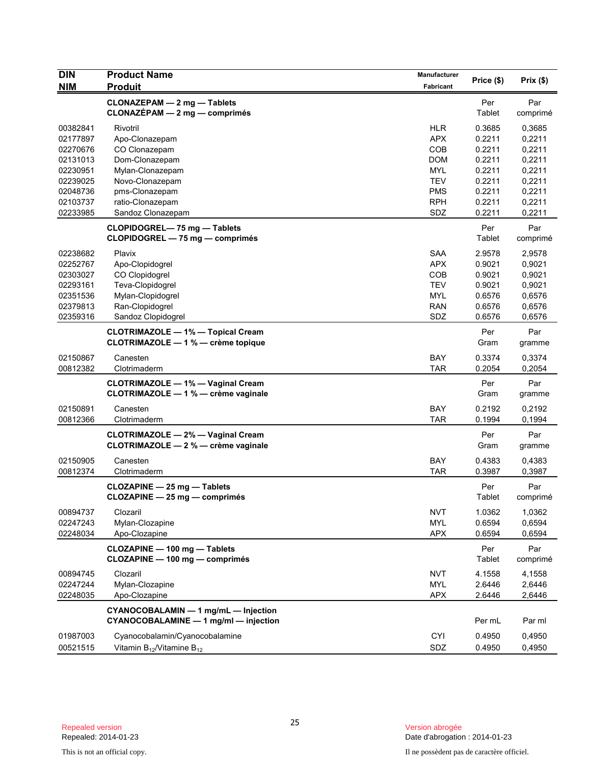| <b>DIN</b> | <b>Product Name</b>                                                             | Manufacturer     | Price (\$)    | Prix(\$)        |
|------------|---------------------------------------------------------------------------------|------------------|---------------|-----------------|
| <b>NIM</b> | <b>Produit</b>                                                                  | <b>Fabricant</b> |               |                 |
|            | CLONAZEPAM - 2 mg - Tablets<br>$CLONAZÉPAM - 2 mg - comprimés$                  |                  | Per<br>Tablet | Par<br>comprimé |
| 00382841   | Rivotril                                                                        | <b>HLR</b>       | 0.3685        | 0,3685          |
| 02177897   | Apo-Clonazepam                                                                  | <b>APX</b>       | 0.2211        | 0,2211          |
| 02270676   | CO Clonazepam                                                                   | <b>COB</b>       | 0.2211        | 0,2211          |
| 02131013   | Dom-Clonazepam                                                                  | <b>DOM</b>       | 0.2211        | 0,2211          |
| 02230951   | Mylan-Clonazepam                                                                | <b>MYL</b>       | 0.2211        | 0,2211          |
| 02239025   | Novo-Clonazepam                                                                 | <b>TEV</b>       | 0.2211        | 0,2211          |
| 02048736   | pms-Clonazepam                                                                  | <b>PMS</b>       | 0.2211        | 0,2211          |
| 02103737   | ratio-Clonazepam                                                                | <b>RPH</b>       | 0.2211        | 0,2211          |
| 02233985   | Sandoz Clonazepam                                                               | SDZ              | 0.2211        | 0,2211          |
|            | CLOPIDOGREL-75 mg-Tablets<br>CLOPIDOGREL - 75 mg - comprimés                    |                  | Per<br>Tablet | Par<br>comprimé |
| 02238682   | Plavix                                                                          | <b>SAA</b>       | 2.9578        | 2,9578          |
| 02252767   | Apo-Clopidogrel                                                                 | <b>APX</b>       | 0.9021        | 0,9021          |
| 02303027   | CO Clopidogrel                                                                  | COB              | 0.9021        | 0,9021          |
| 02293161   | Teva-Clopidogrel                                                                | <b>TEV</b>       | 0.9021        | 0,9021          |
| 02351536   | Mylan-Clopidogrel                                                               | <b>MYL</b>       | 0.6576        | 0,6576          |
| 02379813   | Ran-Clopidogrel                                                                 | <b>RAN</b>       | 0.6576        | 0,6576          |
| 02359316   | Sandoz Clopidogrel                                                              | SDZ              | 0.6576        | 0,6576          |
|            | <b>CLOTRIMAZOLE - 1% - Topical Cream</b><br>CLOTRIMAZOLE - 1 % - crème topique  |                  | Per<br>Gram   | Par<br>gramme   |
| 02150867   | Canesten                                                                        | <b>BAY</b>       | 0.3374        | 0,3374          |
| 00812382   | Clotrimaderm                                                                    | <b>TAR</b>       | 0.2054        | 0,2054          |
|            | <b>CLOTRIMAZOLE - 1% - Vaginal Cream</b><br>CLOTRIMAZOLE - 1 % - crème vaginale |                  | Per<br>Gram   | Par<br>gramme   |
| 02150891   | Canesten                                                                        | <b>BAY</b>       | 0.2192        | 0,2192          |
| 00812366   | Clotrimaderm                                                                    | <b>TAR</b>       | 0.1994        | 0,1994          |
|            | <b>CLOTRIMAZOLE - 2% - Vaginal Cream</b><br>CLOTRIMAZOLE - 2 % - crème vaginale |                  | Per<br>Gram   | Par<br>gramme   |
| 02150905   | Canesten                                                                        | <b>BAY</b>       | 0.4383        | 0,4383          |
| 00812374   | Clotrimaderm                                                                    | <b>TAR</b>       | 0.3987        | 0,3987          |
|            | CLOZAPINE - 25 mg - Tablets<br>CLOZAPINE - 25 mg - comprimés                    |                  | Per<br>Tablet | Par<br>comprimé |
| 00894737   | Clozaril                                                                        | <b>NVT</b>       | 1.0362        | 1,0362          |
| 02247243   | Mylan-Clozapine                                                                 | <b>MYL</b>       | 0.6594        | 0,6594          |
| 02248034   | Apo-Clozapine                                                                   | <b>APX</b>       | 0.6594        | 0,6594          |
|            | CLOZAPINE - 100 mg - Tablets<br>CLOZAPINE - 100 mg - comprimés                  |                  | Per<br>Tablet | Par<br>comprimé |
| 00894745   | Clozaril                                                                        | <b>NVT</b>       | 4.1558        | 4,1558          |
| 02247244   | Mylan-Clozapine                                                                 | MYL              | 2.6446        | 2,6446          |
| 02248035   | Apo-Clozapine                                                                   | <b>APX</b>       | 2.6446        | 2,6446          |
|            | CYANOCOBALAMIN - 1 mg/mL - Injection<br>CYANOCOBALAMINE - 1 mg/ml - injection   |                  | Per mL        | Par ml          |
| 01987003   | Cyanocobalamin/Cyanocobalamine                                                  | <b>CYI</b>       | 0.4950        | 0,4950          |
| 00521515   | Vitamin $B_{12}$ /Vitamine $B_{12}$                                             | SDZ              | 0.4950        | 0,4950          |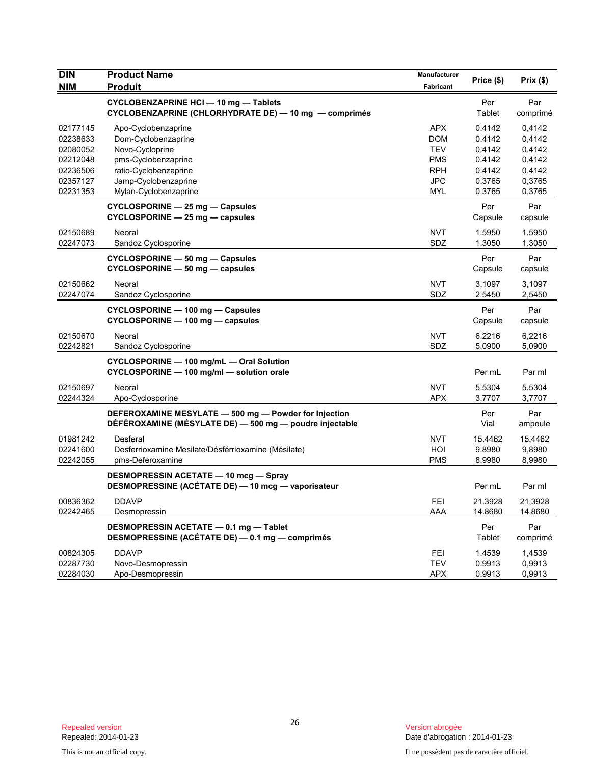| <b>DIN</b><br><b>NIM</b>                                                         | <b>Product Name</b><br><b>Produit</b>                                                                                                                          | Manufacturer<br>Fabricant                                                               | Price (\$)                                                         | Prix(\$)                                                           |
|----------------------------------------------------------------------------------|----------------------------------------------------------------------------------------------------------------------------------------------------------------|-----------------------------------------------------------------------------------------|--------------------------------------------------------------------|--------------------------------------------------------------------|
|                                                                                  | <b>CYCLOBENZAPRINE HCI - 10 mg - Tablets</b><br>CYCLOBENZAPRINE (CHLORHYDRATE DE) $-$ 10 mg $-$ comprimés                                                      |                                                                                         | Per<br>Tablet                                                      | Par<br>comprimé                                                    |
| 02177145<br>02238633<br>02080052<br>02212048<br>02236506<br>02357127<br>02231353 | Apo-Cyclobenzaprine<br>Dom-Cyclobenzaprine<br>Novo-Cycloprine<br>pms-Cyclobenzaprine<br>ratio-Cyclobenzaprine<br>Jamp-Cyclobenzaprine<br>Mylan-Cyclobenzaprine | <b>APX</b><br><b>DOM</b><br><b>TEV</b><br><b>PMS</b><br><b>RPH</b><br><b>JPC</b><br>MYL | 0.4142<br>0.4142<br>0.4142<br>0.4142<br>0.4142<br>0.3765<br>0.3765 | 0,4142<br>0,4142<br>0,4142<br>0,4142<br>0,4142<br>0,3765<br>0,3765 |
|                                                                                  | CYCLOSPORINE - 25 mg - Capsules<br>$CYCLOSPORINE - 25 mg - capsules$                                                                                           |                                                                                         | Per<br>Capsule                                                     | Par<br>capsule                                                     |
| 02150689<br>02247073                                                             | Neoral<br>Sandoz Cyclosporine                                                                                                                                  | <b>NVT</b><br>SDZ                                                                       | 1.5950<br>1.3050                                                   | 1,5950<br>1,3050                                                   |
|                                                                                  | CYCLOSPORINE - 50 mg - Capsules<br>CYCLOSPORINE - 50 mg - capsules                                                                                             |                                                                                         | Per<br>Capsule                                                     | Par<br>capsule                                                     |
| 02150662<br>02247074                                                             | Neoral<br>Sandoz Cyclosporine                                                                                                                                  | <b>NVT</b><br>SDZ                                                                       | 3.1097<br>2.5450                                                   | 3,1097<br>2,5450                                                   |
|                                                                                  | CYCLOSPORINE - 100 mg - Capsules<br>CYCLOSPORINE - 100 mg - capsules                                                                                           |                                                                                         | Per<br>Capsule                                                     | Par<br>capsule                                                     |
| 02150670<br>02242821                                                             | Neoral<br>Sandoz Cyclosporine                                                                                                                                  | <b>NVT</b><br>SDZ                                                                       | 6.2216<br>5.0900                                                   | 6,2216<br>5,0900                                                   |
|                                                                                  | CYCLOSPORINE - 100 mg/mL - Oral Solution<br>CYCLOSPORINE - 100 mg/ml - solution orale                                                                          |                                                                                         | Per mL                                                             | Par ml                                                             |
| 02150697<br>02244324                                                             | Neoral<br>Apo-Cyclosporine                                                                                                                                     | <b>NVT</b><br><b>APX</b>                                                                | 5.5304<br>3.7707                                                   | 5,5304<br>3,7707                                                   |
|                                                                                  | DEFEROXAMINE MESYLATE - 500 mg - Powder for Injection<br>DÉFÉROXAMINE (MÉSYLATE DE) — 500 mg — poudre injectable                                               |                                                                                         | Per<br>Vial                                                        | Par<br>ampoule                                                     |
| 01981242<br>02241600<br>02242055                                                 | Desferal<br>Desferrioxamine Mesilate/Désférrioxamine (Mésilate)<br>pms-Deferoxamine                                                                            | <b>NVT</b><br>HOI<br><b>PMS</b>                                                         | 15.4462<br>9.8980<br>8.9980                                        | 15,4462<br>9,8980<br>8,9980                                        |
|                                                                                  | <b>DESMOPRESSIN ACETATE - 10 mcg - Spray</b><br>DESMOPRESSINE (ACÉTATE DE) - 10 mcg - vaporisateur                                                             |                                                                                         | Per mL                                                             | Par ml                                                             |
| 00836362<br>02242465                                                             | <b>DDAVP</b><br>Desmopressin                                                                                                                                   | FEI<br>AAA                                                                              | 21.3928<br>14.8680                                                 | 21,3928<br>14,8680                                                 |
|                                                                                  | DESMOPRESSIN ACETATE - 0.1 mg - Tablet<br>DESMOPRESSINE (ACÉTATE DE) - 0.1 mg - comprimés                                                                      |                                                                                         | Per<br>Tablet                                                      | Par<br>comprimé                                                    |
| 00824305<br>02287730<br>02284030                                                 | <b>DDAVP</b><br>Novo-Desmopressin<br>Apo-Desmopressin                                                                                                          | FEI<br><b>TEV</b><br><b>APX</b>                                                         | 1.4539<br>0.9913<br>0.9913                                         | 1,4539<br>0,9913<br>0,9913                                         |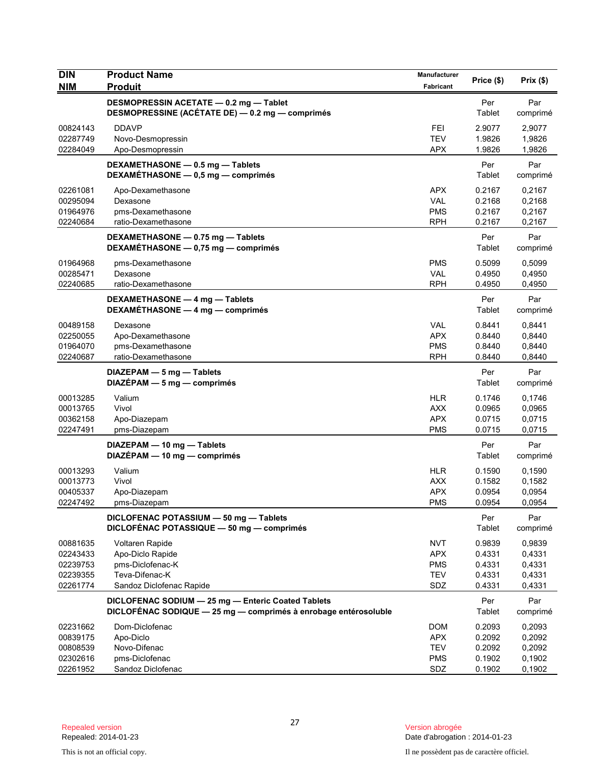| <b>DIN</b><br><b>NIM</b>                                 | <b>Product Name</b><br><b>Produit</b>                                                                                 | Manufacturer<br>Fabricant                                   | Price (\$)                                     | Prix(\$)                                       |
|----------------------------------------------------------|-----------------------------------------------------------------------------------------------------------------------|-------------------------------------------------------------|------------------------------------------------|------------------------------------------------|
|                                                          | DESMOPRESSIN ACETATE - 0.2 mg - Tablet<br>DESMOPRESSINE (ACÉTATE DE) - 0.2 mg - comprimés                             |                                                             | Per<br>Tablet                                  | Par<br>comprimé                                |
| 00824143<br>02287749<br>02284049                         | <b>DDAVP</b><br>Novo-Desmopressin<br>Apo-Desmopressin                                                                 | <b>FEI</b><br>TEV<br><b>APX</b>                             | 2.9077<br>1.9826<br>1.9826                     | 2,9077<br>1,9826<br>1,9826                     |
|                                                          | DEXAMETHASONE - 0.5 mg - Tablets<br>DEXAMÉTHASONE - 0,5 mg - comprimés                                                |                                                             | Per<br>Tablet                                  | Par<br>comprimé                                |
| 02261081<br>00295094<br>01964976<br>02240684             | Apo-Dexamethasone<br>Dexasone<br>pms-Dexamethasone<br>ratio-Dexamethasone                                             | <b>APX</b><br><b>VAL</b><br><b>PMS</b><br><b>RPH</b>        | 0.2167<br>0.2168<br>0.2167<br>0.2167           | 0,2167<br>0,2168<br>0,2167<br>0,2167           |
|                                                          | DEXAMETHASONE - 0.75 mg - Tablets<br>DEXAMÉTHASONE - 0,75 mg - comprimés                                              |                                                             | Per<br>Tablet                                  | Par<br>comprimé                                |
| 01964968<br>00285471<br>02240685                         | pms-Dexamethasone<br>Dexasone<br>ratio-Dexamethasone                                                                  | <b>PMS</b><br><b>VAL</b><br><b>RPH</b>                      | 0.5099<br>0.4950<br>0.4950                     | 0,5099<br>0,4950<br>0,4950                     |
|                                                          | DEXAMETHASONE - 4 mg - Tablets<br>DEXAMÉTHASONE - 4 mg - comprimés                                                    |                                                             | Per<br>Tablet                                  | Par<br>comprimé                                |
| 00489158<br>02250055<br>01964070<br>02240687             | Dexasone<br>Apo-Dexamethasone<br>pms-Dexamethasone<br>ratio-Dexamethasone                                             | <b>VAL</b><br><b>APX</b><br><b>PMS</b><br><b>RPH</b>        | 0.8441<br>0.8440<br>0.8440<br>0.8440           | 0,8441<br>0,8440<br>0,8440<br>0,8440           |
|                                                          | $DIAZEPAM - 5 mg - Tablets$<br>$DIAZÉPAM - 5 mg - comprimés$                                                          |                                                             | Per<br>Tablet                                  | Par<br>comprimé                                |
| 00013285<br>00013765<br>00362158<br>02247491             | Valium<br>Vivol<br>Apo-Diazepam<br>pms-Diazepam                                                                       | <b>HLR</b><br><b>AXX</b><br><b>APX</b><br><b>PMS</b>        | 0.1746<br>0.0965<br>0.0715<br>0.0715           | 0,1746<br>0,0965<br>0,0715<br>0,0715           |
|                                                          | DIAZEPAM - 10 mg - Tablets<br>DIAZÉPAM - 10 mg - comprimés                                                            |                                                             | Per<br>Tablet                                  | Par<br>comprimé                                |
| 00013293<br>00013773<br>00405337<br>02247492             | Valium<br>Vivol<br>Apo-Diazepam<br>pms-Diazepam                                                                       | <b>HLR</b><br><b>AXX</b><br><b>APX</b><br><b>PMS</b>        | 0.1590<br>0.1582<br>0.0954<br>0.0954           | 0,1590<br>0,1582<br>0,0954<br>0,0954           |
|                                                          | DICLOFENAC POTASSIUM - 50 mg - Tablets<br>DICLOFÉNAC POTASSIQUE - 50 mg - comprimés                                   |                                                             | Per<br>Tablet                                  | Par<br>comprimé                                |
| 00881635<br>02243433<br>02239753<br>02239355<br>02261774 | Voltaren Rapide<br>Apo-Diclo Rapide<br>pms-Diclofenac-K<br>Teva-Difenac-K<br>Sandoz Diclofenac Rapide                 | <b>NVT</b><br><b>APX</b><br><b>PMS</b><br><b>TEV</b><br>SDZ | 0.9839<br>0.4331<br>0.4331<br>0.4331<br>0.4331 | 0,9839<br>0,4331<br>0,4331<br>0,4331<br>0,4331 |
|                                                          | DICLOFENAC SODIUM - 25 mg - Enteric Coated Tablets<br>DICLOFÉNAC SODIQUE - 25 mg - comprimés à enrobage entérosoluble |                                                             | Per<br>Tablet                                  | Par<br>comprimé                                |
| 02231662<br>00839175<br>00808539<br>02302616<br>02261952 | Dom-Diclofenac<br>Apo-Diclo<br>Novo-Difenac<br>pms-Diclofenac<br>Sandoz Diclofenac                                    | <b>DOM</b><br><b>APX</b><br><b>TEV</b><br><b>PMS</b><br>SDZ | 0.2093<br>0.2092<br>0.2092<br>0.1902<br>0.1902 | 0,2093<br>0,2092<br>0,2092<br>0,1902<br>0,1902 |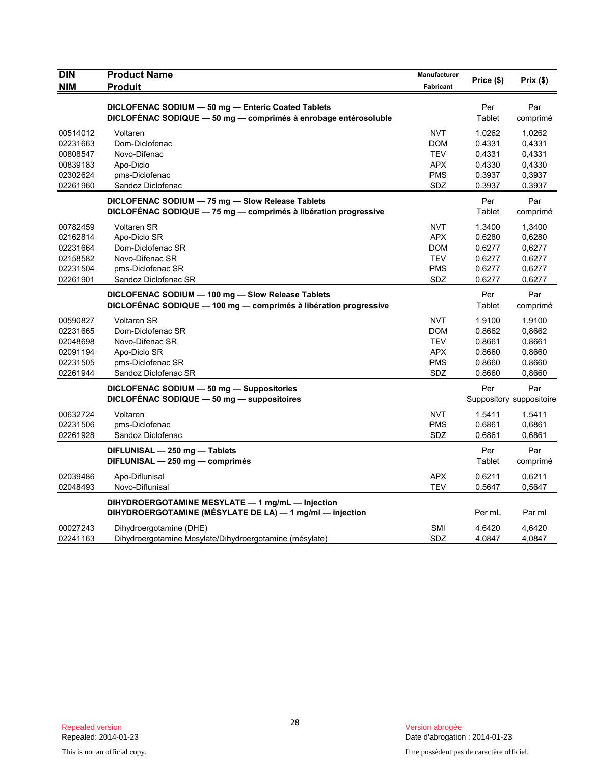| <b>DIN</b>           | <b>Product Name</b>                                              | <b>Manufacturer</b>      | Price (\$)       | Prix (\$)                |
|----------------------|------------------------------------------------------------------|--------------------------|------------------|--------------------------|
| <b>NIM</b>           | <b>Produit</b>                                                   | Fabricant                |                  |                          |
|                      | DICLOFENAC SODIUM - 50 mg - Enteric Coated Tablets               |                          | Per              | Par                      |
|                      | DICLOFÉNAC SODIQUE - 50 mg - comprimés à enrobage entérosoluble  |                          | Tablet           | comprimé                 |
|                      |                                                                  |                          |                  |                          |
| 00514012<br>02231663 | Voltaren<br>Dom-Diclofenac                                       | <b>NVT</b><br><b>DOM</b> | 1.0262<br>0.4331 | 1,0262<br>0,4331         |
| 00808547             | Novo-Difenac                                                     | <b>TEV</b>               | 0.4331           | 0,4331                   |
| 00839183             | Apo-Diclo                                                        | APX                      | 0.4330           | 0,4330                   |
| 02302624             | pms-Diclofenac                                                   | PMS                      | 0.3937           | 0,3937                   |
| 02261960             | Sandoz Diclofenac                                                | SDZ                      | 0.3937           | 0,3937                   |
|                      |                                                                  |                          |                  |                          |
|                      | DICLOFENAC SODIUM - 75 mg - Slow Release Tablets                 |                          | Per              | Par                      |
|                      | DICLOFÉNAC SODIQUE - 75 mg - comprimés à libération progressive  |                          | Tablet           | comprimé                 |
| 00782459             | <b>Voltaren SR</b>                                               | <b>NVT</b>               | 1.3400           | 1,3400                   |
| 02162814             | Apo-Diclo SR                                                     | <b>APX</b>               | 0.6280           | 0,6280                   |
| 02231664             | Dom-Diclofenac SR                                                | <b>DOM</b>               | 0.6277           | 0,6277                   |
| 02158582             | Novo-Difenac SR                                                  | <b>TEV</b>               | 0.6277           | 0,6277                   |
| 02231504             | pms-Diclofenac SR                                                | PMS                      | 0.6277           | 0,6277                   |
| 02261901             | Sandoz Diclofenac SR                                             | SDZ                      | 0.6277           | 0,6277                   |
|                      | DICLOFENAC SODIUM - 100 mg - Slow Release Tablets                |                          | Per              | Par                      |
|                      | DICLOFÉNAC SODIQUE - 100 mg - comprimés à libération progressive |                          | Tablet           | comprimé                 |
| 00590827             | <b>Voltaren SR</b>                                               | <b>NVT</b>               | 1.9100           | 1,9100                   |
| 02231665             | Dom-Diclofenac SR                                                | <b>DOM</b>               | 0.8662           | 0.8662                   |
| 02048698             | Novo-Difenac SR                                                  | <b>TEV</b>               | 0.8661           | 0,8661                   |
| 02091194             | Apo-Diclo SR                                                     | <b>APX</b>               | 0.8660           | 0,8660                   |
| 02231505             | pms-Diclofenac SR                                                | <b>PMS</b>               | 0.8660           | 0,8660                   |
| 02261944             | Sandoz Diclofenac SR                                             | SDZ                      | 0.8660           | 0,8660                   |
|                      | DICLOFENAC SODIUM - 50 mg - Suppositories                        |                          | Per              | Par                      |
|                      | DICLOFÉNAC SODIQUE - 50 mg - suppositoires                       |                          |                  | Suppository suppositoire |
|                      | Voltaren                                                         | <b>NVT</b>               |                  |                          |
| 00632724             |                                                                  |                          | 1.5411           | 1,5411                   |
| 02231506<br>02261928 | pms-Diclofenac<br>Sandoz Diclofenac                              | <b>PMS</b><br>SDZ        | 0.6861<br>0.6861 | 0,6861<br>0,6861         |
|                      |                                                                  |                          |                  |                          |
|                      | DIFLUNISAL - 250 mg - Tablets                                    |                          | Per              | Par                      |
|                      | DIFLUNISAL - 250 mg - comprimés                                  |                          | Tablet           | comprimé                 |
| 02039486             | Apo-Diflunisal                                                   | <b>APX</b>               | 0.6211           | 0,6211                   |
| 02048493             | Novo-Diflunisal                                                  | <b>TEV</b>               | 0.5647           | 0,5647                   |
|                      | DIHYDROERGOTAMINE MESYLATE - 1 mg/mL - Injection                 |                          |                  |                          |
|                      | DIHYDROERGOTAMINE (MÉSYLATE DE LA) - 1 mg/ml - injection         |                          | Per mL           | Par ml                   |
| 00027243             | Dihydroergotamine (DHE)                                          | SMI                      | 4.6420           | 4.6420                   |
| 02241163             | Dihydroergotamine Mesylate/Dihydroergotamine (mésylate)          | SDZ                      | 4.0847           | 4,0847                   |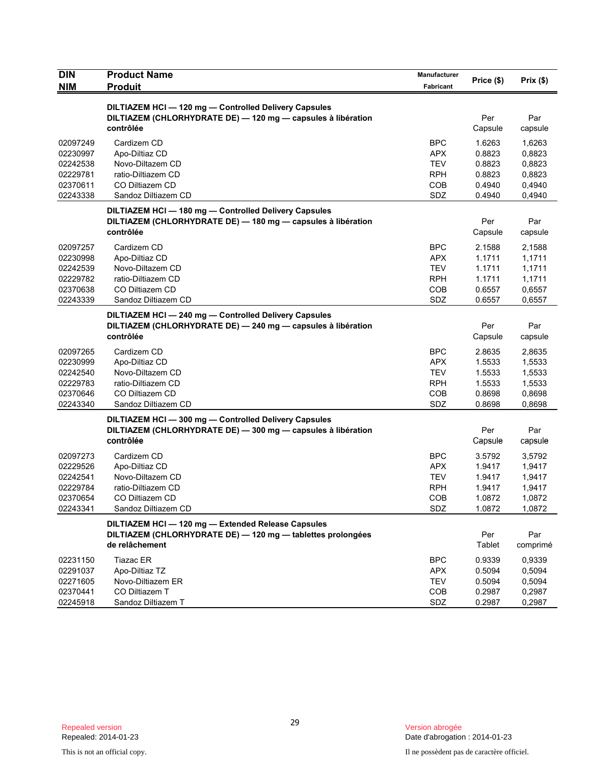| <b>DIN</b> | <b>Product Name</b>                                          | Manufacturer     | Price (\$) | Prix(\$) |
|------------|--------------------------------------------------------------|------------------|------------|----------|
| <b>NIM</b> | <b>Produit</b>                                               | <b>Fabricant</b> |            |          |
|            | DILTIAZEM HCI-120 mg-Controlled Delivery Capsules            |                  |            |          |
|            | DILTIAZEM (CHLORHYDRATE DE) - 120 mg - capsules à libération |                  | Per        | Par      |
|            | contrôlée                                                    |                  | Capsule    | capsule  |
| 02097249   | Cardizem CD                                                  | <b>BPC</b>       | 1.6263     | 1,6263   |
| 02230997   | Apo-Diltiaz CD                                               | <b>APX</b>       | 0.8823     | 0,8823   |
| 02242538   | Novo-Diltazem CD                                             | <b>TEV</b>       | 0.8823     | 0,8823   |
| 02229781   | ratio-Diltiazem CD                                           | <b>RPH</b>       | 0.8823     | 0,8823   |
| 02370611   | CO Diltiazem CD                                              | <b>COB</b>       | 0.4940     | 0,4940   |
| 02243338   | Sandoz Diltiazem CD                                          | SDZ              | 0.4940     | 0,4940   |
|            | DILTIAZEM HCI-180 mg-Controlled Delivery Capsules            |                  |            |          |
|            | DILTIAZEM (CHLORHYDRATE DE) - 180 mg - capsules à libération |                  | Per        | Par      |
|            | contrôlée                                                    |                  | Capsule    | capsule  |
| 02097257   | Cardizem CD                                                  | <b>BPC</b>       | 2.1588     | 2,1588   |
| 02230998   | Apo-Diltiaz CD                                               | <b>APX</b>       | 1.1711     | 1,1711   |
| 02242539   | Novo-Diltazem CD                                             | <b>TEV</b>       | 1.1711     | 1,1711   |
| 02229782   | ratio-Diltiazem CD                                           | RPH              | 1.1711     | 1,1711   |
| 02370638   | CO Diltiazem CD                                              | COB              | 0.6557     | 0,6557   |
| 02243339   | Sandoz Diltiazem CD                                          | SDZ              | 0.6557     | 0,6557   |
|            | DILTIAZEM HCI-240 mg-Controlled Delivery Capsules            |                  |            |          |
|            | DILTIAZEM (CHLORHYDRATE DE) - 240 mg - capsules à libération |                  | Per        | Par      |
|            | contrôlée                                                    |                  | Capsule    | capsule  |
| 02097265   | Cardizem CD                                                  | <b>BPC</b>       | 2.8635     | 2,8635   |
| 02230999   | Apo-Diltiaz CD                                               | <b>APX</b>       | 1.5533     | 1,5533   |
| 02242540   | Novo-Diltazem CD                                             | <b>TEV</b>       | 1.5533     | 1,5533   |
| 02229783   | ratio-Diltiazem CD                                           | <b>RPH</b>       | 1.5533     | 1,5533   |
| 02370646   | CO Diltiazem CD                                              | <b>COB</b>       | 0.8698     | 0,8698   |
| 02243340   | Sandoz Diltiazem CD                                          | SDZ              | 0.8698     | 0,8698   |
|            | DILTIAZEM HCI-300 mg-Controlled Delivery Capsules            |                  |            |          |
|            | DILTIAZEM (CHLORHYDRATE DE) - 300 mg - capsules à libération |                  | Per        | Par      |
|            | contrôlée                                                    |                  | Capsule    | capsule  |
| 02097273   | Cardizem CD                                                  | <b>BPC</b>       | 3.5792     | 3,5792   |
| 02229526   | Apo-Diltiaz CD                                               | <b>APX</b>       | 1.9417     | 1,9417   |
| 02242541   | Novo-Diltazem CD                                             | <b>TEV</b>       | 1.9417     | 1,9417   |
| 02229784   | ratio-Diltiazem CD                                           | <b>RPH</b>       | 1.9417     | 1,9417   |
| 02370654   | CO Diltiazem CD                                              | COB              | 1.0872     | 1.0872   |
| 02243341   | Sandoz Diltiazem CD                                          | SDZ              | 1.0872     | 1,0872   |
|            | DILTIAZEM HCI-120 mg-Extended Release Capsules               |                  |            |          |
|            | DILTIAZEM (CHLORHYDRATE DE) - 120 mg - tablettes prolongées  |                  | Per        | Par      |
|            | de relâchement                                               |                  | Tablet     | comprimé |
| 02231150   | Tiazac ER                                                    | <b>BPC</b>       | 0.9339     | 0,9339   |
| 02291037   | Apo-Diltiaz TZ                                               | <b>APX</b>       | 0.5094     | 0,5094   |
| 02271605   | Novo-Diltiazem ER                                            | TEV              | 0.5094     | 0,5094   |
| 02370441   | CO Diltiazem T                                               | COB              | 0.2987     | 0,2987   |
| 02245918   | Sandoz Diltiazem T                                           | SDZ              | 0.2987     | 0,2987   |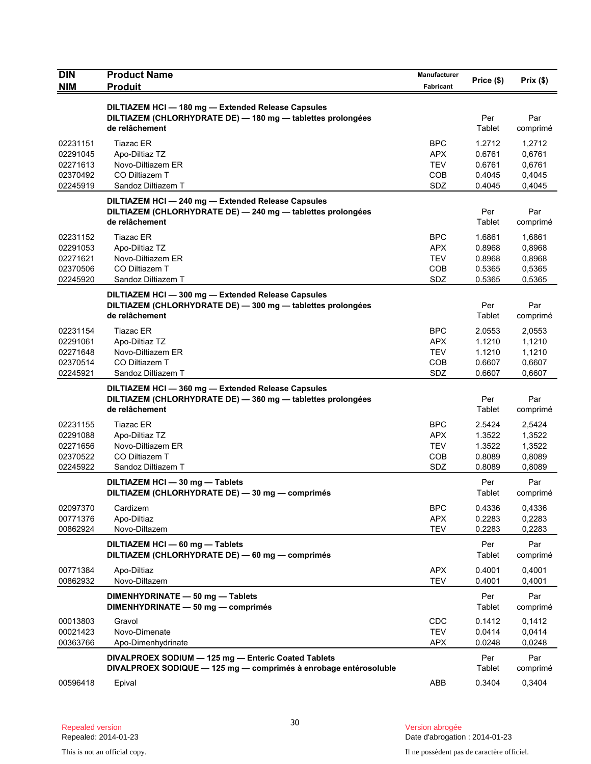| <b>DIN</b><br><b>NIM</b>                                 | <b>Product Name</b><br><b>Produit</b>                                                                                               | Manufacturer<br><b>Fabricant</b>                            | Price (\$)                                     | Prix(\$)                                       |
|----------------------------------------------------------|-------------------------------------------------------------------------------------------------------------------------------------|-------------------------------------------------------------|------------------------------------------------|------------------------------------------------|
|                                                          | DILTIAZEM HCI - 180 mg - Extended Release Capsules<br>DILTIAZEM (CHLORHYDRATE DE) - 180 mg - tablettes prolongées<br>de relâchement |                                                             | Per<br>Tablet                                  | Par<br>comprimé                                |
| 02231151<br>02291045<br>02271613<br>02370492<br>02245919 | <b>Tiazac ER</b><br>Apo-Diltiaz TZ<br>Novo-Diltiazem ER<br>CO Diltiazem T<br>Sandoz Diltiazem T                                     | <b>BPC</b><br><b>APX</b><br><b>TEV</b><br><b>COB</b><br>SDZ | 1.2712<br>0.6761<br>0.6761<br>0.4045<br>0.4045 | 1,2712<br>0,6761<br>0,6761<br>0,4045<br>0,4045 |
|                                                          | DILTIAZEM HCI-240 mg-Extended Release Capsules<br>DILTIAZEM (CHLORHYDRATE DE) - 240 mg - tablettes prolongées<br>de relâchement     |                                                             | Per<br>Tablet                                  | Par<br>comprimé                                |
| 02231152<br>02291053<br>02271621<br>02370506<br>02245920 | <b>Tiazac ER</b><br>Apo-Diltiaz TZ<br>Novo-Diltiazem ER<br>CO Diltiazem T<br>Sandoz Diltiazem T                                     | <b>BPC</b><br><b>APX</b><br><b>TEV</b><br><b>COB</b><br>SDZ | 1.6861<br>0.8968<br>0.8968<br>0.5365<br>0.5365 | 1,6861<br>0,8968<br>0,8968<br>0,5365<br>0,5365 |
|                                                          | DILTIAZEM HCI-300 mg-Extended Release Capsules<br>DILTIAZEM (CHLORHYDRATE DE) - 300 mg - tablettes prolongées<br>de relâchement     |                                                             | Per<br>Tablet                                  | Par<br>comprimé                                |
| 02231154<br>02291061<br>02271648<br>02370514<br>02245921 | <b>Tiazac ER</b><br>Apo-Diltiaz TZ<br>Novo-Diltiazem ER<br>CO Diltiazem T<br>Sandoz Diltiazem T                                     | <b>BPC</b><br><b>APX</b><br><b>TEV</b><br>COB<br>SDZ        | 2.0553<br>1.1210<br>1.1210<br>0.6607<br>0.6607 | 2,0553<br>1,1210<br>1,1210<br>0,6607<br>0,6607 |
|                                                          | DILTIAZEM HCI-360 mg-Extended Release Capsules<br>DILTIAZEM (CHLORHYDRATE DE) - 360 mg - tablettes prolongées<br>de relâchement     |                                                             | Per<br>Tablet                                  | Par<br>comprimé                                |
| 02231155<br>02291088<br>02271656<br>02370522<br>02245922 | <b>Tiazac ER</b><br>Apo-Diltiaz TZ<br>Novo-Diltiazem ER<br>CO Diltiazem T<br>Sandoz Diltiazem T                                     | <b>BPC</b><br><b>APX</b><br><b>TEV</b><br><b>COB</b><br>SDZ | 2.5424<br>1.3522<br>1.3522<br>0.8089<br>0.8089 | 2,5424<br>1,3522<br>1,3522<br>0,8089<br>0,8089 |
|                                                          | DILTIAZEM HCI - 30 mg - Tablets<br>DILTIAZEM (CHLORHYDRATE DE) - 30 mg - comprimés                                                  |                                                             | Per<br>Tablet                                  | Par<br>comprimé                                |
| 02097370<br>00771376<br>00862924                         | Cardizem<br>Apo-Diltiaz<br>Novo-Diltazem                                                                                            | <b>BPC</b><br><b>APX</b><br><b>TEV</b>                      | 0.4336<br>0.2283<br>0.2283                     | 0,4336<br>0,2283<br>0,2283                     |
|                                                          | DILTIAZEM HCI - 60 mg - Tablets<br>DILTIAZEM (CHLORHYDRATE DE) - 60 mg - comprimés                                                  |                                                             | Per<br>Tablet                                  | Par<br>comprimé                                |
| 00771384<br>00862932                                     | Apo-Diltiaz<br>Novo-Diltazem                                                                                                        | <b>APX</b><br><b>TEV</b>                                    | 0.4001<br>0.4001                               | 0,4001<br>0,4001                               |
|                                                          | DIMENHYDRINATE - 50 mg - Tablets<br>DIMENHYDRINATE - 50 mg - comprimés                                                              |                                                             | Per<br>Tablet                                  | Par<br>comprimé                                |
| 00013803<br>00021423<br>00363766                         | Gravol<br>Novo-Dimenate<br>Apo-Dimenhydrinate                                                                                       | CDC<br><b>TEV</b><br><b>APX</b>                             | 0.1412<br>0.0414<br>0.0248                     | 0,1412<br>0,0414<br>0,0248                     |
|                                                          | DIVALPROEX SODIUM - 125 mg - Enteric Coated Tablets<br>DIVALPROEX SODIQUE - 125 mg - comprimés à enrobage entérosoluble             |                                                             | Per<br>Tablet                                  | Par<br>comprimé                                |
| 00596418                                                 | Epival                                                                                                                              | ABB                                                         | 0.3404                                         | 0,3404                                         |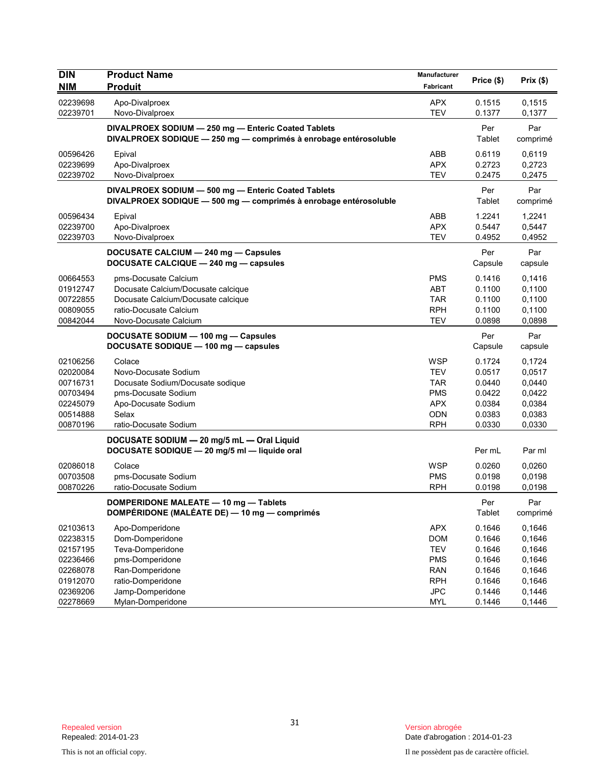| <b>DIN</b><br><b>NIM</b> | <b>Product Name</b><br><b>Produit</b>                                                                                   | Manufacturer<br>Fabricant | Price (\$)     | Prix(\$)        |
|--------------------------|-------------------------------------------------------------------------------------------------------------------------|---------------------------|----------------|-----------------|
| 02239698                 | Apo-Divalproex                                                                                                          | <b>APX</b>                | 0.1515         | 0,1515          |
| 02239701                 | Novo-Divalproex                                                                                                         | <b>TEV</b>                | 0.1377         | 0,1377          |
|                          | DIVALPROEX SODIUM - 250 mg - Enteric Coated Tablets<br>DIVALPROEX SODIQUE - 250 mg - comprimés à enrobage entérosoluble |                           | Per<br>Tablet  | Par<br>comprimé |
| 00596426                 | Epival                                                                                                                  | ABB                       | 0.6119         | 0,6119          |
| 02239699                 | Apo-Divalproex                                                                                                          | <b>APX</b>                | 0.2723         | 0,2723          |
| 02239702                 | Novo-Divalproex                                                                                                         | <b>TEV</b>                | 0.2475         | 0,2475          |
|                          | DIVALPROEX SODIUM - 500 mg - Enteric Coated Tablets<br>DIVALPROEX SODIQUE - 500 mg - comprimés à enrobage entérosoluble |                           | Per<br>Tablet  | Par<br>comprimé |
| 00596434                 | Epival                                                                                                                  | ABB                       | 1.2241         | 1,2241          |
| 02239700                 | Apo-Divalproex                                                                                                          | <b>APX</b>                | 0.5447         | 0,5447          |
| 02239703                 | Novo-Divalproex                                                                                                         | <b>TEV</b>                | 0.4952         | 0,4952          |
|                          | DOCUSATE CALCIUM - 240 mg - Capsules<br>DOCUSATE CALCIQUE - 240 mg - capsules                                           |                           | Per<br>Capsule | Par<br>capsule  |
| 00664553                 | pms-Docusate Calcium                                                                                                    | <b>PMS</b>                | 0.1416         | 0,1416          |
| 01912747                 | Docusate Calcium/Docusate calcique                                                                                      | <b>ABT</b>                | 0.1100         | 0,1100          |
| 00722855                 | Docusate Calcium/Docusate calcique                                                                                      | <b>TAR</b>                | 0.1100         | 0,1100          |
| 00809055                 | ratio-Docusate Calcium                                                                                                  | <b>RPH</b>                | 0.1100         | 0,1100          |
| 00842044                 | Novo-Docusate Calcium                                                                                                   | <b>TEV</b>                | 0.0898         | 0,0898          |
|                          | DOCUSATE SODIUM - 100 mg - Capsules<br>DOCUSATE SODIQUE - 100 mg - capsules                                             |                           | Per<br>Capsule | Par<br>capsule  |
| 02106256                 | Colace                                                                                                                  | <b>WSP</b>                | 0.1724         | 0,1724          |
| 02020084                 | Novo-Docusate Sodium                                                                                                    | <b>TEV</b>                | 0.0517         | 0,0517          |
| 00716731                 | Docusate Sodium/Docusate sodique                                                                                        | <b>TAR</b>                | 0.0440         | 0,0440          |
| 00703494                 | pms-Docusate Sodium                                                                                                     | <b>PMS</b>                | 0.0422         | 0,0422          |
| 02245079                 | Apo-Docusate Sodium                                                                                                     | <b>APX</b>                | 0.0384         | 0,0384          |
| 00514888                 | Selax                                                                                                                   | <b>ODN</b>                | 0.0383         | 0,0383          |
| 00870196                 | ratio-Docusate Sodium                                                                                                   | <b>RPH</b>                | 0.0330         | 0,0330          |
|                          | DOCUSATE SODIUM - 20 mg/5 mL - Oral Liquid<br>DOCUSATE SODIQUE - 20 mg/5 ml - liquide oral                              |                           | Per mL         | Par ml          |
| 02086018                 | Colace                                                                                                                  | <b>WSP</b>                | 0.0260         | 0,0260          |
| 00703508                 | pms-Docusate Sodium                                                                                                     | <b>PMS</b>                | 0.0198         | 0,0198          |
| 00870226                 | ratio-Docusate Sodium                                                                                                   | <b>RPH</b>                | 0.0198         | 0,0198          |
|                          | DOMPERIDONE MALEATE - 10 mg - Tablets<br>DOMPÉRIDONE (MALÉATE DE) - 10 mg - comprimés                                   |                           | Per<br>Tablet  | Par<br>comprimé |
| 02103613                 | Apo-Domperidone                                                                                                         | <b>APX</b>                | 0.1646         | 0,1646          |
| 02238315                 | Dom-Domperidone                                                                                                         | <b>DOM</b>                | 0.1646         | 0,1646          |
| 02157195                 | Teva-Domperidone                                                                                                        | <b>TEV</b>                | 0.1646         | 0,1646          |
| 02236466                 | pms-Domperidone                                                                                                         | <b>PMS</b>                | 0.1646         | 0,1646          |
| 02268078                 | Ran-Domperidone                                                                                                         | <b>RAN</b>                | 0.1646         | 0,1646          |
| 01912070                 | ratio-Domperidone                                                                                                       | <b>RPH</b>                | 0.1646         | 0,1646          |
| 02369206                 | Jamp-Domperidone                                                                                                        | <b>JPC</b>                | 0.1446         | 0,1446          |
| 02278669                 | Mylan-Domperidone                                                                                                       | <b>MYL</b>                | 0.1446         | 0,1446          |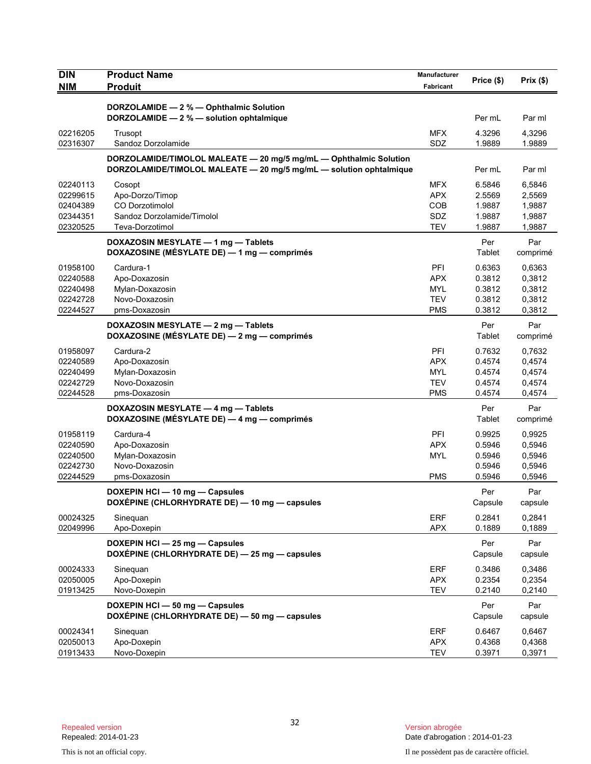| <b>DIN</b> | <b>Product Name</b>                                                                 | Manufacturer     | Price (\$)     | Prix (\$)        |
|------------|-------------------------------------------------------------------------------------|------------------|----------------|------------------|
| <b>NIM</b> | <b>Produit</b>                                                                      | <b>Fabricant</b> |                |                  |
|            |                                                                                     |                  |                |                  |
|            | DORZOLAMIDE - 2 % - Ophthalmic Solution<br>DORZOLAMIDE - 2 % - solution ophtalmique |                  | Per mL         | Par ml           |
|            |                                                                                     |                  |                |                  |
| 02216205   | Trusopt                                                                             | <b>MFX</b>       | 4.3296         | 4,3296           |
| 02316307   | Sandoz Dorzolamide                                                                  | SDZ              | 1.9889         | 1.9889           |
|            | DORZOLAMIDE/TIMOLOL MALEATE - 20 mg/5 mg/mL - Ophthalmic Solution                   |                  |                |                  |
|            | DORZOLAMIDE/TIMOLOL MALEATE - 20 mg/5 mg/mL - solution ophtalmique                  |                  | Per mL         | Par ml           |
| 02240113   | Cosopt                                                                              | <b>MFX</b>       | 6.5846         | 6,5846           |
| 02299615   | Apo-Dorzo/Timop                                                                     | <b>APX</b>       | 2.5569         | 2,5569           |
| 02404389   | <b>CO Dorzotimolol</b>                                                              | <b>COB</b>       | 1.9887         | 1,9887           |
| 02344351   | Sandoz Dorzolamide/Timolol                                                          | SDZ              | 1.9887         | 1,9887           |
| 02320525   | Teva-Dorzotimol                                                                     | <b>TEV</b>       | 1.9887         | 1,9887           |
|            | DOXAZOSIN MESYLATE - 1 mg - Tablets                                                 |                  | Per            | Par              |
|            | DOXAZOSINE (MÉSYLATE DE) — 1 mg — comprimés                                         |                  | Tablet         | comprimé         |
| 01958100   | Cardura-1                                                                           | PFI              | 0.6363         | 0,6363           |
| 02240588   | Apo-Doxazosin                                                                       | <b>APX</b>       | 0.3812         | 0,3812           |
| 02240498   | Mylan-Doxazosin                                                                     | <b>MYL</b>       | 0.3812         | 0,3812           |
| 02242728   | Novo-Doxazosin                                                                      | <b>TEV</b>       | 0.3812         | 0,3812           |
| 02244527   | pms-Doxazosin                                                                       | <b>PMS</b>       | 0.3812         | 0,3812           |
|            | DOXAZOSIN MESYLATE - 2 mg - Tablets                                                 |                  | Per            | Par              |
|            | DOXAZOSINE (MÉSYLATE DE) — 2 mg — comprimés                                         |                  | Tablet         | comprimé         |
| 01958097   | Cardura-2                                                                           | PFI              | 0.7632         | 0,7632           |
| 02240589   | Apo-Doxazosin                                                                       | <b>APX</b>       | 0.4574         | 0,4574           |
| 02240499   | Mylan-Doxazosin                                                                     | <b>MYL</b>       | 0.4574         | 0,4574           |
| 02242729   | Novo-Doxazosin                                                                      | <b>TEV</b>       | 0.4574         | 0,4574           |
| 02244528   | pms-Doxazosin                                                                       | <b>PMS</b>       | 0.4574         | 0,4574           |
|            | DOXAZOSIN MESYLATE - 4 mg - Tablets                                                 |                  | Per            | Par              |
|            | DOXAZOSINE (MÉSYLATE DE) - 4 mg - comprimés                                         |                  | Tablet         | comprimé         |
| 01958119   | Cardura-4                                                                           | PFI              | 0.9925         |                  |
| 02240590   | Apo-Doxazosin                                                                       | <b>APX</b>       | 0.5946         | 0,9925<br>0,5946 |
| 02240500   | Mylan-Doxazosin                                                                     | <b>MYL</b>       | 0.5946         | 0,5946           |
| 02242730   | Novo-Doxazosin                                                                      |                  | 0.5946         | 0,5946           |
| 02244529   | pms-Doxazosin                                                                       | <b>PMS</b>       | 0.5946         | 0,5946           |
|            |                                                                                     |                  |                |                  |
|            | DOXEPIN HCI - 10 mg - Capsules<br>DOXÉPINE (CHLORHYDRATE DE) - 10 mg - capsules     |                  | Per<br>Capsule | Par              |
|            |                                                                                     |                  |                | capsule          |
| 00024325   | Sineguan                                                                            | <b>ERF</b>       | 0.2841         | 0,2841           |
| 02049996   | Apo-Doxepin                                                                         | <b>APX</b>       | 0.1889         | 0,1889           |
|            | DOXEPIN HCI - 25 mg - Capsules                                                      |                  | Per            | Par              |
|            | DOXÉPINE (CHLORHYDRATE DE) - 25 mg - capsules                                       |                  | Capsule        | capsule          |
| 00024333   | Sinequan                                                                            | <b>ERF</b>       | 0.3486         | 0,3486           |
| 02050005   | Apo-Doxepin                                                                         | <b>APX</b>       | 0.2354         | 0,2354           |
| 01913425   | Novo-Doxepin                                                                        | <b>TEV</b>       | 0.2140         | 0,2140           |
|            | DOXEPIN HCI - 50 mg - Capsules                                                      |                  | Per            | Par              |
|            | DOXÉPINE (CHLORHYDRATE DE) - 50 mg - capsules                                       |                  | Capsule        | capsule          |
| 00024341   |                                                                                     | <b>ERF</b>       | 0.6467         |                  |
| 02050013   | Sinequan<br>Apo-Doxepin                                                             | <b>APX</b>       | 0.4368         | 0,6467<br>0,4368 |
| 01913433   | Novo-Doxepin                                                                        | <b>TEV</b>       | 0.3971         | 0,3971           |
|            |                                                                                     |                  |                |                  |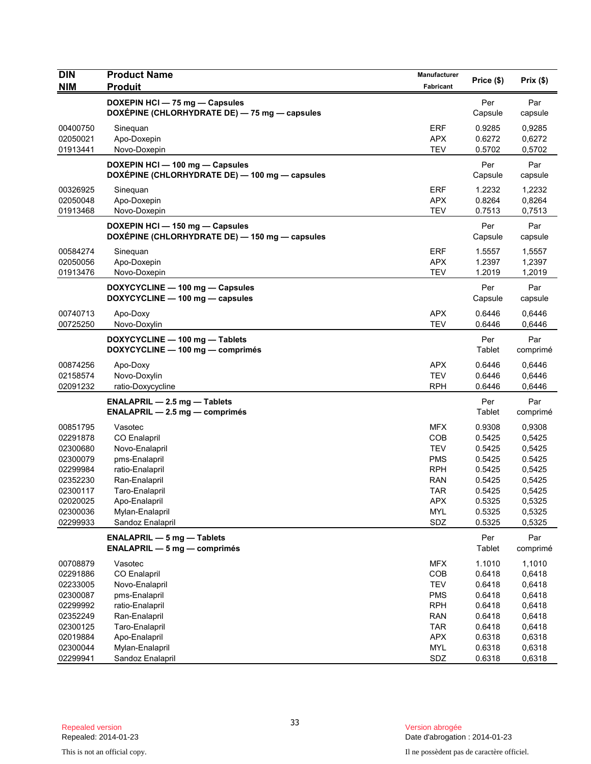| <b>DIN</b><br><b>NIM</b> | <b>Product Name</b><br><b>Produit</b>                                           | Manufacturer<br>Fabricant | Price (\$)     | Prix(\$)        |
|--------------------------|---------------------------------------------------------------------------------|---------------------------|----------------|-----------------|
|                          | DOXEPIN HCI - 75 mg - Capsules<br>DOXÉPINE (CHLORHYDRATE DE) - 75 mg - capsules |                           | Per<br>Capsule | Par<br>capsule  |
| 00400750                 | Sinequan                                                                        | <b>ERF</b>                | 0.9285         | 0,9285          |
| 02050021                 | Apo-Doxepin                                                                     | <b>APX</b>                | 0.6272         | 0,6272          |
| 01913441                 | Novo-Doxepin                                                                    | <b>TEV</b>                | 0.5702         | 0,5702          |
|                          | DOXEPIN HCI-100 mg-Capsules<br>DOXÉPINE (CHLORHYDRATE DE) — 100 mg — capsules   |                           | Per<br>Capsule | Par<br>capsule  |
| 00326925                 | Sinequan                                                                        | ERF                       | 1.2232         | 1,2232          |
| 02050048                 | Apo-Doxepin                                                                     | <b>APX</b>                | 0.8264         | 0,8264          |
| 01913468                 | Novo-Doxepin                                                                    | <b>TEV</b>                | 0.7513         | 0,7513          |
|                          | DOXEPIN HCI-150 mg-Capsules<br>DOXÉPINE (CHLORHYDRATE DE) - 150 mg - capsules   |                           | Per<br>Capsule | Par<br>capsule  |
| 00584274                 | Sinequan                                                                        | <b>ERF</b>                | 1.5557         | 1,5557          |
| 02050056                 | Apo-Doxepin                                                                     | <b>APX</b>                | 1.2397         | 1,2397          |
| 01913476                 | Novo-Doxepin                                                                    | <b>TEV</b>                | 1.2019         | 1,2019          |
|                          | DOXYCYCLINE - 100 mg - Capsules<br>DOXYCYCLINE - 100 mg - capsules              |                           | Per<br>Capsule | Par<br>capsule  |
| 00740713                 | Apo-Doxy                                                                        | <b>APX</b>                | 0.6446         | 0.6446          |
| 00725250                 | Novo-Doxylin                                                                    | <b>TEV</b>                | 0.6446         | 0,6446          |
|                          | DOXYCYCLINE - 100 mg - Tablets<br>DOXYCYCLINE - 100 mg - comprimés              |                           | Per<br>Tablet  | Par<br>comprimé |
| 00874256                 | Apo-Doxy                                                                        | <b>APX</b>                | 0.6446         | 0,6446          |
| 02158574                 | Novo-Doxylin                                                                    | <b>TEV</b>                | 0.6446         | 0,6446          |
| 02091232                 | ratio-Doxycycline                                                               | <b>RPH</b>                | 0.6446         | 0,6446          |
|                          | <b>ENALAPRIL - 2.5 mg - Tablets</b><br>$ENALAPRIL - 2.5 mg - comprimés$         |                           | Per<br>Tablet  | Par<br>comprimé |
| 00851795                 | Vasotec                                                                         | <b>MFX</b>                | 0.9308         | 0,9308          |
| 02291878                 | <b>CO</b> Enalapril                                                             | COB                       | 0.5425         | 0,5425          |
| 02300680                 | Novo-Enalapril                                                                  | <b>TEV</b>                | 0.5425         | 0,5425          |
| 02300079                 | pms-Enalapril                                                                   | <b>PMS</b>                | 0.5425         | 0.5425          |
| 02299984                 | ratio-Enalapril                                                                 | <b>RPH</b>                | 0.5425         | 0,5425          |
| 02352230                 | Ran-Enalapril                                                                   | RAN                       | 0.5425         | 0,5425          |
| 02300117                 | Taro-Enalapril                                                                  | TAR                       | 0.5425         | 0,5425          |
| 02020025                 | Apo-Enalapril                                                                   | APX                       | 0.5325         | 0,5325          |
| 02300036                 | Mylan-Enalapril                                                                 | <b>MYL</b>                | 0.5325         | 0,5325          |
| 02299933                 | Sandoz Enalapril                                                                | SDZ                       | 0.5325         | 0,5325          |
|                          | <b>ENALAPRIL - 5 mg - Tablets</b><br>$ENALAPRIL - 5 mg - comprimés$             |                           | Per<br>Tablet  | Par<br>comprimé |
| 00708879                 | Vasotec                                                                         | <b>MFX</b>                | 1.1010         | 1,1010          |
| 02291886                 | CO Enalapril                                                                    | COB                       | 0.6418         | 0,6418          |
| 02233005                 | Novo-Enalapril                                                                  | <b>TEV</b>                | 0.6418         | 0,6418          |
| 02300087                 | pms-Enalapril                                                                   | <b>PMS</b>                | 0.6418         | 0,6418          |
| 02299992                 | ratio-Enalapril                                                                 | <b>RPH</b>                | 0.6418         | 0,6418          |
| 02352249                 | Ran-Enalapril                                                                   | <b>RAN</b>                | 0.6418         | 0,6418          |
| 02300125                 | Taro-Enalapril                                                                  | <b>TAR</b>                | 0.6418         | 0,6418          |
| 02019884                 | Apo-Enalapril                                                                   | <b>APX</b>                | 0.6318         | 0,6318          |
| 02300044                 | Mylan-Enalapril                                                                 | <b>MYL</b>                | 0.6318         | 0,6318          |
| 02299941                 | Sandoz Enalapril                                                                | SDZ                       | 0.6318         | 0,6318          |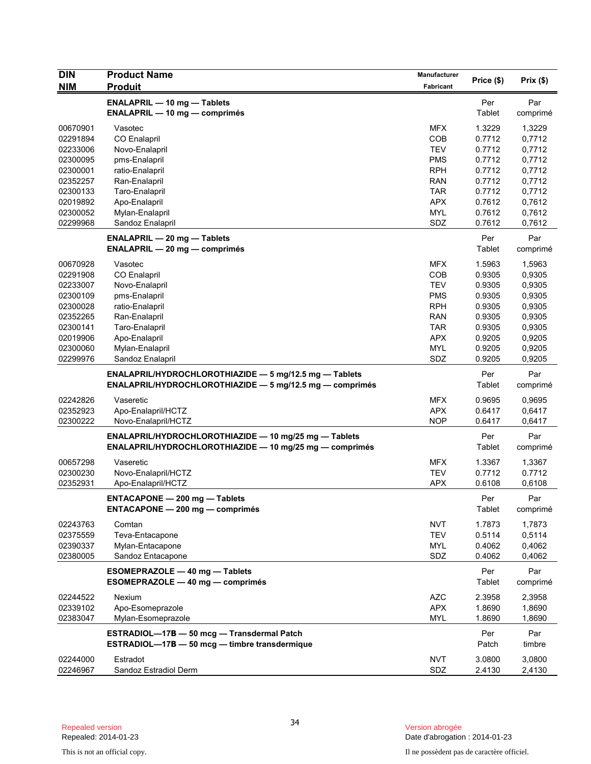| <b>DIN</b><br>NIM    | <b>Product Name</b><br><b>Produit</b>                                                                              | <b>Manufacturer</b><br>Fabricant | Price (\$)       | Prix(\$)         |
|----------------------|--------------------------------------------------------------------------------------------------------------------|----------------------------------|------------------|------------------|
|                      | <b>ENALAPRIL - 10 mg - Tablets</b><br><b>ENALAPRIL - 10 mg - comprimés</b>                                         |                                  | Per<br>Tablet    | Par<br>comprimé  |
| 00670901<br>02291894 | Vasotec<br>CO Enalapril                                                                                            | <b>MFX</b><br><b>COB</b>         | 1.3229<br>0.7712 | 1,3229<br>0,7712 |
| 02233006             | Novo-Enalapril                                                                                                     | <b>TEV</b>                       | 0.7712           | 0,7712           |
| 02300095             | pms-Enalapril                                                                                                      | <b>PMS</b>                       | 0.7712           | 0,7712           |
| 02300001             | ratio-Enalapril                                                                                                    | <b>RPH</b>                       | 0.7712           | 0,7712           |
| 02352257             | Ran-Enalapril                                                                                                      | <b>RAN</b>                       | 0.7712           | 0,7712           |
| 02300133             | Taro-Enalapril                                                                                                     | <b>TAR</b>                       | 0.7712           | 0,7712           |
| 02019892<br>02300052 | Apo-Enalapril<br>Mylan-Enalapril                                                                                   | <b>APX</b><br><b>MYL</b>         | 0.7612<br>0.7612 | 0,7612<br>0,7612 |
| 02299968             | Sandoz Enalapril                                                                                                   | SDZ                              | 0.7612           | 0,7612           |
|                      | <b>ENALAPRIL - 20 mg - Tablets</b>                                                                                 |                                  | Per              | Par              |
|                      | <b>ENALAPRIL - 20 mg - comprimés</b>                                                                               |                                  | Tablet           | comprimé         |
| 00670928             | Vasotec                                                                                                            | <b>MFX</b>                       | 1.5963           | 1,5963           |
| 02291908             | CO Enalapril                                                                                                       | <b>COB</b>                       | 0.9305           | 0,9305           |
| 02233007             | Novo-Enalapril                                                                                                     | <b>TEV</b>                       | 0.9305           | 0,9305           |
| 02300109             | pms-Enalapril                                                                                                      | <b>PMS</b><br><b>RPH</b>         | 0.9305           | 0,9305           |
| 02300028<br>02352265 | ratio-Enalapril<br>Ran-Enalapril                                                                                   | <b>RAN</b>                       | 0.9305<br>0.9305 | 0,9305<br>0,9305 |
| 02300141             | Taro-Enalapril                                                                                                     | <b>TAR</b>                       | 0.9305           | 0,9305           |
| 02019906             | Apo-Enalapril                                                                                                      | <b>APX</b>                       | 0.9205           | 0,9205           |
| 02300060             | Mylan-Enalapril                                                                                                    | <b>MYL</b>                       | 0.9205           | 0,9205           |
| 02299976             | Sandoz Enalapril                                                                                                   | SDZ                              | 0.9205           | 0,9205           |
|                      | ENALAPRIL/HYDROCHLOROTHIAZIDE - 5 mg/12.5 mg - Tablets<br>ENALAPRIL/HYDROCHLOROTHIAZIDE - 5 mg/12.5 mg - comprimés |                                  | Per<br>Tablet    | Par<br>comprimé  |
| 02242826             | Vaseretic                                                                                                          | <b>MFX</b>                       | 0.9695           | 0,9695           |
| 02352923             | Apo-Enalapril/HCTZ                                                                                                 | <b>APX</b>                       | 0.6417           | 0,6417           |
| 02300222             | Novo-Enalapril/HCTZ                                                                                                | <b>NOP</b>                       | 0.6417           | 0,6417           |
|                      | ENALAPRIL/HYDROCHLOROTHIAZIDE - 10 mg/25 mg - Tablets<br>ENALAPRIL/HYDROCHLOROTHIAZIDE - 10 mg/25 mg - comprimés   |                                  | Per<br>Tablet    | Par<br>comprimé  |
| 00657298             | Vaseretic                                                                                                          | <b>MFX</b>                       | 1.3367           | 1,3367           |
| 02300230             | Novo-Enalapril/HCTZ                                                                                                | <b>TEV</b>                       | 0.7712           | 0.7712           |
| 02352931             | Apo-Enalapril/HCTZ                                                                                                 | <b>APX</b>                       | 0.6108           | 0,6108           |
|                      | <b>ENTACAPONE - 200 mg - Tablets</b><br><b>ENTACAPONE - 200 mg - comprimés</b>                                     |                                  | Per<br>Tablet    | Par<br>comprimé  |
| 02243763             | Comtan                                                                                                             | <b>NVT</b>                       | 1.7873           | 1,7873           |
| 02375559             | Teva-Entacapone                                                                                                    | <b>TEV</b>                       | 0.5114           | 0,5114           |
| 02390337             | Mylan-Entacapone                                                                                                   | <b>MYL</b>                       | 0.4062           | 0,4062           |
| 02380005             | Sandoz Entacapone                                                                                                  | SDZ                              | 0.4062           | 0,4062           |
|                      | ESOMEPRAZOLE - 40 mg - Tablets<br>ESOMEPRAZOLE - 40 mg - comprimés                                                 |                                  | Per<br>Tablet    | Par<br>comprimé  |
| 02244522             | Nexium                                                                                                             | <b>AZC</b>                       | 2.3958           | 2,3958           |
| 02339102             | Apo-Esomeprazole                                                                                                   | <b>APX</b>                       | 1.8690           | 1,8690           |
| 02383047             | Mylan-Esomeprazole                                                                                                 | <b>MYL</b>                       | 1.8690           | 1,8690           |
|                      | ESTRADIOL-17B - 50 mcg - Transdermal Patch<br>ESTRADIOL-17B - 50 mcg - timbre transdermique                        |                                  | Per<br>Patch     | Par<br>timbre    |
| 02244000             | Estradot                                                                                                           | <b>NVT</b>                       | 3.0800           | 3,0800           |
| 02246967             | Sandoz Estradiol Derm                                                                                              | SDZ                              | 2.4130           | 2,4130           |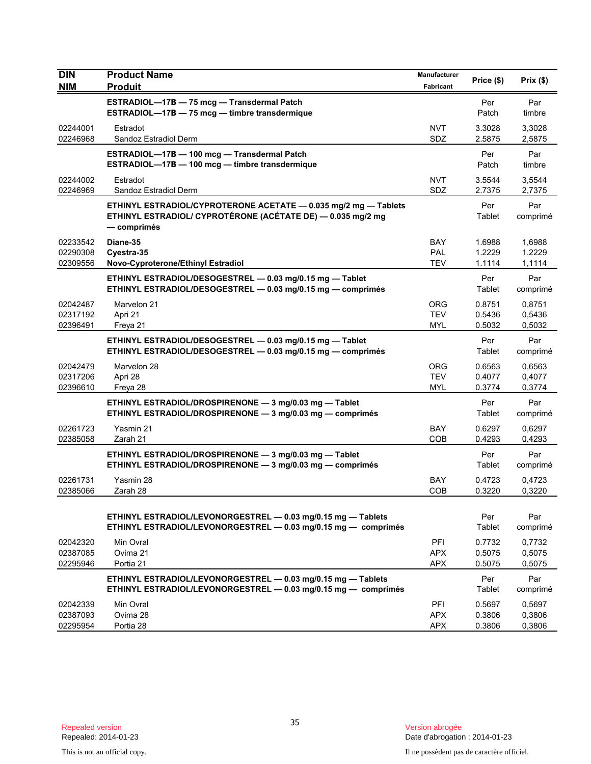| <b>DIN</b>           | <b>Product Name</b><br><b>Produit</b>                                                                                          | Manufacturer<br>Fabricant | Price (\$)       | Prix(\$)         |
|----------------------|--------------------------------------------------------------------------------------------------------------------------------|---------------------------|------------------|------------------|
| <b>NIM</b>           |                                                                                                                                |                           |                  |                  |
|                      | ESTRADIOL-17B - 75 mcg - Transdermal Patch<br>ESTRADIOL-17B - 75 mcg - timbre transdermique                                    |                           | Per<br>Patch     | Par<br>timbre    |
| 02244001             | Estradot                                                                                                                       | <b>NVT</b>                | 3.3028           | 3,3028           |
| 02246968             | Sandoz Estradiol Derm                                                                                                          | SDZ                       | 2.5875           | 2,5875           |
|                      | ESTRADIOL-17B - 100 mcg - Transdermal Patch                                                                                    |                           | Per              | Par              |
|                      | ESTRADIOL-17B - 100 mcg - timbre transdermique                                                                                 |                           | Patch            | timbre           |
| 02244002<br>02246969 | Estradot<br>Sandoz Estradiol Derm                                                                                              | <b>NVT</b><br>SDZ         | 3.5544<br>2.7375 | 3,5544<br>2,7375 |
|                      | ETHINYL ESTRADIOL/CYPROTERONE ACETATE - 0.035 mg/2 mg - Tablets                                                                |                           | Per              | Par              |
|                      | ETHINYL ESTRADIOL/ CYPROTÉRONE (ACÉTATE DE) - 0.035 mg/2 mg<br>— comprimés                                                     |                           | Tablet           | comprimé         |
| 02233542             | Diane-35                                                                                                                       | <b>BAY</b>                | 1.6988           | 1,6988           |
| 02290308             | Cyestra-35                                                                                                                     | <b>PAL</b>                | 1.2229           | 1.2229           |
| 02309556             | Novo-Cyproterone/Ethinyl Estradiol                                                                                             | <b>TEV</b>                | 1.1114           | 1,1114           |
|                      | ETHINYL ESTRADIOL/DESOGESTREL - 0.03 mg/0.15 mg - Tablet<br>ETHINYL ESTRADIOL/DESOGESTREL - 0.03 mg/0.15 mg - comprimés        |                           | Per<br>Tablet    | Par<br>comprimé  |
| 02042487             | Marvelon 21                                                                                                                    | <b>ORG</b>                | 0.8751           | 0,8751           |
| 02317192             | Apri 21                                                                                                                        | <b>TEV</b><br><b>MYL</b>  | 0.5436<br>0.5032 | 0,5436           |
| 02396491             | Freya 21                                                                                                                       |                           |                  | 0,5032           |
|                      | ETHINYL ESTRADIOL/DESOGESTREL - 0.03 mg/0.15 mg - Tablet<br>ETHINYL ESTRADIOL/DESOGESTREL - 0.03 mg/0.15 mg - comprimés        |                           | Per<br>Tablet    | Par<br>comprimé  |
| 02042479             | Marvelon 28                                                                                                                    | <b>ORG</b>                | 0.6563           | 0,6563           |
| 02317206<br>02396610 | Apri 28                                                                                                                        | <b>TEV</b><br><b>MYL</b>  | 0.4077<br>0.3774 | 0,4077<br>0,3774 |
|                      | Freya 28                                                                                                                       |                           |                  |                  |
|                      | ETHINYL ESTRADIOL/DROSPIRENONE - 3 mg/0.03 mg - Tablet<br>ETHINYL ESTRADIOL/DROSPIRENONE - 3 mg/0.03 mg - comprimés            |                           | Per<br>Tablet    | Par<br>comprimé  |
| 02261723             | Yasmin 21                                                                                                                      | <b>BAY</b>                | 0.6297           | 0,6297           |
| 02385058             | Zarah 21                                                                                                                       | COB                       | 0.4293           | 0,4293           |
|                      | ETHINYL ESTRADIOL/DROSPIRENONE - 3 mg/0.03 mg - Tablet<br>ETHINYL ESTRADIOL/DROSPIRENONE - 3 mg/0.03 mg - comprimés            |                           | Per<br>Tablet    | Par<br>comprimé  |
| 02261731             | Yasmin 28                                                                                                                      | <b>BAY</b>                | 0.4723           | 0,4723           |
| 02385066             | Zarah 28                                                                                                                       | COB                       | 0.3220           | 0,3220           |
|                      | ETHINYL ESTRADIOL/LEVONORGESTREL - 0.03 mg/0.15 mg - Tablets                                                                   |                           | Per              | Par              |
|                      | ETHINYL ESTRADIOL/LEVONORGESTREL - 0.03 mg/0.15 mg - comprimés                                                                 |                           | Tablet           | comprimé         |
| 02042320             | Min Ovral                                                                                                                      | PFI                       | 0.7732           | 0,7732           |
| 02387085<br>02295946 | Ovima 21<br>Portia 21                                                                                                          | <b>APX</b><br><b>APX</b>  | 0.5075<br>0.5075 | 0,5075<br>0,5075 |
|                      |                                                                                                                                |                           |                  |                  |
|                      | ETHINYL ESTRADIOL/LEVONORGESTREL - 0.03 mg/0.15 mg - Tablets<br>ETHINYL ESTRADIOL/LEVONORGESTREL - 0.03 mg/0.15 mg - comprimés |                           | Per<br>Tablet    | Par<br>comprimé  |
| 02042339             |                                                                                                                                |                           |                  |                  |
| 02387093             | Min Ovral<br>Ovima 28                                                                                                          | PFI<br><b>APX</b>         | 0.5697<br>0.3806 | 0,5697<br>0,3806 |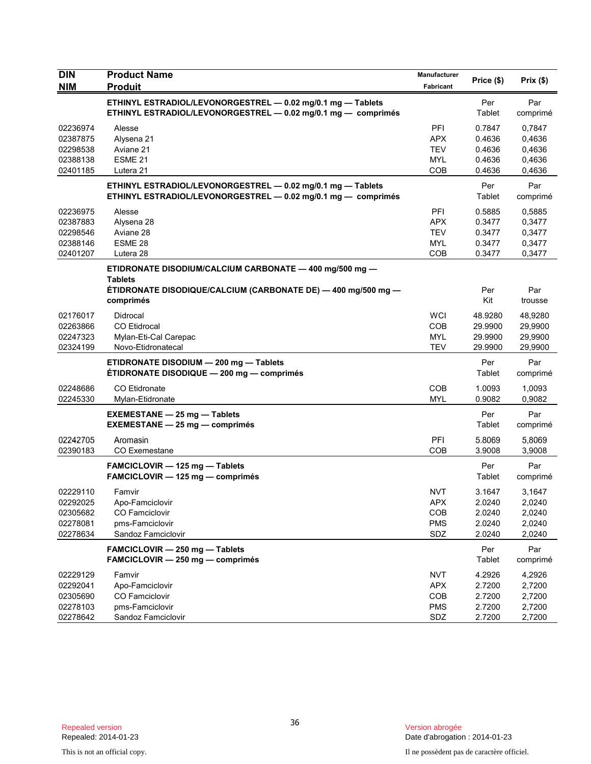| <b>DIN</b> | <b>Product Name</b>                                                                                                          | <b>Manufacturer</b>      |                  |                  |
|------------|------------------------------------------------------------------------------------------------------------------------------|--------------------------|------------------|------------------|
| <b>NIM</b> | <b>Produit</b>                                                                                                               | Fabricant                | Price (\$)       | Prix(\$)         |
|            | ETHINYL ESTRADIOL/LEVONORGESTREL - 0.02 mg/0.1 mg - Tablets<br>ETHINYL ESTRADIOL/LEVONORGESTREL - 0.02 mg/0.1 mg - comprimés |                          | Per<br>Tablet    | Par<br>comprimé  |
| 02236974   | Alesse                                                                                                                       | PFI                      | 0.7847           | 0,7847           |
| 02387875   | Alysena 21                                                                                                                   | <b>APX</b>               | 0.4636           | 0,4636           |
| 02298538   | Aviane 21                                                                                                                    | <b>TEV</b>               | 0.4636           | 0,4636           |
| 02388138   | ESME <sub>21</sub>                                                                                                           | MYL                      | 0.4636           | 0,4636           |
| 02401185   | Lutera 21                                                                                                                    | <b>COB</b>               | 0.4636           | 0,4636           |
|            | ETHINYL ESTRADIOL/LEVONORGESTREL - 0.02 mg/0.1 mg - Tablets<br>ETHINYL ESTRADIOL/LEVONORGESTREL - 0.02 mg/0.1 mg - comprimés |                          | Per<br>Tablet    | Par<br>comprimé  |
| 02236975   | Alesse                                                                                                                       | PFI                      | 0.5885           | 0,5885           |
| 02387883   | Alysena 28                                                                                                                   | <b>APX</b>               | 0.3477           | 0,3477           |
| 02298546   | Aviane 28                                                                                                                    | <b>TEV</b>               | 0.3477           | 0,3477           |
| 02388146   | ESME 28                                                                                                                      | <b>MYL</b>               | 0.3477           | 0,3477           |
| 02401207   | Lutera 28                                                                                                                    | <b>COB</b>               | 0.3477           | 0,3477           |
|            | ETIDRONATE DISODIUM/CALCIUM CARBONATE - 400 mg/500 mg -<br><b>Tablets</b>                                                    |                          |                  |                  |
|            | ÉTIDRONATE DISODIQUE/CALCIUM (CARBONATE DE) — 400 mg/500 mg —<br>comprimés                                                   |                          | Per<br>Kit       | Par<br>trousse   |
| 02176017   | Didrocal                                                                                                                     | <b>WCI</b>               | 48.9280          | 48,9280          |
| 02263866   | <b>CO Etidrocal</b>                                                                                                          | <b>COB</b>               | 29.9900          | 29,9900          |
| 02247323   | Mylan-Eti-Cal Carepac                                                                                                        | <b>MYL</b>               | 29.9900          | 29,9900          |
| 02324199   | Novo-Etidronatecal                                                                                                           | <b>TEV</b>               | 29.9900          | 29,9900          |
|            | ETIDRONATE DISODIUM - 200 mg - Tablets<br>ÉTIDRONATE DISODIQUE - 200 mg - comprimés                                          |                          | Per<br>Tablet    | Par<br>comprimé  |
| 02248686   | <b>CO Etidronate</b>                                                                                                         | <b>COB</b>               | 1.0093           | 1,0093           |
| 02245330   | Mylan-Etidronate                                                                                                             | <b>MYL</b>               | 0.9082           | 0,9082           |
|            | <b>EXEMESTANE - 25 mg - Tablets</b><br><b>EXEMESTANE - 25 mg - comprimés</b>                                                 |                          | Per<br>Tablet    | Par<br>comprimé  |
| 02242705   | Aromasin                                                                                                                     | PFI                      | 5.8069           | 5,8069           |
| 02390183   | <b>CO</b> Exemestane                                                                                                         | COB                      | 3.9008           | 3,9008           |
|            | FAMCICLOVIR - 125 mg - Tablets<br><b>FAMCICLOVIR - 125 mg - comprimés</b>                                                    |                          | Per<br>Tablet    | Par<br>comprimé  |
| 02229110   | Famvir                                                                                                                       | <b>NVT</b>               | 3.1647           | 3,1647           |
| 02292025   | Apo-Famciclovir                                                                                                              | APX                      | 2.0240           | 2,0240           |
| 02305682   | <b>CO Famciclovir</b>                                                                                                        | COB                      | 2.0240           | 2,0240           |
| 02278081   | pms-Famciclovir                                                                                                              | <b>PMS</b>               | 2.0240           | 2,0240           |
| 02278634   | Sandoz Famciclovir                                                                                                           | SDZ                      | 2.0240           | 2,0240           |
|            | FAMCICLOVIR - 250 mg - Tablets<br>FAMCICLOVIR - 250 mg - comprimés                                                           |                          | Per<br>Tablet    | Par<br>comprimé  |
| 02229129   | Famvir                                                                                                                       |                          |                  |                  |
| 02292041   | Apo-Famciclovir                                                                                                              | <b>NVT</b><br><b>APX</b> | 4.2926<br>2.7200 | 4,2926<br>2,7200 |
| 02305690   | CO Famciclovir                                                                                                               | COB                      | 2.7200           | 2,7200           |
| 02278103   | pms-Famciclovir                                                                                                              | <b>PMS</b>               | 2.7200           | 2,7200           |
| 02278642   | Sandoz Famciclovir                                                                                                           | SDZ                      | 2.7200           | 2,7200           |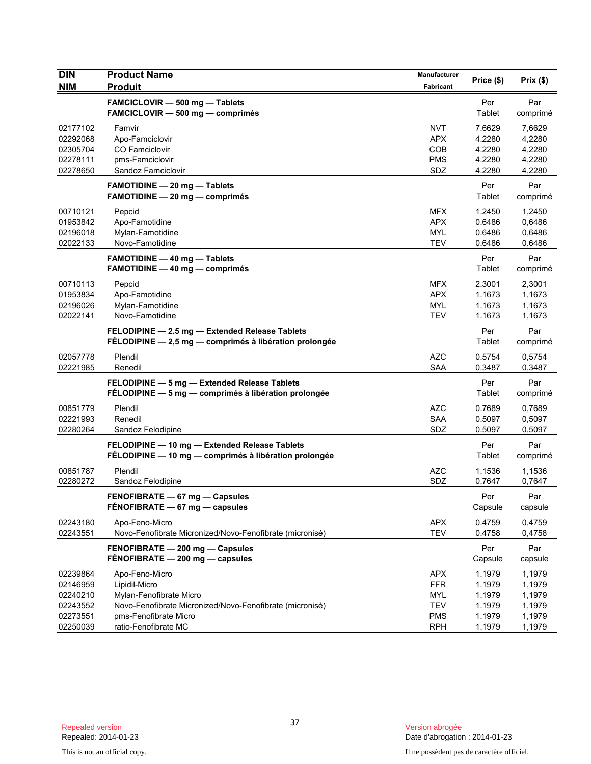| <b>DIN</b><br><b>NIM</b>                                             | <b>Product Name</b><br><b>Produit</b>                                                                                                                                   | Manufacturer<br>Fabricant                                          | Price (\$)                                               | Prix(\$)                                                 |
|----------------------------------------------------------------------|-------------------------------------------------------------------------------------------------------------------------------------------------------------------------|--------------------------------------------------------------------|----------------------------------------------------------|----------------------------------------------------------|
|                                                                      | FAMCICLOVIR - 500 mg - Tablets<br>FAMCICLOVIR - 500 mg - comprimés                                                                                                      |                                                                    | Per<br>Tablet                                            | Par<br>comprimé                                          |
| 02177102<br>02292068<br>02305704<br>02278111<br>02278650             | Famvir<br>Apo-Famciclovir<br><b>CO Famciclovir</b><br>pms-Famciclovir<br>Sandoz Famciclovir                                                                             | <b>NVT</b><br><b>APX</b><br><b>COB</b><br><b>PMS</b><br>SDZ        | 7.6629<br>4.2280<br>4.2280<br>4.2280<br>4.2280           | 7,6629<br>4,2280<br>4,2280<br>4,2280<br>4,2280           |
|                                                                      | <b>FAMOTIDINE - 20 mg - Tablets</b><br>FAMOTIDINE - 20 mg - comprimés                                                                                                   |                                                                    | Per<br>Tablet                                            | Par<br>comprimé                                          |
| 00710121<br>01953842<br>02196018<br>02022133                         | Pepcid<br>Apo-Famotidine<br>Mylan-Famotidine<br>Novo-Famotidine                                                                                                         | <b>MFX</b><br><b>APX</b><br><b>MYL</b><br><b>TEV</b>               | 1.2450<br>0.6486<br>0.6486<br>0.6486                     | 1,2450<br>0,6486<br>0,6486<br>0,6486                     |
|                                                                      | <b>FAMOTIDINE - 40 mg - Tablets</b><br><b>FAMOTIDINE - 40 mg - comprimés</b>                                                                                            |                                                                    | Per<br>Tablet                                            | Par<br>comprimé                                          |
| 00710113<br>01953834<br>02196026<br>02022141                         | Pepcid<br>Apo-Famotidine<br>Mylan-Famotidine<br>Novo-Famotidine                                                                                                         | <b>MFX</b><br><b>APX</b><br>MYL<br><b>TEV</b>                      | 2.3001<br>1.1673<br>1.1673<br>1.1673                     | 2,3001<br>1,1673<br>1,1673<br>1,1673                     |
|                                                                      | FELODIPINE - 2.5 mg - Extended Release Tablets<br>FÉLODIPINE - 2,5 mg - comprimés à libération prolongée                                                                |                                                                    | Per<br>Tablet                                            | Par<br>comprimé                                          |
| 02057778<br>02221985                                                 | Plendil<br>Renedil                                                                                                                                                      | <b>AZC</b><br><b>SAA</b>                                           | 0.5754<br>0.3487                                         | 0,5754<br>0,3487                                         |
|                                                                      | FELODIPINE - 5 mg - Extended Release Tablets<br>FÉLODIPINE - 5 mg - comprimés à libération prolongée                                                                    |                                                                    | Per<br>Tablet                                            | Par<br>comprimé                                          |
| 00851779<br>02221993<br>02280264                                     | Plendil<br>Renedil<br>Sandoz Felodipine                                                                                                                                 | <b>AZC</b><br><b>SAA</b><br>SDZ                                    | 0.7689<br>0.5097<br>0.5097                               | 0,7689<br>0,5097<br>0,5097                               |
|                                                                      | FELODIPINE - 10 mg - Extended Release Tablets<br>FÉLODIPINE - 10 mg - comprimés à libération prolongée                                                                  |                                                                    | Per<br>Tablet                                            | Par<br>comprimé                                          |
| 00851787<br>02280272                                                 | Plendil<br>Sandoz Felodipine                                                                                                                                            | <b>AZC</b><br>SDZ                                                  | 1.1536<br>0.7647                                         | 1,1536<br>0,7647                                         |
|                                                                      | FENOFIBRATE - 67 mg - Capsules<br>FÉNOFIBRATE - 67 mg - capsules                                                                                                        |                                                                    | Per<br>Capsule                                           | Par<br>capsule                                           |
| 02243180<br>02243551                                                 | Apo-Feno-Micro<br>Novo-Fenofibrate Micronized/Novo-Fenofibrate (micronisé)                                                                                              | <b>APX</b><br><b>TEV</b>                                           | 0.4759<br>0.4758                                         | 0,4759<br>0,4758                                         |
|                                                                      | FENOFIBRATE - 200 mg - Capsules<br>FÉNOFIBRATE - 200 mg - capsules                                                                                                      |                                                                    | Per<br>Capsule                                           | Par<br>capsule                                           |
| 02239864<br>02146959<br>02240210<br>02243552<br>02273551<br>02250039 | Apo-Feno-Micro<br>Lipidil-Micro<br>Mylan-Fenofibrate Micro<br>Novo-Fenofibrate Micronized/Novo-Fenofibrate (micronisé)<br>pms-Fenofibrate Micro<br>ratio-Fenofibrate MC | <b>APX</b><br><b>FFR</b><br>MYL<br>TEV<br><b>PMS</b><br><b>RPH</b> | 1.1979<br>1.1979<br>1.1979<br>1.1979<br>1.1979<br>1.1979 | 1,1979<br>1,1979<br>1,1979<br>1,1979<br>1,1979<br>1,1979 |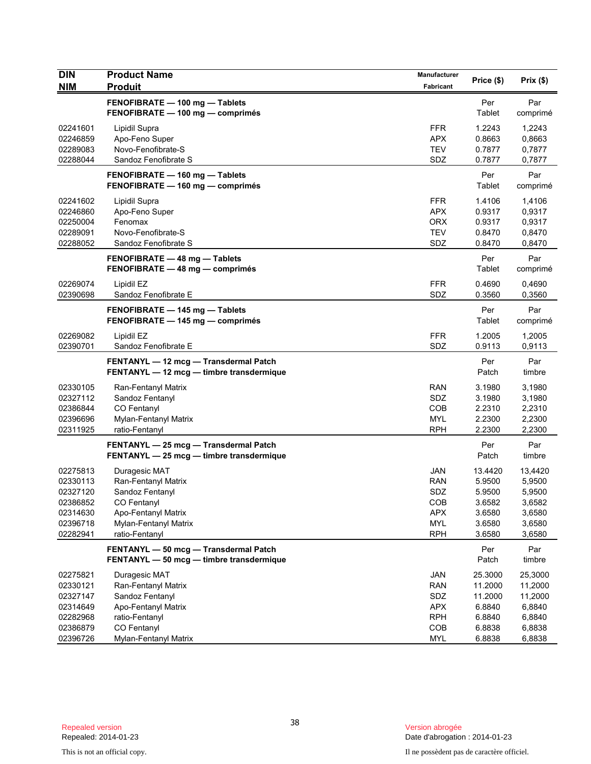| <b>DIN</b>                                                                       | <b>Product Name</b>                                                                                                                      | Manufacturer                                                              | Price (\$)                                                          | Prix (\$)                                                           |
|----------------------------------------------------------------------------------|------------------------------------------------------------------------------------------------------------------------------------------|---------------------------------------------------------------------------|---------------------------------------------------------------------|---------------------------------------------------------------------|
| <b>NIM</b>                                                                       | <b>Produit</b>                                                                                                                           | Fabricant                                                                 |                                                                     |                                                                     |
|                                                                                  | FENOFIBRATE - 100 mg - Tablets<br>FENOFIBRATE - 100 mg - comprimés                                                                       |                                                                           | Per<br>Tablet                                                       | Par<br>comprimé                                                     |
| 02241601<br>02246859<br>02289083<br>02288044                                     | Lipidil Supra<br>Apo-Feno Super<br>Novo-Fenofibrate-S<br>Sandoz Fenofibrate S                                                            | <b>FFR</b><br><b>APX</b><br><b>TEV</b><br>SDZ                             | 1.2243<br>0.8663<br>0.7877<br>0.7877                                | 1,2243<br>0,8663<br>0,7877<br>0,7877                                |
|                                                                                  | FENOFIBRATE - 160 mg - Tablets<br>FENOFIBRATE - 160 mg - comprimés                                                                       |                                                                           | Per<br>Tablet                                                       | Par<br>comprimé                                                     |
| 02241602<br>02246860<br>02250004<br>02289091<br>02288052                         | Lipidil Supra<br>Apo-Feno Super<br>Fenomax<br>Novo-Fenofibrate-S<br>Sandoz Fenofibrate S                                                 | <b>FFR</b><br><b>APX</b><br><b>ORX</b><br><b>TEV</b><br>SDZ               | 1.4106<br>0.9317<br>0.9317<br>0.8470<br>0.8470                      | 1,4106<br>0,9317<br>0,9317<br>0,8470<br>0,8470                      |
|                                                                                  | FENOFIBRATE - 48 mg - Tablets<br>FENOFIBRATE - 48 mg - comprimés                                                                         |                                                                           | Per<br>Tablet                                                       | Par<br>comprimé                                                     |
| 02269074<br>02390698                                                             | Lipidil EZ<br>Sandoz Fenofibrate E                                                                                                       | <b>FFR</b><br>SDZ                                                         | 0.4690<br>0.3560                                                    | 0,4690<br>0,3560                                                    |
|                                                                                  | FENOFIBRATE - 145 mg - Tablets<br>FENOFIBRATE - 145 mg - comprimés                                                                       |                                                                           | Per<br>Tablet                                                       | Par<br>comprimé                                                     |
| 02269082<br>02390701                                                             | Lipidil EZ<br>Sandoz Fenofibrate E                                                                                                       | <b>FFR</b><br>SDZ                                                         | 1.2005<br>0.9113                                                    | 1,2005<br>0,9113                                                    |
|                                                                                  | FENTANYL - 12 mcg - Transdermal Patch<br>FENTANYL - 12 mcg - timbre transdermique                                                        |                                                                           | Per<br>Patch                                                        | Par<br>timbre                                                       |
| 02330105<br>02327112<br>02386844<br>02396696<br>02311925                         | Ran-Fentanyl Matrix<br>Sandoz Fentanyl<br>CO Fentanyl<br>Mylan-Fentanyl Matrix<br>ratio-Fentanyl                                         | <b>RAN</b><br>SDZ<br>COB<br><b>MYL</b><br><b>RPH</b>                      | 3.1980<br>3.1980<br>2.2310<br>2.2300<br>2.2300                      | 3,1980<br>3,1980<br>2,2310<br>2,2300<br>2,2300                      |
|                                                                                  | FENTANYL - 25 mcg - Transdermal Patch<br>FENTANYL - 25 mcg - timbre transdermique                                                        |                                                                           | Per<br>Patch                                                        | Par<br>timbre                                                       |
| 02275813<br>02330113<br>02327120<br>02386852<br>02314630<br>02396718<br>02282941 | Duragesic MAT<br>Ran-Fentanyl Matrix<br>Sandoz Fentanyl<br>CO Fentanyl<br>Apo-Fentanyl Matrix<br>Mylan-Fentanyl Matrix<br>ratio-Fentanyl | <b>JAN</b><br><b>RAN</b><br>SDZ<br>COB<br><b>APX</b><br>MYL<br><b>RPH</b> | 13.4420<br>5.9500<br>5.9500<br>3.6582<br>3.6580<br>3.6580<br>3.6580 | 13,4420<br>5,9500<br>5,9500<br>3,6582<br>3,6580<br>3,6580<br>3,6580 |
|                                                                                  | FENTANYL - 50 mcg - Transdermal Patch<br>FENTANYL - 50 mcg - timbre transdermique                                                        |                                                                           | Per<br>Patch                                                        | Par<br>timbre                                                       |
| 02275821<br>02330121<br>02327147<br>02314649<br>02282968                         | Duragesic MAT<br>Ran-Fentanyl Matrix<br>Sandoz Fentanyl<br>Apo-Fentanyl Matrix<br>ratio-Fentanyl                                         | JAN<br><b>RAN</b><br>SDZ<br><b>APX</b><br><b>RPH</b>                      | 25.3000<br>11.2000<br>11.2000<br>6.8840<br>6.8840                   | 25,3000<br>11,2000<br>11,2000<br>6,8840<br>6,8840                   |
| 02386879<br>02396726                                                             | CO Fentanyl<br>Mylan-Fentanyl Matrix                                                                                                     | COB<br><b>MYL</b>                                                         | 6.8838<br>6.8838                                                    | 6,8838<br>6,8838                                                    |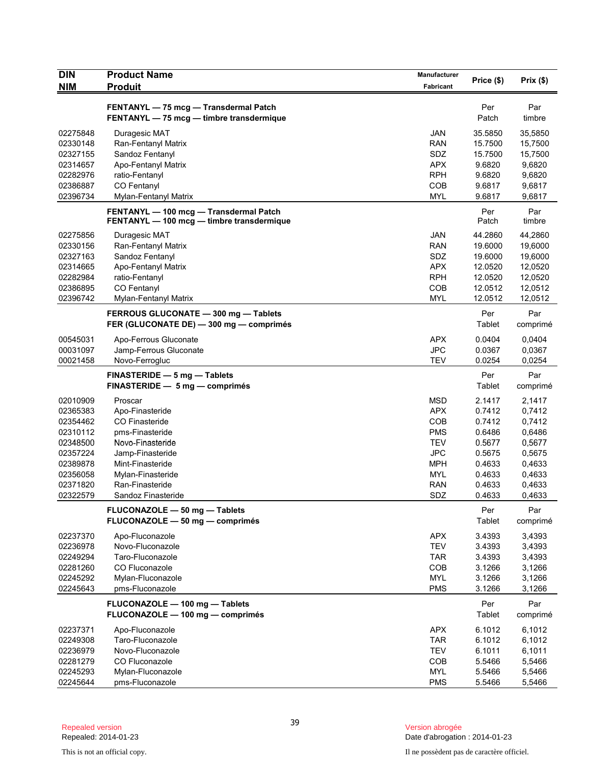| <b>DIN</b>                                                                                                           | <b>Product Name</b>                                                                                                                                                                              | Manufacturer                                                                                                        | Price (\$)                                                                                       | Prix(\$)                                                                                         |
|----------------------------------------------------------------------------------------------------------------------|--------------------------------------------------------------------------------------------------------------------------------------------------------------------------------------------------|---------------------------------------------------------------------------------------------------------------------|--------------------------------------------------------------------------------------------------|--------------------------------------------------------------------------------------------------|
| <b>NIM</b>                                                                                                           | <b>Produit</b>                                                                                                                                                                                   | Fabricant                                                                                                           |                                                                                                  |                                                                                                  |
|                                                                                                                      | FENTANYL - 75 mcg - Transdermal Patch<br>FENTANYL - 75 mcg - timbre transdermique                                                                                                                |                                                                                                                     | Per<br>Patch                                                                                     | Par<br>timbre                                                                                    |
| 02275848<br>02330148<br>02327155<br>02314657<br>02282976<br>02386887<br>02396734                                     | Duragesic MAT<br>Ran-Fentanyl Matrix<br>Sandoz Fentanyl<br>Apo-Fentanyl Matrix<br>ratio-Fentanyl<br>CO Fentanyl<br>Mylan-Fentanyl Matrix                                                         | JAN<br><b>RAN</b><br>SDZ<br><b>APX</b><br><b>RPH</b><br>COB<br><b>MYL</b>                                           | 35.5850<br>15.7500<br>15.7500<br>9.6820<br>9.6820<br>9.6817<br>9.6817                            | 35,5850<br>15,7500<br>15,7500<br>9,6820<br>9,6820<br>9,6817<br>9,6817                            |
|                                                                                                                      | FENTANYL - 100 mcg - Transdermal Patch<br>FENTANYL - 100 mcg - timbre transdermique                                                                                                              |                                                                                                                     | Per<br>Patch                                                                                     | Par<br>timbre                                                                                    |
| 02275856<br>02330156<br>02327163<br>02314665<br>02282984<br>02386895<br>02396742                                     | Duragesic MAT<br>Ran-Fentanyl Matrix<br>Sandoz Fentanyl<br>Apo-Fentanyl Matrix<br>ratio-Fentanyl<br>CO Fentanyl<br>Mylan-Fentanyl Matrix                                                         | JAN<br><b>RAN</b><br>SDZ<br><b>APX</b><br><b>RPH</b><br>COB<br><b>MYL</b>                                           | 44.2860<br>19.6000<br>19.6000<br>12.0520<br>12.0520<br>12.0512<br>12.0512                        | 44,2860<br>19,6000<br>19,6000<br>12,0520<br>12,0520<br>12,0512<br>12,0512                        |
|                                                                                                                      | FERROUS GLUCONATE - 300 mg - Tablets<br>FER (GLUCONATE DE) - 300 mg - comprimés                                                                                                                  |                                                                                                                     | Per<br>Tablet                                                                                    | Par<br>comprimé                                                                                  |
| 00545031<br>00031097<br>00021458                                                                                     | Apo-Ferrous Gluconate<br>Jamp-Ferrous Gluconate<br>Novo-Ferrogluc                                                                                                                                | <b>APX</b><br><b>JPC</b><br><b>TEV</b>                                                                              | 0.0404<br>0.0367<br>0.0254                                                                       | 0,0404<br>0,0367<br>0,0254                                                                       |
|                                                                                                                      | FINASTERIDE - 5 mg - Tablets<br>FINASTERIDE - 5 mg - comprimés                                                                                                                                   |                                                                                                                     | Per<br>Tablet                                                                                    | Par<br>comprimé                                                                                  |
| 02010909<br>02365383<br>02354462<br>02310112<br>02348500<br>02357224<br>02389878<br>02356058<br>02371820<br>02322579 | Proscar<br>Apo-Finasteride<br><b>CO Finasteride</b><br>pms-Finasteride<br>Novo-Finasteride<br>Jamp-Finasteride<br>Mint-Finasteride<br>Mylan-Finasteride<br>Ran-Finasteride<br>Sandoz Finasteride | <b>MSD</b><br><b>APX</b><br>COB<br><b>PMS</b><br><b>TEV</b><br><b>JPC</b><br><b>MPH</b><br>MYL<br><b>RAN</b><br>SDZ | 2.1417<br>0.7412<br>0.7412<br>0.6486<br>0.5677<br>0.5675<br>0.4633<br>0.4633<br>0.4633<br>0.4633 | 2,1417<br>0,7412<br>0,7412<br>0,6486<br>0,5677<br>0,5675<br>0,4633<br>0,4633<br>0,4633<br>0,4633 |
|                                                                                                                      | FLUCONAZOLE - 50 mg - Tablets<br>FLUCONAZOLE - 50 mg - comprimés                                                                                                                                 |                                                                                                                     | Per<br>Tablet                                                                                    | Par<br>comprimé                                                                                  |
| 02237370<br>02236978<br>02249294<br>02281260<br>02245292<br>02245643                                                 | Apo-Fluconazole<br>Novo-Fluconazole<br>Taro-Fluconazole<br>CO Fluconazole<br>Mylan-Fluconazole<br>pms-Fluconazole                                                                                | <b>APX</b><br><b>TEV</b><br><b>TAR</b><br>COB<br><b>MYL</b><br><b>PMS</b>                                           | 3.4393<br>3.4393<br>3.4393<br>3.1266<br>3.1266<br>3.1266                                         | 3,4393<br>3,4393<br>3,4393<br>3,1266<br>3,1266<br>3,1266                                         |
|                                                                                                                      | FLUCONAZOLE - 100 mg - Tablets<br>FLUCONAZOLE - 100 mg - comprimés                                                                                                                               |                                                                                                                     | Per<br>Tablet                                                                                    | Par<br>comprimé                                                                                  |
| 02237371<br>02249308<br>02236979<br>02281279<br>02245293                                                             | Apo-Fluconazole<br>Taro-Fluconazole<br>Novo-Fluconazole<br>CO Fluconazole<br>Mylan-Fluconazole                                                                                                   | <b>APX</b><br><b>TAR</b><br><b>TEV</b><br><b>COB</b><br><b>MYL</b>                                                  | 6.1012<br>6.1012<br>6.1011<br>5.5466<br>5.5466                                                   | 6,1012<br>6,1012<br>6,1011<br>5,5466<br>5,5466                                                   |
| 02245644                                                                                                             | pms-Fluconazole                                                                                                                                                                                  | <b>PMS</b>                                                                                                          | 5.5466                                                                                           | 5,5466                                                                                           |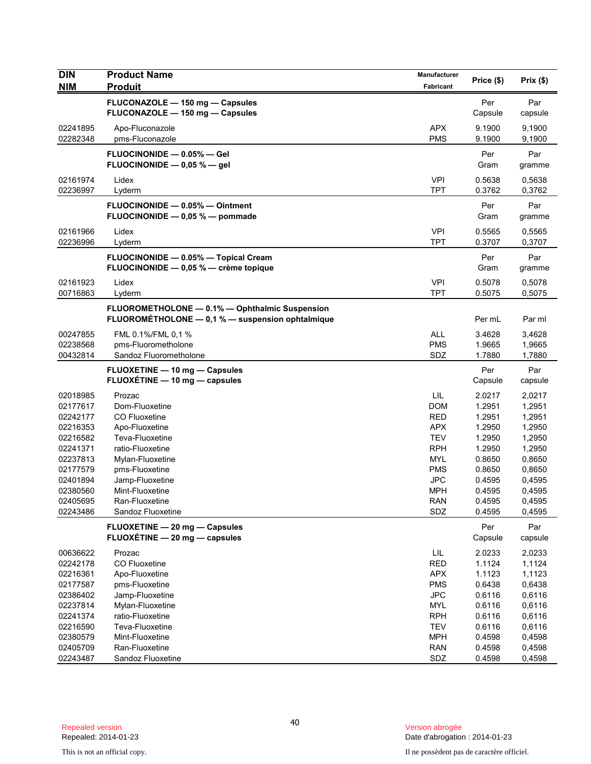| <b>DIN</b><br><b>NIM</b> | <b>Product Name</b><br><b>Produit</b>                                                              | Manufacturer<br><b>Fabricant</b> | Price (\$)       | Prix(\$)         |
|--------------------------|----------------------------------------------------------------------------------------------------|----------------------------------|------------------|------------------|
|                          | FLUCONAZOLE - 150 mg - Capsules                                                                    |                                  | Per              | Par              |
|                          | FLUCONAZOLE - 150 mg - Capsules                                                                    |                                  | Capsule          | capsule          |
| 02241895                 | Apo-Fluconazole                                                                                    | <b>APX</b>                       | 9.1900           | 9,1900           |
| 02282348                 | pms-Fluconazole                                                                                    | <b>PMS</b>                       | 9.1900           | 9,1900           |
|                          | FLUOCINONIDE - 0.05% - Gel<br>FLUOCINONIDE $-$ 0,05 % $-$ gel                                      |                                  | Per<br>Gram      | Par<br>gramme    |
| 02161974<br>02236997     | Lidex<br>Lyderm                                                                                    | <b>VPI</b><br><b>TPT</b>         | 0.5638<br>0.3762 | 0,5638<br>0,3762 |
|                          | FLUOCINONIDE - 0.05% - Ointment<br>FLUOCINONIDE - 0,05 % - pommade                                 |                                  | Per<br>Gram      | Par<br>gramme    |
| 02161966<br>02236996     | Lidex<br>Lyderm                                                                                    | <b>VPI</b><br><b>TPT</b>         | 0.5565<br>0.3707 | 0,5565<br>0,3707 |
|                          | FLUOCINONIDE - 0.05% - Topical Cream<br>FLUOCINONIDE - 0,05 % - crème topique                      |                                  | Per<br>Gram      | Par<br>gramme    |
| 02161923<br>00716863     | Lidex<br>Lyderm                                                                                    | <b>VPI</b><br><b>TPT</b>         | 0.5078<br>0.5075 | 0,5078<br>0,5075 |
|                          | FLUOROMETHOLONE - 0.1% - Ophthalmic Suspension<br>FLUOROMÉTHOLONE - 0,1 % - suspension ophtalmique |                                  | Per mL           | Par ml           |
| 00247855                 | FML 0.1%/FML 0,1 %                                                                                 | <b>ALL</b>                       | 3.4628           | 3,4628           |
| 02238568                 | pms-Fluorometholone                                                                                | <b>PMS</b>                       | 1.9665           | 1,9665           |
| 00432814                 | Sandoz Fluorometholone                                                                             | SDZ                              | 1.7880           | 1,7880           |
|                          | FLUOXETINE - 10 mg - Capsules<br>FLUOXÉTINE - 10 mg - capsules                                     |                                  | Per<br>Capsule   | Par<br>capsule   |
| 02018985                 | Prozac                                                                                             | LIL                              | 2.0217           | 2,0217           |
| 02177617                 | Dom-Fluoxetine                                                                                     | <b>DOM</b>                       | 1.2951           | 1,2951           |
| 02242177                 | CO Fluoxetine                                                                                      | <b>RED</b>                       | 1.2951           | 1,2951           |
| 02216353                 | Apo-Fluoxetine                                                                                     | <b>APX</b>                       | 1.2950           | 1,2950           |
| 02216582                 | Teva-Fluoxetine                                                                                    | <b>TEV</b>                       | 1.2950           | 1,2950           |
| 02241371                 | ratio-Fluoxetine                                                                                   | <b>RPH</b>                       | 1.2950           | 1,2950           |
| 02237813                 | Mylan-Fluoxetine                                                                                   | MYL                              | 0.8650           | 0,8650           |
| 02177579                 | pms-Fluoxetine                                                                                     | <b>PMS</b>                       | 0.8650           | 0,8650           |
| 02401894                 | Jamp-Fluoxetine                                                                                    | <b>JPC</b>                       | 0.4595           | 0,4595           |
| 02380560                 | Mint-Fluoxetine                                                                                    | <b>MPH</b>                       | 0.4595           | 0,4595           |
| 02405695<br>02243486     | Ran-Fluoxetine<br>Sandoz Fluoxetine                                                                | <b>RAN</b><br>SDZ                | 0.4595<br>0.4595 | 0,4595<br>0,4595 |
|                          | FLUOXETINE - 20 mg - Capsules                                                                      |                                  | Per              | Par              |
|                          | FLUOXÉTINE - 20 mg - capsules                                                                      |                                  | Capsule          | capsule          |
| 00636622                 | Prozac                                                                                             | $\ensuremath{\mathsf{LIL}}$      | 2.0233           | 2,0233           |
| 02242178                 | CO Fluoxetine                                                                                      | RED                              | 1.1124           | 1,1124           |
| 02216361                 | Apo-Fluoxetine                                                                                     | <b>APX</b>                       | 1.1123           | 1,1123           |
| 02177587                 | pms-Fluoxetine                                                                                     | <b>PMS</b>                       | 0.6438           | 0,6438           |
| 02386402                 | Jamp-Fluoxetine                                                                                    | <b>JPC</b>                       | 0.6116           | 0,6116           |
| 02237814                 | Mylan-Fluoxetine                                                                                   | <b>MYL</b>                       | 0.6116           | 0,6116           |
| 02241374                 | ratio-Fluoxetine                                                                                   | <b>RPH</b>                       | 0.6116           | 0,6116           |
| 02216590                 | Teva-Fluoxetine                                                                                    | <b>TEV</b>                       | 0.6116           | 0,6116           |
| 02380579                 | Mint-Fluoxetine                                                                                    | <b>MPH</b>                       | 0.4598           | 0,4598           |
| 02405709                 | Ran-Fluoxetine                                                                                     | <b>RAN</b>                       | 0.4598           | 0,4598           |
| 02243487                 | Sandoz Fluoxetine                                                                                  | SDZ                              | 0.4598           | 0,4598           |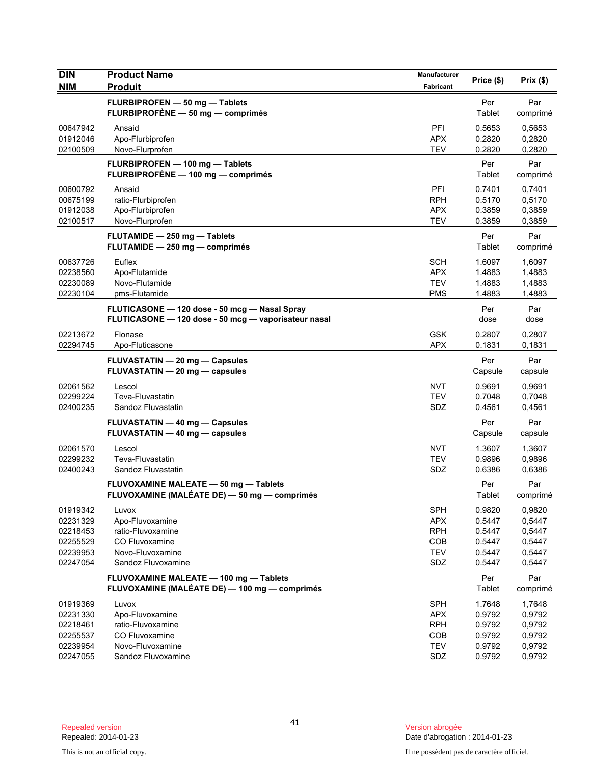| <b>DIN</b><br><b>NIM</b>                                             | <b>Product Name</b><br><b>Produit</b>                                                                     | Manufacturer<br>Fabricant                                          | Price (\$)                                               | Prix(\$)                                                 |
|----------------------------------------------------------------------|-----------------------------------------------------------------------------------------------------------|--------------------------------------------------------------------|----------------------------------------------------------|----------------------------------------------------------|
|                                                                      | FLURBIPROFEN - 50 mg - Tablets<br>FLURBIPROFÈNE - 50 mg - comprimés                                       |                                                                    | Per<br>Tablet                                            | Par<br>comprimé                                          |
| 00647942<br>01912046<br>02100509                                     | Ansaid<br>Apo-Flurbiprofen<br>Novo-Flurprofen                                                             | PFI<br><b>APX</b><br><b>TEV</b>                                    | 0.5653<br>0.2820<br>0.2820                               | 0,5653<br>0,2820<br>0,2820                               |
|                                                                      | FLURBIPROFEN - 100 mg - Tablets<br>FLURBIPROFÈNE - 100 mg - comprimés                                     |                                                                    | Per<br>Tablet                                            | Par<br>comprimé                                          |
| 00600792<br>00675199<br>01912038<br>02100517                         | Ansaid<br>ratio-Flurbiprofen<br>Apo-Flurbiprofen<br>Novo-Flurprofen                                       | PFI<br><b>RPH</b><br><b>APX</b><br><b>TEV</b>                      | 0.7401<br>0.5170<br>0.3859<br>0.3859                     | 0,7401<br>0,5170<br>0,3859<br>0,3859                     |
|                                                                      | FLUTAMIDE - 250 mg - Tablets<br>FLUTAMIDE - 250 mg - comprimés                                            |                                                                    | Per<br>Tablet                                            | Par<br>comprimé                                          |
| 00637726<br>02238560<br>02230089<br>02230104                         | Euflex<br>Apo-Flutamide<br>Novo-Flutamide<br>pms-Flutamide                                                | <b>SCH</b><br><b>APX</b><br><b>TEV</b><br><b>PMS</b>               | 1.6097<br>1.4883<br>1.4883<br>1.4883                     | 1,6097<br>1,4883<br>1,4883<br>1,4883                     |
|                                                                      | FLUTICASONE - 120 dose - 50 mcg - Nasal Spray<br>FLUTICASONE - 120 dose - 50 mcg - vaporisateur nasal     |                                                                    | Per<br>dose                                              | Par<br>dose                                              |
| 02213672<br>02294745                                                 | Flonase<br>Apo-Fluticasone                                                                                | <b>GSK</b><br><b>APX</b>                                           | 0.2807<br>0.1831                                         | 0,2807<br>0,1831                                         |
|                                                                      | FLUVASTATIN - 20 mg - Capsules<br>FLUVASTATIN - 20 mg - capsules                                          |                                                                    | Per<br>Capsule                                           | Par<br>capsule                                           |
| 02061562<br>02299224<br>02400235                                     | Lescol<br>Teva-Fluvastatin<br>Sandoz Fluvastatin                                                          | <b>NVT</b><br><b>TEV</b><br>SDZ                                    | 0.9691<br>0.7048<br>0.4561                               | 0,9691<br>0,7048<br>0,4561                               |
|                                                                      | FLUVASTATIN - 40 mg - Capsules<br>FLUVASTATIN - 40 mg - capsules                                          |                                                                    | Per<br>Capsule                                           | Par<br>capsule                                           |
| 02061570<br>02299232<br>02400243                                     | Lescol<br>Teva-Fluvastatin<br>Sandoz Fluvastatin                                                          | <b>NVT</b><br><b>TEV</b><br>SDZ                                    | 1.3607<br>0.9896<br>0.6386                               | 1,3607<br>0,9896<br>0,6386                               |
|                                                                      | FLUVOXAMINE MALEATE - 50 mg - Tablets<br>FLUVOXAMINE (MALÉATE DE) - 50 mg - comprimés                     |                                                                    | Per<br>Tablet                                            | Par<br>comprimé                                          |
| 01919342<br>02231329<br>02218453<br>02255529<br>02239953<br>02247054 | Luvox<br>Apo-Fluvoxamine<br>ratio-Fluvoxamine<br>CO Fluvoxamine<br>Novo-Fluvoxamine<br>Sandoz Fluvoxamine | <b>SPH</b><br><b>APX</b><br><b>RPH</b><br>COB<br><b>TEV</b><br>SDZ | 0.9820<br>0.5447<br>0.5447<br>0.5447<br>0.5447<br>0.5447 | 0,9820<br>0,5447<br>0,5447<br>0,5447<br>0,5447<br>0,5447 |
|                                                                      | FLUVOXAMINE MALEATE - 100 mg - Tablets<br>FLUVOXAMINE (MALÉATE DE) - 100 mg - comprimés                   |                                                                    | Per<br>Tablet                                            | Par<br>comprimé                                          |
| 01919369<br>02231330<br>02218461<br>02255537<br>02239954<br>02247055 | Luvox<br>Apo-Fluvoxamine<br>ratio-Fluvoxamine<br>CO Fluvoxamine<br>Novo-Fluvoxamine<br>Sandoz Fluvoxamine | <b>SPH</b><br><b>APX</b><br><b>RPH</b><br>COB<br><b>TEV</b><br>SDZ | 1.7648<br>0.9792<br>0.9792<br>0.9792<br>0.9792<br>0.9792 | 1,7648<br>0,9792<br>0,9792<br>0,9792<br>0,9792<br>0,9792 |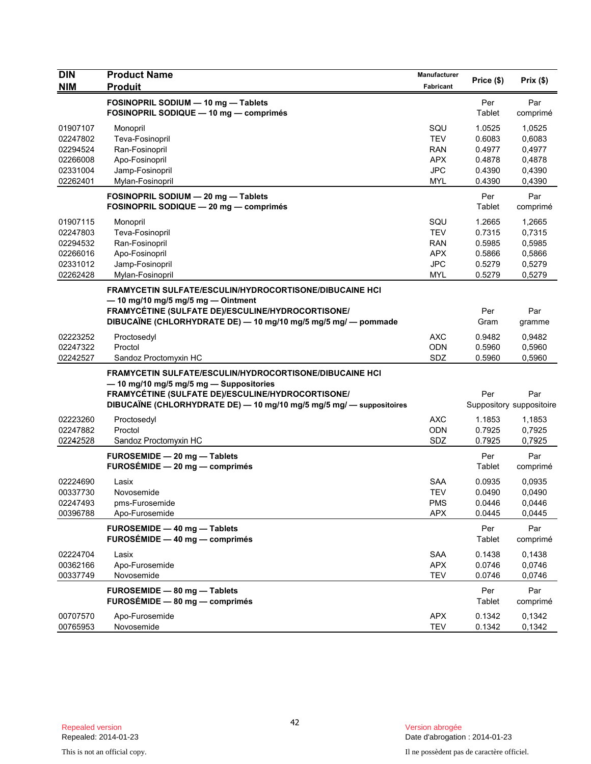| <b>DIN</b><br><b>NIM</b>                                             | <b>Product Name</b><br><b>Produit</b>                                                                                                                                                                                                  | Manufacturer<br>Fabricant                                                 | Price (\$)                                               | Prix(\$)                                                 |
|----------------------------------------------------------------------|----------------------------------------------------------------------------------------------------------------------------------------------------------------------------------------------------------------------------------------|---------------------------------------------------------------------------|----------------------------------------------------------|----------------------------------------------------------|
|                                                                      | FOSINOPRIL SODIUM - 10 mg - Tablets<br>FOSINOPRIL SODIQUE - 10 mg - comprimés                                                                                                                                                          |                                                                           | Per<br>Tablet                                            | Par<br>comprimé                                          |
| 01907107<br>02247802<br>02294524<br>02266008<br>02331004<br>02262401 | Monopril<br>Teva-Fosinopril<br>Ran-Fosinopril<br>Apo-Fosinopril<br>Jamp-Fosinopril<br>Mylan-Fosinopril                                                                                                                                 | SQU<br><b>TEV</b><br>RAN<br><b>APX</b><br><b>JPC</b><br><b>MYL</b>        | 1.0525<br>0.6083<br>0.4977<br>0.4878<br>0.4390<br>0.4390 | 1,0525<br>0,6083<br>0,4977<br>0,4878<br>0,4390<br>0,4390 |
|                                                                      | FOSINOPRIL SODIUM - 20 mg - Tablets<br>FOSINOPRIL SODIQUE - 20 mg - comprimés                                                                                                                                                          |                                                                           | Per<br>Tablet                                            | Par<br>comprimé                                          |
| 01907115<br>02247803<br>02294532<br>02266016<br>02331012<br>02262428 | Monopril<br>Teva-Fosinopril<br>Ran-Fosinopril<br>Apo-Fosinopril<br>Jamp-Fosinopril<br>Mylan-Fosinopril                                                                                                                                 | SQU<br><b>TEV</b><br><b>RAN</b><br><b>APX</b><br><b>JPC</b><br><b>MYL</b> | 1.2665<br>0.7315<br>0.5985<br>0.5866<br>0.5279<br>0.5279 | 1,2665<br>0,7315<br>0,5985<br>0,5866<br>0,5279<br>0,5279 |
|                                                                      | <b>FRAMYCETIN SULFATE/ESCULIN/HYDROCORTISONE/DIBUCAINE HCI</b><br>$-$ 10 mg/10 mg/5 mg/5 mg $-$ Ointment<br>FRAMYCÉTINE (SULFATE DE)/ESCULINE/HYDROCORTISONE/<br>DIBUCAÏNE (CHLORHYDRATE DE) — 10 mg/10 mg/5 mg/5 mg/ — pommade        |                                                                           | Per<br>Gram                                              | Par<br>gramme                                            |
| 02223252<br>02247322<br>02242527                                     | Proctosedyl<br>Proctol<br>Sandoz Proctomyxin HC                                                                                                                                                                                        | AXC<br><b>ODN</b><br>SDZ                                                  | 0.9482<br>0.5960<br>0.5960                               | 0,9482<br>0,5960<br>0,5960                               |
|                                                                      | <b>FRAMYCETIN SULFATE/ESCULIN/HYDROCORTISONE/DIBUCAINE HCI</b><br>- 10 mg/10 mg/5 mg/5 mg - Suppositories<br>FRAMYCÉTINE (SULFATE DE)/ESCULINE/HYDROCORTISONE/<br>DIBUCAÏNE (CHLORHYDRATE DE) - 10 mg/10 mg/5 mg/5 mg/ - suppositoires |                                                                           | Per                                                      | Par<br>Suppository suppositoire                          |
| 02223260<br>02247882<br>02242528                                     | Proctosedyl<br>Proctol<br>Sandoz Proctomyxin HC                                                                                                                                                                                        | <b>AXC</b><br>ODN<br>SDZ                                                  | 1.1853<br>0.7925<br>0.7925                               | 1,1853<br>0,7925<br>0,7925                               |
|                                                                      | FUROSEMIDE - 20 mg - Tablets<br>$FUROSÉMIDE - 20 mg - comprimés$                                                                                                                                                                       |                                                                           | Per<br>Tablet                                            | Par<br>comprimé                                          |
| 02224690<br>00337730<br>02247493<br>00396788                         | Lasix<br>Novosemide<br>pms-Furosemide<br>Apo-Furosemide                                                                                                                                                                                | <b>SAA</b><br><b>TEV</b><br>PMS<br><b>APX</b>                             | 0.0935<br>0.0490<br>0.0446<br>0.0445                     | 0.0935<br>0,0490<br>0,0446<br>0,0445                     |
|                                                                      | FUROSEMIDE - 40 mg - Tablets<br>$FUROSÉMIDE - 40 mg - comprimés$                                                                                                                                                                       |                                                                           | Per<br>Tablet                                            | Par<br>comprimé                                          |
| 02224704<br>00362166<br>00337749                                     | Lasix<br>Apo-Furosemide<br>Novosemide                                                                                                                                                                                                  | <b>SAA</b><br><b>APX</b><br><b>TEV</b>                                    | 0.1438<br>0.0746<br>0.0746                               | 0,1438<br>0,0746<br>0,0746                               |
|                                                                      | FUROSEMIDE - 80 mg - Tablets<br>FUROSÉMIDE - 80 mg - comprimés                                                                                                                                                                         |                                                                           | Per<br>Tablet                                            | Par<br>comprimé                                          |
| 00707570<br>00765953                                                 | Apo-Furosemide<br>Novosemide                                                                                                                                                                                                           | <b>APX</b><br><b>TEV</b>                                                  | 0.1342<br>0.1342                                         | 0,1342<br>0,1342                                         |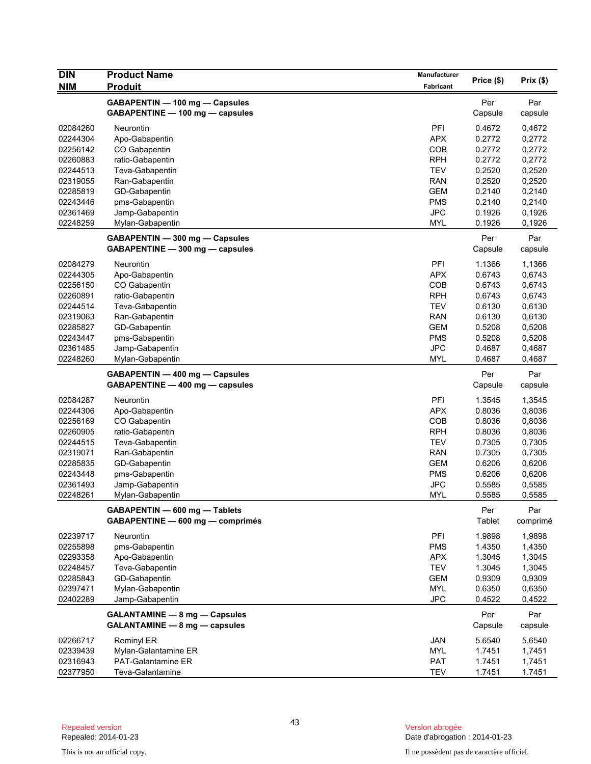| <b>DIN</b> | <b>Product Name</b>                                               | Manufacturer     | Price (\$)     | Prix(\$)         |
|------------|-------------------------------------------------------------------|------------------|----------------|------------------|
| <b>NIM</b> | <b>Produit</b>                                                    | <b>Fabricant</b> |                |                  |
|            | GABAPENTIN - 100 mg - Capsules                                    |                  | Per            | Par              |
|            | GABAPENTINE - 100 mg - capsules                                   |                  | Capsule        | capsule          |
| 02084260   | Neurontin                                                         | PFI              | 0.4672         | 0,4672           |
| 02244304   | Apo-Gabapentin                                                    | <b>APX</b>       | 0.2772         | 0,2772           |
| 02256142   | CO Gabapentin                                                     | <b>COB</b>       | 0.2772         | 0,2772           |
| 02260883   | ratio-Gabapentin                                                  | <b>RPH</b>       | 0.2772         | 0,2772           |
| 02244513   | Teva-Gabapentin                                                   | <b>TEV</b>       | 0.2520         | 0,2520           |
| 02319055   | Ran-Gabapentin                                                    | <b>RAN</b>       | 0.2520         | 0,2520           |
| 02285819   | GD-Gabapentin                                                     | <b>GEM</b>       | 0.2140         | 0,2140           |
| 02243446   | pms-Gabapentin                                                    | <b>PMS</b>       | 0.2140         | 0,2140           |
| 02361469   | Jamp-Gabapentin                                                   | <b>JPC</b>       | 0.1926         | 0,1926           |
| 02248259   | Mylan-Gabapentin                                                  | <b>MYL</b>       | 0.1926         | 0,1926           |
|            | GABAPENTIN - 300 mg - Capsules                                    |                  | Per            | Par              |
|            | GABAPENTINE - 300 mg - capsules                                   |                  | Capsule        | capsule          |
| 02084279   | Neurontin                                                         | PFI              | 1.1366         |                  |
| 02244305   | Apo-Gabapentin                                                    | <b>APX</b>       | 0.6743         | 1,1366<br>0,6743 |
| 02256150   | CO Gabapentin                                                     | COB              | 0.6743         | 0,6743           |
| 02260891   | ratio-Gabapentin                                                  | <b>RPH</b>       | 0.6743         | 0,6743           |
| 02244514   | Teva-Gabapentin                                                   | <b>TEV</b>       | 0.6130         | 0,6130           |
| 02319063   | Ran-Gabapentin                                                    | <b>RAN</b>       | 0.6130         | 0,6130           |
| 02285827   | GD-Gabapentin                                                     | <b>GEM</b>       | 0.5208         | 0,5208           |
| 02243447   | pms-Gabapentin                                                    | <b>PMS</b>       | 0.5208         | 0,5208           |
| 02361485   | Jamp-Gabapentin                                                   | <b>JPC</b>       | 0.4687         | 0,4687           |
| 02248260   | Mylan-Gabapentin                                                  | <b>MYL</b>       | 0.4687         | 0,4687           |
|            |                                                                   |                  |                |                  |
|            | GABAPENTIN - 400 mg - Capsules<br>GABAPENTINE - 400 mg - capsules |                  | Per<br>Capsule | Par<br>capsule   |
|            |                                                                   |                  |                |                  |
| 02084287   | Neurontin                                                         | PFI              | 1.3545         | 1,3545           |
| 02244306   | Apo-Gabapentin                                                    | <b>APX</b>       | 0.8036         | 0,8036           |
| 02256169   | CO Gabapentin                                                     | COB              | 0.8036         | 0,8036           |
| 02260905   | ratio-Gabapentin                                                  | <b>RPH</b>       | 0.8036         | 0,8036           |
| 02244515   | Teva-Gabapentin                                                   | <b>TEV</b>       | 0.7305         | 0,7305           |
| 02319071   | Ran-Gabapentin                                                    | <b>RAN</b>       | 0.7305         | 0,7305           |
| 02285835   | GD-Gabapentin                                                     | <b>GEM</b>       | 0.6206         | 0,6206           |
| 02243448   | pms-Gabapentin                                                    | <b>PMS</b>       | 0.6206         | 0,6206           |
| 02361493   | Jamp-Gabapentin                                                   | <b>JPC</b>       | 0.5585         | 0,5585           |
| 02248261   | Mylan-Gabapentin                                                  | MYL              | 0.5585         | 0,5585           |
|            | GABAPENTIN - 600 mg - Tablets                                     |                  | Per            | Par              |
|            | GABAPENTINE - 600 mg - comprimés                                  |                  | <b>Tablet</b>  | comprimé         |
| 02239717   | Neurontin                                                         | PFI              | 1.9898         | 1,9898           |
| 02255898   | pms-Gabapentin                                                    | <b>PMS</b>       | 1.4350         | 1,4350           |
| 02293358   | Apo-Gabapentin                                                    | <b>APX</b>       | 1.3045         | 1,3045           |
| 02248457   | Teva-Gabapentin                                                   | <b>TEV</b>       | 1.3045         | 1,3045           |
| 02285843   | GD-Gabapentin                                                     | <b>GEM</b>       | 0.9309         | 0,9309           |
| 02397471   | Mylan-Gabapentin                                                  | <b>MYL</b>       | 0.6350         | 0,6350           |
| 02402289   | Jamp-Gabapentin                                                   | <b>JPC</b>       | 0.4522         | 0,4522           |
|            | <b>GALANTAMINE - 8 mg - Capsules</b>                              |                  | Per            | Par              |
|            | GALANTAMINE - 8 mg - capsules                                     |                  | Capsule        | capsule          |
| 02266717   | Reminyl ER                                                        | JAN              | 5.6540         | 5,6540           |
| 02339439   | Mylan-Galantamine ER                                              | <b>MYL</b>       | 1.7451         | 1,7451           |
| 02316943   | PAT-Galantamine ER                                                | <b>PAT</b>       | 1.7451         | 1,7451           |
| 02377950   | Teva-Galantamine                                                  | <b>TEV</b>       | 1.7451         | 1.7451           |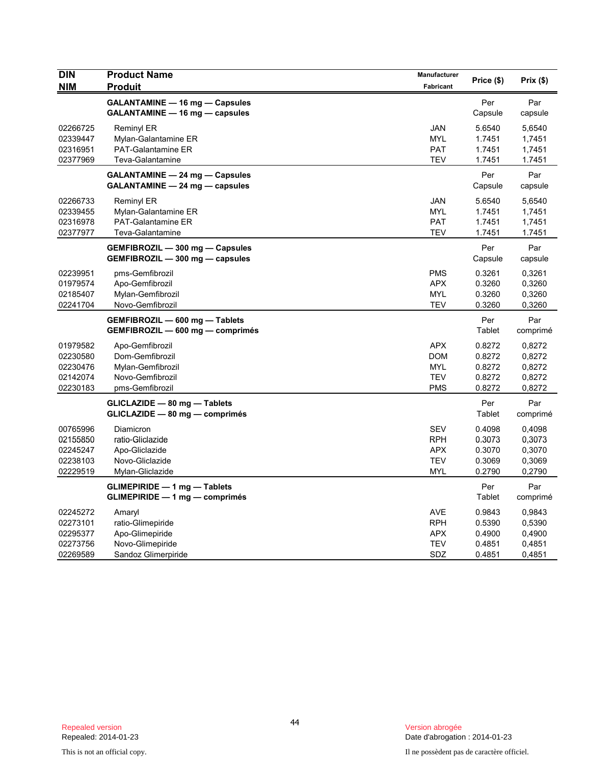| <b>DIN</b><br><b>NIM</b>                                 | <b>Product Name</b><br><b>Produit</b>                                                          | <b>Manufacturer</b><br>Fabricant                                   | Price (\$)                                     | Prix(\$)                                       |
|----------------------------------------------------------|------------------------------------------------------------------------------------------------|--------------------------------------------------------------------|------------------------------------------------|------------------------------------------------|
|                                                          | GALANTAMINE - 16 mg - Capsules<br>GALANTAMINE - 16 mg - capsules                               |                                                                    | Per<br>Capsule                                 | Par<br>capsule                                 |
| 02266725<br>02339447<br>02316951<br>02377969             | <b>Reminyl ER</b><br>Mylan-Galantamine ER<br><b>PAT-Galantamine ER</b><br>Teva-Galantamine     | <b>JAN</b><br><b>MYL</b><br><b>PAT</b><br><b>TEV</b>               | 5.6540<br>1.7451<br>1.7451<br>1.7451           | 5,6540<br>1,7451<br>1,7451<br>1.7451           |
|                                                          | GALANTAMINE - 24 mg - Capsules<br>GALANTAMINE - 24 mg - capsules                               |                                                                    | Per<br>Capsule                                 | Par<br>capsule                                 |
| 02266733<br>02339455<br>02316978<br>02377977             | Reminyl ER<br>Mylan-Galantamine ER<br>PAT-Galantamine ER<br>Teva-Galantamine                   | <b>JAN</b><br><b>MYL</b><br><b>PAT</b><br><b>TEV</b>               | 5.6540<br>1.7451<br>1.7451<br>1.7451           | 5,6540<br>1,7451<br>1,7451<br>1.7451           |
|                                                          | GEMFIBROZIL - 300 mg - Capsules<br>GEMFIBROZIL - 300 mg - capsules                             |                                                                    | Per<br>Capsule                                 | Par<br>capsule                                 |
| 02239951<br>01979574<br>02185407<br>02241704             | pms-Gemfibrozil<br>Apo-Gemfibrozil<br>Mylan-Gemfibrozil<br>Novo-Gemfibrozil                    | <b>PMS</b><br><b>APX</b><br><b>MYL</b><br><b>TEV</b>               | 0.3261<br>0.3260<br>0.3260<br>0.3260           | 0,3261<br>0,3260<br>0,3260<br>0,3260           |
|                                                          | GEMFIBROZIL - 600 mg - Tablets<br>GEMFIBROZIL - 600 mg - comprimés                             |                                                                    | Per<br>Tablet                                  | Par<br>comprimé                                |
| 01979582<br>02230580<br>02230476<br>02142074<br>02230183 | Apo-Gemfibrozil<br>Dom-Gemfibrozil<br>Mylan-Gemfibrozil<br>Novo-Gemfibrozil<br>pms-Gemfibrozil | <b>APX</b><br><b>DOM</b><br><b>MYL</b><br><b>TEV</b><br><b>PMS</b> | 0.8272<br>0.8272<br>0.8272<br>0.8272<br>0.8272 | 0,8272<br>0,8272<br>0,8272<br>0,8272<br>0,8272 |
|                                                          | GLICLAZIDE - 80 mg - Tablets<br>GLICLAZIDE - 80 mg - comprimés                                 |                                                                    | Per<br><b>Tablet</b>                           | Par<br>comprimé                                |
| 00765996<br>02155850<br>02245247<br>02238103<br>02229519 | Diamicron<br>ratio-Gliclazide<br>Apo-Gliclazide<br>Novo-Gliclazide<br>Mylan-Gliclazide         | <b>SEV</b><br><b>RPH</b><br><b>APX</b><br><b>TEV</b><br><b>MYL</b> | 0.4098<br>0.3073<br>0.3070<br>0.3069<br>0.2790 | 0,4098<br>0.3073<br>0,3070<br>0,3069<br>0,2790 |
|                                                          | <b>GLIMEPIRIDE - 1 mg - Tablets</b><br>GLIMEPIRIDE - 1 mg - comprimés                          |                                                                    | Per<br>Tablet                                  | Par<br>comprimé                                |
| 02245272<br>02273101<br>02295377<br>02273756<br>02269589 | Amaryl<br>ratio-Glimepiride<br>Apo-Glimepiride<br>Novo-Glimepiride<br>Sandoz Glimerpiride      | <b>AVE</b><br><b>RPH</b><br><b>APX</b><br><b>TEV</b><br>SDZ        | 0.9843<br>0.5390<br>0.4900<br>0.4851<br>0.4851 | 0,9843<br>0,5390<br>0,4900<br>0,4851<br>0,4851 |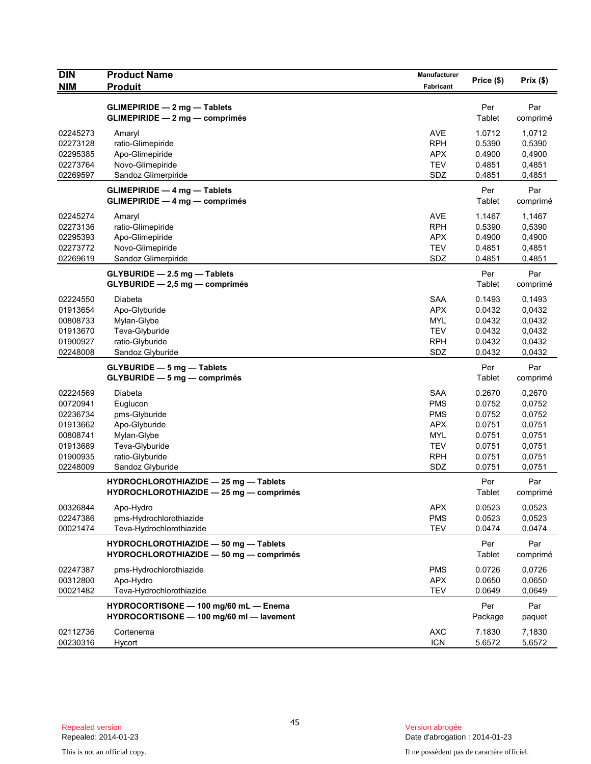| <b>DIN</b><br><b>NIM</b> | <b>Product Name</b><br><b>Produit</b>                                            | Manufacturer<br>Fabricant | Price (\$)       | Prix(\$)         |
|--------------------------|----------------------------------------------------------------------------------|---------------------------|------------------|------------------|
|                          |                                                                                  |                           |                  |                  |
|                          | $GLIMEPIRIDE - 2 mg - Tables$                                                    |                           | Per              | Par              |
|                          | <b>GLIMEPIRIDE - 2 mg - comprimés</b>                                            |                           | Tablet           | comprimé         |
| 02245273                 | Amaryl                                                                           | <b>AVE</b>                | 1.0712           | 1,0712           |
| 02273128                 | ratio-Glimepiride                                                                | <b>RPH</b>                | 0.5390           | 0,5390           |
| 02295385                 | Apo-Glimepiride                                                                  | <b>APX</b>                | 0.4900           | 0,4900           |
| 02273764                 | Novo-Glimepiride                                                                 | <b>TEV</b>                | 0.4851           | 0,4851           |
| 02269597                 | Sandoz Glimerpiride                                                              | SDZ                       | 0.4851           | 0,4851           |
|                          | <b>GLIMEPIRIDE - 4 mg - Tablets</b>                                              |                           | Per              | Par              |
|                          | $GLIMEPIRIDE - 4 mg - comprimés$                                                 |                           | Tablet           | comprimé         |
| 02245274                 | Amaryl                                                                           | <b>AVE</b>                | 1.1467           | 1,1467           |
| 02273136                 | ratio-Glimepiride                                                                | <b>RPH</b>                | 0.5390           | 0,5390           |
| 02295393                 | Apo-Glimepiride                                                                  | <b>APX</b>                | 0.4900           | 0,4900           |
| 02273772                 | Novo-Glimepiride                                                                 | <b>TEV</b>                | 0.4851           | 0,4851           |
| 02269619                 | Sandoz Glimerpiride                                                              | SDZ                       | 0.4851           | 0,4851           |
|                          | GLYBURIDE - 2.5 mg - Tablets                                                     |                           | Per              | Par              |
|                          | GLYBURIDE - 2,5 mg - comprimés                                                   |                           | Tablet           | comprimé         |
| 02224550                 | Diabeta                                                                          | SAA                       | 0.1493           | 0,1493           |
| 01913654                 | Apo-Glyburide                                                                    | <b>APX</b>                | 0.0432           | 0,0432           |
| 00808733                 | Mylan-Glybe                                                                      | <b>MYL</b>                | 0.0432           | 0,0432           |
| 01913670                 | Teva-Glyburide                                                                   | <b>TEV</b>                | 0.0432           | 0,0432           |
| 01900927                 | ratio-Glyburide                                                                  | <b>RPH</b>                | 0.0432           | 0,0432           |
| 02248008                 | Sandoz Glyburide                                                                 | SDZ                       | 0.0432           | 0,0432           |
|                          | <b>GLYBURIDE - 5 mg - Tablets</b>                                                |                           | Per              | Par              |
|                          | GLYBURIDE - 5 mg - comprimés                                                     |                           | Tablet           | comprimé         |
| 02224569                 | Diabeta                                                                          | <b>SAA</b>                | 0.2670           | 0,2670           |
| 00720941                 | Euglucon                                                                         | <b>PMS</b>                | 0.0752           | 0,0752           |
| 02236734                 | pms-Glyburide                                                                    | <b>PMS</b>                | 0.0752           | 0,0752           |
| 01913662                 | Apo-Glyburide                                                                    | <b>APX</b>                | 0.0751           | 0,0751           |
| 00808741                 | Mylan-Glybe                                                                      | <b>MYL</b>                | 0.0751           | 0,0751           |
| 01913689<br>01900935     | Teva-Glyburide                                                                   | <b>TEV</b><br><b>RPH</b>  | 0.0751<br>0.0751 | 0,0751           |
| 02248009                 | ratio-Glyburide<br>Sandoz Glyburide                                              | SDZ                       | 0.0751           | 0,0751<br>0,0751 |
|                          |                                                                                  |                           |                  |                  |
|                          | HYDROCHLOROTHIAZIDE - 25 mg - Tablets<br>HYDROCHLOROTHIAZIDE - 25 mg - comprimés |                           | Per<br>Tablet    | Par              |
|                          |                                                                                  |                           |                  | comprimé         |
| 00326844                 | Apo-Hydro                                                                        | <b>APX</b>                | 0.0523           | 0,0523           |
| 02247386                 | pms-Hydrochlorothiazide                                                          | <b>PMS</b>                | 0.0523           | 0,0523           |
| 00021474                 | Teva-Hydrochlorothiazide                                                         | <b>TEV</b>                | 0.0474           | 0,0474           |
|                          | HYDROCHLOROTHIAZIDE - 50 mg - Tablets                                            |                           | Per              | Par              |
|                          | HYDROCHLOROTHIAZIDE - 50 mg - comprimés                                          |                           | Tablet           | comprimé         |
| 02247387                 | pms-Hydrochlorothiazide                                                          | <b>PMS</b>                | 0.0726           | 0,0726           |
| 00312800                 | Apo-Hydro                                                                        | <b>APX</b>                | 0.0650           | 0,0650           |
| 00021482                 | Teva-Hydrochlorothiazide                                                         | <b>TEV</b>                | 0.0649           | 0,0649           |
|                          | HYDROCORTISONE - 100 mg/60 mL - Enema                                            |                           | Per              | Par              |
|                          | HYDROCORTISONE - 100 mg/60 ml - lavement                                         |                           | Package          | paquet           |
| 02112736                 | Cortenema                                                                        | <b>AXC</b>                | 7.1830           | 7,1830           |
| 00230316                 | Hycort                                                                           | <b>ICN</b>                | 5.6572           | 5,6572           |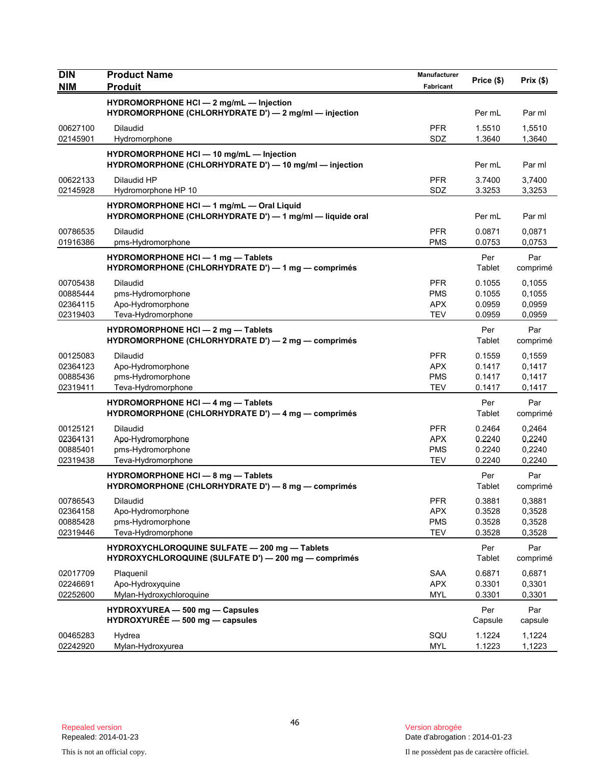| <b>NIM</b><br><b>Produit</b><br>Fabricant<br>HYDROMORPHONE HCI - 2 mg/mL - Injection<br>HYDROMORPHONE (CHLORHYDRATE D') - 2 mg/ml - injection<br>Per mL<br>Par ml<br>00627100<br><b>PFR</b><br>1.5510<br>1,5510<br><b>Dilaudid</b><br>02145901<br>SDZ<br>1.3640<br>1,3640<br>Hydromorphone<br>HYDROMORPHONE HCI - 10 mg/mL - Injection<br>HYDROMORPHONE (CHLORHYDRATE D') - 10 mg/ml - injection<br>Per mL<br>Par ml<br>Dilaudid HP<br><b>PFR</b><br>3.7400<br>3,7400<br>00622133<br>SDZ<br>3.3253<br>02145928<br>Hydromorphone HP 10<br>3,3253<br>HYDROMORPHONE HCI - 1 mg/mL - Oral Liquid<br>HYDROMORPHONE (CHLORHYDRATE D') - 1 mg/ml - liquide oral<br>Per mL<br>Par ml<br>00786535<br><b>PFR</b><br>0.0871<br>0,0871<br>Dilaudid<br>01916386<br><b>PMS</b><br>pms-Hydromorphone<br>0.0753<br>0,0753<br>HYDROMORPHONE HCI - 1 mg - Tablets<br>Per<br>Par<br>HYDROMORPHONE (CHLORHYDRATE D') - 1 mg - comprimés<br>Tablet<br>comprimé<br><b>PFR</b><br>0.1055<br>0,1055<br>00705438<br><b>Dilaudid</b><br>00885444<br>pms-Hydromorphone<br><b>PMS</b><br>0.1055<br>0,1055<br><b>APX</b><br>02364115<br>Apo-Hydromorphone<br>0.0959<br>0,0959<br>02319403<br><b>TEV</b><br>Teva-Hydromorphone<br>0.0959<br>0,0959<br>HYDROMORPHONE HCI - 2 mg - Tablets<br>Per<br>Par<br>HYDROMORPHONE (CHLORHYDRATE D') - 2 mg - comprimés<br>Tablet<br>comprimé<br>00125083<br><b>PFR</b><br>0.1559<br><b>Dilaudid</b><br>0,1559<br><b>APX</b><br>0.1417<br>0,1417<br>02364123<br>Apo-Hydromorphone<br>pms-Hydromorphone<br><b>PMS</b><br>0.1417<br>00885436<br>0,1417<br><b>TEV</b><br>02319411<br>Teva-Hydromorphone<br>0.1417<br>0,1417<br><b>HYDROMORPHONE HCI - 4 mg - Tablets</b><br>Per<br>Par<br>HYDROMORPHONE (CHLORHYDRATE D') — 4 mg — comprimés<br>Tablet<br>comprimé<br>00125121<br><b>Dilaudid</b><br><b>PFR</b><br>0.2464<br>0,2464<br>Apo-Hydromorphone<br><b>APX</b><br>0.2240<br>0,2240<br>02364131<br>00885401<br>pms-Hydromorphone<br><b>PMS</b><br>0.2240<br>0,2240<br>Teva-Hydromorphone<br><b>TEV</b><br>02319438<br>0.2240<br>0,2240<br>HYDROMORPHONE HCI - 8 mg - Tablets<br>Per<br>Par<br>HYDROMORPHONE (CHLORHYDRATE D') - 8 mg - comprimés<br>Tablet<br>comprimé<br>Dilaudid<br>PFR<br>0.3881<br>0,3881<br>00786543<br>0.3528<br>02364158<br>Apo-Hydromorphone<br><b>APX</b><br>0,3528<br>00885428<br>pms-Hydromorphone<br><b>PMS</b><br>0.3528<br>0,3528<br>02319446<br>Teva-Hydromorphone<br><b>TEV</b><br>0.3528<br>0,3528<br>HYDROXYCHLOROQUINE SULFATE - 200 mg - Tablets<br>Per<br>Par<br>HYDROXYCHLOROQUINE (SULFATE D') - 200 mg - comprimés<br>Tablet<br>comprimé<br>02017709<br><b>SAA</b><br>0.6871<br>0,6871<br>Plaquenil<br>02246691<br>Apo-Hydroxyquine<br><b>APX</b><br>0.3301<br>0,3301<br>02252600<br>Mylan-Hydroxychloroquine<br><b>MYL</b><br>0.3301<br>0,3301<br>Par<br>HYDROXYUREA - 500 mg - Capsules<br>Per<br>HYDROXYURÉE - 500 mg - capsules<br>Capsule<br>capsule | <b>DIN</b> | <b>Product Name</b> | Manufacturer | Price (\$) | Prix(\$) |
|--------------------------------------------------------------------------------------------------------------------------------------------------------------------------------------------------------------------------------------------------------------------------------------------------------------------------------------------------------------------------------------------------------------------------------------------------------------------------------------------------------------------------------------------------------------------------------------------------------------------------------------------------------------------------------------------------------------------------------------------------------------------------------------------------------------------------------------------------------------------------------------------------------------------------------------------------------------------------------------------------------------------------------------------------------------------------------------------------------------------------------------------------------------------------------------------------------------------------------------------------------------------------------------------------------------------------------------------------------------------------------------------------------------------------------------------------------------------------------------------------------------------------------------------------------------------------------------------------------------------------------------------------------------------------------------------------------------------------------------------------------------------------------------------------------------------------------------------------------------------------------------------------------------------------------------------------------------------------------------------------------------------------------------------------------------------------------------------------------------------------------------------------------------------------------------------------------------------------------------------------------------------------------------------------------------------------------------------------------------------------------------------------------------------------------------------------------------------------------------------------------------------------------------------------------------------------------------------------------------------------------------------------------------------------------------------------------------------------------------------------------------------------------------------------------------------------------------------------------------------------------------------------------------|------------|---------------------|--------------|------------|----------|
|                                                                                                                                                                                                                                                                                                                                                                                                                                                                                                                                                                                                                                                                                                                                                                                                                                                                                                                                                                                                                                                                                                                                                                                                                                                                                                                                                                                                                                                                                                                                                                                                                                                                                                                                                                                                                                                                                                                                                                                                                                                                                                                                                                                                                                                                                                                                                                                                                                                                                                                                                                                                                                                                                                                                                                                                                                                                                                              |            |                     |              |            |          |
|                                                                                                                                                                                                                                                                                                                                                                                                                                                                                                                                                                                                                                                                                                                                                                                                                                                                                                                                                                                                                                                                                                                                                                                                                                                                                                                                                                                                                                                                                                                                                                                                                                                                                                                                                                                                                                                                                                                                                                                                                                                                                                                                                                                                                                                                                                                                                                                                                                                                                                                                                                                                                                                                                                                                                                                                                                                                                                              |            |                     |              |            |          |
|                                                                                                                                                                                                                                                                                                                                                                                                                                                                                                                                                                                                                                                                                                                                                                                                                                                                                                                                                                                                                                                                                                                                                                                                                                                                                                                                                                                                                                                                                                                                                                                                                                                                                                                                                                                                                                                                                                                                                                                                                                                                                                                                                                                                                                                                                                                                                                                                                                                                                                                                                                                                                                                                                                                                                                                                                                                                                                              |            |                     |              |            |          |
|                                                                                                                                                                                                                                                                                                                                                                                                                                                                                                                                                                                                                                                                                                                                                                                                                                                                                                                                                                                                                                                                                                                                                                                                                                                                                                                                                                                                                                                                                                                                                                                                                                                                                                                                                                                                                                                                                                                                                                                                                                                                                                                                                                                                                                                                                                                                                                                                                                                                                                                                                                                                                                                                                                                                                                                                                                                                                                              |            |                     |              |            |          |
|                                                                                                                                                                                                                                                                                                                                                                                                                                                                                                                                                                                                                                                                                                                                                                                                                                                                                                                                                                                                                                                                                                                                                                                                                                                                                                                                                                                                                                                                                                                                                                                                                                                                                                                                                                                                                                                                                                                                                                                                                                                                                                                                                                                                                                                                                                                                                                                                                                                                                                                                                                                                                                                                                                                                                                                                                                                                                                              |            |                     |              |            |          |
|                                                                                                                                                                                                                                                                                                                                                                                                                                                                                                                                                                                                                                                                                                                                                                                                                                                                                                                                                                                                                                                                                                                                                                                                                                                                                                                                                                                                                                                                                                                                                                                                                                                                                                                                                                                                                                                                                                                                                                                                                                                                                                                                                                                                                                                                                                                                                                                                                                                                                                                                                                                                                                                                                                                                                                                                                                                                                                              |            |                     |              |            |          |
|                                                                                                                                                                                                                                                                                                                                                                                                                                                                                                                                                                                                                                                                                                                                                                                                                                                                                                                                                                                                                                                                                                                                                                                                                                                                                                                                                                                                                                                                                                                                                                                                                                                                                                                                                                                                                                                                                                                                                                                                                                                                                                                                                                                                                                                                                                                                                                                                                                                                                                                                                                                                                                                                                                                                                                                                                                                                                                              |            |                     |              |            |          |
|                                                                                                                                                                                                                                                                                                                                                                                                                                                                                                                                                                                                                                                                                                                                                                                                                                                                                                                                                                                                                                                                                                                                                                                                                                                                                                                                                                                                                                                                                                                                                                                                                                                                                                                                                                                                                                                                                                                                                                                                                                                                                                                                                                                                                                                                                                                                                                                                                                                                                                                                                                                                                                                                                                                                                                                                                                                                                                              |            |                     |              |            |          |
|                                                                                                                                                                                                                                                                                                                                                                                                                                                                                                                                                                                                                                                                                                                                                                                                                                                                                                                                                                                                                                                                                                                                                                                                                                                                                                                                                                                                                                                                                                                                                                                                                                                                                                                                                                                                                                                                                                                                                                                                                                                                                                                                                                                                                                                                                                                                                                                                                                                                                                                                                                                                                                                                                                                                                                                                                                                                                                              |            |                     |              |            |          |
|                                                                                                                                                                                                                                                                                                                                                                                                                                                                                                                                                                                                                                                                                                                                                                                                                                                                                                                                                                                                                                                                                                                                                                                                                                                                                                                                                                                                                                                                                                                                                                                                                                                                                                                                                                                                                                                                                                                                                                                                                                                                                                                                                                                                                                                                                                                                                                                                                                                                                                                                                                                                                                                                                                                                                                                                                                                                                                              |            |                     |              |            |          |
|                                                                                                                                                                                                                                                                                                                                                                                                                                                                                                                                                                                                                                                                                                                                                                                                                                                                                                                                                                                                                                                                                                                                                                                                                                                                                                                                                                                                                                                                                                                                                                                                                                                                                                                                                                                                                                                                                                                                                                                                                                                                                                                                                                                                                                                                                                                                                                                                                                                                                                                                                                                                                                                                                                                                                                                                                                                                                                              |            |                     |              |            |          |
|                                                                                                                                                                                                                                                                                                                                                                                                                                                                                                                                                                                                                                                                                                                                                                                                                                                                                                                                                                                                                                                                                                                                                                                                                                                                                                                                                                                                                                                                                                                                                                                                                                                                                                                                                                                                                                                                                                                                                                                                                                                                                                                                                                                                                                                                                                                                                                                                                                                                                                                                                                                                                                                                                                                                                                                                                                                                                                              |            |                     |              |            |          |
|                                                                                                                                                                                                                                                                                                                                                                                                                                                                                                                                                                                                                                                                                                                                                                                                                                                                                                                                                                                                                                                                                                                                                                                                                                                                                                                                                                                                                                                                                                                                                                                                                                                                                                                                                                                                                                                                                                                                                                                                                                                                                                                                                                                                                                                                                                                                                                                                                                                                                                                                                                                                                                                                                                                                                                                                                                                                                                              |            |                     |              |            |          |
|                                                                                                                                                                                                                                                                                                                                                                                                                                                                                                                                                                                                                                                                                                                                                                                                                                                                                                                                                                                                                                                                                                                                                                                                                                                                                                                                                                                                                                                                                                                                                                                                                                                                                                                                                                                                                                                                                                                                                                                                                                                                                                                                                                                                                                                                                                                                                                                                                                                                                                                                                                                                                                                                                                                                                                                                                                                                                                              |            |                     |              |            |          |
|                                                                                                                                                                                                                                                                                                                                                                                                                                                                                                                                                                                                                                                                                                                                                                                                                                                                                                                                                                                                                                                                                                                                                                                                                                                                                                                                                                                                                                                                                                                                                                                                                                                                                                                                                                                                                                                                                                                                                                                                                                                                                                                                                                                                                                                                                                                                                                                                                                                                                                                                                                                                                                                                                                                                                                                                                                                                                                              |            |                     |              |            |          |
|                                                                                                                                                                                                                                                                                                                                                                                                                                                                                                                                                                                                                                                                                                                                                                                                                                                                                                                                                                                                                                                                                                                                                                                                                                                                                                                                                                                                                                                                                                                                                                                                                                                                                                                                                                                                                                                                                                                                                                                                                                                                                                                                                                                                                                                                                                                                                                                                                                                                                                                                                                                                                                                                                                                                                                                                                                                                                                              |            |                     |              |            |          |
|                                                                                                                                                                                                                                                                                                                                                                                                                                                                                                                                                                                                                                                                                                                                                                                                                                                                                                                                                                                                                                                                                                                                                                                                                                                                                                                                                                                                                                                                                                                                                                                                                                                                                                                                                                                                                                                                                                                                                                                                                                                                                                                                                                                                                                                                                                                                                                                                                                                                                                                                                                                                                                                                                                                                                                                                                                                                                                              |            |                     |              |            |          |
|                                                                                                                                                                                                                                                                                                                                                                                                                                                                                                                                                                                                                                                                                                                                                                                                                                                                                                                                                                                                                                                                                                                                                                                                                                                                                                                                                                                                                                                                                                                                                                                                                                                                                                                                                                                                                                                                                                                                                                                                                                                                                                                                                                                                                                                                                                                                                                                                                                                                                                                                                                                                                                                                                                                                                                                                                                                                                                              |            |                     |              |            |          |
|                                                                                                                                                                                                                                                                                                                                                                                                                                                                                                                                                                                                                                                                                                                                                                                                                                                                                                                                                                                                                                                                                                                                                                                                                                                                                                                                                                                                                                                                                                                                                                                                                                                                                                                                                                                                                                                                                                                                                                                                                                                                                                                                                                                                                                                                                                                                                                                                                                                                                                                                                                                                                                                                                                                                                                                                                                                                                                              |            |                     |              |            |          |
|                                                                                                                                                                                                                                                                                                                                                                                                                                                                                                                                                                                                                                                                                                                                                                                                                                                                                                                                                                                                                                                                                                                                                                                                                                                                                                                                                                                                                                                                                                                                                                                                                                                                                                                                                                                                                                                                                                                                                                                                                                                                                                                                                                                                                                                                                                                                                                                                                                                                                                                                                                                                                                                                                                                                                                                                                                                                                                              |            |                     |              |            |          |
|                                                                                                                                                                                                                                                                                                                                                                                                                                                                                                                                                                                                                                                                                                                                                                                                                                                                                                                                                                                                                                                                                                                                                                                                                                                                                                                                                                                                                                                                                                                                                                                                                                                                                                                                                                                                                                                                                                                                                                                                                                                                                                                                                                                                                                                                                                                                                                                                                                                                                                                                                                                                                                                                                                                                                                                                                                                                                                              |            |                     |              |            |          |
|                                                                                                                                                                                                                                                                                                                                                                                                                                                                                                                                                                                                                                                                                                                                                                                                                                                                                                                                                                                                                                                                                                                                                                                                                                                                                                                                                                                                                                                                                                                                                                                                                                                                                                                                                                                                                                                                                                                                                                                                                                                                                                                                                                                                                                                                                                                                                                                                                                                                                                                                                                                                                                                                                                                                                                                                                                                                                                              |            |                     |              |            |          |
|                                                                                                                                                                                                                                                                                                                                                                                                                                                                                                                                                                                                                                                                                                                                                                                                                                                                                                                                                                                                                                                                                                                                                                                                                                                                                                                                                                                                                                                                                                                                                                                                                                                                                                                                                                                                                                                                                                                                                                                                                                                                                                                                                                                                                                                                                                                                                                                                                                                                                                                                                                                                                                                                                                                                                                                                                                                                                                              |            |                     |              |            |          |
|                                                                                                                                                                                                                                                                                                                                                                                                                                                                                                                                                                                                                                                                                                                                                                                                                                                                                                                                                                                                                                                                                                                                                                                                                                                                                                                                                                                                                                                                                                                                                                                                                                                                                                                                                                                                                                                                                                                                                                                                                                                                                                                                                                                                                                                                                                                                                                                                                                                                                                                                                                                                                                                                                                                                                                                                                                                                                                              |            |                     |              |            |          |
|                                                                                                                                                                                                                                                                                                                                                                                                                                                                                                                                                                                                                                                                                                                                                                                                                                                                                                                                                                                                                                                                                                                                                                                                                                                                                                                                                                                                                                                                                                                                                                                                                                                                                                                                                                                                                                                                                                                                                                                                                                                                                                                                                                                                                                                                                                                                                                                                                                                                                                                                                                                                                                                                                                                                                                                                                                                                                                              |            |                     |              |            |          |
|                                                                                                                                                                                                                                                                                                                                                                                                                                                                                                                                                                                                                                                                                                                                                                                                                                                                                                                                                                                                                                                                                                                                                                                                                                                                                                                                                                                                                                                                                                                                                                                                                                                                                                                                                                                                                                                                                                                                                                                                                                                                                                                                                                                                                                                                                                                                                                                                                                                                                                                                                                                                                                                                                                                                                                                                                                                                                                              |            |                     |              |            |          |
|                                                                                                                                                                                                                                                                                                                                                                                                                                                                                                                                                                                                                                                                                                                                                                                                                                                                                                                                                                                                                                                                                                                                                                                                                                                                                                                                                                                                                                                                                                                                                                                                                                                                                                                                                                                                                                                                                                                                                                                                                                                                                                                                                                                                                                                                                                                                                                                                                                                                                                                                                                                                                                                                                                                                                                                                                                                                                                              |            |                     |              |            |          |
|                                                                                                                                                                                                                                                                                                                                                                                                                                                                                                                                                                                                                                                                                                                                                                                                                                                                                                                                                                                                                                                                                                                                                                                                                                                                                                                                                                                                                                                                                                                                                                                                                                                                                                                                                                                                                                                                                                                                                                                                                                                                                                                                                                                                                                                                                                                                                                                                                                                                                                                                                                                                                                                                                                                                                                                                                                                                                                              |            |                     |              |            |          |
|                                                                                                                                                                                                                                                                                                                                                                                                                                                                                                                                                                                                                                                                                                                                                                                                                                                                                                                                                                                                                                                                                                                                                                                                                                                                                                                                                                                                                                                                                                                                                                                                                                                                                                                                                                                                                                                                                                                                                                                                                                                                                                                                                                                                                                                                                                                                                                                                                                                                                                                                                                                                                                                                                                                                                                                                                                                                                                              |            |                     |              |            |          |
|                                                                                                                                                                                                                                                                                                                                                                                                                                                                                                                                                                                                                                                                                                                                                                                                                                                                                                                                                                                                                                                                                                                                                                                                                                                                                                                                                                                                                                                                                                                                                                                                                                                                                                                                                                                                                                                                                                                                                                                                                                                                                                                                                                                                                                                                                                                                                                                                                                                                                                                                                                                                                                                                                                                                                                                                                                                                                                              |            |                     |              |            |          |
|                                                                                                                                                                                                                                                                                                                                                                                                                                                                                                                                                                                                                                                                                                                                                                                                                                                                                                                                                                                                                                                                                                                                                                                                                                                                                                                                                                                                                                                                                                                                                                                                                                                                                                                                                                                                                                                                                                                                                                                                                                                                                                                                                                                                                                                                                                                                                                                                                                                                                                                                                                                                                                                                                                                                                                                                                                                                                                              |            |                     |              |            |          |
|                                                                                                                                                                                                                                                                                                                                                                                                                                                                                                                                                                                                                                                                                                                                                                                                                                                                                                                                                                                                                                                                                                                                                                                                                                                                                                                                                                                                                                                                                                                                                                                                                                                                                                                                                                                                                                                                                                                                                                                                                                                                                                                                                                                                                                                                                                                                                                                                                                                                                                                                                                                                                                                                                                                                                                                                                                                                                                              |            |                     |              |            |          |
|                                                                                                                                                                                                                                                                                                                                                                                                                                                                                                                                                                                                                                                                                                                                                                                                                                                                                                                                                                                                                                                                                                                                                                                                                                                                                                                                                                                                                                                                                                                                                                                                                                                                                                                                                                                                                                                                                                                                                                                                                                                                                                                                                                                                                                                                                                                                                                                                                                                                                                                                                                                                                                                                                                                                                                                                                                                                                                              |            |                     |              |            |          |
|                                                                                                                                                                                                                                                                                                                                                                                                                                                                                                                                                                                                                                                                                                                                                                                                                                                                                                                                                                                                                                                                                                                                                                                                                                                                                                                                                                                                                                                                                                                                                                                                                                                                                                                                                                                                                                                                                                                                                                                                                                                                                                                                                                                                                                                                                                                                                                                                                                                                                                                                                                                                                                                                                                                                                                                                                                                                                                              |            |                     |              |            |          |
|                                                                                                                                                                                                                                                                                                                                                                                                                                                                                                                                                                                                                                                                                                                                                                                                                                                                                                                                                                                                                                                                                                                                                                                                                                                                                                                                                                                                                                                                                                                                                                                                                                                                                                                                                                                                                                                                                                                                                                                                                                                                                                                                                                                                                                                                                                                                                                                                                                                                                                                                                                                                                                                                                                                                                                                                                                                                                                              |            |                     |              |            |          |
|                                                                                                                                                                                                                                                                                                                                                                                                                                                                                                                                                                                                                                                                                                                                                                                                                                                                                                                                                                                                                                                                                                                                                                                                                                                                                                                                                                                                                                                                                                                                                                                                                                                                                                                                                                                                                                                                                                                                                                                                                                                                                                                                                                                                                                                                                                                                                                                                                                                                                                                                                                                                                                                                                                                                                                                                                                                                                                              |            |                     |              |            |          |
|                                                                                                                                                                                                                                                                                                                                                                                                                                                                                                                                                                                                                                                                                                                                                                                                                                                                                                                                                                                                                                                                                                                                                                                                                                                                                                                                                                                                                                                                                                                                                                                                                                                                                                                                                                                                                                                                                                                                                                                                                                                                                                                                                                                                                                                                                                                                                                                                                                                                                                                                                                                                                                                                                                                                                                                                                                                                                                              |            |                     |              |            |          |
|                                                                                                                                                                                                                                                                                                                                                                                                                                                                                                                                                                                                                                                                                                                                                                                                                                                                                                                                                                                                                                                                                                                                                                                                                                                                                                                                                                                                                                                                                                                                                                                                                                                                                                                                                                                                                                                                                                                                                                                                                                                                                                                                                                                                                                                                                                                                                                                                                                                                                                                                                                                                                                                                                                                                                                                                                                                                                                              |            |                     |              |            |          |
|                                                                                                                                                                                                                                                                                                                                                                                                                                                                                                                                                                                                                                                                                                                                                                                                                                                                                                                                                                                                                                                                                                                                                                                                                                                                                                                                                                                                                                                                                                                                                                                                                                                                                                                                                                                                                                                                                                                                                                                                                                                                                                                                                                                                                                                                                                                                                                                                                                                                                                                                                                                                                                                                                                                                                                                                                                                                                                              |            |                     |              |            |          |
|                                                                                                                                                                                                                                                                                                                                                                                                                                                                                                                                                                                                                                                                                                                                                                                                                                                                                                                                                                                                                                                                                                                                                                                                                                                                                                                                                                                                                                                                                                                                                                                                                                                                                                                                                                                                                                                                                                                                                                                                                                                                                                                                                                                                                                                                                                                                                                                                                                                                                                                                                                                                                                                                                                                                                                                                                                                                                                              |            |                     |              |            |          |
|                                                                                                                                                                                                                                                                                                                                                                                                                                                                                                                                                                                                                                                                                                                                                                                                                                                                                                                                                                                                                                                                                                                                                                                                                                                                                                                                                                                                                                                                                                                                                                                                                                                                                                                                                                                                                                                                                                                                                                                                                                                                                                                                                                                                                                                                                                                                                                                                                                                                                                                                                                                                                                                                                                                                                                                                                                                                                                              |            |                     |              |            |          |
|                                                                                                                                                                                                                                                                                                                                                                                                                                                                                                                                                                                                                                                                                                                                                                                                                                                                                                                                                                                                                                                                                                                                                                                                                                                                                                                                                                                                                                                                                                                                                                                                                                                                                                                                                                                                                                                                                                                                                                                                                                                                                                                                                                                                                                                                                                                                                                                                                                                                                                                                                                                                                                                                                                                                                                                                                                                                                                              |            |                     |              |            |          |
|                                                                                                                                                                                                                                                                                                                                                                                                                                                                                                                                                                                                                                                                                                                                                                                                                                                                                                                                                                                                                                                                                                                                                                                                                                                                                                                                                                                                                                                                                                                                                                                                                                                                                                                                                                                                                                                                                                                                                                                                                                                                                                                                                                                                                                                                                                                                                                                                                                                                                                                                                                                                                                                                                                                                                                                                                                                                                                              |            |                     |              |            |          |
|                                                                                                                                                                                                                                                                                                                                                                                                                                                                                                                                                                                                                                                                                                                                                                                                                                                                                                                                                                                                                                                                                                                                                                                                                                                                                                                                                                                                                                                                                                                                                                                                                                                                                                                                                                                                                                                                                                                                                                                                                                                                                                                                                                                                                                                                                                                                                                                                                                                                                                                                                                                                                                                                                                                                                                                                                                                                                                              |            |                     |              |            |          |
|                                                                                                                                                                                                                                                                                                                                                                                                                                                                                                                                                                                                                                                                                                                                                                                                                                                                                                                                                                                                                                                                                                                                                                                                                                                                                                                                                                                                                                                                                                                                                                                                                                                                                                                                                                                                                                                                                                                                                                                                                                                                                                                                                                                                                                                                                                                                                                                                                                                                                                                                                                                                                                                                                                                                                                                                                                                                                                              | 00465283   | Hydrea              | SQU          | 1.1224     | 1,1224   |
| 02242920<br><b>MYL</b><br>1.1223<br>1,1223<br>Mylan-Hydroxyurea                                                                                                                                                                                                                                                                                                                                                                                                                                                                                                                                                                                                                                                                                                                                                                                                                                                                                                                                                                                                                                                                                                                                                                                                                                                                                                                                                                                                                                                                                                                                                                                                                                                                                                                                                                                                                                                                                                                                                                                                                                                                                                                                                                                                                                                                                                                                                                                                                                                                                                                                                                                                                                                                                                                                                                                                                                              |            |                     |              |            |          |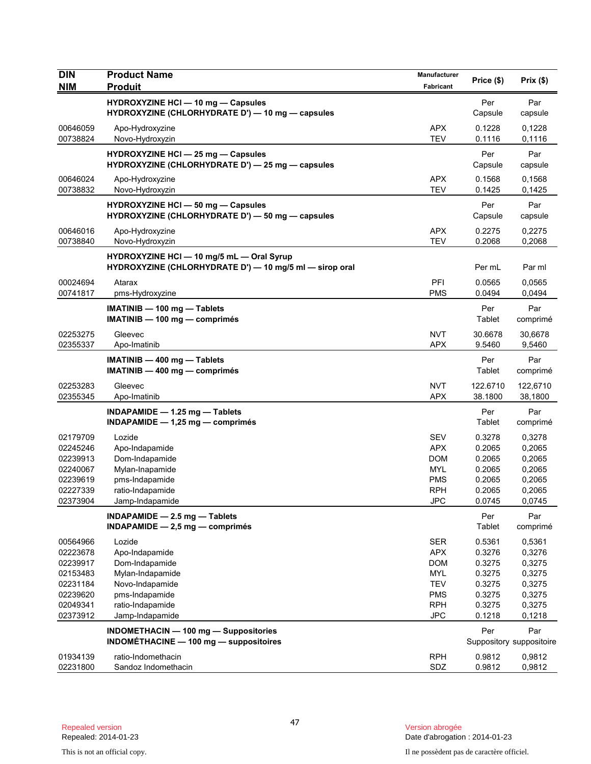| <b>DIN</b><br><b>NIM</b> | <b>Product Name</b><br><b>Produit</b>                                                                | Manufacturer             | Price (\$)          | Prix(\$)                        |
|--------------------------|------------------------------------------------------------------------------------------------------|--------------------------|---------------------|---------------------------------|
|                          |                                                                                                      | Fabricant                |                     |                                 |
|                          | <b>HYDROXYZINE HCI - 10 mg - Capsules</b><br>HYDROXYZINE (CHLORHYDRATE D') - 10 mg - capsules        |                          | Per<br>Capsule      | Par<br>capsule                  |
| 00646059<br>00738824     | Apo-Hydroxyzine<br>Novo-Hydroxyzin                                                                   | <b>APX</b><br><b>TEV</b> | 0.1228<br>0.1116    | 0,1228<br>0,1116                |
|                          | <b>HYDROXYZINE HCI - 25 mg - Capsules</b><br>HYDROXYZINE (CHLORHYDRATE D') - 25 mg - capsules        |                          | Per<br>Capsule      | Par<br>capsule                  |
| 00646024<br>00738832     | Apo-Hydroxyzine<br>Novo-Hydroxyzin                                                                   | <b>APX</b><br><b>TEV</b> | 0.1568<br>0.1425    | 0,1568<br>0,1425                |
|                          | <b>HYDROXYZINE HCI - 50 mg - Capsules</b><br>HYDROXYZINE (CHLORHYDRATE D') - 50 mg - capsules        |                          | Per<br>Capsule      | Par<br>capsule                  |
| 00646016<br>00738840     | Apo-Hydroxyzine<br>Novo-Hydroxyzin                                                                   | <b>APX</b><br><b>TEV</b> | 0.2275<br>0.2068    | 0,2275<br>0,2068                |
|                          | HYDROXYZINE HCI - 10 mg/5 mL - Oral Syrup<br>HYDROXYZINE (CHLORHYDRATE D') - 10 mg/5 ml - sirop oral |                          | Per mL              | Par ml                          |
| 00024694<br>00741817     | Atarax<br>pms-Hydroxyzine                                                                            | PFI<br><b>PMS</b>        | 0.0565<br>0.0494    | 0,0565<br>0,0494                |
|                          | IMATINIB - 100 mg - Tablets<br>$IMATINIB - 100 mg - comprimés$                                       |                          | Per<br>Tablet       | Par<br>comprimé                 |
| 02253275<br>02355337     | Gleevec<br>Apo-Imatinib                                                                              | <b>NVT</b><br><b>APX</b> | 30.6678<br>9.5460   | 30,6678<br>9,5460               |
|                          | IMATINIB - 400 mg - Tablets<br>$IMATINIB - 400 mg - comprimés$                                       |                          | Per<br>Tablet       | Par<br>comprimé                 |
| 02253283<br>02355345     | Gleevec<br>Apo-Imatinib                                                                              | <b>NVT</b><br><b>APX</b> | 122.6710<br>38.1800 | 122,6710<br>38,1800             |
|                          | INDAPAMIDE - 1.25 mg - Tablets<br>INDAPAMIDE $-$ 1,25 mg $-$ comprimes                               |                          | Per<br>Tablet       | Par<br>comprimé                 |
| 02179709                 | Lozide                                                                                               | <b>SEV</b>               | 0.3278              | 0,3278                          |
| 02245246                 | Apo-Indapamide                                                                                       | <b>APX</b>               | 0.2065              | 0,2065                          |
| 02239913                 | Dom-Indapamide                                                                                       | <b>DOM</b>               | 0.2065              | 0,2065                          |
| 02240067                 | Mylan-Inapamide                                                                                      | MYL                      | 0.2065              | 0,2065                          |
| 02239619<br>02227339     | pms-Indapamide<br>ratio-Indapamide                                                                   | <b>PMS</b><br><b>RPH</b> | 0.2065<br>0.2065    | 0,2065<br>0,2065                |
| 02373904                 | Jamp-Indapamide                                                                                      | <b>JPC</b>               | 0.0745              | 0,0745                          |
|                          | INDAPAMIDE $-2.5$ mg $-$ Tablets                                                                     |                          | Per                 | Par                             |
|                          | $INDAPAMIDE - 2.5 mg - comprimés$                                                                    |                          | Tablet              | comprimé                        |
| 00564966                 | Lozide                                                                                               | <b>SER</b>               | 0.5361              | 0,5361                          |
| 02223678                 | Apo-Indapamide                                                                                       | <b>APX</b>               | 0.3276              | 0,3276                          |
| 02239917                 | Dom-Indapamide                                                                                       | <b>DOM</b>               | 0.3275              | 0,3275                          |
| 02153483                 | Mylan-Indapamide                                                                                     | <b>MYL</b>               | 0.3275              | 0,3275                          |
| 02231184                 | Novo-Indapamide                                                                                      | <b>TEV</b>               | 0.3275              | 0,3275                          |
| 02239620<br>02049341     | pms-Indapamide<br>ratio-Indapamide                                                                   | <b>PMS</b><br><b>RPH</b> | 0.3275<br>0.3275    | 0,3275<br>0,3275                |
| 02373912                 | Jamp-Indapamide                                                                                      | <b>JPC</b>               | 0.1218              | 0,1218                          |
|                          |                                                                                                      |                          |                     |                                 |
|                          | INDOMETHACIN - 100 mg - Suppositories<br>INDOMÉTHACINE - 100 mg - suppositoires                      |                          | Per                 | Par<br>Suppository suppositoire |
| 01934139                 | ratio-Indomethacin                                                                                   | <b>RPH</b>               | 0.9812              | 0,9812                          |
| 02231800                 | Sandoz Indomethacin                                                                                  | SDZ                      | 0.9812              | 0,9812                          |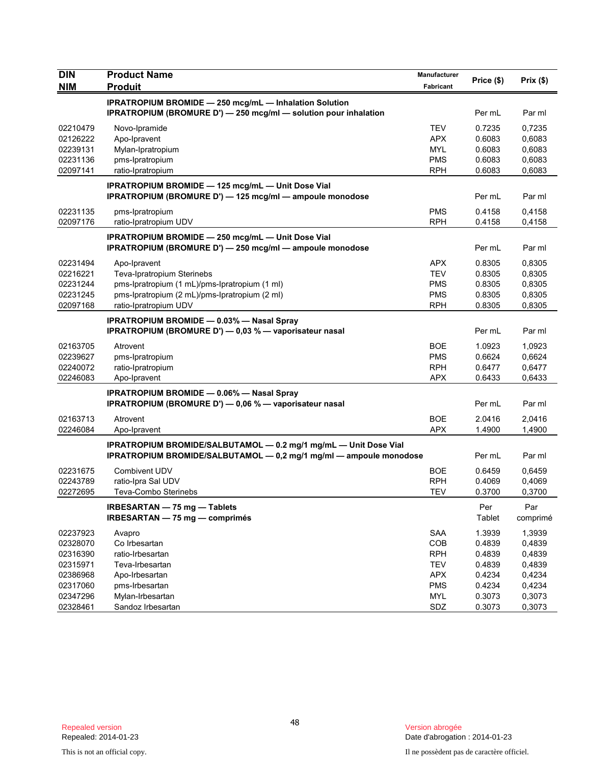| <b>DIN</b>           | <b>Product Name</b>                                                                                                         | Manufacturer             | Price (\$)       | Prix(\$)         |
|----------------------|-----------------------------------------------------------------------------------------------------------------------------|--------------------------|------------------|------------------|
| <b>NIM</b>           | <b>Produit</b>                                                                                                              | Fabricant                |                  |                  |
|                      | IPRATROPIUM BROMIDE - 250 mcg/mL - Inhalation Solution                                                                      |                          |                  |                  |
|                      | <b>IPRATROPIUM (BROMURE D') — 250 mcg/ml — solution pour inhalation</b>                                                     |                          | Per mL           | Par ml           |
| 02210479             | Novo-Ipramide                                                                                                               | <b>TEV</b>               | 0.7235           | 0,7235           |
| 02126222             | Apo-Ipravent                                                                                                                | <b>APX</b>               | 0.6083           | 0,6083           |
| 02239131             | Mylan-Ipratropium                                                                                                           | <b>MYL</b>               | 0.6083           | 0,6083           |
| 02231136             | pms-Ipratropium                                                                                                             | <b>PMS</b>               | 0.6083           | 0,6083           |
| 02097141             | ratio-Ipratropium                                                                                                           | <b>RPH</b>               | 0.6083           | 0,6083           |
|                      | <b>IPRATROPIUM BROMIDE - 125 mcg/mL - Unit Dose Vial</b><br><b>IPRATROPIUM (BROMURE D') — 125 mcg/ml — ampoule monodose</b> |                          | Per mL           | Par ml           |
|                      |                                                                                                                             |                          |                  |                  |
| 02231135<br>02097176 | pms-Ipratropium                                                                                                             | <b>PMS</b><br><b>RPH</b> | 0.4158<br>0.4158 | 0,4158<br>0,4158 |
|                      | ratio-Ipratropium UDV                                                                                                       |                          |                  |                  |
|                      | <b>IPRATROPIUM BROMIDE - 250 mcg/mL - Unit Dose Vial</b>                                                                    |                          |                  |                  |
|                      | IPRATROPIUM (BROMURE D') - 250 mcg/ml - ampoule monodose                                                                    |                          | Per mL           | Par ml           |
| 02231494             | Apo-Ipravent                                                                                                                | <b>APX</b>               | 0.8305           | 0,8305           |
| 02216221             | Teva-Ipratropium Sterinebs                                                                                                  | <b>TEV</b>               | 0.8305           | 0,8305           |
| 02231244             | pms-Ipratropium (1 mL)/pms-Ipratropium (1 ml)                                                                               | <b>PMS</b>               | 0.8305           | 0,8305           |
| 02231245             | pms-Ipratropium (2 mL)/pms-Ipratropium (2 ml)                                                                               | <b>PMS</b>               | 0.8305           | 0,8305           |
| 02097168             | ratio-Ipratropium UDV                                                                                                       | <b>RPH</b>               | 0.8305           | 0,8305           |
|                      | IPRATROPIUM BROMIDE - 0.03% - Nasal Spray                                                                                   |                          |                  |                  |
|                      | IPRATROPIUM (BROMURE D') - 0,03 % - vaporisateur nasal                                                                      |                          | Per mL           | Par ml           |
| 02163705             | Atrovent                                                                                                                    | <b>BOE</b>               | 1.0923           | 1,0923           |
| 02239627             | pms-Ipratropium                                                                                                             | <b>PMS</b>               | 0.6624           | 0,6624           |
| 02240072             | ratio-Ipratropium                                                                                                           | <b>RPH</b>               | 0.6477           | 0,6477           |
| 02246083             | Apo-Ipravent                                                                                                                | <b>APX</b>               | 0.6433           | 0,6433           |
|                      | <b>IPRATROPIUM BROMIDE - 0.06% - Nasal Spray</b>                                                                            |                          |                  |                  |
|                      | IPRATROPIUM (BROMURE D') - 0,06 % - vaporisateur nasal                                                                      |                          | Per mL           | Par ml           |
| 02163713             | Atrovent                                                                                                                    | <b>BOE</b>               | 2.0416           | 2,0416           |
| 02246084             | Apo-Ipravent                                                                                                                | <b>APX</b>               | 1.4900           | 1,4900           |
|                      | IPRATROPIUM BROMIDE/SALBUTAMOL - 0.2 mg/1 mg/mL - Unit Dose Vial                                                            |                          |                  |                  |
|                      | IPRATROPIUM BROMIDE/SALBUTAMOL - 0,2 mg/1 mg/ml - ampoule monodose                                                          |                          | Per mL           | Par ml           |
| 02231675             | Combivent UDV                                                                                                               | <b>BOE</b>               | 0.6459           | 0,6459           |
| 02243789             | ratio-Ipra Sal UDV                                                                                                          | <b>RPH</b>               | 0.4069           | 0,4069           |
| 02272695             | <b>Teva-Combo Sterinebs</b>                                                                                                 | <b>TEV</b>               | 0.3700           | 0,3700           |
|                      | IRBESARTAN - 75 mg - Tablets<br>IRBESARTAN - 75 mg - comprimés                                                              |                          | Per<br>Tablet    | Par<br>comprimé  |
| 02237923             | Avapro                                                                                                                      | <b>SAA</b>               | 1.3939           | 1,3939           |
| 02328070             | Co Irbesartan                                                                                                               | COB                      | 0.4839           | 0,4839           |
| 02316390             | ratio-Irbesartan                                                                                                            | <b>RPH</b>               | 0.4839           | 0,4839           |
| 02315971             | Teva-Irbesartan                                                                                                             | <b>TEV</b>               | 0.4839           | 0,4839           |
| 02386968             | Apo-Irbesartan                                                                                                              | <b>APX</b>               | 0.4234           | 0,4234           |
| 02317060             | pms-Irbesartan                                                                                                              | <b>PMS</b>               | 0.4234           | 0,4234           |
| 02347296             | Mylan-Irbesartan                                                                                                            | MYL                      | 0.3073           | 0,3073           |
| 02328461             | Sandoz Irbesartan                                                                                                           | SDZ                      | 0.3073           | 0,3073           |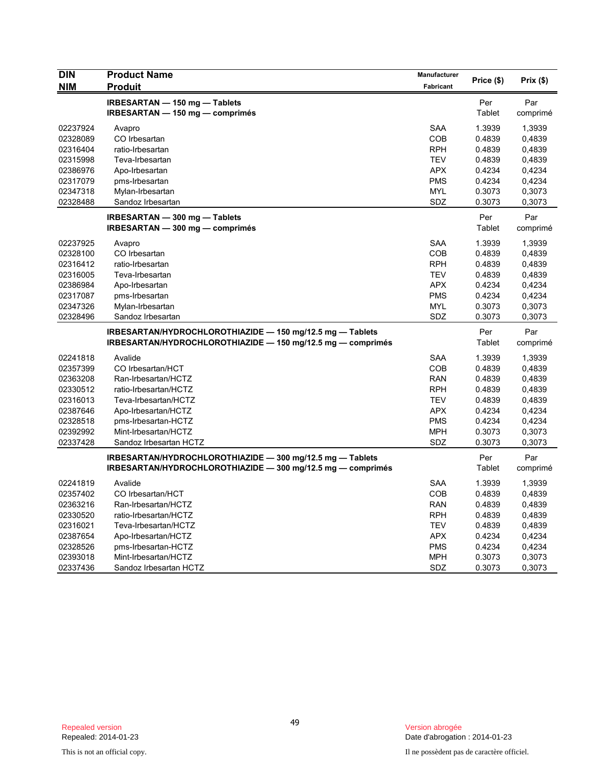| <b>DIN</b> | <b>Product Name</b>                                         | Manufacturer | Price (\$)    | Prix(\$) |
|------------|-------------------------------------------------------------|--------------|---------------|----------|
| <b>NIM</b> | <b>Produit</b>                                              | Fabricant    |               |          |
|            | IRBESARTAN - 150 mg - Tablets                               |              | Per           | Par      |
|            | IRBESARTAN - 150 mg - comprimés                             |              | <b>Tablet</b> | comprimé |
| 02237924   | Avapro                                                      | <b>SAA</b>   | 1.3939        | 1,3939   |
| 02328089   | CO Irbesartan                                               | COB          | 0.4839        | 0,4839   |
| 02316404   | ratio-Irbesartan                                            | <b>RPH</b>   | 0.4839        | 0,4839   |
| 02315998   | Teva-Irbesartan                                             | <b>TEV</b>   | 0.4839        | 0,4839   |
| 02386976   | Apo-Irbesartan                                              | <b>APX</b>   | 0.4234        | 0,4234   |
| 02317079   | pms-Irbesartan                                              | <b>PMS</b>   | 0.4234        | 0,4234   |
| 02347318   | Mylan-Irbesartan                                            | <b>MYL</b>   | 0.3073        | 0,3073   |
| 02328488   | Sandoz Irbesartan                                           | SDZ          | 0.3073        | 0,3073   |
|            | IRBESARTAN - 300 mg - Tablets                               |              | Per           | Par      |
|            | IRBESARTAN - 300 mg - comprimés                             |              | Tablet        | comprimé |
| 02237925   | Avapro                                                      | <b>SAA</b>   | 1.3939        | 1,3939   |
| 02328100   | CO Irbesartan                                               | COB          | 0.4839        | 0,4839   |
| 02316412   | ratio-Irbesartan                                            | <b>RPH</b>   | 0.4839        | 0,4839   |
| 02316005   | Teva-Irbesartan                                             | <b>TEV</b>   | 0.4839        | 0,4839   |
| 02386984   | Apo-Irbesartan                                              | <b>APX</b>   | 0.4234        | 0,4234   |
| 02317087   | pms-Irbesartan                                              | <b>PMS</b>   | 0.4234        | 0,4234   |
| 02347326   | Mylan-Irbesartan                                            | <b>MYL</b>   | 0.3073        | 0,3073   |
| 02328496   | Sandoz Irbesartan                                           | SDZ          | 0.3073        | 0,3073   |
|            | IRBESARTAN/HYDROCHLOROTHIAZIDE - 150 mg/12.5 mg - Tablets   |              | Per           | Par      |
|            | IRBESARTAN/HYDROCHLOROTHIAZIDE - 150 mg/12.5 mg - comprimés |              | Tablet        | comprimé |
| 02241818   | Avalide                                                     | <b>SAA</b>   | 1.3939        | 1,3939   |
| 02357399   | CO Irbesartan/HCT                                           | <b>COB</b>   | 0.4839        | 0,4839   |
| 02363208   | Ran-Irbesartan/HCTZ                                         | <b>RAN</b>   | 0.4839        | 0,4839   |
| 02330512   | ratio-Irbesartan/HCTZ                                       | <b>RPH</b>   | 0.4839        | 0,4839   |
| 02316013   | Teva-Irbesartan/HCTZ                                        | <b>TEV</b>   | 0.4839        | 0,4839   |
| 02387646   | Apo-Irbesartan/HCTZ                                         | <b>APX</b>   | 0.4234        | 0,4234   |
| 02328518   | pms-Irbesartan-HCTZ                                         | <b>PMS</b>   | 0.4234        | 0,4234   |
| 02392992   | Mint-Irbesartan/HCTZ                                        | <b>MPH</b>   | 0.3073        | 0,3073   |
| 02337428   | Sandoz Irbesartan HCTZ                                      | SDZ          | 0.3073        | 0,3073   |
|            | IRBESARTAN/HYDROCHLOROTHIAZIDE - 300 mg/12.5 mg - Tablets   |              | Per           | Par      |
|            | IRBESARTAN/HYDROCHLOROTHIAZIDE - 300 mg/12.5 mg - comprimés |              | Tablet        | comprimé |
| 02241819   | Avalide                                                     | <b>SAA</b>   | 1.3939        | 1,3939   |
| 02357402   | CO Irbesartan/HCT                                           | <b>COB</b>   | 0.4839        | 0,4839   |
| 02363216   | Ran-Irbesartan/HCTZ                                         | <b>RAN</b>   | 0.4839        | 0,4839   |
| 02330520   | ratio-Irbesartan/HCTZ                                       | <b>RPH</b>   | 0.4839        | 0,4839   |
| 02316021   | Teva-Irbesartan/HCTZ                                        | <b>TEV</b>   | 0.4839        | 0,4839   |
| 02387654   | Apo-Irbesartan/HCTZ                                         | <b>APX</b>   | 0.4234        | 0,4234   |
| 02328526   | pms-Irbesartan-HCTZ                                         | <b>PMS</b>   | 0.4234        | 0,4234   |
| 02393018   | Mint-Irbesartan/HCTZ                                        | <b>MPH</b>   | 0.3073        | 0,3073   |
| 02337436   | Sandoz Irbesartan HCTZ                                      | SDZ          | 0.3073        | 0,3073   |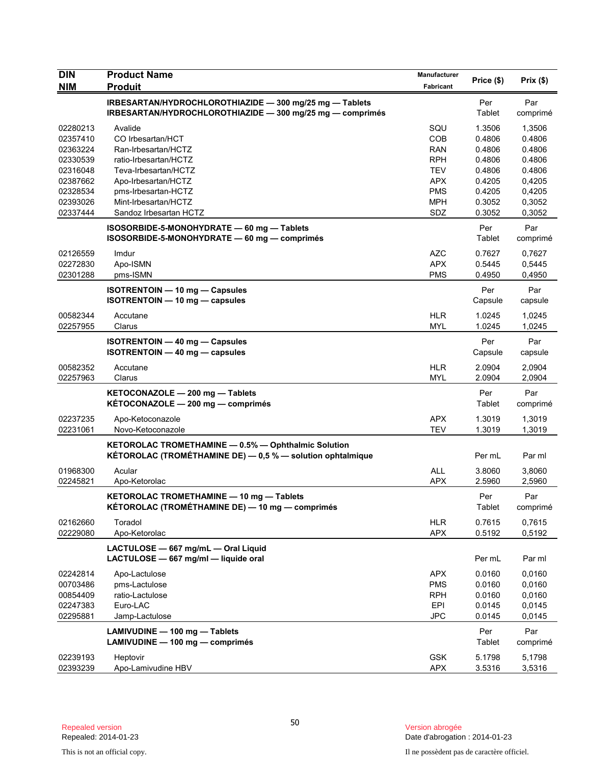| <b>DIN</b>           | <b>Product Name</b>                                                                                                          | <b>Manufacturer</b>      | Price (\$)       | Prix(\$)         |
|----------------------|------------------------------------------------------------------------------------------------------------------------------|--------------------------|------------------|------------------|
| <b>NIM</b>           | <b>Produit</b>                                                                                                               | Fabricant                |                  |                  |
|                      | IRBESARTAN/HYDROCHLOROTHIAZIDE - 300 mg/25 mg - Tablets<br>IRBESARTAN/HYDROCHLOROTHIAZIDE - 300 mg/25 mg - comprimés         |                          | Per<br>Tablet    | Par<br>comprimé  |
| 02280213             | Avalide                                                                                                                      | SQU                      | 1.3506           | 1,3506           |
| 02357410             | CO Irbesartan/HCT                                                                                                            | <b>COB</b>               | 0.4806           | 0.4806           |
| 02363224             | Ran-Irbesartan/HCTZ                                                                                                          | <b>RAN</b>               | 0.4806           | 0.4806           |
| 02330539             | ratio-Irbesartan/HCTZ                                                                                                        | RPH.                     | 0.4806           | 0.4806           |
| 02316048<br>02387662 | Teva-Irbesartan/HCTZ                                                                                                         | <b>TEV</b><br><b>APX</b> | 0.4806<br>0.4205 | 0.4806           |
| 02328534             | Apo-Irbesartan/HCTZ<br>pms-Irbesartan-HCTZ                                                                                   | <b>PMS</b>               | 0.4205           | 0,4205<br>0,4205 |
| 02393026             | Mint-Irbesartan/HCTZ                                                                                                         | <b>MPH</b>               | 0.3052           | 0,3052           |
| 02337444             | Sandoz Irbesartan HCTZ                                                                                                       | SDZ                      | 0.3052           | 0,3052           |
|                      | ISOSORBIDE-5-MONOHYDRATE - 60 mg - Tablets<br>ISOSORBIDE-5-MONOHYDRATE - 60 mg - comprimés                                   |                          | Per<br>Tablet    | Par<br>comprimé  |
| 02126559             | Imdur                                                                                                                        | <b>AZC</b>               | 0.7627           | 0,7627           |
| 02272830             | Apo-ISMN                                                                                                                     | <b>APX</b>               | 0.5445           | 0,5445           |
| 02301288             | pms-ISMN                                                                                                                     | <b>PMS</b>               | 0.4950           | 0,4950           |
|                      | <b>ISOTRENTOIN - 10 mg - Capsules</b><br><b>ISOTRENTOIN - 10 mg - capsules</b>                                               |                          | Per<br>Capsule   | Par<br>capsule   |
| 00582344<br>02257955 | Accutane<br>Clarus                                                                                                           | HLR<br><b>MYL</b>        | 1.0245<br>1.0245 | 1,0245<br>1,0245 |
|                      | <b>ISOTRENTOIN - 40 mg - Capsules</b><br>ISOTRENTOIN - 40 mg - capsules                                                      |                          | Per<br>Capsule   | Par<br>capsule   |
| 00582352<br>02257963 | Accutane<br>Clarus                                                                                                           | <b>HLR</b><br><b>MYL</b> | 2.0904<br>2.0904 | 2,0904<br>2,0904 |
|                      | KETOCONAZOLE - 200 mg - Tablets<br>KÉTOCONAZOLE - 200 mg - comprimés                                                         |                          | Per<br>Tablet    | Par<br>comprimé  |
| 02237235<br>02231061 | Apo-Ketoconazole<br>Novo-Ketoconazole                                                                                        | <b>APX</b><br><b>TEV</b> | 1.3019<br>1.3019 | 1,3019<br>1,3019 |
|                      | KETOROLAC TROMETHAMINE - 0.5% - Ophthalmic Solution<br><b>KÉTOROLAC (TROMÉTHAMINE DE)</b> $-$ 0,5 % $-$ solution ophtalmique |                          | Per mL           | Par ml           |
| 01968300             | Acular                                                                                                                       | <b>ALL</b>               | 3.8060           | 3,8060           |
| 02245821             | Apo-Ketorolac                                                                                                                | <b>APX</b>               | 2.5960           | 2,5960           |
|                      | KETOROLAC TROMETHAMINE - 10 mg - Tablets<br>KÉTOROLAC (TROMÉTHAMINE DE) — 10 mg — comprimés                                  |                          | Per<br>Tablet    | Par<br>comprimé  |
| 02162660             | Toradol                                                                                                                      | <b>HLR</b>               | 0.7615           | 0,7615           |
| 02229080             | Apo-Ketorolac                                                                                                                | <b>APX</b>               | 0.5192           | 0,5192           |
|                      | LACTULOSE - 667 mg/mL - Oral Liquid<br>LACTULOSE - 667 mg/ml - liquide oral                                                  |                          | Per mL           | Par ml           |
| 02242814             | Apo-Lactulose                                                                                                                | <b>APX</b>               | 0.0160           | 0,0160           |
| 00703486             | pms-Lactulose                                                                                                                | <b>PMS</b>               | 0.0160           | 0,0160           |
| 00854409             | ratio-Lactulose                                                                                                              | <b>RPH</b>               | 0.0160           | 0,0160           |
| 02247383             | Euro-LAC                                                                                                                     | <b>EPI</b>               | 0.0145           | 0,0145           |
| 02295881             | Jamp-Lactulose                                                                                                               | <b>JPC</b>               | 0.0145           | 0,0145           |
|                      | LAMIVUDINE - 100 mg - Tablets<br>LAMIVUDINE - 100 mg - comprimés                                                             |                          | Per<br>Tablet    | Par<br>comprimé  |
| 02239193             | Heptovir                                                                                                                     | <b>GSK</b>               | 5.1798           | 5,1798           |
| 02393239             | Apo-Lamivudine HBV                                                                                                           | APX                      | 3.5316           | 3,5316           |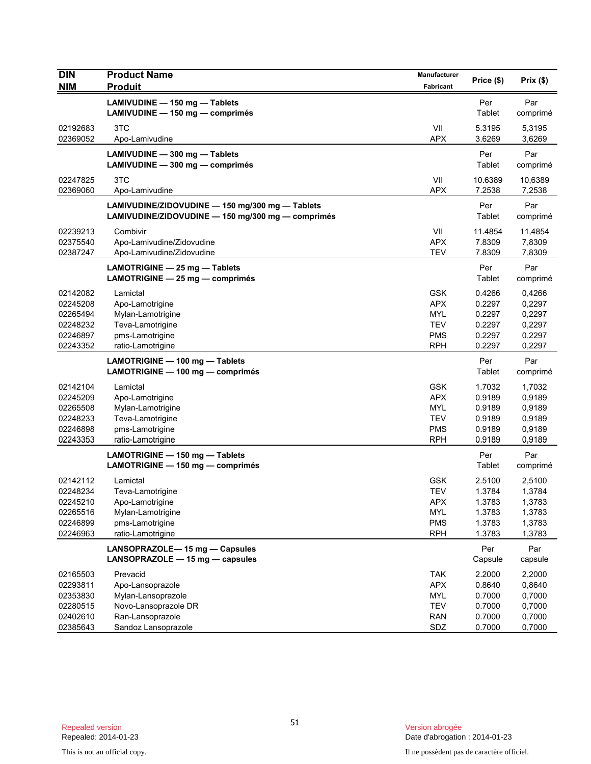| <b>DIN</b>                                                           | <b>Product Name</b>                                                                                                   | <b>Manufacturer</b>                                                              | Price (\$)                                               | Prix(\$)                                                 |
|----------------------------------------------------------------------|-----------------------------------------------------------------------------------------------------------------------|----------------------------------------------------------------------------------|----------------------------------------------------------|----------------------------------------------------------|
| <b>NIM</b>                                                           | <b>Produit</b>                                                                                                        | Fabricant                                                                        |                                                          |                                                          |
|                                                                      | LAMIVUDINE - 150 mg - Tablets<br>LAMIVUDINE - 150 mg - comprimés                                                      |                                                                                  | Per<br>Tablet                                            | Par<br>comprimé                                          |
| 02192683<br>02369052                                                 | 3TC<br>Apo-Lamivudine                                                                                                 | VII<br><b>APX</b>                                                                | 5.3195<br>3.6269                                         | 5,3195<br>3,6269                                         |
|                                                                      | LAMIVUDINE - 300 mg - Tablets<br>LAMIVUDINE - 300 mg - comprimés                                                      |                                                                                  | Per<br>Tablet                                            | Par<br>comprimé                                          |
| 02247825<br>02369060                                                 | 3TC<br>Apo-Lamivudine                                                                                                 | VII<br><b>APX</b>                                                                | 10.6389<br>7.2538                                        | 10,6389<br>7,2538                                        |
|                                                                      | LAMIVUDINE/ZIDOVUDINE - 150 mg/300 mg - Tablets<br>LAMIVUDINE/ZIDOVUDINE - 150 mg/300 mg - comprimés                  |                                                                                  | Per<br>Tablet                                            | Par<br>comprimé                                          |
| 02239213<br>02375540<br>02387247                                     | Combivir<br>Apo-Lamivudine/Zidovudine<br>Apo-Lamivudine/Zidovudine                                                    | VII<br><b>APX</b><br><b>TEV</b>                                                  | 11.4854<br>7.8309<br>7.8309                              | 11,4854<br>7,8309<br>7,8309                              |
|                                                                      | LAMOTRIGINE - 25 mg - Tablets<br>LAMOTRIGINE - 25 mg - comprimés                                                      |                                                                                  | Per<br>Tablet                                            | Par<br>comprimé                                          |
| 02142082<br>02245208<br>02265494<br>02248232<br>02246897<br>02243352 | Lamictal<br>Apo-Lamotrigine<br>Mylan-Lamotrigine<br>Teva-Lamotrigine<br>pms-Lamotrigine<br>ratio-Lamotrigine          | <b>GSK</b><br><b>APX</b><br>MYL<br>TEV<br><b>PMS</b><br><b>RPH</b>               | 0.4266<br>0.2297<br>0.2297<br>0.2297<br>0.2297<br>0.2297 | 0,4266<br>0,2297<br>0,2297<br>0,2297<br>0,2297<br>0,2297 |
|                                                                      | LAMOTRIGINE - 100 mg - Tablets<br>LAMOTRIGINE - 100 mg - comprimés                                                    |                                                                                  | Per<br>Tablet                                            | Par<br>comprimé                                          |
| 02142104<br>02245209<br>02265508<br>02248233<br>02246898<br>02243353 | Lamictal<br>Apo-Lamotrigine<br>Mylan-Lamotrigine<br>Teva-Lamotrigine<br>pms-Lamotrigine<br>ratio-Lamotrigine          | <b>GSK</b><br><b>APX</b><br><b>MYL</b><br><b>TEV</b><br><b>PMS</b><br><b>RPH</b> | 1.7032<br>0.9189<br>0.9189<br>0.9189<br>0.9189<br>0.9189 | 1,7032<br>0,9189<br>0,9189<br>0,9189<br>0,9189<br>0,9189 |
|                                                                      | LAMOTRIGINE - 150 mg - Tablets<br>LAMOTRIGINE - 150 mg - comprimés                                                    |                                                                                  | Per<br>Tablet                                            | Par<br>comprimé                                          |
| 02142112<br>02248234<br>02245210<br>02265516<br>02246899<br>02246963 | Lamictal<br>Teva-Lamotrigine<br>Apo-Lamotrigine<br>Mylan-Lamotrigine<br>pms-Lamotrigine<br>ratio-Lamotrigine          | <b>GSK</b><br><b>TEV</b><br><b>APX</b><br><b>MYL</b><br><b>PMS</b><br><b>RPH</b> | 2.5100<br>1.3784<br>1.3783<br>1.3783<br>1.3783<br>1.3783 | 2,5100<br>1,3784<br>1,3783<br>1,3783<br>1,3783<br>1,3783 |
|                                                                      | LANSOPRAZOLE-15 mg - Capsules<br>LANSOPRAZOLE - 15 mg - capsules                                                      |                                                                                  | Per<br>Capsule                                           | Par<br>capsule                                           |
| 02165503<br>02293811<br>02353830<br>02280515<br>02402610<br>02385643 | Prevacid<br>Apo-Lansoprazole<br>Mylan-Lansoprazole<br>Novo-Lansoprazole DR<br>Ran-Lansoprazole<br>Sandoz Lansoprazole | <b>TAK</b><br><b>APX</b><br><b>MYL</b><br><b>TEV</b><br><b>RAN</b><br>SDZ        | 2.2000<br>0.8640<br>0.7000<br>0.7000<br>0.7000<br>0.7000 | 2,2000<br>0,8640<br>0,7000<br>0,7000<br>0,7000<br>0,7000 |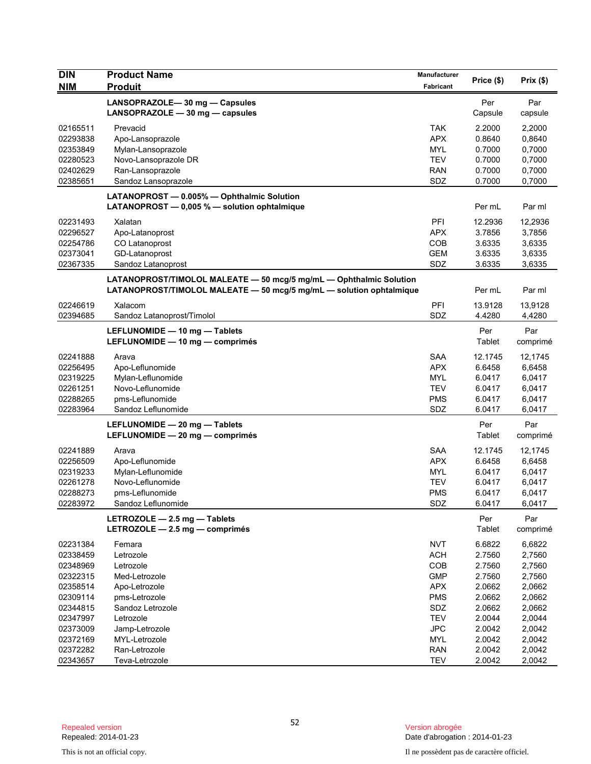| <b>DIN</b>           | <b>Product Name</b>                                                 | <b>Manufacturer</b>      |                  |                  |
|----------------------|---------------------------------------------------------------------|--------------------------|------------------|------------------|
| <b>NIM</b>           | <b>Produit</b>                                                      | Fabricant                | Price (\$)       | Prix (\$)        |
|                      | LANSOPRAZOLE-30 mg - Capsules                                       |                          | Per              | Par              |
|                      | LANSOPRAZOLE $-30$ mg $-$ capsules                                  |                          | Capsule          | capsule          |
|                      |                                                                     |                          |                  |                  |
| 02165511<br>02293838 | Prevacid                                                            | <b>TAK</b><br><b>APX</b> | 2.2000<br>0.8640 | 2,2000           |
| 02353849             | Apo-Lansoprazole<br>Mylan-Lansoprazole                              | <b>MYL</b>               | 0.7000           | 0,8640<br>0,7000 |
| 02280523             | Novo-Lansoprazole DR                                                | <b>TEV</b>               | 0.7000           | 0,7000           |
| 02402629             | Ran-Lansoprazole                                                    | <b>RAN</b>               | 0.7000           | 0,7000           |
| 02385651             | Sandoz Lansoprazole                                                 | SDZ                      | 0.7000           | 0,7000           |
|                      |                                                                     |                          |                  |                  |
|                      | LATANOPROST - 0.005% - Ophthalmic Solution                          |                          |                  |                  |
|                      | LATANOPROST $-$ 0.005 % $-$ solution ophtalmique                    |                          | Per mL           | Par ml           |
| 02231493             | Xalatan                                                             | PFI                      | 12.2936          | 12,2936          |
| 02296527             | Apo-Latanoprost                                                     | <b>APX</b>               | 3.7856           | 3,7856           |
| 02254786             | CO Latanoprost                                                      | COB                      | 3.6335           | 3,6335           |
| 02373041             | GD-Latanoprost                                                      | <b>GEM</b>               | 3.6335           | 3,6335           |
| 02367335             | Sandoz Latanoprost                                                  | SDZ                      | 3.6335           | 3,6335           |
|                      | LATANOPROST/TIMOLOL MALEATE - 50 mcg/5 mg/mL - Ophthalmic Solution  |                          |                  |                  |
|                      | LATANOPROST/TIMOLOL MALEATE - 50 mcg/5 mg/mL - solution ophtalmique |                          | Per mL           | Par ml           |
| 02246619             | Xalacom                                                             | PFI                      | 13.9128          | 13,9128          |
| 02394685             | Sandoz Latanoprost/Timolol                                          | SDZ                      | 4.4280           | 4,4280           |
|                      |                                                                     |                          |                  |                  |
|                      | LEFLUNOMIDE - 10 mg - Tablets                                       |                          | Per              | Par              |
|                      | LEFLUNOMIDE - 10 mg - comprimés                                     |                          | Tablet           | comprimé         |
| 02241888             | Arava                                                               | <b>SAA</b>               | 12.1745          | 12,1745          |
| 02256495             | Apo-Leflunomide                                                     | <b>APX</b>               | 6.6458           | 6,6458           |
| 02319225             | Mylan-Leflunomide                                                   | <b>MYL</b>               | 6.0417           | 6,0417           |
| 02261251             | Novo-Leflunomide                                                    | <b>TEV</b>               | 6.0417           | 6,0417           |
| 02288265             | pms-Leflunomide                                                     | <b>PMS</b>               | 6.0417           | 6,0417           |
| 02283964             | Sandoz Leflunomide                                                  | SDZ                      | 6.0417           | 6,0417           |
|                      | LEFLUNOMIDE - 20 mg - Tablets                                       |                          | Per              | Par              |
|                      | LEFLUNOMIDE - 20 mg - comprimés                                     |                          | Tablet           | comprimé         |
| 02241889             | Arava                                                               | <b>SAA</b>               | 12.1745          | 12,1745          |
| 02256509             | Apo-Leflunomide                                                     | <b>APX</b>               | 6.6458           | 6,6458           |
| 02319233             | Mylan-Leflunomide                                                   | <b>MYL</b>               | 6.0417           | 6,0417           |
| 02261278             | Novo-Leflunomide                                                    | <b>TEV</b>               | 6.0417           | 6,0417           |
| 02288273             | pms-Leflunomide                                                     | <b>PMS</b>               | 6.0417           | 6,0417           |
| 02283972             | Sandoz Leflunomide                                                  | SDZ                      | 6.0417           | 6,0417           |
|                      | LETROZOLE $-$ 2.5 mg $-$ Tablets                                    |                          | Per              | Par              |
|                      | LETROZOLE - 2.5 mg - comprimés                                      |                          | Tablet           | comprimé         |
|                      |                                                                     |                          |                  |                  |
| 02231384             | Femara                                                              | <b>NVT</b>               | 6.6822           | 6,6822           |
| 02338459             | Letrozole                                                           | <b>ACH</b>               | 2.7560           | 2,7560           |
| 02348969             | Letrozole                                                           | COB                      | 2.7560           | 2,7560           |
| 02322315             | Med-Letrozole                                                       | <b>GMP</b>               | 2.7560           | 2,7560           |
| 02358514             | Apo-Letrozole                                                       | <b>APX</b>               | 2.0662           | 2,0662           |
| 02309114             | pms-Letrozole                                                       | <b>PMS</b>               | 2.0662           | 2,0662           |
| 02344815             | Sandoz Letrozole<br>Letrozole                                       | SDZ                      | 2.0662           | 2,0662           |
| 02347997             | Jamp-Letrozole                                                      | <b>TEV</b>               | 2.0044           | 2,0044           |
| 02373009<br>02372169 | MYL-Letrozole                                                       | <b>JPC</b><br>MYL        | 2.0042<br>2.0042 | 2,0042<br>2,0042 |
| 02372282             | Ran-Letrozole                                                       | <b>RAN</b>               | 2.0042           | 2,0042           |
| 02343657             | Teva-Letrozole                                                      | <b>TEV</b>               | 2.0042           | 2,0042           |
|                      |                                                                     |                          |                  |                  |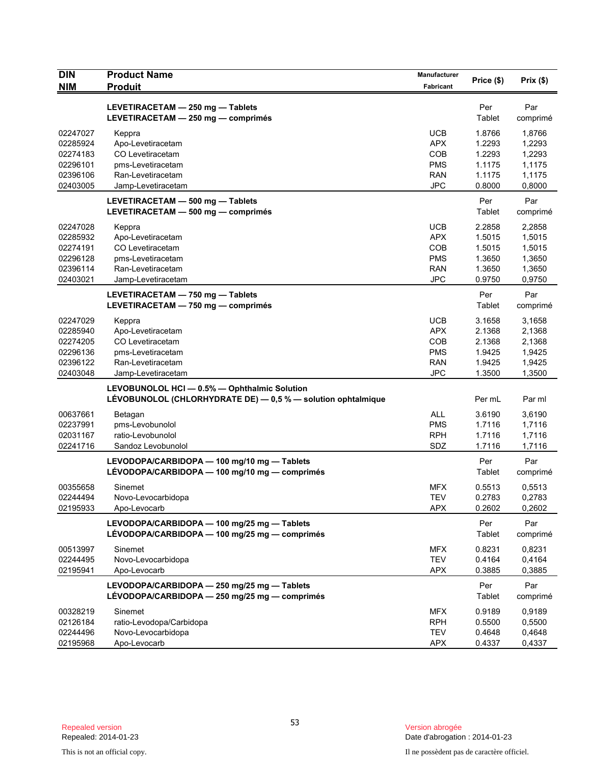| <b>DIN</b><br><b>NIM</b> | <b>Product Name</b><br><b>Produit</b>                                                                        | Manufacturer<br>Fabricant | Price (\$)    | Prix(\$)        |
|--------------------------|--------------------------------------------------------------------------------------------------------------|---------------------------|---------------|-----------------|
|                          |                                                                                                              |                           |               |                 |
|                          | LEVETIRACETAM - 250 mg - Tablets<br>LEVETIRACETAM - 250 mg - comprimés                                       |                           | Per<br>Tablet | Par<br>comprimé |
| 02247027                 | Keppra                                                                                                       | <b>UCB</b>                | 1.8766        | 1,8766          |
| 02285924                 | Apo-Levetiracetam                                                                                            | <b>APX</b>                | 1.2293        | 1,2293          |
| 02274183                 | CO Levetiracetam                                                                                             | COB                       | 1.2293        | 1,2293          |
| 02296101                 | pms-Levetiracetam                                                                                            | <b>PMS</b>                | 1.1175        | 1,1175          |
| 02396106                 | Ran-Levetiracetam                                                                                            | <b>RAN</b>                | 1.1175        | 1,1175          |
| 02403005                 | Jamp-Levetiracetam                                                                                           | <b>JPC</b>                | 0.8000        | 0,8000          |
|                          | LEVETIRACETAM - 500 mg - Tablets<br>LEVETIRACETAM - 500 mg - comprimés                                       |                           | Per<br>Tablet | Par<br>comprimé |
| 02247028                 | Keppra                                                                                                       | <b>UCB</b>                | 2.2858        | 2,2858          |
| 02285932                 | Apo-Levetiracetam                                                                                            | <b>APX</b>                | 1.5015        | 1,5015          |
| 02274191                 | CO Levetiracetam                                                                                             | COB                       | 1.5015        | 1,5015          |
| 02296128                 | pms-Levetiracetam                                                                                            | <b>PMS</b>                | 1.3650        | 1,3650          |
| 02396114                 | Ran-Levetiracetam                                                                                            | <b>RAN</b>                | 1.3650        | 1,3650          |
| 02403021                 | Jamp-Levetiracetam                                                                                           | <b>JPC</b>                | 0.9750        | 0,9750          |
|                          | LEVETIRACETAM - 750 mg - Tablets<br>LEVETIRACETAM - 750 mg - comprimés                                       |                           | Per<br>Tablet | Par<br>comprimé |
| 02247029                 | Keppra                                                                                                       | <b>UCB</b>                | 3.1658        | 3,1658          |
| 02285940                 | Apo-Levetiracetam                                                                                            | <b>APX</b>                | 2.1368        | 2,1368          |
| 02274205                 | CO Levetiracetam                                                                                             | COB                       | 2.1368        | 2,1368          |
| 02296136                 | pms-Levetiracetam                                                                                            | <b>PMS</b>                | 1.9425        | 1,9425          |
| 02396122                 | Ran-Levetiracetam                                                                                            | <b>RAN</b>                | 1.9425        | 1,9425          |
| 02403048                 | Jamp-Levetiracetam                                                                                           | <b>JPC</b>                | 1.3500        | 1,3500          |
|                          | LEVOBUNOLOL HCI - 0.5% - Ophthalmic Solution<br>LÉVOBUNOLOL (CHLORHYDRATE DE) - 0,5 % - solution ophtalmique |                           | Per mL        | Par ml          |
| 00637661                 | Betagan                                                                                                      | <b>ALL</b>                | 3.6190        | 3,6190          |
| 02237991                 | pms-Levobunolol                                                                                              | <b>PMS</b>                | 1.7116        | 1,7116          |
| 02031167                 | ratio-Levobunolol                                                                                            | <b>RPH</b>                | 1.7116        | 1,7116          |
| 02241716                 | Sandoz Levobunolol                                                                                           | SDZ                       | 1.7116        | 1,7116          |
|                          | LEVODOPA/CARBIDOPA - 100 mg/10 mg - Tablets<br>LÉVODOPA/CARBIDOPA — 100 mg/10 mg — comprimés                 |                           | Per<br>Tablet | Par<br>comprimé |
| 00355658                 | Sinemet                                                                                                      | <b>MFX</b>                | 0.5513        | 0,5513          |
| 02244494                 | Novo-Levocarbidopa                                                                                           | TEV                       | 0.2783        | 0,2783          |
| 02195933                 | Apo-Levocarb                                                                                                 | <b>APX</b>                | 0.2602        | 0,2602          |
|                          | LEVODOPA/CARBIDOPA - 100 mg/25 mg - Tablets<br>LÉVODOPA/CARBIDOPA - 100 mg/25 mg - comprimés                 |                           | Per<br>Tablet | Par<br>comprimé |
| 00513997                 | Sinemet                                                                                                      | <b>MFX</b>                | 0.8231        | 0,8231          |
| 02244495                 | Novo-Levocarbidopa                                                                                           | TEV                       | 0.4164        | 0,4164          |
| 02195941                 | Apo-Levocarb                                                                                                 | <b>APX</b>                | 0.3885        | 0,3885          |
|                          | LEVODOPA/CARBIDOPA - 250 mg/25 mg - Tablets<br>LÉVODOPA/CARBIDOPA — 250 mg/25 mg — comprimés                 |                           | Per<br>Tablet | Par<br>comprimé |
| 00328219                 | Sinemet                                                                                                      | <b>MFX</b>                | 0.9189        | 0,9189          |
| 02126184                 | ratio-Levodopa/Carbidopa                                                                                     | <b>RPH</b>                | 0.5500        | 0,5500          |
| 02244496                 | Novo-Levocarbidopa                                                                                           | <b>TEV</b>                | 0.4648        | 0,4648          |
| 02195968                 | Apo-Levocarb                                                                                                 | <b>APX</b>                | 0.4337        | 0,4337          |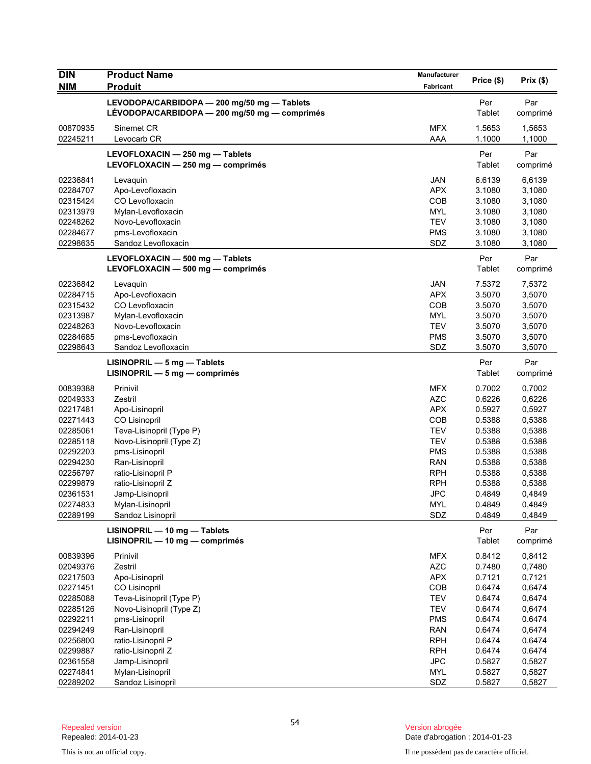| <b>DIN</b>           | <b>Product Name</b>                           | Manufacturer             | Price (\$)       | Prix(\$)         |
|----------------------|-----------------------------------------------|--------------------------|------------------|------------------|
| <b>NIM</b>           | <b>Produit</b>                                | Fabricant                |                  |                  |
|                      | LEVODOPA/CARBIDOPA - 200 mg/50 mg - Tablets   |                          | Per              | Par              |
|                      | LÉVODOPA/CARBIDOPA - 200 mg/50 mg - comprimés |                          | Tablet           | comprimé         |
| 00870935             | Sinemet CR                                    | <b>MFX</b>               | 1.5653           | 1,5653           |
| 02245211             | Levocarb CR                                   | AAA                      | 1.1000           | 1,1000           |
|                      | LEVOFLOXACIN - 250 mg - Tablets               |                          | Per              | Par              |
|                      | LEVOFLOXACIN - 250 mg - comprimés             |                          | Tablet           | comprimé         |
| 02236841             | Levaguin                                      | <b>JAN</b>               | 6.6139           | 6,6139           |
| 02284707             | Apo-Levofloxacin                              | <b>APX</b>               | 3.1080           | 3,1080           |
| 02315424             | CO Levofloxacin                               | COB                      | 3.1080           | 3,1080           |
| 02313979             | Mylan-Levofloxacin                            | <b>MYL</b>               | 3.1080           | 3,1080           |
| 02248262             | Novo-Levofloxacin                             | <b>TEV</b>               | 3.1080           | 3,1080           |
| 02284677             | pms-Levofloxacin                              | <b>PMS</b>               | 3.1080           | 3,1080           |
| 02298635             | Sandoz Levofloxacin                           | SDZ                      | 3.1080           | 3,1080           |
|                      | LEVOFLOXACIN - 500 mg - Tablets               |                          | Per              | Par              |
|                      | LEVOFLOXACIN - 500 mg - comprimés             |                          | Tablet           | comprimé         |
| 02236842             | Levaguin                                      | <b>JAN</b>               | 7.5372           | 7,5372           |
| 02284715             | Apo-Levofloxacin                              | <b>APX</b>               | 3.5070           | 3,5070           |
| 02315432             | CO Levofloxacin                               | COB                      | 3.5070           | 3,5070           |
| 02313987             | Mylan-Levofloxacin                            | <b>MYL</b>               | 3.5070           | 3,5070           |
| 02248263             | Novo-Levofloxacin                             | <b>TEV</b>               | 3.5070           | 3,5070           |
| 02284685             | pms-Levofloxacin                              | <b>PMS</b>               | 3.5070           | 3,5070           |
| 02298643             | Sandoz Levofloxacin                           | SDZ                      | 3.5070           | 3,5070           |
|                      | LISINOPRIL - 5 mg - Tablets                   |                          | Per              | Par              |
|                      | LISINOPRIL - 5 mg - comprimés                 |                          | Tablet           | comprimé         |
| 00839388             | Prinivil                                      | <b>MFX</b>               | 0.7002           | 0,7002           |
| 02049333             | Zestril                                       | <b>AZC</b>               | 0.6226           | 0,6226           |
| 02217481             | Apo-Lisinopril                                | <b>APX</b>               | 0.5927           | 0,5927           |
| 02271443             | CO Lisinopril                                 | COB                      | 0.5388           | 0,5388           |
| 02285061             | Teva-Lisinopril (Type P)                      | <b>TEV</b>               | 0.5388           | 0,5388           |
| 02285118             | Novo-Lisinopril (Type Z)                      | <b>TEV</b>               | 0.5388           | 0,5388           |
| 02292203<br>02294230 | pms-Lisinopril                                | <b>PMS</b><br><b>RAN</b> | 0.5388<br>0.5388 | 0,5388           |
| 02256797             | Ran-Lisinopril<br>ratio-Lisinopril P          | <b>RPH</b>               | 0.5388           | 0,5388<br>0,5388 |
| 02299879             | ratio-Lisinopril Z                            | <b>RPH</b>               | 0.5388           | 0,5388           |
| 02361531             | Jamp-Lisinopril                               | <b>JPC</b>               | 0.4849           | 0,4849           |
| 02274833             | Mylan-Lisinopril                              | MYL                      | 0.4849           | 0,4849           |
| 02289199             | Sandoz Lisinopril                             | SDZ                      | 0.4849           | 0,4849           |
|                      | LISINOPRIL - 10 mg - Tablets                  |                          | Per              | Par              |
|                      | LISINOPRIL - 10 mg - comprimés                |                          | Tablet           | comprimé         |
| 00839396             | Prinivil                                      | <b>MFX</b>               | 0.8412           | 0,8412           |
| 02049376             | Zestril                                       | <b>AZC</b>               | 0.7480           | 0,7480           |
| 02217503             | Apo-Lisinopril                                | <b>APX</b>               | 0.7121           | 0,7121           |
| 02271451             | CO Lisinopril                                 | COB                      | 0.6474           | 0,6474           |
| 02285088             | Teva-Lisinopril (Type P)                      | <b>TEV</b>               | 0.6474           | 0,6474           |
| 02285126             | Novo-Lisinopril (Type Z)                      | <b>TEV</b>               | 0.6474           | 0,6474           |
| 02292211             | pms-Lisinopril                                | <b>PMS</b>               | 0.6474           | 0.6474           |
| 02294249             | Ran-Lisinopril                                | <b>RAN</b>               | 0.6474           | 0,6474           |
| 02256800             | ratio-Lisinopril P                            | <b>RPH</b>               | 0.6474           | 0.6474           |
| 02299887             | ratio-Lisinopril Z                            | <b>RPH</b>               | 0.6474           | 0.6474           |
| 02361558             | Jamp-Lisinopril                               | <b>JPC</b>               | 0.5827           | 0,5827           |
| 02274841             | Mylan-Lisinopril                              | MYL                      | 0.5827           | 0,5827           |
| 02289202             | Sandoz Lisinopril                             | SDZ                      | 0.5827           | 0,5827           |

Repealed version 34 September 2014-01-23 September 2014-01-23

Version abrogée<br>Date d'abrogation : 2014-01-23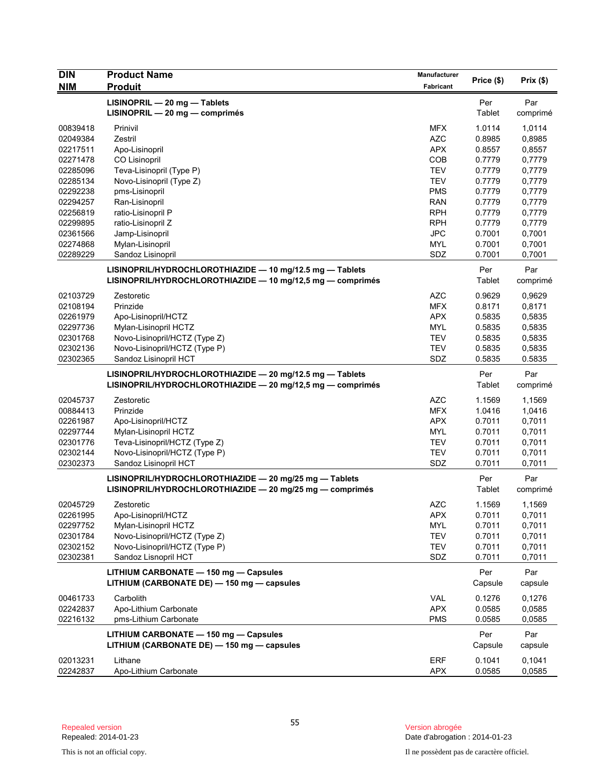| <b>DIN</b>           | <b>Product Name</b>                                                                 | <b>Manufacturer</b>      | Price (\$)       | Prix(\$)         |
|----------------------|-------------------------------------------------------------------------------------|--------------------------|------------------|------------------|
| <b>NIM</b>           | <b>Produit</b>                                                                      | Fabricant                |                  |                  |
|                      | LISINOPRIL - 20 mg - Tablets                                                        |                          | Per              | Par              |
|                      | LISINOPRIL - 20 mg - comprimés                                                      |                          | Tablet           | comprimé         |
| 00839418             | Prinivil                                                                            | <b>MFX</b>               | 1.0114           | 1,0114           |
| 02049384             | Zestril                                                                             | <b>AZC</b>               | 0.8985           | 0,8985           |
| 02217511             | Apo-Lisinopril                                                                      | <b>APX</b>               | 0.8557           | 0,8557           |
| 02271478             | CO Lisinopril                                                                       | COB                      | 0.7779           | 0,7779           |
| 02285096             | Teva-Lisinopril (Type P)                                                            | <b>TEV</b>               | 0.7779           | 0,7779           |
| 02285134             | Novo-Lisinopril (Type Z)                                                            | <b>TEV</b>               | 0.7779           | 0,7779           |
| 02292238             | pms-Lisinopril                                                                      | <b>PMS</b>               | 0.7779           | 0,7779           |
| 02294257             | Ran-Lisinopril                                                                      | <b>RAN</b>               | 0.7779           | 0,7779           |
| 02256819             | ratio-Lisinopril P                                                                  | <b>RPH</b>               | 0.7779           | 0,7779           |
| 02299895             | ratio-Lisinopril Z                                                                  | <b>RPH</b>               | 0.7779           | 0,7779           |
| 02361566             | Jamp-Lisinopril                                                                     | <b>JPC</b>               | 0.7001           | 0,7001           |
| 02274868             | Mylan-Lisinopril                                                                    | <b>MYL</b>               | 0.7001           | 0,7001           |
| 02289229             | Sandoz Lisinopril                                                                   | SDZ                      | 0.7001           | 0,7001           |
|                      | LISINOPRIL/HYDROCHLOROTHIAZIDE - 10 mg/12.5 mg - Tablets                            |                          | Per              | Par              |
|                      | LISINOPRIL/HYDROCHLOROTHIAZIDE - 10 mg/12,5 mg - comprimés                          |                          | Tablet           | comprimé         |
| 02103729             | Zestoretic                                                                          | <b>AZC</b>               | 0.9629           | 0,9629           |
| 02108194             | Prinzide                                                                            | <b>MFX</b>               | 0.8171           | 0,8171           |
| 02261979             | Apo-Lisinopril/HCTZ                                                                 | <b>APX</b>               | 0.5835           | 0,5835           |
| 02297736             | Mylan-Lisinopril HCTZ                                                               | <b>MYL</b>               | 0.5835           | 0,5835           |
| 02301768             | Novo-Lisinopril/HCTZ (Type Z)                                                       | <b>TEV</b>               | 0.5835           | 0,5835           |
| 02302136             | Novo-Lisinopril/HCTZ (Type P)                                                       | <b>TEV</b>               | 0.5835           | 0,5835           |
| 02302365             | Sandoz Lisinopril HCT                                                               | SDZ                      | 0.5835           | 0.5835           |
|                      | LISINOPRIL/HYDROCHLOROTHIAZIDE - 20 mg/12.5 mg - Tablets                            |                          | Per              | Par              |
|                      | LISINOPRIL/HYDROCHLOROTHIAZIDE - 20 mg/12,5 mg - comprimés                          |                          | Tablet           | comprimé         |
|                      |                                                                                     |                          |                  |                  |
| 02045737             | Zestoretic                                                                          | <b>AZC</b>               | 1.1569           | 1,1569           |
| 00884413<br>02261987 | Prinzide                                                                            | <b>MFX</b><br><b>APX</b> | 1.0416           | 1,0416           |
| 02297744             | Apo-Lisinopril/HCTZ                                                                 | <b>MYL</b>               | 0.7011<br>0.7011 | 0,7011           |
| 02301776             | Mylan-Lisinopril HCTZ<br>Teva-Lisinopril/HCTZ (Type Z)                              | <b>TEV</b>               | 0.7011           | 0,7011<br>0,7011 |
| 02302144             | Novo-Lisinopril/HCTZ (Type P)                                                       | <b>TEV</b>               | 0.7011           | 0,7011           |
| 02302373             | Sandoz Lisinopril HCT                                                               | SDZ                      | 0.7011           | 0,7011           |
|                      |                                                                                     |                          |                  |                  |
|                      | LISINOPRIL/HYDROCHLOROTHIAZIDE - 20 mg/25 mg - Tablets                              |                          | Per              | Par              |
|                      | LISINOPRIL/HYDROCHLOROTHIAZIDE - 20 mg/25 mg - comprimés                            |                          | Tablet           | comprimé         |
| 02045729             | Zestoretic                                                                          | <b>AZC</b>               | 1.1569           | 1,1569           |
| 02261995             | Apo-Lisinopril/HCTZ                                                                 | <b>APX</b>               | 0.7011           | 0,7011           |
| 02297752             | Mylan-Lisinopril HCTZ                                                               | MYL                      | 0.7011           | 0,7011           |
| 02301784             | Novo-Lisinopril/HCTZ (Type Z)                                                       | TEV                      | 0.7011           | 0,7011           |
| 02302152             | Novo-Lisinopril/HCTZ (Type P)                                                       | TEV                      | 0.7011           | 0,7011           |
| 02302381             | Sandoz Lisnopril HCT                                                                | SDZ                      | 0.7011           | 0,7011           |
|                      | LITHIUM CARBONATE - 150 mg - Capsules                                               |                          | Per              | Par              |
|                      | LITHIUM (CARBONATE DE) - 150 mg - capsules                                          |                          | Capsule          | capsule          |
| 00461733             | Carbolith                                                                           | VAL                      | 0.1276           | 0,1276           |
| 02242837             | Apo-Lithium Carbonate                                                               | <b>APX</b>               | 0.0585           | 0,0585           |
| 02216132             | pms-Lithium Carbonate                                                               | <b>PMS</b>               | 0.0585           | 0,0585           |
|                      |                                                                                     |                          |                  |                  |
|                      | LITHIUM CARBONATE - 150 mg - Capsules<br>LITHIUM (CARBONATE DE) - 150 mg - capsules |                          | Per              | Par              |
|                      |                                                                                     |                          | Capsule          | capsule          |
| 02013231             | Lithane                                                                             | ERF                      | 0.1041           | 0,1041           |
| 02242837             | Apo-Lithium Carbonate                                                               | <b>APX</b>               | 0.0585           | 0,0585           |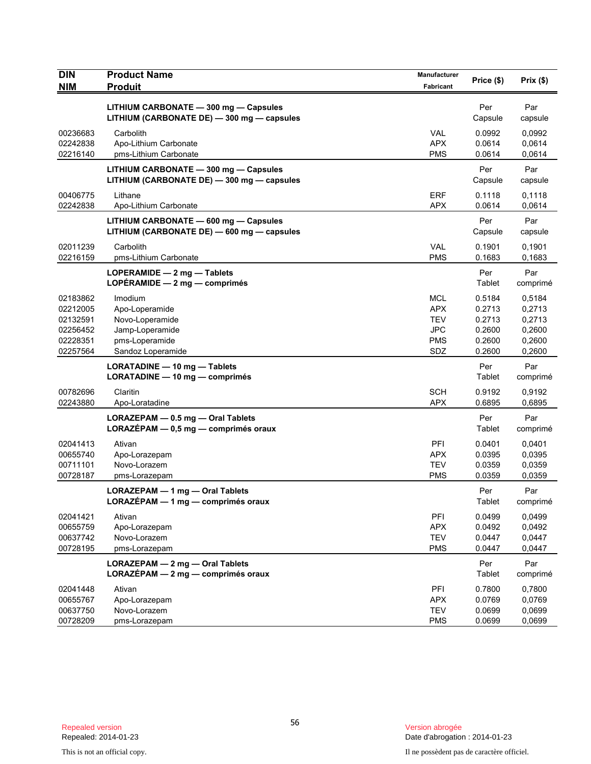| <b>DIN</b><br><b>NIM</b> | <b>Product Name</b><br><b>Produit</b>                                               | Manufacturer<br>Fabricant | Price (\$)           | Prix (\$)        |
|--------------------------|-------------------------------------------------------------------------------------|---------------------------|----------------------|------------------|
|                          |                                                                                     |                           |                      |                  |
|                          | LITHIUM CARBONATE - 300 mg - Capsules<br>LITHIUM (CARBONATE DE) - 300 mg - capsules |                           | Per<br>Capsule       | Par<br>capsule   |
| 00236683                 | Carbolith                                                                           | <b>VAL</b>                | 0.0992               | 0,0992           |
| 02242838<br>02216140     | Apo-Lithium Carbonate<br>pms-Lithium Carbonate                                      | <b>APX</b><br><b>PMS</b>  | 0.0614<br>0.0614     | 0,0614<br>0,0614 |
|                          | LITHIUM CARBONATE - 300 mg - Capsules<br>LITHIUM (CARBONATE DE) - 300 mg - capsules |                           | Per<br>Capsule       | Par<br>capsule   |
| 00406775                 | Lithane                                                                             | <b>ERF</b>                | 0.1118               | 0,1118           |
| 02242838                 | Apo-Lithium Carbonate                                                               | <b>APX</b>                | 0.0614               | 0,0614           |
|                          | LITHIUM CARBONATE - 600 mg - Capsules<br>LITHIUM (CARBONATE DE) - 600 mg - capsules |                           | Per<br>Capsule       | Par<br>capsule   |
| 02011239                 | Carbolith                                                                           | VAL                       | 0.1901               | 0,1901           |
| 02216159                 | pms-Lithium Carbonate                                                               | <b>PMS</b>                | 0.1683               | 0,1683           |
|                          | LOPERAMIDE - 2 mg - Tablets<br>LOPÉRAMIDE $-2$ mg $-$ comprimés                     |                           | Per<br>Tablet        | Par<br>comprimé  |
| 02183862                 | Imodium                                                                             | MCL                       | 0.5184               | 0,5184           |
| 02212005                 | Apo-Loperamide                                                                      | <b>APX</b>                | 0.2713               | 0,2713           |
| 02132591<br>02256452     | Novo-Loperamide<br>Jamp-Loperamide                                                  | <b>TEV</b><br>JPC         | 0.2713<br>0.2600     | 0,2713<br>0,2600 |
| 02228351                 | pms-Loperamide                                                                      | <b>PMS</b>                | 0.2600               | 0,2600           |
| 02257564                 | Sandoz Loperamide                                                                   | SDZ                       | 0.2600               | 0,2600           |
|                          | LORATADINE - 10 mg - Tablets                                                        |                           | Per                  | Par              |
|                          | LORATADINE - 10 mg - comprimés                                                      |                           | Tablet               | comprimé         |
| 00782696                 | Claritin                                                                            | <b>SCH</b>                | 0.9192               | 0,9192           |
| 02243880                 | Apo-Loratadine                                                                      | <b>APX</b>                | 0.6895               | 0,6895           |
|                          | LORAZEPAM - 0.5 mg - Oral Tablets                                                   |                           | Per                  | Par              |
|                          | LORAZÉPAM - 0,5 mg - comprimés oraux                                                |                           | Tablet               | comprimé         |
| 02041413                 | Ativan                                                                              | PFI                       | 0.0401               | 0,0401           |
| 00655740                 | Apo-Lorazepam                                                                       | <b>APX</b>                | 0.0395               | 0,0395           |
| 00711101                 | Novo-Lorazem                                                                        | <b>TEV</b>                | 0.0359               | 0,0359           |
| 00728187                 | pms-Lorazepam                                                                       | <b>PMS</b>                | 0.0359               | 0,0359           |
|                          | LORAZEPAM - 1 mg - Oral Tablets<br>LORAZÉPAM - 1 mg - comprimés oraux               |                           | Per<br><b>Tablet</b> | Par<br>comprime  |
| 02041421                 | Ativan                                                                              | PFI                       | 0.0499               | 0,0499           |
| 00655759                 | Apo-Lorazepam                                                                       | <b>APX</b>                | 0.0492               | 0,0492           |
| 00637742                 | Novo-Lorazem                                                                        | <b>TEV</b>                | 0.0447               | 0,0447           |
| 00728195                 | pms-Lorazepam                                                                       | <b>PMS</b>                | 0.0447               | 0,0447           |
|                          | LORAZEPAM - 2 mg - Oral Tablets<br>LORAZÉPAM - 2 mg - comprimés oraux               |                           | Per<br>Tablet        | Par<br>comprimé  |
| 02041448                 | Ativan                                                                              | PFI                       | 0.7800               | 0,7800           |
| 00655767                 | Apo-Lorazepam                                                                       | <b>APX</b>                | 0.0769               | 0,0769           |
| 00637750                 | Novo-Lorazem                                                                        | <b>TEV</b>                | 0.0699               | 0,0699           |
| 00728209                 | pms-Lorazepam                                                                       | <b>PMS</b>                | 0.0699               | 0,0699           |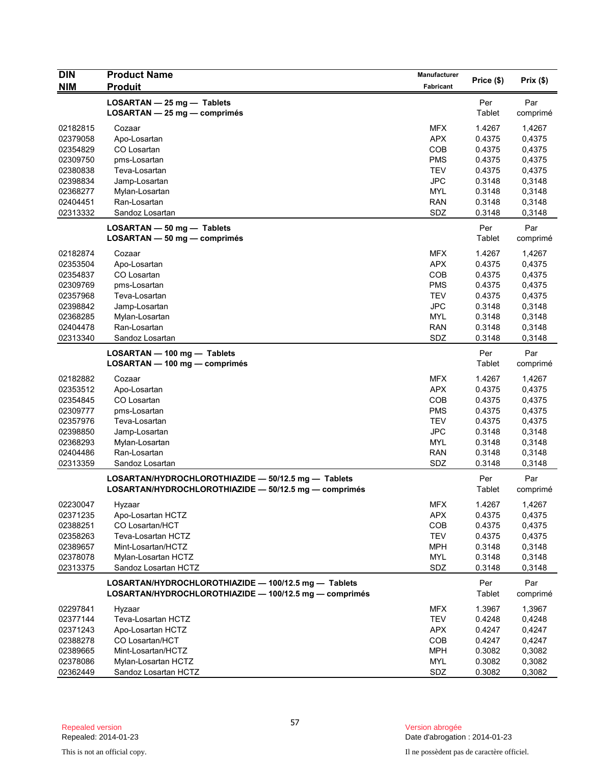| <b>DIN</b>           | <b>Product Name</b>                                    | Manufacturer             | Price (\$)       | Prix(\$)         |
|----------------------|--------------------------------------------------------|--------------------------|------------------|------------------|
| <b>NIM</b>           | <b>Produit</b>                                         | Fabricant                |                  |                  |
|                      | LOSARTAN - 25 mg - Tablets                             |                          | Per              | Par              |
|                      | LOSARTAN - 25 mg - comprimés                           |                          | Tablet           | comprimé         |
| 02182815             | Cozaar                                                 | <b>MFX</b>               | 1.4267           | 1,4267           |
| 02379058             | Apo-Losartan                                           | <b>APX</b>               | 0.4375           | 0,4375           |
| 02354829             | CO Losartan                                            | COB                      | 0.4375           | 0,4375           |
| 02309750             | pms-Losartan                                           | <b>PMS</b>               | 0.4375           | 0,4375           |
| 02380838             | Teva-Losartan                                          | <b>TEV</b>               | 0.4375           | 0,4375           |
| 02398834<br>02368277 | Jamp-Losartan<br>Mylan-Losartan                        | <b>JPC</b><br><b>MYL</b> | 0.3148<br>0.3148 | 0,3148<br>0,3148 |
| 02404451             | Ran-Losartan                                           | <b>RAN</b>               | 0.3148           | 0,3148           |
| 02313332             | Sandoz Losartan                                        | SDZ                      | 0.3148           | 0,3148           |
|                      | LOSARTAN - 50 mg - Tablets                             |                          | Per              | Par              |
|                      | LOSARTAN - 50 mg - comprimés                           |                          | Tablet           | comprimé         |
|                      |                                                        |                          |                  |                  |
| 02182874             | Cozaar                                                 | <b>MFX</b>               | 1.4267           | 1,4267           |
| 02353504             | Apo-Losartan                                           | <b>APX</b>               | 0.4375           | 0,4375           |
| 02354837             | CO Losartan                                            | COB<br><b>PMS</b>        | 0.4375<br>0.4375 | 0,4375           |
| 02309769<br>02357968 | pms-Losartan<br>Teva-Losartan                          | <b>TEV</b>               | 0.4375           | 0,4375<br>0,4375 |
| 02398842             | Jamp-Losartan                                          | <b>JPC</b>               | 0.3148           | 0,3148           |
| 02368285             | Mylan-Losartan                                         | <b>MYL</b>               | 0.3148           | 0,3148           |
| 02404478             | Ran-Losartan                                           | <b>RAN</b>               | 0.3148           | 0,3148           |
| 02313340             | Sandoz Losartan                                        | SDZ                      | 0.3148           | 0,3148           |
|                      | LOSARTAN - 100 mg - Tablets                            |                          | Per              | Par              |
|                      | LOSARTAN - 100 mg - comprimés                          |                          | Tablet           | comprimé         |
| 02182882             | Cozaar                                                 | <b>MFX</b>               | 1.4267           | 1,4267           |
| 02353512             | Apo-Losartan                                           | <b>APX</b>               | 0.4375           | 0,4375           |
| 02354845             | CO Losartan                                            | COB                      | 0.4375           | 0,4375           |
| 02309777             | pms-Losartan                                           | <b>PMS</b>               | 0.4375           | 0,4375           |
| 02357976             | Teva-Losartan                                          | <b>TEV</b>               | 0.4375           | 0,4375           |
| 02398850             | Jamp-Losartan                                          | <b>JPC</b>               | 0.3148           | 0,3148           |
| 02368293             | Mylan-Losartan                                         | <b>MYL</b>               | 0.3148           | 0,3148           |
| 02404486             | Ran-Losartan                                           | <b>RAN</b>               | 0.3148           | 0,3148           |
| 02313359             | Sandoz Losartan                                        | SDZ                      | 0.3148           | 0,3148           |
|                      | LOSARTAN/HYDROCHLOROTHIAZIDE - 50/12.5 mg - Tablets    |                          | Per              | Par              |
|                      | LOSARTAN/HYDROCHLOROTHIAZIDE - 50/12.5 mg - comprimés  |                          | Tablet           | comprimé         |
| 02230047             | Hyzaar                                                 | <b>MFX</b>               | 1.4267           | 1,4267           |
| 02371235             | Apo-Losartan HCTZ                                      | <b>APX</b>               | 0.4375           | 0,4375           |
| 02388251             | CO Losartan/HCT                                        | COB                      | 0.4375           | 0,4375           |
| 02358263             | Teva-Losartan HCTZ                                     | <b>TEV</b>               | 0.4375           | 0,4375           |
| 02389657             | Mint-Losartan/HCTZ                                     | MPH                      | 0.3148           | 0,3148           |
| 02378078             | Mylan-Losartan HCTZ                                    | <b>MYL</b>               | 0.3148           | 0,3148           |
| 02313375             | Sandoz Losartan HCTZ                                   | SDZ                      | 0.3148           | 0,3148           |
|                      | LOSARTAN/HYDROCHLOROTHIAZIDE - 100/12.5 mg - Tablets   |                          | Per              | Par              |
|                      | LOSARTAN/HYDROCHLOROTHIAZIDE - 100/12.5 mg - comprimés |                          | Tablet           | comprimé         |
| 02297841             | Hyzaar                                                 | MFX                      | 1.3967           | 1,3967           |
| 02377144             | Teva-Losartan HCTZ                                     | <b>TEV</b>               | 0.4248           | 0,4248           |
| 02371243             | Apo-Losartan HCTZ                                      | <b>APX</b>               | 0.4247           | 0,4247           |
| 02388278             | CO Losartan/HCT                                        | COB                      | 0.4247           | 0,4247           |
| 02389665             | Mint-Losartan/HCTZ                                     | <b>MPH</b>               | 0.3082           | 0,3082           |
| 02378086             | Mylan-Losartan HCTZ                                    | <b>MYL</b>               | 0.3082           | 0,3082           |
| 02362449             | Sandoz Losartan HCTZ                                   | SDZ                      | 0.3082           | 0,3082           |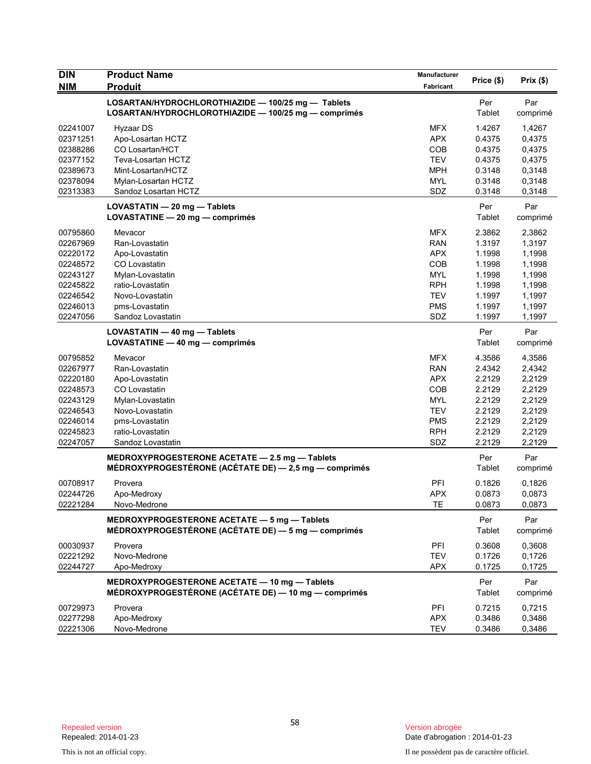| <b>DIN</b> | <b>Product Name</b>                                                                                        | Manufacturer |               |                 |
|------------|------------------------------------------------------------------------------------------------------------|--------------|---------------|-----------------|
| <b>NIM</b> | <b>Produit</b>                                                                                             | Fabricant    | Price (\$)    | Prix(\$)        |
|            | LOSARTAN/HYDROCHLOROTHIAZIDE - 100/25 mg - Tablets<br>LOSARTAN/HYDROCHLOROTHIAZIDE - 100/25 mg - comprimés |              | Per<br>Tablet | Par<br>comprimé |
| 02241007   | Hyzaar DS                                                                                                  | <b>MFX</b>   | 1.4267        | 1,4267          |
| 02371251   | Apo-Losartan HCTZ                                                                                          | <b>APX</b>   | 0.4375        | 0,4375          |
| 02388286   | CO Losartan/HCT                                                                                            | COB          | 0.4375        | 0,4375          |
| 02377152   | Teva-Losartan HCTZ                                                                                         | <b>TEV</b>   | 0.4375        | 0,4375          |
| 02389673   | Mint-Losartan/HCTZ                                                                                         | MPH          | 0.3148        | 0,3148          |
| 02378094   | Mylan-Losartan HCTZ                                                                                        | <b>MYL</b>   | 0.3148        | 0,3148          |
| 02313383   | Sandoz Losartan HCTZ                                                                                       | SDZ          | 0.3148        | 0,3148          |
|            | LOVASTATIN - 20 mg - Tablets<br>LOVASTATINE - 20 mg - comprimés                                            |              | Per<br>Tablet | Par<br>comprimé |
| 00795860   | Mevacor                                                                                                    | <b>MFX</b>   | 2.3862        | 2,3862          |
| 02267969   | Ran-Lovastatin                                                                                             | <b>RAN</b>   | 1.3197        | 1,3197          |
| 02220172   | Apo-Lovastatin                                                                                             | <b>APX</b>   | 1.1998        | 1,1998          |
| 02248572   | CO Lovastatin                                                                                              | COB          | 1.1998        | 1,1998          |
| 02243127   | Mylan-Lovastatin                                                                                           | <b>MYL</b>   | 1.1998        | 1,1998          |
| 02245822   | ratio-Lovastatin                                                                                           | <b>RPH</b>   | 1.1998        | 1,1998          |
| 02246542   | Novo-Lovastatin                                                                                            | <b>TEV</b>   | 1.1997        | 1,1997          |
| 02246013   | pms-Lovastatin                                                                                             | <b>PMS</b>   | 1.1997        | 1,1997          |
| 02247056   | Sandoz Lovastatin                                                                                          | SDZ          | 1.1997        | 1,1997          |
|            | LOVASTATIN - 40 mg - Tablets                                                                               |              | Per           | Par             |
|            | LOVASTATINE - 40 mg - comprimés                                                                            |              | Tablet        | comprimé        |
| 00795852   | Mevacor                                                                                                    | <b>MFX</b>   | 4.3586        | 4,3586          |
| 02267977   | Ran-Lovastatin                                                                                             | <b>RAN</b>   | 2.4342        | 2,4342          |
| 02220180   | Apo-Lovastatin                                                                                             | <b>APX</b>   | 2.2129        | 2,2129          |
| 02248573   | CO Lovastatin                                                                                              | <b>COB</b>   | 2.2129        | 2,2129          |
| 02243129   | Mylan-Lovastatin                                                                                           | <b>MYL</b>   | 2.2129        | 2,2129          |
| 02246543   | Novo-Lovastatin                                                                                            | <b>TEV</b>   | 2.2129        | 2,2129          |
| 02246014   | pms-Lovastatin                                                                                             | <b>PMS</b>   | 2.2129        | 2,2129          |
| 02245823   | ratio-Lovastatin                                                                                           | <b>RPH</b>   | 2.2129        | 2,2129          |
| 02247057   | Sandoz Lovastatin                                                                                          | SDZ          | 2.2129        | 2,2129          |
|            | MEDROXYPROGESTERONE ACETATE - 2.5 mg - Tablets<br>MÉDROXYPROGESTÉRONE (ACÉTATE DE) - 2,5 mg - comprimés    |              | Per<br>Tablet | Par<br>comprimé |
| 00708917   | Provera                                                                                                    | PFI          | 0.1826        | 0,1826          |
| 02244726   | Apo-Medroxy                                                                                                | <b>APX</b>   | 0.0873        | 0,0873          |
| 02221284   | Novo-Medrone                                                                                               | TE           | 0.0873        | 0,0873          |
|            | MEDROXYPROGESTERONE ACETATE - 5 mg - Tablets<br>MÉDROXYPROGESTÉRONE (ACÉTATE DE) — 5 mg — comprimés        |              | Per<br>Tablet | Par<br>comprimé |
| 00030937   | Provera                                                                                                    | PFI          | 0.3608        | 0,3608          |
| 02221292   | Novo-Medrone                                                                                               | <b>TEV</b>   | 0.1726        | 0,1726          |
| 02244727   | Apo-Medroxy                                                                                                | <b>APX</b>   | 0.1725        | 0,1725          |
|            | MEDROXYPROGESTERONE ACETATE - 10 mg - Tablets<br>MÉDROXYPROGESTÉRONE (ACÉTATE DE) — 10 mg — comprimés      |              | Per<br>Tablet | Par<br>comprimé |
| 00729973   | Provera                                                                                                    | PFI          | 0.7215        | 0,7215          |
| 02277298   | Apo-Medroxy                                                                                                | <b>APX</b>   | 0.3486        | 0,3486          |
| 02221306   | Novo-Medrone                                                                                               | <b>TEV</b>   | 0.3486        | 0,3486          |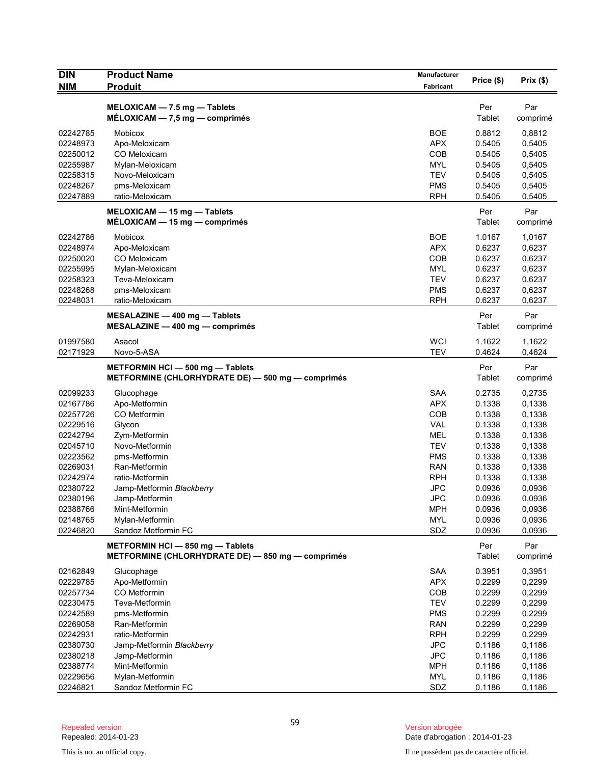| <b>DIN</b>           | <b>Product Name</b>                               | Manufacturer             | Price (\$)       | Prix(\$)         |
|----------------------|---------------------------------------------------|--------------------------|------------------|------------------|
| <b>NIM</b>           | <b>Produit</b>                                    | Fabricant                |                  |                  |
|                      | $MELOXICAM - 7.5 mg - Tables$                     |                          | Per              | Par              |
|                      | $MÉLOXICAM - 7,5 mg - comprimés$                  |                          | Tablet           | comprimé         |
| 02242785             | Mobicox                                           | <b>BOE</b>               | 0.8812           | 0,8812           |
| 02248973             | Apo-Meloxicam                                     | <b>APX</b>               | 0.5405           | 0,5405           |
| 02250012             | CO Meloxicam                                      | COB                      | 0.5405           | 0,5405           |
| 02255987             | Mylan-Meloxicam                                   | <b>MYL</b>               | 0.5405           | 0,5405           |
| 02258315             | Novo-Meloxicam                                    | <b>TEV</b>               | 0.5405           | 0,5405           |
| 02248267             | pms-Meloxicam                                     | <b>PMS</b>               | 0.5405           | 0,5405           |
| 02247889             | ratio-Meloxicam                                   | <b>RPH</b>               | 0.5405           | 0,5405           |
|                      | $MELOXICAM - 15 mg - Tables$                      |                          | Per              | Par              |
|                      | MÉLOXICAM - 15 mg - comprimés                     |                          | Tablet           | comprimé         |
| 02242786             | Mobicox                                           | <b>BOE</b>               | 1.0167           | 1,0167           |
| 02248974             | Apo-Meloxicam                                     | <b>APX</b>               | 0.6237           | 0,6237           |
| 02250020             | CO Meloxicam                                      | COB                      | 0.6237           | 0,6237           |
| 02255995             | Mylan-Meloxicam                                   | <b>MYL</b>               | 0.6237           | 0,6237           |
| 02258323             | Teva-Meloxicam                                    | <b>TEV</b>               | 0.6237           | 0,6237           |
| 02248268             | pms-Meloxicam                                     | <b>PMS</b>               | 0.6237           | 0,6237           |
| 02248031             | ratio-Meloxicam                                   | <b>RPH</b>               | 0.6237           | 0,6237           |
|                      | MESALAZINE - 400 mg - Tablets                     |                          | Per              | Par              |
|                      | $MESALAZINE - 400 mg - comprimés$                 |                          | Tablet           | comprimé         |
| 01997580             | Asacol                                            | <b>WCI</b>               | 1.1622           | 1,1622           |
| 02171929             | Novo-5-ASA                                        | <b>TEV</b>               | 0.4624           | 0,4624           |
|                      | METFORMIN HCI-500 mg-Tablets                      |                          | Per              | Par              |
|                      | METFORMINE (CHLORHYDRATE DE) - 500 mg - comprimés |                          | Tablet           | comprimé         |
| 02099233             | Glucophage                                        | <b>SAA</b>               | 0.2735           | 0,2735           |
| 02167786             | Apo-Metformin                                     | <b>APX</b>               | 0.1338           | 0,1338           |
| 02257726             | CO Metformin                                      | <b>COB</b>               | 0.1338           | 0,1338           |
| 02229516             | Glycon                                            | <b>VAL</b>               | 0.1338           | 0,1338           |
| 02242794             | Zym-Metformin                                     | MEL                      | 0.1338           | 0,1338           |
| 02045710             | Novo-Metformin                                    | <b>TEV</b>               | 0.1338           | 0,1338           |
| 02223562             | pms-Metformin                                     | <b>PMS</b>               | 0.1338           | 0,1338           |
| 02269031             | Ran-Metformin                                     | <b>RAN</b>               | 0.1338           | 0,1338           |
| 02242974             | ratio-Metformin                                   | <b>RPH</b>               | 0.1338           | 0,1338           |
| 02380722             | Jamp-Metformin Blackberry                         | <b>JPC</b>               | 0.0936           | 0,0936           |
| 02380196             | Jamp-Metformin                                    | <b>JPC</b>               | 0.0936           | 0,0936           |
| 02388766             | Mint-Metformin                                    | <b>MPH</b>               | 0.0936           | 0,0936           |
| 02148765<br>02246820 | Mylan-Metformin<br>Sandoz Metformin FC            | <b>MYL</b><br>SDZ        | 0.0936<br>0.0936 | 0,0936<br>0,0936 |
|                      |                                                   |                          |                  |                  |
|                      | METFORMIN HCI-850 mg-Tablets                      |                          | Per              | Par              |
|                      | METFORMINE (CHLORHYDRATE DE) - 850 mg - comprimés |                          | Tablet           | comprimé         |
| 02162849             | Glucophage                                        | <b>SAA</b>               | 0.3951           | 0,3951           |
| 02229785             | Apo-Metformin                                     | <b>APX</b>               | 0.2299           | 0,2299           |
| 02257734             | CO Metformin                                      | COB                      | 0.2299           | 0,2299           |
| 02230475             | Teva-Metformin                                    | <b>TEV</b>               | 0.2299           | 0,2299           |
| 02242589             | pms-Metformin                                     | <b>PMS</b>               | 0.2299           | 0,2299           |
| 02269058             | Ran-Metformin                                     | <b>RAN</b>               | 0.2299           | 0,2299           |
| 02242931             | ratio-Metformin                                   | <b>RPH</b>               | 0.2299           | 0,2299           |
| 02380730             | Jamp-Metformin Blackberry                         | <b>JPC</b>               | 0.1186           | 0,1186           |
| 02380218             | Jamp-Metformin                                    | <b>JPC</b>               | 0.1186           | 0,1186           |
| 02388774<br>02229656 | Mint-Metformin                                    | <b>MPH</b><br><b>MYL</b> | 0.1186<br>0.1186 | 0,1186           |
| 02246821             | Mylan-Metformin<br>Sandoz Metformin FC            | SDZ                      | 0.1186           | 0,1186<br>0,1186 |
|                      |                                                   |                          |                  |                  |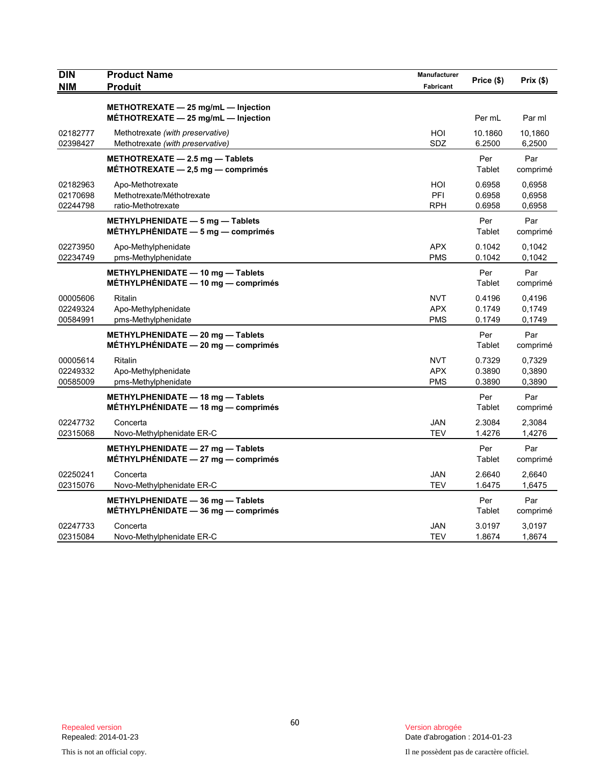| <b>DIN</b><br><b>NIM</b>         | <b>Product Name</b><br><b>Produit</b>                                              | Manufacturer<br><b>Fabricant</b>       | Price (\$)                 | $Prix($ \$)                |
|----------------------------------|------------------------------------------------------------------------------------|----------------------------------------|----------------------------|----------------------------|
|                                  |                                                                                    |                                        |                            |                            |
|                                  | METHOTREXATE $-$ 25 mg/mL $-$ Injection<br>METHOTREXATE $-$ 25 mg/mL $-$ Injection |                                        | Per mL                     | Par ml                     |
| 02182777<br>02398427             | Methotrexate (with preservative)<br>Methotrexate (with preservative)               | HOI<br>SDZ                             | 10.1860<br>6.2500          | 10,1860<br>6,2500          |
|                                  | METHOTREXATE - 2.5 mg - Tablets<br>MÉTHOTREXATE $-2,5$ mg $-$ comprimés            |                                        | Per<br>Tablet              | Par<br>comprimé            |
| 02182963<br>02170698<br>02244798 | Apo-Methotrexate<br>Methotrexate/Méthotrexate<br>ratio-Methotrexate                | HOI<br>PFI<br><b>RPH</b>               | 0.6958<br>0.6958<br>0.6958 | 0.6958<br>0,6958<br>0,6958 |
|                                  | METHYLPHENIDATE - 5 mg - Tablets<br>MÉTHYLPHÉNIDATE $-5$ mg $-$ comprimés          |                                        | Per<br>Tablet              | Par<br>comprimé            |
| 02273950<br>02234749             | Apo-Methylphenidate<br>pms-Methylphenidate                                         | <b>APX</b><br><b>PMS</b>               | 0.1042<br>0.1042           | 0,1042<br>0,1042           |
|                                  | METHYLPHENIDATE - 10 mg - Tablets<br>MÉTHYLPHÉNIDATE - 10 mg - comprimés           |                                        | Per<br>Tablet              | Par<br>comprimé            |
| 00005606<br>02249324<br>00584991 | Ritalin<br>Apo-Methylphenidate<br>pms-Methylphenidate                              | <b>NVT</b><br><b>APX</b><br><b>PMS</b> | 0.4196<br>0.1749<br>0.1749 | 0,4196<br>0,1749<br>0,1749 |
|                                  | METHYLPHENIDATE - 20 mg - Tablets<br>$METHYLPHENIDATE - 20 mg - comprimés$         |                                        | Per<br>Tablet              | Par<br>comprimé            |
| 00005614<br>02249332<br>00585009 | Ritalin<br>Apo-Methylphenidate<br>pms-Methylphenidate                              | <b>NVT</b><br><b>APX</b><br><b>PMS</b> | 0.7329<br>0.3890<br>0.3890 | 0,7329<br>0,3890<br>0,3890 |
|                                  | METHYLPHENIDATE - 18 mg - Tablets<br>$METHYLPHENIDATE - 18$ mg $-$ comprimés       |                                        | Per<br>Tablet              | Par<br>comprimé            |
| 02247732<br>02315068             | Concerta<br>Novo-Methylphenidate ER-C                                              | JAN<br><b>TEV</b>                      | 2.3084<br>1.4276           | 2,3084<br>1,4276           |
|                                  | METHYLPHENIDATE - 27 mg - Tablets<br>$MÉTHYLPHÉNIDATE - 27 mg - comprimés$         |                                        | Per<br>Tablet              | Par<br>comprimé            |
| 02250241<br>02315076             | Concerta<br>Novo-Methylphenidate ER-C                                              | <b>JAN</b><br>TEV                      | 2.6640<br>1.6475           | 2,6640<br>1,6475           |
|                                  | METHYLPHENIDATE - 36 mg - Tablets<br>METHYLPHENIDATE $-$ 36 mg $-$ comprimés       |                                        | Per<br>Tablet              | Par<br>comprimé            |
| 02247733<br>02315084             | Concerta<br>Novo-Methylphenidate ER-C                                              | JAN<br><b>TEV</b>                      | 3.0197<br>1.8674           | 3,0197<br>1,8674           |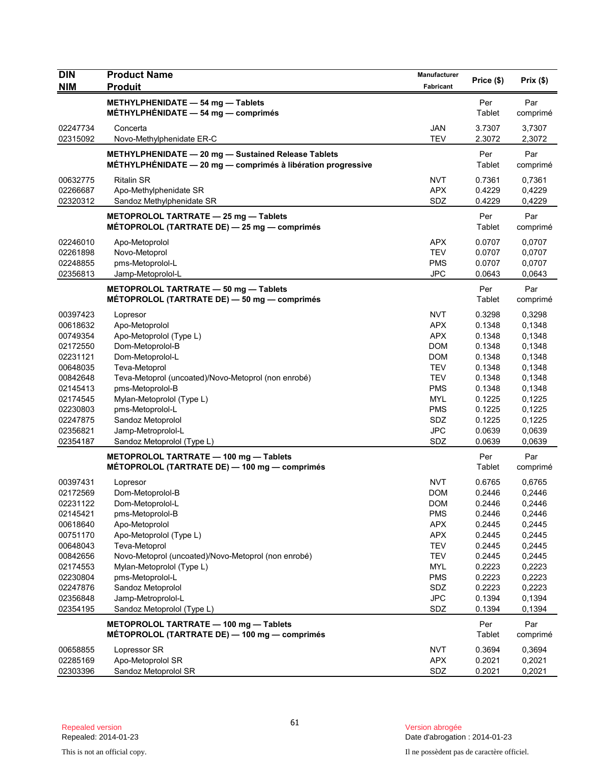| <b>DIN</b>           | <b>Product Name</b>                                                                   | Manufacturer             | Price (\$)       | Prix(\$)         |
|----------------------|---------------------------------------------------------------------------------------|--------------------------|------------------|------------------|
| <b>NIM</b>           | <b>Produit</b>                                                                        | Fabricant                |                  |                  |
|                      | METHYLPHENIDATE - 54 mg - Tablets                                                     |                          | Per              | Par              |
|                      | MÉTHYLPHÉNIDATE $-$ 54 mg $-$ comprimés                                               |                          | Tablet           | comprimé         |
| 02247734             | Concerta                                                                              | <b>JAN</b>               | 3.7307           | 3,7307           |
| 02315092             | Novo-Methylphenidate ER-C                                                             | <b>TEV</b>               | 2.3072           | 2,3072           |
|                      | METHYLPHENIDATE - 20 mg - Sustained Release Tablets                                   |                          | Per              | Par              |
|                      | $METHYLPHÉNIDATE - 20 mg - comprimés à libération progressive$                        |                          | Tablet           | comprimé         |
| 00632775             | <b>Ritalin SR</b>                                                                     | <b>NVT</b>               | 0.7361           | 0,7361           |
| 02266687<br>02320312 | Apo-Methylphenidate SR<br>Sandoz Methylphenidate SR                                   | <b>APX</b><br>SDZ        | 0.4229<br>0.4229 | 0,4229<br>0,4229 |
|                      |                                                                                       |                          |                  |                  |
|                      | METOPROLOL TARTRATE - 25 mg - Tablets<br>MÉTOPROLOL (TARTRATE DE) - 25 mg - comprimés |                          | Per<br>Tablet    | Par<br>comprimé  |
| 02246010             |                                                                                       | <b>APX</b>               | 0.0707           | 0,0707           |
| 02261898             | Apo-Metoprolol<br>Novo-Metoprol                                                       | <b>TEV</b>               | 0.0707           | 0,0707           |
| 02248855             | pms-Metoprolol-L                                                                      | <b>PMS</b>               | 0.0707           | 0,0707           |
| 02356813             | Jamp-Metoprolol-L                                                                     | <b>JPC</b>               | 0.0643           | 0,0643           |
|                      | METOPROLOL TARTRATE - 50 mg - Tablets                                                 |                          | Per              | Par              |
|                      | MÉTOPROLOL (TARTRATE DE) - 50 mg - comprimés                                          |                          | Tablet           | comprimé         |
| 00397423             | Lopresor                                                                              | <b>NVT</b>               | 0.3298           | 0,3298           |
| 00618632             | Apo-Metoprolol                                                                        | <b>APX</b>               | 0.1348           | 0,1348           |
| 00749354             | Apo-Metoprolol (Type L)                                                               | <b>APX</b>               | 0.1348           | 0,1348           |
| 02172550             | Dom-Metoprolol-B                                                                      | <b>DOM</b>               | 0.1348           | 0,1348           |
| 02231121             | Dom-Metoprolol-L                                                                      | <b>DOM</b>               | 0.1348           | 0,1348           |
| 00648035             | Teva-Metoprol                                                                         | <b>TEV</b>               | 0.1348           | 0,1348           |
| 00842648             | Teva-Metoprol (uncoated)/Novo-Metoprol (non enrobé)                                   | <b>TEV</b>               | 0.1348           | 0,1348           |
| 02145413             | pms-Metoprolol-B                                                                      | <b>PMS</b>               | 0.1348           | 0,1348           |
| 02174545             | Mylan-Metoprolol (Type L)                                                             | <b>MYL</b>               | 0.1225           | 0,1225           |
| 02230803             | pms-Metoprolol-L                                                                      | <b>PMS</b>               | 0.1225           | 0,1225           |
| 02247875             | Sandoz Metoprolol                                                                     | SDZ                      | 0.1225           | 0,1225           |
| 02356821             | Jamp-Metroprolol-L                                                                    | <b>JPC</b>               | 0.0639           | 0,0639           |
| 02354187             | Sandoz Metoprolol (Type L)                                                            | SDZ                      | 0.0639           | 0,0639           |
|                      | METOPROLOL TARTRATE - 100 mg - Tablets                                                |                          | Per              | Par              |
|                      | MÉTOPROLOL (TARTRATE DE) — 100 mg — comprimés                                         |                          | Tablet           | comprimé         |
| 00397431             | Lopresor                                                                              | <b>NVT</b>               | 0.6765           | 0,6765           |
| 02172569             | Dom-Metoprolol-B                                                                      | <b>DOM</b>               | 0.2446           | 0,2446           |
| 02231122             | Dom-Metoprolol-L                                                                      | <b>DOM</b>               | 0.2446           | 0,2446           |
| 02145421             | pms-Metoprolol-B                                                                      | <b>PMS</b>               | 0.2446           | 0,2446           |
| 00618640             | Apo-Metoprolol                                                                        | <b>APX</b>               | 0.2445<br>0.2445 | 0,2445           |
| 00751170<br>00648043 | Apo-Metoprolol (Type L)<br>Teva-Metoprol                                              | <b>APX</b><br><b>TEV</b> | 0.2445           | 0,2445<br>0,2445 |
| 00842656             | Novo-Metoprol (uncoated)/Novo-Metoprol (non enrobé)                                   | <b>TEV</b>               | 0.2445           | 0,2445           |
| 02174553             | Mylan-Metoprolol (Type L)                                                             | <b>MYL</b>               | 0.2223           | 0,2223           |
| 02230804             | pms-Metoprolol-L                                                                      | <b>PMS</b>               | 0.2223           | 0,2223           |
| 02247876             | Sandoz Metoprolol                                                                     | SDZ                      | 0.2223           | 0,2223           |
| 02356848             | Jamp-Metroprolol-L                                                                    | <b>JPC</b>               | 0.1394           | 0,1394           |
| 02354195             | Sandoz Metoprolol (Type L)                                                            | SDZ                      | 0.1394           | 0,1394           |
|                      | METOPROLOL TARTRATE - 100 mg - Tablets                                                |                          | Per              | Par              |
|                      | MÉTOPROLOL (TARTRATE DE) — 100 mg — comprimés                                         |                          | Tablet           | comprimé         |
| 00658855             | Lopressor SR                                                                          | <b>NVT</b>               | 0.3694           | 0,3694           |
| 02285169             | Apo-Metoprolol SR                                                                     | <b>APX</b>               | 0.2021           | 0,2021           |
| 02303396             | Sandoz Metoprolol SR                                                                  | SDZ                      | 0.2021           | 0,2021           |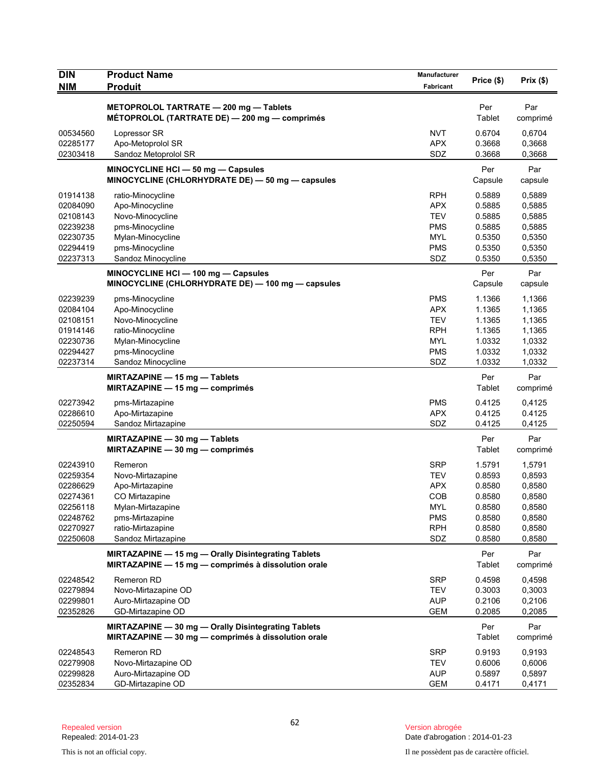| <b>DIN</b><br><b>NIM</b>                                                                     | <b>Product Name</b><br><b>Produit</b>                                                                                                               | Manufacturer<br>Fabricant                                                                      | Price (\$)                                                                   | Prix(\$)                                                                     |
|----------------------------------------------------------------------------------------------|-----------------------------------------------------------------------------------------------------------------------------------------------------|------------------------------------------------------------------------------------------------|------------------------------------------------------------------------------|------------------------------------------------------------------------------|
|                                                                                              | METOPROLOL TARTRATE - 200 mg - Tablets<br>MÉTOPROLOL (TARTRATE DE) - 200 mg - comprimés                                                             |                                                                                                | Per<br>Tablet                                                                | Par<br>comprimé                                                              |
| 00534560<br>02285177<br>02303418                                                             | Lopressor SR<br>Apo-Metoprolol SR<br>Sandoz Metoprolol SR                                                                                           | <b>NVT</b><br><b>APX</b><br>SDZ                                                                | 0.6704<br>0.3668<br>0.3668                                                   | 0,6704<br>0,3668<br>0,3668                                                   |
|                                                                                              | MINOCYCLINE HCI - 50 mg - Capsules<br>MINOCYCLINE (CHLORHYDRATE DE) - 50 mg - capsules                                                              |                                                                                                | Per<br>Capsule                                                               | Par<br>capsule                                                               |
| 01914138<br>02084090<br>02108143<br>02239238<br>02230735<br>02294419<br>02237313             | ratio-Minocycline<br>Apo-Minocycline<br>Novo-Minocycline<br>pms-Minocycline<br>Mylan-Minocycline<br>pms-Minocycline<br>Sandoz Minocycline           | <b>RPH</b><br><b>APX</b><br><b>TEV</b><br><b>PMS</b><br><b>MYL</b><br><b>PMS</b><br>SDZ        | 0.5889<br>0.5885<br>0.5885<br>0.5885<br>0.5350<br>0.5350<br>0.5350           | 0,5889<br>0,5885<br>0,5885<br>0,5885<br>0,5350<br>0,5350<br>0,5350           |
|                                                                                              | MINOCYCLINE HCI - 100 mg - Capsules<br>MINOCYCLINE (CHLORHYDRATE DE) - 100 mg - capsules                                                            |                                                                                                | Per<br>Capsule                                                               | Par<br>capsule                                                               |
| 02239239<br>02084104<br>02108151<br>01914146<br>02230736<br>02294427<br>02237314             | pms-Minocycline<br>Apo-Minocycline<br>Novo-Minocycline<br>ratio-Minocycline<br>Mylan-Minocycline<br>pms-Minocycline<br>Sandoz Minocycline           | <b>PMS</b><br><b>APX</b><br><b>TEV</b><br><b>RPH</b><br><b>MYL</b><br><b>PMS</b><br>SDZ        | 1.1366<br>1.1365<br>1.1365<br>1.1365<br>1.0332<br>1.0332<br>1.0332           | 1,1366<br>1,1365<br>1,1365<br>1,1365<br>1,0332<br>1,0332<br>1,0332           |
|                                                                                              | MIRTAZAPINE - 15 mg - Tablets<br>MIRTAZAPINE $-$ 15 mg $-$ comprimés                                                                                |                                                                                                | Per<br>Tablet                                                                | Par<br>comprimé                                                              |
| 02273942<br>02286610<br>02250594                                                             | pms-Mirtazapine<br>Apo-Mirtazapine<br>Sandoz Mirtazapine                                                                                            | <b>PMS</b><br><b>APX</b><br>SDZ                                                                | 0.4125<br>0.4125<br>0.4125                                                   | 0,4125<br>0.4125<br>0,4125                                                   |
|                                                                                              | MIRTAZAPINE - 30 mg - Tablets<br>MIRTAZAPINE $-30$ mg $-$ comprimés                                                                                 |                                                                                                | Per<br>Tablet                                                                | Par<br>comprimé                                                              |
| 02243910<br>02259354<br>02286629<br>02274361<br>02256118<br>02248762<br>02270927<br>02250608 | Remeron<br>Novo-Mirtazapine<br>Apo-Mirtazapine<br>CO Mirtazapine<br>Mylan-Mirtazapine<br>pms-Mirtazapine<br>ratio-Mirtazapine<br>Sandoz Mirtazapine | <b>SRP</b><br><b>TEV</b><br><b>APX</b><br>COB<br><b>MYL</b><br><b>PMS</b><br><b>RPH</b><br>SDZ | 1.5791<br>0.8593<br>0.8580<br>0.8580<br>0.8580<br>0.8580<br>0.8580<br>0.8580 | 1,5791<br>0,8593<br>0,8580<br>0,8580<br>0,8580<br>0,8580<br>0,8580<br>0,8580 |
|                                                                                              | MIRTAZAPINE - 15 mg - Orally Disintegrating Tablets<br>MIRTAZAPINE - 15 mg - comprimés à dissolution orale                                          |                                                                                                | Per<br>Tablet                                                                | Par<br>comprimé                                                              |
| 02248542<br>02279894<br>02299801<br>02352826                                                 | Remeron RD<br>Novo-Mirtazapine OD<br>Auro-Mirtazapine OD<br>GD-Mirtazapine OD                                                                       | <b>SRP</b><br><b>TEV</b><br><b>AUP</b><br><b>GEM</b>                                           | 0.4598<br>0.3003<br>0.2106<br>0.2085                                         | 0,4598<br>0,3003<br>0,2106<br>0,2085                                         |
|                                                                                              | MIRTAZAPINE - 30 mg - Orally Disintegrating Tablets<br>MIRTAZAPINE - 30 mg - comprimés à dissolution orale                                          |                                                                                                | Per<br>Tablet                                                                | Par<br>comprimé                                                              |
| 02248543<br>02279908<br>02299828<br>02352834                                                 | <b>Remeron RD</b><br>Novo-Mirtazapine OD<br>Auro-Mirtazapine OD<br>GD-Mirtazapine OD                                                                | SRP<br><b>TEV</b><br><b>AUP</b><br>GEM                                                         | 0.9193<br>0.6006<br>0.5897<br>0.4171                                         | 0,9193<br>0,6006<br>0,5897<br>0,4171                                         |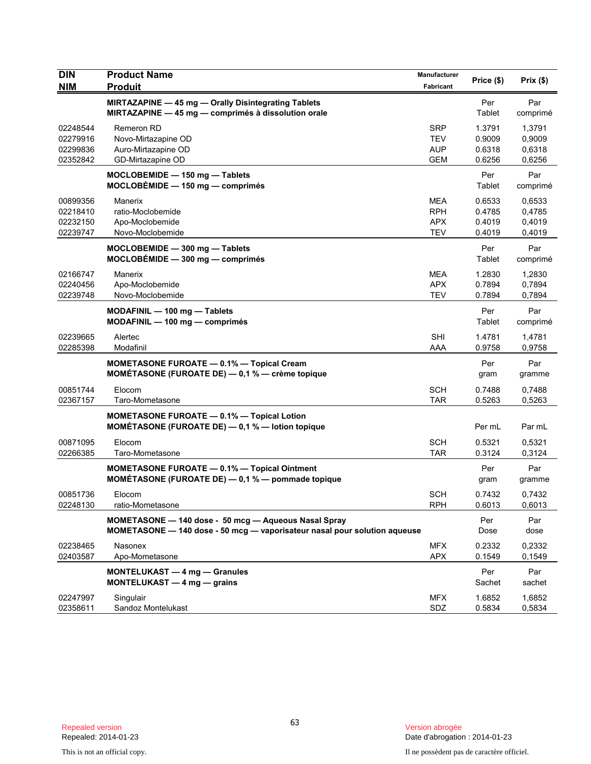| <b>DIN</b><br><b>NIM</b>                     | <b>Product Name</b><br><b>Produit</b>                                                                                             | Manufacturer<br>Fabricant                            | Price (\$)                           | Prix(\$)                             |
|----------------------------------------------|-----------------------------------------------------------------------------------------------------------------------------------|------------------------------------------------------|--------------------------------------|--------------------------------------|
|                                              | MIRTAZAPINE - 45 mg - Orally Disintegrating Tablets<br>MIRTAZAPINE - 45 mg - comprimés à dissolution orale                        |                                                      | Per<br>Tablet                        | Par<br>comprimé                      |
| 02248544<br>02279916<br>02299836<br>02352842 | <b>Remeron RD</b><br>Novo-Mirtazapine OD<br>Auro-Mirtazapine OD<br>GD-Mirtazapine OD                                              | <b>SRP</b><br><b>TEV</b><br>AUP<br><b>GEM</b>        | 1.3791<br>0.9009<br>0.6318<br>0.6256 | 1,3791<br>0,9009<br>0,6318<br>0,6256 |
|                                              | MOCLOBEMIDE - 150 mg - Tablets<br>$MOCLOBEMIDE - 150 mg - comprimés$                                                              |                                                      | Per<br>Tablet                        | Par<br>comprimé                      |
| 00899356<br>02218410<br>02232150<br>02239747 | Manerix<br>ratio-Moclobemide<br>Apo-Moclobemide<br>Novo-Moclobemide                                                               | <b>MEA</b><br><b>RPH</b><br><b>APX</b><br><b>TEV</b> | 0.6533<br>0.4785<br>0.4019<br>0.4019 | 0,6533<br>0,4785<br>0,4019<br>0,4019 |
|                                              | MOCLOBEMIDE - 300 mg - Tablets<br>$MOCLOBÉMIDE - 300 mg - comprimés$                                                              |                                                      | Per<br>Tablet                        | Par<br>comprimé                      |
| 02166747<br>02240456<br>02239748             | Manerix<br>Apo-Moclobemide<br>Novo-Moclobemide                                                                                    | MEA<br><b>APX</b><br><b>TEV</b>                      | 1.2830<br>0.7894<br>0.7894           | 1,2830<br>0.7894<br>0,7894           |
|                                              | MODAFINIL - 100 mg - Tablets<br>MODAFINIL - 100 mg - comprimés                                                                    |                                                      | Per<br>Tablet                        | Par<br>comprimé                      |
| 02239665<br>02285398                         | Alertec<br>Modafinil                                                                                                              | <b>SHI</b><br>AAA                                    | 1.4781<br>0.9758                     | 1,4781<br>0,9758                     |
|                                              | <b>MOMETASONE FUROATE - 0.1% - Topical Cream</b><br><b>MOMÉTASONE (FUROATE DE)</b> $-$ 0,1 % $-$ crème topique                    |                                                      | Per<br>gram                          | Par<br>gramme                        |
| 00851744<br>02367157                         | Elocom<br>Taro-Mometasone                                                                                                         | SCH<br><b>TAR</b>                                    | 0.7488<br>0.5263                     | 0,7488<br>0,5263                     |
|                                              | <b>MOMETASONE FUROATE - 0.1% - Topical Lotion</b><br>MOMÉTASONE (FUROATE DE) - 0,1 % - lotion topique                             |                                                      | Per mL                               | Par mL                               |
| 00871095<br>02266385                         | Elocom<br>Taro-Mometasone                                                                                                         | <b>SCH</b><br><b>TAR</b>                             | 0.5321<br>0.3124                     | 0,5321<br>0,3124                     |
|                                              | MOMETASONE FUROATE - 0.1% - Topical Ointment<br>MOMÉTASONE (FUROATE DE) - 0,1 % - pommade topique                                 |                                                      | Per<br>gram                          | Par<br>gramme                        |
| 00851736<br>02248130                         | Elocom<br>ratio-Mometasone                                                                                                        | SCH<br><b>RPH</b>                                    | 0.7432<br>0.6013                     | 0,7432<br>0,6013                     |
|                                              | MOMETASONE - 140 dose - 50 mcg - Aqueous Nasal Spray<br>MOMETASONE - 140 dose - 50 mcg - vaporisateur nasal pour solution aqueuse |                                                      | Per<br>Dose                          | Par<br>dose                          |
| 02238465<br>02403587                         | Nasonex<br>Apo-Mometasone                                                                                                         | <b>MFX</b><br><b>APX</b>                             | 0.2332<br>0.1549                     | 0,2332<br>0,1549                     |
|                                              | MONTELUKAST - 4 mg - Granules<br>MONTELUKAST $-4$ mg $-$ grains                                                                   |                                                      | Per<br>Sachet                        | Par<br>sachet                        |
| 02247997<br>02358611                         | Singulair<br>Sandoz Montelukast                                                                                                   | <b>MFX</b><br>SDZ                                    | 1.6852<br>0.5834                     | 1,6852<br>0,5834                     |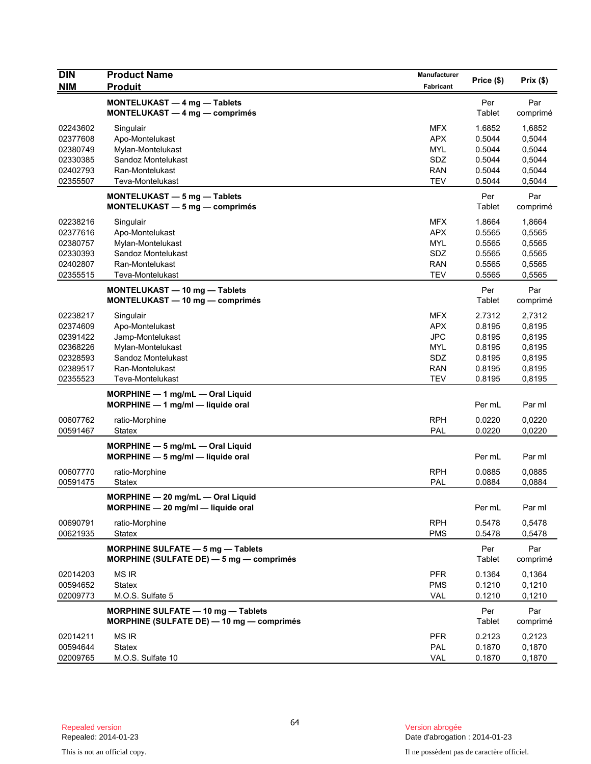| <b>DIN</b>           | <b>Product Name</b>                                                      | Manufacturer             | Price (\$)       | Prix(\$)         |
|----------------------|--------------------------------------------------------------------------|--------------------------|------------------|------------------|
| <b>NIM</b>           | <b>Produit</b>                                                           | Fabricant                |                  |                  |
|                      | MONTELUKAST - 4 mg - Tablets                                             |                          | Per              | Par              |
|                      | MONTELUKAST - 4 mg - comprimés                                           |                          | Tablet           | comprimé         |
| 02243602             | Singulair                                                                | <b>MFX</b>               | 1.6852           | 1,6852           |
| 02377608             | Apo-Montelukast                                                          | <b>APX</b>               | 0.5044           | 0,5044           |
| 02380749             | Mylan-Montelukast                                                        | <b>MYL</b>               | 0.5044           | 0,5044           |
| 02330385             | Sandoz Montelukast                                                       | SDZ                      | 0.5044           | 0,5044           |
| 02402793<br>02355507 | Ran-Montelukast<br>Teva-Montelukast                                      | <b>RAN</b><br><b>TEV</b> | 0.5044<br>0.5044 | 0,5044<br>0,5044 |
|                      |                                                                          |                          |                  |                  |
|                      | MONTELUKAST - 5 mg - Tablets                                             |                          | Per              | Par              |
|                      | MONTELUKAST - 5 mg - comprimés                                           |                          | Tablet           | comprimé         |
| 02238216             | Singulair                                                                | <b>MFX</b>               | 1.8664           | 1,8664           |
| 02377616             | Apo-Montelukast                                                          | <b>APX</b>               | 0.5565           | 0,5565           |
| 02380757             | Mylan-Montelukast                                                        | <b>MYL</b>               | 0.5565           | 0,5565           |
| 02330393             | Sandoz Montelukast                                                       | SDZ                      | 0.5565           | 0,5565           |
| 02402807             | Ran-Montelukast                                                          | <b>RAN</b><br><b>TEV</b> | 0.5565<br>0.5565 | 0,5565           |
| 02355515             | Teva-Montelukast                                                         |                          |                  | 0,5565           |
|                      | MONTELUKAST - 10 mg - Tablets                                            |                          | Per              | Par              |
|                      | MONTELUKAST - 10 mg - comprimés                                          |                          | Tablet           | comprimé         |
| 02238217             | Singulair                                                                | <b>MFX</b>               | 2.7312           | 2.7312           |
| 02374609             | Apo-Montelukast                                                          | <b>APX</b>               | 0.8195           | 0,8195           |
| 02391422             | Jamp-Montelukast                                                         | <b>JPC</b>               | 0.8195           | 0,8195           |
| 02368226             | Mylan-Montelukast                                                        | <b>MYL</b>               | 0.8195           | 0,8195           |
| 02328593             | Sandoz Montelukast                                                       | SDZ                      | 0.8195           | 0,8195           |
| 02389517<br>02355523 | Ran-Montelukast<br>Teva-Montelukast                                      | <b>RAN</b><br><b>TEV</b> | 0.8195<br>0.8195 | 0,8195<br>0,8195 |
|                      |                                                                          |                          |                  |                  |
|                      | MORPHINE $-1$ mg/mL $-$ Oral Liquid<br>MORPHINE - 1 mg/ml - liquide oral |                          | Per mL           | Par ml           |
|                      |                                                                          |                          |                  |                  |
| 00607762             | ratio-Morphine                                                           | <b>RPH</b>               | 0.0220           | 0,0220           |
| 00591467             | Statex                                                                   | PAL                      | 0.0220           | 0,0220           |
|                      | MORPHINE - 5 mg/mL - Oral Liquid                                         |                          |                  |                  |
|                      | MORPHINE - 5 mg/ml - liquide oral                                        |                          | Per mL           | Par ml           |
| 00607770             | ratio-Morphine                                                           | <b>RPH</b>               | 0.0885           | 0,0885           |
| 00591475             | Statex                                                                   | PAL                      | 0.0884           | 0,0884           |
|                      | MORPHINE - 20 mg/mL - Oral Liquid                                        |                          |                  |                  |
|                      | MORPHINE - 20 mg/ml - liquide oral                                       |                          | Per mL           | Par ml           |
| 00690791             | ratio-Morphine                                                           | <b>RPH</b>               | 0.5478           | 0,5478           |
| 00621935             | <b>Statex</b>                                                            | <b>PMS</b>               | 0.5478           | 0,5478           |
|                      | <b>MORPHINE SULFATE - 5 mg - Tablets</b>                                 |                          | Per              | Par              |
|                      | MORPHINE (SULFATE DE) - 5 mg - comprimés                                 |                          | Tablet           | comprimé         |
| 02014203             | <b>MS IR</b>                                                             | <b>PFR</b>               | 0.1364           | 0,1364           |
| 00594652             | <b>Statex</b>                                                            | <b>PMS</b>               | 0.1210           | 0,1210           |
| 02009773             | M.O.S. Sulfate 5                                                         | VAL                      | 0.1210           | 0,1210           |
|                      | <b>MORPHINE SULFATE - 10 mg - Tablets</b>                                |                          | Per              | Par              |
|                      | MORPHINE (SULFATE DE) - 10 mg - comprimés                                |                          | Tablet           | comprimé         |
| 02014211             | <b>MS IR</b>                                                             | <b>PFR</b>               | 0.2123           | 0,2123           |
| 00594644             | Statex                                                                   | PAL                      | 0.1870           | 0,1870           |
| 02009765             | M.O.S. Sulfate 10                                                        | <b>VAL</b>               | 0.1870           | 0,1870           |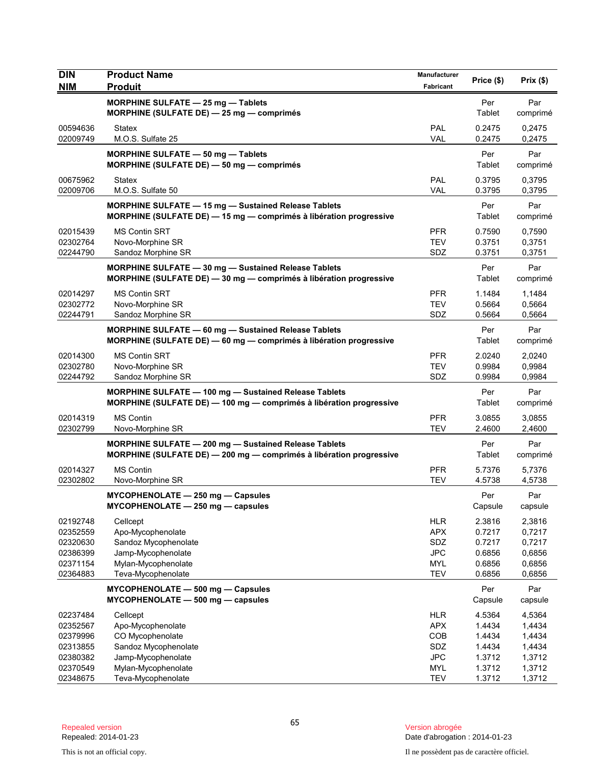| <b>DIN</b>                                                           | <b>Product Name</b>                                                                                                               | Manufacturer                                                              | Price (\$)                                               | Prix(\$)                                                 |
|----------------------------------------------------------------------|-----------------------------------------------------------------------------------------------------------------------------------|---------------------------------------------------------------------------|----------------------------------------------------------|----------------------------------------------------------|
| <b>NIM</b>                                                           | <b>Produit</b>                                                                                                                    | Fabricant                                                                 |                                                          |                                                          |
|                                                                      | MORPHINE SULFATE - 25 mg - Tablets<br>MORPHINE (SULFATE DE) - 25 mg - comprimés                                                   |                                                                           | Per<br>Tablet                                            | Par<br>comprimé                                          |
| 00594636<br>02009749                                                 | Statex<br>M.O.S. Sulfate 25                                                                                                       | PAL<br><b>VAL</b>                                                         | 0.2475<br>0.2475                                         | 0,2475<br>0,2475                                         |
|                                                                      | MORPHINE SULFATE - 50 mg - Tablets<br>MORPHINE (SULFATE DE) - 50 mg - comprimés                                                   |                                                                           | Per<br>Tablet                                            | Par<br>comprimé                                          |
| 00675962<br>02009706                                                 | Statex<br>M.O.S. Sulfate 50                                                                                                       | PAL<br><b>VAL</b>                                                         | 0.3795<br>0.3795                                         | 0,3795<br>0,3795                                         |
|                                                                      | MORPHINE SULFATE - 15 mg - Sustained Release Tablets<br>MORPHINE (SULFATE DE) - 15 mg - comprimés à libération progressive        |                                                                           | Per<br>Tablet                                            | Par<br>comprimé                                          |
| 02015439<br>02302764<br>02244790                                     | <b>MS Contin SRT</b><br>Novo-Morphine SR<br>Sandoz Morphine SR                                                                    | <b>PFR</b><br><b>TEV</b><br>SDZ                                           | 0.7590<br>0.3751<br>0.3751                               | 0,7590<br>0,3751<br>0,3751                               |
|                                                                      | <b>MORPHINE SULFATE - 30 mg - Sustained Release Tablets</b><br>MORPHINE (SULFATE DE) - 30 mg - comprimés à libération progressive |                                                                           | Per<br>Tablet                                            | Par<br>comprimé                                          |
| 02014297<br>02302772<br>02244791                                     | <b>MS Contin SRT</b><br>Novo-Morphine SR<br>Sandoz Morphine SR                                                                    | <b>PFR</b><br><b>TEV</b><br>SDZ                                           | 1.1484<br>0.5664<br>0.5664                               | 1,1484<br>0,5664<br>0,5664                               |
|                                                                      | MORPHINE SULFATE - 60 mg - Sustained Release Tablets<br>MORPHINE (SULFATE DE) - 60 mg - comprimés à libération progressive        |                                                                           | Per<br>Tablet                                            | Par<br>comprimé                                          |
| 02014300<br>02302780<br>02244792                                     | <b>MS Contin SRT</b><br>Novo-Morphine SR<br>Sandoz Morphine SR                                                                    | <b>PFR</b><br>TEV<br>SDZ                                                  | 2.0240<br>0.9984<br>0.9984                               | 2,0240<br>0,9984<br>0,9984                               |
|                                                                      | MORPHINE SULFATE - 100 mg - Sustained Release Tablets<br>MORPHINE (SULFATE DE) $-$ 100 mg $-$ comprimés à libération progressive  |                                                                           | Per<br>Tablet                                            | Par<br>comprimé                                          |
| 02014319<br>02302799                                                 | <b>MS Contin</b><br>Novo-Morphine SR                                                                                              | <b>PFR</b><br><b>TEV</b>                                                  | 3.0855<br>2.4600                                         | 3,0855<br>2,4600                                         |
|                                                                      | MORPHINE SULFATE - 200 mg - Sustained Release Tablets<br>MORPHINE (SULFATE DE) - 200 mg - comprimés à libération progressive      |                                                                           | Per<br>Tablet                                            | Par<br>comprimé                                          |
| 02014327<br>02302802                                                 | <b>MS Contin</b><br>Novo-Morphine SR                                                                                              | <b>PFR</b><br><b>TEV</b>                                                  | 5.7376<br>4.5738                                         | 5,7376<br>4,5738                                         |
|                                                                      | MYCOPHENOLATE - 250 mg - Capsules<br>$MYCOPHENOLATE - 250 mg - capsules$                                                          |                                                                           | Per<br>Capsule                                           | Par<br>capsule                                           |
| 02192748<br>02352559<br>02320630<br>02386399<br>02371154<br>02364883 | Cellcept<br>Apo-Mycophenolate<br>Sandoz Mycophenolate<br>Jamp-Mycophenolate<br>Mylan-Mycophenolate<br>Teva-Mycophenolate          | <b>HLR</b><br><b>APX</b><br>SDZ<br><b>JPC</b><br><b>MYL</b><br><b>TEV</b> | 2.3816<br>0.7217<br>0.7217<br>0.6856<br>0.6856<br>0.6856 | 2,3816<br>0,7217<br>0,7217<br>0,6856<br>0,6856<br>0,6856 |
|                                                                      | MYCOPHENOLATE - 500 mg - Capsules<br>MYCOPHENOLATE - 500 mg - capsules                                                            |                                                                           | Per<br>Capsule                                           | Par<br>capsule                                           |
| 02237484<br>02352567<br>02379996<br>02313855<br>02380382<br>02370549 | Cellcept<br>Apo-Mycophenolate<br>CO Mycophenolate<br>Sandoz Mycophenolate<br>Jamp-Mycophenolate<br>Mylan-Mycophenolate            | <b>HLR</b><br><b>APX</b><br>COB<br>SDZ<br><b>JPC</b><br><b>MYL</b>        | 4.5364<br>1.4434<br>1.4434<br>1.4434<br>1.3712<br>1.3712 | 4,5364<br>1,4434<br>1,4434<br>1,4434<br>1,3712<br>1,3712 |
| 02348675                                                             | Teva-Mycophenolate                                                                                                                | <b>TEV</b>                                                                | 1.3712                                                   | 1,3712                                                   |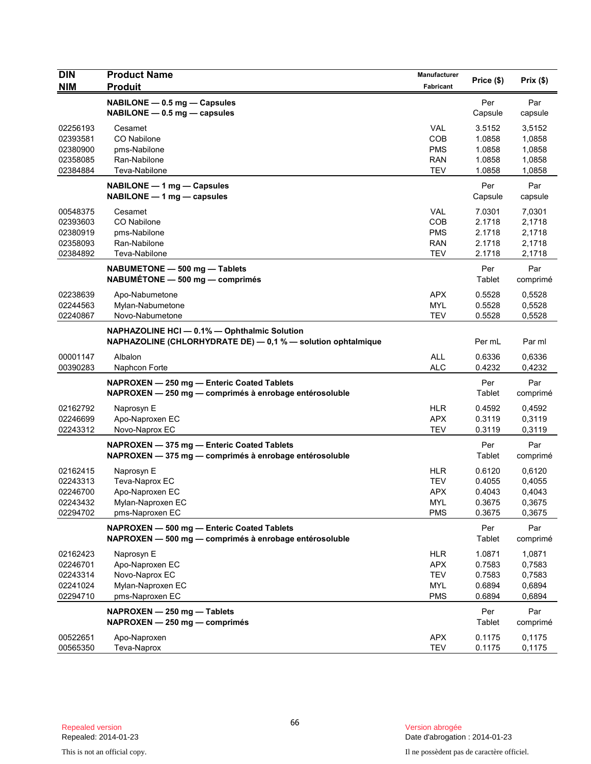| <b>DIN</b>           | <b>Product Name</b>                                                                                  | Manufacturer             | Price (\$)       | Prix(\$)         |
|----------------------|------------------------------------------------------------------------------------------------------|--------------------------|------------------|------------------|
| <b>NIM</b>           | <b>Produit</b>                                                                                       | Fabricant                |                  |                  |
|                      | NABILONE - 0.5 mg - Capsules                                                                         |                          | Per              | Par              |
|                      | $NABILITY - 0.5$ mg $-$ capsules                                                                     |                          | Capsule          | capsule          |
| 02256193             | Cesamet                                                                                              | <b>VAL</b>               | 3.5152           | 3,5152           |
| 02393581             | CO Nabilone                                                                                          | <b>COB</b>               | 1.0858           | 1,0858           |
| 02380900             | pms-Nabilone                                                                                         | <b>PMS</b>               | 1.0858           | 1,0858           |
| 02358085             | Ran-Nabilone                                                                                         | RAN                      | 1.0858           | 1,0858           |
| 02384884             | Teva-Nabilone                                                                                        | <b>TEV</b>               | 1.0858           | 1,0858           |
|                      | NABILONE - 1 mg - Capsules                                                                           |                          | Per              | Par              |
|                      | NABILONE - 1 mg - capsules                                                                           |                          | Capsule          | capsule          |
| 00548375             | Cesamet                                                                                              | <b>VAL</b>               | 7.0301           | 7,0301           |
| 02393603             | CO Nabilone                                                                                          | COB                      | 2.1718           | 2,1718           |
| 02380919             | pms-Nabilone                                                                                         | <b>PMS</b>               | 2.1718           | 2,1718           |
| 02358093             | Ran-Nabilone                                                                                         | <b>RAN</b>               | 2.1718           | 2,1718           |
| 02384892             | Teva-Nabilone                                                                                        | <b>TEV</b>               | 2.1718           | 2,1718           |
|                      | NABUMETONE - 500 mg - Tablets                                                                        |                          | Per              | Par              |
|                      | NABUMÉTONE - 500 mg - comprimés                                                                      |                          | Tablet           | comprimé         |
| 02238639             | Apo-Nabumetone                                                                                       | <b>APX</b>               | 0.5528           | 0,5528           |
| 02244563             | Mylan-Nabumetone                                                                                     | <b>MYL</b>               | 0.5528           | 0,5528           |
| 02240867             | Novo-Nabumetone                                                                                      | <b>TEV</b>               | 0.5528           | 0,5528           |
|                      | NAPHAZOLINE HCI - 0.1% - Ophthalmic Solution                                                         |                          |                  |                  |
|                      | NAPHAZOLINE (CHLORHYDRATE DE) - 0,1 % - solution ophtalmique                                         |                          | Per mL           | Par ml           |
| 00001147             | Albalon                                                                                              | <b>ALL</b>               | 0.6336           | 0,6336           |
| 00390283             | Naphcon Forte                                                                                        | <b>ALC</b>               | 0.4232           | 0,4232           |
|                      | NAPROXEN - 250 mg - Enteric Coated Tablets                                                           |                          | Per              | Par              |
|                      | NAPROXEN - 250 mg - comprimés à enrobage entérosoluble                                               |                          | Tablet           | comprimé         |
| 02162792             | Naprosyn E                                                                                           | <b>HLR</b>               | 0.4592           | 0,4592           |
| 02246699             | Apo-Naproxen EC                                                                                      | <b>APX</b>               | 0.3119           | 0,3119           |
| 02243312             | Novo-Naprox EC                                                                                       | <b>TEV</b>               | 0.3119           | 0,3119           |
|                      | NAPROXEN - 375 mg - Enteric Coated Tablets                                                           |                          | Per              | Par              |
|                      | NAPROXEN - 375 mg - comprimés à enrobage entérosoluble                                               |                          | Tablet           | comprimé         |
|                      |                                                                                                      |                          |                  |                  |
| 02162415             | Naprosyn E                                                                                           | <b>HLR</b>               | 0.6120           | 0,6120           |
| 02243313<br>02246700 | Teva-Naprox EC<br>Apo-Naproxen EC                                                                    | <b>TEV</b><br><b>APX</b> | 0.4055<br>0.4043 | 0,4055<br>0,4043 |
| 02243432             | Mylan-Naproxen EC                                                                                    | MYL                      | 0.3675           | 0,3675           |
| 02294702             | pms-Naproxen EC                                                                                      | <b>PMS</b>               | 0.3675           | 0,3675           |
|                      |                                                                                                      |                          | Per              | Par              |
|                      | NAPROXEN - 500 mg - Enteric Coated Tablets<br>NAPROXEN - 500 mg - comprimés à enrobage entérosoluble |                          | Tablet           | comprimé         |
|                      |                                                                                                      |                          |                  |                  |
| 02162423             | Naprosyn E                                                                                           | <b>HLR</b>               | 1.0871           | 1,0871           |
| 02246701<br>02243314 | Apo-Naproxen EC<br>Novo-Naprox EC                                                                    | <b>APX</b><br><b>TEV</b> | 0.7583<br>0.7583 | 0,7583<br>0,7583 |
| 02241024             | Mylan-Naproxen EC                                                                                    | <b>MYL</b>               | 0.6894           | 0,6894           |
| 02294710             | pms-Naproxen EC                                                                                      | <b>PMS</b>               | 0.6894           | 0,6894           |
|                      |                                                                                                      |                          |                  |                  |
|                      | NAPROXEN - 250 mg - Tablets<br>NAPROXEN - 250 mg - comprimés                                         |                          | Per<br>Tablet    | Par              |
|                      |                                                                                                      |                          |                  | comprimé         |
| 00522651             | Apo-Naproxen                                                                                         | APX                      | 0.1175           | 0,1175           |
| 00565350             | Teva-Naprox                                                                                          | <b>TEV</b>               | 0.1175           | 0,1175           |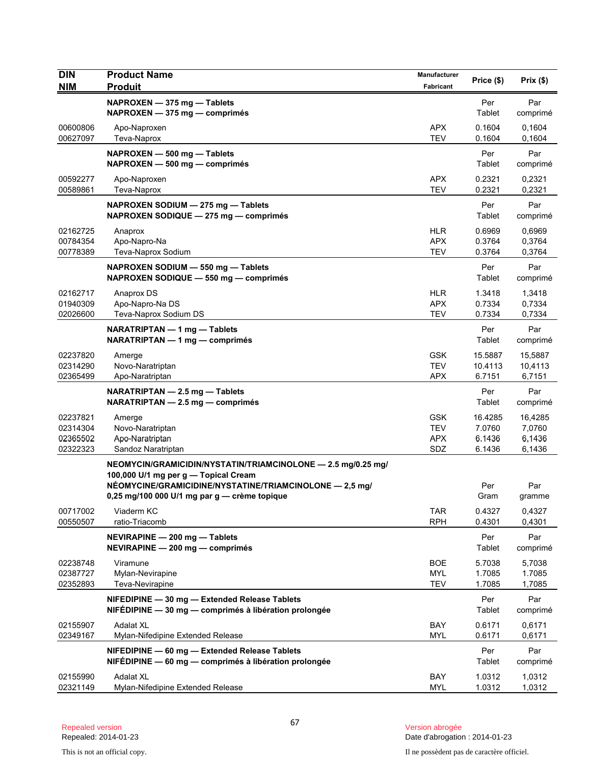| <b>DIN</b>                                   | <b>Product Name</b>                                                                                     | Manufacturer                                  | Price (\$)                            | Prix(\$)                              |
|----------------------------------------------|---------------------------------------------------------------------------------------------------------|-----------------------------------------------|---------------------------------------|---------------------------------------|
| <b>NIM</b>                                   | <b>Produit</b>                                                                                          | Fabricant                                     |                                       |                                       |
|                                              | NAPROXEN - 375 mg - Tablets<br>$NAPROXEN - 375 mg - comprimés$                                          |                                               | Per<br>Tablet                         | Par<br>comprimé                       |
| 00600806<br>00627097                         | Apo-Naproxen<br>Teva-Naprox                                                                             | <b>APX</b><br><b>TEV</b>                      | 0.1604<br>0.1604                      | 0,1604<br>0,1604                      |
|                                              | NAPROXEN - 500 mg - Tablets<br>NAPROXEN - 500 mg - comprimés                                            |                                               | Per<br>Tablet                         | Par<br>comprimé                       |
| 00592277<br>00589861                         | Apo-Naproxen<br>Teva-Naprox                                                                             | <b>APX</b><br><b>TEV</b>                      | 0.2321<br>0.2321                      | 0,2321<br>0,2321                      |
|                                              | NAPROXEN SODIUM - 275 mg - Tablets<br>NAPROXEN SODIQUE - 275 mg - comprimés                             |                                               | Per<br>Tablet                         | Par<br>comprimé                       |
| 02162725<br>00784354<br>00778389             | Anaprox<br>Apo-Napro-Na<br>Teva-Naprox Sodium                                                           | <b>HLR</b><br><b>APX</b><br><b>TEV</b>        | 0.6969<br>0.3764<br>0.3764            | 0,6969<br>0,3764<br>0,3764            |
|                                              | NAPROXEN SODIUM - 550 mg - Tablets<br>NAPROXEN SODIQUE - 550 mg - comprimés                             |                                               | Per<br>Tablet                         | Par<br>comprimé                       |
| 02162717<br>01940309<br>02026600             | Anaprox DS<br>Apo-Napro-Na DS<br>Teva-Naprox Sodium DS                                                  | <b>HLR</b><br><b>APX</b><br><b>TEV</b>        | 1.3418<br>0.7334<br>0.7334            | 1,3418<br>0,7334<br>0,7334            |
|                                              | NARATRIPTAN - 1 mg - Tablets<br>NARATRIPTAN — 1 mg — comprimés                                          |                                               | Per<br>Tablet                         | Par<br>comprimé                       |
| 02237820<br>02314290<br>02365499             | Amerge<br>Novo-Naratriptan<br>Apo-Naratriptan                                                           | <b>GSK</b><br><b>TEV</b><br><b>APX</b>        | 15.5887<br>10.4113<br>6.7151          | 15,5887<br>10,4113<br>6,7151          |
|                                              | NARATRIPTAN - 2.5 mg - Tablets<br>NARATRIPTAN - 2.5 mg - comprimés                                      |                                               | Per<br>Tablet                         | Par<br>comprimé                       |
| 02237821<br>02314304<br>02365502<br>02322323 | Amerge<br>Novo-Naratriptan<br>Apo-Naratriptan<br>Sandoz Naratriptan                                     | <b>GSK</b><br><b>TEV</b><br><b>APX</b><br>SDZ | 16.4285<br>7.0760<br>6.1436<br>6.1436 | 16,4285<br>7,0760<br>6,1436<br>6,1436 |
|                                              | NEOMYCIN/GRAMICIDIN/NYSTATIN/TRIAMCINOLONE - 2.5 mg/0.25 mg/<br>100,000 U/1 mg per g - Topical Cream    |                                               |                                       |                                       |
|                                              | NÉOMYCINE/GRAMICIDINE/NYSTATINE/TRIAMCINOLONE - 2,5 mg/<br>0,25 mg/100 000 U/1 mg par g - crème topique |                                               | Per<br>Gram                           | Par<br>gramme                         |
| 00717002<br>00550507                         | Viaderm KC<br>ratio-Triacomb                                                                            | <b>TAR</b><br><b>RPH</b>                      | 0.4327<br>0.4301                      | 0,4327<br>0,4301                      |
|                                              | NEVIRAPINE - 200 mg - Tablets<br>NEVIRAPINE - 200 mg - comprimés                                        |                                               | Per<br>Tablet                         | Par<br>comprimé                       |
| 02238748<br>02387727<br>02352893             | Viramune<br>Mylan-Nevirapine<br>Teva-Nevirapine                                                         | <b>BOE</b><br><b>MYL</b><br><b>TEV</b>        | 5.7038<br>1.7085<br>1.7085            | 5,7038<br>1.7085<br>1,7085            |
|                                              | NIFEDIPINE - 30 mg - Extended Release Tablets<br>NIFÉDIPINE - 30 mg - comprimés à libération prolongée  |                                               | Per<br>Tablet                         | Par<br>comprimé                       |
| 02155907<br>02349167                         | <b>Adalat XL</b><br>Mylan-Nifedipine Extended Release                                                   | BAY<br><b>MYL</b>                             | 0.6171<br>0.6171                      | 0,6171<br>0,6171                      |
|                                              | NIFEDIPINE - 60 mg - Extended Release Tablets<br>NIFÉDIPINE - 60 mg - comprimés à libération prolongée  |                                               | Per<br>Tablet                         | Par<br>comprimé                       |
| 02155990<br>02321149                         | <b>Adalat XL</b><br>Mylan-Nifedipine Extended Release                                                   | BAY<br><b>MYL</b>                             | 1.0312<br>1.0312                      | 1,0312<br>1,0312                      |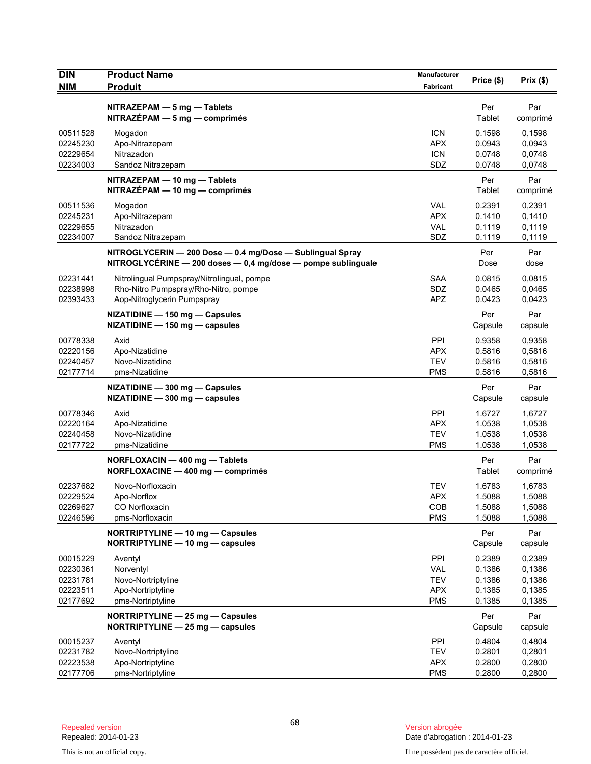| <b>DIN</b><br><b>NIM</b>                                 | <b>Product Name</b><br><b>Produit</b>                                                                                     | Manufacturer<br>Fabricant                                          | Price (\$)                                     | Prix(\$)                                       |
|----------------------------------------------------------|---------------------------------------------------------------------------------------------------------------------------|--------------------------------------------------------------------|------------------------------------------------|------------------------------------------------|
|                                                          | $NITRAZEPAM - 5 mg - Tables$<br>$NITRAZÉPAM - 5 mg - comprimés$                                                           |                                                                    | Per<br>Tablet                                  | Par<br>comprimé                                |
| 00511528<br>02245230<br>02229654<br>02234003             | Mogadon<br>Apo-Nitrazepam<br>Nitrazadon<br>Sandoz Nitrazepam                                                              | <b>ICN</b><br><b>APX</b><br><b>ICN</b><br>SDZ                      | 0.1598<br>0.0943<br>0.0748<br>0.0748           | 0,1598<br>0,0943<br>0,0748<br>0,0748           |
|                                                          | NITRAZEPAM - 10 mg - Tablets<br>NITRAZÉPAM - 10 mg - comprimés                                                            |                                                                    | Per<br>Tablet                                  | Par<br>comprimé                                |
| 00511536<br>02245231<br>02229655<br>02234007             | Mogadon<br>Apo-Nitrazepam<br>Nitrazadon<br>Sandoz Nitrazepam                                                              | <b>VAL</b><br><b>APX</b><br><b>VAL</b><br>SDZ                      | 0.2391<br>0.1410<br>0.1119<br>0.1119           | 0,2391<br>0,1410<br>0,1119<br>0,1119           |
|                                                          | NITROGLYCERIN - 200 Dose - 0.4 mg/Dose - Sublingual Spray<br>NITROGLYCÉRINE - 200 doses - 0,4 mg/dose - pompe sublinguale |                                                                    | Per<br>Dose                                    | Par<br>dose                                    |
| 02231441<br>02238998<br>02393433                         | Nitrolingual Pumpspray/Nitrolingual, pompe<br>Rho-Nitro Pumpspray/Rho-Nitro, pompe<br>Aop-Nitroglycerin Pumpspray         | <b>SAA</b><br>SDZ<br><b>APZ</b>                                    | 0.0815<br>0.0465<br>0.0423                     | 0,0815<br>0,0465<br>0,0423                     |
|                                                          | NIZATIDINE - 150 mg - Capsules<br>NIZATIDINE - 150 mg - capsules                                                          |                                                                    | Per<br>Capsule                                 | Par<br>capsule                                 |
| 00778338<br>02220156<br>02240457<br>02177714             | Axid<br>Apo-Nizatidine<br>Novo-Nizatidine<br>pms-Nizatidine                                                               | PPI<br><b>APX</b><br><b>TEV</b><br><b>PMS</b>                      | 0.9358<br>0.5816<br>0.5816<br>0.5816           | 0,9358<br>0,5816<br>0,5816<br>0,5816           |
|                                                          | NIZATIDINE - 300 mg - Capsules<br>NIZATIDINE - 300 mg - capsules                                                          |                                                                    | Per<br>Capsule                                 | Par<br>capsule                                 |
| 00778346<br>02220164<br>02240458<br>02177722             | Axid<br>Apo-Nizatidine<br>Novo-Nizatidine<br>pms-Nizatidine                                                               | PPI<br><b>APX</b><br><b>TEV</b><br><b>PMS</b>                      | 1.6727<br>1.0538<br>1.0538<br>1.0538           | 1,6727<br>1,0538<br>1,0538<br>1,0538           |
|                                                          | NORFLOXACIN - 400 mg - Tablets<br>NORFLOXACINE - 400 mg - comprimés                                                       |                                                                    | Per<br>Tablet                                  | Par<br>comprimé                                |
| 02237682<br>02229524<br>02269627<br>02246596             | Novo-Norfloxacin<br>Apo-Norflox<br>CO Norfloxacin<br>pms-Norfloxacin                                                      | <b>TEV</b><br><b>APX</b><br>COB<br><b>PMS</b>                      | 1.6783<br>1.5088<br>1.5088<br>1.5088           | 1,6783<br>1,5088<br>1,5088<br>1,5088           |
|                                                          | NORTRIPTYLINE - 10 mg - Capsules<br>NORTRIPTYLINE - 10 mg - capsules                                                      |                                                                    | Per<br>Capsule                                 | Par<br>capsule                                 |
| 00015229<br>02230361<br>02231781<br>02223511<br>02177692 | Aventyl<br>Norventyl<br>Novo-Nortriptyline<br>Apo-Nortriptyline<br>pms-Nortriptyline                                      | <b>PPI</b><br><b>VAL</b><br><b>TEV</b><br><b>APX</b><br><b>PMS</b> | 0.2389<br>0.1386<br>0.1386<br>0.1385<br>0.1385 | 0,2389<br>0,1386<br>0,1386<br>0,1385<br>0,1385 |
|                                                          | NORTRIPTYLINE - 25 mg - Capsules<br>NORTRIPTYLINE - 25 mg - capsules                                                      |                                                                    | Per<br>Capsule                                 | Par<br>capsule                                 |
| 00015237<br>02231782<br>02223538<br>02177706             | Aventyl<br>Novo-Nortriptyline<br>Apo-Nortriptyline<br>pms-Nortriptyline                                                   | <b>PPI</b><br><b>TEV</b><br><b>APX</b><br><b>PMS</b>               | 0.4804<br>0.2801<br>0.2800<br>0.2800           | 0,4804<br>0,2801<br>0,2800<br>0,2800           |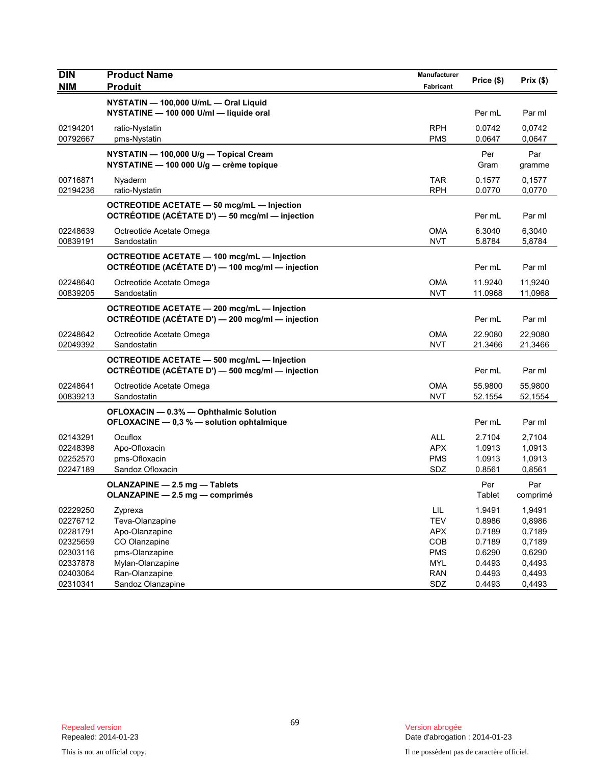| <b>DIN</b><br><b>NIM</b> | <b>Product Name</b><br><b>Produit</b>                                                                | Manufacturer<br>Fabricant   | Price (\$)    | Prix(\$)        |
|--------------------------|------------------------------------------------------------------------------------------------------|-----------------------------|---------------|-----------------|
|                          | NYSTATIN - 100,000 U/mL - Oral Liquid<br>NYSTATINE - 100 000 U/ml - liquide oral                     |                             | Per mL        | Par ml          |
| 02194201                 | ratio-Nystatin                                                                                       | <b>RPH</b>                  | 0.0742        | 0,0742          |
| 00792667                 | pms-Nystatin                                                                                         | <b>PMS</b>                  | 0.0647        | 0.0647          |
|                          | NYSTATIN - 100,000 U/g - Topical Cream<br>NYSTATINE - 100 000 U/g - crème topique                    |                             | Per<br>Gram   | Par<br>gramme   |
| 00716871                 | Nyaderm                                                                                              | <b>TAR</b>                  | 0.1577        | 0,1577          |
| 02194236                 | ratio-Nystatin                                                                                       | <b>RPH</b>                  | 0.0770        | 0,0770          |
|                          | <b>OCTREOTIDE ACETATE - 50 mcg/mL - Injection</b><br>OCTRÉOTIDE (ACÉTATE D') - 50 mcg/ml - injection |                             | Per mL        | Par ml          |
| 02248639                 | Octreotide Acetate Omega                                                                             | <b>OMA</b>                  | 6.3040        | 6,3040          |
| 00839191                 | Sandostatin                                                                                          | <b>NVT</b>                  | 5.8784        | 5,8784          |
|                          | OCTREOTIDE ACETATE - 100 mcg/mL - Injection<br>OCTRÉOTIDE (ACÉTATE D') - 100 mcg/ml - injection      |                             | Per mL        | Par ml          |
| 02248640                 | Octreotide Acetate Omega                                                                             | <b>OMA</b>                  | 11.9240       | 11,9240         |
| 00839205                 | Sandostatin                                                                                          | <b>NVT</b>                  | 11.0968       | 11,0968         |
|                          | OCTREOTIDE ACETATE - 200 mcg/mL - Injection<br>OCTRÉOTIDE (ACÉTATE D') - 200 mcg/ml - injection      |                             | Per mL        | Par ml          |
| 02248642                 | Octreotide Acetate Omega                                                                             | <b>OMA</b>                  | 22.9080       | 22,9080         |
| 02049392                 | Sandostatin                                                                                          | <b>NVT</b>                  | 21.3466       | 21,3466         |
|                          | OCTREOTIDE ACETATE - 500 mcg/mL - Injection<br>OCTRÉOTIDE (ACÉTATE D') - 500 mcg/ml - injection      |                             | Per mL        | Par ml          |
| 02248641                 | Octreotide Acetate Omega                                                                             | OMA                         | 55.9800       | 55,9800         |
| 00839213                 | Sandostatin                                                                                          | <b>NVT</b>                  | 52.1554       | 52,1554         |
|                          | OFLOXACIN - 0.3% - Ophthalmic Solution<br>OFLOXACINE - 0,3 % - solution ophtalmique                  |                             | Per mL        | Par ml          |
| 02143291                 | Ocuflox                                                                                              | <b>ALL</b>                  | 2.7104        | 2,7104          |
| 02248398                 | Apo-Ofloxacin                                                                                        | <b>APX</b>                  | 1.0913        | 1,0913          |
| 02252570                 | pms-Ofloxacin                                                                                        | <b>PMS</b>                  | 1.0913        | 1,0913          |
| 02247189                 | Sandoz Ofloxacin                                                                                     | SDZ                         | 0.8561        | 0,8561          |
|                          | OLANZAPINE - 2.5 mg - Tablets<br>OLANZAPINE - 2.5 mg - comprimés                                     |                             | Per<br>Tablet | Par<br>comprimé |
| 02229250                 | Zyprexa                                                                                              | $\ensuremath{\mathsf{LIL}}$ | 1.9491        | 1,9491          |
| 02276712                 | Teva-Olanzapine                                                                                      | <b>TEV</b>                  | 0.8986        | 0,8986          |
| 02281791                 | Apo-Olanzapine                                                                                       | <b>APX</b>                  | 0.7189        | 0,7189          |
| 02325659                 | CO Olanzapine                                                                                        | COB                         | 0.7189        | 0,7189          |
| 02303116                 | pms-Olanzapine                                                                                       | <b>PMS</b>                  | 0.6290        | 0,6290          |
| 02337878                 | Mylan-Olanzapine                                                                                     | <b>MYL</b>                  | 0.4493        | 0,4493          |
| 02403064                 | Ran-Olanzapine                                                                                       | <b>RAN</b>                  | 0.4493        | 0,4493          |
| 02310341                 | Sandoz Olanzapine                                                                                    | SDZ                         | 0.4493        | 0,4493          |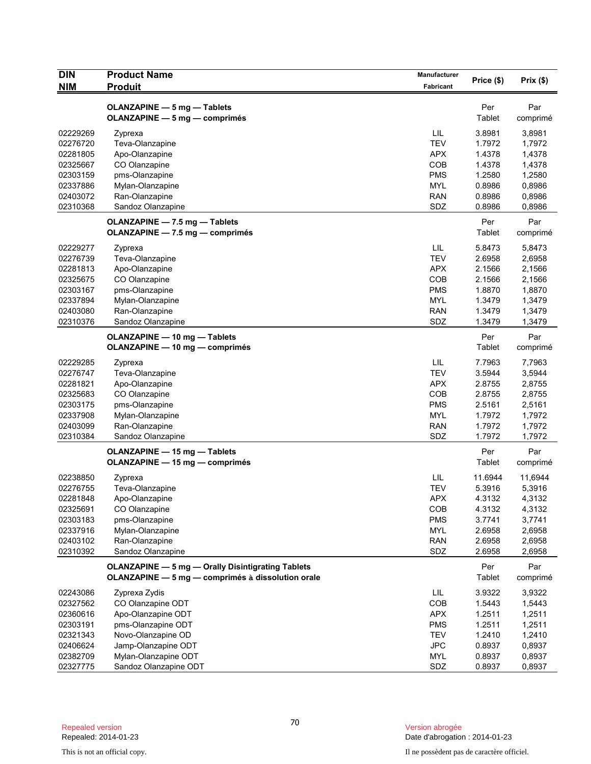| <b>DIN</b>           | <b>Product Name</b>                                                   | Manufacturer      | Price (\$)       | Prix(\$)         |
|----------------------|-----------------------------------------------------------------------|-------------------|------------------|------------------|
| <b>NIM</b>           | <b>Produit</b>                                                        | Fabricant         |                  |                  |
|                      | <b>OLANZAPINE - 5 mg - Tablets</b>                                    |                   | Per              | Par              |
|                      | OLANZAPINE - 5 mg - comprimés                                         |                   | Tablet           | comprimé         |
| 02229269             | Zyprexa                                                               | LIL               | 3.8981           | 3,8981           |
| 02276720             | Teva-Olanzapine                                                       | <b>TEV</b>        | 1.7972           | 1,7972           |
| 02281805             | Apo-Olanzapine                                                        | <b>APX</b>        | 1.4378           | 1,4378           |
| 02325667             | CO Olanzapine                                                         | <b>COB</b>        | 1.4378           | 1,4378           |
| 02303159             | pms-Olanzapine                                                        | <b>PMS</b>        | 1.2580           | 1,2580           |
| 02337886             | Mylan-Olanzapine                                                      | <b>MYL</b>        | 0.8986           | 0,8986           |
| 02403072             | Ran-Olanzapine                                                        | <b>RAN</b>        | 0.8986           | 0,8986           |
| 02310368             | Sandoz Olanzapine                                                     | SDZ               | 0.8986           | 0,8986           |
|                      | OLANZAPINE - 7.5 mg - Tablets                                         |                   | Per              | Par              |
|                      | OLANZAPINE - 7.5 mg - comprimés                                       |                   | Tablet           | comprimé         |
| 02229277             | Zyprexa                                                               | LIL               | 5.8473           | 5,8473           |
| 02276739             | Teva-Olanzapine                                                       | <b>TEV</b>        | 2.6958           | 2,6958           |
| 02281813             | Apo-Olanzapine                                                        | <b>APX</b>        | 2.1566           | 2,1566           |
| 02325675             | CO Olanzapine                                                         | <b>COB</b>        | 2.1566           | 2,1566           |
| 02303167             | pms-Olanzapine                                                        | <b>PMS</b>        | 1.8870           | 1,8870           |
| 02337894             | Mylan-Olanzapine                                                      | <b>MYL</b>        | 1.3479           | 1,3479           |
| 02403080             | Ran-Olanzapine                                                        | <b>RAN</b>        | 1.3479           | 1,3479           |
| 02310376             | Sandoz Olanzapine                                                     | SDZ               | 1.3479           | 1,3479           |
|                      | OLANZAPINE - 10 mg - Tablets                                          |                   | Per              | Par              |
|                      | OLANZAPINE - 10 mg - comprimés                                        |                   | Tablet           | comprimé         |
| 02229285             | Zyprexa                                                               | LIL               | 7.7963           | 7,7963           |
| 02276747             | Teva-Olanzapine                                                       | <b>TEV</b>        | 3.5944           | 3,5944           |
| 02281821             | Apo-Olanzapine                                                        | <b>APX</b>        | 2.8755           | 2,8755           |
| 02325683             | CO Olanzapine                                                         | <b>COB</b>        | 2.8755           | 2,8755           |
| 02303175             | pms-Olanzapine                                                        | <b>PMS</b>        | 2.5161           | 2,5161           |
| 02337908             | Mylan-Olanzapine                                                      | <b>MYL</b>        | 1.7972<br>1.7972 | 1,7972           |
| 02403099<br>02310384 | Ran-Olanzapine<br>Sandoz Olanzapine                                   | <b>RAN</b><br>SDZ | 1.7972           | 1,7972<br>1,7972 |
|                      |                                                                       |                   |                  |                  |
|                      | <b>OLANZAPINE - 15 mg - Tablets</b><br>OLANZAPINE - 15 mg - comprimés |                   | Per<br>Tablet    | Par              |
|                      |                                                                       |                   |                  | comprimé         |
| 02238850             | Zyprexa                                                               | LIL               | 11.6944          | 11,6944          |
| 02276755             | Teva-Olanzapine                                                       | <b>TEV</b>        | 5.3916           | 5,3916           |
| 02281848             | Apo-Olanzapine                                                        | APX               | 4.3132           | 4,3132           |
| 02325691<br>02303183 | CO Olanzapine<br>pms-Olanzapine                                       | COB<br><b>PMS</b> | 4.3132<br>3.7741 | 4,3132<br>3,7741 |
| 02337916             | Mylan-Olanzapine                                                      | <b>MYL</b>        | 2.6958           | 2,6958           |
| 02403102             | Ran-Olanzapine                                                        | <b>RAN</b>        | 2.6958           | 2,6958           |
| 02310392             | Sandoz Olanzapine                                                     | SDZ               | 2.6958           | 2,6958           |
|                      | <b>OLANZAPINE - 5 mg - Orally Disintigrating Tablets</b>              |                   |                  |                  |
|                      | OLANZAPINE - 5 mg - comprimés à dissolution orale                     |                   | Per<br>Tablet    | Par<br>comprimé  |
| 02243086             |                                                                       | LIL               | 3.9322           | 3,9322           |
| 02327562             | Zyprexa Zydis<br>CO Olanzapine ODT                                    | COB               | 1.5443           | 1,5443           |
| 02360616             | Apo-Olanzapine ODT                                                    | <b>APX</b>        | 1.2511           | 1,2511           |
| 02303191             | pms-Olanzapine ODT                                                    | <b>PMS</b>        | 1.2511           | 1,2511           |
| 02321343             | Novo-Olanzapine OD                                                    | <b>TEV</b>        | 1.2410           | 1,2410           |
| 02406624             | Jamp-Olanzapine ODT                                                   | <b>JPC</b>        | 0.8937           | 0,8937           |
| 02382709             | Mylan-Olanzapine ODT                                                  | <b>MYL</b>        | 0.8937           | 0,8937           |
| 02327775             | Sandoz Olanzapine ODT                                                 | SDZ               | 0.8937           | 0,8937           |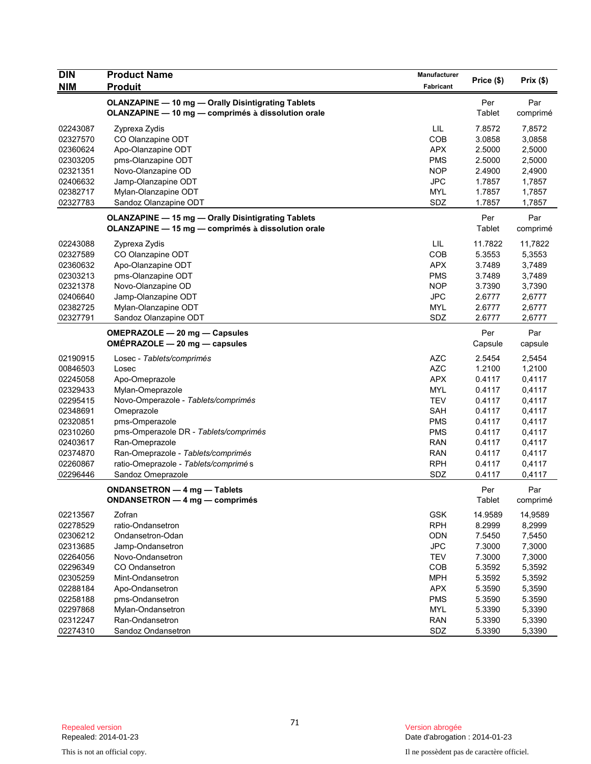| <b>DIN</b> | <b>Product Name</b>                                                                                             | <b>Manufacturer</b> |                |                 |
|------------|-----------------------------------------------------------------------------------------------------------------|---------------------|----------------|-----------------|
| <b>NIM</b> | <b>Produit</b>                                                                                                  | Fabricant           | Price (\$)     | Prix(\$)        |
|            | OLANZAPINE - 10 mg - Orally Disintigrating Tablets<br>OLANZAPINE - 10 mg - comprimés à dissolution orale        |                     | Per<br>Tablet  | Par<br>comprimé |
| 02243087   | Zyprexa Zydis                                                                                                   | LIL                 | 7.8572         | 7,8572          |
| 02327570   | CO Olanzapine ODT                                                                                               | <b>COB</b>          | 3.0858         | 3,0858          |
| 02360624   | Apo-Olanzapine ODT                                                                                              | <b>APX</b>          | 2.5000         | 2,5000          |
| 02303205   | pms-Olanzapine ODT                                                                                              | <b>PMS</b>          | 2.5000         | 2,5000          |
| 02321351   | Novo-Olanzapine OD                                                                                              | <b>NOP</b>          | 2.4900         | 2,4900          |
| 02406632   | Jamp-Olanzapine ODT                                                                                             | <b>JPC</b>          | 1.7857         | 1,7857          |
| 02382717   | Mylan-Olanzapine ODT                                                                                            | <b>MYL</b>          | 1.7857         | 1,7857          |
| 02327783   | Sandoz Olanzapine ODT                                                                                           | SDZ                 | 1.7857         | 1,7857          |
|            | <b>OLANZAPINE - 15 mg - Orally Disintigrating Tablets</b><br>OLANZAPINE - 15 mg - comprimés à dissolution orale |                     | Per<br>Tablet  | Par<br>comprimé |
| 02243088   | Zyprexa Zydis                                                                                                   | LIL                 | 11.7822        | 11,7822         |
| 02327589   | CO Olanzapine ODT                                                                                               | COB                 | 5.3553         | 5,3553          |
| 02360632   | Apo-Olanzapine ODT                                                                                              | <b>APX</b>          | 3.7489         | 3,7489          |
| 02303213   | pms-Olanzapine ODT                                                                                              | <b>PMS</b>          | 3.7489         | 3,7489          |
| 02321378   | Novo-Olanzapine OD                                                                                              | <b>NOP</b>          | 3.7390         | 3,7390          |
| 02406640   | Jamp-Olanzapine ODT                                                                                             | <b>JPC</b>          | 2.6777         | 2,6777          |
| 02382725   | Mylan-Olanzapine ODT                                                                                            | <b>MYL</b>          | 2.6777         | 2,6777          |
| 02327791   | Sandoz Olanzapine ODT                                                                                           | SDZ                 | 2.6777         | 2,6777          |
|            | OMEPRAZOLE - 20 mg - Capsules<br>OMÉPRAZOLE - 20 mg - capsules                                                  |                     | Per<br>Capsule | Par<br>capsule  |
| 02190915   | Losec - Tablets/comprimés                                                                                       | <b>AZC</b>          | 2.5454         | 2,5454          |
| 00846503   | Losec                                                                                                           | <b>AZC</b>          | 1.2100         | 1,2100          |
| 02245058   | Apo-Omeprazole                                                                                                  | <b>APX</b>          | 0.4117         | 0,4117          |
| 02329433   | Mylan-Omeprazole                                                                                                | <b>MYL</b>          | 0.4117         | 0,4117          |
| 02295415   | Novo-Omperazole - Tablets/comprimés                                                                             | <b>TEV</b>          | 0.4117         | 0,4117          |
| 02348691   | Omeprazole                                                                                                      | SAH                 | 0.4117         | 0,4117          |
| 02320851   | pms-Omperazole                                                                                                  | <b>PMS</b>          | 0.4117         | 0,4117          |
| 02310260   | pms-Omperazole DR - Tablets/comprimés                                                                           | <b>PMS</b>          | 0.4117         | 0,4117          |
| 02403617   | Ran-Omeprazole                                                                                                  | <b>RAN</b>          | 0.4117         | 0,4117          |
| 02374870   | Ran-Omeprazole - Tablets/comprimés                                                                              | <b>RAN</b>          | 0.4117         | 0,4117          |
| 02260867   | ratio-Omeprazole - Tablets/comprimés                                                                            | <b>RPH</b>          | 0.4117         | 0,4117          |
| 02296446   | Sandoz Omeprazole                                                                                               | SDZ                 | 0.4117         | 0,4117          |
|            | ONDANSETRON - 4 mg - Tablets<br>ONDANSETRON - 4 mg - comprimés                                                  |                     | Per<br>Tablet  | Par<br>comprimé |
| 02213567   | Zofran                                                                                                          | GSK                 | 14.9589        | 14,9589         |
| 02278529   | ratio-Ondansetron                                                                                               | <b>RPH</b>          | 8.2999         | 8,2999          |
| 02306212   | Ondansetron-Odan                                                                                                | ODN                 | 7.5450         | 7,5450          |
| 02313685   | Jamp-Ondansetron                                                                                                | <b>JPC</b>          | 7.3000         | 7,3000          |
| 02264056   | Novo-Ondansetron                                                                                                | <b>TEV</b>          | 7.3000         | 7,3000          |
| 02296349   | CO Ondansetron                                                                                                  | COB                 | 5.3592         | 5,3592          |
| 02305259   | Mint-Ondansetron                                                                                                | <b>MPH</b>          | 5.3592         | 5,3592          |
| 02288184   | Apo-Ondansetron                                                                                                 | <b>APX</b>          | 5.3590         | 5,3590          |
| 02258188   | pms-Ondansetron                                                                                                 | <b>PMS</b>          | 5.3590         | 5.3590          |
| 02297868   | Mylan-Ondansetron                                                                                               | <b>MYL</b>          | 5.3390         | 5,3390          |
| 02312247   | Ran-Ondansetron                                                                                                 | <b>RAN</b>          | 5.3390         | 5,3390          |
| 02274310   | Sandoz Ondansetron                                                                                              | SDZ                 | 5.3390         | 5,3390          |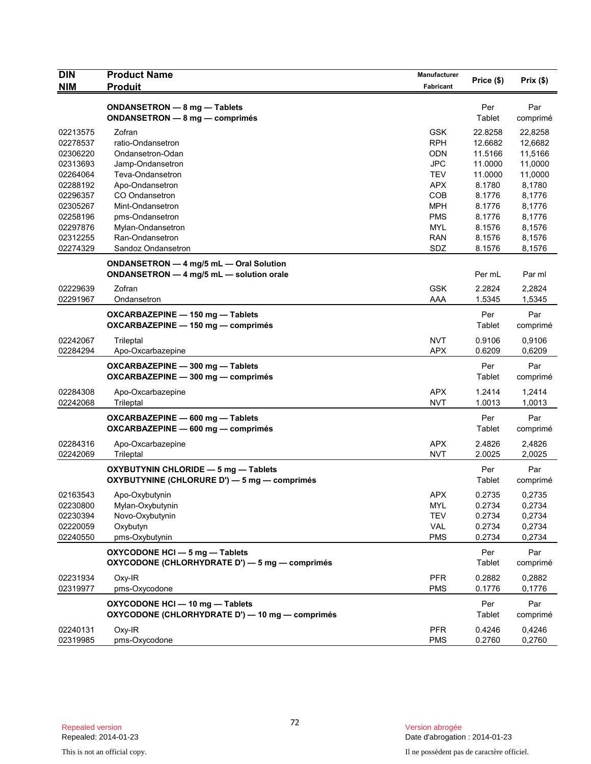| <b>DIN</b> | <b>Product Name</b>                                                    | <b>Manufacturer</b> |            |          |
|------------|------------------------------------------------------------------------|---------------------|------------|----------|
| <b>NIM</b> | <b>Produit</b>                                                         | Fabricant           | Price (\$) | Prix(\$) |
|            |                                                                        |                     |            |          |
|            | ONDANSETRON - 8 mg - Tablets                                           |                     | Per        | Par      |
|            | ONDANSETRON - 8 mg - comprimés                                         |                     | Tablet     | comprimé |
| 02213575   | Zofran                                                                 | <b>GSK</b>          | 22.8258    | 22,8258  |
| 02278537   | ratio-Ondansetron                                                      | <b>RPH</b>          | 12.6682    | 12,6682  |
| 02306220   | Ondansetron-Odan                                                       | <b>ODN</b>          | 11.5166    | 11,5166  |
| 02313693   | Jamp-Ondansetron                                                       | <b>JPC</b>          | 11.0000    | 11,0000  |
| 02264064   | Teva-Ondansetron                                                       | <b>TEV</b>          | 11.0000    | 11,0000  |
| 02288192   | Apo-Ondansetron                                                        | APX                 | 8.1780     | 8,1780   |
| 02296357   | CO Ondansetron                                                         | <b>COB</b>          | 8.1776     | 8,1776   |
| 02305267   | Mint-Ondansetron                                                       | <b>MPH</b>          | 8.1776     | 8,1776   |
| 02258196   | pms-Ondansetron                                                        | <b>PMS</b>          | 8.1776     | 8,1776   |
| 02297876   | Mylan-Ondansetron                                                      | MYL                 | 8.1576     | 8,1576   |
| 02312255   | Ran-Ondansetron                                                        | <b>RAN</b>          | 8.1576     | 8,1576   |
| 02274329   | Sandoz Ondansetron                                                     | SDZ                 | 8.1576     | 8,1576   |
|            | ONDANSETRON - 4 mg/5 mL - Oral Solution                                |                     |            |          |
|            | ONDANSETRON - 4 mg/5 mL - solution orale                               |                     | Per mL     | Par ml   |
| 02229639   | Zofran                                                                 | <b>GSK</b>          | 2.2824     | 2,2824   |
| 02291967   | Ondansetron                                                            | AAA                 | 1.5345     | 1,5345   |
|            |                                                                        |                     | Per        | Par      |
|            | OXCARBAZEPINE - 150 mg - Tablets<br>OXCARBAZEPINE - 150 mg - comprimés |                     | Tablet     | comprimé |
|            |                                                                        |                     |            |          |
| 02242067   | Trileptal                                                              | <b>NVT</b>          | 0.9106     | 0,9106   |
| 02284294   | Apo-Oxcarbazepine                                                      | <b>APX</b>          | 0.6209     | 0,6209   |
|            | OXCARBAZEPINE - 300 mg - Tablets                                       |                     | Per        | Par      |
|            | OXCARBAZEPINE - 300 mg - comprimés                                     |                     | Tablet     | comprimé |
| 02284308   | Apo-Oxcarbazepine                                                      | <b>APX</b>          | 1.2414     | 1,2414   |
| 02242068   | Trileptal                                                              | <b>NVT</b>          | 1.0013     | 1,0013   |
|            | OXCARBAZEPINE - 600 mg - Tablets                                       |                     | Per        | Par      |
|            | OXCARBAZEPINE - 600 mg - comprimés                                     |                     | Tablet     | comprimé |
|            |                                                                        |                     |            |          |
| 02284316   | Apo-Oxcarbazepine                                                      | <b>APX</b>          | 2.4826     | 2,4826   |
| 02242069   | Trileptal                                                              | <b>NVT</b>          | 2.0025     | 2,0025   |
|            | OXYBUTYNIN CHLORIDE - 5 mg - Tablets                                   |                     | Per        | Par      |
|            | OXYBUTYNINE (CHLORURE D') - 5 mg - comprimés                           |                     | Tablet     | comprimé |
| 02163543   | Apo-Oxybutynin                                                         | <b>APX</b>          | 0.2735     | 0,2735   |
| 02230800   | Mylan-Oxybutynin                                                       | <b>MYL</b>          | 0.2734     | 0,2734   |
| 02230394   | Novo-Oxybutynin                                                        | <b>TEV</b>          | 0.2734     | 0,2734   |
| 02220059   | Oxybutyn                                                               | VAL                 | 0.2734     | 0,2734   |
| 02240550   | pms-Oxybutynin                                                         | <b>PMS</b>          | 0.2734     | 0,2734   |
|            |                                                                        |                     |            |          |
|            | OXYCODONE HCI - 5 mg - Tablets                                         |                     | Per        | Par      |
|            | OXYCODONE (CHLORHYDRATE D') - 5 mg - comprimés                         |                     | Tablet     | comprimé |
| 02231934   | Oxy-IR                                                                 | <b>PFR</b>          | 0.2882     | 0,2882   |
| 02319977   | pms-Oxycodone                                                          | <b>PMS</b>          | 0.1776     | 0,1776   |
|            | OXYCODONE HCI-10 mg-Tablets                                            |                     | Per        | Par      |
|            | OXYCODONE (CHLORHYDRATE D') - 10 mg - comprimés                        |                     | Tablet     | comprimé |
|            |                                                                        |                     |            |          |
| 02240131   | Oxy-IR                                                                 | <b>PFR</b>          | 0.4246     | 0,4246   |
| 02319985   | pms-Oxycodone                                                          | <b>PMS</b>          | 0.2760     | 0,2760   |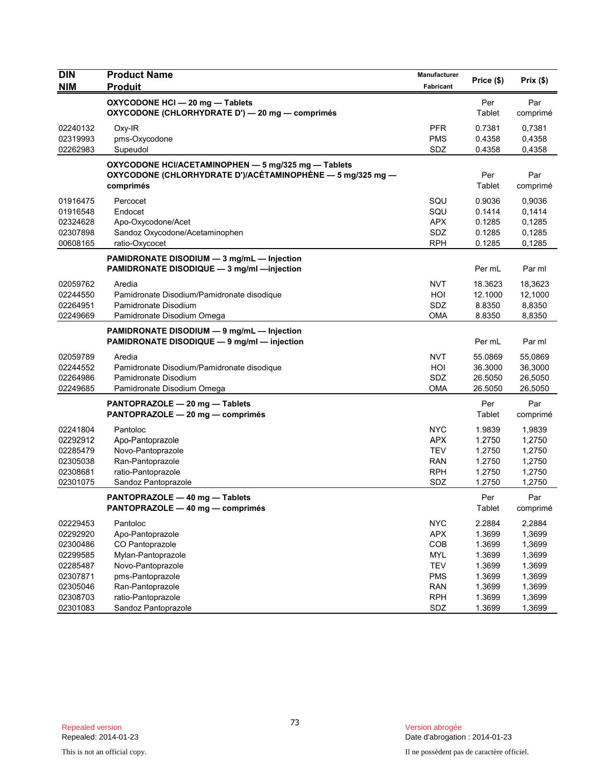| Manufacturer<br>Price (\$)                                                   | Prix(\$)                                                                               |
|------------------------------------------------------------------------------|----------------------------------------------------------------------------------------|
| Per                                                                          | Par                                                                                    |
| Tablet                                                                       | comprimé                                                                               |
| 0.7381                                                                       | 0,7381                                                                                 |
| 0.4358                                                                       | 0,4358                                                                                 |
| 0.4358                                                                       | 0,4358                                                                                 |
| Per                                                                          | Par                                                                                    |
| Tablet                                                                       | comprimé                                                                               |
| 0.9036                                                                       | 0,9036                                                                                 |
| 0.1414                                                                       | 0,1414                                                                                 |
| 0.1285                                                                       | 0,1285                                                                                 |
| 0.1285                                                                       | 0,1285                                                                                 |
| 0.1285                                                                       | 0,1285                                                                                 |
| Per mL                                                                       | Par ml                                                                                 |
| 18.3623                                                                      | 18,3623                                                                                |
| 12.1000                                                                      | 12,1000                                                                                |
| 8.8350                                                                       | 8,8350                                                                                 |
| 8.8350                                                                       | 8,8350                                                                                 |
| Per mL                                                                       | Par ml                                                                                 |
| 55.0869                                                                      | 55,0869                                                                                |
| 36.3000                                                                      | 36,3000                                                                                |
| 26.5050                                                                      | 26,5050                                                                                |
| 26.5050                                                                      | 26,5050                                                                                |
| Per                                                                          | Par                                                                                    |
| Tablet                                                                       | comprimé                                                                               |
| 1.9839                                                                       | 1,9839                                                                                 |
| 1.2750                                                                       | 1,2750                                                                                 |
| 1.2750                                                                       | 1,2750                                                                                 |
| 1.2750                                                                       | 1,2750                                                                                 |
| 1.2750                                                                       | 1,2750                                                                                 |
| 1.2750                                                                       | 1,2750                                                                                 |
| Per                                                                          | Par                                                                                    |
| Tablet                                                                       | comprimé                                                                               |
| 2.2884<br>1.3699<br>1.3699<br>1.3699<br>1.3699<br>1.3699<br>1.3699<br>1.3699 | 2,2884<br>1,3699<br>1,3699<br>1,3699<br>1,3699<br>1,3699<br>1,3699<br>1,3699<br>1,3699 |
|                                                                              | 1.3699                                                                                 |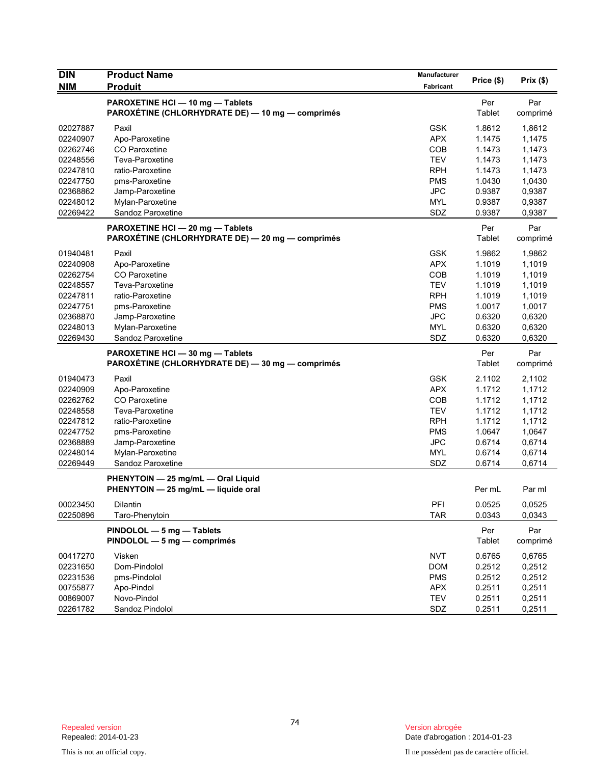| <b>DIN</b>           | <b>Product Name</b>                                                                  | Manufacturer      | Price (\$)       |                  |
|----------------------|--------------------------------------------------------------------------------------|-------------------|------------------|------------------|
| <b>NIM</b>           | <b>Produit</b>                                                                       | Fabricant         |                  | Prix(\$)         |
|                      | PAROXETINE HCI - 10 mg - Tablets<br>PAROXÉTINE (CHLORHYDRATE DE) — 10 mg — comprimés |                   | Per<br>Tablet    | Par<br>comprimé  |
| 02027887             | Paxil                                                                                | <b>GSK</b>        | 1.8612           | 1,8612           |
| 02240907             | Apo-Paroxetine                                                                       | <b>APX</b>        | 1.1475           | 1,1475           |
| 02262746             | CO Paroxetine                                                                        | <b>COB</b>        | 1.1473           | 1,1473           |
| 02248556             | Teva-Paroxetine                                                                      | <b>TEV</b>        | 1.1473           | 1,1473           |
| 02247810             | ratio-Paroxetine                                                                     | <b>RPH</b>        | 1.1473           | 1,1473           |
| 02247750             | pms-Paroxetine                                                                       | <b>PMS</b>        | 1.0430           | 1,0430           |
| 02368862             | Jamp-Paroxetine                                                                      | <b>JPC</b>        | 0.9387           | 0,9387           |
| 02248012             | Mylan-Paroxetine                                                                     | <b>MYL</b><br>SDZ | 0.9387           | 0,9387           |
| 02269422             | Sandoz Paroxetine                                                                    |                   | 0.9387           | 0,9387           |
|                      | PAROXETINE HCI - 20 mg - Tablets<br>PAROXÉTINE (CHLORHYDRATE DE) — 20 mg — comprimés |                   | Per<br>Tablet    | Par<br>comprimé  |
| 01940481             | Paxil                                                                                | <b>GSK</b>        | 1.9862           | 1,9862           |
| 02240908             | Apo-Paroxetine                                                                       | <b>APX</b>        | 1.1019           | 1,1019           |
| 02262754             | <b>CO</b> Paroxetine                                                                 | <b>COB</b>        | 1.1019           | 1,1019           |
| 02248557             | Teva-Paroxetine                                                                      | <b>TEV</b>        | 1.1019           | 1,1019           |
| 02247811             | ratio-Paroxetine                                                                     | <b>RPH</b>        | 1.1019           | 1,1019           |
| 02247751             | pms-Paroxetine                                                                       | <b>PMS</b>        | 1.0017           | 1,0017           |
| 02368870             | Jamp-Paroxetine                                                                      | <b>JPC</b>        | 0.6320           | 0,6320           |
| 02248013             | Mylan-Paroxetine                                                                     | <b>MYL</b>        | 0.6320           | 0,6320           |
| 02269430             | Sandoz Paroxetine                                                                    | SDZ               | 0.6320           | 0,6320           |
|                      | PAROXETINE HCI - 30 mg - Tablets<br>PAROXÉTINE (CHLORHYDRATE DE) - 30 mg - comprimés |                   | Per<br>Tablet    | Par<br>comprimé  |
| 01940473             | Paxil                                                                                | <b>GSK</b>        | 2.1102           | 2,1102           |
| 02240909             | Apo-Paroxetine                                                                       | <b>APX</b>        | 1.1712           | 1,1712           |
| 02262762             | CO Paroxetine                                                                        | <b>COB</b>        | 1.1712           | 1,1712           |
| 02248558             | Teva-Paroxetine                                                                      | <b>TEV</b>        | 1.1712           | 1,1712           |
| 02247812             | ratio-Paroxetine                                                                     | <b>RPH</b>        | 1.1712           | 1,1712           |
| 02247752             | pms-Paroxetine                                                                       | <b>PMS</b>        | 1.0647           | 1,0647           |
| 02368889             | Jamp-Paroxetine                                                                      | <b>JPC</b>        | 0.6714           | 0,6714           |
| 02248014             | Mylan-Paroxetine                                                                     | <b>MYL</b>        | 0.6714           | 0,6714           |
| 02269449             | Sandoz Paroxetine                                                                    | SDZ               | 0.6714           | 0,6714           |
|                      | PHENYTOIN - 25 mg/mL - Oral Liquid<br>PHENYTOIN - 25 mg/mL - liquide oral            |                   | Per mL           | Par ml           |
| 00023450<br>02250896 | Dilantin<br>Taro-Phenytoin                                                           | PFI<br><b>TAR</b> | 0.0525<br>0.0343 | 0,0525<br>0,0343 |
|                      | PINDOLOL - 5 mg - Tablets<br>PINDOLOL - 5 mg - comprimés                             |                   | Per<br>Tablet    | Par<br>comprimé  |
| 00417270             | Visken                                                                               | <b>NVT</b>        | 0.6765           | 0,6765           |
| 02231650             | Dom-Pindolol                                                                         | <b>DOM</b>        | 0.2512           | 0,2512           |
| 02231536             | pms-Pindolol                                                                         | <b>PMS</b>        | 0.2512           | 0,2512           |
| 00755877             | Apo-Pindol                                                                           | <b>APX</b>        | 0.2511           | 0,2511           |
| 00869007             | Novo-Pindol                                                                          | <b>TEV</b>        | 0.2511           | 0,2511           |
| 02261782             | Sandoz Pindolol                                                                      | SDZ               | 0.2511           | 0,2511           |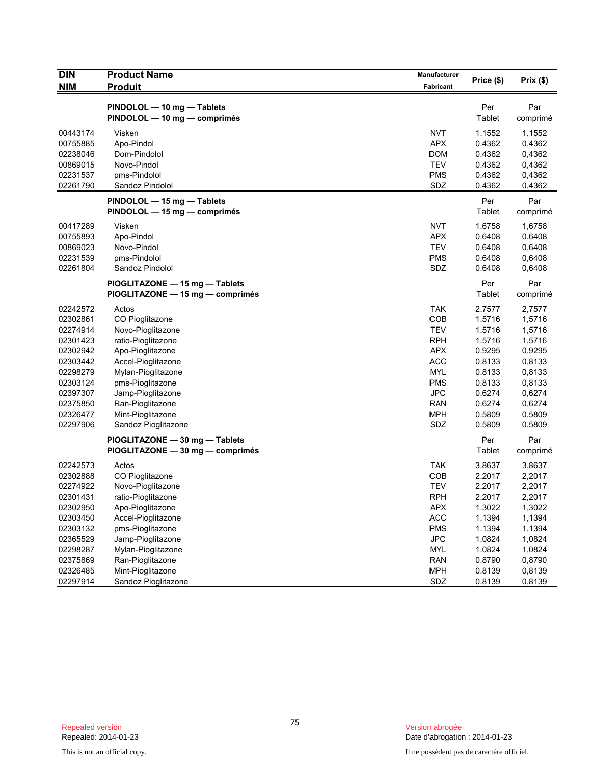| <b>DIN</b>                                                                                                                                   | <b>Product Name</b>                                                                                                                                                                                                                          | Manufacturer                                                                                                                                           | Price (\$)                                                                                                           | Prix(\$)                                                                                                             |
|----------------------------------------------------------------------------------------------------------------------------------------------|----------------------------------------------------------------------------------------------------------------------------------------------------------------------------------------------------------------------------------------------|--------------------------------------------------------------------------------------------------------------------------------------------------------|----------------------------------------------------------------------------------------------------------------------|----------------------------------------------------------------------------------------------------------------------|
| <b>NIM</b>                                                                                                                                   | <b>Produit</b>                                                                                                                                                                                                                               | Fabricant                                                                                                                                              |                                                                                                                      |                                                                                                                      |
|                                                                                                                                              | PINDOLOL - 10 mg - Tablets<br>PINDOLOL - 10 mg - comprimés                                                                                                                                                                                   |                                                                                                                                                        | Per<br>Tablet                                                                                                        | Par<br>comprimé                                                                                                      |
| 00443174<br>00755885<br>02238046<br>00869015<br>02231537<br>02261790                                                                         | Visken<br>Apo-Pindol<br>Dom-Pindolol<br>Novo-Pindol<br>pms-Pindolol<br>Sandoz Pindolol                                                                                                                                                       | <b>NVT</b><br><b>APX</b><br><b>DOM</b><br><b>TEV</b><br><b>PMS</b><br>SDZ                                                                              | 1.1552<br>0.4362<br>0.4362<br>0.4362<br>0.4362<br>0.4362                                                             | 1,1552<br>0,4362<br>0,4362<br>0,4362<br>0,4362<br>0,4362                                                             |
|                                                                                                                                              | PINDOLOL - 15 mg - Tablets<br>PINDOLOL - 15 mg - comprimés                                                                                                                                                                                   |                                                                                                                                                        | Per<br>Tablet                                                                                                        | Par<br>comprimé                                                                                                      |
| 00417289<br>00755893<br>00869023<br>02231539<br>02261804                                                                                     | Visken<br>Apo-Pindol<br>Novo-Pindol<br>pms-Pindolol<br>Sandoz Pindolol                                                                                                                                                                       | <b>NVT</b><br><b>APX</b><br><b>TEV</b><br><b>PMS</b><br>SDZ                                                                                            | 1.6758<br>0.6408<br>0.6408<br>0.6408<br>0.6408                                                                       | 1,6758<br>0,6408<br>0,6408<br>0,6408<br>0,6408                                                                       |
|                                                                                                                                              | PIOGLITAZONE - 15 mg - Tablets<br>PIOGLITAZONE - 15 mg - comprimés                                                                                                                                                                           |                                                                                                                                                        | Per<br>Tablet                                                                                                        | Par<br>comprimé                                                                                                      |
| 02242572<br>02302861<br>02274914<br>02301423<br>02302942<br>02303442<br>02298279<br>02303124<br>02397307<br>02375850<br>02326477<br>02297906 | Actos<br>CO Pioglitazone<br>Novo-Pioglitazone<br>ratio-Pioglitazone<br>Apo-Pioglitazone<br>Accel-Pioglitazone<br>Mylan-Pioglitazone<br>pms-Pioglitazone<br>Jamp-Pioglitazone<br>Ran-Pioglitazone<br>Mint-Pioglitazone<br>Sandoz Pioglitazone | <b>TAK</b><br>COB<br><b>TEV</b><br><b>RPH</b><br><b>APX</b><br><b>ACC</b><br><b>MYL</b><br><b>PMS</b><br><b>JPC</b><br><b>RAN</b><br><b>MPH</b><br>SDZ | 2.7577<br>1.5716<br>1.5716<br>1.5716<br>0.9295<br>0.8133<br>0.8133<br>0.8133<br>0.6274<br>0.6274<br>0.5809<br>0.5809 | 2,7577<br>1,5716<br>1,5716<br>1,5716<br>0,9295<br>0,8133<br>0,8133<br>0,8133<br>0,6274<br>0,6274<br>0,5809<br>0,5809 |
|                                                                                                                                              | PIOGLITAZONE - 30 mg - Tablets<br>PIOGLITAZONE - 30 mg - comprimés                                                                                                                                                                           |                                                                                                                                                        | Per<br>Tablet                                                                                                        | Par<br>comprimé                                                                                                      |
| 02242573<br>02302888<br>02274922<br>02301431<br>02302950<br>02303450<br>02303132<br>02365529<br>02298287                                     | Actos<br>CO Pioglitazone<br>Novo-Pioglitazone<br>ratio-Pioglitazone<br>Apo-Pioglitazone<br>Accel-Pioglitazone<br>pms-Pioglitazone<br>Jamp-Pioglitazone<br>Mylan-Pioglitazone                                                                 | <b>TAK</b><br>COB<br><b>TEV</b><br><b>RPH</b><br>APX<br><b>ACC</b><br><b>PMS</b><br><b>JPC</b><br><b>MYL</b>                                           | 3.8637<br>2.2017<br>2.2017<br>2.2017<br>1.3022<br>1.1394<br>1.1394<br>1.0824<br>1.0824                               | 3,8637<br>2,2017<br>2,2017<br>2,2017<br>1,3022<br>1,1394<br>1,1394<br>1,0824<br>1,0824                               |
| 02375869<br>02326485<br>02297914                                                                                                             | Ran-Pioglitazone<br>Mint-Pioglitazone<br>Sandoz Pioglitazone                                                                                                                                                                                 | <b>RAN</b><br><b>MPH</b><br>SDZ                                                                                                                        | 0.8790<br>0.8139<br>0.8139                                                                                           | 0,8790<br>0,8139<br>0,8139                                                                                           |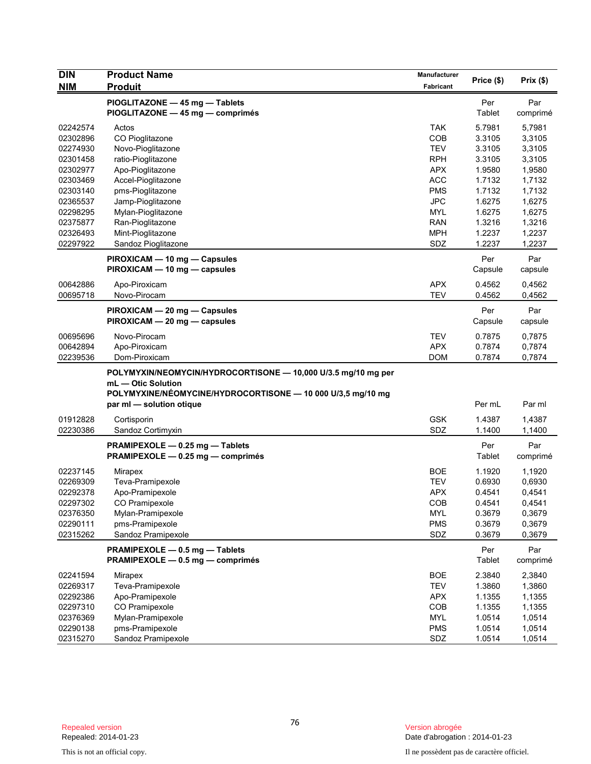| <b>DIN</b>           | <b>Product Name</b>                                                                                                                                | Manufacturer             |                  |                  |
|----------------------|----------------------------------------------------------------------------------------------------------------------------------------------------|--------------------------|------------------|------------------|
| <b>NIM</b>           | <b>Produit</b>                                                                                                                                     | Fabricant                | Price (\$)       | Prix(\$)         |
|                      | PIOGLITAZONE - 45 mg - Tablets<br>PIOGLITAZONE - 45 mg - comprimés                                                                                 |                          | Per<br>Tablet    | Par<br>comprimé  |
| 02242574<br>02302896 | Actos<br>CO Pioglitazone                                                                                                                           | <b>TAK</b><br>COB        | 5.7981<br>3.3105 | 5,7981<br>3,3105 |
| 02274930             | Novo-Pioglitazone                                                                                                                                  | <b>TEV</b>               | 3.3105           | 3,3105           |
| 02301458             | ratio-Pioglitazone                                                                                                                                 | <b>RPH</b>               | 3.3105           | 3,3105           |
| 02302977             | Apo-Pioglitazone                                                                                                                                   | <b>APX</b>               | 1.9580           | 1,9580           |
| 02303469             | Accel-Pioglitazone                                                                                                                                 | <b>ACC</b>               | 1.7132           | 1,7132           |
| 02303140             | pms-Pioglitazone                                                                                                                                   | <b>PMS</b>               | 1.7132           | 1,7132           |
| 02365537             | Jamp-Pioglitazone                                                                                                                                  | <b>JPC</b>               | 1.6275           | 1,6275           |
| 02298295             | Mylan-Pioglitazone                                                                                                                                 | <b>MYL</b>               | 1.6275           | 1,6275           |
| 02375877             | Ran-Pioglitazone                                                                                                                                   | <b>RAN</b>               | 1.3216           | 1,3216           |
| 02326493             | Mint-Pioglitazone                                                                                                                                  | <b>MPH</b>               | 1.2237           | 1,2237           |
| 02297922             | Sandoz Pioglitazone                                                                                                                                | SDZ                      | 1.2237           | 1,2237           |
|                      | PIROXICAM - 10 mg - Capsules<br>PIROXICAM - 10 mg - capsules                                                                                       |                          | Per<br>Capsule   | Par<br>capsule   |
|                      |                                                                                                                                                    |                          |                  |                  |
| 00642886<br>00695718 | Apo-Piroxicam<br>Novo-Pirocam                                                                                                                      | <b>APX</b><br><b>TEV</b> | 0.4562<br>0.4562 | 0,4562<br>0,4562 |
|                      | PIROXICAM - 20 mg - Capsules<br>PIROXICAM - 20 mg - capsules                                                                                       |                          | Per<br>Capsule   | Par<br>capsule   |
|                      |                                                                                                                                                    |                          |                  |                  |
| 00695696             | Novo-Pirocam                                                                                                                                       | <b>TEV</b>               | 0.7875           | 0,7875           |
| 00642894             | Apo-Piroxicam                                                                                                                                      | <b>APX</b>               | 0.7874           | 0,7874           |
| 02239536             | Dom-Piroxicam                                                                                                                                      | <b>DOM</b>               | 0.7874           | 0,7874           |
|                      | POLYMYXIN/NEOMYCIN/HYDROCORTISONE - 10,000 U/3.5 mg/10 mg per<br>mL - Otic Solution<br>POLYMYXINE/NÉOMYCINE/HYDROCORTISONE - 10 000 U/3,5 mg/10 mg |                          | Per mL           | Par ml           |
|                      | par ml - solution otique                                                                                                                           |                          |                  |                  |
| 01912828             | Cortisporin                                                                                                                                        | <b>GSK</b>               | 1.4387           | 1,4387           |
| 02230386             | Sandoz Cortimyxin                                                                                                                                  | SDZ                      | 1.1400           | 1,1400           |
|                      | PRAMIPEXOLE - 0.25 mg - Tablets<br>PRAMIPEXOLE - 0.25 mg - comprimés                                                                               |                          | Per<br>Tablet    | Par<br>comprimé  |
| 02237145             | Mirapex                                                                                                                                            | <b>BOE</b>               | 1.1920           | 1,1920           |
| 02269309             | Teva-Pramipexole                                                                                                                                   | <b>TEV</b>               | 0.6930           | 0,6930           |
| 02292378             | Apo-Pramipexole                                                                                                                                    | <b>APX</b>               | 0.4541           | 0,4541           |
| 02297302             | CO Pramipexole                                                                                                                                     | COB                      | 0.4541           | 0,4541           |
| 02376350             | Mylan-Pramipexole                                                                                                                                  | MYL                      | 0.3679           | 0,3679           |
| 02290111             | pms-Pramipexole                                                                                                                                    | <b>PMS</b>               | 0.3679           | 0,3679           |
| 02315262             | Sandoz Pramipexole                                                                                                                                 | SDZ                      | 0.3679           | 0,3679           |
|                      | PRAMIPEXOLE - 0.5 mg - Tablets<br>PRAMIPEXOLE - 0.5 mg - comprimés                                                                                 |                          | Per<br>Tablet    | Par<br>comprimé  |
| 02241594             | Mirapex                                                                                                                                            | <b>BOE</b>               | 2.3840           | 2,3840           |
| 02269317             | Teva-Pramipexole                                                                                                                                   | <b>TEV</b>               | 1.3860           | 1,3860           |
| 02292386             | Apo-Pramipexole                                                                                                                                    | <b>APX</b>               | 1.1355           | 1,1355           |
| 02297310             | CO Pramipexole                                                                                                                                     | COB                      | 1.1355           | 1,1355           |
| 02376369             | Mylan-Pramipexole                                                                                                                                  | MYL                      | 1.0514           | 1,0514           |
| 02290138             | pms-Pramipexole                                                                                                                                    | <b>PMS</b>               | 1.0514           | 1,0514           |
| 02315270             | Sandoz Pramipexole                                                                                                                                 | SDZ                      | 1.0514           | 1,0514           |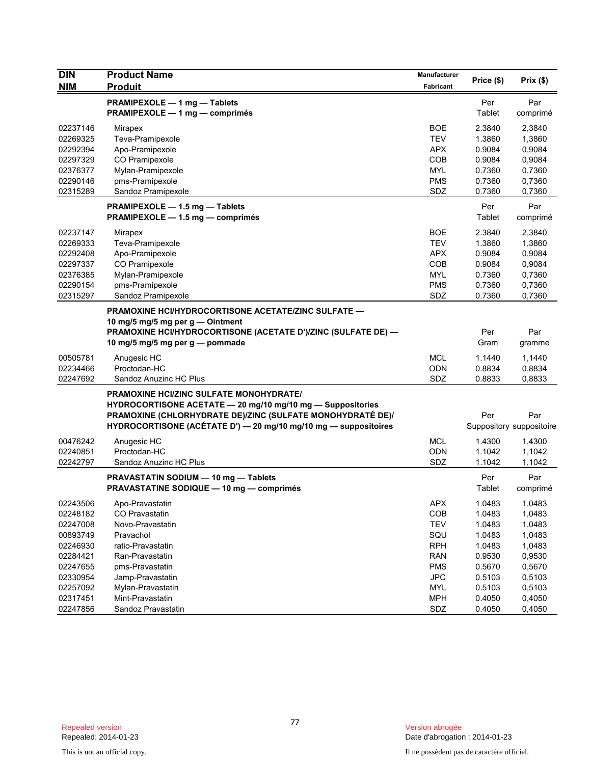| <b>DIN</b> | <b>Product Name</b>                                             | Manufacturer | Price (\$) | Prix(\$)                 |
|------------|-----------------------------------------------------------------|--------------|------------|--------------------------|
| <b>NIM</b> | <b>Produit</b>                                                  | Fabricant    |            |                          |
|            | PRAMIPEXOLE - 1 mg - Tablets                                    |              | Per        | Par                      |
|            | PRAMIPEXOLE - 1 mg - comprimés                                  |              | Tablet     | comprimé                 |
| 02237146   | Mirapex                                                         | <b>BOE</b>   | 2.3840     | 2,3840                   |
| 02269325   | Teva-Pramipexole                                                | <b>TEV</b>   | 1.3860     | 1,3860                   |
| 02292394   | Apo-Pramipexole                                                 | <b>APX</b>   | 0.9084     | 0,9084                   |
| 02297329   | CO Pramipexole                                                  | <b>COB</b>   | 0.9084     | 0,9084                   |
| 02376377   | Mylan-Pramipexole                                               | <b>MYL</b>   | 0.7360     | 0,7360                   |
| 02290146   | pms-Pramipexole                                                 | <b>PMS</b>   | 0.7360     | 0,7360                   |
| 02315289   | Sandoz Pramipexole                                              | SDZ          | 0.7360     | 0,7360                   |
|            | PRAMIPEXOLE - 1.5 mg - Tablets                                  |              | Per        | Par                      |
|            | PRAMIPEXOLE - 1.5 mg - comprimés                                |              | Tablet     | comprimé                 |
| 02237147   | Mirapex                                                         | <b>BOE</b>   | 2.3840     | 2,3840                   |
| 02269333   | Teva-Pramipexole                                                | <b>TEV</b>   | 1.3860     | 1,3860                   |
| 02292408   | Apo-Pramipexole                                                 | <b>APX</b>   | 0.9084     | 0,9084                   |
| 02297337   | CO Pramipexole                                                  | <b>COB</b>   | 0.9084     | 0,9084                   |
| 02376385   | Mylan-Pramipexole                                               | <b>MYL</b>   | 0.7360     | 0,7360                   |
| 02290154   | pms-Pramipexole                                                 | <b>PMS</b>   | 0.7360     | 0,7360                   |
| 02315297   | Sandoz Pramipexole                                              | SDZ          | 0.7360     | 0,7360                   |
|            | PRAMOXINE HCI/HYDROCORTISONE ACETATE/ZINC SULFATE -             |              |            |                          |
|            | 10 mg/5 mg/5 mg per g - Ointment                                |              |            |                          |
|            | PRAMOXINE HCI/HYDROCORTISONE (ACETATE D')/ZINC (SULFATE DE) -   |              | Per        | Par                      |
|            | 10 mg/5 mg/5 mg per g — pommade                                 |              | Gram       | gramme                   |
|            |                                                                 |              |            |                          |
| 00505781   | Anugesic HC                                                     | <b>MCL</b>   | 1.1440     | 1,1440                   |
| 02234466   | Proctodan-HC                                                    | ODN<br>SDZ   | 0.8834     | 0,8834                   |
| 02247692   | Sandoz Anuzinc HC Plus                                          |              | 0.8833     | 0,8833                   |
|            | PRAMOXINE HCI/ZINC SULFATE MONOHYDRATE/                         |              |            |                          |
|            | HYDROCORTISONE ACETATE - 20 mg/10 mg/10 mg - Suppositories      |              |            |                          |
|            | PRAMOXINE (CHLORHYDRATE DE)/ZINC (SULFATE MONOHYDRATÉ DE)/      |              | Per        | Par                      |
|            | HYDROCORTISONE (ACÉTATE D') - 20 mg/10 mg/10 mg - suppositoires |              |            | Suppository suppositoire |
| 00476242   | Anugesic HC                                                     | <b>MCL</b>   | 1.4300     | 1,4300                   |
| 02240851   | Proctodan-HC                                                    | <b>ODN</b>   | 1.1042     | 1,1042                   |
| 02242797   | Sandoz Anuzinc HC Plus                                          | SDZ          | 1.1042     | 1,1042                   |
|            | PRAVASTATIN SODIUM - 10 mg - Tablets                            |              | Per        | Par                      |
|            | <b>PRAVASTATINE SODIQUE - 10 mg - comprimés</b>                 |              | Tablet     | comprimé                 |
| 02243506   | Apo-Pravastatin                                                 | APX          | 1.0483     | 1,0483                   |
| 02248182   | <b>CO Pravastatin</b>                                           | COB          | 1.0483     | 1,0483                   |
| 02247008   | Novo-Pravastatin                                                | <b>TEV</b>   | 1.0483     | 1,0483                   |
| 00893749   | Pravachol                                                       | SQU          | 1.0483     | 1,0483                   |
| 02246930   | ratio-Pravastatin                                               | <b>RPH</b>   | 1.0483     | 1,0483                   |
| 02284421   | Ran-Pravastatin                                                 | <b>RAN</b>   | 0.9530     | 0,9530                   |
| 02247655   | pms-Pravastatin                                                 | <b>PMS</b>   | 0.5670     | 0,5670                   |
| 02330954   | Jamp-Pravastatin                                                | <b>JPC</b>   | 0.5103     | 0,5103                   |
| 02257092   | Mylan-Pravastatin                                               | <b>MYL</b>   | 0.5103     | 0,5103                   |
| 02317451   | Mint-Pravastatin                                                | <b>MPH</b>   | 0.4050     | 0,4050                   |
| 02247856   | Sandoz Pravastatin                                              | SDZ          | 0.4050     | 0,4050                   |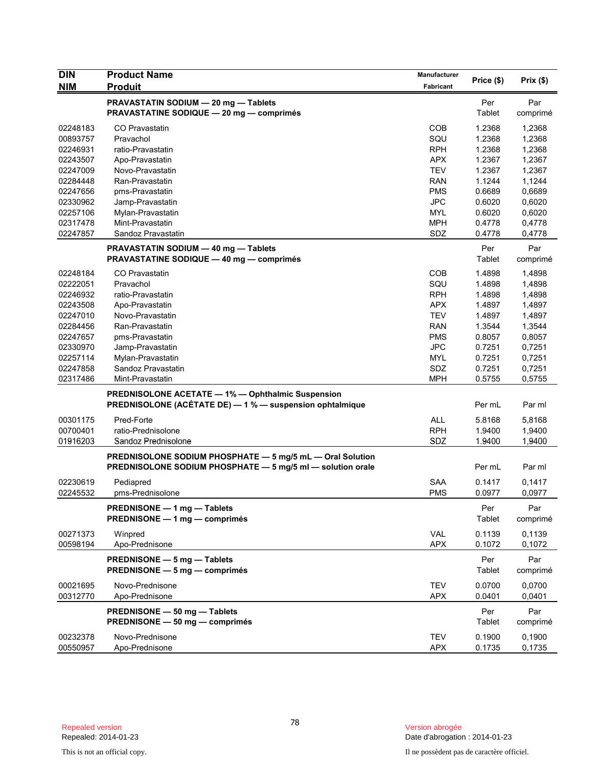| <b>DIN</b> | <b>Product Name</b>                                                                                                     | Manufacturer | Price (\$) | Prix(\$) |
|------------|-------------------------------------------------------------------------------------------------------------------------|--------------|------------|----------|
| <b>NIM</b> | <b>Produit</b>                                                                                                          | Fabricant    |            |          |
|            | PRAVASTATIN SODIUM - 20 mg - Tablets                                                                                    |              | Per        | Par      |
|            | <b>PRAVASTATINE SODIQUE - 20 mg - comprimés</b>                                                                         |              | Tablet     | comprimé |
| 02248183   | CO Pravastatin                                                                                                          | <b>COB</b>   | 1.2368     | 1,2368   |
| 00893757   | Pravachol                                                                                                               | SQU          | 1.2368     | 1,2368   |
| 02246931   | ratio-Pravastatin                                                                                                       | <b>RPH</b>   | 1.2368     | 1,2368   |
| 02243507   | Apo-Pravastatin                                                                                                         | <b>APX</b>   | 1.2367     | 1,2367   |
| 02247009   | Novo-Pravastatin                                                                                                        | <b>TEV</b>   | 1.2367     | 1,2367   |
| 02284448   | Ran-Pravastatin                                                                                                         | <b>RAN</b>   | 1.1244     | 1,1244   |
| 02247656   | pms-Pravastatin                                                                                                         | <b>PMS</b>   | 0.6689     | 0,6689   |
| 02330962   | Jamp-Pravastatin                                                                                                        | <b>JPC</b>   | 0.6020     | 0,6020   |
| 02257106   | Mylan-Pravastatin                                                                                                       | <b>MYL</b>   | 0.6020     | 0,6020   |
| 02317478   | Mint-Pravastatin                                                                                                        | <b>MPH</b>   | 0.4778     | 0,4778   |
| 02247857   | Sandoz Pravastatin                                                                                                      | SDZ          | 0.4778     | 0,4778   |
|            | PRAVASTATIN SODIUM - 40 mg - Tablets                                                                                    |              | Per        | Par      |
|            | <b>PRAVASTATINE SODIQUE — 40 mg — comprimés</b>                                                                         |              | Tablet     | comprimé |
| 02248184   | CO Pravastatin                                                                                                          | <b>COB</b>   | 1.4898     | 1,4898   |
| 02222051   | Pravachol                                                                                                               | SQU          | 1.4898     | 1,4898   |
| 02246932   | ratio-Pravastatin                                                                                                       | <b>RPH</b>   | 1.4898     | 1,4898   |
| 02243508   | Apo-Pravastatin                                                                                                         | <b>APX</b>   | 1.4897     | 1,4897   |
| 02247010   | Novo-Pravastatin                                                                                                        | <b>TEV</b>   | 1.4897     | 1,4897   |
| 02284456   | Ran-Pravastatin                                                                                                         | <b>RAN</b>   | 1.3544     | 1,3544   |
| 02247657   | pms-Pravastatin                                                                                                         | <b>PMS</b>   | 0.8057     | 0,8057   |
| 02330970   | Jamp-Pravastatin                                                                                                        | <b>JPC</b>   | 0.7251     | 0,7251   |
| 02257114   | Mylan-Pravastatin                                                                                                       | <b>MYL</b>   | 0.7251     | 0,7251   |
| 02247858   | Sandoz Pravastatin                                                                                                      | SDZ          | 0.7251     | 0,7251   |
| 02317486   | Mint-Pravastatin                                                                                                        | <b>MPH</b>   | 0.5755     | 0,5755   |
|            | <b>PREDNISOLONE ACETATE - 1% - Ophthalmic Suspension</b>                                                                |              |            |          |
|            | PREDNISOLONE (ACÉTATE DE) - 1 % - suspension ophtalmique                                                                |              | Per mL     | Par ml   |
| 00301175   | Pred-Forte                                                                                                              | <b>ALL</b>   | 5.8168     | 5,8168   |
| 00700401   | ratio-Prednisolone                                                                                                      | <b>RPH</b>   | 1.9400     | 1,9400   |
| 01916203   | Sandoz Prednisolone                                                                                                     | SDZ          | 1.9400     | 1,9400   |
|            |                                                                                                                         |              |            |          |
|            | PREDNISOLONE SODIUM PHOSPHATE - 5 mg/5 mL - Oral Solution<br>PREDNISOLONE SODIUM PHOSPHATE - 5 mg/5 ml - solution orale |              | Per mL     | Par ml   |
|            |                                                                                                                         |              |            |          |
| 02230619   | Pediapred                                                                                                               | <b>SAA</b>   | 0.1417     | 0,1417   |
| 02245532   | pms-Prednisolone                                                                                                        | <b>PMS</b>   | 0.0977     | 0,0977   |
|            | PREDNISONE - 1 mg - Tablets                                                                                             |              | Per        | Par      |
|            | PREDNISONE - 1 mg - comprimés                                                                                           |              | Tablet     | comprimé |
| 00271373   | Winpred                                                                                                                 | VAL          | 0.1139     | 0,1139   |
| 00598194   | Apo-Prednisone                                                                                                          | <b>APX</b>   | 0.1072     | 0,1072   |
|            |                                                                                                                         |              |            |          |
|            | PREDNISONE - 5 mg - Tablets                                                                                             |              | Per        | Par      |
|            | <b>PREDNISONE <math>-5</math> mg <math>-</math> comprimes</b>                                                           |              | Tablet     | comprimé |
| 00021695   | Novo-Prednisone                                                                                                         | <b>TEV</b>   | 0.0700     | 0,0700   |
| 00312770   | Apo-Prednisone                                                                                                          | <b>APX</b>   | 0.0401     | 0,0401   |
|            | PREDNISONE - 50 mg - Tablets                                                                                            |              | Per        | Par      |
|            | PREDNISONE - 50 mg - comprimés                                                                                          |              | Tablet     | comprimé |
|            |                                                                                                                         |              |            |          |
| 00232378   | Novo-Prednisone                                                                                                         | <b>TEV</b>   | 0.1900     | 0,1900   |
| 00550957   | Apo-Prednisone                                                                                                          | <b>APX</b>   | 0.1735     | 0,1735   |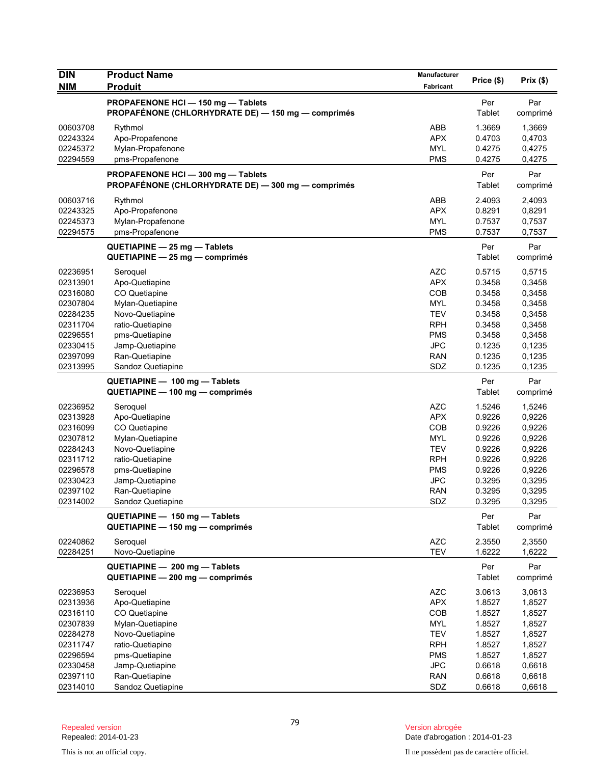| <b>DIN</b><br><b>NIM</b>                                                                                             | <b>Product Name</b><br><b>Produit</b>                                                                                                                                              | <b>Manufacturer</b><br>Fabricant                                                                                                  | Price (\$)                                                                                       | Prix(\$)                                                                                         |
|----------------------------------------------------------------------------------------------------------------------|------------------------------------------------------------------------------------------------------------------------------------------------------------------------------------|-----------------------------------------------------------------------------------------------------------------------------------|--------------------------------------------------------------------------------------------------|--------------------------------------------------------------------------------------------------|
|                                                                                                                      | PROPAFENONE HCI-150 mg-Tablets<br>PROPAFÉNONE (CHLORHYDRATE DE) - 150 mg - comprimés                                                                                               |                                                                                                                                   | Per<br>Tablet                                                                                    | Par<br>comprimé                                                                                  |
| 00603708<br>02243324<br>02245372<br>02294559                                                                         | Rythmol<br>Apo-Propafenone<br>Mylan-Propafenone<br>pms-Propafenone                                                                                                                 | ABB<br><b>APX</b><br><b>MYL</b><br><b>PMS</b>                                                                                     | 1.3669<br>0.4703<br>0.4275<br>0.4275                                                             | 1,3669<br>0,4703<br>0,4275<br>0,4275                                                             |
|                                                                                                                      | PROPAFENONE HCI-300 mg-Tablets<br>PROPAFÉNONE (CHLORHYDRATE DE) - 300 mg - comprimés                                                                                               |                                                                                                                                   | Per<br>Tablet                                                                                    | Par<br>comprimé                                                                                  |
| 00603716<br>02243325<br>02245373<br>02294575                                                                         | Rythmol<br>Apo-Propafenone<br>Mylan-Propafenone<br>pms-Propafenone                                                                                                                 | ABB<br><b>APX</b><br><b>MYL</b><br><b>PMS</b>                                                                                     | 2.4093<br>0.8291<br>0.7537<br>0.7537                                                             | 2,4093<br>0,8291<br>0,7537<br>0,7537                                                             |
|                                                                                                                      | QUETIAPINE - 25 mg - Tablets<br>QUETIAPINE - 25 mg - comprimés                                                                                                                     |                                                                                                                                   | Per<br>Tablet                                                                                    | Par<br>comprimé                                                                                  |
| 02236951<br>02313901<br>02316080<br>02307804<br>02284235<br>02311704<br>02296551<br>02330415<br>02397099<br>02313995 | Seroquel<br>Apo-Quetiapine<br>CO Quetiapine<br>Mylan-Quetiapine<br>Novo-Quetiapine<br>ratio-Quetiapine<br>pms-Quetiapine<br>Jamp-Quetiapine<br>Ran-Quetiapine<br>Sandoz Quetiapine | <b>AZC</b><br><b>APX</b><br><b>COB</b><br><b>MYL</b><br><b>TEV</b><br><b>RPH</b><br><b>PMS</b><br><b>JPC</b><br><b>RAN</b><br>SDZ | 0.5715<br>0.3458<br>0.3458<br>0.3458<br>0.3458<br>0.3458<br>0.3458<br>0.1235<br>0.1235<br>0.1235 | 0,5715<br>0,3458<br>0,3458<br>0,3458<br>0,3458<br>0,3458<br>0,3458<br>0,1235<br>0,1235<br>0,1235 |
|                                                                                                                      | QUETIAPINE - 100 mg - Tablets<br>QUETIAPINE - 100 mg - comprimés                                                                                                                   |                                                                                                                                   | Per<br><b>Tablet</b>                                                                             | Par<br>comprimé                                                                                  |
| 02236952<br>02313928<br>02316099<br>02307812<br>02284243<br>02311712<br>02296578<br>02330423<br>02397102<br>02314002 | Seroquel<br>Apo-Quetiapine<br>CO Quetiapine<br>Mylan-Quetiapine<br>Novo-Quetiapine<br>ratio-Quetiapine<br>pms-Quetiapine<br>Jamp-Quetiapine<br>Ran-Quetiapine<br>Sandoz Quetiapine | <b>AZC</b><br><b>APX</b><br>COB<br><b>MYL</b><br><b>TEV</b><br><b>RPH</b><br><b>PMS</b><br><b>JPC</b><br><b>RAN</b><br>SDZ        | 1.5246<br>0.9226<br>0.9226<br>0.9226<br>0.9226<br>0.9226<br>0.9226<br>0.3295<br>0.3295<br>0.3295 | 1,5246<br>0,9226<br>0,9226<br>0,9226<br>0,9226<br>0,9226<br>0,9226<br>0,3295<br>0,3295<br>0,3295 |
|                                                                                                                      | QUETIAPINE - 150 mg - Tablets<br>QUETIAPINE - 150 mg - comprimés                                                                                                                   |                                                                                                                                   | Per<br>Tablet                                                                                    | Par<br>comprimé                                                                                  |
| 02240862<br>02284251                                                                                                 | Seroquel<br>Novo-Quetiapine<br>QUETIAPINE - 200 mg - Tablets                                                                                                                       | <b>AZC</b><br><b>TEV</b>                                                                                                          | 2.3550<br>1.6222<br>Per                                                                          | 2,3550<br>1,6222<br>Par                                                                          |
|                                                                                                                      | QUETIAPINE - 200 mg - comprimés                                                                                                                                                    |                                                                                                                                   | Tablet                                                                                           | comprimé                                                                                         |
| 02236953<br>02313936<br>02316110<br>02307839<br>02284278<br>02311747<br>02296594                                     | Seroquel<br>Apo-Quetiapine<br>CO Quetiapine<br>Mylan-Quetiapine<br>Novo-Quetiapine<br>ratio-Quetiapine<br>pms-Quetiapine                                                           | <b>AZC</b><br><b>APX</b><br>COB<br><b>MYL</b><br><b>TEV</b><br><b>RPH</b><br><b>PMS</b>                                           | 3.0613<br>1.8527<br>1.8527<br>1.8527<br>1.8527<br>1.8527<br>1.8527                               | 3,0613<br>1,8527<br>1,8527<br>1,8527<br>1,8527<br>1,8527<br>1,8527                               |
| 02330458<br>02397110<br>02314010                                                                                     | Jamp-Quetiapine<br>Ran-Quetiapine<br>Sandoz Quetiapine                                                                                                                             | <b>JPC</b><br><b>RAN</b><br>SDZ                                                                                                   | 0.6618<br>0.6618<br>0.6618                                                                       | 0,6618<br>0,6618<br>0,6618                                                                       |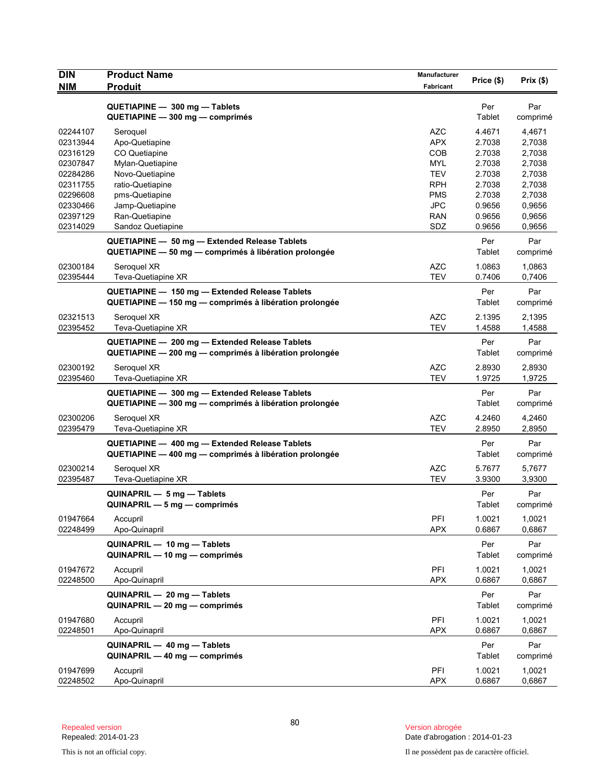| <b>DIN</b>           | <b>Product Name</b>                                    | Manufacturer      | Price (\$)       | Prix(\$)         |
|----------------------|--------------------------------------------------------|-------------------|------------------|------------------|
| <b>NIM</b>           | <b>Produit</b>                                         | Fabricant         |                  |                  |
|                      | QUETIAPINE - 300 mg - Tablets                          |                   | Per              | Par              |
|                      | QUETIAPINE - 300 mg - comprimés                        |                   | Tablet           | comprimé         |
| 02244107             | Seroquel                                               | <b>AZC</b>        | 4.4671           | 4,4671           |
| 02313944             | Apo-Quetiapine                                         | <b>APX</b>        | 2.7038           | 2,7038           |
| 02316129             | CO Quetiapine                                          | <b>COB</b>        | 2.7038           | 2,7038           |
| 02307847             | Mylan-Quetiapine                                       | MYL               | 2.7038           | 2,7038           |
| 02284286             | Novo-Quetiapine                                        | TEV               | 2.7038           | 2,7038           |
| 02311755             | ratio-Quetiapine                                       | <b>RPH</b>        | 2.7038           | 2,7038           |
| 02296608             | pms-Quetiapine                                         | <b>PMS</b>        | 2.7038           | 2,7038           |
| 02330466             | Jamp-Quetiapine                                        | <b>JPC</b>        | 0.9656           | 0,9656           |
| 02397129<br>02314029 | Ran-Quetiapine<br>Sandoz Quetiapine                    | <b>RAN</b><br>SDZ | 0.9656<br>0.9656 | 0,9656<br>0,9656 |
|                      |                                                        |                   |                  |                  |
|                      | QUETIAPINE - 50 mg - Extended Release Tablets          |                   | Per              | Par              |
|                      | QUETIAPINE - 50 mg - comprimés à libération prolongée  |                   | Tablet           | comprimé         |
| 02300184             | Seroquel XR                                            | <b>AZC</b>        | 1.0863           | 1,0863           |
| 02395444             | Teva-Quetiapine XR                                     | <b>TEV</b>        | 0.7406           | 0,7406           |
|                      | QUETIAPINE - 150 mg - Extended Release Tablets         |                   | Per              | Par              |
|                      | QUETIAPINE - 150 mg - comprimés à libération prolongée |                   | Tablet           | comprimé         |
| 02321513             | Seroquel XR                                            | <b>AZC</b>        | 2.1395           | 2,1395           |
| 02395452             | Teva-Quetiapine XR                                     | <b>TEV</b>        | 1.4588           | 1,4588           |
|                      | QUETIAPINE - 200 mg - Extended Release Tablets         |                   | Per              | Par              |
|                      | QUETIAPINE - 200 mg - comprimés à libération prolongée |                   | Tablet           | comprimé         |
| 02300192             | Seroquel XR                                            | <b>AZC</b>        | 2.8930           | 2,8930           |
| 02395460             | Teva-Quetiapine XR                                     | <b>TEV</b>        | 1.9725           | 1,9725           |
|                      | QUETIAPINE - 300 mg - Extended Release Tablets         |                   | Per              | Par              |
|                      | QUETIAPINE - 300 mg - comprimés à libération prolongée |                   | Tablet           | comprimé         |
| 02300206             | Seroquel XR                                            | <b>AZC</b>        | 4.2460           | 4,2460           |
| 02395479             | Teva-Quetiapine XR                                     | <b>TEV</b>        | 2.8950           | 2,8950           |
|                      |                                                        |                   |                  |                  |
|                      | QUETIAPINE - 400 mg - Extended Release Tablets         |                   | Per<br>Tablet    | Par              |
|                      | QUETIAPINE - 400 mg - comprimés à libération prolongée |                   |                  | comprimé         |
| 02300214             | Seroquel XR                                            | <b>AZC</b>        | 5.7677           | 5,7677           |
| 02395487             | Teva-Quetiapine XR                                     | <b>TEV</b>        | 3.9300           | 3,9300           |
|                      | QUINAPRIL - 5 mg - Tablets                             |                   | Per              | Par              |
|                      | QUINAPRIL - 5 mg - comprimés                           |                   | Tablet           | comprimé         |
| 01947664             | Accupril                                               | PFI               | 1.0021           | 1.0021           |
| 02248499             | Apo-Quinapril                                          | <b>APX</b>        | 0.6867           | 0,6867           |
|                      | QUINAPRIL - 10 mg - Tablets                            |                   | Per              | Par              |
|                      | QUINAPRIL - 10 mg - comprimés                          |                   | Tablet           | comprimé         |
| 01947672             | Accupril                                               | PFI               | 1.0021           | 1,0021           |
| 02248500             | Apo-Quinapril                                          | <b>APX</b>        | 0.6867           | 0,6867           |
|                      | QUINAPRIL - 20 mg - Tablets                            |                   | Per              | Par              |
|                      | QUINAPRIL - 20 mg - comprimés                          |                   | Tablet           | comprimé         |
| 01947680             | Accupril                                               | PFI               | 1.0021           | 1,0021           |
| 02248501             | Apo-Quinapril                                          | <b>APX</b>        | 0.6867           | 0,6867           |
|                      |                                                        |                   |                  |                  |
|                      | QUINAPRIL - 40 mg - Tablets                            |                   | Per              | Par              |
|                      | QUINAPRIL - 40 mg - comprimés                          |                   | Tablet           | comprimé         |
| 01947699             | Accupril                                               | PFI               | 1.0021           | 1,0021           |
| 02248502             | Apo-Quinapril                                          | <b>APX</b>        | 0.6867           | 0,6867           |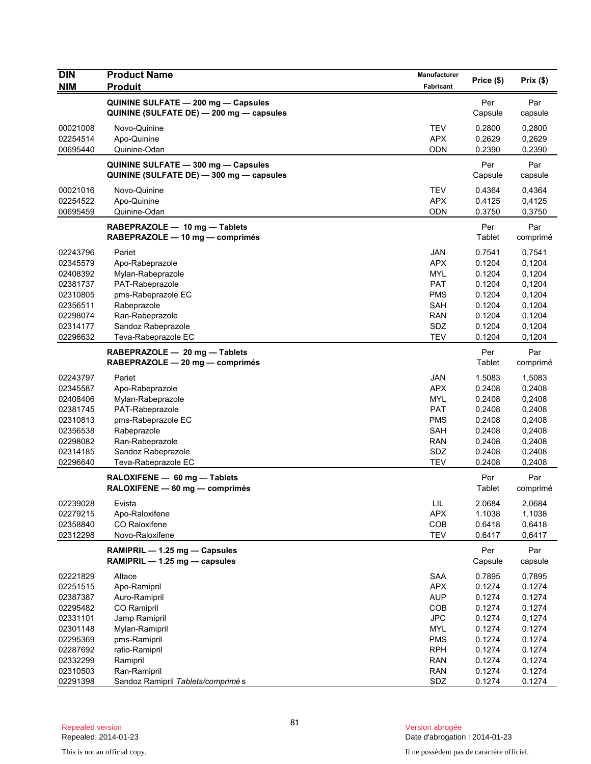| <b>Produit</b><br><b>Fabricant</b><br>QUININE SULFATE - 200 mg - Capsules<br>Par<br>Per<br>QUININE (SULFATE DE) - 200 mg - capsules<br>Capsule<br>capsule<br>00021008<br>Novo-Quinine<br><b>TEV</b><br>0.2800<br>0,2800<br>Apo-Quinine<br><b>APX</b><br>0.2629<br>0,2629<br>02254514<br>00695440<br>Quinine-Odan<br>ODN<br>0.2390<br>0,2390<br>Per<br>Par<br>QUININE SULFATE - 300 mg - Capsules<br>QUININE (SULFATE DE) - 300 mg - capsules<br>Capsule<br>capsule<br><b>TEV</b><br>0.4364<br>00021016<br>Novo-Quinine<br>0,4364<br>02254522<br>Apo-Quinine<br><b>APX</b><br>0.4125<br>0,4125<br>00695459<br><b>ODN</b><br>0.3750<br>0,3750<br>Quinine-Odan<br>RABEPRAZOLE - 10 mg - Tablets<br>Per<br>Par<br>Tablet<br>RABEPRAZOLE - 10 mg - comprimés<br>comprimé<br><b>JAN</b><br>02243796<br>Pariet<br>0.7541<br>0,7541<br>Apo-Rabeprazole<br><b>APX</b><br>0.1204<br>0,1204<br>02345579<br>02408392<br><b>MYL</b><br>0.1204<br>0,1204<br>Mylan-Rabeprazole<br><b>PAT</b><br>0.1204<br>0,1204<br>02381737<br>PAT-Rabeprazole<br>02310805<br>pms-Rabeprazole EC<br><b>PMS</b><br>0.1204<br>0,1204<br>Rabeprazole<br>SAH<br>0.1204<br>0,1204<br>02356511<br>02298074<br>Ran-Rabeprazole<br><b>RAN</b><br>0.1204<br>0,1204<br>SDZ<br>Sandoz Rabeprazole<br>0.1204<br>0,1204<br>02314177<br><b>TEV</b><br>02296632<br>Teva-Rabeprazole EC<br>0.1204<br>0,1204<br>Par<br>Per<br>RABEPRAZOLE - 20 mg - Tablets<br>Tablet<br>RABEPRAZOLE - 20 mg - comprimés<br>comprimé<br>02243797<br>Pariet<br><b>JAN</b><br>1.5083<br>1,5083<br>02345587<br><b>APX</b><br>0.2408<br>0,2408<br>Apo-Rabeprazole<br>0.2408<br>02408406<br>Mylan-Rabeprazole<br>MYL<br>0,2408<br><b>PAT</b><br>02381745<br>PAT-Rabeprazole<br>0.2408<br>0,2408<br>pms-Rabeprazole EC<br><b>PMS</b><br>0.2408<br>0,2408<br>02310813<br>Rabeprazole<br><b>SAH</b><br>0.2408<br>0,2408<br>02356538<br>02298082<br>Ran-Rabeprazole<br><b>RAN</b><br>0.2408<br>0,2408<br>02314185<br>Sandoz Rabeprazole<br>SDZ<br>0.2408<br>0,2408<br><b>TEV</b><br>02296640<br>Teva-Rabeprazole EC<br>0.2408<br>0,2408<br>Per<br>Par<br>RALOXIFENE - 60 mg - Tablets<br>RALOXIFENE - 60 mg - comprimés<br>Tablet<br>comprimé<br>02239028<br>Evista<br>LIL<br>2.0684<br>2,0684<br>02279215<br><b>APX</b><br>1.1038<br>1,1038<br>Apo-Raloxifene<br>COB<br>02358840<br>CO Raloxifene<br>0.6418<br>0,6418<br><b>TEV</b><br>02312298<br>Novo-Raloxifene<br>0.6417<br>0,6417<br>Par<br>RAMIPRIL - 1.25 mg - Capsules<br>Per<br>RAMIPRIL - 1.25 mg - capsules<br>Capsule<br>capsule<br>02221829<br>Altace<br><b>SAA</b><br>0.7895<br>0,7895<br>02251515<br><b>APX</b><br>0.1274<br>0.1274<br>Apo-Ramipril<br><b>AUP</b><br>0.1274<br>0.1274<br>02387387<br>Auro-Ramipril<br>02295482<br>CO Ramipril<br>COB<br>0.1274<br>0.1274<br><b>JPC</b><br>02331101<br>Jamp Ramipril<br>0.1274<br>0,1274<br>02301148<br>Mylan-Ramipril<br><b>MYL</b><br>0.1274<br>0.1274<br>02295369<br>pms-Ramipril<br><b>PMS</b><br>0.1274<br>0.1274<br>02287692<br><b>RPH</b><br>0.1274<br>0.1274<br>ratio-Ramipril<br>02332299<br><b>RAN</b><br>0.1274<br>0,1274<br>Ramipril<br>Ran-Ramipril<br><b>RAN</b><br>0.1274<br>0.1274<br>02310503 | <b>DIN</b> | <b>Product Name</b>               | Manufacturer | Price (\$) | Prix(\$) |
|-------------------------------------------------------------------------------------------------------------------------------------------------------------------------------------------------------------------------------------------------------------------------------------------------------------------------------------------------------------------------------------------------------------------------------------------------------------------------------------------------------------------------------------------------------------------------------------------------------------------------------------------------------------------------------------------------------------------------------------------------------------------------------------------------------------------------------------------------------------------------------------------------------------------------------------------------------------------------------------------------------------------------------------------------------------------------------------------------------------------------------------------------------------------------------------------------------------------------------------------------------------------------------------------------------------------------------------------------------------------------------------------------------------------------------------------------------------------------------------------------------------------------------------------------------------------------------------------------------------------------------------------------------------------------------------------------------------------------------------------------------------------------------------------------------------------------------------------------------------------------------------------------------------------------------------------------------------------------------------------------------------------------------------------------------------------------------------------------------------------------------------------------------------------------------------------------------------------------------------------------------------------------------------------------------------------------------------------------------------------------------------------------------------------------------------------------------------------------------------------------------------------------------------------------------------------------------------------------------------------------------------------------------------------------------------------------------------------------------------------------------------------------------------------------------------------------------------------------------------------------------------------------------------------------------------------------------------------------------------------------------------------------------------------------------------------------------------------------------------------------------------------------------|------------|-----------------------------------|--------------|------------|----------|
|                                                                                                                                                                                                                                                                                                                                                                                                                                                                                                                                                                                                                                                                                                                                                                                                                                                                                                                                                                                                                                                                                                                                                                                                                                                                                                                                                                                                                                                                                                                                                                                                                                                                                                                                                                                                                                                                                                                                                                                                                                                                                                                                                                                                                                                                                                                                                                                                                                                                                                                                                                                                                                                                                                                                                                                                                                                                                                                                                                                                                                                                                                                                                       | <b>NIM</b> |                                   |              |            |          |
|                                                                                                                                                                                                                                                                                                                                                                                                                                                                                                                                                                                                                                                                                                                                                                                                                                                                                                                                                                                                                                                                                                                                                                                                                                                                                                                                                                                                                                                                                                                                                                                                                                                                                                                                                                                                                                                                                                                                                                                                                                                                                                                                                                                                                                                                                                                                                                                                                                                                                                                                                                                                                                                                                                                                                                                                                                                                                                                                                                                                                                                                                                                                                       |            |                                   |              |            |          |
|                                                                                                                                                                                                                                                                                                                                                                                                                                                                                                                                                                                                                                                                                                                                                                                                                                                                                                                                                                                                                                                                                                                                                                                                                                                                                                                                                                                                                                                                                                                                                                                                                                                                                                                                                                                                                                                                                                                                                                                                                                                                                                                                                                                                                                                                                                                                                                                                                                                                                                                                                                                                                                                                                                                                                                                                                                                                                                                                                                                                                                                                                                                                                       |            |                                   |              |            |          |
|                                                                                                                                                                                                                                                                                                                                                                                                                                                                                                                                                                                                                                                                                                                                                                                                                                                                                                                                                                                                                                                                                                                                                                                                                                                                                                                                                                                                                                                                                                                                                                                                                                                                                                                                                                                                                                                                                                                                                                                                                                                                                                                                                                                                                                                                                                                                                                                                                                                                                                                                                                                                                                                                                                                                                                                                                                                                                                                                                                                                                                                                                                                                                       |            |                                   |              |            |          |
|                                                                                                                                                                                                                                                                                                                                                                                                                                                                                                                                                                                                                                                                                                                                                                                                                                                                                                                                                                                                                                                                                                                                                                                                                                                                                                                                                                                                                                                                                                                                                                                                                                                                                                                                                                                                                                                                                                                                                                                                                                                                                                                                                                                                                                                                                                                                                                                                                                                                                                                                                                                                                                                                                                                                                                                                                                                                                                                                                                                                                                                                                                                                                       |            |                                   |              |            |          |
|                                                                                                                                                                                                                                                                                                                                                                                                                                                                                                                                                                                                                                                                                                                                                                                                                                                                                                                                                                                                                                                                                                                                                                                                                                                                                                                                                                                                                                                                                                                                                                                                                                                                                                                                                                                                                                                                                                                                                                                                                                                                                                                                                                                                                                                                                                                                                                                                                                                                                                                                                                                                                                                                                                                                                                                                                                                                                                                                                                                                                                                                                                                                                       |            |                                   |              |            |          |
|                                                                                                                                                                                                                                                                                                                                                                                                                                                                                                                                                                                                                                                                                                                                                                                                                                                                                                                                                                                                                                                                                                                                                                                                                                                                                                                                                                                                                                                                                                                                                                                                                                                                                                                                                                                                                                                                                                                                                                                                                                                                                                                                                                                                                                                                                                                                                                                                                                                                                                                                                                                                                                                                                                                                                                                                                                                                                                                                                                                                                                                                                                                                                       |            |                                   |              |            |          |
|                                                                                                                                                                                                                                                                                                                                                                                                                                                                                                                                                                                                                                                                                                                                                                                                                                                                                                                                                                                                                                                                                                                                                                                                                                                                                                                                                                                                                                                                                                                                                                                                                                                                                                                                                                                                                                                                                                                                                                                                                                                                                                                                                                                                                                                                                                                                                                                                                                                                                                                                                                                                                                                                                                                                                                                                                                                                                                                                                                                                                                                                                                                                                       |            |                                   |              |            |          |
|                                                                                                                                                                                                                                                                                                                                                                                                                                                                                                                                                                                                                                                                                                                                                                                                                                                                                                                                                                                                                                                                                                                                                                                                                                                                                                                                                                                                                                                                                                                                                                                                                                                                                                                                                                                                                                                                                                                                                                                                                                                                                                                                                                                                                                                                                                                                                                                                                                                                                                                                                                                                                                                                                                                                                                                                                                                                                                                                                                                                                                                                                                                                                       |            |                                   |              |            |          |
|                                                                                                                                                                                                                                                                                                                                                                                                                                                                                                                                                                                                                                                                                                                                                                                                                                                                                                                                                                                                                                                                                                                                                                                                                                                                                                                                                                                                                                                                                                                                                                                                                                                                                                                                                                                                                                                                                                                                                                                                                                                                                                                                                                                                                                                                                                                                                                                                                                                                                                                                                                                                                                                                                                                                                                                                                                                                                                                                                                                                                                                                                                                                                       |            |                                   |              |            |          |
|                                                                                                                                                                                                                                                                                                                                                                                                                                                                                                                                                                                                                                                                                                                                                                                                                                                                                                                                                                                                                                                                                                                                                                                                                                                                                                                                                                                                                                                                                                                                                                                                                                                                                                                                                                                                                                                                                                                                                                                                                                                                                                                                                                                                                                                                                                                                                                                                                                                                                                                                                                                                                                                                                                                                                                                                                                                                                                                                                                                                                                                                                                                                                       |            |                                   |              |            |          |
|                                                                                                                                                                                                                                                                                                                                                                                                                                                                                                                                                                                                                                                                                                                                                                                                                                                                                                                                                                                                                                                                                                                                                                                                                                                                                                                                                                                                                                                                                                                                                                                                                                                                                                                                                                                                                                                                                                                                                                                                                                                                                                                                                                                                                                                                                                                                                                                                                                                                                                                                                                                                                                                                                                                                                                                                                                                                                                                                                                                                                                                                                                                                                       |            |                                   |              |            |          |
|                                                                                                                                                                                                                                                                                                                                                                                                                                                                                                                                                                                                                                                                                                                                                                                                                                                                                                                                                                                                                                                                                                                                                                                                                                                                                                                                                                                                                                                                                                                                                                                                                                                                                                                                                                                                                                                                                                                                                                                                                                                                                                                                                                                                                                                                                                                                                                                                                                                                                                                                                                                                                                                                                                                                                                                                                                                                                                                                                                                                                                                                                                                                                       |            |                                   |              |            |          |
|                                                                                                                                                                                                                                                                                                                                                                                                                                                                                                                                                                                                                                                                                                                                                                                                                                                                                                                                                                                                                                                                                                                                                                                                                                                                                                                                                                                                                                                                                                                                                                                                                                                                                                                                                                                                                                                                                                                                                                                                                                                                                                                                                                                                                                                                                                                                                                                                                                                                                                                                                                                                                                                                                                                                                                                                                                                                                                                                                                                                                                                                                                                                                       |            |                                   |              |            |          |
|                                                                                                                                                                                                                                                                                                                                                                                                                                                                                                                                                                                                                                                                                                                                                                                                                                                                                                                                                                                                                                                                                                                                                                                                                                                                                                                                                                                                                                                                                                                                                                                                                                                                                                                                                                                                                                                                                                                                                                                                                                                                                                                                                                                                                                                                                                                                                                                                                                                                                                                                                                                                                                                                                                                                                                                                                                                                                                                                                                                                                                                                                                                                                       |            |                                   |              |            |          |
|                                                                                                                                                                                                                                                                                                                                                                                                                                                                                                                                                                                                                                                                                                                                                                                                                                                                                                                                                                                                                                                                                                                                                                                                                                                                                                                                                                                                                                                                                                                                                                                                                                                                                                                                                                                                                                                                                                                                                                                                                                                                                                                                                                                                                                                                                                                                                                                                                                                                                                                                                                                                                                                                                                                                                                                                                                                                                                                                                                                                                                                                                                                                                       |            |                                   |              |            |          |
|                                                                                                                                                                                                                                                                                                                                                                                                                                                                                                                                                                                                                                                                                                                                                                                                                                                                                                                                                                                                                                                                                                                                                                                                                                                                                                                                                                                                                                                                                                                                                                                                                                                                                                                                                                                                                                                                                                                                                                                                                                                                                                                                                                                                                                                                                                                                                                                                                                                                                                                                                                                                                                                                                                                                                                                                                                                                                                                                                                                                                                                                                                                                                       |            |                                   |              |            |          |
|                                                                                                                                                                                                                                                                                                                                                                                                                                                                                                                                                                                                                                                                                                                                                                                                                                                                                                                                                                                                                                                                                                                                                                                                                                                                                                                                                                                                                                                                                                                                                                                                                                                                                                                                                                                                                                                                                                                                                                                                                                                                                                                                                                                                                                                                                                                                                                                                                                                                                                                                                                                                                                                                                                                                                                                                                                                                                                                                                                                                                                                                                                                                                       |            |                                   |              |            |          |
|                                                                                                                                                                                                                                                                                                                                                                                                                                                                                                                                                                                                                                                                                                                                                                                                                                                                                                                                                                                                                                                                                                                                                                                                                                                                                                                                                                                                                                                                                                                                                                                                                                                                                                                                                                                                                                                                                                                                                                                                                                                                                                                                                                                                                                                                                                                                                                                                                                                                                                                                                                                                                                                                                                                                                                                                                                                                                                                                                                                                                                                                                                                                                       |            |                                   |              |            |          |
|                                                                                                                                                                                                                                                                                                                                                                                                                                                                                                                                                                                                                                                                                                                                                                                                                                                                                                                                                                                                                                                                                                                                                                                                                                                                                                                                                                                                                                                                                                                                                                                                                                                                                                                                                                                                                                                                                                                                                                                                                                                                                                                                                                                                                                                                                                                                                                                                                                                                                                                                                                                                                                                                                                                                                                                                                                                                                                                                                                                                                                                                                                                                                       |            |                                   |              |            |          |
|                                                                                                                                                                                                                                                                                                                                                                                                                                                                                                                                                                                                                                                                                                                                                                                                                                                                                                                                                                                                                                                                                                                                                                                                                                                                                                                                                                                                                                                                                                                                                                                                                                                                                                                                                                                                                                                                                                                                                                                                                                                                                                                                                                                                                                                                                                                                                                                                                                                                                                                                                                                                                                                                                                                                                                                                                                                                                                                                                                                                                                                                                                                                                       |            |                                   |              |            |          |
|                                                                                                                                                                                                                                                                                                                                                                                                                                                                                                                                                                                                                                                                                                                                                                                                                                                                                                                                                                                                                                                                                                                                                                                                                                                                                                                                                                                                                                                                                                                                                                                                                                                                                                                                                                                                                                                                                                                                                                                                                                                                                                                                                                                                                                                                                                                                                                                                                                                                                                                                                                                                                                                                                                                                                                                                                                                                                                                                                                                                                                                                                                                                                       |            |                                   |              |            |          |
|                                                                                                                                                                                                                                                                                                                                                                                                                                                                                                                                                                                                                                                                                                                                                                                                                                                                                                                                                                                                                                                                                                                                                                                                                                                                                                                                                                                                                                                                                                                                                                                                                                                                                                                                                                                                                                                                                                                                                                                                                                                                                                                                                                                                                                                                                                                                                                                                                                                                                                                                                                                                                                                                                                                                                                                                                                                                                                                                                                                                                                                                                                                                                       |            |                                   |              |            |          |
|                                                                                                                                                                                                                                                                                                                                                                                                                                                                                                                                                                                                                                                                                                                                                                                                                                                                                                                                                                                                                                                                                                                                                                                                                                                                                                                                                                                                                                                                                                                                                                                                                                                                                                                                                                                                                                                                                                                                                                                                                                                                                                                                                                                                                                                                                                                                                                                                                                                                                                                                                                                                                                                                                                                                                                                                                                                                                                                                                                                                                                                                                                                                                       |            |                                   |              |            |          |
|                                                                                                                                                                                                                                                                                                                                                                                                                                                                                                                                                                                                                                                                                                                                                                                                                                                                                                                                                                                                                                                                                                                                                                                                                                                                                                                                                                                                                                                                                                                                                                                                                                                                                                                                                                                                                                                                                                                                                                                                                                                                                                                                                                                                                                                                                                                                                                                                                                                                                                                                                                                                                                                                                                                                                                                                                                                                                                                                                                                                                                                                                                                                                       |            |                                   |              |            |          |
|                                                                                                                                                                                                                                                                                                                                                                                                                                                                                                                                                                                                                                                                                                                                                                                                                                                                                                                                                                                                                                                                                                                                                                                                                                                                                                                                                                                                                                                                                                                                                                                                                                                                                                                                                                                                                                                                                                                                                                                                                                                                                                                                                                                                                                                                                                                                                                                                                                                                                                                                                                                                                                                                                                                                                                                                                                                                                                                                                                                                                                                                                                                                                       |            |                                   |              |            |          |
|                                                                                                                                                                                                                                                                                                                                                                                                                                                                                                                                                                                                                                                                                                                                                                                                                                                                                                                                                                                                                                                                                                                                                                                                                                                                                                                                                                                                                                                                                                                                                                                                                                                                                                                                                                                                                                                                                                                                                                                                                                                                                                                                                                                                                                                                                                                                                                                                                                                                                                                                                                                                                                                                                                                                                                                                                                                                                                                                                                                                                                                                                                                                                       |            |                                   |              |            |          |
|                                                                                                                                                                                                                                                                                                                                                                                                                                                                                                                                                                                                                                                                                                                                                                                                                                                                                                                                                                                                                                                                                                                                                                                                                                                                                                                                                                                                                                                                                                                                                                                                                                                                                                                                                                                                                                                                                                                                                                                                                                                                                                                                                                                                                                                                                                                                                                                                                                                                                                                                                                                                                                                                                                                                                                                                                                                                                                                                                                                                                                                                                                                                                       |            |                                   |              |            |          |
|                                                                                                                                                                                                                                                                                                                                                                                                                                                                                                                                                                                                                                                                                                                                                                                                                                                                                                                                                                                                                                                                                                                                                                                                                                                                                                                                                                                                                                                                                                                                                                                                                                                                                                                                                                                                                                                                                                                                                                                                                                                                                                                                                                                                                                                                                                                                                                                                                                                                                                                                                                                                                                                                                                                                                                                                                                                                                                                                                                                                                                                                                                                                                       |            |                                   |              |            |          |
|                                                                                                                                                                                                                                                                                                                                                                                                                                                                                                                                                                                                                                                                                                                                                                                                                                                                                                                                                                                                                                                                                                                                                                                                                                                                                                                                                                                                                                                                                                                                                                                                                                                                                                                                                                                                                                                                                                                                                                                                                                                                                                                                                                                                                                                                                                                                                                                                                                                                                                                                                                                                                                                                                                                                                                                                                                                                                                                                                                                                                                                                                                                                                       |            |                                   |              |            |          |
|                                                                                                                                                                                                                                                                                                                                                                                                                                                                                                                                                                                                                                                                                                                                                                                                                                                                                                                                                                                                                                                                                                                                                                                                                                                                                                                                                                                                                                                                                                                                                                                                                                                                                                                                                                                                                                                                                                                                                                                                                                                                                                                                                                                                                                                                                                                                                                                                                                                                                                                                                                                                                                                                                                                                                                                                                                                                                                                                                                                                                                                                                                                                                       |            |                                   |              |            |          |
|                                                                                                                                                                                                                                                                                                                                                                                                                                                                                                                                                                                                                                                                                                                                                                                                                                                                                                                                                                                                                                                                                                                                                                                                                                                                                                                                                                                                                                                                                                                                                                                                                                                                                                                                                                                                                                                                                                                                                                                                                                                                                                                                                                                                                                                                                                                                                                                                                                                                                                                                                                                                                                                                                                                                                                                                                                                                                                                                                                                                                                                                                                                                                       |            |                                   |              |            |          |
|                                                                                                                                                                                                                                                                                                                                                                                                                                                                                                                                                                                                                                                                                                                                                                                                                                                                                                                                                                                                                                                                                                                                                                                                                                                                                                                                                                                                                                                                                                                                                                                                                                                                                                                                                                                                                                                                                                                                                                                                                                                                                                                                                                                                                                                                                                                                                                                                                                                                                                                                                                                                                                                                                                                                                                                                                                                                                                                                                                                                                                                                                                                                                       |            |                                   |              |            |          |
|                                                                                                                                                                                                                                                                                                                                                                                                                                                                                                                                                                                                                                                                                                                                                                                                                                                                                                                                                                                                                                                                                                                                                                                                                                                                                                                                                                                                                                                                                                                                                                                                                                                                                                                                                                                                                                                                                                                                                                                                                                                                                                                                                                                                                                                                                                                                                                                                                                                                                                                                                                                                                                                                                                                                                                                                                                                                                                                                                                                                                                                                                                                                                       |            |                                   |              |            |          |
|                                                                                                                                                                                                                                                                                                                                                                                                                                                                                                                                                                                                                                                                                                                                                                                                                                                                                                                                                                                                                                                                                                                                                                                                                                                                                                                                                                                                                                                                                                                                                                                                                                                                                                                                                                                                                                                                                                                                                                                                                                                                                                                                                                                                                                                                                                                                                                                                                                                                                                                                                                                                                                                                                                                                                                                                                                                                                                                                                                                                                                                                                                                                                       |            |                                   |              |            |          |
|                                                                                                                                                                                                                                                                                                                                                                                                                                                                                                                                                                                                                                                                                                                                                                                                                                                                                                                                                                                                                                                                                                                                                                                                                                                                                                                                                                                                                                                                                                                                                                                                                                                                                                                                                                                                                                                                                                                                                                                                                                                                                                                                                                                                                                                                                                                                                                                                                                                                                                                                                                                                                                                                                                                                                                                                                                                                                                                                                                                                                                                                                                                                                       |            |                                   |              |            |          |
|                                                                                                                                                                                                                                                                                                                                                                                                                                                                                                                                                                                                                                                                                                                                                                                                                                                                                                                                                                                                                                                                                                                                                                                                                                                                                                                                                                                                                                                                                                                                                                                                                                                                                                                                                                                                                                                                                                                                                                                                                                                                                                                                                                                                                                                                                                                                                                                                                                                                                                                                                                                                                                                                                                                                                                                                                                                                                                                                                                                                                                                                                                                                                       |            |                                   |              |            |          |
|                                                                                                                                                                                                                                                                                                                                                                                                                                                                                                                                                                                                                                                                                                                                                                                                                                                                                                                                                                                                                                                                                                                                                                                                                                                                                                                                                                                                                                                                                                                                                                                                                                                                                                                                                                                                                                                                                                                                                                                                                                                                                                                                                                                                                                                                                                                                                                                                                                                                                                                                                                                                                                                                                                                                                                                                                                                                                                                                                                                                                                                                                                                                                       |            |                                   |              |            |          |
|                                                                                                                                                                                                                                                                                                                                                                                                                                                                                                                                                                                                                                                                                                                                                                                                                                                                                                                                                                                                                                                                                                                                                                                                                                                                                                                                                                                                                                                                                                                                                                                                                                                                                                                                                                                                                                                                                                                                                                                                                                                                                                                                                                                                                                                                                                                                                                                                                                                                                                                                                                                                                                                                                                                                                                                                                                                                                                                                                                                                                                                                                                                                                       |            |                                   |              |            |          |
|                                                                                                                                                                                                                                                                                                                                                                                                                                                                                                                                                                                                                                                                                                                                                                                                                                                                                                                                                                                                                                                                                                                                                                                                                                                                                                                                                                                                                                                                                                                                                                                                                                                                                                                                                                                                                                                                                                                                                                                                                                                                                                                                                                                                                                                                                                                                                                                                                                                                                                                                                                                                                                                                                                                                                                                                                                                                                                                                                                                                                                                                                                                                                       |            |                                   |              |            |          |
|                                                                                                                                                                                                                                                                                                                                                                                                                                                                                                                                                                                                                                                                                                                                                                                                                                                                                                                                                                                                                                                                                                                                                                                                                                                                                                                                                                                                                                                                                                                                                                                                                                                                                                                                                                                                                                                                                                                                                                                                                                                                                                                                                                                                                                                                                                                                                                                                                                                                                                                                                                                                                                                                                                                                                                                                                                                                                                                                                                                                                                                                                                                                                       |            |                                   |              |            |          |
|                                                                                                                                                                                                                                                                                                                                                                                                                                                                                                                                                                                                                                                                                                                                                                                                                                                                                                                                                                                                                                                                                                                                                                                                                                                                                                                                                                                                                                                                                                                                                                                                                                                                                                                                                                                                                                                                                                                                                                                                                                                                                                                                                                                                                                                                                                                                                                                                                                                                                                                                                                                                                                                                                                                                                                                                                                                                                                                                                                                                                                                                                                                                                       |            |                                   |              |            |          |
|                                                                                                                                                                                                                                                                                                                                                                                                                                                                                                                                                                                                                                                                                                                                                                                                                                                                                                                                                                                                                                                                                                                                                                                                                                                                                                                                                                                                                                                                                                                                                                                                                                                                                                                                                                                                                                                                                                                                                                                                                                                                                                                                                                                                                                                                                                                                                                                                                                                                                                                                                                                                                                                                                                                                                                                                                                                                                                                                                                                                                                                                                                                                                       |            |                                   |              |            |          |
|                                                                                                                                                                                                                                                                                                                                                                                                                                                                                                                                                                                                                                                                                                                                                                                                                                                                                                                                                                                                                                                                                                                                                                                                                                                                                                                                                                                                                                                                                                                                                                                                                                                                                                                                                                                                                                                                                                                                                                                                                                                                                                                                                                                                                                                                                                                                                                                                                                                                                                                                                                                                                                                                                                                                                                                                                                                                                                                                                                                                                                                                                                                                                       |            |                                   |              |            |          |
|                                                                                                                                                                                                                                                                                                                                                                                                                                                                                                                                                                                                                                                                                                                                                                                                                                                                                                                                                                                                                                                                                                                                                                                                                                                                                                                                                                                                                                                                                                                                                                                                                                                                                                                                                                                                                                                                                                                                                                                                                                                                                                                                                                                                                                                                                                                                                                                                                                                                                                                                                                                                                                                                                                                                                                                                                                                                                                                                                                                                                                                                                                                                                       |            |                                   |              |            |          |
|                                                                                                                                                                                                                                                                                                                                                                                                                                                                                                                                                                                                                                                                                                                                                                                                                                                                                                                                                                                                                                                                                                                                                                                                                                                                                                                                                                                                                                                                                                                                                                                                                                                                                                                                                                                                                                                                                                                                                                                                                                                                                                                                                                                                                                                                                                                                                                                                                                                                                                                                                                                                                                                                                                                                                                                                                                                                                                                                                                                                                                                                                                                                                       |            |                                   |              |            |          |
|                                                                                                                                                                                                                                                                                                                                                                                                                                                                                                                                                                                                                                                                                                                                                                                                                                                                                                                                                                                                                                                                                                                                                                                                                                                                                                                                                                                                                                                                                                                                                                                                                                                                                                                                                                                                                                                                                                                                                                                                                                                                                                                                                                                                                                                                                                                                                                                                                                                                                                                                                                                                                                                                                                                                                                                                                                                                                                                                                                                                                                                                                                                                                       |            |                                   |              |            |          |
|                                                                                                                                                                                                                                                                                                                                                                                                                                                                                                                                                                                                                                                                                                                                                                                                                                                                                                                                                                                                                                                                                                                                                                                                                                                                                                                                                                                                                                                                                                                                                                                                                                                                                                                                                                                                                                                                                                                                                                                                                                                                                                                                                                                                                                                                                                                                                                                                                                                                                                                                                                                                                                                                                                                                                                                                                                                                                                                                                                                                                                                                                                                                                       |            |                                   |              |            |          |
|                                                                                                                                                                                                                                                                                                                                                                                                                                                                                                                                                                                                                                                                                                                                                                                                                                                                                                                                                                                                                                                                                                                                                                                                                                                                                                                                                                                                                                                                                                                                                                                                                                                                                                                                                                                                                                                                                                                                                                                                                                                                                                                                                                                                                                                                                                                                                                                                                                                                                                                                                                                                                                                                                                                                                                                                                                                                                                                                                                                                                                                                                                                                                       |            |                                   |              |            |          |
|                                                                                                                                                                                                                                                                                                                                                                                                                                                                                                                                                                                                                                                                                                                                                                                                                                                                                                                                                                                                                                                                                                                                                                                                                                                                                                                                                                                                                                                                                                                                                                                                                                                                                                                                                                                                                                                                                                                                                                                                                                                                                                                                                                                                                                                                                                                                                                                                                                                                                                                                                                                                                                                                                                                                                                                                                                                                                                                                                                                                                                                                                                                                                       |            |                                   |              |            |          |
|                                                                                                                                                                                                                                                                                                                                                                                                                                                                                                                                                                                                                                                                                                                                                                                                                                                                                                                                                                                                                                                                                                                                                                                                                                                                                                                                                                                                                                                                                                                                                                                                                                                                                                                                                                                                                                                                                                                                                                                                                                                                                                                                                                                                                                                                                                                                                                                                                                                                                                                                                                                                                                                                                                                                                                                                                                                                                                                                                                                                                                                                                                                                                       | 02291398   | Sandoz Ramipril Tablets/comprimés | SDZ          | 0.1274     | 0.1274   |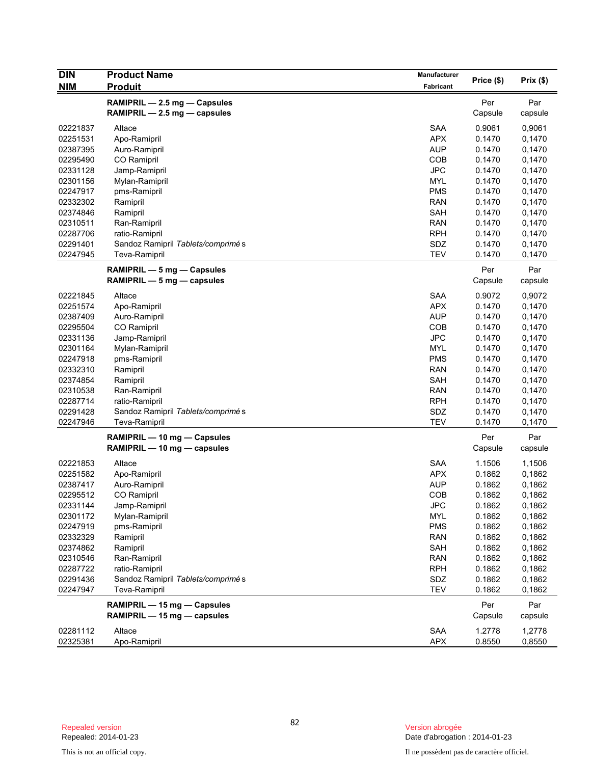| <b>DIN</b>           | <b>Product Name</b>               | <b>Manufacturer</b>      |                  |                  |
|----------------------|-----------------------------------|--------------------------|------------------|------------------|
| <b>NIM</b>           | <b>Produit</b>                    | Fabricant                | Price (\$)       | Prix(\$)         |
|                      | RAMIPRIL - 2.5 mg - Capsules      |                          | Per              | Par              |
|                      | RAMIPRIL - 2.5 mg - capsules      |                          | Capsule          | capsule          |
|                      |                                   |                          |                  |                  |
| 02221837             | Altace                            | <b>SAA</b>               | 0.9061           | 0,9061           |
| 02251531<br>02387395 | Apo-Ramipril                      | <b>APX</b><br><b>AUP</b> | 0.1470           | 0,1470           |
| 02295490             | Auro-Ramipril<br>CO Ramipril      | <b>COB</b>               | 0.1470<br>0.1470 | 0,1470<br>0,1470 |
| 02331128             | Jamp-Ramipril                     | <b>JPC</b>               | 0.1470           | 0,1470           |
| 02301156             | Mylan-Ramipril                    | <b>MYL</b>               | 0.1470           | 0,1470           |
| 02247917             | pms-Ramipril                      | <b>PMS</b>               | 0.1470           | 0,1470           |
| 02332302             | Ramipril                          | <b>RAN</b>               | 0.1470           | 0,1470           |
| 02374846             | Ramipril                          | SAH                      | 0.1470           | 0,1470           |
| 02310511             | Ran-Ramipril                      | <b>RAN</b>               | 0.1470           | 0,1470           |
| 02287706             | ratio-Ramipril                    | <b>RPH</b>               | 0.1470           | 0,1470           |
| 02291401             | Sandoz Ramipril Tablets/comprimés | SDZ                      | 0.1470           | 0,1470           |
| 02247945             | Teva-Ramipril                     | <b>TEV</b>               | 0.1470           | 0,1470           |
|                      |                                   |                          |                  |                  |
|                      | RAMIPRIL - 5 mg - Capsules        |                          | Per              | Par              |
|                      | RAMIPRIL - 5 mg - capsules        |                          | Capsule          | capsule          |
| 02221845             | Altace                            | <b>SAA</b>               | 0.9072           | 0,9072           |
| 02251574             | Apo-Ramipril                      | <b>APX</b>               | 0.1470           | 0,1470           |
| 02387409             | Auro-Ramipril                     | <b>AUP</b>               | 0.1470           | 0,1470           |
| 02295504             | CO Ramipril                       | COB                      | 0.1470           | 0,1470           |
| 02331136             | Jamp-Ramipril                     | <b>JPC</b>               | 0.1470           | 0,1470           |
| 02301164             | Mylan-Ramipril                    | <b>MYL</b>               | 0.1470           | 0,1470           |
| 02247918             | pms-Ramipril                      | <b>PMS</b>               | 0.1470           | 0,1470           |
| 02332310             | Ramipril                          | <b>RAN</b>               | 0.1470           | 0,1470           |
| 02374854             | Ramipril                          | SAH                      | 0.1470           | 0,1470           |
| 02310538             | Ran-Ramipril                      | <b>RAN</b>               | 0.1470           | 0,1470           |
| 02287714             | ratio-Ramipril                    | <b>RPH</b>               | 0.1470           | 0,1470           |
| 02291428             | Sandoz Ramipril Tablets/comprimés | SDZ                      | 0.1470           | 0,1470           |
| 02247946             | Teva-Ramipril                     | <b>TEV</b>               | 0.1470           | 0,1470           |
|                      | RAMIPRIL - 10 mg - Capsules       |                          | Per              | Par              |
|                      | RAMIPRIL - 10 mg - capsules       |                          | Capsule          | capsule          |
|                      |                                   |                          |                  |                  |
| 02221853             | Altace                            | <b>SAA</b>               | 1.1506           | 1,1506           |
| 02251582             | Apo-Ramipril                      | <b>APX</b>               | 0.1862           | 0,1862           |
| 02387417             | Auro-Ramipril                     | <b>AUP</b>               | 0.1862           | 0,1862           |
| 02295512             | CO Ramipril                       | COB                      | 0.1862           | 0,1862           |
| 02331144             | Jamp-Ramipril                     | <b>JPC</b>               | 0.1862           | 0,1862           |
| 02301172             | Mylan-Ramipril                    | <b>MYL</b>               | 0.1862           | 0,1862           |
| 02247919             | pms-Ramipril                      | <b>PMS</b>               | 0.1862           | 0,1862           |
| 02332329             | Ramipril                          | <b>RAN</b>               | 0.1862           | 0,1862           |
| 02374862             | Ramipril                          | SAH                      | 0.1862           | 0,1862           |
| 02310546             | Ran-Ramipril                      | <b>RAN</b>               | 0.1862           | 0,1862           |
| 02287722             | ratio-Ramipril                    | <b>RPH</b>               | 0.1862           | 0,1862           |
| 02291436             | Sandoz Ramipril Tablets/comprimés | SDZ                      | 0.1862           | 0,1862           |
| 02247947             | Teva-Ramipril                     | <b>TEV</b>               | 0.1862           | 0,1862           |
|                      | RAMIPRIL - 15 mg - Capsules       |                          | Per              | Par              |
|                      | RAMIPRIL - 15 mg - capsules       |                          | Capsule          | capsule          |
| 02281112             | Altace                            | SAA                      | 1.2778           | 1,2778           |
| 02325381             | Apo-Ramipril                      | <b>APX</b>               | 0.8550           | 0,8550           |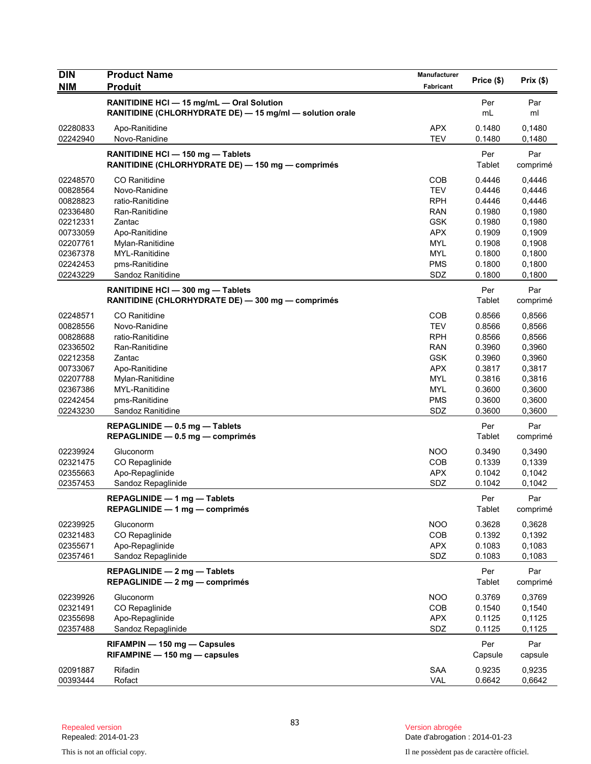| <b>DIN</b> | <b>Product Name</b>                                      | Manufacturer | Price (\$) | Prix(\$) |
|------------|----------------------------------------------------------|--------------|------------|----------|
| NIM        | <b>Produit</b>                                           | Fabricant    |            |          |
|            | RANITIDINE HCI - 15 mg/mL - Oral Solution                |              | Per        | Par      |
|            | RANITIDINE (CHLORHYDRATE DE) - 15 mg/ml - solution orale |              | mL         | ml       |
| 02280833   | Apo-Ranitidine                                           | <b>APX</b>   | 0.1480     | 0,1480   |
| 02242940   | Novo-Ranidine                                            | <b>TEV</b>   | 0.1480     | 0,1480   |
|            | RANITIDINE HCI - 150 mg - Tablets                        |              | Per        | Par      |
|            | RANITIDINE (CHLORHYDRATE DE) - 150 mg - comprimés        |              | Tablet     | comprimé |
| 02248570   | CO Ranitidine                                            | COB          | 0.4446     | 0,4446   |
| 00828564   | Novo-Ranidine                                            | <b>TEV</b>   | 0.4446     | 0,4446   |
| 00828823   | ratio-Ranitidine                                         | <b>RPH</b>   | 0.4446     | 0,4446   |
| 02336480   | Ran-Ranitidine                                           | <b>RAN</b>   | 0.1980     | 0,1980   |
| 02212331   | Zantac                                                   | <b>GSK</b>   | 0.1980     | 0,1980   |
| 00733059   | Apo-Ranitidine                                           | <b>APX</b>   | 0.1909     | 0,1909   |
| 02207761   | Mylan-Ranitidine                                         | <b>MYL</b>   | 0.1908     | 0,1908   |
| 02367378   | MYL-Ranitidine                                           | <b>MYL</b>   | 0.1800     | 0,1800   |
| 02242453   | pms-Ranitidine                                           | <b>PMS</b>   | 0.1800     | 0,1800   |
| 02243229   | Sandoz Ranitidine                                        | SDZ          | 0.1800     | 0,1800   |
|            | RANITIDINE HCI - 300 mg - Tablets                        |              | Per        | Par      |
|            | RANITIDINE (CHLORHYDRATE DE) - 300 mg - comprimés        |              | Tablet     | comprimé |
| 02248571   | <b>CO</b> Ranitidine                                     | COB          | 0.8566     | 0,8566   |
| 00828556   | Novo-Ranidine                                            | <b>TEV</b>   | 0.8566     | 0,8566   |
| 00828688   | ratio-Ranitidine                                         | <b>RPH</b>   | 0.8566     | 0,8566   |
| 02336502   | Ran-Ranitidine                                           | <b>RAN</b>   | 0.3960     | 0,3960   |
| 02212358   | Zantac                                                   | <b>GSK</b>   | 0.3960     | 0,3960   |
| 00733067   | Apo-Ranitidine                                           | <b>APX</b>   | 0.3817     | 0,3817   |
| 02207788   | Mylan-Ranitidine                                         | <b>MYL</b>   | 0.3816     | 0,3816   |
| 02367386   | MYL-Ranitidine                                           | <b>MYL</b>   | 0.3600     | 0,3600   |
| 02242454   | pms-Ranitidine                                           | <b>PMS</b>   | 0.3600     | 0,3600   |
| 02243230   | Sandoz Ranitidine                                        | SDZ          | 0.3600     | 0,3600   |
|            | REPAGLINIDE - 0.5 mg - Tablets                           |              | Per        | Par      |
|            | $REPAGLINIDE - 0.5 mg - comprimés$                       |              | Tablet     | comprimé |
| 02239924   | Gluconorm                                                | <b>NOO</b>   | 0.3490     | 0,3490   |
| 02321475   | CO Repaglinide                                           | COB          | 0.1339     | 0,1339   |
| 02355663   | Apo-Repaglinide                                          | <b>APX</b>   | 0.1042     | 0,1042   |
| 02357453   | Sandoz Repaglinide                                       | SDZ          | 0.1042     | 0,1042   |
|            | REPAGLINIDE - 1 mg - Tablets                             |              | Per        | Par      |
|            | $REPAGLINIDE - 1 mg - comprimés$                         |              | Tablet     | comprimé |
| 02239925   | Gluconorm                                                | <b>NOO</b>   | 0.3628     | 0,3628   |
| 02321483   | CO Repaglinide                                           | COB          | 0.1392     | 0,1392   |
| 02355671   | Apo-Repaglinide                                          | <b>APX</b>   | 0.1083     | 0,1083   |
| 02357461   | Sandoz Repaglinide                                       | SDZ          | 0.1083     | 0,1083   |
|            | REPAGLINIDE - 2 mg - Tablets                             |              | Per        | Par      |
|            | $REPAGLINIDE - 2 mg - comprimés$                         |              | Tablet     | comprimé |
| 02239926   | Gluconorm                                                | <b>NOO</b>   | 0.3769     | 0,3769   |
| 02321491   | CO Repaglinide                                           | COB          | 0.1540     | 0,1540   |
| 02355698   | Apo-Repaglinide                                          | <b>APX</b>   | 0.1125     | 0,1125   |
| 02357488   | Sandoz Repaglinide                                       | SDZ          | 0.1125     | 0,1125   |
|            | RIFAMPIN - 150 mg - Capsules                             |              | Per        | Par      |
|            | $RIFAMPINE - 150 mg - capsules$                          |              | Capsule    | capsule  |
| 02091887   | Rifadin                                                  | <b>SAA</b>   | 0.9235     | 0,9235   |
| 00393444   | Rofact                                                   | VAL          | 0.6642     | 0,6642   |
|            |                                                          |              |            |          |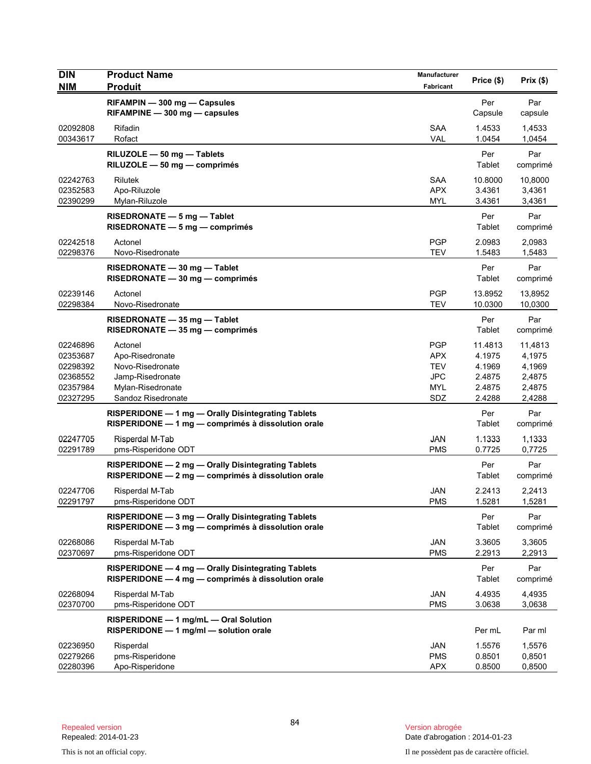| <b>DIN</b><br><b>NIM</b>                                             | <b>Product Name</b><br><b>Produit</b>                                                                         | Manufacturer<br>Fabricant                                          | Price (\$)                                                | Prix(\$)                                                  |
|----------------------------------------------------------------------|---------------------------------------------------------------------------------------------------------------|--------------------------------------------------------------------|-----------------------------------------------------------|-----------------------------------------------------------|
|                                                                      | RIFAMPIN - 300 mg - Capsules<br>$RIFAMPINE - 300 mg - capsules$                                               |                                                                    | Per<br>Capsule                                            | Par<br>capsule                                            |
| 02092808<br>00343617                                                 | Rifadin<br>Rofact                                                                                             | <b>SAA</b><br><b>VAL</b>                                           | 1.4533<br>1.0454                                          | 1,4533<br>1,0454                                          |
|                                                                      | RILUZOLE - 50 mg - Tablets<br>RILUZOLE - 50 mg - comprimés                                                    |                                                                    | Per<br>Tablet                                             | Par<br>comprimé                                           |
| 02242763<br>02352583<br>02390299                                     | Rilutek<br>Apo-Riluzole<br>Mylan-Riluzole                                                                     | <b>SAA</b><br><b>APX</b><br><b>MYL</b>                             | 10.8000<br>3.4361<br>3.4361                               | 10,8000<br>3,4361<br>3,4361                               |
|                                                                      | RISEDRONATE - 5 mg - Tablet<br>$RISEDRONATE - 5 mg - comprimés$                                               |                                                                    | Per<br>Tablet                                             | Par<br>comprimé                                           |
| 02242518<br>02298376                                                 | Actonel<br>Novo-Risedronate                                                                                   | <b>PGP</b><br><b>TEV</b>                                           | 2.0983<br>1.5483                                          | 2,0983<br>1,5483                                          |
|                                                                      | RISEDRONATE - 30 mg - Tablet<br>RISEDRONATE - 30 mg - comprimés                                               |                                                                    | Per<br>Tablet                                             | Par<br>comprimé                                           |
| 02239146<br>02298384                                                 | Actonel<br>Novo-Risedronate                                                                                   | <b>PGP</b><br><b>TEV</b>                                           | 13.8952<br>10.0300                                        | 13,8952<br>10,0300                                        |
|                                                                      | RISEDRONATE - 35 mg - Tablet<br>$RISEDRONATE - 35 mg - comprimés$                                             |                                                                    | Per<br>Tablet                                             | Par<br>comprimé                                           |
| 02246896<br>02353687<br>02298392<br>02368552<br>02357984<br>02327295 | Actonel<br>Apo-Risedronate<br>Novo-Risedronate<br>Jamp-Risedronate<br>Mylan-Risedronate<br>Sandoz Risedronate | <b>PGP</b><br><b>APX</b><br><b>TEV</b><br>JPC<br><b>MYL</b><br>SDZ | 11.4813<br>4.1975<br>4.1969<br>2.4875<br>2.4875<br>2.4288 | 11,4813<br>4,1975<br>4,1969<br>2,4875<br>2,4875<br>2,4288 |
|                                                                      | RISPERIDONE - 1 mg - Orally Disintegrating Tablets<br>RISPERIDONE - 1 mg - comprimés à dissolution orale      |                                                                    | Per<br>Tablet                                             | Par<br>comprimé                                           |
| 02247705<br>02291789                                                 | Risperdal M-Tab<br>pms-Risperidone ODT                                                                        | JAN<br><b>PMS</b>                                                  | 1.1333<br>0.7725                                          | 1,1333<br>0,7725                                          |
|                                                                      | RISPERIDONE - 2 mg - Orally Disintegrating Tablets<br>RISPERIDONE - 2 mg - comprimés à dissolution orale      |                                                                    | Per<br>Tablet                                             | Par<br>comprimé                                           |
| 02247706<br>02291797                                                 | Risperdal M-Tab<br>pms-Risperidone ODT                                                                        | JAN<br><b>PMS</b>                                                  | 2.2413<br>1.5281                                          | 2,2413<br>1,5281                                          |
|                                                                      | RISPERIDONE - 3 mg - Orally Disintegrating Tablets<br>RISPERIDONE - 3 mg - comprimés à dissolution orale      |                                                                    | Per<br>Tablet                                             | Par<br>comprimé                                           |
| 02268086<br>02370697                                                 | Risperdal M-Tab<br>pms-Risperidone ODT                                                                        | JAN<br><b>PMS</b>                                                  | 3.3605<br>2.2913                                          | 3,3605<br>2,2913                                          |
|                                                                      | RISPERIDONE - 4 mg - Orally Disintegrating Tablets<br>RISPERIDONE - 4 mg - comprimés à dissolution orale      |                                                                    | Per<br>Tablet                                             | Par<br>comprimé                                           |
| 02268094<br>02370700                                                 | Risperdal M-Tab<br>pms-Risperidone ODT                                                                        | <b>JAN</b><br><b>PMS</b>                                           | 4.4935<br>3.0638                                          | 4,4935<br>3,0638                                          |
|                                                                      | RISPERIDONE - 1 mg/mL - Oral Solution<br>RISPERIDONE - 1 mg/ml - solution orale                               |                                                                    | Per mL                                                    | Par ml                                                    |
| 02236950<br>02279266<br>02280396                                     | Risperdal<br>pms-Risperidone<br>Apo-Risperidone                                                               | JAN<br><b>PMS</b><br><b>APX</b>                                    | 1.5576<br>0.8501<br>0.8500                                | 1,5576<br>0,8501<br>0,8500                                |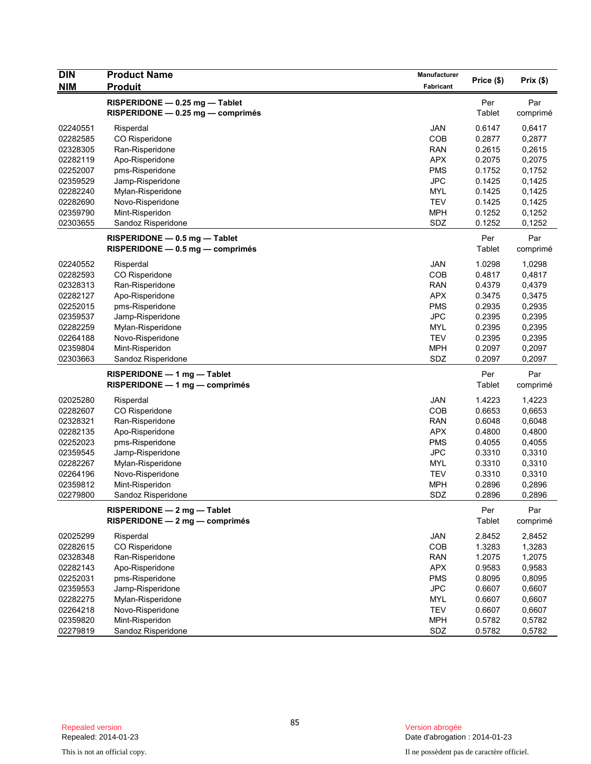| <b>DIN</b> | <b>Product Name</b>                | <b>Manufacturer</b> |            |          |
|------------|------------------------------------|---------------------|------------|----------|
| <b>NIM</b> | <b>Produit</b>                     | Fabricant           | Price (\$) | Prix(\$) |
|            | RISPERIDONE - 0.25 mg - Tablet     |                     | Per        | Par      |
|            | RISPERIDONE - 0.25 mg - comprimés  |                     | Tablet     | comprimé |
| 02240551   | Risperdal                          | <b>JAN</b>          | 0.6147     | 0,6417   |
| 02282585   | CO Risperidone                     | COB                 | 0.2877     | 0,2877   |
| 02328305   | Ran-Risperidone                    | <b>RAN</b>          | 0.2615     | 0,2615   |
| 02282119   | Apo-Risperidone                    | <b>APX</b>          | 0.2075     | 0,2075   |
| 02252007   | pms-Risperidone                    | <b>PMS</b>          | 0.1752     | 0,1752   |
| 02359529   | Jamp-Risperidone                   | <b>JPC</b>          | 0.1425     | 0,1425   |
| 02282240   | Mylan-Risperidone                  | <b>MYL</b>          | 0.1425     | 0,1425   |
| 02282690   | Novo-Risperidone                   | <b>TEV</b>          | 0.1425     | 0,1425   |
| 02359790   | Mint-Risperidon                    | <b>MPH</b>          | 0.1252     | 0,1252   |
| 02303655   | Sandoz Risperidone                 | SDZ                 | 0.1252     | 0,1252   |
|            | RISPERIDONE - 0.5 mg - Tablet      |                     | Per        | Par      |
|            | $RISPERIDONE - 0.5 mg - comprimés$ |                     | Tablet     | comprimé |
|            |                                    |                     |            |          |
| 02240552   | Risperdal                          | <b>JAN</b>          | 1.0298     | 1,0298   |
| 02282593   | CO Risperidone                     | COB                 | 0.4817     | 0,4817   |
| 02328313   | Ran-Risperidone                    | <b>RAN</b>          | 0.4379     | 0,4379   |
| 02282127   | Apo-Risperidone                    | <b>APX</b>          | 0.3475     | 0,3475   |
| 02252015   | pms-Risperidone                    | <b>PMS</b>          | 0.2935     | 0,2935   |
| 02359537   | Jamp-Risperidone                   | <b>JPC</b>          | 0.2395     | 0,2395   |
| 02282259   | Mylan-Risperidone                  | <b>MYL</b>          | 0.2395     | 0,2395   |
| 02264188   | Novo-Risperidone                   | <b>TEV</b>          | 0.2395     | 0,2395   |
| 02359804   | Mint-Risperidon                    | <b>MPH</b>          | 0.2097     | 0,2097   |
| 02303663   | Sandoz Risperidone                 | SDZ                 | 0.2097     | 0,2097   |
|            | $RISPERIDONE - 1 mg - Tablet$      |                     | Per        | Par      |
|            | RISPERIDONE - 1 mg - comprimés     |                     | Tablet     | comprimé |
| 02025280   | Risperdal                          | <b>JAN</b>          | 1.4223     | 1,4223   |
| 02282607   | CO Risperidone                     | COB                 | 0.6653     | 0,6653   |
| 02328321   | Ran-Risperidone                    | <b>RAN</b>          | 0.6048     | 0,6048   |
| 02282135   | Apo-Risperidone                    | <b>APX</b>          | 0.4800     | 0,4800   |
| 02252023   | pms-Risperidone                    | <b>PMS</b>          | 0.4055     | 0,4055   |
| 02359545   | Jamp-Risperidone                   | <b>JPC</b>          | 0.3310     | 0,3310   |
| 02282267   | Mylan-Risperidone                  | MYL                 | 0.3310     | 0,3310   |
| 02264196   | Novo-Risperidone                   | <b>TEV</b>          | 0.3310     | 0,3310   |
| 02359812   | Mint-Risperidon                    | <b>MPH</b>          | 0.2896     | 0,2896   |
| 02279800   | Sandoz Risperidone                 | SDZ                 | 0.2896     | 0,2896   |
|            | RISPERIDONE - 2 mg - Tablet        |                     | Per        | Par      |
|            | RISPERIDONE - 2 mg - comprimés     |                     | Tablet     | comprimé |
| 02025299   | Risperdal                          | JAN                 | 2.8452     | 2,8452   |
| 02282615   | CO Risperidone                     | COB                 | 1.3283     | 1,3283   |
| 02328348   | Ran-Risperidone                    | <b>RAN</b>          | 1.2075     | 1,2075   |
| 02282143   | Apo-Risperidone                    | <b>APX</b>          | 0.9583     | 0,9583   |
| 02252031   | pms-Risperidone                    | <b>PMS</b>          | 0.8095     | 0,8095   |
| 02359553   | Jamp-Risperidone                   | <b>JPC</b>          | 0.6607     | 0,6607   |
| 02282275   | Mylan-Risperidone                  | <b>MYL</b>          | 0.6607     | 0,6607   |
| 02264218   | Novo-Risperidone                   | <b>TEV</b>          | 0.6607     | 0,6607   |
| 02359820   | Mint-Risperidon                    | <b>MPH</b>          | 0.5782     | 0,5782   |
| 02279819   | Sandoz Risperidone                 | SDZ                 | 0.5782     | 0,5782   |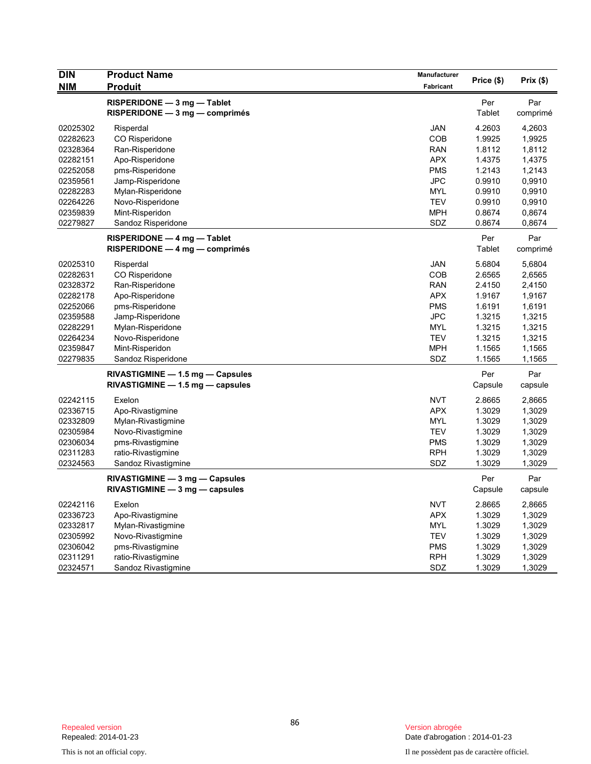| <b>DIN</b> | <b>Product Name</b>                                             | Manufacturer | Price (\$)    | Prix(\$)        |
|------------|-----------------------------------------------------------------|--------------|---------------|-----------------|
| <b>NIM</b> | <b>Produit</b>                                                  | Fabricant    |               |                 |
|            | RISPERIDONE - 3 mg - Tablet<br>$RISPERIDONE - 3 mg - comprimés$ |              | Per<br>Tablet | Par<br>comprimé |
| 02025302   | Risperdal                                                       | JAN          | 4.2603        | 4,2603          |
| 02282623   | CO Risperidone                                                  | COB          | 1.9925        | 1,9925          |
| 02328364   | Ran-Risperidone                                                 | <b>RAN</b>   | 1.8112        | 1,8112          |
| 02282151   | Apo-Risperidone                                                 | <b>APX</b>   | 1.4375        | 1,4375          |
| 02252058   | pms-Risperidone                                                 | <b>PMS</b>   | 1.2143        | 1,2143          |
| 02359561   | Jamp-Risperidone                                                | JPC          | 0.9910        | 0,9910          |
| 02282283   | Mylan-Risperidone                                               | <b>MYL</b>   | 0.9910        | 0,9910          |
| 02264226   | Novo-Risperidone                                                | <b>TEV</b>   | 0.9910        | 0,9910          |
| 02359839   | Mint-Risperidon                                                 | <b>MPH</b>   | 0.8674        | 0,8674          |
| 02279827   | Sandoz Risperidone                                              | SDZ          | 0.8674        | 0,8674          |
|            | RISPERIDONE - 4 mg - Tablet                                     |              | Per           | Par             |
|            | $RISPERIDONE - 4 mg - comprimés$                                |              | Tablet        | comprimé        |
| 02025310   | Risperdal                                                       | <b>JAN</b>   | 5.6804        | 5,6804          |
| 02282631   | CO Risperidone                                                  | <b>COB</b>   | 2.6565        | 2,6565          |
| 02328372   | Ran-Risperidone                                                 | <b>RAN</b>   | 2.4150        | 2,4150          |
| 02282178   | Apo-Risperidone                                                 | <b>APX</b>   | 1.9167        | 1,9167          |
| 02252066   | pms-Risperidone                                                 | <b>PMS</b>   | 1.6191        | 1,6191          |
| 02359588   | Jamp-Risperidone                                                | <b>JPC</b>   | 1.3215        | 1,3215          |
| 02282291   | Mylan-Risperidone                                               | <b>MYL</b>   | 1.3215        | 1,3215          |
| 02264234   | Novo-Risperidone                                                | <b>TEV</b>   | 1.3215        | 1,3215          |
| 02359847   | Mint-Risperidon                                                 | <b>MPH</b>   | 1.1565        | 1,1565          |
| 02279835   | Sandoz Risperidone                                              | SDZ          | 1.1565        | 1,1565          |
|            | $RIVASTIGMINE - 1.5 mg - Capsules$                              |              | Per           | Par             |
|            | $RIVASTIGMINE - 1.5 mg - capsules$                              |              | Capsule       | capsule         |
| 02242115   | Exelon                                                          | <b>NVT</b>   | 2.8665        | 2,8665          |
| 02336715   | Apo-Rivastigmine                                                | <b>APX</b>   | 1.3029        | 1,3029          |
| 02332809   | Mylan-Rivastigmine                                              | <b>MYL</b>   | 1.3029        | 1,3029          |
| 02305984   | Novo-Rivastigmine                                               | <b>TEV</b>   | 1.3029        | 1,3029          |
| 02306034   | pms-Rivastigmine                                                | <b>PMS</b>   | 1.3029        | 1,3029          |
| 02311283   | ratio-Rivastigmine                                              | <b>RPH</b>   | 1.3029        | 1,3029          |
| 02324563   | Sandoz Rivastigmine                                             | SDZ          | 1.3029        | 1,3029          |
|            | RIVASTIGMINE - 3 mg - Capsules                                  |              | Per           | Par             |
|            | $RIVASTIGMINE - 3 mg - capsules$                                |              | Capsule       | capsule         |
| 02242116   | Exelon                                                          | <b>NVT</b>   | 2.8665        | 2,8665          |
| 02336723   | Apo-Rivastigmine                                                | <b>APX</b>   | 1.3029        | 1,3029          |
| 02332817   | Mylan-Rivastigmine                                              | <b>MYL</b>   | 1.3029        | 1,3029          |
| 02305992   | Novo-Rivastigmine                                               | <b>TEV</b>   | 1.3029        | 1,3029          |
| 02306042   | pms-Rivastigmine                                                | <b>PMS</b>   | 1.3029        | 1,3029          |
| 02311291   | ratio-Rivastigmine                                              | <b>RPH</b>   | 1.3029        | 1,3029          |
| 02324571   | Sandoz Rivastigmine                                             | SDZ          | 1.3029        | 1,3029          |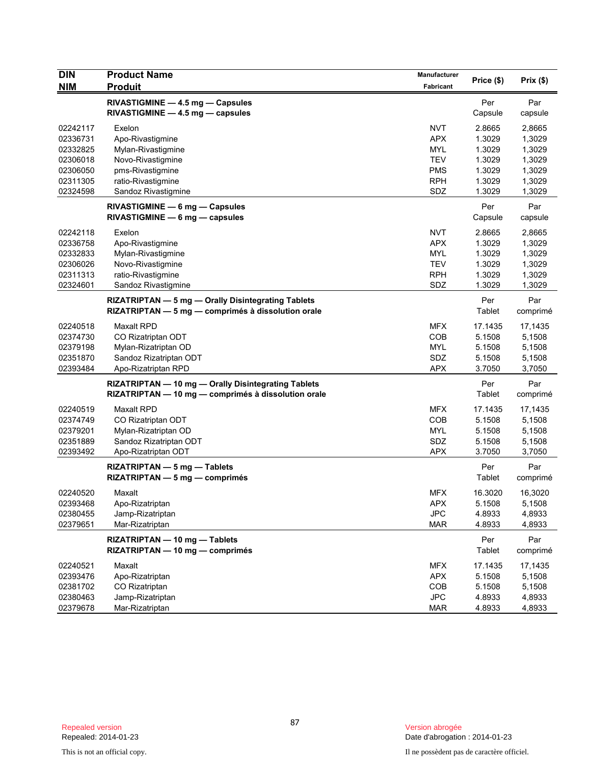| <b>DIN</b>                                                           | <b>Product Name</b>                                                                                                | Manufacturer                                                       | Price (\$)                                               | Prix(\$)                                                 |
|----------------------------------------------------------------------|--------------------------------------------------------------------------------------------------------------------|--------------------------------------------------------------------|----------------------------------------------------------|----------------------------------------------------------|
| <b>NIM</b>                                                           | <b>Produit</b>                                                                                                     | Fabricant                                                          |                                                          |                                                          |
|                                                                      | RIVASTIGMINE - 4.5 mg - Capsules<br>$RIVASTIGMINE - 4.5 mg - capsules$                                             |                                                                    | Per<br>Capsule                                           | Par<br>capsule                                           |
| 02242117<br>02336731<br>02332825<br>02306018<br>02306050             | Exelon<br>Apo-Rivastigmine<br>Mylan-Rivastigmine<br>Novo-Rivastigmine<br>pms-Rivastigmine                          | <b>NVT</b><br><b>APX</b><br>MYL<br><b>TEV</b><br>PMS               | 2.8665<br>1.3029<br>1.3029<br>1.3029<br>1.3029           | 2,8665<br>1,3029<br>1,3029<br>1,3029<br>1,3029           |
| 02311305<br>02324598                                                 | ratio-Rivastigmine<br>Sandoz Rivastigmine                                                                          | <b>RPH</b><br>SDZ                                                  | 1.3029<br>1.3029                                         | 1,3029<br>1,3029                                         |
|                                                                      | RIVASTIGMINE - 6 mg - Capsules<br>$RIVASTIGMINE - 6 mg - capsules$                                                 |                                                                    | Per<br>Capsule                                           | Par<br>capsule                                           |
| 02242118<br>02336758<br>02332833<br>02306026<br>02311313<br>02324601 | Exelon<br>Apo-Rivastigmine<br>Mylan-Rivastigmine<br>Novo-Rivastigmine<br>ratio-Rivastigmine<br>Sandoz Rivastigmine | <b>NVT</b><br><b>APX</b><br>MYL<br><b>TEV</b><br><b>RPH</b><br>SDZ | 2.8665<br>1.3029<br>1.3029<br>1.3029<br>1.3029<br>1.3029 | 2,8665<br>1,3029<br>1,3029<br>1,3029<br>1,3029<br>1,3029 |
|                                                                      | RIZATRIPTAN - 5 mg - Orally Disintegrating Tablets<br>RIZATRIPTAN - 5 mg - comprimés à dissolution orale           |                                                                    | Per<br>Tablet                                            | Par<br>comprimé                                          |
| 02240518<br>02374730<br>02379198<br>02351870<br>02393484             | <b>Maxalt RPD</b><br>CO Rizatriptan ODT<br>Mylan-Rizatriptan OD<br>Sandoz Rizatriptan ODT<br>Apo-Rizatriptan RPD   | <b>MFX</b><br>COB<br><b>MYL</b><br>SDZ<br><b>APX</b>               | 17.1435<br>5.1508<br>5.1508<br>5.1508<br>3.7050          | 17,1435<br>5,1508<br>5,1508<br>5,1508<br>3,7050          |
|                                                                      | RIZATRIPTAN - 10 mg - Orally Disintegrating Tablets<br>RIZATRIPTAN - 10 mg - comprimés à dissolution orale         |                                                                    | Per<br>Tablet                                            | Par<br>comprimé                                          |
| 02240519<br>02374749<br>02379201<br>02351889<br>02393492             | <b>Maxalt RPD</b><br>CO Rizatriptan ODT<br>Mylan-Rizatriptan OD<br>Sandoz Rizatriptan ODT<br>Apo-Rizatriptan ODT   | <b>MFX</b><br><b>COB</b><br><b>MYL</b><br>SDZ<br><b>APX</b>        | 17.1435<br>5.1508<br>5.1508<br>5.1508<br>3.7050          | 17,1435<br>5,1508<br>5,1508<br>5,1508<br>3,7050          |
|                                                                      | RIZATRIPTAN - 5 mg - Tablets<br>$RIZATRIPTAN - 5 mg - comprimés$                                                   |                                                                    | Per<br>Tablet                                            | Par<br>comprimé                                          |
| 02240520<br>02393468<br>02380455<br>02379651                         | Maxalt<br>Apo-Rizatriptan<br>Jamp-Rizatriptan<br>Mar-Rizatriptan                                                   | <b>MFX</b><br>APX<br><b>JPC</b><br><b>MAR</b>                      | 16.3020<br>5.1508<br>4.8933<br>4.8933                    | 16,3020<br>5,1508<br>4,8933<br>4,8933                    |
|                                                                      | RIZATRIPTAN - 10 mg - Tablets<br>RIZATRIPTAN - 10 mg - comprimés                                                   |                                                                    | Per<br>Tablet                                            | Par<br>comprimé                                          |
| 02240521<br>02393476<br>02381702<br>02380463<br>02379678             | Maxalt<br>Apo-Rizatriptan<br>CO Rizatriptan<br>Jamp-Rizatriptan<br>Mar-Rizatriptan                                 | <b>MFX</b><br><b>APX</b><br>COB<br><b>JPC</b><br>MAR               | 17.1435<br>5.1508<br>5.1508<br>4.8933<br>4.8933          | 17,1435<br>5,1508<br>5,1508<br>4,8933<br>4,8933          |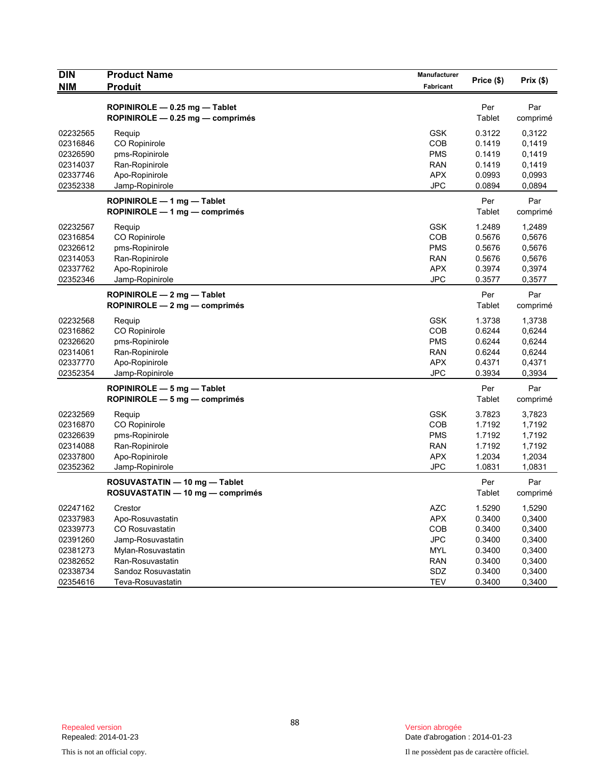| <b>DIN</b>                                                           | <b>Product Name</b>                                                                                           | Manufacturer                                                              | Price (\$)                                               | Prix(\$)                                                 |
|----------------------------------------------------------------------|---------------------------------------------------------------------------------------------------------------|---------------------------------------------------------------------------|----------------------------------------------------------|----------------------------------------------------------|
| <b>NIM</b>                                                           | <b>Produit</b>                                                                                                | Fabricant                                                                 |                                                          |                                                          |
|                                                                      | ROPINIROLE - 0.25 mg - Tablet<br>ROPINIROLE - 0.25 mg - comprimés                                             |                                                                           | Per<br>Tablet                                            | Par<br>comprimé                                          |
| 02232565<br>02316846<br>02326590<br>02314037<br>02337746<br>02352338 | Requip<br>CO Ropinirole<br>pms-Ropinirole<br>Ran-Ropinirole<br>Apo-Ropinirole<br>Jamp-Ropinirole              | <b>GSK</b><br>COB<br><b>PMS</b><br><b>RAN</b><br><b>APX</b><br><b>JPC</b> | 0.3122<br>0.1419<br>0.1419<br>0.1419<br>0.0993<br>0.0894 | 0,3122<br>0,1419<br>0,1419<br>0,1419<br>0,0993<br>0,0894 |
|                                                                      | ROPINIROLE - 1 mg - Tablet<br>ROPINIROLE $-1$ mg $-$ comprimes                                                |                                                                           | Per<br>Tablet                                            | Par<br>comprimé                                          |
| 02232567<br>02316854<br>02326612<br>02314053<br>02337762<br>02352346 | Requip<br>CO Ropinirole<br>pms-Ropinirole<br>Ran-Ropinirole<br>Apo-Ropinirole<br>Jamp-Ropinirole              | <b>GSK</b><br>COB<br><b>PMS</b><br><b>RAN</b><br><b>APX</b><br><b>JPC</b> | 1.2489<br>0.5676<br>0.5676<br>0.5676<br>0.3974<br>0.3577 | 1,2489<br>0,5676<br>0,5676<br>0,5676<br>0,3974<br>0,3577 |
|                                                                      | ROPINIROLE $-2$ mg $-$ Tablet<br>ROPINIROLE $-2$ mg $-$ comprimes                                             |                                                                           | Per<br>Tablet                                            | Par<br>comprimé                                          |
| 02232568<br>02316862<br>02326620<br>02314061<br>02337770<br>02352354 | Requip<br>CO Ropinirole<br>pms-Ropinirole<br>Ran-Ropinirole<br>Apo-Ropinirole<br>Jamp-Ropinirole              | <b>GSK</b><br>COB<br><b>PMS</b><br><b>RAN</b><br><b>APX</b><br><b>JPC</b> | 1.3738<br>0.6244<br>0.6244<br>0.6244<br>0.4371<br>0.3934 | 1,3738<br>0,6244<br>0,6244<br>0,6244<br>0,4371<br>0,3934 |
|                                                                      | ROPINIROLE - 5 mg - Tablet<br>ROPINIROLE $-5$ mg $-$ comprimes                                                |                                                                           | Per<br>Tablet                                            | Par<br>comprimé                                          |
| 02232569<br>02316870<br>02326639<br>02314088<br>02337800<br>02352362 | Requip<br>CO Ropinirole<br>pms-Ropinirole<br>Ran-Ropinirole<br>Apo-Ropinirole<br>Jamp-Ropinirole              | <b>GSK</b><br>COB<br><b>PMS</b><br><b>RAN</b><br><b>APX</b><br><b>JPC</b> | 3.7823<br>1.7192<br>1.7192<br>1.7192<br>1.2034<br>1.0831 | 3,7823<br>1,7192<br>1,7192<br>1,7192<br>1,2034<br>1,0831 |
|                                                                      | ROSUVASTATIN - 10 mg - Tablet<br>ROSUVASTATIN - 10 mg - comprimés                                             |                                                                           | Per<br>Tablet                                            | Par<br>comprimé                                          |
| 02247162<br>02337983<br>02339773<br>02391260<br>02381273<br>02382652 | Crestor<br>Apo-Rosuvastatin<br>CO Rosuvastatin<br>Jamp-Rosuvastatin<br>Mylan-Rosuvastatin<br>Ran-Rosuvastatin | <b>AZC</b><br>APX<br>COB<br><b>JPC</b><br><b>MYL</b><br><b>RAN</b>        | 1.5290<br>0.3400<br>0.3400<br>0.3400<br>0.3400<br>0.3400 | 1,5290<br>0,3400<br>0,3400<br>0,3400<br>0,3400<br>0,3400 |
| 02338734<br>02354616                                                 | Sandoz Rosuvastatin<br>Teva-Rosuvastatin                                                                      | SDZ<br><b>TEV</b>                                                         | 0.3400<br>0.3400                                         | 0,3400<br>0,3400                                         |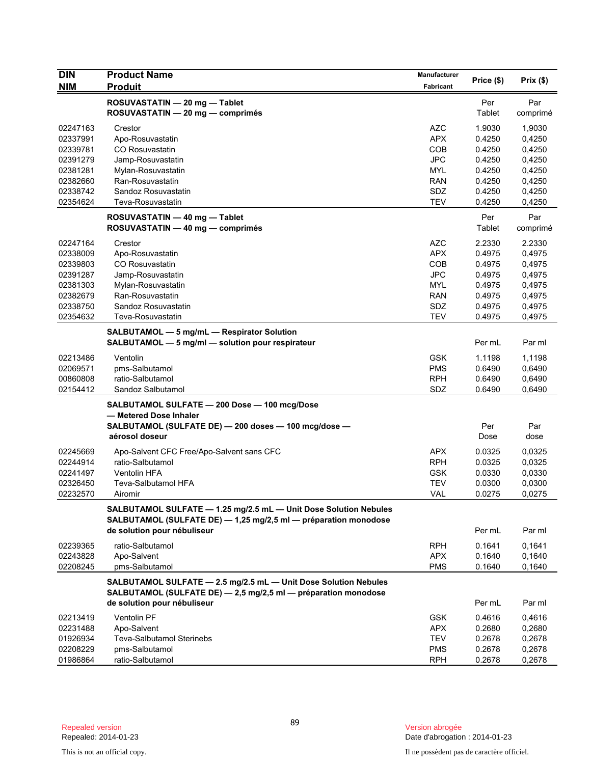| <b>DIN</b><br><b>NIM</b> | <b>Product Name</b><br><b>Produit</b>                                                                                             | <b>Manufacturer</b><br>Fabricant | Price (\$)    | Prix(\$)        |
|--------------------------|-----------------------------------------------------------------------------------------------------------------------------------|----------------------------------|---------------|-----------------|
|                          | ROSUVASTATIN - 20 mg - Tablet<br>ROSUVASTATIN - 20 mg - comprimés                                                                 |                                  | Per<br>Tablet | Par<br>comprimé |
| 02247163                 | Crestor                                                                                                                           | <b>AZC</b>                       | 1.9030        | 1,9030          |
| 02337991                 | Apo-Rosuvastatin                                                                                                                  | <b>APX</b>                       | 0.4250        | 0,4250          |
| 02339781                 | <b>CO Rosuvastatin</b>                                                                                                            | COB                              | 0.4250        | 0,4250          |
| 02391279                 | Jamp-Rosuvastatin                                                                                                                 | <b>JPC</b>                       | 0.4250        | 0,4250          |
| 02381281                 | Mylan-Rosuvastatin                                                                                                                | <b>MYL</b>                       | 0.4250        | 0,4250          |
| 02382660                 | Ran-Rosuvastatin                                                                                                                  | RAN                              | 0.4250        | 0,4250          |
| 02338742                 | Sandoz Rosuvastatin                                                                                                               | SDZ                              | 0.4250        | 0,4250          |
| 02354624                 | Teva-Rosuvastatin                                                                                                                 | <b>TEV</b>                       | 0.4250        | 0,4250          |
|                          | ROSUVASTATIN - 40 mg - Tablet                                                                                                     |                                  | Per           | Par             |
|                          | ROSUVASTATIN - 40 mg - comprimés                                                                                                  |                                  | Tablet        | comprimé        |
| 02247164                 | Crestor                                                                                                                           | <b>AZC</b>                       | 2.2330        | 2.2330          |
| 02338009                 | Apo-Rosuvastatin                                                                                                                  | <b>APX</b>                       | 0.4975        | 0,4975          |
| 02339803                 | <b>CO Rosuvastatin</b>                                                                                                            | COB                              | 0.4975        | 0,4975          |
| 02391287                 | Jamp-Rosuvastatin                                                                                                                 | <b>JPC</b>                       | 0.4975        | 0,4975          |
| 02381303                 | Mylan-Rosuvastatin                                                                                                                | <b>MYL</b>                       | 0.4975        | 0,4975          |
| 02382679                 | Ran-Rosuvastatin                                                                                                                  | <b>RAN</b>                       | 0.4975        | 0,4975          |
| 02338750                 | Sandoz Rosuvastatin                                                                                                               | SDZ                              | 0.4975        | 0,4975          |
| 02354632                 | Teva-Rosuvastatin                                                                                                                 | <b>TEV</b>                       | 0.4975        | 0,4975          |
|                          | SALBUTAMOL - 5 mg/mL - Respirator Solution<br>SALBUTAMOL - 5 mg/ml - solution pour respirateur                                    |                                  | Per mL        | Par ml          |
| 02213486                 | Ventolin                                                                                                                          | <b>GSK</b>                       | 1.1198        | 1,1198          |
| 02069571                 | pms-Salbutamol                                                                                                                    | <b>PMS</b>                       | 0.6490        | 0,6490          |
| 00860808                 | ratio-Salbutamol                                                                                                                  | <b>RPH</b>                       | 0.6490        | 0,6490          |
| 02154412                 | Sandoz Salbutamol                                                                                                                 | SDZ                              | 0.6490        | 0,6490          |
|                          | SALBUTAMOL SULFATE - 200 Dose - 100 mcg/Dose                                                                                      |                                  |               |                 |
|                          | — Metered Dose Inhaler                                                                                                            |                                  |               |                 |
|                          | SALBUTAMOL (SULFATE DE) - 200 doses - 100 mcg/dose -                                                                              |                                  | Per           | Par             |
|                          | aérosol doseur                                                                                                                    |                                  | Dose          | dose            |
| 02245669                 | Apo-Salvent CFC Free/Apo-Salvent sans CFC                                                                                         | <b>APX</b>                       | 0.0325        | 0,0325          |
|                          | ratio-Salbutamol                                                                                                                  | <b>RPH</b>                       |               |                 |
| 02244914                 |                                                                                                                                   |                                  | 0.0325        | 0,0325          |
| 02241497                 | <b>Ventolin HFA</b>                                                                                                               | <b>GSK</b>                       | 0.0330        | 0,0330          |
| 02326450                 | Teva-Salbutamol HFA                                                                                                               | <b>TEV</b>                       | 0.0300        | 0,0300          |
| 02232570                 | Airomir                                                                                                                           | VAL                              | 0.0275        | 0,0275          |
|                          | SALBUTAMOL SULFATE - 1.25 mg/2.5 mL - Unit Dose Solution Nebules                                                                  |                                  |               |                 |
|                          | SALBUTAMOL (SULFATE DE) - 1,25 mg/2,5 ml - préparation monodose<br>de solution pour nébuliseur                                    |                                  | Per mL        | Par ml          |
| 02239365                 | ratio-Salbutamol                                                                                                                  | <b>RPH</b>                       | 0.1641        | 0,1641          |
| 02243828                 | Apo-Salvent                                                                                                                       | <b>APX</b>                       | 0.1640        | 0,1640          |
| 02208245                 | pms-Salbutamol                                                                                                                    | <b>PMS</b>                       | 0.1640        | 0,1640          |
|                          |                                                                                                                                   |                                  |               |                 |
|                          | SALBUTAMOL SULFATE - 2.5 mg/2.5 mL - Unit Dose Solution Nebules<br>SALBUTAMOL (SULFATE DE) - 2,5 mg/2,5 ml - préparation monodose |                                  |               |                 |
|                          | de solution pour nébuliseur                                                                                                       |                                  | Per mL        | Par ml          |
| 02213419                 | Ventolin PF                                                                                                                       | <b>GSK</b>                       | 0.4616        | 0,4616          |
| 02231488                 | Apo-Salvent                                                                                                                       | <b>APX</b>                       | 0.2680        | 0,2680          |
| 01926934                 | <b>Teva-Salbutamol Sterinebs</b>                                                                                                  | <b>TEV</b>                       | 0.2678        | 0,2678          |
| 02208229                 | pms-Salbutamol                                                                                                                    | <b>PMS</b>                       | 0.2678        | 0,2678          |
| 01986864                 | ratio-Salbutamol                                                                                                                  | <b>RPH</b>                       | 0.2678        | 0,2678          |
|                          |                                                                                                                                   |                                  |               |                 |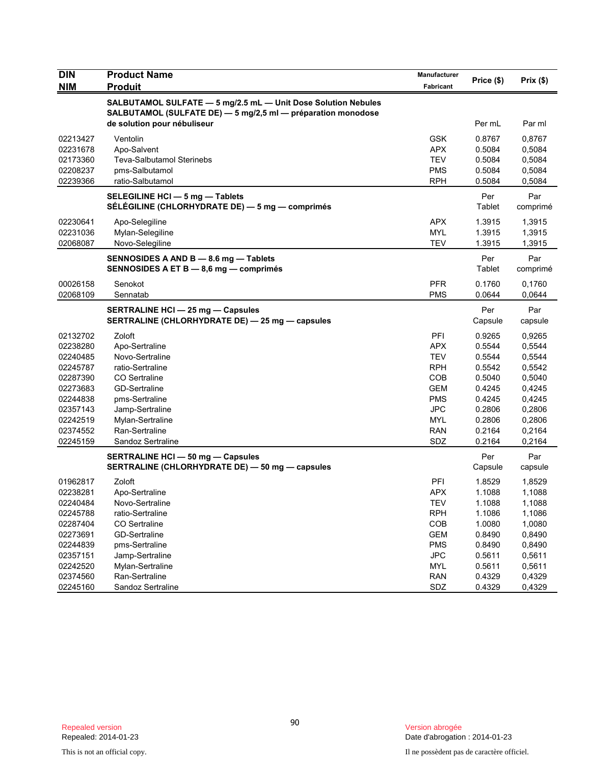| <b>DIN</b>           | <b>Product Name</b>                                                                                                           | Manufacturer             | Price (\$)       | Prix (\$)        |
|----------------------|-------------------------------------------------------------------------------------------------------------------------------|--------------------------|------------------|------------------|
| <b>NIM</b>           | <b>Produit</b>                                                                                                                | Fabricant                |                  |                  |
|                      | SALBUTAMOL SULFATE - 5 mg/2.5 mL - Unit Dose Solution Nebules<br>SALBUTAMOL (SULFATE DE) - 5 mg/2,5 ml - préparation monodose |                          |                  |                  |
|                      | de solution pour nébuliseur                                                                                                   |                          | Per mL           | Par ml           |
| 02213427             | Ventolin                                                                                                                      | <b>GSK</b>               | 0.8767           | 0,8767           |
| 02231678             | Apo-Salvent                                                                                                                   | <b>APX</b>               | 0.5084           | 0,5084           |
| 02173360             | <b>Teva-Salbutamol Sterinebs</b>                                                                                              | TEV                      | 0.5084           | 0,5084           |
| 02208237             | pms-Salbutamol                                                                                                                | <b>PMS</b>               | 0.5084           | 0,5084           |
| 02239366             | ratio-Salbutamol                                                                                                              | <b>RPH</b>               | 0.5084           | 0,5084           |
|                      | SELEGILINE HCI - 5 mg - Tablets<br>SÉLÉGILINE (CHLORHYDRATE DE) — 5 mg — comprimés                                            |                          | Per<br>Tablet    | Par<br>comprimé  |
|                      |                                                                                                                               |                          |                  |                  |
| 02230641             | Apo-Selegiline                                                                                                                | <b>APX</b>               | 1.3915           | 1,3915           |
| 02231036<br>02068087 | Mylan-Selegiline<br>Novo-Selegiline                                                                                           | <b>MYL</b><br><b>TEV</b> | 1.3915<br>1.3915 | 1,3915<br>1,3915 |
|                      |                                                                                                                               |                          |                  |                  |
|                      | SENNOSIDES A AND B - 8.6 mg - Tablets<br>SENNOSIDES A ET B - 8,6 mg - comprimés                                               |                          | Per<br>Tablet    | Par<br>comprimé  |
| 00026158             | Senokot                                                                                                                       | <b>PFR</b>               | 0.1760           | 0.1760           |
| 02068109             | Sennatab                                                                                                                      | <b>PMS</b>               | 0.0644           | 0,0644           |
|                      | <b>SERTRALINE HCI - 25 mg - Capsules</b>                                                                                      |                          | Per              | Par              |
|                      | SERTRALINE (CHLORHYDRATE DE) - 25 mg - capsules                                                                               |                          | Capsule          | capsule          |
| 02132702             | Zoloft                                                                                                                        | PFI                      | 0.9265           | 0.9265           |
| 02238280             | Apo-Sertraline                                                                                                                | <b>APX</b>               | 0.5544           | 0,5544           |
| 02240485             | Novo-Sertraline                                                                                                               | TEV                      | 0.5544           | 0,5544           |
| 02245787             | ratio-Sertraline                                                                                                              | <b>RPH</b>               | 0.5542           | 0,5542           |
| 02287390             | CO Sertraline                                                                                                                 | COB                      | 0.5040           | 0,5040           |
| 02273683             | GD-Sertraline                                                                                                                 | <b>GEM</b>               | 0.4245           | 0,4245           |
| 02244838             | pms-Sertraline                                                                                                                | <b>PMS</b>               | 0.4245           | 0,4245           |
| 02357143             | Jamp-Sertraline                                                                                                               | <b>JPC</b>               | 0.2806           | 0,2806           |
| 02242519             | Mylan-Sertraline                                                                                                              | <b>MYL</b>               | 0.2806           | 0,2806           |
| 02374552<br>02245159 | Ran-Sertraline<br>Sandoz Sertraline                                                                                           | <b>RAN</b><br>SDZ        | 0.2164<br>0.2164 | 0,2164<br>0,2164 |
|                      |                                                                                                                               |                          | Per              | Par              |
|                      | <b>SERTRALINE HCI - 50 mg - Capsules</b><br>SERTRALINE (CHLORHYDRATE DE) - 50 mg - capsules                                   |                          | Capsule          | capsule          |
| 01962817             | Zoloft                                                                                                                        | PFI                      | 1.8529           | 1,8529           |
| 02238281             | Apo-Sertraline                                                                                                                | <b>APX</b>               | 1.1088           | 1,1088           |
| 02240484             | Novo-Sertraline                                                                                                               | TEV                      | 1.1088           | 1,1088           |
| 02245788             | ratio-Sertraline                                                                                                              | <b>RPH</b>               | 1.1086           | 1,1086           |
| 02287404             | CO Sertraline                                                                                                                 | COB                      | 1.0080           | 1,0080           |
| 02273691             | GD-Sertraline                                                                                                                 | <b>GEM</b>               | 0.8490           | 0,8490           |
| 02244839             | pms-Sertraline                                                                                                                | <b>PMS</b>               | 0.8490           | 0,8490           |
| 02357151             | Jamp-Sertraline                                                                                                               | <b>JPC</b>               | 0.5611           | 0,5611           |
| 02242520             | Mylan-Sertraline                                                                                                              | <b>MYL</b>               | 0.5611           | 0,5611           |
| 02374560             | Ran-Sertraline                                                                                                                | <b>RAN</b>               | 0.4329           | 0,4329           |
| 02245160             | Sandoz Sertraline                                                                                                             | SDZ                      | 0.4329           | 0,4329           |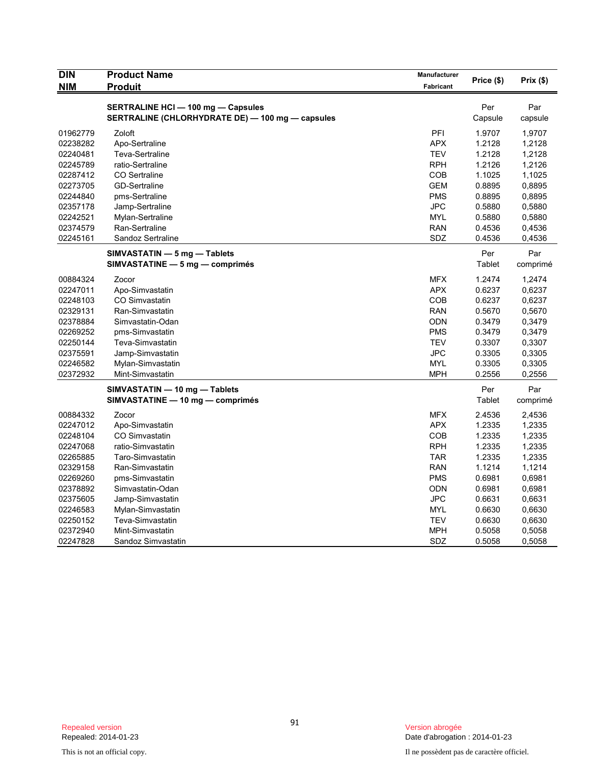| <b>DIN</b> | <b>Product Name</b>                                                                           | Manufacturer     | Price (\$)     | Prix $(\$)$ |
|------------|-----------------------------------------------------------------------------------------------|------------------|----------------|-------------|
| <b>NIM</b> | <b>Produit</b>                                                                                | <b>Fabricant</b> |                |             |
|            |                                                                                               |                  |                |             |
|            | <b>SERTRALINE HCI - 100 mg - Capsules</b><br>SERTRALINE (CHLORHYDRATE DE) - 100 mg - capsules |                  | Per<br>Capsule | Par         |
|            |                                                                                               |                  |                | capsule     |
| 01962779   | Zoloft                                                                                        | PFI              | 1.9707         | 1,9707      |
| 02238282   | Apo-Sertraline                                                                                | <b>APX</b>       | 1.2128         | 1,2128      |
| 02240481   | Teva-Sertraline                                                                               | <b>TEV</b>       | 1.2128         | 1,2128      |
| 02245789   | ratio-Sertraline                                                                              | <b>RPH</b>       | 1.2126         | 1,2126      |
| 02287412   | <b>CO</b> Sertraline                                                                          | COB              | 1.1025         | 1,1025      |
| 02273705   | <b>GD-Sertraline</b>                                                                          | <b>GEM</b>       | 0.8895         | 0,8895      |
| 02244840   | pms-Sertraline                                                                                | <b>PMS</b>       | 0.8895         | 0,8895      |
| 02357178   | Jamp-Sertraline                                                                               | <b>JPC</b>       | 0.5880         | 0,5880      |
| 02242521   | Mylan-Sertraline                                                                              | <b>MYL</b>       | 0.5880         | 0,5880      |
| 02374579   | Ran-Sertraline                                                                                | <b>RAN</b>       | 0.4536         | 0,4536      |
| 02245161   | Sandoz Sertraline                                                                             | SDZ              | 0.4536         | 0,4536      |
|            | SIMVASTATIN - 5 mg - Tablets                                                                  |                  | Per            | Par         |
|            | SIMVASTATINE - 5 mg - comprimés                                                               |                  | Tablet         | comprimé    |
| 00884324   | Zocor                                                                                         | <b>MFX</b>       | 1.2474         | 1,2474      |
| 02247011   | Apo-Simvastatin                                                                               | <b>APX</b>       | 0.6237         | 0,6237      |
| 02248103   | <b>CO Simvastatin</b>                                                                         | COB              | 0.6237         | 0,6237      |
| 02329131   | Ran-Simvastatin                                                                               | <b>RAN</b>       | 0.5670         | 0,5670      |
| 02378884   | Simvastatin-Odan                                                                              | <b>ODN</b>       | 0.3479         | 0,3479      |
| 02269252   | pms-Simvastatin                                                                               | <b>PMS</b>       | 0.3479         | 0,3479      |
| 02250144   | Teva-Simvastatin                                                                              | <b>TEV</b>       | 0.3307         | 0,3307      |
| 02375591   | Jamp-Simvastatin                                                                              | <b>JPC</b>       | 0.3305         | 0,3305      |
| 02246582   | Mylan-Simvastatin                                                                             | <b>MYL</b>       | 0.3305         | 0,3305      |
| 02372932   | Mint-Simvastatin                                                                              | MPH              | 0.2556         | 0,2556      |
|            | SIMVASTATIN - 10 mg - Tablets                                                                 |                  | Per            | Par         |
|            | SIMVASTATINE - 10 mg - comprimés                                                              |                  | Tablet         | comprimé    |
| 00884332   | Zocor                                                                                         | <b>MFX</b>       | 2.4536         | 2,4536      |
| 02247012   | Apo-Simvastatin                                                                               | <b>APX</b>       | 1.2335         | 1,2335      |
| 02248104   | CO Simvastatin                                                                                | COB              | 1.2335         | 1,2335      |
| 02247068   | ratio-Simvastatin                                                                             | <b>RPH</b>       | 1.2335         | 1,2335      |
| 02265885   | Taro-Simvastatin                                                                              | <b>TAR</b>       | 1.2335         | 1,2335      |
| 02329158   | Ran-Simvastatin                                                                               | <b>RAN</b>       | 1.1214         | 1,1214      |
| 02269260   | pms-Simvastatin                                                                               | <b>PMS</b>       | 0.6981         | 0,6981      |
| 02378892   | Simvastatin-Odan                                                                              | <b>ODN</b>       | 0.6981         | 0,6981      |
| 02375605   | Jamp-Simvastatin                                                                              | <b>JPC</b>       | 0.6631         | 0,6631      |
| 02246583   | Mylan-Simvastatin                                                                             | <b>MYL</b>       | 0.6630         | 0,6630      |
| 02250152   | Teva-Simvastatin                                                                              | <b>TEV</b>       | 0.6630         | 0,6630      |
| 02372940   | Mint-Simvastatin                                                                              | MPH              | 0.5058         | 0,5058      |
| 02247828   | Sandoz Simvastatin                                                                            | SDZ              | 0.5058         | 0,5058      |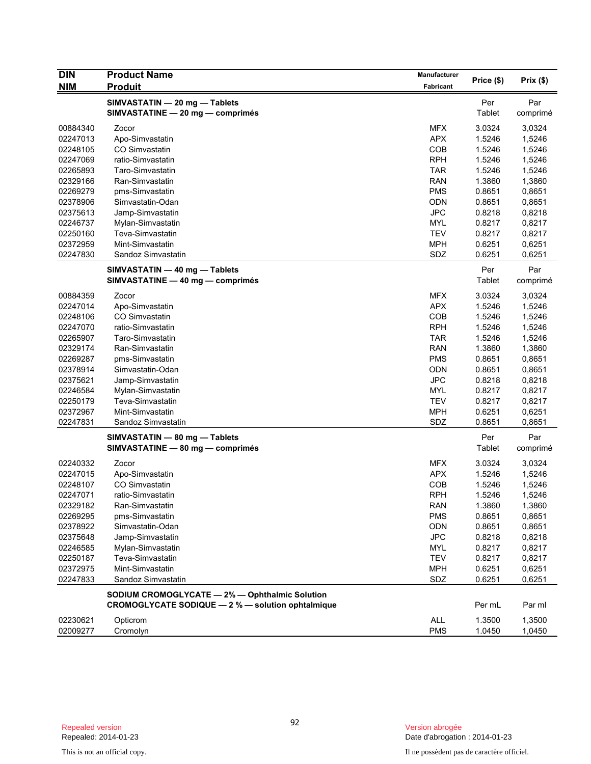| <b>DIN</b> | <b>Product Name</b>                               | Manufacturer |            |          |
|------------|---------------------------------------------------|--------------|------------|----------|
| <b>NIM</b> | <b>Produit</b>                                    | Fabricant    | Price (\$) | Prix(\$) |
|            | SIMVASTATIN - 20 mg - Tablets                     |              | Per        | Par      |
|            | SIMVASTATINE - 20 mg - comprimés                  |              | Tablet     | comprimé |
| 00884340   | Zocor                                             | <b>MFX</b>   | 3.0324     | 3,0324   |
| 02247013   | Apo-Simvastatin                                   | <b>APX</b>   | 1.5246     | 1,5246   |
| 02248105   | CO Simvastatin                                    | COB          | 1.5246     | 1,5246   |
| 02247069   | ratio-Simvastatin                                 | <b>RPH</b>   | 1.5246     | 1,5246   |
| 02265893   | Taro-Simvastatin                                  | <b>TAR</b>   | 1.5246     | 1,5246   |
| 02329166   | Ran-Simvastatin                                   | <b>RAN</b>   | 1.3860     | 1,3860   |
| 02269279   | pms-Simvastatin                                   | <b>PMS</b>   | 0.8651     | 0,8651   |
| 02378906   | Simvastatin-Odan                                  | <b>ODN</b>   | 0.8651     | 0,8651   |
| 02375613   | Jamp-Simvastatin                                  | <b>JPC</b>   | 0.8218     | 0,8218   |
| 02246737   | Mylan-Simvastatin                                 | <b>MYL</b>   | 0.8217     | 0,8217   |
| 02250160   | Teva-Simvastatin                                  | <b>TEV</b>   | 0.8217     | 0,8217   |
| 02372959   | Mint-Simvastatin                                  | <b>MPH</b>   | 0.6251     | 0,6251   |
| 02247830   | Sandoz Simvastatin                                | SDZ          | 0.6251     | 0,6251   |
|            | SIMVASTATIN - 40 mg - Tablets                     |              | Per        | Par      |
|            | SIMVASTATINE - 40 mg - comprimés                  |              | Tablet     | comprimé |
| 00884359   | Zocor                                             | <b>MFX</b>   | 3.0324     | 3,0324   |
| 02247014   | Apo-Simvastatin                                   | <b>APX</b>   | 1.5246     | 1,5246   |
| 02248106   | CO Simvastatin                                    | COB          | 1.5246     | 1,5246   |
| 02247070   | ratio-Simvastatin                                 | <b>RPH</b>   | 1.5246     | 1,5246   |
| 02265907   | Taro-Simvastatin                                  | <b>TAR</b>   | 1.5246     | 1,5246   |
| 02329174   | Ran-Simvastatin                                   | <b>RAN</b>   | 1.3860     | 1,3860   |
| 02269287   | pms-Simvastatin                                   | <b>PMS</b>   | 0.8651     | 0,8651   |
| 02378914   | Simvastatin-Odan                                  | <b>ODN</b>   | 0.8651     | 0,8651   |
| 02375621   | Jamp-Simvastatin                                  | <b>JPC</b>   | 0.8218     | 0,8218   |
| 02246584   | Mylan-Simvastatin                                 | <b>MYL</b>   | 0.8217     | 0,8217   |
| 02250179   | Teva-Simvastatin                                  | <b>TEV</b>   | 0.8217     | 0,8217   |
| 02372967   | Mint-Simvastatin                                  | <b>MPH</b>   | 0.6251     | 0,6251   |
| 02247831   | Sandoz Simvastatin                                | SDZ          | 0.8651     | 0,8651   |
|            | SIMVASTATIN - 80 mg - Tablets                     |              | Per        | Par      |
|            | SIMVASTATINE - 80 mg - comprimés                  |              | Tablet     | comprimé |
| 02240332   | Zocor                                             | <b>MFX</b>   | 3.0324     | 3,0324   |
| 02247015   | Apo-Simvastatin                                   | <b>APX</b>   | 1.5246     | 1,5246   |
| 02248107   | CO Simvastatin                                    | COB          | 1.5246     | 1,5246   |
| 02247071   | ratio-Simvastatin                                 | <b>RPH</b>   | 1.5246     | 1,5246   |
| 02329182   | Ran-Simvastatin                                   | <b>RAN</b>   | 1.3860     | 1,3860   |
| 02269295   | pms-Simvastatin                                   | <b>PMS</b>   | 0.8651     | 0,8651   |
| 02378922   | Simvastatin-Odan                                  | <b>ODN</b>   | 0.8651     | 0,8651   |
| 02375648   | Jamp-Simvastatin                                  | <b>JPC</b>   | 0.8218     | 0,8218   |
| 02246585   | Mylan-Simvastatin                                 | <b>MYL</b>   | 0.8217     | 0,8217   |
| 02250187   | Teva-Simvastatin                                  | <b>TEV</b>   | 0.8217     | 0,8217   |
| 02372975   | Mint-Simvastatin                                  | <b>MPH</b>   | 0.6251     | 0,6251   |
| 02247833   | Sandoz Simvastatin                                | SDZ          | 0.6251     | 0,6251   |
|            | SODIUM CROMOGLYCATE - 2% - Ophthalmic Solution    |              |            |          |
|            | CROMOGLYCATE SODIQUE - 2 % - solution ophtalmique |              | Per mL     | Par ml   |
| 02230621   | Opticrom                                          | ALL          | 1.3500     | 1,3500   |
| 02009277   | Cromolyn                                          | <b>PMS</b>   | 1.0450     | 1,0450   |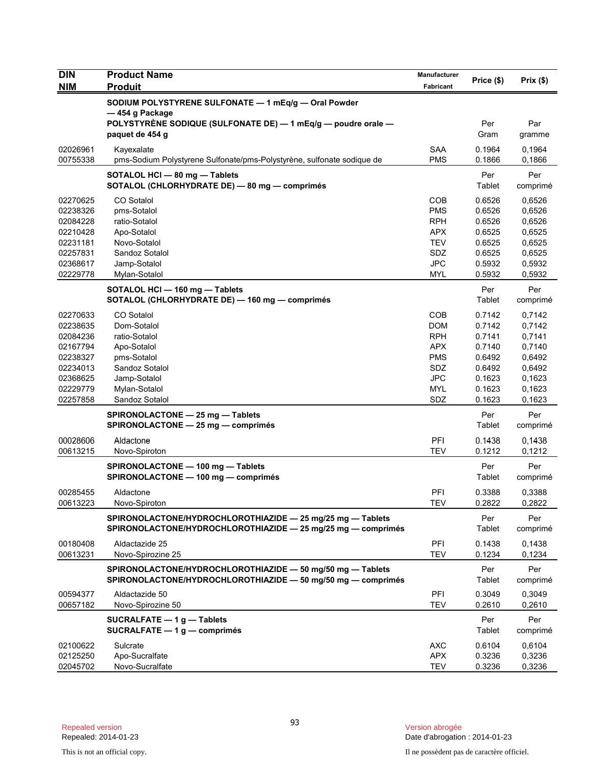| <b>Fabricant</b><br>SODIUM POLYSTYRENE SULFONATE - 1 mEq/g - Oral Powder<br>— 454 g Package<br>POLYSTYRENE SODIQUE (SULFONATE DE) - 1 mEq/g - poudre orale -<br>Per<br>Par<br>Gram<br>paquet de 454 g<br>gramme<br><b>SAA</b><br>0.1964<br>02026961<br>Kayexalate<br>0,1964<br>00755338<br><b>PMS</b><br>pms-Sodium Polystyrene Sulfonate/pms-Polystyrène, sulfonate sodique de<br>0.1866<br>0,1866<br>SOTALOL HCI - 80 mg - Tablets<br>Per<br>Per<br>SOTALOL (CHLORHYDRATE DE) - 80 mg - comprimés<br>Tablet<br>comprimé<br>CO Sotalol<br>COB<br>0.6526<br>0,6526<br>02270625<br>02238326<br><b>PMS</b><br>0.6526<br>0,6526<br>pms-Sotalol<br>ratio-Sotalol<br><b>RPH</b><br>0.6526<br>0,6526<br>02084228<br>02210428<br>Apo-Sotalol<br><b>APX</b><br>0.6525<br>0,6525<br><b>TEV</b><br>0.6525<br>0,6525<br>02231181<br>Novo-Sotalol<br>Sandoz Sotalol<br>SDZ<br>0.6525<br>02257831<br>0,6525<br>Jamp-Sotalol<br><b>JPC</b><br>0.5932<br>0,5932<br>02368617<br>02229778<br>0.5932<br>0,5932<br>Mylan-Sotalol<br><b>MYL</b><br>Per<br>Per<br>SOTALOL HCI - 160 mg - Tablets<br>Tablet<br>SOTALOL (CHLORHYDRATE DE) - 160 mg - comprimés<br>comprimé<br>CO Sotalol<br>02270633<br>COB<br>0.7142<br>0,7142<br>02238635<br>Dom-Sotalol<br><b>DOM</b><br>0.7142<br>0,7142<br>02084236<br>ratio-Sotalol<br><b>RPH</b><br>0.7141<br>0,7141<br><b>APX</b><br>0.7140<br>0,7140<br>02167794<br>Apo-Sotalol<br><b>PMS</b><br>02238327<br>pms-Sotalol<br>0.6492<br>0,6492<br>02234013<br>SDZ<br>Sandoz Sotalol<br>0.6492<br>0,6492<br><b>JPC</b><br>0.1623<br>0,1623<br>02368625<br>Jamp-Sotalol<br>02229779<br>Mylan-Sotalol<br><b>MYL</b><br>0.1623<br>0,1623<br>SDZ<br>02257858<br>Sandoz Sotalol<br>0.1623<br>0,1623<br>SPIRONOLACTONE - 25 mg - Tablets<br>Per<br>Per<br>SPIRONOLACTONE - 25 mg - comprimés<br>Tablet<br>comprimé<br>00028606<br>PFI<br>Aldactone<br>0.1438<br>0,1438<br><b>TEV</b><br>0.1212<br>00613215<br>Novo-Spiroton<br>0,1212<br>Per<br>Per<br>SPIRONOLACTONE - 100 mg - Tablets<br>SPIRONOLACTONE - 100 mg - comprimés<br>Tablet<br>comprimé<br>PFI<br>0.3388<br>00285455<br>Aldactone<br>0,3388<br>Novo-Spiroton<br>00613223<br>IEV<br>0.2822<br>0,2822<br>SPIRONOLACTONE/HYDROCHLOROTHIAZIDE - 25 mg/25 mg - Tablets<br>Per<br>Per<br>SPIRONOLACTONE/HYDROCHLOROTHIAZIDE - 25 mg/25 mg - comprimés<br>Tablet<br>comprimé<br>PFI<br>00180408<br>Aldactazide 25<br>0.1438<br>0,1438<br>00613231<br>Novo-Spirozine 25<br><b>TEV</b><br>0.1234<br>0,1234<br>SPIRONOLACTONE/HYDROCHLOROTHIAZIDE - 50 mg/50 mg - Tablets<br>Per<br>Per<br>SPIRONOLACTONE/HYDROCHLOROTHIAZIDE - 50 mg/50 mg - comprimés<br>Tablet<br>comprimé<br>PFI<br>0.3049<br>0,3049<br>00594377<br>Aldactazide 50<br><b>TEV</b><br>00657182<br>Novo-Spirozine 50<br>0.2610<br>0,2610<br>Per<br>Per<br>SUCRALFATE $-1$ g $-$ Tablets<br>SUCRALFATE - 1 g - comprimés<br>Tablet<br>comprimé<br>02100622<br>Sulcrate<br><b>AXC</b><br>0.6104<br>0,6104<br>02125250<br>Apo-Sucralfate<br><b>APX</b><br>0.3236<br>0,3236 | <b>DIN</b> | <b>Product Name</b> | Manufacturer | Price (\$) | Prix(\$) |
|-------------------------------------------------------------------------------------------------------------------------------------------------------------------------------------------------------------------------------------------------------------------------------------------------------------------------------------------------------------------------------------------------------------------------------------------------------------------------------------------------------------------------------------------------------------------------------------------------------------------------------------------------------------------------------------------------------------------------------------------------------------------------------------------------------------------------------------------------------------------------------------------------------------------------------------------------------------------------------------------------------------------------------------------------------------------------------------------------------------------------------------------------------------------------------------------------------------------------------------------------------------------------------------------------------------------------------------------------------------------------------------------------------------------------------------------------------------------------------------------------------------------------------------------------------------------------------------------------------------------------------------------------------------------------------------------------------------------------------------------------------------------------------------------------------------------------------------------------------------------------------------------------------------------------------------------------------------------------------------------------------------------------------------------------------------------------------------------------------------------------------------------------------------------------------------------------------------------------------------------------------------------------------------------------------------------------------------------------------------------------------------------------------------------------------------------------------------------------------------------------------------------------------------------------------------------------------------------------------------------------------------------------------------------------------------------------------------------------------------------------------------------------------------------------------------------------------------------------------------------------------------------------------------------------------------------------------------------------------------------------------|------------|---------------------|--------------|------------|----------|
|                                                                                                                                                                                                                                                                                                                                                                                                                                                                                                                                                                                                                                                                                                                                                                                                                                                                                                                                                                                                                                                                                                                                                                                                                                                                                                                                                                                                                                                                                                                                                                                                                                                                                                                                                                                                                                                                                                                                                                                                                                                                                                                                                                                                                                                                                                                                                                                                                                                                                                                                                                                                                                                                                                                                                                                                                                                                                                                                                                                                       | <b>NIM</b> | <b>Produit</b>      |              |            |          |
|                                                                                                                                                                                                                                                                                                                                                                                                                                                                                                                                                                                                                                                                                                                                                                                                                                                                                                                                                                                                                                                                                                                                                                                                                                                                                                                                                                                                                                                                                                                                                                                                                                                                                                                                                                                                                                                                                                                                                                                                                                                                                                                                                                                                                                                                                                                                                                                                                                                                                                                                                                                                                                                                                                                                                                                                                                                                                                                                                                                                       |            |                     |              |            |          |
|                                                                                                                                                                                                                                                                                                                                                                                                                                                                                                                                                                                                                                                                                                                                                                                                                                                                                                                                                                                                                                                                                                                                                                                                                                                                                                                                                                                                                                                                                                                                                                                                                                                                                                                                                                                                                                                                                                                                                                                                                                                                                                                                                                                                                                                                                                                                                                                                                                                                                                                                                                                                                                                                                                                                                                                                                                                                                                                                                                                                       |            |                     |              |            |          |
|                                                                                                                                                                                                                                                                                                                                                                                                                                                                                                                                                                                                                                                                                                                                                                                                                                                                                                                                                                                                                                                                                                                                                                                                                                                                                                                                                                                                                                                                                                                                                                                                                                                                                                                                                                                                                                                                                                                                                                                                                                                                                                                                                                                                                                                                                                                                                                                                                                                                                                                                                                                                                                                                                                                                                                                                                                                                                                                                                                                                       |            |                     |              |            |          |
|                                                                                                                                                                                                                                                                                                                                                                                                                                                                                                                                                                                                                                                                                                                                                                                                                                                                                                                                                                                                                                                                                                                                                                                                                                                                                                                                                                                                                                                                                                                                                                                                                                                                                                                                                                                                                                                                                                                                                                                                                                                                                                                                                                                                                                                                                                                                                                                                                                                                                                                                                                                                                                                                                                                                                                                                                                                                                                                                                                                                       |            |                     |              |            |          |
|                                                                                                                                                                                                                                                                                                                                                                                                                                                                                                                                                                                                                                                                                                                                                                                                                                                                                                                                                                                                                                                                                                                                                                                                                                                                                                                                                                                                                                                                                                                                                                                                                                                                                                                                                                                                                                                                                                                                                                                                                                                                                                                                                                                                                                                                                                                                                                                                                                                                                                                                                                                                                                                                                                                                                                                                                                                                                                                                                                                                       |            |                     |              |            |          |
|                                                                                                                                                                                                                                                                                                                                                                                                                                                                                                                                                                                                                                                                                                                                                                                                                                                                                                                                                                                                                                                                                                                                                                                                                                                                                                                                                                                                                                                                                                                                                                                                                                                                                                                                                                                                                                                                                                                                                                                                                                                                                                                                                                                                                                                                                                                                                                                                                                                                                                                                                                                                                                                                                                                                                                                                                                                                                                                                                                                                       |            |                     |              |            |          |
|                                                                                                                                                                                                                                                                                                                                                                                                                                                                                                                                                                                                                                                                                                                                                                                                                                                                                                                                                                                                                                                                                                                                                                                                                                                                                                                                                                                                                                                                                                                                                                                                                                                                                                                                                                                                                                                                                                                                                                                                                                                                                                                                                                                                                                                                                                                                                                                                                                                                                                                                                                                                                                                                                                                                                                                                                                                                                                                                                                                                       |            |                     |              |            |          |
|                                                                                                                                                                                                                                                                                                                                                                                                                                                                                                                                                                                                                                                                                                                                                                                                                                                                                                                                                                                                                                                                                                                                                                                                                                                                                                                                                                                                                                                                                                                                                                                                                                                                                                                                                                                                                                                                                                                                                                                                                                                                                                                                                                                                                                                                                                                                                                                                                                                                                                                                                                                                                                                                                                                                                                                                                                                                                                                                                                                                       |            |                     |              |            |          |
|                                                                                                                                                                                                                                                                                                                                                                                                                                                                                                                                                                                                                                                                                                                                                                                                                                                                                                                                                                                                                                                                                                                                                                                                                                                                                                                                                                                                                                                                                                                                                                                                                                                                                                                                                                                                                                                                                                                                                                                                                                                                                                                                                                                                                                                                                                                                                                                                                                                                                                                                                                                                                                                                                                                                                                                                                                                                                                                                                                                                       |            |                     |              |            |          |
|                                                                                                                                                                                                                                                                                                                                                                                                                                                                                                                                                                                                                                                                                                                                                                                                                                                                                                                                                                                                                                                                                                                                                                                                                                                                                                                                                                                                                                                                                                                                                                                                                                                                                                                                                                                                                                                                                                                                                                                                                                                                                                                                                                                                                                                                                                                                                                                                                                                                                                                                                                                                                                                                                                                                                                                                                                                                                                                                                                                                       |            |                     |              |            |          |
|                                                                                                                                                                                                                                                                                                                                                                                                                                                                                                                                                                                                                                                                                                                                                                                                                                                                                                                                                                                                                                                                                                                                                                                                                                                                                                                                                                                                                                                                                                                                                                                                                                                                                                                                                                                                                                                                                                                                                                                                                                                                                                                                                                                                                                                                                                                                                                                                                                                                                                                                                                                                                                                                                                                                                                                                                                                                                                                                                                                                       |            |                     |              |            |          |
|                                                                                                                                                                                                                                                                                                                                                                                                                                                                                                                                                                                                                                                                                                                                                                                                                                                                                                                                                                                                                                                                                                                                                                                                                                                                                                                                                                                                                                                                                                                                                                                                                                                                                                                                                                                                                                                                                                                                                                                                                                                                                                                                                                                                                                                                                                                                                                                                                                                                                                                                                                                                                                                                                                                                                                                                                                                                                                                                                                                                       |            |                     |              |            |          |
|                                                                                                                                                                                                                                                                                                                                                                                                                                                                                                                                                                                                                                                                                                                                                                                                                                                                                                                                                                                                                                                                                                                                                                                                                                                                                                                                                                                                                                                                                                                                                                                                                                                                                                                                                                                                                                                                                                                                                                                                                                                                                                                                                                                                                                                                                                                                                                                                                                                                                                                                                                                                                                                                                                                                                                                                                                                                                                                                                                                                       |            |                     |              |            |          |
|                                                                                                                                                                                                                                                                                                                                                                                                                                                                                                                                                                                                                                                                                                                                                                                                                                                                                                                                                                                                                                                                                                                                                                                                                                                                                                                                                                                                                                                                                                                                                                                                                                                                                                                                                                                                                                                                                                                                                                                                                                                                                                                                                                                                                                                                                                                                                                                                                                                                                                                                                                                                                                                                                                                                                                                                                                                                                                                                                                                                       |            |                     |              |            |          |
|                                                                                                                                                                                                                                                                                                                                                                                                                                                                                                                                                                                                                                                                                                                                                                                                                                                                                                                                                                                                                                                                                                                                                                                                                                                                                                                                                                                                                                                                                                                                                                                                                                                                                                                                                                                                                                                                                                                                                                                                                                                                                                                                                                                                                                                                                                                                                                                                                                                                                                                                                                                                                                                                                                                                                                                                                                                                                                                                                                                                       |            |                     |              |            |          |
|                                                                                                                                                                                                                                                                                                                                                                                                                                                                                                                                                                                                                                                                                                                                                                                                                                                                                                                                                                                                                                                                                                                                                                                                                                                                                                                                                                                                                                                                                                                                                                                                                                                                                                                                                                                                                                                                                                                                                                                                                                                                                                                                                                                                                                                                                                                                                                                                                                                                                                                                                                                                                                                                                                                                                                                                                                                                                                                                                                                                       |            |                     |              |            |          |
|                                                                                                                                                                                                                                                                                                                                                                                                                                                                                                                                                                                                                                                                                                                                                                                                                                                                                                                                                                                                                                                                                                                                                                                                                                                                                                                                                                                                                                                                                                                                                                                                                                                                                                                                                                                                                                                                                                                                                                                                                                                                                                                                                                                                                                                                                                                                                                                                                                                                                                                                                                                                                                                                                                                                                                                                                                                                                                                                                                                                       |            |                     |              |            |          |
|                                                                                                                                                                                                                                                                                                                                                                                                                                                                                                                                                                                                                                                                                                                                                                                                                                                                                                                                                                                                                                                                                                                                                                                                                                                                                                                                                                                                                                                                                                                                                                                                                                                                                                                                                                                                                                                                                                                                                                                                                                                                                                                                                                                                                                                                                                                                                                                                                                                                                                                                                                                                                                                                                                                                                                                                                                                                                                                                                                                                       |            |                     |              |            |          |
|                                                                                                                                                                                                                                                                                                                                                                                                                                                                                                                                                                                                                                                                                                                                                                                                                                                                                                                                                                                                                                                                                                                                                                                                                                                                                                                                                                                                                                                                                                                                                                                                                                                                                                                                                                                                                                                                                                                                                                                                                                                                                                                                                                                                                                                                                                                                                                                                                                                                                                                                                                                                                                                                                                                                                                                                                                                                                                                                                                                                       |            |                     |              |            |          |
|                                                                                                                                                                                                                                                                                                                                                                                                                                                                                                                                                                                                                                                                                                                                                                                                                                                                                                                                                                                                                                                                                                                                                                                                                                                                                                                                                                                                                                                                                                                                                                                                                                                                                                                                                                                                                                                                                                                                                                                                                                                                                                                                                                                                                                                                                                                                                                                                                                                                                                                                                                                                                                                                                                                                                                                                                                                                                                                                                                                                       |            |                     |              |            |          |
|                                                                                                                                                                                                                                                                                                                                                                                                                                                                                                                                                                                                                                                                                                                                                                                                                                                                                                                                                                                                                                                                                                                                                                                                                                                                                                                                                                                                                                                                                                                                                                                                                                                                                                                                                                                                                                                                                                                                                                                                                                                                                                                                                                                                                                                                                                                                                                                                                                                                                                                                                                                                                                                                                                                                                                                                                                                                                                                                                                                                       |            |                     |              |            |          |
|                                                                                                                                                                                                                                                                                                                                                                                                                                                                                                                                                                                                                                                                                                                                                                                                                                                                                                                                                                                                                                                                                                                                                                                                                                                                                                                                                                                                                                                                                                                                                                                                                                                                                                                                                                                                                                                                                                                                                                                                                                                                                                                                                                                                                                                                                                                                                                                                                                                                                                                                                                                                                                                                                                                                                                                                                                                                                                                                                                                                       |            |                     |              |            |          |
|                                                                                                                                                                                                                                                                                                                                                                                                                                                                                                                                                                                                                                                                                                                                                                                                                                                                                                                                                                                                                                                                                                                                                                                                                                                                                                                                                                                                                                                                                                                                                                                                                                                                                                                                                                                                                                                                                                                                                                                                                                                                                                                                                                                                                                                                                                                                                                                                                                                                                                                                                                                                                                                                                                                                                                                                                                                                                                                                                                                                       |            |                     |              |            |          |
|                                                                                                                                                                                                                                                                                                                                                                                                                                                                                                                                                                                                                                                                                                                                                                                                                                                                                                                                                                                                                                                                                                                                                                                                                                                                                                                                                                                                                                                                                                                                                                                                                                                                                                                                                                                                                                                                                                                                                                                                                                                                                                                                                                                                                                                                                                                                                                                                                                                                                                                                                                                                                                                                                                                                                                                                                                                                                                                                                                                                       |            |                     |              |            |          |
|                                                                                                                                                                                                                                                                                                                                                                                                                                                                                                                                                                                                                                                                                                                                                                                                                                                                                                                                                                                                                                                                                                                                                                                                                                                                                                                                                                                                                                                                                                                                                                                                                                                                                                                                                                                                                                                                                                                                                                                                                                                                                                                                                                                                                                                                                                                                                                                                                                                                                                                                                                                                                                                                                                                                                                                                                                                                                                                                                                                                       |            |                     |              |            |          |
|                                                                                                                                                                                                                                                                                                                                                                                                                                                                                                                                                                                                                                                                                                                                                                                                                                                                                                                                                                                                                                                                                                                                                                                                                                                                                                                                                                                                                                                                                                                                                                                                                                                                                                                                                                                                                                                                                                                                                                                                                                                                                                                                                                                                                                                                                                                                                                                                                                                                                                                                                                                                                                                                                                                                                                                                                                                                                                                                                                                                       |            |                     |              |            |          |
|                                                                                                                                                                                                                                                                                                                                                                                                                                                                                                                                                                                                                                                                                                                                                                                                                                                                                                                                                                                                                                                                                                                                                                                                                                                                                                                                                                                                                                                                                                                                                                                                                                                                                                                                                                                                                                                                                                                                                                                                                                                                                                                                                                                                                                                                                                                                                                                                                                                                                                                                                                                                                                                                                                                                                                                                                                                                                                                                                                                                       |            |                     |              |            |          |
|                                                                                                                                                                                                                                                                                                                                                                                                                                                                                                                                                                                                                                                                                                                                                                                                                                                                                                                                                                                                                                                                                                                                                                                                                                                                                                                                                                                                                                                                                                                                                                                                                                                                                                                                                                                                                                                                                                                                                                                                                                                                                                                                                                                                                                                                                                                                                                                                                                                                                                                                                                                                                                                                                                                                                                                                                                                                                                                                                                                                       |            |                     |              |            |          |
|                                                                                                                                                                                                                                                                                                                                                                                                                                                                                                                                                                                                                                                                                                                                                                                                                                                                                                                                                                                                                                                                                                                                                                                                                                                                                                                                                                                                                                                                                                                                                                                                                                                                                                                                                                                                                                                                                                                                                                                                                                                                                                                                                                                                                                                                                                                                                                                                                                                                                                                                                                                                                                                                                                                                                                                                                                                                                                                                                                                                       |            |                     |              |            |          |
|                                                                                                                                                                                                                                                                                                                                                                                                                                                                                                                                                                                                                                                                                                                                                                                                                                                                                                                                                                                                                                                                                                                                                                                                                                                                                                                                                                                                                                                                                                                                                                                                                                                                                                                                                                                                                                                                                                                                                                                                                                                                                                                                                                                                                                                                                                                                                                                                                                                                                                                                                                                                                                                                                                                                                                                                                                                                                                                                                                                                       |            |                     |              |            |          |
|                                                                                                                                                                                                                                                                                                                                                                                                                                                                                                                                                                                                                                                                                                                                                                                                                                                                                                                                                                                                                                                                                                                                                                                                                                                                                                                                                                                                                                                                                                                                                                                                                                                                                                                                                                                                                                                                                                                                                                                                                                                                                                                                                                                                                                                                                                                                                                                                                                                                                                                                                                                                                                                                                                                                                                                                                                                                                                                                                                                                       |            |                     |              |            |          |
|                                                                                                                                                                                                                                                                                                                                                                                                                                                                                                                                                                                                                                                                                                                                                                                                                                                                                                                                                                                                                                                                                                                                                                                                                                                                                                                                                                                                                                                                                                                                                                                                                                                                                                                                                                                                                                                                                                                                                                                                                                                                                                                                                                                                                                                                                                                                                                                                                                                                                                                                                                                                                                                                                                                                                                                                                                                                                                                                                                                                       |            |                     |              |            |          |
|                                                                                                                                                                                                                                                                                                                                                                                                                                                                                                                                                                                                                                                                                                                                                                                                                                                                                                                                                                                                                                                                                                                                                                                                                                                                                                                                                                                                                                                                                                                                                                                                                                                                                                                                                                                                                                                                                                                                                                                                                                                                                                                                                                                                                                                                                                                                                                                                                                                                                                                                                                                                                                                                                                                                                                                                                                                                                                                                                                                                       |            |                     |              |            |          |
|                                                                                                                                                                                                                                                                                                                                                                                                                                                                                                                                                                                                                                                                                                                                                                                                                                                                                                                                                                                                                                                                                                                                                                                                                                                                                                                                                                                                                                                                                                                                                                                                                                                                                                                                                                                                                                                                                                                                                                                                                                                                                                                                                                                                                                                                                                                                                                                                                                                                                                                                                                                                                                                                                                                                                                                                                                                                                                                                                                                                       |            |                     |              |            |          |
|                                                                                                                                                                                                                                                                                                                                                                                                                                                                                                                                                                                                                                                                                                                                                                                                                                                                                                                                                                                                                                                                                                                                                                                                                                                                                                                                                                                                                                                                                                                                                                                                                                                                                                                                                                                                                                                                                                                                                                                                                                                                                                                                                                                                                                                                                                                                                                                                                                                                                                                                                                                                                                                                                                                                                                                                                                                                                                                                                                                                       |            |                     |              |            |          |
|                                                                                                                                                                                                                                                                                                                                                                                                                                                                                                                                                                                                                                                                                                                                                                                                                                                                                                                                                                                                                                                                                                                                                                                                                                                                                                                                                                                                                                                                                                                                                                                                                                                                                                                                                                                                                                                                                                                                                                                                                                                                                                                                                                                                                                                                                                                                                                                                                                                                                                                                                                                                                                                                                                                                                                                                                                                                                                                                                                                                       |            |                     |              |            |          |
|                                                                                                                                                                                                                                                                                                                                                                                                                                                                                                                                                                                                                                                                                                                                                                                                                                                                                                                                                                                                                                                                                                                                                                                                                                                                                                                                                                                                                                                                                                                                                                                                                                                                                                                                                                                                                                                                                                                                                                                                                                                                                                                                                                                                                                                                                                                                                                                                                                                                                                                                                                                                                                                                                                                                                                                                                                                                                                                                                                                                       |            |                     |              |            |          |
|                                                                                                                                                                                                                                                                                                                                                                                                                                                                                                                                                                                                                                                                                                                                                                                                                                                                                                                                                                                                                                                                                                                                                                                                                                                                                                                                                                                                                                                                                                                                                                                                                                                                                                                                                                                                                                                                                                                                                                                                                                                                                                                                                                                                                                                                                                                                                                                                                                                                                                                                                                                                                                                                                                                                                                                                                                                                                                                                                                                                       |            |                     |              |            |          |
|                                                                                                                                                                                                                                                                                                                                                                                                                                                                                                                                                                                                                                                                                                                                                                                                                                                                                                                                                                                                                                                                                                                                                                                                                                                                                                                                                                                                                                                                                                                                                                                                                                                                                                                                                                                                                                                                                                                                                                                                                                                                                                                                                                                                                                                                                                                                                                                                                                                                                                                                                                                                                                                                                                                                                                                                                                                                                                                                                                                                       | 02045702   | Novo-Sucralfate     | <b>TEV</b>   | 0.3236     | 0,3236   |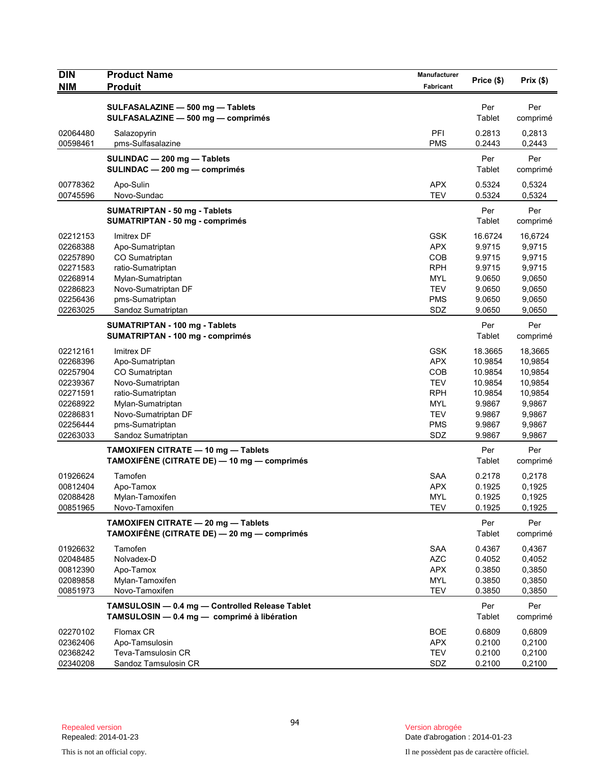| <b>DIN</b>           | <b>Product Name</b>                                                                            | Manufacturer             | Price (\$)       | Prix(\$)         |
|----------------------|------------------------------------------------------------------------------------------------|--------------------------|------------------|------------------|
| <b>NIM</b>           | <b>Produit</b>                                                                                 | Fabricant                |                  |                  |
|                      | SULFASALAZINE - 500 mg - Tablets                                                               |                          | Per              | Per              |
|                      | SULFASALAZINE - 500 mg - comprimés                                                             |                          | Tablet           | comprimé         |
| 02064480             | Salazopyrin                                                                                    | PFI                      | 0.2813           | 0,2813           |
| 00598461             | pms-Sulfasalazine                                                                              | <b>PMS</b>               | 0.2443           | 0,2443           |
|                      | SULINDAC - 200 mg - Tablets                                                                    |                          | Per              | Per              |
|                      | SULINDAC - 200 mg - comprimés                                                                  |                          | Tablet           | comprimé         |
| 00778362             | Apo-Sulin                                                                                      | <b>APX</b>               | 0.5324           | 0,5324           |
| 00745596             | Novo-Sundac                                                                                    | <b>TEV</b>               | 0.5324           | 0,5324           |
|                      | <b>SUMATRIPTAN - 50 mg - Tablets</b>                                                           |                          | Per              | Per              |
|                      | <b>SUMATRIPTAN - 50 mg - comprimés</b>                                                         |                          | Tablet           | comprimé         |
| 02212153             | Imitrex DF                                                                                     | <b>GSK</b>               | 16.6724          | 16,6724          |
| 02268388             | Apo-Sumatriptan                                                                                | <b>APX</b>               | 9.9715           | 9,9715           |
| 02257890             | CO Sumatriptan                                                                                 | COB                      | 9.9715           | 9,9715           |
| 02271583             | ratio-Sumatriptan                                                                              | <b>RPH</b>               | 9.9715           | 9,9715           |
| 02268914<br>02286823 | Mylan-Sumatriptan                                                                              | <b>MYL</b><br><b>TEV</b> | 9.0650<br>9.0650 | 9,0650           |
| 02256436             | Novo-Sumatriptan DF<br>pms-Sumatriptan                                                         | <b>PMS</b>               | 9.0650           | 9,0650<br>9,0650 |
| 02263025             | Sandoz Sumatriptan                                                                             | SDZ                      | 9.0650           | 9,0650           |
|                      | <b>SUMATRIPTAN - 100 mg - Tablets</b>                                                          |                          | Per              | Per              |
|                      | SUMATRIPTAN - 100 mg - comprimés                                                               |                          | Tablet           | comprimé         |
| 02212161             | Imitrex DF                                                                                     | <b>GSK</b>               | 18.3665          | 18,3665          |
| 02268396             | Apo-Sumatriptan                                                                                | <b>APX</b>               | 10.9854          | 10,9854          |
| 02257904             | CO Sumatriptan                                                                                 | COB                      | 10.9854          | 10,9854          |
| 02239367             | Novo-Sumatriptan                                                                               | <b>TEV</b>               | 10.9854          | 10,9854          |
| 02271591             | ratio-Sumatriptan                                                                              | <b>RPH</b>               | 10.9854          | 10,9854          |
| 02268922<br>02286831 | Mylan-Sumatriptan<br>Novo-Sumatriptan DF                                                       | <b>MYL</b><br><b>TEV</b> | 9.9867<br>9.9867 | 9,9867<br>9,9867 |
| 02256444             | pms-Sumatriptan                                                                                | <b>PMS</b>               | 9.9867           | 9,9867           |
| 02263033             | Sandoz Sumatriptan                                                                             | SDZ                      | 9.9867           | 9,9867           |
|                      | TAMOXIFEN CITRATE - 10 mg - Tablets                                                            |                          | Per              | Per              |
|                      | TAMOXIFÉNE (CITRATE DE) — 10 mg — comprimés                                                    |                          | Tablet           | comprimé         |
| 01926624             | Tamofen                                                                                        | <b>SAA</b>               | 0.2178           | 0,2178           |
| 00812404             | Apo-Tamox                                                                                      | <b>APX</b>               | 0.1925           | 0,1925           |
| 02088428             | Mylan-Tamoxifen                                                                                | <b>MYL</b>               | 0.1925           | 0,1925           |
| 00851965             | Novo-Tamoxifen                                                                                 | <b>TEV</b>               | 0.1925           | 0,1925           |
|                      | TAMOXIFEN CITRATE - 20 mg - Tablets                                                            |                          | Per              | Per              |
|                      | TAMOXIFÈNE (CITRATE DE) — 20 mg — comprimés                                                    |                          | Tablet           | comprimé         |
| 01926632             | Tamofen                                                                                        | SAA                      | 0.4367           | 0,4367           |
| 02048485             | Nolvadex-D                                                                                     | <b>AZC</b>               | 0.4052           | 0,4052           |
| 00812390             | Apo-Tamox                                                                                      | <b>APX</b>               | 0.3850           | 0,3850           |
| 02089858             | Mylan-Tamoxifen                                                                                | <b>MYL</b>               | 0.3850           | 0,3850           |
| 00851973             | Novo-Tamoxifen                                                                                 | <b>TEV</b>               | 0.3850           | 0,3850           |
|                      | TAMSULOSIN - 0.4 mg - Controlled Release Tablet<br>TAMSULOSIN - 0.4 mg - comprimé à libération |                          | Per              | Per              |
|                      |                                                                                                |                          | Tablet           | comprimé         |
| 02270102             | Flomax CR                                                                                      | <b>BOE</b>               | 0.6809           | 0,6809           |
| 02362406<br>02368242 | Apo-Tamsulosin<br>Teva-Tamsulosin CR                                                           | <b>APX</b><br><b>TEV</b> | 0.2100<br>0.2100 | 0,2100<br>0,2100 |
| 02340208             | Sandoz Tamsulosin CR                                                                           | SDZ                      | 0.2100           | 0,2100           |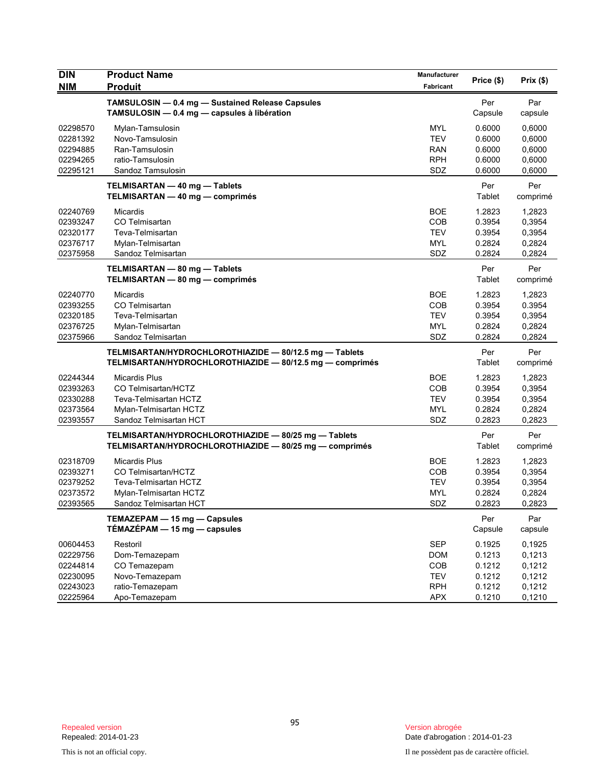| <b>DIN</b> | <b>Product Name</b>                                      | Manufacturer | Price (\$) | Prix(\$) |
|------------|----------------------------------------------------------|--------------|------------|----------|
| <b>NIM</b> | <b>Produit</b>                                           | Fabricant    |            |          |
|            | TAMSULOSIN - 0.4 mg - Sustained Release Capsules         |              | Per        | Par      |
|            | TAMSULOSIN - 0.4 mg - capsules à libération              |              | Capsule    | capsule  |
| 02298570   | Mylan-Tamsulosin                                         | <b>MYL</b>   | 0.6000     | 0,6000   |
| 02281392   | Novo-Tamsulosin                                          | <b>TEV</b>   | 0.6000     | 0,6000   |
| 02294885   | Ran-Tamsulosin                                           | RAN          | 0.6000     | 0,6000   |
| 02294265   | ratio-Tamsulosin                                         | <b>RPH</b>   | 0.6000     | 0,6000   |
| 02295121   | Sandoz Tamsulosin                                        | SDZ          | 0.6000     | 0,6000   |
|            | TELMISARTAN - 40 mg - Tablets                            |              | Per        | Per      |
|            | TELMISARTAN - 40 mg - comprimés                          |              | Tablet     | comprimé |
| 02240769   | Micardis                                                 | <b>BOE</b>   | 1.2823     | 1,2823   |
| 02393247   | CO Telmisartan                                           | COB          | 0.3954     | 0,3954   |
| 02320177   | Teva-Telmisartan                                         | <b>TEV</b>   | 0.3954     | 0,3954   |
| 02376717   | Mylan-Telmisartan                                        | <b>MYL</b>   | 0.2824     | 0,2824   |
| 02375958   | Sandoz Telmisartan                                       | SDZ          | 0.2824     | 0,2824   |
|            | TELMISARTAN - 80 mg - Tablets                            |              | Per        | Per      |
|            | TELMISARTAN - 80 mg - comprimés                          |              | Tablet     | comprimé |
| 02240770   | <b>Micardis</b>                                          | <b>BOE</b>   | 1.2823     | 1,2823   |
| 02393255   | CO Telmisartan                                           | COB          | 0.3954     | 0.3954   |
| 02320185   | Teva-Telmisartan                                         | <b>TEV</b>   | 0.3954     | 0,3954   |
| 02376725   | Mylan-Telmisartan                                        | <b>MYL</b>   | 0.2824     | 0,2824   |
| 02375966   | Sandoz Telmisartan                                       | SDZ          | 0.2824     | 0,2824   |
|            | TELMISARTAN/HYDROCHLOROTHIAZIDE - 80/12.5 mg - Tablets   |              | Per        | Per      |
|            | TELMISARTAN/HYDROCHLOROTHIAZIDE - 80/12.5 mg - comprimés |              | Tablet     | comprimé |
| 02244344   | <b>Micardis Plus</b>                                     | <b>BOE</b>   | 1.2823     | 1,2823   |
| 02393263   | CO Telmisartan/HCTZ                                      | COB          | 0.3954     | 0,3954   |
| 02330288   | Teva-Telmisartan HCTZ                                    | <b>TEV</b>   | 0.3954     | 0,3954   |
| 02373564   | Mylan-Telmisartan HCTZ                                   | <b>MYL</b>   | 0.2824     | 0,2824   |
| 02393557   | Sandoz Telmisartan HCT                                   | SDZ          | 0.2823     | 0,2823   |
|            | TELMISARTAN/HYDROCHLOROTHIAZIDE - 80/25 mg - Tablets     |              | Per        | Per      |
|            | TELMISARTAN/HYDROCHLOROTHIAZIDE - 80/25 mg - comprimés   |              | Tablet     | comprimé |
| 02318709   | Micardis Plus                                            | <b>BOE</b>   | 1.2823     | 1,2823   |
| 02393271   | CO Telmisartan/HCTZ                                      | COB          | 0.3954     | 0,3954   |
| 02379252   | Teva-Telmisartan HCTZ                                    | <b>TEV</b>   | 0.3954     | 0,3954   |
| 02373572   | Mylan-Telmisartan HCTZ                                   | MYL          | 0.2824     | 0,2824   |
| 02393565   | Sandoz Telmisartan HCT                                   | SDZ          | 0.2823     | 0,2823   |
|            | TEMAZEPAM - 15 mg - Capsules                             |              | Per        | Par      |
|            | TÉMAZÉPAM - 15 mg - capsules                             |              | Capsule    | capsule  |
| 00604453   | Restoril                                                 | <b>SEP</b>   | 0.1925     | 0,1925   |
| 02229756   | Dom-Temazepam                                            | <b>DOM</b>   | 0.1213     | 0,1213   |
| 02244814   | CO Temazepam                                             | COB          | 0.1212     | 0,1212   |
| 02230095   | Novo-Temazepam                                           | <b>TEV</b>   | 0.1212     | 0,1212   |
| 02243023   | ratio-Temazepam                                          | <b>RPH</b>   | 0.1212     | 0,1212   |
| 02225964   | Apo-Temazepam                                            | APX          | 0.1210     | 0,1210   |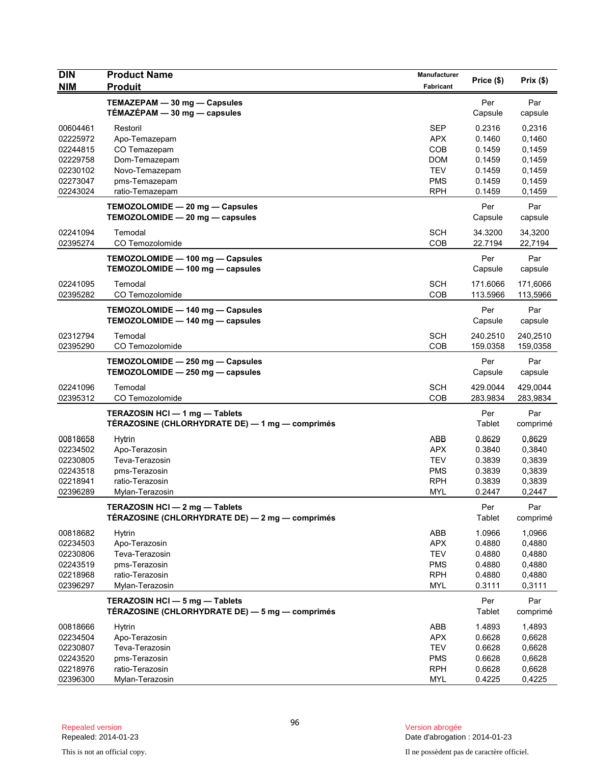| <b>DIN</b><br><b>NIM</b>                                                         | <b>Product Name</b><br><b>Produit</b>                                                                            | Manufacturer<br>Fabricant                                                               | Price (\$)                                                         | Prix(\$)                                                           |
|----------------------------------------------------------------------------------|------------------------------------------------------------------------------------------------------------------|-----------------------------------------------------------------------------------------|--------------------------------------------------------------------|--------------------------------------------------------------------|
|                                                                                  | TEMAZEPAM - 30 mg - Capsules<br>TÉMAZÉPAM - 30 mg - capsules                                                     |                                                                                         | Per<br>Capsule                                                     | Par<br>capsule                                                     |
| 00604461<br>02225972<br>02244815<br>02229758<br>02230102<br>02273047<br>02243024 | Restoril<br>Apo-Temazepam<br>CO Temazepam<br>Dom-Temazepam<br>Novo-Temazepam<br>pms-Temazepam<br>ratio-Temazepam | <b>SEP</b><br><b>APX</b><br>COB<br><b>DOM</b><br><b>TEV</b><br><b>PMS</b><br><b>RPH</b> | 0.2316<br>0.1460<br>0.1459<br>0.1459<br>0.1459<br>0.1459<br>0.1459 | 0,2316<br>0,1460<br>0,1459<br>0,1459<br>0,1459<br>0.1459<br>0,1459 |
|                                                                                  | TEMOZOLOMIDE - 20 mg - Capsules<br>TEMOZOLOMIDE - 20 mg - capsules                                               |                                                                                         | Per<br>Capsule                                                     | Par<br>capsule                                                     |
| 02241094<br>02395274                                                             | Temodal<br>CO Temozolomide                                                                                       | <b>SCH</b><br><b>COB</b>                                                                | 34.3200<br>22.7194                                                 | 34,3200<br>22,7194                                                 |
|                                                                                  | TEMOZOLOMIDE - 100 mg - Capsules<br>TEMOZOLOMIDE - 100 mg - capsules                                             |                                                                                         | Per<br>Capsule                                                     | Par<br>capsule                                                     |
| 02241095<br>02395282                                                             | Temodal<br>CO Temozolomide                                                                                       | <b>SCH</b><br>COB                                                                       | 171.6066<br>113.5966                                               | 171,6066<br>113,5966                                               |
|                                                                                  | TEMOZOLOMIDE - 140 mg - Capsules<br>TEMOZOLOMIDE - 140 mg - capsules                                             |                                                                                         | Per<br>Capsule                                                     | Par<br>capsule                                                     |
| 02312794<br>02395290                                                             | Temodal<br>CO Temozolomide                                                                                       | <b>SCH</b><br>COB                                                                       | 240.2510<br>159.0358                                               | 240,2510<br>159,0358                                               |
|                                                                                  | TEMOZOLOMIDE - 250 mg - Capsules<br>TEMOZOLOMIDE - 250 mg - capsules                                             |                                                                                         | Per<br>Capsule                                                     | Par<br>capsule                                                     |
| 02241096<br>02395312                                                             | Temodal<br>CO Temozolomide                                                                                       | <b>SCH</b><br>COB                                                                       | 429.0044<br>283.9834                                               | 429,0044<br>283,9834                                               |
|                                                                                  | TERAZOSIN HCI - 1 mg - Tablets<br>TÉRAZOSINE (CHLORHYDRATE DE) — 1 mg — comprimés                                |                                                                                         | Per<br>Tablet                                                      | Par<br>comprimé                                                    |
| 00818658<br>02234502<br>02230805<br>02243518<br>02218941<br>02396289             | Hytrin<br>Apo-Terazosin<br>Teva-Terazosin<br>pms-Terazosin<br>ratio-Terazosin<br>Mylan-Terazosin                 | ABB<br><b>APX</b><br><b>TEV</b><br><b>PMS</b><br><b>RPH</b><br><b>MYL</b>               | 0.8629<br>0.3840<br>0.3839<br>0.3839<br>0.3839<br>0.2447           | 0,8629<br>0,3840<br>0,3839<br>0,3839<br>0,3839<br>0,2447           |
|                                                                                  | TERAZOSIN HCI - 2 mg - Tablets<br>TÉRAZOSINE (CHLORHYDRATE DE) - 2 mg - comprimés                                |                                                                                         | Per<br>Tablet                                                      | Par<br>comprimé                                                    |
| 00818682<br>02234503<br>02230806<br>02243519<br>02218968<br>02396297             | <b>Hytrin</b><br>Apo-Terazosin<br>Teva-Terazosin<br>pms-Terazosin<br>ratio-Terazosin<br>Mylan-Terazosin          | ABB<br><b>APX</b><br><b>TEV</b><br><b>PMS</b><br><b>RPH</b><br><b>MYL</b>               | 1.0966<br>0.4880<br>0.4880<br>0.4880<br>0.4880<br>0.3111           | 1,0966<br>0,4880<br>0,4880<br>0,4880<br>0,4880<br>0,3111           |
|                                                                                  | TERAZOSIN HCI - 5 mg - Tablets<br>TÉRAZOSINE (CHLORHYDRATE DE) - 5 mg - comprimés                                |                                                                                         | Per<br>Tablet                                                      | Par<br>comprimé                                                    |
| 00818666<br>02234504<br>02230807<br>02243520<br>02218976                         | <b>Hytrin</b><br>Apo-Terazosin<br>Teva-Terazosin<br>pms-Terazosin<br>ratio-Terazosin                             | ABB<br><b>APX</b><br><b>TEV</b><br><b>PMS</b><br><b>RPH</b>                             | 1.4893<br>0.6628<br>0.6628<br>0.6628<br>0.6628                     | 1,4893<br>0,6628<br>0,6628<br>0,6628<br>0,6628                     |
| 02396300                                                                         | Mylan-Terazosin                                                                                                  | <b>MYL</b>                                                                              | 0.4225                                                             | 0,4225                                                             |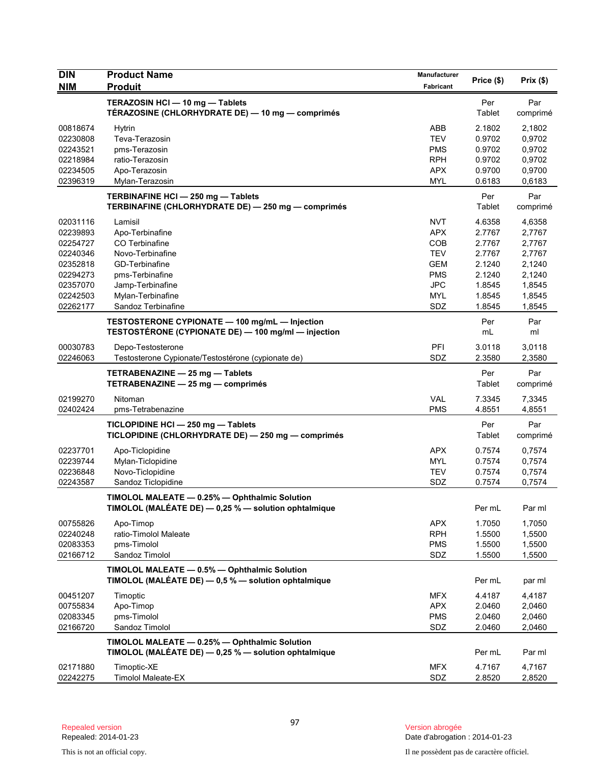| <b>DIN</b><br><b>NIM</b>                                                                                 | <b>Product Name</b><br><b>Produit</b>                                                                                                                                | Manufacturer<br>Fabricant                                                                                    | Price (\$)                                                                             | Prix(\$)                                                                               |
|----------------------------------------------------------------------------------------------------------|----------------------------------------------------------------------------------------------------------------------------------------------------------------------|--------------------------------------------------------------------------------------------------------------|----------------------------------------------------------------------------------------|----------------------------------------------------------------------------------------|
|                                                                                                          | TERAZOSIN HCI - 10 mg - Tablets<br>TÉRAZOSINE (CHLORHYDRATE DE) — 10 mg — comprimés                                                                                  |                                                                                                              | Per<br>Tablet                                                                          | Par<br>comprimé                                                                        |
| 00818674<br>02230808<br>02243521<br>02218984<br>02234505<br>02396319                                     | <b>Hytrin</b><br>Teva-Terazosin<br>pms-Terazosin<br>ratio-Terazosin<br>Apo-Terazosin<br>Mylan-Terazosin                                                              | ABB<br><b>TEV</b><br><b>PMS</b><br><b>RPH</b><br><b>APX</b><br><b>MYL</b>                                    | 2.1802<br>0.9702<br>0.9702<br>0.9702<br>0.9700<br>0.6183                               | 2,1802<br>0,9702<br>0,9702<br>0,9702<br>0,9700<br>0,6183                               |
|                                                                                                          | TERBINAFINE HCI-250 mg-Tablets<br>TERBINAFINE (CHLORHYDRATE DE) - 250 mg - comprimés                                                                                 |                                                                                                              | Per<br>Tablet                                                                          | Par<br>comprimé                                                                        |
| 02031116<br>02239893<br>02254727<br>02240346<br>02352818<br>02294273<br>02357070<br>02242503<br>02262177 | Lamisil<br>Apo-Terbinafine<br>CO Terbinafine<br>Novo-Terbinafine<br>GD-Terbinafine<br>pms-Terbinafine<br>Jamp-Terbinafine<br>Mylan-Terbinafine<br>Sandoz Terbinafine | <b>NVT</b><br><b>APX</b><br>COB<br><b>TEV</b><br><b>GEM</b><br><b>PMS</b><br><b>JPC</b><br><b>MYL</b><br>SDZ | 4.6358<br>2.7767<br>2.7767<br>2.7767<br>2.1240<br>2.1240<br>1.8545<br>1.8545<br>1.8545 | 4,6358<br>2,7767<br>2,7767<br>2,7767<br>2,1240<br>2,1240<br>1,8545<br>1,8545<br>1,8545 |
|                                                                                                          | TESTOSTERONE CYPIONATE - 100 mg/mL - Injection<br>TESTOSTÉRONE (CYPIONATE DE) - 100 mg/ml - injection                                                                |                                                                                                              | Per<br>mL                                                                              | Par<br>ml                                                                              |
| 00030783<br>02246063                                                                                     | Depo-Testosterone<br>Testosterone Cypionate/Testostérone (cypionate de)                                                                                              | PFI<br>SDZ                                                                                                   | 3.0118<br>2.3580                                                                       | 3,0118<br>2,3580                                                                       |
|                                                                                                          | TETRABENAZINE - 25 mg - Tablets<br>TETRABENAZINE - 25 mg - comprimés                                                                                                 |                                                                                                              | Per<br>Tablet                                                                          | Par<br>comprimé                                                                        |
| 02199270<br>02402424                                                                                     | Nitoman<br>pms-Tetrabenazine                                                                                                                                         | <b>VAL</b><br><b>PMS</b>                                                                                     | 7.3345<br>4.8551                                                                       | 7,3345<br>4,8551                                                                       |
|                                                                                                          | TICLOPIDINE HCI-250 mg-Tablets<br>TICLOPIDINE (CHLORHYDRATE DE) - 250 mg - comprimés                                                                                 |                                                                                                              | Per<br>Tablet                                                                          | Par<br>comprimé                                                                        |
| 02237701<br>02239744<br>02236848<br>02243587                                                             | Apo-Ticlopidine<br>Mylan-Ticlopidine<br>Novo-Ticlopidine<br>Sandoz Ticlopidine                                                                                       | <b>APX</b><br><b>MYL</b><br><b>TEV</b><br>SDZ                                                                | 0.7574<br>0.7574<br>0.7574<br>0.7574                                                   | 0,7574<br>0,7574<br>0,7574<br>0,7574                                                   |
|                                                                                                          | TIMOLOL MALEATE - 0.25% - Ophthalmic Solution<br>TIMOLOL (MALÉATE DE) - 0,25 % - solution ophtalmique                                                                |                                                                                                              | Per mL                                                                                 | Par ml                                                                                 |
| 00755826<br>02240248<br>02083353<br>02166712                                                             | Apo-Timop<br>ratio-Timolol Maleate<br>pms-Timolol<br>Sandoz Timolol                                                                                                  | <b>APX</b><br><b>RPH</b><br><b>PMS</b><br>SDZ                                                                | 1.7050<br>1.5500<br>1.5500<br>1.5500                                                   | 1,7050<br>1,5500<br>1,5500<br>1,5500                                                   |
|                                                                                                          | TIMOLOL MALEATE - 0.5% - Ophthalmic Solution<br>TIMOLOL (MALÉATE DE) $-$ 0,5 % $-$ solution ophtalmique                                                              |                                                                                                              | Per mL                                                                                 | par ml                                                                                 |
| 00451207<br>00755834<br>02083345<br>02166720                                                             | Timoptic<br>Apo-Timop<br>pms-Timolol<br>Sandoz Timolol                                                                                                               | <b>MFX</b><br><b>APX</b><br><b>PMS</b><br>SDZ                                                                | 4.4187<br>2.0460<br>2.0460<br>2.0460                                                   | 4,4187<br>2,0460<br>2,0460<br>2,0460                                                   |
|                                                                                                          | TIMOLOL MALEATE - 0.25% - Ophthalmic Solution<br>TIMOLOL (MALÉATE DE) - 0,25 % - solution ophtalmique                                                                |                                                                                                              | Per mL                                                                                 | Par ml                                                                                 |
| 02171880<br>02242275                                                                                     | Timoptic-XE<br><b>Timolol Maleate-EX</b>                                                                                                                             | <b>MFX</b><br>SDZ                                                                                            | 4.7167<br>2.8520                                                                       | 4,7167<br>2,8520                                                                       |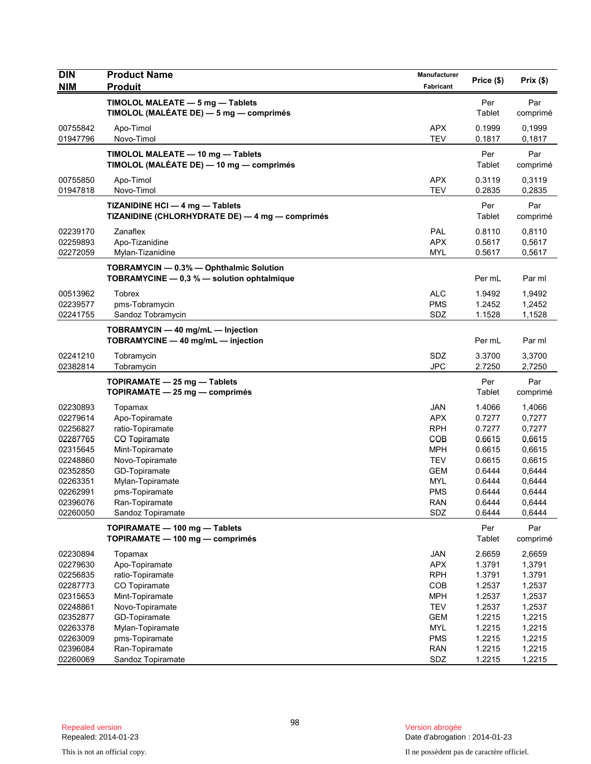| <b>DIN</b><br><b>NIM</b> | <b>Product Name</b><br><b>Produit</b>                                                 | Manufacturer<br>Fabricant | Price (\$)    | Prix(\$)        |
|--------------------------|---------------------------------------------------------------------------------------|---------------------------|---------------|-----------------|
|                          | TIMOLOL MALEATE - 5 mg - Tablets<br>TIMOLOL (MALÉATE DE) — 5 mg — comprimés           |                           | Per<br>Tablet | Par<br>comprimé |
| 00755842                 | Apo-Timol                                                                             | <b>APX</b>                | 0.1999        | 0,1999          |
| 01947796                 | Novo-Timol                                                                            | <b>TEV</b>                | 0.1817        | 0,1817          |
|                          | TIMOLOL MALEATE - 10 mg - Tablets<br>TIMOLOL (MALÉATE DE) - 10 mg - comprimés         |                           | Per<br>Tablet | Par<br>comprimé |
| 00755850                 | Apo-Timol                                                                             | <b>APX</b>                | 0.3119        | 0,3119          |
| 01947818                 | Novo-Timol                                                                            | <b>TEV</b>                | 0.2835        | 0,2835          |
|                          | TIZANIDINE HCI - 4 mg - Tablets<br>TIZANIDINE (CHLORHYDRATE DE) — 4 mg — comprimés    |                           | Per<br>Tablet | Par<br>comprimé |
| 02239170                 | Zanaflex                                                                              | PAL                       | 0.8110        | 0,8110          |
| 02259893                 | Apo-Tizanidine                                                                        | <b>APX</b>                | 0.5617        | 0,5617          |
| 02272059                 | Mylan-Tizanidine                                                                      | <b>MYL</b>                | 0.5617        | 0,5617          |
|                          | TOBRAMYCIN - 0.3% - Ophthalmic Solution<br>TOBRAMYCINE - 0,3 % - solution ophtalmique |                           | Per mL        | Par ml          |
| 00513962                 | Tobrex                                                                                | <b>ALC</b>                | 1.9492        | 1,9492          |
| 02239577                 | pms-Tobramycin                                                                        | <b>PMS</b>                | 1.2452        | 1,2452          |
| 02241755                 | Sandoz Tobramycin                                                                     | SDZ                       | 1.1528        | 1,1528          |
|                          | TOBRAMYCIN - 40 mg/mL - Injection<br>TOBRAMYCINE - 40 mg/mL - injection               |                           | Per mL        | Par ml          |
| 02241210                 | Tobramycin                                                                            | SDZ                       | 3.3700        | 3,3700          |
| 02382814                 | Tobramycin                                                                            | <b>JPC</b>                | 2.7250        | 2,7250          |
|                          | TOPIRAMATE - 25 mg - Tablets<br>TOPIRAMATE - 25 mg - comprimés                        |                           | Per<br>Tablet | Par<br>comprimé |
| 02230893                 | Topamax                                                                               | <b>JAN</b>                | 1.4066        | 1,4066          |
| 02279614                 | Apo-Topiramate                                                                        | <b>APX</b>                | 0.7277        | 0,7277          |
| 02256827                 | ratio-Topiramate                                                                      | <b>RPH</b>                | 0.7277        | 0,7277          |
| 02287765                 | CO Topiramate                                                                         | COB                       | 0.6615        | 0,6615          |
| 02315645                 | Mint-Topiramate                                                                       | <b>MPH</b>                | 0.6615        | 0,6615          |
| 02248860                 | Novo-Topiramate                                                                       | <b>TEV</b>                | 0.6615        | 0,6615          |
| 02352850                 | GD-Topiramate                                                                         | <b>GEM</b>                | 0.6444        | 0,6444          |
| 02263351                 | Mylan-Topiramate                                                                      | <b>MYL</b>                | 0.6444        | 0,6444          |
| 02262991                 | pms-Topiramate                                                                        | PMS                       | 0.6444        | 0,6444          |
| 02396076                 | Ran-Topiramate                                                                        | RAN                       | 0.6444        | 0,6444          |
| 02260050                 | Sandoz Topiramate                                                                     | SDZ                       | 0.6444        | 0,6444          |
|                          | TOPIRAMATE - 100 mg - Tablets<br>TOPIRAMATE - 100 mg - comprimés                      |                           | Per<br>Tablet | Par<br>comprimé |
| 02230894                 | Topamax                                                                               | JAN                       | 2.6659        | 2,6659          |
| 02279630                 | Apo-Topiramate                                                                        | <b>APX</b>                | 1.3791        | 1,3791          |
| 02256835                 | ratio-Topiramate                                                                      | <b>RPH</b>                | 1.3791        | 1.3791          |
| 02287773                 | CO Topiramate                                                                         | COB                       | 1.2537        | 1,2537          |
| 02315653                 | Mint-Topiramate                                                                       | <b>MPH</b>                | 1.2537        | 1,2537          |
| 02248861                 | Novo-Topiramate                                                                       | <b>TEV</b>                | 1.2537        | 1,2537          |
| 02352877                 | GD-Topiramate                                                                         | <b>GEM</b>                | 1.2215        | 1,2215          |
| 02263378                 | Mylan-Topiramate                                                                      | MYL                       | 1.2215        | 1,2215          |
| 02263009                 | pms-Topiramate                                                                        | <b>PMS</b>                | 1.2215        | 1,2215          |
| 02396084                 | Ran-Topiramate                                                                        | <b>RAN</b>                | 1.2215        | 1,2215          |
| 02260069                 | Sandoz Topiramate                                                                     | SDZ                       | 1.2215        | 1,2215          |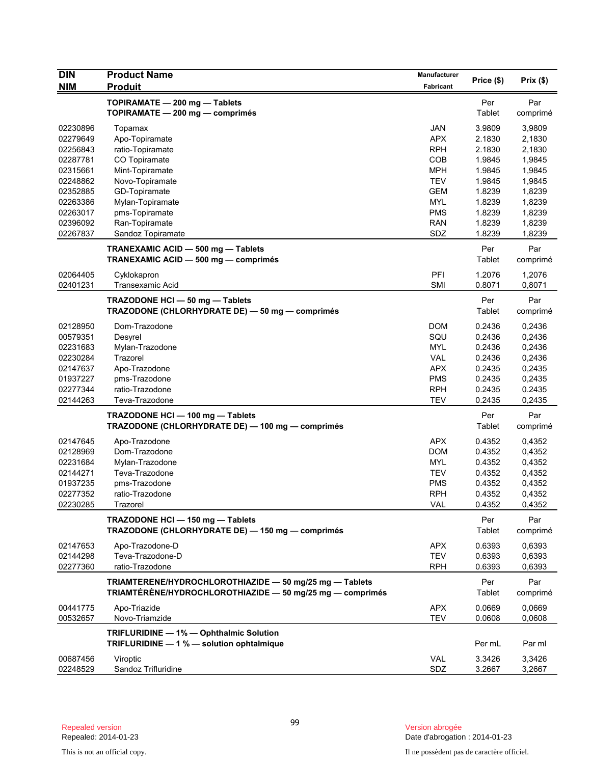| <b>DIN</b>           | <b>Product Name</b>                                                                                                  | <b>Manufacturer</b> | Price (\$)       | Prix(\$)         |
|----------------------|----------------------------------------------------------------------------------------------------------------------|---------------------|------------------|------------------|
| <b>NIM</b>           | <b>Produit</b>                                                                                                       | Fabricant           |                  |                  |
|                      | TOPIRAMATE - 200 mg - Tablets                                                                                        |                     | Per              | Par              |
|                      | TOPIRAMATE - 200 mg - comprimés                                                                                      |                     | Tablet           | comprimé         |
|                      |                                                                                                                      | <b>JAN</b>          |                  |                  |
| 02230896<br>02279649 | Topamax<br>Apo-Topiramate                                                                                            | <b>APX</b>          | 3.9809<br>2.1830 | 3,9809<br>2,1830 |
| 02256843             | ratio-Topiramate                                                                                                     | <b>RPH</b>          | 2.1830           | 2,1830           |
| 02287781             | CO Topiramate                                                                                                        | COB                 | 1.9845           | 1,9845           |
| 02315661             | Mint-Topiramate                                                                                                      | <b>MPH</b>          | 1.9845           | 1,9845           |
| 02248862             | Novo-Topiramate                                                                                                      | <b>TEV</b>          | 1.9845           | 1,9845           |
| 02352885             | GD-Topiramate                                                                                                        | <b>GEM</b>          | 1.8239           | 1,8239           |
| 02263386             | Mylan-Topiramate                                                                                                     | <b>MYL</b>          | 1.8239           | 1,8239           |
| 02263017             | pms-Topiramate                                                                                                       | <b>PMS</b>          | 1.8239           | 1,8239           |
| 02396092             | Ran-Topiramate                                                                                                       | <b>RAN</b>          | 1.8239           | 1,8239           |
| 02267837             | Sandoz Topiramate                                                                                                    | SDZ                 | 1.8239           | 1,8239           |
|                      |                                                                                                                      |                     | Per              | Par              |
|                      | TRANEXAMIC ACID - 500 mg - Tablets<br>TRANEXAMIC ACID - 500 mg - comprimés                                           |                     | Tablet           | comprimé         |
|                      |                                                                                                                      |                     |                  |                  |
| 02064405             | Cyklokapron                                                                                                          | PFI                 | 1.2076           | 1,2076           |
| 02401231             | <b>Transexamic Acid</b>                                                                                              | <b>SMI</b>          | 0.8071           | 0,8071           |
|                      | TRAZODONE HCI - 50 mg - Tablets                                                                                      |                     | Per              | Par              |
|                      | TRAZODONE (CHLORHYDRATE DE) - 50 mg - comprimés                                                                      |                     | Tablet           | comprimé         |
| 02128950             | Dom-Trazodone                                                                                                        | <b>DOM</b>          |                  |                  |
| 00579351             |                                                                                                                      | SQU                 | 0.2436<br>0.2436 | 0,2436           |
| 02231683             | Desyrel<br>Mylan-Trazodone                                                                                           | <b>MYL</b>          | 0.2436           | 0,2436<br>0,2436 |
| 02230284             | Trazorel                                                                                                             | <b>VAL</b>          | 0.2436           | 0,2436           |
| 02147637             | Apo-Trazodone                                                                                                        | <b>APX</b>          | 0.2435           | 0,2435           |
| 01937227             | pms-Trazodone                                                                                                        | <b>PMS</b>          | 0.2435           | 0,2435           |
| 02277344             | ratio-Trazodone                                                                                                      | <b>RPH</b>          | 0.2435           | 0.2435           |
| 02144263             | Teva-Trazodone                                                                                                       | <b>TEV</b>          | 0.2435           | 0,2435           |
|                      |                                                                                                                      |                     | Per              | Par              |
|                      | TRAZODONE HCI-100 mg-Tablets<br>TRAZODONE (CHLORHYDRATE DE) - 100 mg - comprimés                                     |                     | Tablet           |                  |
|                      |                                                                                                                      |                     |                  | comprimé         |
| 02147645             | Apo-Trazodone                                                                                                        | <b>APX</b>          | 0.4352           | 0,4352           |
| 02128969             | Dom-Trazodone                                                                                                        | <b>DOM</b>          | 0.4352           | 0,4352           |
| 02231684             | Mylan-Trazodone                                                                                                      | <b>MYL</b>          | 0.4352           | 0,4352           |
| 02144271             | Teva-Trazodone                                                                                                       | <b>TEV</b>          | 0.4352           | 0,4352           |
| 01937235             | pms-Trazodone                                                                                                        | PMS                 | 0.4352           | 0,4352           |
| 02277352             | ratio-Trazodone                                                                                                      | <b>RPH</b>          | 0.4352           | 0,4352           |
| 02230285             | Trazorel                                                                                                             | VAL                 | 0.4352           | 0,4352           |
|                      | TRAZODONE HCI - 150 mg - Tablets                                                                                     |                     | Per              | Par              |
|                      | TRAZODONE (CHLORHYDRATE DE) - 150 mg - comprimés                                                                     |                     | Tablet           | comprimé         |
| 02147653             | Apo-Trazodone-D                                                                                                      | <b>APX</b>          | 0.6393           | 0,6393           |
| 02144298             | Teva-Trazodone-D                                                                                                     | <b>TEV</b>          | 0.6393           | 0,6393           |
| 02277360             | ratio-Trazodone                                                                                                      | <b>RPH</b>          | 0.6393           | 0,6393           |
|                      |                                                                                                                      |                     |                  |                  |
|                      | TRIAMTERENE/HYDROCHLOROTHIAZIDE - 50 mg/25 mg - Tablets<br>TRIAMTÉRÈNE/HYDROCHLOROTHIAZIDE - 50 mg/25 mg - comprimés |                     | Per<br>Tablet    | Par<br>comprimé  |
| 00441775             | Apo-Triazide                                                                                                         | <b>APX</b>          | 0.0669           | 0,0669           |
| 00532657             | Novo-Triamzide                                                                                                       | <b>TEV</b>          | 0.0608           | 0,0608           |
|                      |                                                                                                                      |                     |                  |                  |
|                      | TRIFLURIDINE - 1% - Ophthalmic Solution<br>TRIFLURIDINE - 1 % - solution ophtalmique                                 |                     |                  |                  |
|                      |                                                                                                                      |                     | Per mL           | Par ml           |
| 00687456             | Viroptic                                                                                                             | VAL                 | 3.3426           | 3,3426           |
| 02248529             | Sandoz Trifluridine                                                                                                  | SDZ                 | 3.2667           | 3,2667           |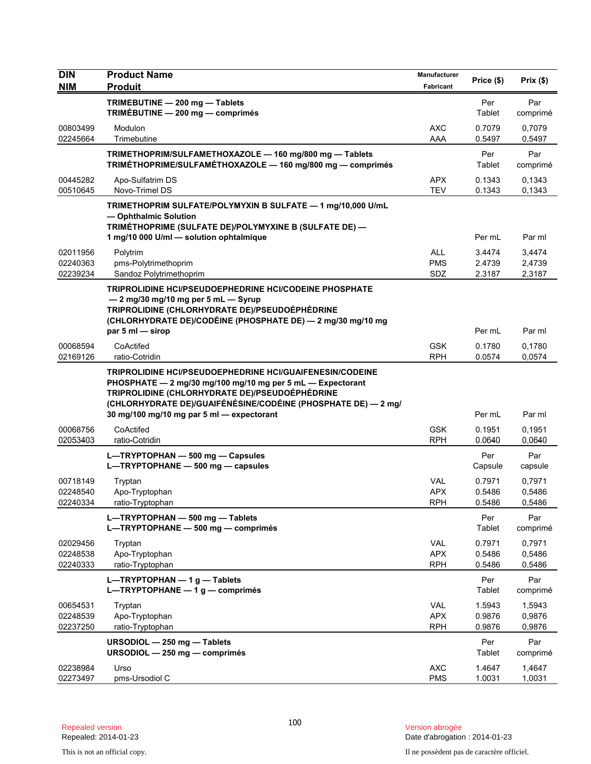| <b>DIN</b>                       | <b>Product Name</b>                                                                                                                                                                                                                                                                           | Manufacturer                           | Price (\$)                 | Prix(\$)                   |
|----------------------------------|-----------------------------------------------------------------------------------------------------------------------------------------------------------------------------------------------------------------------------------------------------------------------------------------------|----------------------------------------|----------------------------|----------------------------|
| <b>NIM</b>                       | <b>Produit</b>                                                                                                                                                                                                                                                                                | Fabricant                              |                            |                            |
|                                  | TRIMEBUTINE - 200 mg - Tablets<br>TRIMÉBUTINE - 200 mg - comprimés                                                                                                                                                                                                                            |                                        | Per<br>Tablet              | Par<br>comprimé            |
| 00803499<br>02245664             | Modulon<br>Trimebutine                                                                                                                                                                                                                                                                        | <b>AXC</b><br>AAA                      | 0.7079<br>0.5497           | 0,7079<br>0,5497           |
|                                  | TRIMETHOPRIM/SULFAMETHOXAZOLE - 160 mg/800 mg - Tablets<br>TRIMÉTHOPRIME/SULFAMÉTHOXAZOLE - 160 mg/800 mg - comprimés                                                                                                                                                                         |                                        | Per<br>Tablet              | Par<br>comprimé            |
| 00445282<br>00510645             | Apo-Sulfatrim DS<br>Novo-Trimel DS                                                                                                                                                                                                                                                            | <b>APX</b><br>TEV                      | 0.1343<br>0.1343           | 0,1343<br>0,1343           |
|                                  | TRIMETHOPRIM SULFATE/POLYMYXIN B SULFATE - 1 mg/10,000 U/mL<br>- Ophthalmic Solution<br>TRIMÉTHOPRIME (SULFATE DE)/POLYMYXINE B (SULFATE DE) —<br>1 mg/10 000 U/ml - solution ophtalmique                                                                                                     |                                        | Per mL                     | Par ml                     |
| 02011956<br>02240363<br>02239234 | Polytrim<br>pms-Polytrimethoprim<br>Sandoz Polytrimethoprim                                                                                                                                                                                                                                   | <b>ALL</b><br><b>PMS</b><br>SDZ        | 3.4474<br>2.4739<br>2.3187 | 3,4474<br>2,4739<br>2,3187 |
|                                  | TRIPROLIDINE HCI/PSEUDOEPHEDRINE HCI/CODEINE PHOSPHATE<br>- 2 mg/30 mg/10 mg per 5 mL - Syrup<br>TRIPROLIDINE (CHLORHYDRATE DE)/PSEUDOÉPHÉDRINE<br>(CHLORHYDRATE DE)/CODÉINE (PHOSPHATE DE) — 2 mg/30 mg/10 mg<br>par $5$ ml $-$ sirop                                                        |                                        | Per mL                     | Par ml                     |
| 00068594<br>02169126             | CoActifed<br>ratio-Cotridin                                                                                                                                                                                                                                                                   | <b>GSK</b><br><b>RPH</b>               | 0.1780<br>0.0574           | 0,1780<br>0,0574           |
|                                  | <b>TRIPROLIDINE HCI/PSEUDOEPHEDRINE HCI/GUAIFENESIN/CODEINE</b><br>PHOSPHATE - 2 mg/30 mg/100 mg/10 mg per 5 mL - Expectorant<br>TRIPROLIDINE (CHLORHYDRATE DE)/PSEUDOÉPHÉDRINE<br>(CHLORHYDRATE DE)/GUAIFÉNÉSINE/CODÉINE (PHOSPHATE DE) — 2 mg/<br>30 mg/100 mg/10 mg par 5 ml - expectorant |                                        | Per mL                     | Par ml                     |
| 00068756<br>02053403             | CoActifed<br>ratio-Cotridin                                                                                                                                                                                                                                                                   | <b>GSK</b><br><b>RPH</b>               | 0.1951<br>0.0640           | 0,1951<br>0,0640           |
|                                  | L-TRYPTOPHAN - 500 mg - Capsules<br>L-TRYPTOPHANE - 500 mg - capsules                                                                                                                                                                                                                         |                                        | Per<br>Capsule             | Par<br>capsule             |
| 00718149<br>02248540<br>02240334 | Tryptan<br>Apo-Tryptophan<br>ratio-Tryptophan                                                                                                                                                                                                                                                 | VAL<br><b>APX</b><br><b>RPH</b>        | 0.7971<br>0.5486<br>0.5486 | 0,7971<br>0,5486<br>0,5486 |
|                                  | L-TRYPTOPHAN - 500 mg - Tablets<br>L-TRYPTOPHANE - 500 mg - comprimés                                                                                                                                                                                                                         |                                        | Per<br>Tablet              | Par<br>comprimé            |
| 02029456<br>02248538<br>02240333 | Tryptan<br>Apo-Tryptophan<br>ratio-Tryptophan                                                                                                                                                                                                                                                 | VAL<br><b>APX</b><br><b>RPH</b>        | 0.7971<br>0.5486<br>0.5486 | 0,7971<br>0,5486<br>0,5486 |
|                                  | L-TRYPTOPHAN $-1$ g - Tablets<br>L-TRYPTOPHANE $-1$ g - comprimés                                                                                                                                                                                                                             |                                        | Per<br>Tablet              | Par<br>comprimé            |
| 00654531<br>02248539<br>02237250 | Tryptan<br>Apo-Tryptophan<br>ratio-Tryptophan                                                                                                                                                                                                                                                 | <b>VAL</b><br><b>APX</b><br><b>RPH</b> | 1.5943<br>0.9876<br>0.9876 | 1,5943<br>0,9876<br>0,9876 |
|                                  | URSODIOL - 250 mg - Tablets<br>URSODIOL - 250 mg - comprimés                                                                                                                                                                                                                                  |                                        | Per<br>Tablet              | Par<br>comprimé            |
| 02238984<br>02273497             | Urso<br>pms-Ursodiol C                                                                                                                                                                                                                                                                        | <b>AXC</b><br><b>PMS</b>               | 1.4647<br>1.0031           | 1,4647<br>1,0031           |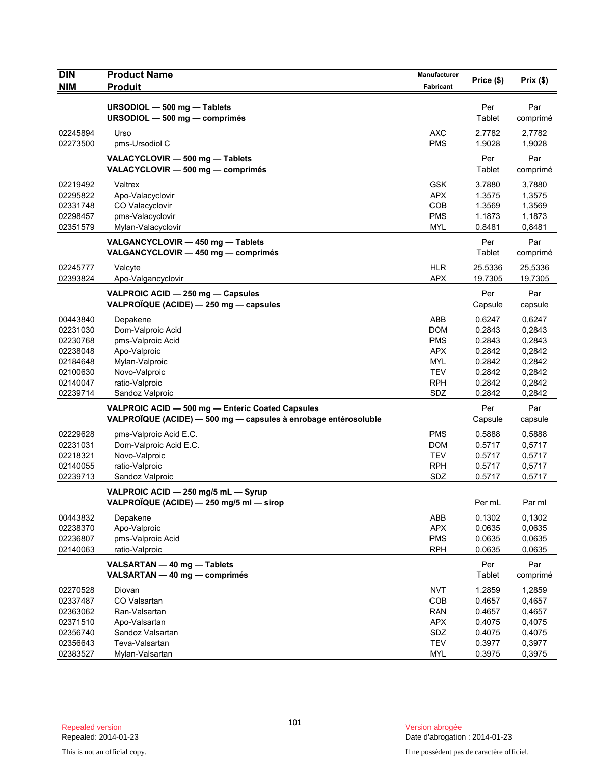| <b>DIN</b> | <b>Product Name</b>                                             | Manufacturer | Price (\$) | Prix(\$) |
|------------|-----------------------------------------------------------------|--------------|------------|----------|
| <b>NIM</b> | <b>Produit</b>                                                  | Fabricant    |            |          |
|            | URSODIOL - 500 mg - Tablets                                     |              | Per        | Par      |
|            | URSODIOL - 500 mg - comprimés                                   |              | Tablet     | comprimé |
| 02245894   | Urso                                                            | <b>AXC</b>   | 2.7782     | 2,7782   |
| 02273500   | pms-Ursodiol C                                                  | <b>PMS</b>   | 1.9028     | 1,9028   |
|            | VALACYCLOVIR - 500 mg - Tablets                                 |              | Per        | Par      |
|            | VALACYCLOVIR - 500 mg - comprimés                               |              | Tablet     | comprimé |
| 02219492   | Valtrex                                                         | <b>GSK</b>   | 3.7880     | 3,7880   |
| 02295822   | Apo-Valacyclovir                                                | <b>APX</b>   | 1.3575     | 1,3575   |
| 02331748   | CO Valacyclovir                                                 | COB          | 1.3569     | 1,3569   |
| 02298457   | pms-Valacyclovir                                                | <b>PMS</b>   | 1.1873     | 1,1873   |
| 02351579   | Mylan-Valacyclovir                                              | <b>MYL</b>   | 0.8481     | 0,8481   |
|            | VALGANCYCLOVIR - 450 mg - Tablets                               |              | Per        | Par      |
|            | VALGANCYCLOVIR - 450 mg - comprimés                             |              | Tablet     | comprimé |
| 02245777   | Valcyte                                                         | <b>HLR</b>   | 25.5336    | 25,5336  |
| 02393824   | Apo-Valgancyclovir                                              | <b>APX</b>   | 19.7305    | 19,7305  |
|            | VALPROIC ACID - 250 mg - Capsules                               |              | Per        | Par      |
|            | VALPROÏQUE (ACIDE) - 250 mg - capsules                          |              | Capsule    | capsule  |
| 00443840   | Depakene                                                        | ABB          | 0.6247     | 0,6247   |
| 02231030   | Dom-Valproic Acid                                               | <b>DOM</b>   | 0.2843     | 0,2843   |
| 02230768   | pms-Valproic Acid                                               | <b>PMS</b>   | 0.2843     | 0,2843   |
| 02238048   | Apo-Valproic                                                    | <b>APX</b>   | 0.2842     | 0,2842   |
| 02184648   | Mylan-Valproic                                                  | <b>MYL</b>   | 0.2842     | 0,2842   |
| 02100630   | Novo-Valproic                                                   | <b>TEV</b>   | 0.2842     | 0,2842   |
| 02140047   | ratio-Valproic                                                  | <b>RPH</b>   | 0.2842     | 0,2842   |
| 02239714   | Sandoz Valproic                                                 | SDZ          | 0.2842     | 0,2842   |
|            | VALPROIC ACID - 500 mg - Enteric Coated Capsules                |              | Per        | Par      |
|            | VALPROÏQUE (ACIDE) - 500 mg - capsules à enrobage entérosoluble |              | Capsule    | capsule  |
| 02229628   | pms-Valproic Acid E.C.                                          | <b>PMS</b>   | 0.5888     | 0,5888   |
| 02231031   | Dom-Valproic Acid E.C.                                          | DOM          | 0.5717     | 0,5717   |
| 02218321   | Novo-Valproic                                                   | <b>TEV</b>   | 0.5717     | 0,5717   |
| 02140055   | ratio-Valproic                                                  | <b>RPH</b>   | 0.5717     | 0,5717   |
| 02239713   | Sandoz Valproic                                                 | SDZ          | 0.5717     | 0,5717   |
|            | VALPROIC ACID - 250 mg/5 mL - Syrup                             |              |            |          |
|            | VALPROIQUE (ACIDE) — 250 mg/5 ml — sirop                        |              | Per mL     | Par ml   |
| 00443832   | Depakene                                                        | ABB          | 0.1302     | 0,1302   |
| 02238370   | Apo-Valproic                                                    | <b>APX</b>   | 0.0635     | 0,0635   |
| 02236807   | pms-Valproic Acid                                               | <b>PMS</b>   | 0.0635     | 0,0635   |
| 02140063   | ratio-Valproic                                                  | <b>RPH</b>   | 0.0635     | 0,0635   |
|            | VALSARTAN - 40 mg - Tablets                                     |              | Per        | Par      |
|            | VALSARTAN - 40 mg - comprimés                                   |              | Tablet     | comprimé |
| 02270528   | Diovan                                                          | <b>NVT</b>   | 1.2859     | 1,2859   |
| 02337487   | CO Valsartan                                                    | COB          | 0.4657     | 0,4657   |
| 02363062   | Ran-Valsartan                                                   | <b>RAN</b>   | 0.4657     | 0,4657   |
| 02371510   | Apo-Valsartan                                                   | <b>APX</b>   | 0.4075     | 0,4075   |
| 02356740   | Sandoz Valsartan                                                | SDZ          | 0.4075     | 0,4075   |
| 02356643   | Teva-Valsartan                                                  | <b>TEV</b>   | 0.3977     | 0,3977   |
| 02383527   | Mylan-Valsartan                                                 | <b>MYL</b>   | 0.3975     | 0,3975   |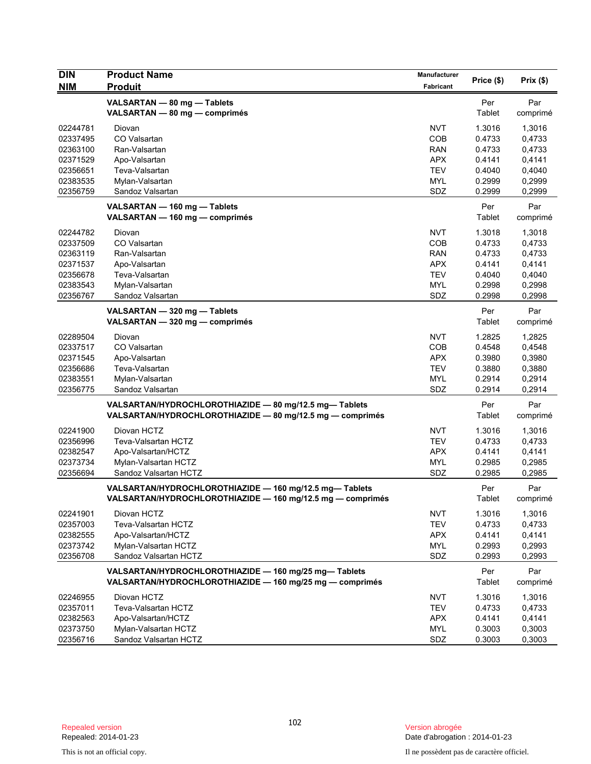| <b>DIN</b> | <b>Product Name</b>                                                                                                   | <b>Manufacturer</b> | Price (\$)           | Prix(\$)        |
|------------|-----------------------------------------------------------------------------------------------------------------------|---------------------|----------------------|-----------------|
| <b>NIM</b> | <b>Produit</b>                                                                                                        | Fabricant           |                      |                 |
|            | VALSARTAN - 80 mg - Tablets<br>VALSARTAN - 80 mg - comprimés                                                          |                     | Per<br>Tablet        | Par<br>comprimé |
| 02244781   | Diovan                                                                                                                | <b>NVT</b>          | 1.3016               | 1,3016          |
| 02337495   | CO Valsartan                                                                                                          | COB                 | 0.4733               | 0,4733          |
| 02363100   | Ran-Valsartan                                                                                                         | <b>RAN</b>          | 0.4733               | 0,4733          |
| 02371529   | Apo-Valsartan                                                                                                         | <b>APX</b>          | 0.4141               | 0,4141          |
| 02356651   | Teva-Valsartan                                                                                                        | <b>TEV</b>          | 0.4040               | 0,4040          |
| 02383535   | Mylan-Valsartan                                                                                                       | <b>MYL</b>          | 0.2999               | 0,2999          |
| 02356759   | Sandoz Valsartan                                                                                                      | SDZ                 | 0.2999               | 0,2999          |
|            | VALSARTAN - 160 mg - Tablets<br>VALSARTAN - 160 mg - comprimés                                                        |                     | Per<br>Tablet        | Par<br>comprimé |
| 02244782   | Diovan                                                                                                                | <b>NVT</b>          | 1.3018               | 1,3018          |
| 02337509   | CO Valsartan                                                                                                          | COB                 | 0.4733               | 0,4733          |
| 02363119   | Ran-Valsartan                                                                                                         | <b>RAN</b>          | 0.4733               | 0,4733          |
| 02371537   | Apo-Valsartan                                                                                                         | <b>APX</b>          | 0.4141               | 0,4141          |
| 02356678   | Teva-Valsartan                                                                                                        | <b>TEV</b>          | 0.4040               | 0,4040          |
| 02383543   | Mylan-Valsartan                                                                                                       | MYL                 | 0.2998               | 0,2998          |
| 02356767   | Sandoz Valsartan                                                                                                      | SDZ                 | 0.2998               | 0,2998          |
|            | VALSARTAN - 320 mg - Tablets<br>VALSARTAN - 320 mg - comprimés                                                        |                     | Per<br>Tablet        | Par<br>comprimé |
| 02289504   | Diovan                                                                                                                | <b>NVT</b>          | 1.2825               | 1,2825          |
| 02337517   | CO Valsartan                                                                                                          | COB                 | 0.4548               | 0,4548          |
| 02371545   | Apo-Valsartan                                                                                                         | APX                 | 0.3980               | 0,3980          |
| 02356686   | Teva-Valsartan                                                                                                        | <b>TEV</b>          | 0.3880               | 0,3880          |
| 02383551   | Mylan-Valsartan                                                                                                       | <b>MYL</b>          | 0.2914               | 0,2914          |
| 02356775   | Sandoz Valsartan                                                                                                      | SDZ                 | 0.2914               | 0,2914          |
|            | VALSARTAN/HYDROCHLOROTHIAZIDE - 80 mg/12.5 mg-Tablets<br>VALSARTAN/HYDROCHLOROTHIAZIDE - 80 mg/12.5 mg - comprimés    |                     | Per<br>Tablet        | Par<br>comprimé |
| 02241900   | Diovan HCTZ                                                                                                           | NVT                 | 1.3016               | 1,3016          |
| 02356996   | Teva-Valsartan HCTZ                                                                                                   | <b>TEV</b>          | 0.4733               | 0,4733          |
| 02382547   | Apo-Valsartan/HCTZ                                                                                                    | <b>APX</b>          | 0.4141               | 0,4141          |
| 02373734   | Mylan-Valsartan HCTZ                                                                                                  | MYL                 | 0.2985               | 0,2985          |
| 02356694   | Sandoz Valsartan HCTZ                                                                                                 | SDZ                 | 0.2985               | 0,2985          |
|            | VALSARTAN/HYDROCHLOROTHIAZIDE - 160 mg/12.5 mg- Tablets<br>VALSARTAN/HYDROCHLOROTHIAZIDE - 160 mg/12.5 mg - comprimés |                     | Per<br>Tablet        | Par<br>comprimé |
| 02241901   | Diovan HCTZ                                                                                                           | <b>NVT</b>          | 1.3016               | 1,3016          |
| 02357003   | Teva-Valsartan HCTZ                                                                                                   | <b>TEV</b>          | 0.4733               | 0,4733          |
| 02382555   | Apo-Valsartan/HCTZ                                                                                                    | <b>APX</b>          | 0.4141               | 0,4141          |
| 02373742   | Mylan-Valsartan HCTZ                                                                                                  | <b>MYL</b>          | 0.2993               | 0,2993          |
| 02356708   | Sandoz Valsartan HCTZ                                                                                                 | SDZ                 | 0.2993               | 0,2993          |
|            | VALSARTAN/HYDROCHLOROTHIAZIDE - 160 mg/25 mg-Tablets<br>VALSARTAN/HYDROCHLOROTHIAZIDE - 160 mg/25 mg - comprimés      |                     | Per<br><b>Tablet</b> | Par<br>comprimé |
| 02246955   | Diovan HCTZ                                                                                                           | <b>NVT</b>          | 1.3016               | 1,3016          |
| 02357011   | Teva-Valsartan HCTZ                                                                                                   | <b>TEV</b>          | 0.4733               | 0,4733          |
| 02382563   | Apo-Valsartan/HCTZ                                                                                                    | <b>APX</b>          | 0.4141               | 0,4141          |
| 02373750   | Mylan-Valsartan HCTZ                                                                                                  | <b>MYL</b>          | 0.3003               | 0,3003          |
| 02356716   | Sandoz Valsartan HCTZ                                                                                                 | SDZ                 | 0.3003               | 0,3003          |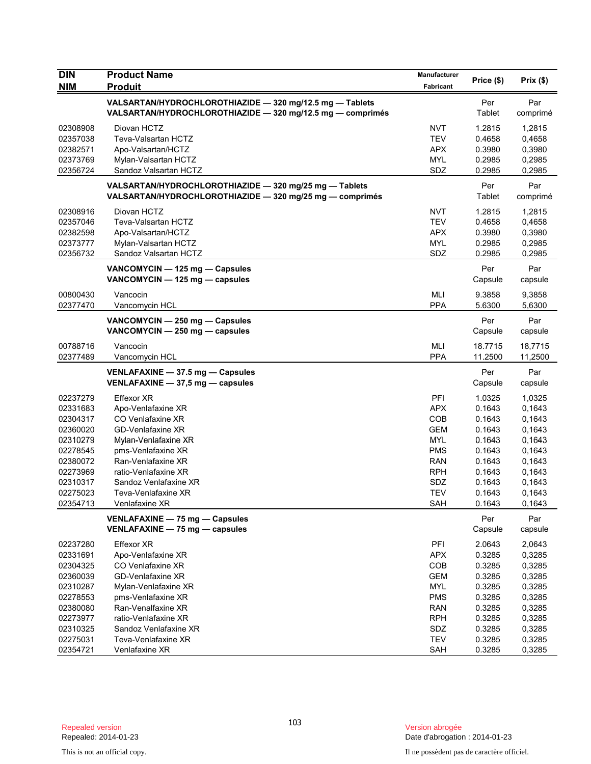| <b>DIN</b>           | <b>Product Name</b>                                                                                                    | Manufacturer      | Price (\$)         | Prix(\$)           |
|----------------------|------------------------------------------------------------------------------------------------------------------------|-------------------|--------------------|--------------------|
| <b>NIM</b>           | <b>Produit</b>                                                                                                         | Fabricant         |                    |                    |
|                      | VALSARTAN/HYDROCHLOROTHIAZIDE - 320 mg/12.5 mg - Tablets<br>VALSARTAN/HYDROCHLOROTHIAZIDE - 320 mg/12.5 mg - comprimés |                   | Per<br>Tablet      | Par<br>comprimé    |
| 02308908             | Diovan HCTZ                                                                                                            | <b>NVT</b>        | 1.2815             | 1,2815             |
| 02357038             | Teva-Valsartan HCTZ                                                                                                    | <b>TEV</b>        | 0.4658             | 0,4658             |
| 02382571             | Apo-Valsartan/HCTZ                                                                                                     | <b>APX</b>        | 0.3980             | 0,3980             |
| 02373769             | Mylan-Valsartan HCTZ                                                                                                   | <b>MYL</b>        | 0.2985             | 0,2985             |
| 02356724             | Sandoz Valsartan HCTZ                                                                                                  | SDZ               | 0.2985             | 0,2985             |
|                      | VALSARTAN/HYDROCHLOROTHIAZIDE - 320 mg/25 mg - Tablets<br>VALSARTAN/HYDROCHLOROTHIAZIDE - 320 mg/25 mg - comprimés     |                   | Per<br>Tablet      | Par<br>comprimé    |
| 02308916             | Diovan HCTZ                                                                                                            | <b>NVT</b>        | 1.2815             | 1,2815             |
| 02357046             | Teva-Valsartan HCTZ                                                                                                    | <b>TEV</b>        | 0.4658             | 0,4658             |
| 02382598             | Apo-Valsartan/HCTZ                                                                                                     | <b>APX</b>        | 0.3980             | 0,3980             |
| 02373777             | Mylan-Valsartan HCTZ                                                                                                   | <b>MYL</b>        | 0.2985             | 0,2985             |
| 02356732             | Sandoz Valsartan HCTZ                                                                                                  | SDZ               | 0.2985             | 0,2985             |
|                      | VANCOMYCIN - 125 mg - Capsules<br>VANCOMYCIN - 125 mg - capsules                                                       |                   | Per<br>Capsule     | Par<br>capsule     |
| 00800430             | Vancocin                                                                                                               | MLI               | 9.3858             | 9,3858             |
| 02377470             | Vancomycin HCL                                                                                                         | <b>PPA</b>        | 5.6300             | 5,6300             |
|                      | VANCOMYCIN - 250 mg - Capsules                                                                                         |                   | Per                | Par                |
|                      | VANCOMYCIN - 250 mg - capsules                                                                                         |                   | Capsule            | capsule            |
| 00788716<br>02377489 | Vancocin<br>Vancomycin HCL                                                                                             | MLI<br><b>PPA</b> | 18.7715<br>11.2500 | 18,7715<br>11,2500 |
|                      | VENLAFAXINE - 37.5 mg - Capsules<br>VENLAFAXINE - 37,5 mg - capsules                                                   |                   | Per<br>Capsule     | Par<br>capsule     |
| 02237279             | <b>Effexor XR</b>                                                                                                      | PFI               | 1.0325             | 1,0325             |
| 02331683             | Apo-Venlafaxine XR                                                                                                     | <b>APX</b>        | 0.1643             | 0,1643             |
| 02304317             | CO Venlafaxine XR                                                                                                      | <b>COB</b>        | 0.1643             | 0,1643             |
| 02360020             | GD-Venlafaxine XR                                                                                                      | <b>GEM</b>        | 0.1643             | 0,1643             |
| 02310279             | Mylan-Venlafaxine XR                                                                                                   | <b>MYL</b>        | 0.1643             | 0,1643             |
| 02278545             | pms-Venlafaxine XR                                                                                                     | <b>PMS</b>        | 0.1643             | 0,1643             |
| 02380072             | Ran-Venlafaxine XR                                                                                                     | <b>RAN</b>        | 0.1643             | 0,1643             |
| 02273969             | ratio-Venlafaxine XR                                                                                                   | <b>RPH</b>        | 0.1643             | 0,1643             |
| 02310317             | Sandoz Venlafaxine XR                                                                                                  | SDZ               | 0.1643             | 0,1643             |
| 02275023             | Teva-Venlafaxine XR                                                                                                    | TEV               | 0.1643             | 0,1643             |
| 02354713             | Venlafaxine XR                                                                                                         | SAH               | 0.1643             | 0,1643             |
|                      | VENLAFAXINE - 75 mg - Capsules<br>VENLAFAXINE - 75 mg - capsules                                                       |                   | Per<br>Capsule     | Par<br>capsule     |
| 02237280             | Effexor XR                                                                                                             | PFI               | 2.0643             | 2,0643             |
| 02331691             | Apo-Venlafaxine XR                                                                                                     | <b>APX</b>        | 0.3285             | 0,3285             |
| 02304325             | CO Venlafaxine XR                                                                                                      | COB               | 0.3285             | 0,3285             |
| 02360039             | <b>GD-Venlafaxine XR</b>                                                                                               | <b>GEM</b>        | 0.3285             | 0,3285             |
| 02310287             | Mylan-Venlafaxine XR                                                                                                   | <b>MYL</b>        | 0.3285             | 0,3285             |
| 02278553             | pms-Venlafaxine XR                                                                                                     | <b>PMS</b>        | 0.3285             | 0,3285             |
| 02380080             | Ran-Venalfaxine XR                                                                                                     | <b>RAN</b>        | 0.3285             | 0,3285             |
| 02273977             | ratio-Venlafaxine XR                                                                                                   | <b>RPH</b>        | 0.3285             | 0,3285             |
| 02310325             | Sandoz Venlafaxine XR                                                                                                  | SDZ               | 0.3285             | 0,3285             |
| 02275031             | Teva-Venlafaxine XR                                                                                                    | TEV               | 0.3285             | 0,3285             |
| 02354721             | Venlafaxine XR                                                                                                         | SAH               | 0.3285             | 0,3285             |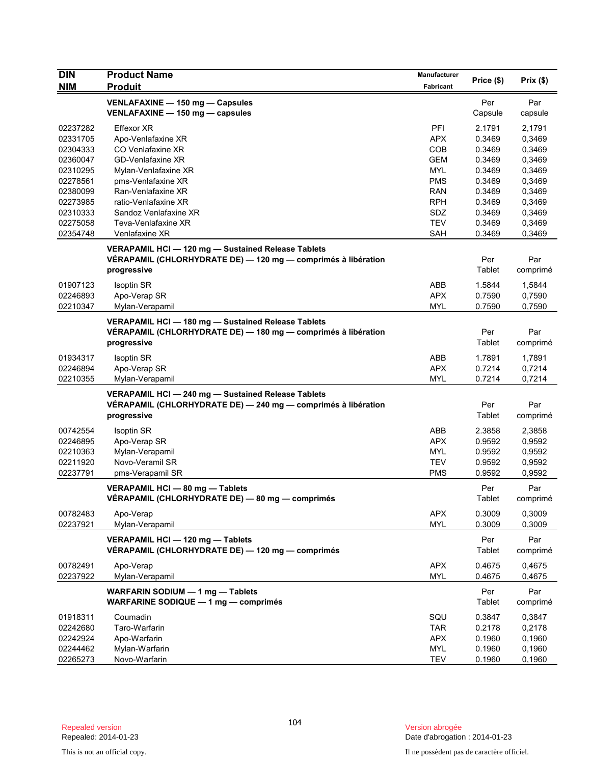| <b>DIN</b>           | <b>Product Name</b>                                           | Manufacturer      | Price (\$)       | Prix(\$)         |
|----------------------|---------------------------------------------------------------|-------------------|------------------|------------------|
| <b>NIM</b>           | <b>Produit</b>                                                | Fabricant         |                  |                  |
|                      | VENLAFAXINE - 150 mg - Capsules                               |                   | Per              | Par              |
|                      | VENLAFAXINE - 150 mg - capsules                               |                   | Capsule          | capsule          |
| 02237282             | Effexor XR                                                    | PFI               | 2.1791           | 2,1791           |
| 02331705             | Apo-Venlafaxine XR                                            | <b>APX</b>        | 0.3469           | 0,3469           |
| 02304333             | CO Venlafaxine XR                                             | <b>COB</b>        | 0.3469           | 0,3469           |
| 02360047             | <b>GD-Venlafaxine XR</b>                                      | <b>GEM</b>        | 0.3469           | 0,3469           |
| 02310295             | Mylan-Venlafaxine XR                                          | <b>MYL</b>        | 0.3469           | 0,3469           |
| 02278561             | pms-Venlafaxine XR                                            | <b>PMS</b>        | 0.3469           | 0,3469           |
| 02380099             | Ran-Venlafaxine XR                                            | <b>RAN</b>        | 0.3469           | 0,3469           |
| 02273985             | ratio-Venlafaxine XR                                          | <b>RPH</b>        | 0.3469           | 0,3469           |
| 02310333             | Sandoz Venlafaxine XR                                         | SDZ               | 0.3469           | 0,3469           |
| 02275058             | Teva-Venlafaxine XR                                           | <b>TEV</b>        | 0.3469           | 0,3469           |
| 02354748             | Venlafaxine XR                                                | <b>SAH</b>        | 0.3469           | 0,3469           |
|                      | VERAPAMIL HCI-120 mg-Sustained Release Tablets                |                   |                  |                  |
|                      | VÉRAPAMIL (CHLORHYDRATE DE) - 120 mg - comprimés à libération |                   | Per              | Par              |
|                      | progressive                                                   |                   | Tablet           | comprimé         |
|                      |                                                               |                   |                  |                  |
| 01907123             | <b>Isoptin SR</b>                                             | ABB               | 1.5844           | 1,5844           |
| 02246893             | Apo-Verap SR                                                  | <b>APX</b>        | 0.7590           | 0,7590           |
| 02210347             | Mylan-Verapamil                                               | <b>MYL</b>        | 0.7590           | 0,7590           |
|                      | VERAPAMIL HCI - 180 mg - Sustained Release Tablets            |                   |                  |                  |
|                      | VÉRAPAMIL (CHLORHYDRATE DE) — 180 mg — comprimés à libération |                   | Per              | Par              |
|                      | progressive                                                   |                   | Tablet           | comprimé         |
| 01934317             | <b>Isoptin SR</b>                                             | ABB               | 1.7891           | 1,7891           |
| 02246894             | Apo-Verap SR                                                  | <b>APX</b>        | 0.7214           | 0,7214           |
| 02210355             | Mylan-Verapamil                                               | <b>MYL</b>        | 0.7214           | 0,7214           |
|                      | VERAPAMIL HCI - 240 mg - Sustained Release Tablets            |                   |                  |                  |
|                      | VÉRAPAMIL (CHLORHYDRATE DE) - 240 mg - comprimés à libération |                   | Per              | Par              |
|                      | progressive                                                   |                   | Tablet           | comprimé         |
|                      |                                                               |                   |                  |                  |
| 00742554             | <b>Isoptin SR</b>                                             | ABB               | 2.3858           | 2,3858           |
| 02246895             | Apo-Verap SR                                                  | <b>APX</b>        | 0.9592           | 0,9592           |
| 02210363<br>02211920 | Mylan-Verapamil<br>Novo-Veramil SR                            | MYL<br><b>TEV</b> | 0.9592<br>0.9592 | 0,9592           |
| 02237791             | pms-Verapamil SR                                              | <b>PMS</b>        | 0.9592           | 0,9592<br>0,9592 |
|                      |                                                               |                   |                  |                  |
|                      | VERAPAMIL HCI - 80 mg - Tablets                               |                   | Per              | Par              |
|                      | VÉRAPAMIL (CHLORHYDRATE DE) — 80 mg — comprimés               |                   | Tablet           | comprimé         |
| 00782483             | Apo-Verap                                                     | <b>APX</b>        | 0.3009           | 0,3009           |
| 02237921             | Mylan-Verapamil                                               | <b>MYL</b>        | 0.3009           | 0,3009           |
|                      | VERAPAMIL HCI - 120 mg - Tablets                              |                   | Per              | Par              |
|                      | VÉRAPAMIL (CHLORHYDRATE DE) — 120 mg — comprimés              |                   | Tablet           | comprimé         |
|                      |                                                               |                   |                  |                  |
| 00782491             | Apo-Verap                                                     | <b>APX</b>        | 0.4675           | 0,4675           |
| 02237922             | Mylan-Verapamil                                               | <b>MYL</b>        | 0.4675           | 0,4675           |
|                      | WARFARIN SODIUM - 1 mg - Tablets                              |                   | Per              | Par              |
|                      | WARFARINE SODIQUE - 1 mg - comprimés                          |                   | Tablet           | comprimé         |
| 01918311             | Coumadin                                                      | SQU               | 0.3847           | 0,3847           |
| 02242680             | Taro-Warfarin                                                 | <b>TAR</b>        | 0.2178           | 0,2178           |
| 02242924             | Apo-Warfarin                                                  | <b>APX</b>        | 0.1960           | 0,1960           |
| 02244462             | Mylan-Warfarin                                                | <b>MYL</b>        | 0.1960           | 0,1960           |
| 02265273             | Novo-Warfarin                                                 | <b>TEV</b>        | 0.1960           | 0,1960           |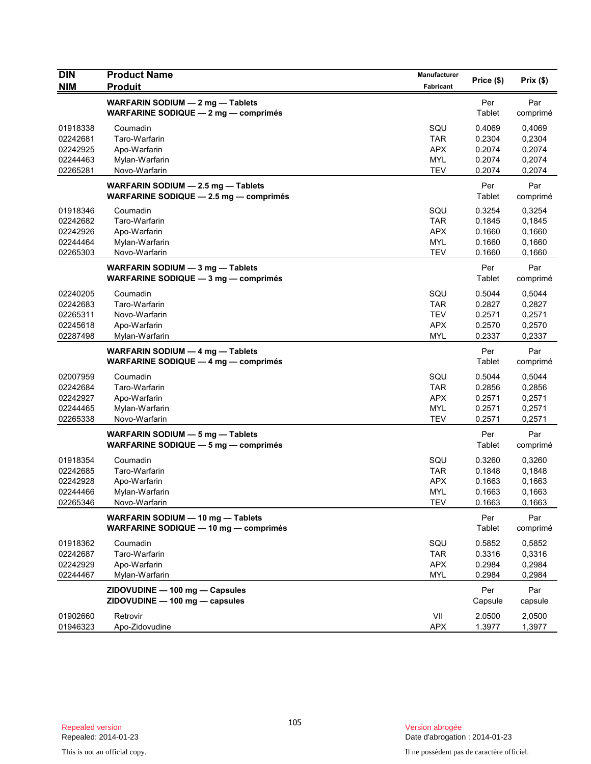| <b>DIN</b><br><b>NIM</b> | <b>Product Name</b><br><b>Produit</b>                                        | Manufacturer<br>Fabricant | Price (\$)       | Prix(\$)         |
|--------------------------|------------------------------------------------------------------------------|---------------------------|------------------|------------------|
|                          | WARFARIN SODIUM - 2 mg - Tablets<br>WARFARINE SODIQUE - 2 mg - comprimés     |                           | Per<br>Tablet    | Par<br>comprimé  |
|                          |                                                                              |                           |                  |                  |
| 01918338<br>02242681     | Coumadin<br>Taro-Warfarin                                                    | SQU<br><b>TAR</b>         | 0.4069<br>0.2304 | 0,4069<br>0,2304 |
| 02242925                 | Apo-Warfarin                                                                 | <b>APX</b>                | 0.2074           | 0,2074           |
| 02244463                 | Mylan-Warfarin                                                               | <b>MYL</b>                | 0.2074           | 0,2074           |
| 02265281                 | Novo-Warfarin                                                                | <b>TEV</b>                | 0.2074           | 0,2074           |
|                          | WARFARIN SODIUM - 2.5 mg - Tablets<br>WARFARINE SODIQUE - 2.5 mg - comprimés |                           | Per<br>Tablet    | Par<br>comprimé  |
| 01918346                 | Coumadin                                                                     | SQU                       | 0.3254           | 0,3254           |
| 02242682                 | Taro-Warfarin                                                                | <b>TAR</b>                | 0.1845           | 0,1845           |
| 02242926                 | Apo-Warfarin                                                                 | <b>APX</b>                | 0.1660           | 0,1660           |
| 02244464                 | Mylan-Warfarin                                                               | <b>MYL</b>                | 0.1660           | 0,1660           |
| 02265303                 | Novo-Warfarin                                                                | <b>TEV</b>                | 0.1660           | 0,1660           |
|                          | WARFARIN SODIUM - 3 mg - Tablets<br>WARFARINE SODIQUE $-3$ mg $-$ comprimes  |                           | Per<br>Tablet    | Par<br>comprimé  |
| 02240205                 | Coumadin                                                                     | SQU                       | 0.5044           | 0,5044           |
| 02242683                 | Taro-Warfarin                                                                | <b>TAR</b>                | 0.2827           | 0,2827           |
| 02265311                 | Novo-Warfarin                                                                | <b>TEV</b>                | 0.2571           | 0,2571           |
| 02245618                 | Apo-Warfarin                                                                 | <b>APX</b>                | 0.2570           | 0,2570           |
| 02287498                 | Mylan-Warfarin                                                               | <b>MYL</b>                | 0.2337           | 0,2337           |
|                          | WARFARIN SODIUM - 4 mg - Tablets<br>WARFARINE SODIQUE $-$ 4 mg $-$ comprimes |                           | Per<br>Tablet    | Par<br>comprimé  |
| 02007959                 | Coumadin                                                                     | SQU                       | 0.5044           | 0,5044           |
| 02242684                 | Taro-Warfarin                                                                | <b>TAR</b>                | 0.2856           | 0,2856           |
| 02242927                 | Apo-Warfarin                                                                 | <b>APX</b>                | 0.2571           | 0,2571           |
| 02244465                 | Mylan-Warfarin                                                               | <b>MYL</b>                | 0.2571           | 0,2571           |
| 02265338                 | Novo-Warfarin                                                                | <b>TEV</b>                | 0.2571           | 0,2571           |
|                          | WARFARIN SODIUM - 5 mg - Tablets                                             |                           | Per              | Par              |
|                          | WARFARINE SODIQUE $-5$ mg $-$ comprimes                                      |                           | Tablet           | comprimé         |
| 01918354                 | Coumadin                                                                     | SQU                       | 0.3260           | 0,3260           |
| 02242685                 | Taro-Warfarin                                                                | <b>TAR</b>                | 0.1848           | 0,1848           |
| 02242928                 | Apo-Warfarin                                                                 | <b>APX</b>                | 0.1663           | 0,1663           |
| 02244466                 | Mylan-Warfarin                                                               | <b>MYL</b>                | 0.1663           | 0,1663           |
| 02265346                 | Novo-Warfarin                                                                | TEV                       | 0.1663           | 0,1663           |
|                          | WARFARIN SODIUM - 10 mg - Tablets<br>WARFARINE SODIQUE - 10 mg - comprimés   |                           | Per<br>Tablet    | Par<br>comprimé  |
| 01918362                 | Coumadin                                                                     | SQU                       | 0.5852           | 0,5852           |
| 02242687                 | Taro-Warfarin                                                                | <b>TAR</b>                | 0.3316           | 0,3316           |
| 02242929                 | Apo-Warfarin                                                                 | <b>APX</b>                | 0.2984           | 0,2984           |
| 02244467                 | Mylan-Warfarin                                                               | <b>MYL</b>                | 0.2984           | 0,2984           |
|                          | ZIDOVUDINE - 100 mg - Capsules<br>ZIDOVUDINE - 100 mg - capsules             |                           | Per<br>Capsule   | Par<br>capsule   |
| 01902660                 | Retrovir                                                                     | VII                       | 2.0500           | 2,0500           |
| 01946323                 | Apo-Zidovudine                                                               | <b>APX</b>                | 1.3977           | 1,3977           |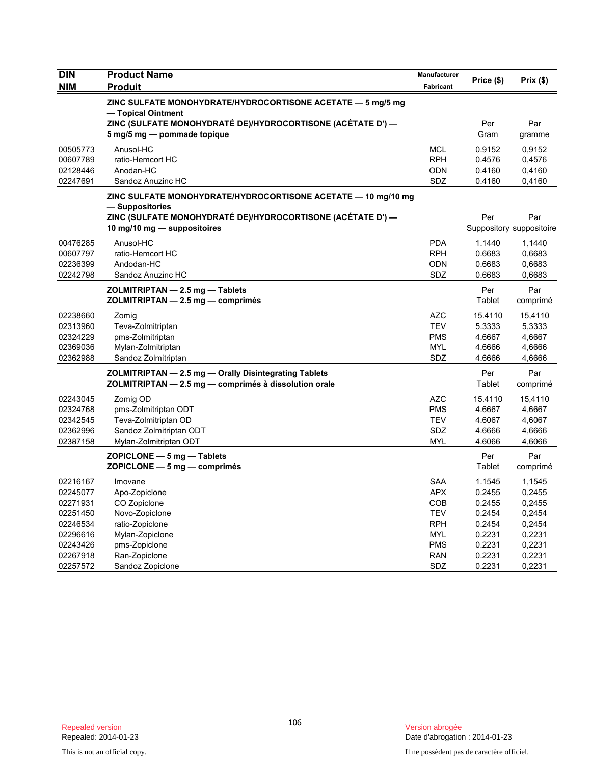| <b>DIN</b> | <b>Product Name</b>                                                                        | Manufacturer             | Price (\$)       | Prix(\$)                 |
|------------|--------------------------------------------------------------------------------------------|--------------------------|------------------|--------------------------|
| <b>NIM</b> | <b>Produit</b>                                                                             | Fabricant                |                  |                          |
|            | ZINC SULFATE MONOHYDRATE/HYDROCORTISONE ACETATE - 5 mg/5 mg<br>- Topical Ointment          |                          |                  |                          |
|            | ZINC (SULFATE MONOHYDRATÉ DE)/HYDROCORTISONE (ACÉTATE D') —<br>5 mg/5 mg - pommade topique |                          | Per<br>Gram      | Par<br>gramme            |
| 00505773   | Anusol-HC                                                                                  | <b>MCL</b>               | 0.9152           | 0,9152                   |
| 00607789   | ratio-Hemcort HC                                                                           | <b>RPH</b>               | 0.4576           | 0,4576                   |
| 02128446   | Anodan-HC                                                                                  | <b>ODN</b>               | 0.4160           | 0,4160                   |
| 02247691   | Sandoz Anuzinc HC                                                                          | SDZ                      | 0.4160           | 0,4160                   |
|            | ZINC SULFATE MONOHYDRATE/HYDROCORTISONE ACETATE — 10 mg/10 mg<br>— Suppositories           |                          |                  |                          |
|            | ZINC (SULFATE MONOHYDRATE DE)/HYDROCORTISONE (ACETATE D') —                                |                          | Per              | Par                      |
|            | 10 mg/10 mg $-$ suppositoires                                                              |                          |                  | Suppository suppositoire |
| 00476285   | Anusol-HC                                                                                  | <b>PDA</b>               | 1.1440           | 1,1440                   |
| 00607797   | ratio-Hemcort HC                                                                           | <b>RPH</b>               | 0.6683           | 0,6683                   |
| 02236399   | Andodan-HC                                                                                 | <b>ODN</b>               | 0.6683           | 0,6683                   |
| 02242798   | Sandoz Anuzinc HC                                                                          | SDZ                      | 0.6683           | 0,6683                   |
|            | ZOLMITRIPTAN - 2.5 mg - Tablets                                                            |                          | Per              | Par                      |
|            | ZOLMITRIPTAN - 2.5 mg - comprimés                                                          |                          | Tablet           | comprimé                 |
| 02238660   | Zomig                                                                                      | <b>AZC</b>               | 15.4110          | 15,4110                  |
| 02313960   | Teva-Zolmitriptan                                                                          | <b>TEV</b>               | 5.3333           | 5,3333                   |
| 02324229   | pms-Zolmitriptan                                                                           | <b>PMS</b>               | 4.6667           | 4,6667                   |
| 02369036   | Mylan-Zolmitriptan                                                                         | <b>MYL</b>               | 4.6666           | 4,6666                   |
| 02362988   | Sandoz Zolmitriptan                                                                        | SDZ                      | 4.6666           | 4,6666                   |
|            | ZOLMITRIPTAN - 2.5 mg - Orally Disintegrating Tablets                                      |                          | Per              | Par                      |
|            | ZOLMITRIPTAN - 2.5 mg - comprimés à dissolution orale                                      |                          | Tablet           | comprimé                 |
| 02243045   | Zomig OD                                                                                   | <b>AZC</b>               | 15.4110          | 15,4110                  |
| 02324768   | pms-Zolmitriptan ODT                                                                       | <b>PMS</b>               | 4.6667           | 4,6667                   |
| 02342545   | Teva-Zolmitriptan OD                                                                       | <b>TEV</b>               | 4.6067           | 4,6067                   |
| 02362996   | Sandoz Zolmitriptan ODT                                                                    | <b>SDZ</b><br><b>MYL</b> | 4.6666<br>4.6066 | 4,6666                   |
| 02387158   | Mylan-Zolmitriptan ODT                                                                     |                          |                  | 4,6066                   |
|            | $ZOPICLONE - 5 mg - Tables$<br>$ZOPICLONE - 5 mg - comprimés$                              |                          | Per<br>Tablet    | Par<br>comprimé          |
| 02216167   | Imovane                                                                                    | <b>SAA</b>               | 1.1545           | 1,1545                   |
| 02245077   | Apo-Zopiclone                                                                              | <b>APX</b>               | 0.2455           | 0,2455                   |
| 02271931   | CO Zopiclone                                                                               | <b>COB</b>               | 0.2455           | 0,2455                   |
| 02251450   | Novo-Zopiclone                                                                             | <b>TEV</b>               | 0.2454           | 0,2454                   |
| 02246534   | ratio-Zopiclone                                                                            | <b>RPH</b>               | 0.2454           | 0,2454                   |
| 02296616   | Mylan-Zopiclone                                                                            | MYL                      | 0.2231           | 0,2231                   |
| 02243426   | pms-Zopiclone                                                                              | <b>PMS</b>               | 0.2231           | 0,2231                   |
| 02267918   | Ran-Zopiclone                                                                              | <b>RAN</b>               | 0.2231           | 0,2231                   |
| 02257572   | Sandoz Zopiclone                                                                           | SDZ                      | 0.2231           | 0,2231                   |